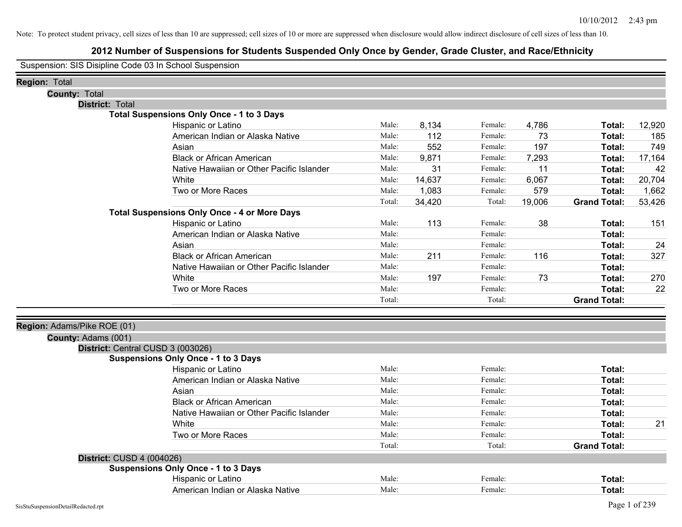# **2012 Number of Suspensions for Students Suspended Only Once by Gender, Grade Cluster, and Race/Ethnicity**

Suspension: SIS Disipline Code 03 In School Suspension

| <b>Region: Total</b>        |                                                     |        |        |         |        |                     |        |
|-----------------------------|-----------------------------------------------------|--------|--------|---------|--------|---------------------|--------|
| <b>County: Total</b>        |                                                     |        |        |         |        |                     |        |
| <b>District: Total</b>      |                                                     |        |        |         |        |                     |        |
|                             | <b>Total Suspensions Only Once - 1 to 3 Days</b>    |        |        |         |        |                     |        |
|                             | Hispanic or Latino                                  | Male:  | 8,134  | Female: | 4,786  | Total:              | 12,920 |
|                             | American Indian or Alaska Native                    | Male:  | 112    | Female: | 73     | Total:              | 185    |
|                             | Asian                                               | Male:  | 552    | Female: | 197    | Total:              | 749    |
|                             | <b>Black or African American</b>                    | Male:  | 9,871  | Female: | 7,293  | Total:              | 17,164 |
|                             | Native Hawaiian or Other Pacific Islander           | Male:  | 31     | Female: | 11     | Total:              | 42     |
|                             | White                                               | Male:  | 14,637 | Female: | 6,067  | Total:              | 20,704 |
|                             | Two or More Races                                   | Male:  | 1,083  | Female: | 579    | Total:              | 1,662  |
|                             |                                                     | Total: | 34,420 | Total:  | 19,006 | <b>Grand Total:</b> | 53,426 |
|                             | <b>Total Suspensions Only Once - 4 or More Days</b> |        |        |         |        |                     |        |
|                             | Hispanic or Latino                                  | Male:  | 113    | Female: | 38     | Total:              | 151    |
|                             | American Indian or Alaska Native                    | Male:  |        | Female: |        | Total:              |        |
|                             | Asian                                               | Male:  |        | Female: |        | Total:              | 24     |
|                             | <b>Black or African American</b>                    | Male:  | 211    | Female: | 116    | Total:              | 327    |
|                             | Native Hawaiian or Other Pacific Islander           | Male:  |        | Female: |        | Total:              |        |
|                             | White                                               | Male:  | 197    | Female: | 73     | Total:              | 270    |
|                             | Two or More Races                                   | Male:  |        | Female: |        | Total:              | 22     |
|                             |                                                     | Total: |        | Total:  |        | <b>Grand Total:</b> |        |
|                             |                                                     |        |        |         |        |                     |        |
| Region: Adams/Pike ROE (01) |                                                     |        |        |         |        |                     |        |
| County: Adams (001)         |                                                     |        |        |         |        |                     |        |
|                             | District: Central CUSD 3 (003026)                   |        |        |         |        |                     |        |
|                             | <b>Suspensions Only Once - 1 to 3 Days</b>          |        |        |         |        |                     |        |
|                             | Hispanic or Latino                                  | Male:  |        | Female: |        | Total:              |        |
|                             | American Indian or Alaska Native                    | Male:  |        | Female: |        | Total:              |        |
|                             | Asian                                               | Male:  |        | Female: |        | Total:              |        |
|                             | <b>Black or African American</b>                    | Male:  |        | Female: |        | Total:              |        |
|                             | Native Hawaiian or Other Pacific Islander           | Male:  |        | Female: |        | Total:              |        |
|                             | White                                               | Male:  |        | Female: |        | Total:              | 21     |
|                             | Two or More Races                                   | Male:  |        | Female: |        | Total:              |        |
|                             |                                                     | Total: |        | Total:  |        | <b>Grand Total:</b> |        |
| District: CUSD 4 (004026)   |                                                     |        |        |         |        |                     |        |
|                             | <b>Suspensions Only Once - 1 to 3 Days</b>          |        |        |         |        |                     |        |
|                             | Hispanic or Latino                                  | Male:  |        | Female: |        | Total:              |        |
|                             | American Indian or Alaska Native                    | Male:  |        | Female: |        | Total:              |        |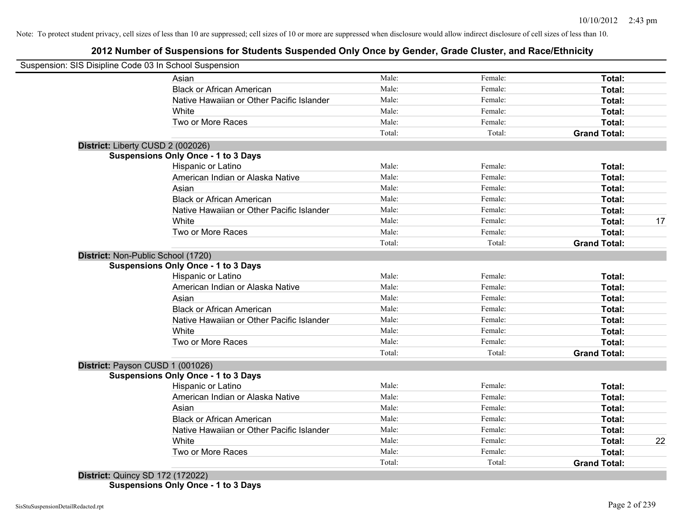# **2012 Number of Suspensions for Students Suspended Only Once by Gender, Grade Cluster, and Race/Ethnicity**

|                                    | Suspension: SIS Disipline Code 03 In School Suspension |        |         |                     |    |
|------------------------------------|--------------------------------------------------------|--------|---------|---------------------|----|
|                                    | Asian                                                  | Male:  | Female: | Total:              |    |
|                                    | <b>Black or African American</b>                       | Male:  | Female: | Total:              |    |
|                                    | Native Hawaiian or Other Pacific Islander              | Male:  | Female: | Total:              |    |
|                                    | White                                                  | Male:  | Female: | Total:              |    |
|                                    | Two or More Races                                      | Male:  | Female: | Total:              |    |
|                                    |                                                        | Total: | Total:  | <b>Grand Total:</b> |    |
| District: Liberty CUSD 2 (002026)  |                                                        |        |         |                     |    |
|                                    | <b>Suspensions Only Once - 1 to 3 Days</b>             |        |         |                     |    |
|                                    | Hispanic or Latino                                     | Male:  | Female: | Total:              |    |
|                                    | American Indian or Alaska Native                       | Male:  | Female: | Total:              |    |
|                                    | Asian                                                  | Male:  | Female: | Total:              |    |
|                                    | <b>Black or African American</b>                       | Male:  | Female: | Total:              |    |
|                                    | Native Hawaiian or Other Pacific Islander              | Male:  | Female: | Total:              |    |
|                                    | White                                                  | Male:  | Female: | Total:              | 17 |
|                                    | Two or More Races                                      | Male:  | Female: | Total:              |    |
|                                    |                                                        | Total: | Total:  | <b>Grand Total:</b> |    |
| District: Non-Public School (1720) |                                                        |        |         |                     |    |
|                                    | <b>Suspensions Only Once - 1 to 3 Days</b>             |        |         |                     |    |
|                                    | Hispanic or Latino                                     | Male:  | Female: | Total:              |    |
|                                    | American Indian or Alaska Native                       | Male:  | Female: | Total:              |    |
|                                    | Asian                                                  | Male:  | Female: | Total:              |    |
|                                    | <b>Black or African American</b>                       | Male:  | Female: | Total:              |    |
|                                    | Native Hawaiian or Other Pacific Islander              | Male:  | Female: | Total:              |    |
|                                    | White                                                  | Male:  | Female: | Total:              |    |
|                                    | Two or More Races                                      | Male:  | Female: | Total:              |    |
|                                    |                                                        | Total: | Total:  | <b>Grand Total:</b> |    |
| District: Payson CUSD 1 (001026)   |                                                        |        |         |                     |    |
|                                    | <b>Suspensions Only Once - 1 to 3 Days</b>             |        |         |                     |    |
|                                    | Hispanic or Latino                                     | Male:  | Female: | Total:              |    |
|                                    | American Indian or Alaska Native                       | Male:  | Female: | Total:              |    |
|                                    | Asian                                                  | Male:  | Female: | Total:              |    |
|                                    | <b>Black or African American</b>                       | Male:  | Female: | Total:              |    |
|                                    | Native Hawaiian or Other Pacific Islander              | Male:  | Female: | Total:              |    |
|                                    | White                                                  | Male:  | Female: | Total:              | 22 |
|                                    | Two or More Races                                      | Male:  | Female: | Total:              |    |
|                                    |                                                        | Total: | Total:  | <b>Grand Total:</b> |    |

**Suspensions Only Once - 1 to 3 Days**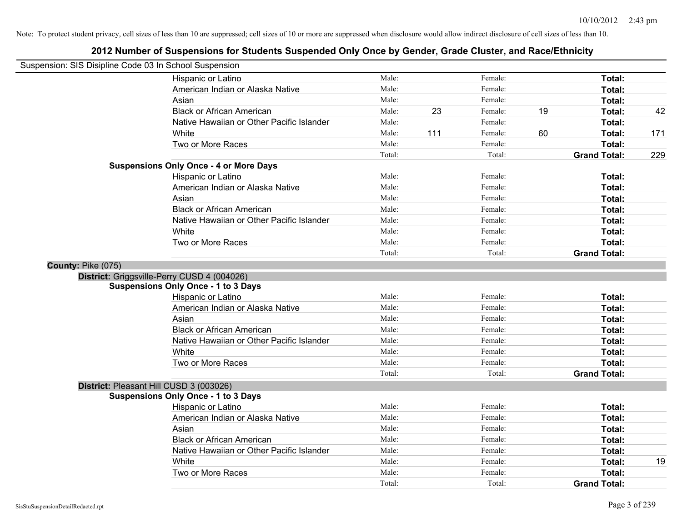| Suspension: SIS Disipline Code 03 In School Suspension |                                               |        |     |         |    |                     |     |
|--------------------------------------------------------|-----------------------------------------------|--------|-----|---------|----|---------------------|-----|
|                                                        | Hispanic or Latino                            | Male:  |     | Female: |    | Total:              |     |
|                                                        | American Indian or Alaska Native              | Male:  |     | Female: |    | Total:              |     |
|                                                        | Asian                                         | Male:  |     | Female: |    | Total:              |     |
|                                                        | <b>Black or African American</b>              | Male:  | 23  | Female: | 19 | Total:              | 42  |
|                                                        | Native Hawaiian or Other Pacific Islander     | Male:  |     | Female: |    | Total:              |     |
|                                                        | White                                         | Male:  | 111 | Female: | 60 | Total:              | 171 |
|                                                        | Two or More Races                             | Male:  |     | Female: |    | Total:              |     |
|                                                        |                                               | Total: |     | Total:  |    | <b>Grand Total:</b> | 229 |
|                                                        | <b>Suspensions Only Once - 4 or More Days</b> |        |     |         |    |                     |     |
|                                                        | Hispanic or Latino                            | Male:  |     | Female: |    | Total:              |     |
|                                                        | American Indian or Alaska Native              | Male:  |     | Female: |    | Total:              |     |
|                                                        | Asian                                         | Male:  |     | Female: |    | Total:              |     |
|                                                        | <b>Black or African American</b>              | Male:  |     | Female: |    | Total:              |     |
|                                                        | Native Hawaiian or Other Pacific Islander     | Male:  |     | Female: |    | Total:              |     |
|                                                        | White                                         | Male:  |     | Female: |    | Total:              |     |
|                                                        | Two or More Races                             | Male:  |     | Female: |    | Total:              |     |
|                                                        |                                               | Total: |     | Total:  |    | <b>Grand Total:</b> |     |
| County: Pike (075)                                     |                                               |        |     |         |    |                     |     |
|                                                        | District: Griggsville-Perry CUSD 4 (004026)   |        |     |         |    |                     |     |
|                                                        | <b>Suspensions Only Once - 1 to 3 Days</b>    |        |     |         |    |                     |     |
|                                                        | Hispanic or Latino                            | Male:  |     | Female: |    | Total:              |     |
|                                                        | American Indian or Alaska Native              | Male:  |     | Female: |    | Total:              |     |
|                                                        | Asian                                         | Male:  |     | Female: |    | Total:              |     |
|                                                        | <b>Black or African American</b>              | Male:  |     | Female: |    | Total:              |     |
|                                                        | Native Hawaiian or Other Pacific Islander     | Male:  |     | Female: |    | Total:              |     |
|                                                        | White                                         | Male:  |     | Female: |    | Total:              |     |
|                                                        | Two or More Races                             | Male:  |     | Female: |    | Total:              |     |
|                                                        |                                               | Total: |     | Total:  |    | <b>Grand Total:</b> |     |
|                                                        | District: Pleasant Hill CUSD 3 (003026)       |        |     |         |    |                     |     |
|                                                        | <b>Suspensions Only Once - 1 to 3 Days</b>    |        |     |         |    |                     |     |
|                                                        | Hispanic or Latino                            | Male:  |     | Female: |    | Total:              |     |
|                                                        | American Indian or Alaska Native              | Male:  |     | Female: |    | Total:              |     |
|                                                        | Asian                                         | Male:  |     | Female: |    | Total:              |     |
|                                                        | <b>Black or African American</b>              | Male:  |     | Female: |    | Total:              |     |
|                                                        | Native Hawaiian or Other Pacific Islander     | Male:  |     | Female: |    | Total:              |     |
|                                                        | White                                         | Male:  |     | Female: |    | Total:              | 19  |
|                                                        | Two or More Races                             | Male:  |     | Female: |    | <b>Total:</b>       |     |
|                                                        |                                               | Total: |     | Total:  |    | <b>Grand Total:</b> |     |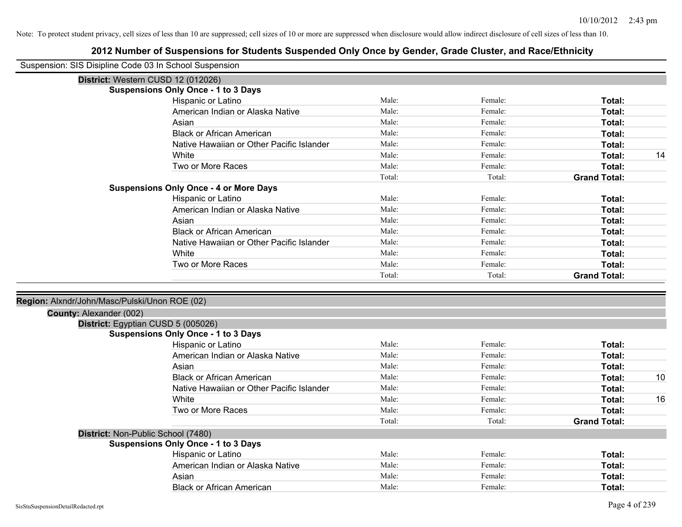| Suspension: SIS Disipline Code 03 In School Suspension |                                               |        |         |                     |    |
|--------------------------------------------------------|-----------------------------------------------|--------|---------|---------------------|----|
|                                                        | District: Western CUSD 12 (012026)            |        |         |                     |    |
|                                                        | <b>Suspensions Only Once - 1 to 3 Days</b>    |        |         |                     |    |
|                                                        | Hispanic or Latino                            | Male:  | Female: | Total:              |    |
|                                                        | American Indian or Alaska Native              | Male:  | Female: | Total:              |    |
|                                                        | Asian                                         | Male:  | Female: | Total:              |    |
|                                                        | <b>Black or African American</b>              | Male:  | Female: | Total:              |    |
|                                                        | Native Hawaiian or Other Pacific Islander     | Male:  | Female: | Total:              |    |
|                                                        | White                                         | Male:  | Female: | Total:              | 14 |
|                                                        | Two or More Races                             | Male:  | Female: | Total:              |    |
|                                                        |                                               | Total: | Total:  | <b>Grand Total:</b> |    |
|                                                        | <b>Suspensions Only Once - 4 or More Days</b> |        |         |                     |    |
|                                                        | Hispanic or Latino                            | Male:  | Female: | Total:              |    |
|                                                        | American Indian or Alaska Native              | Male:  | Female: | Total:              |    |
|                                                        | Asian                                         | Male:  | Female: | Total:              |    |
|                                                        | <b>Black or African American</b>              | Male:  | Female: | Total:              |    |
|                                                        | Native Hawaiian or Other Pacific Islander     | Male:  | Female: | Total:              |    |
|                                                        | White                                         | Male:  | Female: | Total:              |    |
|                                                        | Two or More Races                             | Male:  | Female: | <b>Total:</b>       |    |
|                                                        |                                               | Total: | Total:  | <b>Grand Total:</b> |    |
|                                                        |                                               |        |         |                     |    |
| Region: Alxndr/John/Masc/Pulski/Unon ROE (02)          |                                               |        |         |                     |    |
| County: Alexander (002)                                |                                               |        |         |                     |    |
|                                                        | District: Egyptian CUSD 5 (005026)            |        |         |                     |    |
|                                                        | <b>Suspensions Only Once - 1 to 3 Days</b>    |        |         |                     |    |
|                                                        | Hispanic or Latino                            | Male:  | Female: | Total:              |    |
|                                                        | American Indian or Alaska Native              | Male:  | Female: | Total:              |    |
|                                                        | Asian                                         | Male:  | Female: | Total:              |    |
|                                                        | <b>Black or African American</b>              | Male:  | Female: | Total:              | 10 |
|                                                        | Native Hawaiian or Other Pacific Islander     | Male:  | Female: | Total:              |    |
|                                                        | White                                         | Male:  | Female: | Total:              | 16 |
|                                                        | Two or More Races                             | Male:  | Female: | Total:              |    |
|                                                        |                                               | Total: | Total:  | <b>Grand Total:</b> |    |
| District: Non-Public School (7480)                     |                                               |        |         |                     |    |
|                                                        | <b>Suspensions Only Once - 1 to 3 Days</b>    |        |         |                     |    |
|                                                        | Hispanic or Latino                            | Male:  | Female: | Total:              |    |
|                                                        | American Indian or Alaska Native              | Male:  | Female: | Total:              |    |
|                                                        | Asian                                         | Male:  | Female: | Total:              |    |
|                                                        | <b>Black or African American</b>              | Male:  | Female: | Total:              |    |
|                                                        |                                               |        |         |                     |    |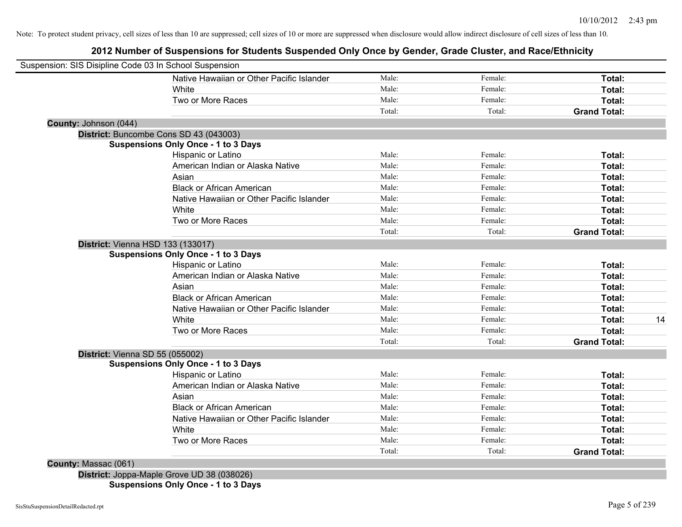# **2012 Number of Suspensions for Students Suspended Only Once by Gender, Grade Cluster, and Race/Ethnicity**

| Suspension: SIS Disipline Code 03 In School Suspension |                                           |        |         |                     |    |
|--------------------------------------------------------|-------------------------------------------|--------|---------|---------------------|----|
|                                                        | Native Hawaiian or Other Pacific Islander | Male:  | Female: | Total:              |    |
| White                                                  |                                           | Male:  | Female: | Total:              |    |
|                                                        | Two or More Races                         | Male:  | Female: | Total:              |    |
|                                                        |                                           | Total: | Total:  | <b>Grand Total:</b> |    |
| County: Johnson (044)                                  |                                           |        |         |                     |    |
| District: Buncombe Cons SD 43 (043003)                 |                                           |        |         |                     |    |
| <b>Suspensions Only Once - 1 to 3 Days</b>             |                                           |        |         |                     |    |
|                                                        | Hispanic or Latino                        | Male:  | Female: | Total:              |    |
|                                                        | American Indian or Alaska Native          | Male:  | Female: | Total:              |    |
| Asian                                                  |                                           | Male:  | Female: | Total:              |    |
|                                                        | <b>Black or African American</b>          | Male:  | Female: | Total:              |    |
|                                                        | Native Hawaiian or Other Pacific Islander | Male:  | Female: | Total:              |    |
| White                                                  |                                           | Male:  | Female: | Total:              |    |
|                                                        | Two or More Races                         | Male:  | Female: | Total:              |    |
|                                                        |                                           | Total: | Total:  | <b>Grand Total:</b> |    |
| <b>District: Vienna HSD 133 (133017)</b>               |                                           |        |         |                     |    |
| <b>Suspensions Only Once - 1 to 3 Days</b>             |                                           |        |         |                     |    |
|                                                        | Hispanic or Latino                        | Male:  | Female: | Total:              |    |
|                                                        | American Indian or Alaska Native          | Male:  | Female: | Total:              |    |
| Asian                                                  |                                           | Male:  | Female: | Total:              |    |
|                                                        | <b>Black or African American</b>          | Male:  | Female: | Total:              |    |
|                                                        | Native Hawaiian or Other Pacific Islander | Male:  | Female: | Total:              |    |
| White                                                  |                                           | Male:  | Female: | Total:              | 14 |
|                                                        | Two or More Races                         | Male:  | Female: | Total:              |    |
|                                                        |                                           | Total: | Total:  | <b>Grand Total:</b> |    |
| District: Vienna SD 55 (055002)                        |                                           |        |         |                     |    |
| <b>Suspensions Only Once - 1 to 3 Days</b>             |                                           |        |         |                     |    |
|                                                        | Hispanic or Latino                        | Male:  | Female: | Total:              |    |
|                                                        | American Indian or Alaska Native          | Male:  | Female: | Total:              |    |
| Asian                                                  |                                           | Male:  | Female: | Total:              |    |
|                                                        | <b>Black or African American</b>          | Male:  | Female: | Total:              |    |
|                                                        | Native Hawaiian or Other Pacific Islander | Male:  | Female: | Total:              |    |
| White                                                  |                                           | Male:  | Female: | Total:              |    |
|                                                        | Two or More Races                         | Male:  | Female: | Total:              |    |
|                                                        |                                           | Total: | Total:  | <b>Grand Total:</b> |    |
| County: Massac (061)                                   |                                           |        |         |                     |    |

**District:** Joppa-Maple Grove UD 38 (038026) **Suspensions Only Once - 1 to 3 Days**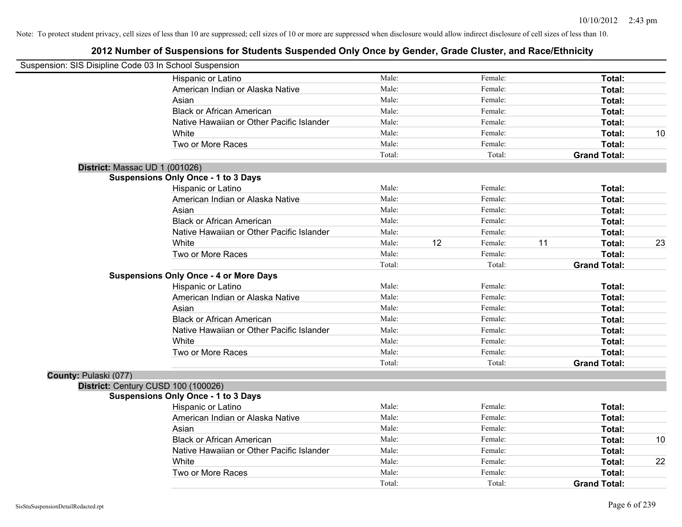| Suspension: SIS Disipline Code 03 In School Suspension |                                               |        |    |         |                     |    |
|--------------------------------------------------------|-----------------------------------------------|--------|----|---------|---------------------|----|
|                                                        | Hispanic or Latino                            | Male:  |    | Female: | Total:              |    |
|                                                        | American Indian or Alaska Native              | Male:  |    | Female: | Total:              |    |
|                                                        | Asian                                         | Male:  |    | Female: | Total:              |    |
|                                                        | <b>Black or African American</b>              | Male:  |    | Female: | Total:              |    |
|                                                        | Native Hawaiian or Other Pacific Islander     | Male:  |    | Female: | Total:              |    |
|                                                        | White                                         | Male:  |    | Female: | Total:              | 10 |
|                                                        | Two or More Races                             | Male:  |    | Female: | Total:              |    |
|                                                        |                                               | Total: |    | Total:  | <b>Grand Total:</b> |    |
| District: Massac UD 1 (001026)                         |                                               |        |    |         |                     |    |
|                                                        | <b>Suspensions Only Once - 1 to 3 Days</b>    |        |    |         |                     |    |
|                                                        | Hispanic or Latino                            | Male:  |    | Female: | Total:              |    |
|                                                        | American Indian or Alaska Native              | Male:  |    | Female: | Total:              |    |
|                                                        | Asian                                         | Male:  |    | Female: | Total:              |    |
|                                                        | <b>Black or African American</b>              | Male:  |    | Female: | Total:              |    |
|                                                        | Native Hawaiian or Other Pacific Islander     | Male:  |    | Female: | Total:              |    |
|                                                        | White                                         | Male:  | 12 | Female: | 11<br>Total:        | 23 |
|                                                        | Two or More Races                             | Male:  |    | Female: | Total:              |    |
|                                                        |                                               | Total: |    | Total:  | <b>Grand Total:</b> |    |
|                                                        | <b>Suspensions Only Once - 4 or More Days</b> |        |    |         |                     |    |
|                                                        | Hispanic or Latino                            | Male:  |    | Female: | Total:              |    |
|                                                        | American Indian or Alaska Native              | Male:  |    | Female: | Total:              |    |
|                                                        | Asian                                         | Male:  |    | Female: | Total:              |    |
|                                                        | <b>Black or African American</b>              | Male:  |    | Female: | Total:              |    |
|                                                        | Native Hawaiian or Other Pacific Islander     | Male:  |    | Female: | Total:              |    |
|                                                        | White                                         | Male:  |    | Female: | Total:              |    |
|                                                        | Two or More Races                             | Male:  |    | Female: | Total:              |    |
|                                                        |                                               | Total: |    | Total:  | <b>Grand Total:</b> |    |
| County: Pulaski (077)                                  |                                               |        |    |         |                     |    |
|                                                        | District: Century CUSD 100 (100026)           |        |    |         |                     |    |
|                                                        | <b>Suspensions Only Once - 1 to 3 Days</b>    |        |    |         |                     |    |
|                                                        | Hispanic or Latino                            | Male:  |    | Female: | Total:              |    |
|                                                        | American Indian or Alaska Native              | Male:  |    | Female: | Total:              |    |
|                                                        | Asian                                         | Male:  |    | Female: | Total:              |    |
|                                                        | <b>Black or African American</b>              | Male:  |    | Female: | Total:              | 10 |
|                                                        | Native Hawaiian or Other Pacific Islander     | Male:  |    | Female: | Total:              |    |
|                                                        | White                                         | Male:  |    | Female: | Total:              | 22 |
|                                                        | Two or More Races                             | Male:  |    | Female: | Total:              |    |
|                                                        |                                               | Total: |    | Total:  | <b>Grand Total:</b> |    |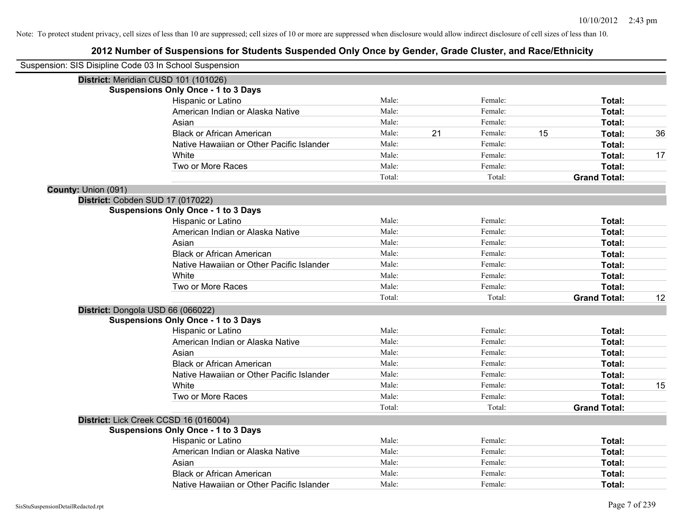| Suspension: SIS Disipline Code 03 In School Suspension |                                            |        |    |         |    |                     |    |
|--------------------------------------------------------|--------------------------------------------|--------|----|---------|----|---------------------|----|
|                                                        | District: Meridian CUSD 101 (101026)       |        |    |         |    |                     |    |
|                                                        | <b>Suspensions Only Once - 1 to 3 Days</b> |        |    |         |    |                     |    |
|                                                        | Hispanic or Latino                         | Male:  |    | Female: |    | Total:              |    |
|                                                        | American Indian or Alaska Native           | Male:  |    | Female: |    | Total:              |    |
|                                                        | Asian                                      | Male:  |    | Female: |    | Total:              |    |
|                                                        | <b>Black or African American</b>           | Male:  | 21 | Female: | 15 | Total:              | 36 |
|                                                        | Native Hawaiian or Other Pacific Islander  | Male:  |    | Female: |    | Total:              |    |
|                                                        | White                                      | Male:  |    | Female: |    | Total:              | 17 |
|                                                        | Two or More Races                          | Male:  |    | Female: |    | Total:              |    |
|                                                        |                                            | Total: |    | Total:  |    | <b>Grand Total:</b> |    |
| County: Union (091)                                    |                                            |        |    |         |    |                     |    |
|                                                        | District: Cobden SUD 17 (017022)           |        |    |         |    |                     |    |
|                                                        | <b>Suspensions Only Once - 1 to 3 Days</b> |        |    |         |    |                     |    |
|                                                        | Hispanic or Latino                         | Male:  |    | Female: |    | Total:              |    |
|                                                        | American Indian or Alaska Native           | Male:  |    | Female: |    | Total:              |    |
|                                                        | Asian                                      | Male:  |    | Female: |    | Total:              |    |
|                                                        | <b>Black or African American</b>           | Male:  |    | Female: |    | Total:              |    |
|                                                        | Native Hawaiian or Other Pacific Islander  | Male:  |    | Female: |    | Total:              |    |
|                                                        | White                                      | Male:  |    | Female: |    | Total:              |    |
|                                                        | Two or More Races                          | Male:  |    | Female: |    | Total:              |    |
|                                                        |                                            | Total: |    | Total:  |    | <b>Grand Total:</b> | 12 |
|                                                        | District: Dongola USD 66 (066022)          |        |    |         |    |                     |    |
|                                                        | <b>Suspensions Only Once - 1 to 3 Days</b> |        |    |         |    |                     |    |
|                                                        | Hispanic or Latino                         | Male:  |    | Female: |    | Total:              |    |
|                                                        | American Indian or Alaska Native           | Male:  |    | Female: |    | Total:              |    |
|                                                        | Asian                                      | Male:  |    | Female: |    | Total:              |    |
|                                                        | <b>Black or African American</b>           | Male:  |    | Female: |    | Total:              |    |
|                                                        | Native Hawaiian or Other Pacific Islander  | Male:  |    | Female: |    | Total:              |    |
|                                                        | White                                      | Male:  |    | Female: |    | Total:              | 15 |
|                                                        | Two or More Races                          | Male:  |    | Female: |    | Total:              |    |
|                                                        |                                            | Total: |    | Total:  |    | <b>Grand Total:</b> |    |
|                                                        | District: Lick Creek CCSD 16 (016004)      |        |    |         |    |                     |    |
|                                                        | <b>Suspensions Only Once - 1 to 3 Days</b> |        |    |         |    |                     |    |
|                                                        | Hispanic or Latino                         | Male:  |    | Female: |    | Total:              |    |
|                                                        | American Indian or Alaska Native           | Male:  |    | Female: |    | Total:              |    |
|                                                        | Asian                                      | Male:  |    | Female: |    | Total:              |    |
|                                                        | <b>Black or African American</b>           | Male:  |    | Female: |    | Total:              |    |
|                                                        | Native Hawaiian or Other Pacific Islander  | Male:  |    | Female: |    | Total:              |    |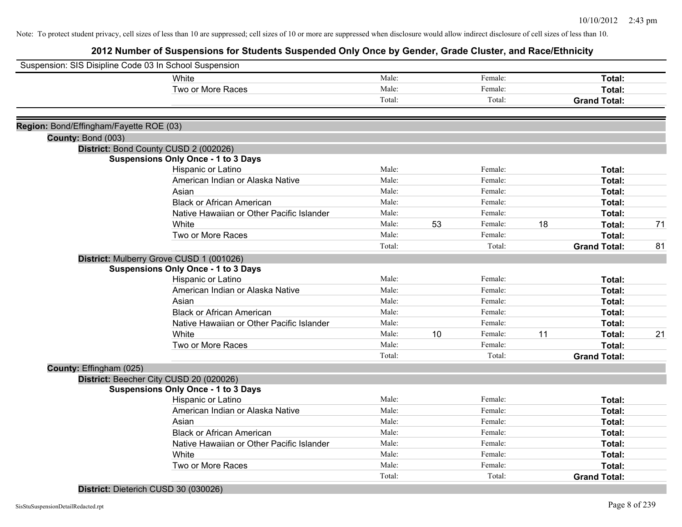# **2012 Number of Suspensions for Students Suspended Only Once by Gender, Grade Cluster, and Race/Ethnicity**

| Suspension: SIS Disipline Code 03 In School Suspension |                                            |        |    |         |    |                     |    |
|--------------------------------------------------------|--------------------------------------------|--------|----|---------|----|---------------------|----|
|                                                        | White                                      | Male:  |    | Female: |    | Total:              |    |
|                                                        | Two or More Races                          | Male:  |    | Female: |    | <b>Total:</b>       |    |
|                                                        |                                            | Total: |    | Total:  |    | <b>Grand Total:</b> |    |
|                                                        |                                            |        |    |         |    |                     |    |
| Region: Bond/Effingham/Fayette ROE (03)                |                                            |        |    |         |    |                     |    |
| County: Bond (003)                                     |                                            |        |    |         |    |                     |    |
|                                                        | District: Bond County CUSD 2 (002026)      |        |    |         |    |                     |    |
|                                                        | <b>Suspensions Only Once - 1 to 3 Days</b> |        |    |         |    |                     |    |
|                                                        | Hispanic or Latino                         | Male:  |    | Female: |    | Total:              |    |
|                                                        | American Indian or Alaska Native           | Male:  |    | Female: |    | <b>Total:</b>       |    |
|                                                        | Asian                                      | Male:  |    | Female: |    | <b>Total:</b>       |    |
|                                                        | <b>Black or African American</b>           | Male:  |    | Female: |    | Total:              |    |
|                                                        | Native Hawaiian or Other Pacific Islander  | Male:  |    | Female: |    | Total:              |    |
|                                                        | White                                      | Male:  | 53 | Female: | 18 | Total:              | 71 |
|                                                        | Two or More Races                          | Male:  |    | Female: |    | <b>Total:</b>       |    |
|                                                        |                                            | Total: |    | Total:  |    | <b>Grand Total:</b> | 81 |
|                                                        | District: Mulberry Grove CUSD 1 (001026)   |        |    |         |    |                     |    |
|                                                        | <b>Suspensions Only Once - 1 to 3 Days</b> |        |    |         |    |                     |    |
|                                                        | Hispanic or Latino                         | Male:  |    | Female: |    | Total:              |    |
|                                                        | American Indian or Alaska Native           | Male:  |    | Female: |    | Total:              |    |
|                                                        | Asian                                      | Male:  |    | Female: |    | Total:              |    |
|                                                        | <b>Black or African American</b>           | Male:  |    | Female: |    | Total:              |    |
|                                                        | Native Hawaiian or Other Pacific Islander  | Male:  |    | Female: |    | Total:              |    |
|                                                        | White                                      | Male:  | 10 | Female: | 11 | Total:              | 21 |
|                                                        | Two or More Races                          | Male:  |    | Female: |    | <b>Total:</b>       |    |
|                                                        |                                            | Total: |    | Total:  |    | <b>Grand Total:</b> |    |
| County: Effingham (025)                                |                                            |        |    |         |    |                     |    |
|                                                        | District: Beecher City CUSD 20 (020026)    |        |    |         |    |                     |    |
|                                                        | <b>Suspensions Only Once - 1 to 3 Days</b> |        |    |         |    |                     |    |
|                                                        | Hispanic or Latino                         | Male:  |    | Female: |    | Total:              |    |
|                                                        | American Indian or Alaska Native           | Male:  |    | Female: |    | Total:              |    |
|                                                        | Asian                                      | Male:  |    | Female: |    | Total:              |    |
|                                                        | <b>Black or African American</b>           | Male:  |    | Female: |    | Total:              |    |
|                                                        | Native Hawaiian or Other Pacific Islander  | Male:  |    | Female: |    | Total:              |    |
|                                                        | White                                      | Male:  |    | Female: |    | Total:              |    |
|                                                        | Two or More Races                          | Male:  |    | Female: |    | Total:              |    |
|                                                        |                                            | Total: |    | Total:  |    | <b>Grand Total:</b> |    |
|                                                        |                                            |        |    |         |    |                     |    |

## **District:** Dieterich CUSD 30 (030026)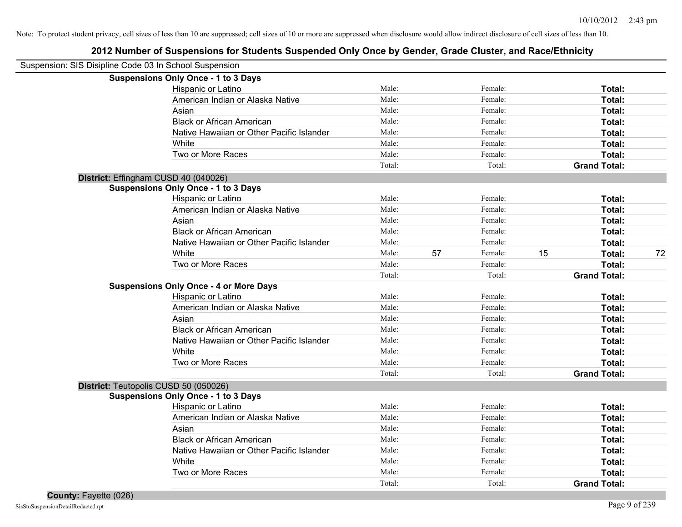| Suspension: SIS Disipline Code 03 In School Suspension |        |    |         |    |                     |    |
|--------------------------------------------------------|--------|----|---------|----|---------------------|----|
| <b>Suspensions Only Once - 1 to 3 Days</b>             |        |    |         |    |                     |    |
| Hispanic or Latino                                     | Male:  |    | Female: |    | Total:              |    |
| American Indian or Alaska Native                       | Male:  |    | Female: |    | Total:              |    |
| Asian                                                  | Male:  |    | Female: |    | Total:              |    |
| <b>Black or African American</b>                       | Male:  |    | Female: |    | Total:              |    |
| Native Hawaiian or Other Pacific Islander              | Male:  |    | Female: |    | Total:              |    |
| White                                                  | Male:  |    | Female: |    | Total:              |    |
| Two or More Races                                      | Male:  |    | Female: |    | Total:              |    |
|                                                        | Total: |    | Total:  |    | <b>Grand Total:</b> |    |
| District: Effingham CUSD 40 (040026)                   |        |    |         |    |                     |    |
| <b>Suspensions Only Once - 1 to 3 Days</b>             |        |    |         |    |                     |    |
| Hispanic or Latino                                     | Male:  |    | Female: |    | Total:              |    |
| American Indian or Alaska Native                       | Male:  |    | Female: |    | Total:              |    |
| Asian                                                  | Male:  |    | Female: |    | Total:              |    |
| <b>Black or African American</b>                       | Male:  |    | Female: |    | Total:              |    |
| Native Hawaiian or Other Pacific Islander              | Male:  |    | Female: |    | Total:              |    |
| White                                                  | Male:  | 57 | Female: | 15 | Total:              | 72 |
| Two or More Races                                      | Male:  |    | Female: |    | Total:              |    |
|                                                        | Total: |    | Total:  |    | <b>Grand Total:</b> |    |
| <b>Suspensions Only Once - 4 or More Days</b>          |        |    |         |    |                     |    |
| Hispanic or Latino                                     | Male:  |    | Female: |    | Total:              |    |
| American Indian or Alaska Native                       | Male:  |    | Female: |    | Total:              |    |
| Asian                                                  | Male:  |    | Female: |    | Total:              |    |
| <b>Black or African American</b>                       | Male:  |    | Female: |    | Total:              |    |
| Native Hawaiian or Other Pacific Islander              | Male:  |    | Female: |    | Total:              |    |
| White                                                  | Male:  |    | Female: |    | Total:              |    |
| Two or More Races                                      | Male:  |    | Female: |    | Total:              |    |
|                                                        | Total: |    | Total:  |    | <b>Grand Total:</b> |    |
| District: Teutopolis CUSD 50 (050026)                  |        |    |         |    |                     |    |
| <b>Suspensions Only Once - 1 to 3 Days</b>             |        |    |         |    |                     |    |
| Hispanic or Latino                                     | Male:  |    | Female: |    | Total:              |    |
| American Indian or Alaska Native                       | Male:  |    | Female: |    | Total:              |    |
| Asian                                                  | Male:  |    | Female: |    | Total:              |    |
| <b>Black or African American</b>                       | Male:  |    | Female: |    | Total:              |    |
| Native Hawaiian or Other Pacific Islander              | Male:  |    | Female: |    | Total:              |    |
| White                                                  | Male:  |    | Female: |    | Total:              |    |
| Two or More Races                                      | Male:  |    | Female: |    | Total:              |    |
|                                                        | Total: |    | Total:  |    | <b>Grand Total:</b> |    |
|                                                        |        |    |         |    |                     |    |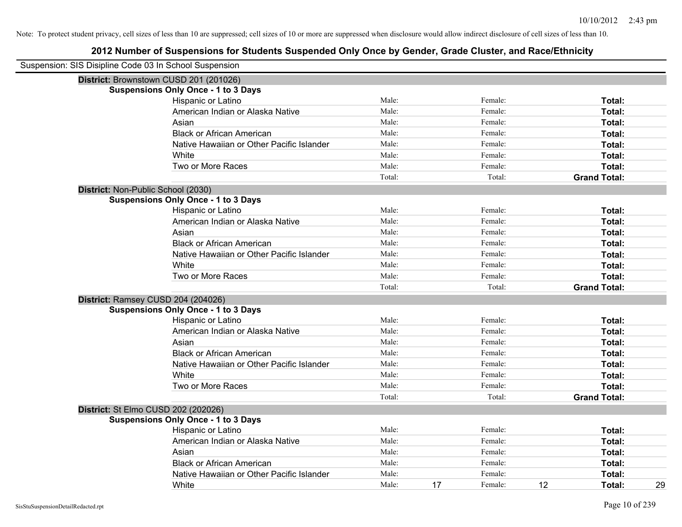| Suspension: SIS Disipline Code 03 In School Suspension |                                            |        |    |         |    |                     |    |
|--------------------------------------------------------|--------------------------------------------|--------|----|---------|----|---------------------|----|
|                                                        | District: Brownstown CUSD 201 (201026)     |        |    |         |    |                     |    |
|                                                        | <b>Suspensions Only Once - 1 to 3 Days</b> |        |    |         |    |                     |    |
|                                                        | Hispanic or Latino                         | Male:  |    | Female: |    | Total:              |    |
|                                                        | American Indian or Alaska Native           | Male:  |    | Female: |    | Total:              |    |
|                                                        | Asian                                      | Male:  |    | Female: |    | Total:              |    |
|                                                        | <b>Black or African American</b>           | Male:  |    | Female: |    | Total:              |    |
|                                                        | Native Hawaiian or Other Pacific Islander  | Male:  |    | Female: |    | Total:              |    |
|                                                        | White                                      | Male:  |    | Female: |    | Total:              |    |
|                                                        | Two or More Races                          | Male:  |    | Female: |    | Total:              |    |
|                                                        |                                            | Total: |    | Total:  |    | <b>Grand Total:</b> |    |
|                                                        | District: Non-Public School (2030)         |        |    |         |    |                     |    |
|                                                        | <b>Suspensions Only Once - 1 to 3 Days</b> |        |    |         |    |                     |    |
|                                                        | Hispanic or Latino                         | Male:  |    | Female: |    | Total:              |    |
|                                                        | American Indian or Alaska Native           | Male:  |    | Female: |    | Total:              |    |
|                                                        | Asian                                      | Male:  |    | Female: |    | Total:              |    |
|                                                        | <b>Black or African American</b>           | Male:  |    | Female: |    | Total:              |    |
|                                                        | Native Hawaiian or Other Pacific Islander  | Male:  |    | Female: |    | Total:              |    |
|                                                        | White                                      | Male:  |    | Female: |    | Total:              |    |
|                                                        | Two or More Races                          | Male:  |    | Female: |    | Total:              |    |
|                                                        |                                            | Total: |    | Total:  |    | <b>Grand Total:</b> |    |
|                                                        | District: Ramsey CUSD 204 (204026)         |        |    |         |    |                     |    |
|                                                        | <b>Suspensions Only Once - 1 to 3 Days</b> |        |    |         |    |                     |    |
|                                                        | Hispanic or Latino                         | Male:  |    | Female: |    | Total:              |    |
|                                                        | American Indian or Alaska Native           | Male:  |    | Female: |    | Total:              |    |
|                                                        | Asian                                      | Male:  |    | Female: |    | Total:              |    |
|                                                        | <b>Black or African American</b>           | Male:  |    | Female: |    | Total:              |    |
|                                                        | Native Hawaiian or Other Pacific Islander  | Male:  |    | Female: |    | Total:              |    |
|                                                        | White                                      | Male:  |    | Female: |    | Total:              |    |
|                                                        | Two or More Races                          | Male:  |    | Female: |    | Total:              |    |
|                                                        |                                            | Total: |    | Total:  |    | <b>Grand Total:</b> |    |
|                                                        | District: St Elmo CUSD 202 (202026)        |        |    |         |    |                     |    |
|                                                        | <b>Suspensions Only Once - 1 to 3 Days</b> |        |    |         |    |                     |    |
|                                                        | Hispanic or Latino                         | Male:  |    | Female: |    | Total:              |    |
|                                                        | American Indian or Alaska Native           | Male:  |    | Female: |    | Total:              |    |
|                                                        | Asian                                      | Male:  |    | Female: |    | Total:              |    |
|                                                        | <b>Black or African American</b>           | Male:  |    | Female: |    | Total:              |    |
|                                                        | Native Hawaiian or Other Pacific Islander  | Male:  |    | Female: |    | Total:              |    |
|                                                        | White                                      | Male:  | 17 | Female: | 12 | Total:              | 29 |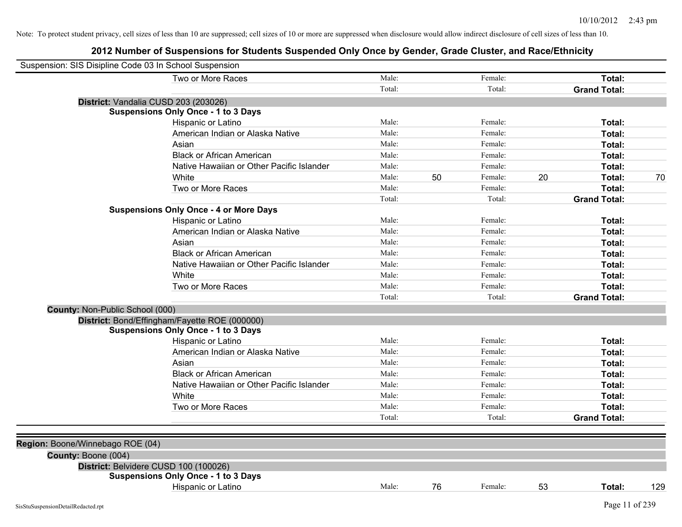| Suspension: SIS Disipline Code 03 In School Suspension |                                               |        |    |         |    |                     |     |
|--------------------------------------------------------|-----------------------------------------------|--------|----|---------|----|---------------------|-----|
|                                                        | Two or More Races                             | Male:  |    | Female: |    | Total:              |     |
|                                                        |                                               | Total: |    | Total:  |    | <b>Grand Total:</b> |     |
| District: Vandalia CUSD 203 (203026)                   |                                               |        |    |         |    |                     |     |
|                                                        | <b>Suspensions Only Once - 1 to 3 Days</b>    |        |    |         |    |                     |     |
|                                                        | Hispanic or Latino                            | Male:  |    | Female: |    | Total:              |     |
|                                                        | American Indian or Alaska Native              | Male:  |    | Female: |    | Total:              |     |
|                                                        | Asian                                         | Male:  |    | Female: |    | Total:              |     |
|                                                        | <b>Black or African American</b>              | Male:  |    | Female: |    | Total:              |     |
|                                                        | Native Hawaiian or Other Pacific Islander     | Male:  |    | Female: |    | Total:              |     |
|                                                        | White                                         | Male:  | 50 | Female: | 20 | Total:              | 70  |
|                                                        | Two or More Races                             | Male:  |    | Female: |    | Total:              |     |
|                                                        |                                               | Total: |    | Total:  |    | <b>Grand Total:</b> |     |
|                                                        | <b>Suspensions Only Once - 4 or More Days</b> |        |    |         |    |                     |     |
|                                                        | Hispanic or Latino                            | Male:  |    | Female: |    | Total:              |     |
|                                                        | American Indian or Alaska Native              | Male:  |    | Female: |    | Total:              |     |
|                                                        | Asian                                         | Male:  |    | Female: |    | Total:              |     |
|                                                        | <b>Black or African American</b>              | Male:  |    | Female: |    | Total:              |     |
|                                                        | Native Hawaiian or Other Pacific Islander     | Male:  |    | Female: |    | Total:              |     |
|                                                        | White                                         | Male:  |    | Female: |    | Total:              |     |
|                                                        | Two or More Races                             | Male:  |    | Female: |    | Total:              |     |
|                                                        |                                               | Total: |    | Total:  |    | <b>Grand Total:</b> |     |
| County: Non-Public School (000)                        |                                               |        |    |         |    |                     |     |
| District: Bond/Effingham/Fayette ROE (000000)          |                                               |        |    |         |    |                     |     |
|                                                        | <b>Suspensions Only Once - 1 to 3 Days</b>    |        |    |         |    |                     |     |
|                                                        | Hispanic or Latino                            | Male:  |    | Female: |    | Total:              |     |
|                                                        | American Indian or Alaska Native              | Male:  |    | Female: |    | Total:              |     |
|                                                        | Asian                                         | Male:  |    | Female: |    | Total:              |     |
|                                                        | <b>Black or African American</b>              | Male:  |    | Female: |    | Total:              |     |
|                                                        | Native Hawaiian or Other Pacific Islander     | Male:  |    | Female: |    | Total:              |     |
|                                                        | White                                         | Male:  |    | Female: |    | Total:              |     |
|                                                        | Two or More Races                             | Male:  |    | Female: |    | Total:              |     |
|                                                        |                                               | Total: |    | Total:  |    | <b>Grand Total:</b> |     |
| Region: Boone/Winnebago ROE (04)                       |                                               |        |    |         |    |                     |     |
| County: Boone (004)                                    |                                               |        |    |         |    |                     |     |
| District: Belvidere CUSD 100 (100026)                  |                                               |        |    |         |    |                     |     |
|                                                        | <b>Suspensions Only Once - 1 to 3 Days</b>    |        |    |         |    |                     |     |
|                                                        | Hispanic or Latino                            | Male:  | 76 | Female: | 53 | Total:              | 129 |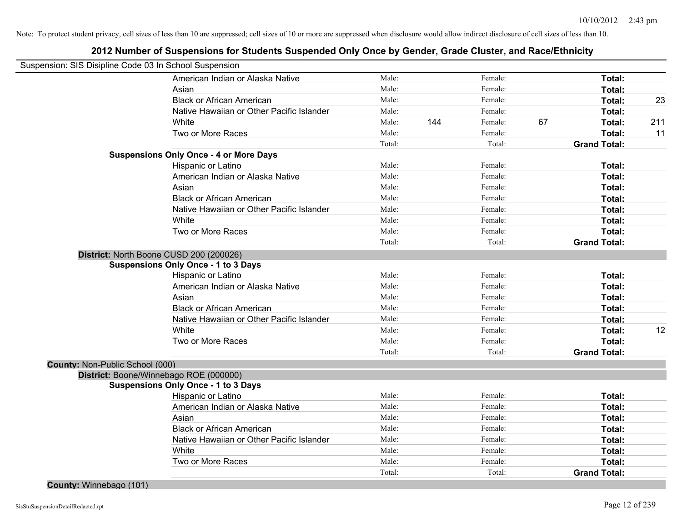| Suspension: SIS Disipline Code 03 In School Suspension |                                               |        |     |         |    |                     |     |
|--------------------------------------------------------|-----------------------------------------------|--------|-----|---------|----|---------------------|-----|
|                                                        | American Indian or Alaska Native              | Male:  |     | Female: |    | Total:              |     |
|                                                        | Asian                                         | Male:  |     | Female: |    | Total:              |     |
|                                                        | <b>Black or African American</b>              | Male:  |     | Female: |    | Total:              | 23  |
|                                                        | Native Hawaiian or Other Pacific Islander     | Male:  |     | Female: |    | Total:              |     |
|                                                        | White                                         | Male:  | 144 | Female: | 67 | Total:              | 211 |
|                                                        | Two or More Races                             | Male:  |     | Female: |    | Total:              | 11  |
|                                                        |                                               | Total: |     | Total:  |    | <b>Grand Total:</b> |     |
|                                                        | <b>Suspensions Only Once - 4 or More Days</b> |        |     |         |    |                     |     |
|                                                        | Hispanic or Latino                            | Male:  |     | Female: |    | Total:              |     |
|                                                        | American Indian or Alaska Native              | Male:  |     | Female: |    | Total:              |     |
|                                                        | Asian                                         | Male:  |     | Female: |    | Total:              |     |
|                                                        | <b>Black or African American</b>              | Male:  |     | Female: |    | Total:              |     |
|                                                        | Native Hawaiian or Other Pacific Islander     | Male:  |     | Female: |    | Total:              |     |
|                                                        | White                                         | Male:  |     | Female: |    | Total:              |     |
|                                                        | Two or More Races                             | Male:  |     | Female: |    | Total:              |     |
|                                                        |                                               | Total: |     | Total:  |    | <b>Grand Total:</b> |     |
|                                                        | District: North Boone CUSD 200 (200026)       |        |     |         |    |                     |     |
|                                                        | <b>Suspensions Only Once - 1 to 3 Days</b>    |        |     |         |    |                     |     |
|                                                        | Hispanic or Latino                            | Male:  |     | Female: |    | Total:              |     |
|                                                        | American Indian or Alaska Native              | Male:  |     | Female: |    | Total:              |     |
|                                                        | Asian                                         | Male:  |     | Female: |    | Total:              |     |
|                                                        | <b>Black or African American</b>              | Male:  |     | Female: |    | Total:              |     |
|                                                        | Native Hawaiian or Other Pacific Islander     | Male:  |     | Female: |    | Total:              |     |
|                                                        | White                                         | Male:  |     | Female: |    | Total:              | 12  |
|                                                        | Two or More Races                             | Male:  |     | Female: |    | Total:              |     |
|                                                        |                                               | Total: |     | Total:  |    | <b>Grand Total:</b> |     |
| County: Non-Public School (000)                        |                                               |        |     |         |    |                     |     |
|                                                        | District: Boone/Winnebago ROE (000000)        |        |     |         |    |                     |     |
|                                                        | <b>Suspensions Only Once - 1 to 3 Days</b>    |        |     |         |    |                     |     |
|                                                        | Hispanic or Latino                            | Male:  |     | Female: |    | Total:              |     |
|                                                        | American Indian or Alaska Native              | Male:  |     | Female: |    | Total:              |     |
|                                                        | Asian                                         | Male:  |     | Female: |    | Total:              |     |
|                                                        | <b>Black or African American</b>              | Male:  |     | Female: |    | Total:              |     |
|                                                        | Native Hawaiian or Other Pacific Islander     | Male:  |     | Female: |    | Total:              |     |
|                                                        | White                                         | Male:  |     | Female: |    | Total:              |     |
|                                                        | Two or More Races                             | Male:  |     | Female: |    | Total:              |     |
|                                                        |                                               | Total: |     | Total:  |    | <b>Grand Total:</b> |     |
| County: Winnebago (101)                                |                                               |        |     |         |    |                     |     |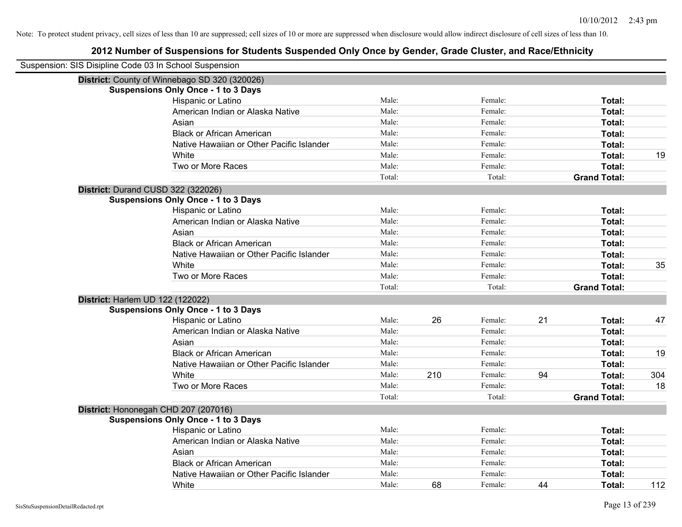| Suspension: SIS Disipline Code 03 In School Suspension |                                               |        |     |         |    |                     |     |
|--------------------------------------------------------|-----------------------------------------------|--------|-----|---------|----|---------------------|-----|
|                                                        | District: County of Winnebago SD 320 (320026) |        |     |         |    |                     |     |
|                                                        | <b>Suspensions Only Once - 1 to 3 Days</b>    |        |     |         |    |                     |     |
|                                                        | Hispanic or Latino                            | Male:  |     | Female: |    | Total:              |     |
|                                                        | American Indian or Alaska Native              | Male:  |     | Female: |    | Total:              |     |
|                                                        | Asian                                         | Male:  |     | Female: |    | Total:              |     |
|                                                        | <b>Black or African American</b>              | Male:  |     | Female: |    | Total:              |     |
|                                                        | Native Hawaiian or Other Pacific Islander     | Male:  |     | Female: |    | Total:              |     |
|                                                        | White                                         | Male:  |     | Female: |    | Total:              | 19  |
|                                                        | Two or More Races                             | Male:  |     | Female: |    | Total:              |     |
|                                                        |                                               | Total: |     | Total:  |    | <b>Grand Total:</b> |     |
|                                                        | District: Durand CUSD 322 (322026)            |        |     |         |    |                     |     |
|                                                        | <b>Suspensions Only Once - 1 to 3 Days</b>    |        |     |         |    |                     |     |
|                                                        | Hispanic or Latino                            | Male:  |     | Female: |    | Total:              |     |
|                                                        | American Indian or Alaska Native              | Male:  |     | Female: |    | Total:              |     |
|                                                        | Asian                                         | Male:  |     | Female: |    | Total:              |     |
|                                                        | <b>Black or African American</b>              | Male:  |     | Female: |    | Total:              |     |
|                                                        | Native Hawaiian or Other Pacific Islander     | Male:  |     | Female: |    | Total:              |     |
|                                                        | White                                         | Male:  |     | Female: |    | Total:              | 35  |
|                                                        | Two or More Races                             | Male:  |     | Female: |    | <b>Total:</b>       |     |
|                                                        |                                               | Total: |     | Total:  |    | <b>Grand Total:</b> |     |
|                                                        | District: Harlem UD 122 (122022)              |        |     |         |    |                     |     |
|                                                        | <b>Suspensions Only Once - 1 to 3 Days</b>    |        |     |         |    |                     |     |
|                                                        | Hispanic or Latino                            | Male:  | 26  | Female: | 21 | Total:              | 47  |
|                                                        | American Indian or Alaska Native              | Male:  |     | Female: |    | Total:              |     |
|                                                        | Asian                                         | Male:  |     | Female: |    | Total:              |     |
|                                                        | <b>Black or African American</b>              | Male:  |     | Female: |    | Total:              | 19  |
|                                                        | Native Hawaiian or Other Pacific Islander     | Male:  |     | Female: |    | Total:              |     |
|                                                        | White                                         | Male:  | 210 | Female: | 94 | Total:              | 304 |
|                                                        | Two or More Races                             | Male:  |     | Female: |    | Total:              | 18  |
|                                                        |                                               | Total: |     | Total:  |    | <b>Grand Total:</b> |     |
|                                                        | District: Hononegah CHD 207 (207016)          |        |     |         |    |                     |     |
|                                                        | <b>Suspensions Only Once - 1 to 3 Days</b>    |        |     |         |    |                     |     |
|                                                        | Hispanic or Latino                            | Male:  |     | Female: |    | Total:              |     |
|                                                        | American Indian or Alaska Native              | Male:  |     | Female: |    | Total:              |     |
|                                                        | Asian                                         | Male:  |     | Female: |    | Total:              |     |
|                                                        | <b>Black or African American</b>              | Male:  |     | Female: |    | Total:              |     |
|                                                        | Native Hawaiian or Other Pacific Islander     | Male:  |     | Female: |    | Total:              |     |
|                                                        | White                                         | Male:  | 68  | Female: | 44 | Total:              | 112 |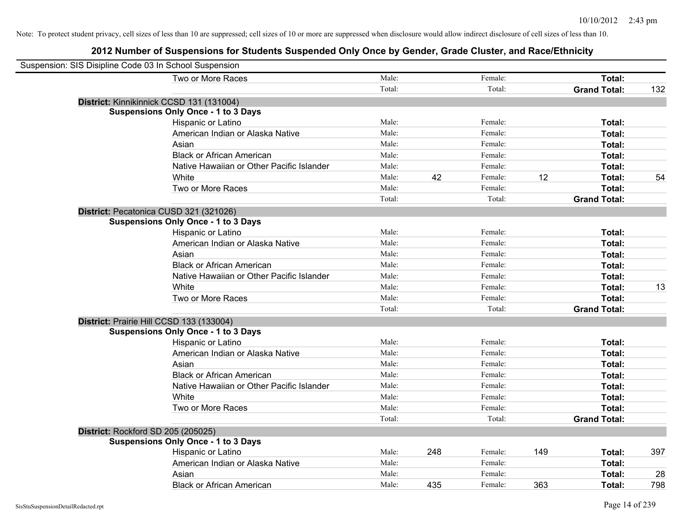| Suspension: SIS Disipline Code 03 In School Suspension |        |     |         |     |                     |     |
|--------------------------------------------------------|--------|-----|---------|-----|---------------------|-----|
| Two or More Races                                      | Male:  |     | Female: |     | Total:              |     |
|                                                        | Total: |     | Total:  |     | <b>Grand Total:</b> | 132 |
| District: Kinnikinnick CCSD 131 (131004)               |        |     |         |     |                     |     |
| <b>Suspensions Only Once - 1 to 3 Days</b>             |        |     |         |     |                     |     |
| Hispanic or Latino                                     | Male:  |     | Female: |     | Total:              |     |
| American Indian or Alaska Native                       | Male:  |     | Female: |     | Total:              |     |
| Asian                                                  | Male:  |     | Female: |     | Total:              |     |
| <b>Black or African American</b>                       | Male:  |     | Female: |     | Total:              |     |
| Native Hawaiian or Other Pacific Islander              | Male:  |     | Female: |     | Total:              |     |
| White                                                  | Male:  | 42  | Female: | 12  | Total:              | 54  |
| Two or More Races                                      | Male:  |     | Female: |     | Total:              |     |
|                                                        | Total: |     | Total:  |     | <b>Grand Total:</b> |     |
| District: Pecatonica CUSD 321 (321026)                 |        |     |         |     |                     |     |
| <b>Suspensions Only Once - 1 to 3 Days</b>             |        |     |         |     |                     |     |
| Hispanic or Latino                                     | Male:  |     | Female: |     | Total:              |     |
| American Indian or Alaska Native                       | Male:  |     | Female: |     | Total:              |     |
| Asian                                                  | Male:  |     | Female: |     | Total:              |     |
| <b>Black or African American</b>                       | Male:  |     | Female: |     | Total:              |     |
| Native Hawaiian or Other Pacific Islander              | Male:  |     | Female: |     | Total:              |     |
| White                                                  | Male:  |     | Female: |     | Total:              | 13  |
| Two or More Races                                      | Male:  |     | Female: |     | Total:              |     |
|                                                        | Total: |     | Total:  |     | <b>Grand Total:</b> |     |
| District: Prairie Hill CCSD 133 (133004)               |        |     |         |     |                     |     |
| <b>Suspensions Only Once - 1 to 3 Days</b>             |        |     |         |     |                     |     |
| Hispanic or Latino                                     | Male:  |     | Female: |     | Total:              |     |
| American Indian or Alaska Native                       | Male:  |     | Female: |     | Total:              |     |
| Asian                                                  | Male:  |     | Female: |     | Total:              |     |
| <b>Black or African American</b>                       | Male:  |     | Female: |     | Total:              |     |
| Native Hawaiian or Other Pacific Islander              | Male:  |     | Female: |     | Total:              |     |
| White                                                  | Male:  |     | Female: |     | Total:              |     |
| Two or More Races                                      | Male:  |     | Female: |     | Total:              |     |
|                                                        | Total: |     | Total:  |     | <b>Grand Total:</b> |     |
| District: Rockford SD 205 (205025)                     |        |     |         |     |                     |     |
| <b>Suspensions Only Once - 1 to 3 Days</b>             |        |     |         |     |                     |     |
| Hispanic or Latino                                     | Male:  | 248 | Female: | 149 | Total:              | 397 |
| American Indian or Alaska Native                       | Male:  |     | Female: |     | Total:              |     |
| Asian                                                  | Male:  |     | Female: |     | Total:              | 28  |
| <b>Black or African American</b>                       | Male:  | 435 | Female: | 363 | Total:              | 798 |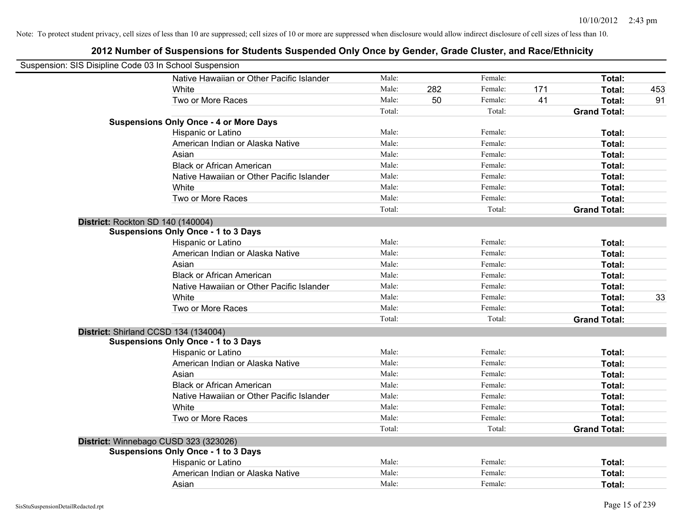| Suspension: SIS Disipline Code 03 In School Suspension |        |     |         |     |                     |     |
|--------------------------------------------------------|--------|-----|---------|-----|---------------------|-----|
| Native Hawaiian or Other Pacific Islander              | Male:  |     | Female: |     | Total:              |     |
| White                                                  | Male:  | 282 | Female: | 171 | Total:              | 453 |
| Two or More Races                                      | Male:  | 50  | Female: | 41  | Total:              | 91  |
|                                                        | Total: |     | Total:  |     | <b>Grand Total:</b> |     |
| <b>Suspensions Only Once - 4 or More Days</b>          |        |     |         |     |                     |     |
| Hispanic or Latino                                     | Male:  |     | Female: |     | Total:              |     |
| American Indian or Alaska Native                       | Male:  |     | Female: |     | Total:              |     |
| Asian                                                  | Male:  |     | Female: |     | Total:              |     |
| <b>Black or African American</b>                       | Male:  |     | Female: |     | Total:              |     |
| Native Hawaiian or Other Pacific Islander              | Male:  |     | Female: |     | Total:              |     |
| White                                                  | Male:  |     | Female: |     | Total:              |     |
| Two or More Races                                      | Male:  |     | Female: |     | Total:              |     |
|                                                        | Total: |     | Total:  |     | <b>Grand Total:</b> |     |
| District: Rockton SD 140 (140004)                      |        |     |         |     |                     |     |
| <b>Suspensions Only Once - 1 to 3 Days</b>             |        |     |         |     |                     |     |
| Hispanic or Latino                                     | Male:  |     | Female: |     | Total:              |     |
| American Indian or Alaska Native                       | Male:  |     | Female: |     | Total:              |     |
| Asian                                                  | Male:  |     | Female: |     | Total:              |     |
| <b>Black or African American</b>                       | Male:  |     | Female: |     | Total:              |     |
| Native Hawaiian or Other Pacific Islander              | Male:  |     | Female: |     | Total:              |     |
| White                                                  | Male:  |     | Female: |     | Total:              | 33  |
| Two or More Races                                      | Male:  |     | Female: |     | Total:              |     |
|                                                        | Total: |     | Total:  |     | <b>Grand Total:</b> |     |
| District: Shirland CCSD 134 (134004)                   |        |     |         |     |                     |     |
| <b>Suspensions Only Once - 1 to 3 Days</b>             |        |     |         |     |                     |     |
| Hispanic or Latino                                     | Male:  |     | Female: |     | Total:              |     |
| American Indian or Alaska Native                       | Male:  |     | Female: |     | Total:              |     |
| Asian                                                  | Male:  |     | Female: |     | Total:              |     |
| <b>Black or African American</b>                       | Male:  |     | Female: |     | Total:              |     |
| Native Hawaiian or Other Pacific Islander              | Male:  |     | Female: |     | Total:              |     |
| White                                                  | Male:  |     | Female: |     | Total:              |     |
| Two or More Races                                      | Male:  |     | Female: |     | Total:              |     |
|                                                        | Total: |     | Total:  |     | <b>Grand Total:</b> |     |
| District: Winnebago CUSD 323 (323026)                  |        |     |         |     |                     |     |
| <b>Suspensions Only Once - 1 to 3 Days</b>             |        |     |         |     |                     |     |
| Hispanic or Latino                                     | Male:  |     | Female: |     | Total:              |     |
| American Indian or Alaska Native                       | Male:  |     | Female: |     | Total:              |     |
| Asian                                                  | Male:  |     | Female: |     | Total:              |     |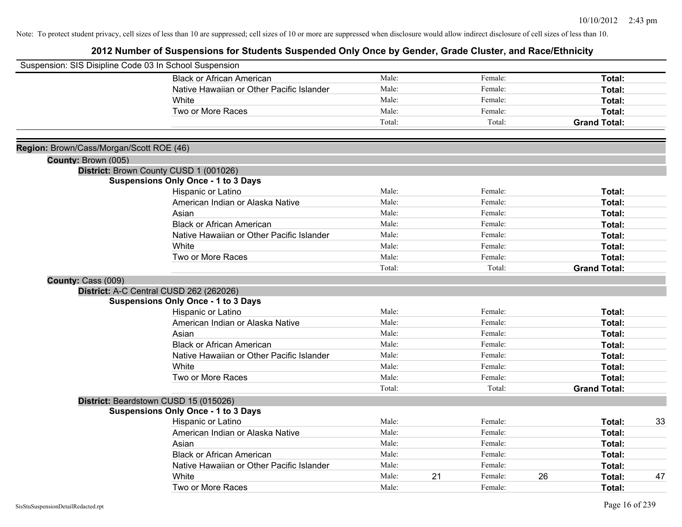| Suspension: SIS Disipline Code 03 In School Suspension |                                            |        |    |         |    |                     |    |
|--------------------------------------------------------|--------------------------------------------|--------|----|---------|----|---------------------|----|
|                                                        | <b>Black or African American</b>           | Male:  |    | Female: |    | Total:              |    |
|                                                        | Native Hawaiian or Other Pacific Islander  | Male:  |    | Female: |    | Total:              |    |
|                                                        | <b>White</b>                               | Male:  |    | Female: |    | Total:              |    |
|                                                        | Two or More Races                          | Male:  |    | Female: |    | Total:              |    |
|                                                        |                                            | Total: |    | Total:  |    | <b>Grand Total:</b> |    |
|                                                        |                                            |        |    |         |    |                     |    |
| Region: Brown/Cass/Morgan/Scott ROE (46)               |                                            |        |    |         |    |                     |    |
| County: Brown (005)                                    |                                            |        |    |         |    |                     |    |
|                                                        | District: Brown County CUSD 1 (001026)     |        |    |         |    |                     |    |
|                                                        | <b>Suspensions Only Once - 1 to 3 Days</b> |        |    |         |    |                     |    |
|                                                        | Hispanic or Latino                         | Male:  |    | Female: |    | Total:              |    |
|                                                        | American Indian or Alaska Native           | Male:  |    | Female: |    | Total:              |    |
|                                                        | Asian                                      | Male:  |    | Female: |    | Total:              |    |
|                                                        | <b>Black or African American</b>           | Male:  |    | Female: |    | Total:              |    |
|                                                        | Native Hawaiian or Other Pacific Islander  | Male:  |    | Female: |    | Total:              |    |
|                                                        | White                                      | Male:  |    | Female: |    | Total:              |    |
|                                                        | Two or More Races                          | Male:  |    | Female: |    | Total:              |    |
|                                                        |                                            | Total: |    | Total:  |    | <b>Grand Total:</b> |    |
| County: Cass (009)                                     |                                            |        |    |         |    |                     |    |
|                                                        | District: A-C Central CUSD 262 (262026)    |        |    |         |    |                     |    |
|                                                        | <b>Suspensions Only Once - 1 to 3 Days</b> |        |    |         |    |                     |    |
|                                                        | Hispanic or Latino                         | Male:  |    | Female: |    | Total:              |    |
|                                                        | American Indian or Alaska Native           | Male:  |    | Female: |    | Total:              |    |
|                                                        | Asian                                      | Male:  |    | Female: |    | Total:              |    |
|                                                        | <b>Black or African American</b>           | Male:  |    | Female: |    | Total:              |    |
|                                                        | Native Hawaiian or Other Pacific Islander  | Male:  |    | Female: |    | Total:              |    |
|                                                        | White                                      | Male:  |    | Female: |    | Total:              |    |
|                                                        | Two or More Races                          | Male:  |    | Female: |    | Total:              |    |
|                                                        |                                            | Total: |    | Total:  |    | <b>Grand Total:</b> |    |
|                                                        | District: Beardstown CUSD 15 (015026)      |        |    |         |    |                     |    |
|                                                        | <b>Suspensions Only Once - 1 to 3 Days</b> |        |    |         |    |                     |    |
|                                                        | Hispanic or Latino                         | Male:  |    | Female: |    | Total:              | 33 |
|                                                        | American Indian or Alaska Native           | Male:  |    | Female: |    | Total:              |    |
|                                                        | Asian                                      | Male:  |    | Female: |    | Total:              |    |
|                                                        | <b>Black or African American</b>           | Male:  |    | Female: |    | Total:              |    |
|                                                        | Native Hawaiian or Other Pacific Islander  | Male:  |    | Female: |    | Total:              |    |
|                                                        | White                                      | Male:  | 21 | Female: | 26 | Total:              | 47 |
|                                                        | Two or More Races                          | Male:  |    | Female: |    | Total:              |    |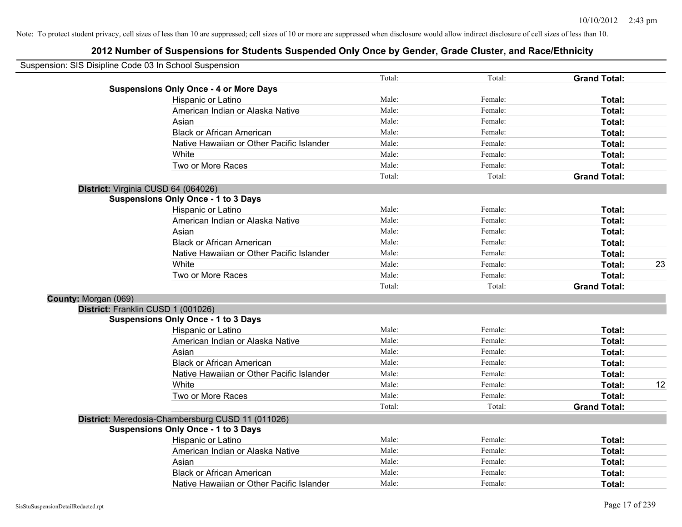|                      | Suspension: SIS Disipline Code 03 In School Suspension |        |         |                     |    |
|----------------------|--------------------------------------------------------|--------|---------|---------------------|----|
|                      |                                                        | Total: | Total:  | <b>Grand Total:</b> |    |
|                      | <b>Suspensions Only Once - 4 or More Days</b>          |        |         |                     |    |
|                      | Hispanic or Latino                                     | Male:  | Female: | Total:              |    |
|                      | American Indian or Alaska Native                       | Male:  | Female: | Total:              |    |
|                      | Asian                                                  | Male:  | Female: | Total:              |    |
|                      | <b>Black or African American</b>                       | Male:  | Female: | Total:              |    |
|                      | Native Hawaiian or Other Pacific Islander              | Male:  | Female: | Total:              |    |
|                      | White                                                  | Male:  | Female: | Total:              |    |
|                      | Two or More Races                                      | Male:  | Female: | Total:              |    |
|                      |                                                        | Total: | Total:  | <b>Grand Total:</b> |    |
|                      | District: Virginia CUSD 64 (064026)                    |        |         |                     |    |
|                      | <b>Suspensions Only Once - 1 to 3 Days</b>             |        |         |                     |    |
|                      | Hispanic or Latino                                     | Male:  | Female: | Total:              |    |
|                      | American Indian or Alaska Native                       | Male:  | Female: | Total:              |    |
|                      | Asian                                                  | Male:  | Female: | Total:              |    |
|                      | <b>Black or African American</b>                       | Male:  | Female: | Total:              |    |
|                      | Native Hawaiian or Other Pacific Islander              | Male:  | Female: | Total:              |    |
|                      | White                                                  | Male:  | Female: | Total:              | 23 |
|                      | Two or More Races                                      | Male:  | Female: | Total:              |    |
|                      |                                                        | Total: | Total:  | <b>Grand Total:</b> |    |
| County: Morgan (069) |                                                        |        |         |                     |    |
|                      | District: Franklin CUSD 1 (001026)                     |        |         |                     |    |
|                      | <b>Suspensions Only Once - 1 to 3 Days</b>             |        |         |                     |    |
|                      | Hispanic or Latino                                     | Male:  | Female: | Total:              |    |
|                      | American Indian or Alaska Native                       | Male:  | Female: | Total:              |    |
|                      | Asian                                                  | Male:  | Female: | Total:              |    |
|                      | <b>Black or African American</b>                       | Male:  | Female: | Total:              |    |
|                      | Native Hawaiian or Other Pacific Islander              | Male:  | Female: | Total:              |    |
|                      | White                                                  | Male:  | Female: | Total:              | 12 |
|                      | Two or More Races                                      | Male:  | Female: | Total:              |    |
|                      |                                                        | Total: | Total:  | <b>Grand Total:</b> |    |
|                      | District: Meredosia-Chambersburg CUSD 11 (011026)      |        |         |                     |    |
|                      | <b>Suspensions Only Once - 1 to 3 Days</b>             |        |         |                     |    |
|                      | Hispanic or Latino                                     | Male:  | Female: | Total:              |    |
|                      | American Indian or Alaska Native                       | Male:  | Female: | Total:              |    |
|                      | Asian                                                  | Male:  | Female: | Total:              |    |
|                      | <b>Black or African American</b>                       | Male:  | Female: | Total:              |    |
|                      | Native Hawaiian or Other Pacific Islander              | Male:  | Female: | Total:              |    |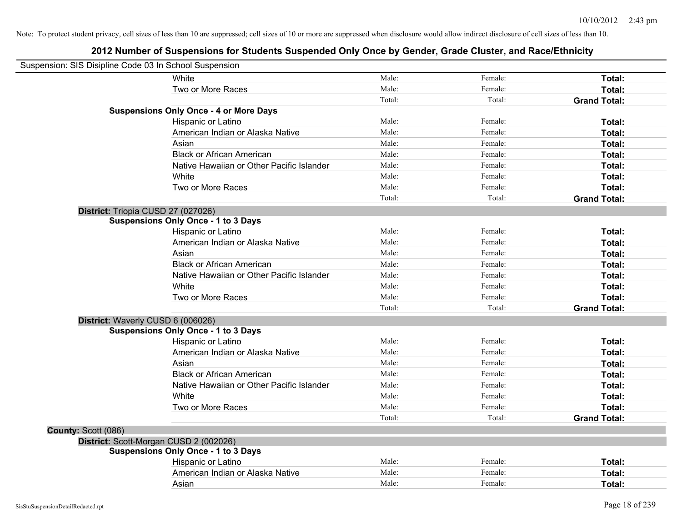| White<br>Two or More Races                    | Male:<br>Male: | Female:<br>Female: | Total:              |
|-----------------------------------------------|----------------|--------------------|---------------------|
|                                               |                |                    |                     |
|                                               |                |                    | Total:              |
|                                               | Total:         | Total:             | <b>Grand Total:</b> |
| <b>Suspensions Only Once - 4 or More Days</b> |                |                    |                     |
| Hispanic or Latino                            | Male:          | Female:            | Total:              |
| American Indian or Alaska Native              | Male:          | Female:            | Total:              |
| Asian                                         | Male:          | Female:            | Total:              |
| <b>Black or African American</b>              | Male:          | Female:            | Total:              |
| Native Hawaiian or Other Pacific Islander     | Male:          | Female:            | Total:              |
| White                                         | Male:          | Female:            | Total:              |
| Two or More Races                             | Male:          | Female:            | Total:              |
|                                               | Total:         | Total:             | <b>Grand Total:</b> |
| District: Triopia CUSD 27 (027026)            |                |                    |                     |
| <b>Suspensions Only Once - 1 to 3 Days</b>    |                |                    |                     |
| Hispanic or Latino                            | Male:          | Female:            | Total:              |
| American Indian or Alaska Native              | Male:          | Female:            | Total:              |
| Asian                                         | Male:          | Female:            | Total:              |
| <b>Black or African American</b>              | Male:          | Female:            | Total:              |
| Native Hawaiian or Other Pacific Islander     | Male:          | Female:            | Total:              |
| White                                         | Male:          | Female:            | Total:              |
| Two or More Races                             | Male:          | Female:            | Total:              |
|                                               | Total:         | Total:             | <b>Grand Total:</b> |
| District: Waverly CUSD 6 (006026)             |                |                    |                     |
| <b>Suspensions Only Once - 1 to 3 Days</b>    |                |                    |                     |
| Hispanic or Latino                            | Male:          | Female:            | Total:              |
| American Indian or Alaska Native              | Male:          | Female:            | Total:              |
| Asian                                         | Male:          | Female:            | Total:              |
| <b>Black or African American</b>              | Male:          | Female:            | Total:              |
| Native Hawaiian or Other Pacific Islander     | Male:          | Female:            | Total:              |
| White                                         | Male:          | Female:            | Total:              |
| Two or More Races                             | Male:          | Female:            | Total:              |
|                                               | Total:         | Total:             | <b>Grand Total:</b> |
| County: Scott (086)                           |                |                    |                     |
| District: Scott-Morgan CUSD 2 (002026)        |                |                    |                     |
| <b>Suspensions Only Once - 1 to 3 Days</b>    |                |                    |                     |
| Hispanic or Latino                            | Male:          | Female:            | Total:              |
| American Indian or Alaska Native              | Male:          | Female:            | Total:              |
| Asian                                         | Male:          | Female:            | Total:              |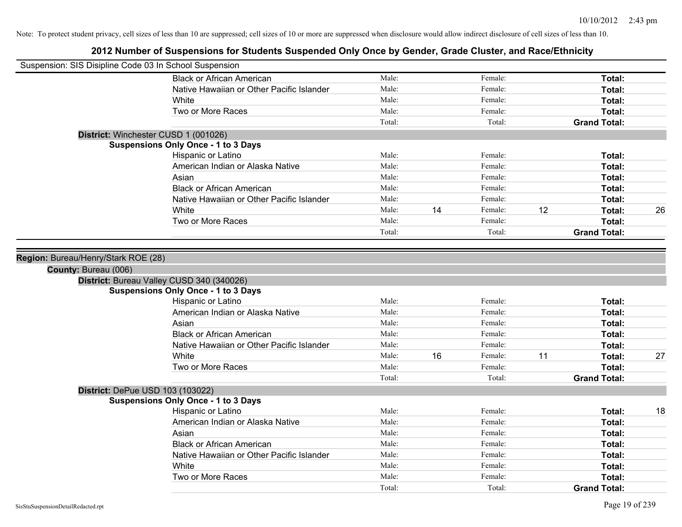| Suspension: SIS Disipline Code 03 In School Suspension |                                                                               |                |    |                    |    |                     |    |
|--------------------------------------------------------|-------------------------------------------------------------------------------|----------------|----|--------------------|----|---------------------|----|
|                                                        | <b>Black or African American</b>                                              | Male:          |    | Female:            |    | Total:              |    |
|                                                        | Native Hawaiian or Other Pacific Islander                                     | Male:          |    | Female:            |    | Total:              |    |
|                                                        | <b>White</b>                                                                  | Male:          |    | Female:            |    | Total:              |    |
|                                                        | Two or More Races                                                             | Male:          |    | Female:            |    | Total:              |    |
|                                                        |                                                                               | Total:         |    | Total:             |    | <b>Grand Total:</b> |    |
|                                                        | District: Winchester CUSD 1 (001026)                                          |                |    |                    |    |                     |    |
|                                                        | <b>Suspensions Only Once - 1 to 3 Days</b>                                    |                |    |                    |    |                     |    |
|                                                        | Hispanic or Latino                                                            | Male:          |    | Female:            |    | Total:              |    |
|                                                        | American Indian or Alaska Native                                              | Male:          |    | Female:            |    | Total:              |    |
|                                                        | Asian                                                                         | Male:          |    | Female:            |    | Total:              |    |
|                                                        | <b>Black or African American</b>                                              | Male:          |    | Female:            |    | Total:              |    |
|                                                        | Native Hawaiian or Other Pacific Islander                                     | Male:          |    | Female:            |    | Total:              |    |
|                                                        | White                                                                         | Male:          | 14 | Female:            | 12 | Total:              | 26 |
|                                                        | Two or More Races                                                             | Male:          |    | Female:            |    | Total:              |    |
|                                                        |                                                                               | Total:         |    | Total:             |    | <b>Grand Total:</b> |    |
| County: Bureau (006)                                   | District: Bureau Valley CUSD 340 (340026)                                     |                |    |                    |    |                     |    |
|                                                        |                                                                               |                |    |                    |    |                     |    |
|                                                        | <b>Suspensions Only Once - 1 to 3 Days</b>                                    | Male:          |    | Female:            |    | Total:              |    |
|                                                        | Hispanic or Latino<br>American Indian or Alaska Native                        | Male:          |    | Female:            |    |                     |    |
|                                                        |                                                                               | Male:          |    |                    |    | Total:              |    |
|                                                        | Asian                                                                         |                |    | Female:            |    | Total:              |    |
|                                                        | <b>Black or African American</b><br>Native Hawaiian or Other Pacific Islander | Male:<br>Male: |    | Female:            |    | Total:              |    |
|                                                        | White                                                                         | Male:          | 16 | Female:<br>Female: | 11 | Total:<br>Total:    | 27 |
|                                                        | Two or More Races                                                             | Male:          |    | Female:            |    | Total:              |    |
|                                                        |                                                                               | Total:         |    | Total:             |    | <b>Grand Total:</b> |    |
|                                                        |                                                                               |                |    |                    |    |                     |    |
| District: DePue USD 103 (103022)                       | <b>Suspensions Only Once - 1 to 3 Days</b>                                    |                |    |                    |    |                     |    |
|                                                        | Hispanic or Latino                                                            | Male:          |    | Female:            |    | Total:              | 18 |
|                                                        | American Indian or Alaska Native                                              | Male:          |    | Female:            |    | Total:              |    |
|                                                        | Asian                                                                         | Male:          |    | Female:            |    | Total:              |    |
|                                                        | <b>Black or African American</b>                                              | Male:          |    | Female:            |    | Total:              |    |
|                                                        | Native Hawaiian or Other Pacific Islander                                     | Male:          |    | Female:            |    | Total:              |    |
|                                                        | White                                                                         | Male:          |    | Female:            |    | Total:              |    |
|                                                        | Two or More Races                                                             | Male:          |    | Female:            |    | Total:              |    |
|                                                        |                                                                               | Total:         |    | Total:             |    | <b>Grand Total:</b> |    |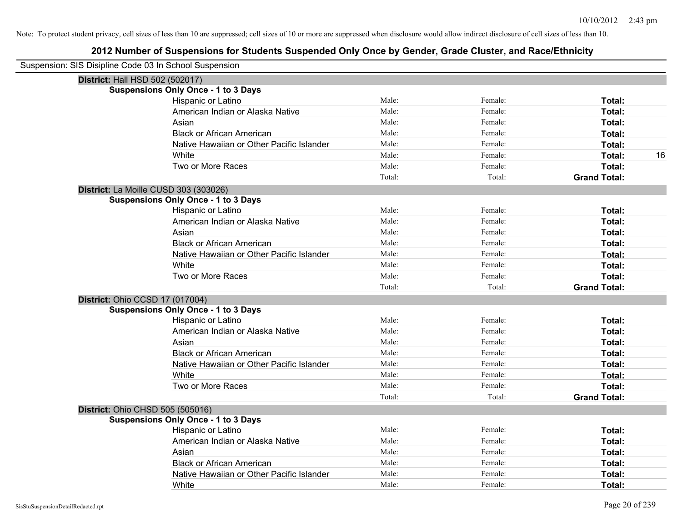| Suspension: SIS Disipline Code 03 In School Suspension |                                            |        |         |                     |
|--------------------------------------------------------|--------------------------------------------|--------|---------|---------------------|
|                                                        | District: Hall HSD 502 (502017)            |        |         |                     |
|                                                        | <b>Suspensions Only Once - 1 to 3 Days</b> |        |         |                     |
|                                                        | Hispanic or Latino                         | Male:  | Female: | Total:              |
|                                                        | American Indian or Alaska Native           | Male:  | Female: | Total:              |
|                                                        | Asian                                      | Male:  | Female: | Total:              |
|                                                        | <b>Black or African American</b>           | Male:  | Female: | Total:              |
|                                                        | Native Hawaiian or Other Pacific Islander  | Male:  | Female: | Total:              |
|                                                        | White                                      | Male:  | Female: | 16<br>Total:        |
|                                                        | Two or More Races                          | Male:  | Female: | Total:              |
|                                                        |                                            | Total: | Total:  | <b>Grand Total:</b> |
|                                                        | District: La Moille CUSD 303 (303026)      |        |         |                     |
|                                                        | <b>Suspensions Only Once - 1 to 3 Days</b> |        |         |                     |
|                                                        | Hispanic or Latino                         | Male:  | Female: | Total:              |
|                                                        | American Indian or Alaska Native           | Male:  | Female: | Total:              |
|                                                        | Asian                                      | Male:  | Female: | Total:              |
|                                                        | <b>Black or African American</b>           | Male:  | Female: | Total:              |
|                                                        | Native Hawaiian or Other Pacific Islander  | Male:  | Female: | Total:              |
|                                                        | White                                      | Male:  | Female: | Total:              |
|                                                        | Two or More Races                          | Male:  | Female: | Total:              |
|                                                        |                                            | Total: | Total:  | <b>Grand Total:</b> |
|                                                        | District: Ohio CCSD 17 (017004)            |        |         |                     |
|                                                        | <b>Suspensions Only Once - 1 to 3 Days</b> |        |         |                     |
|                                                        | Hispanic or Latino                         | Male:  | Female: | Total:              |
|                                                        | American Indian or Alaska Native           | Male:  | Female: | Total:              |
|                                                        | Asian                                      | Male:  | Female: | Total:              |
|                                                        | <b>Black or African American</b>           | Male:  | Female: | Total:              |
|                                                        | Native Hawaiian or Other Pacific Islander  | Male:  | Female: | Total:              |
|                                                        | White                                      | Male:  | Female: | Total:              |
|                                                        | Two or More Races                          | Male:  | Female: | Total:              |
|                                                        |                                            | Total: | Total:  | <b>Grand Total:</b> |
|                                                        | <b>District: Ohio CHSD 505 (505016)</b>    |        |         |                     |
|                                                        | <b>Suspensions Only Once - 1 to 3 Days</b> |        |         |                     |
|                                                        | Hispanic or Latino                         | Male:  | Female: | Total:              |
|                                                        | American Indian or Alaska Native           | Male:  | Female: | Total:              |
|                                                        | Asian                                      | Male:  | Female: | Total:              |
|                                                        | <b>Black or African American</b>           | Male:  | Female: | Total:              |
|                                                        | Native Hawaiian or Other Pacific Islander  | Male:  | Female: | Total:              |
|                                                        | White                                      | Male:  | Female: | Total:              |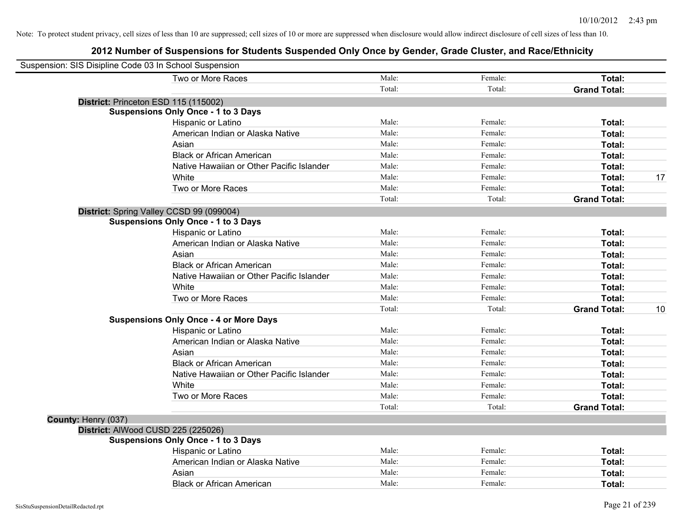| Suspension: SIS Disipline Code 03 In School Suspension |                                               |        |         |                     |    |
|--------------------------------------------------------|-----------------------------------------------|--------|---------|---------------------|----|
|                                                        | Two or More Races                             | Male:  | Female: | Total:              |    |
|                                                        |                                               | Total: | Total:  | <b>Grand Total:</b> |    |
|                                                        | District: Princeton ESD 115 (115002)          |        |         |                     |    |
|                                                        | <b>Suspensions Only Once - 1 to 3 Days</b>    |        |         |                     |    |
|                                                        | Hispanic or Latino                            | Male:  | Female: | Total:              |    |
|                                                        | American Indian or Alaska Native              | Male:  | Female: | Total:              |    |
|                                                        | Asian                                         | Male:  | Female: | Total:              |    |
|                                                        | <b>Black or African American</b>              | Male:  | Female: | Total:              |    |
|                                                        | Native Hawaiian or Other Pacific Islander     | Male:  | Female: | Total:              |    |
|                                                        | White                                         | Male:  | Female: | Total:              | 17 |
|                                                        | Two or More Races                             | Male:  | Female: | Total:              |    |
|                                                        |                                               | Total: | Total:  | <b>Grand Total:</b> |    |
|                                                        | District: Spring Valley CCSD 99 (099004)      |        |         |                     |    |
|                                                        | <b>Suspensions Only Once - 1 to 3 Days</b>    |        |         |                     |    |
|                                                        | Hispanic or Latino                            | Male:  | Female: | Total:              |    |
|                                                        | American Indian or Alaska Native              | Male:  | Female: | Total:              |    |
|                                                        | Asian                                         | Male:  | Female: | Total:              |    |
|                                                        | <b>Black or African American</b>              | Male:  | Female: | Total:              |    |
|                                                        | Native Hawaiian or Other Pacific Islander     | Male:  | Female: | Total:              |    |
|                                                        | White                                         | Male:  | Female: | Total:              |    |
|                                                        | Two or More Races                             | Male:  | Female: | Total:              |    |
|                                                        |                                               | Total: | Total:  | <b>Grand Total:</b> | 10 |
|                                                        | <b>Suspensions Only Once - 4 or More Days</b> |        |         |                     |    |
|                                                        | Hispanic or Latino                            | Male:  | Female: | Total:              |    |
|                                                        | American Indian or Alaska Native              | Male:  | Female: | Total:              |    |
|                                                        | Asian                                         | Male:  | Female: | Total:              |    |
|                                                        | <b>Black or African American</b>              | Male:  | Female: | Total:              |    |
|                                                        | Native Hawaiian or Other Pacific Islander     | Male:  | Female: | Total:              |    |
|                                                        | White                                         | Male:  | Female: | Total:              |    |
|                                                        | Two or More Races                             | Male:  | Female: | Total:              |    |
|                                                        |                                               | Total: | Total:  | <b>Grand Total:</b> |    |
| County: Henry (037)                                    |                                               |        |         |                     |    |
|                                                        | District: AlWood CUSD 225 (225026)            |        |         |                     |    |
|                                                        | <b>Suspensions Only Once - 1 to 3 Days</b>    |        |         |                     |    |
|                                                        | Hispanic or Latino                            | Male:  | Female: | Total:              |    |
|                                                        | American Indian or Alaska Native              | Male:  | Female: | Total:              |    |
|                                                        | Asian                                         | Male:  | Female: | <b>Total:</b>       |    |
|                                                        | <b>Black or African American</b>              | Male:  | Female: | Total:              |    |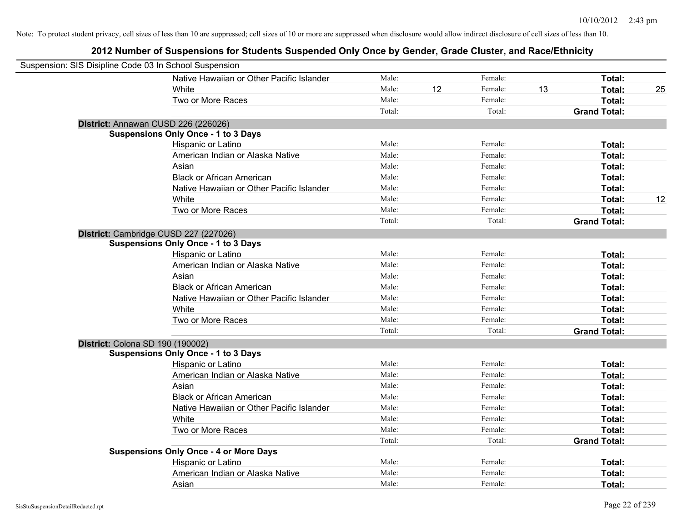| Suspension: SIS Disipline Code 03 In School Suspension |                                               |        |    |         |    |                     |    |
|--------------------------------------------------------|-----------------------------------------------|--------|----|---------|----|---------------------|----|
|                                                        | Native Hawaiian or Other Pacific Islander     | Male:  |    | Female: |    | Total:              |    |
|                                                        | White                                         | Male:  | 12 | Female: | 13 | Total:              | 25 |
|                                                        | Two or More Races                             | Male:  |    | Female: |    | Total:              |    |
|                                                        |                                               | Total: |    | Total:  |    | <b>Grand Total:</b> |    |
|                                                        | District: Annawan CUSD 226 (226026)           |        |    |         |    |                     |    |
|                                                        | <b>Suspensions Only Once - 1 to 3 Days</b>    |        |    |         |    |                     |    |
|                                                        | Hispanic or Latino                            | Male:  |    | Female: |    | Total:              |    |
|                                                        | American Indian or Alaska Native              | Male:  |    | Female: |    | Total:              |    |
|                                                        | Asian                                         | Male:  |    | Female: |    | Total:              |    |
|                                                        | <b>Black or African American</b>              | Male:  |    | Female: |    | Total:              |    |
|                                                        | Native Hawaiian or Other Pacific Islander     | Male:  |    | Female: |    | Total:              |    |
|                                                        | White                                         | Male:  |    | Female: |    | Total:              | 12 |
|                                                        | Two or More Races                             | Male:  |    | Female: |    | Total:              |    |
|                                                        |                                               | Total: |    | Total:  |    | <b>Grand Total:</b> |    |
|                                                        | District: Cambridge CUSD 227 (227026)         |        |    |         |    |                     |    |
|                                                        | <b>Suspensions Only Once - 1 to 3 Days</b>    |        |    |         |    |                     |    |
|                                                        | Hispanic or Latino                            | Male:  |    | Female: |    | Total:              |    |
|                                                        | American Indian or Alaska Native              | Male:  |    | Female: |    | Total:              |    |
|                                                        | Asian                                         | Male:  |    | Female: |    | Total:              |    |
|                                                        | <b>Black or African American</b>              | Male:  |    | Female: |    | Total:              |    |
|                                                        | Native Hawaiian or Other Pacific Islander     | Male:  |    | Female: |    | Total:              |    |
|                                                        | White                                         | Male:  |    | Female: |    | Total:              |    |
|                                                        | Two or More Races                             | Male:  |    | Female: |    | Total:              |    |
|                                                        |                                               | Total: |    | Total:  |    | <b>Grand Total:</b> |    |
|                                                        | District: Colona SD 190 (190002)              |        |    |         |    |                     |    |
|                                                        | <b>Suspensions Only Once - 1 to 3 Days</b>    |        |    |         |    |                     |    |
|                                                        | Hispanic or Latino                            | Male:  |    | Female: |    | Total:              |    |
|                                                        | American Indian or Alaska Native              | Male:  |    | Female: |    | Total:              |    |
|                                                        | Asian                                         | Male:  |    | Female: |    | Total:              |    |
|                                                        | <b>Black or African American</b>              | Male:  |    | Female: |    | Total:              |    |
|                                                        | Native Hawaiian or Other Pacific Islander     | Male:  |    | Female: |    | Total:              |    |
|                                                        | <b>White</b>                                  | Male:  |    | Female: |    | Total:              |    |
|                                                        | Two or More Races                             | Male:  |    | Female: |    | Total:              |    |
|                                                        |                                               | Total: |    | Total:  |    | <b>Grand Total:</b> |    |
|                                                        | <b>Suspensions Only Once - 4 or More Days</b> |        |    |         |    |                     |    |
|                                                        | Hispanic or Latino                            | Male:  |    | Female: |    | Total:              |    |
|                                                        | American Indian or Alaska Native              | Male:  |    | Female: |    | Total:              |    |
|                                                        | Asian                                         | Male:  |    | Female: |    | Total:              |    |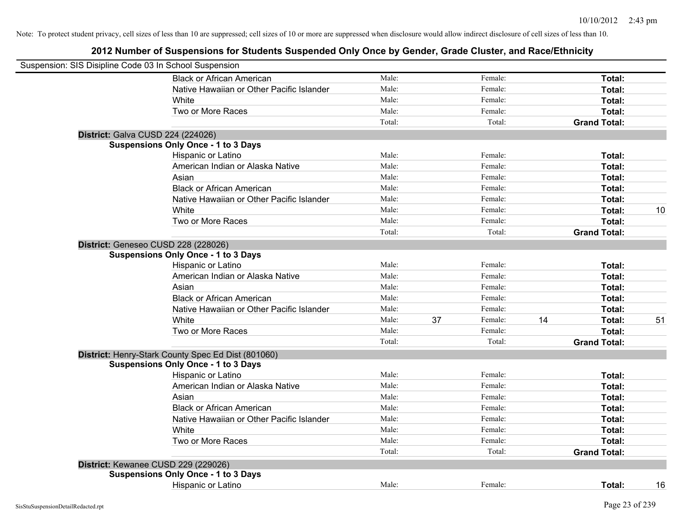| Suspension: SIS Disipline Code 03 In School Suspension |        |    |         |    |                     |    |
|--------------------------------------------------------|--------|----|---------|----|---------------------|----|
| <b>Black or African American</b>                       | Male:  |    | Female: |    | Total:              |    |
| Native Hawaiian or Other Pacific Islander              | Male:  |    | Female: |    | Total:              |    |
| White                                                  | Male:  |    | Female: |    | Total:              |    |
| Two or More Races                                      | Male:  |    | Female: |    | Total:              |    |
|                                                        | Total: |    | Total:  |    | <b>Grand Total:</b> |    |
| <b>District: Galva CUSD 224 (224026)</b>               |        |    |         |    |                     |    |
| <b>Suspensions Only Once - 1 to 3 Days</b>             |        |    |         |    |                     |    |
| Hispanic or Latino                                     | Male:  |    | Female: |    | Total:              |    |
| American Indian or Alaska Native                       | Male:  |    | Female: |    | Total:              |    |
| Asian                                                  | Male:  |    | Female: |    | Total:              |    |
| <b>Black or African American</b>                       | Male:  |    | Female: |    | Total:              |    |
| Native Hawaiian or Other Pacific Islander              | Male:  |    | Female: |    | Total:              |    |
| White                                                  | Male:  |    | Female: |    | Total:              | 10 |
| Two or More Races                                      | Male:  |    | Female: |    | Total:              |    |
|                                                        | Total: |    | Total:  |    | <b>Grand Total:</b> |    |
| District: Geneseo CUSD 228 (228026)                    |        |    |         |    |                     |    |
| <b>Suspensions Only Once - 1 to 3 Days</b>             |        |    |         |    |                     |    |
| Hispanic or Latino                                     | Male:  |    | Female: |    | Total:              |    |
| American Indian or Alaska Native                       | Male:  |    | Female: |    | Total:              |    |
| Asian                                                  | Male:  |    | Female: |    | Total:              |    |
| <b>Black or African American</b>                       | Male:  |    | Female: |    | Total:              |    |
| Native Hawaiian or Other Pacific Islander              | Male:  |    | Female: |    | Total:              |    |
| White                                                  | Male:  | 37 | Female: | 14 | Total:              | 51 |
| Two or More Races                                      | Male:  |    | Female: |    | Total:              |    |
|                                                        | Total: |    | Total:  |    | <b>Grand Total:</b> |    |
| District: Henry-Stark County Spec Ed Dist (801060)     |        |    |         |    |                     |    |
| <b>Suspensions Only Once - 1 to 3 Days</b>             |        |    |         |    |                     |    |
| Hispanic or Latino                                     | Male:  |    | Female: |    | Total:              |    |
| American Indian or Alaska Native                       | Male:  |    | Female: |    | Total:              |    |
| Asian                                                  | Male:  |    | Female: |    | Total:              |    |
| <b>Black or African American</b>                       | Male:  |    | Female: |    | Total:              |    |
| Native Hawaiian or Other Pacific Islander              | Male:  |    | Female: |    | Total:              |    |
| White                                                  | Male:  |    | Female: |    | Total:              |    |
| Two or More Races                                      | Male:  |    | Female: |    | Total:              |    |
|                                                        | Total: |    | Total:  |    | <b>Grand Total:</b> |    |
| District: Kewanee CUSD 229 (229026)                    |        |    |         |    |                     |    |
| <b>Suspensions Only Once - 1 to 3 Days</b>             |        |    |         |    |                     |    |
| <b>Hispanic or Latino</b>                              | Male:  |    | Female: |    | Total:              | 16 |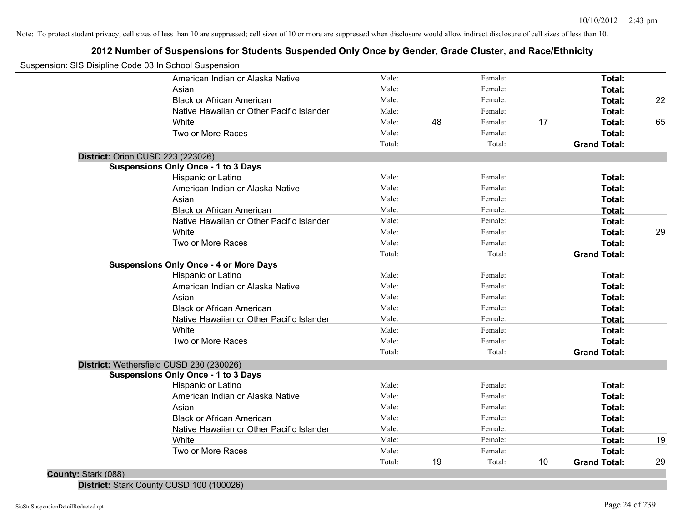# **2012 Number of Suspensions for Students Suspended Only Once by Gender, Grade Cluster, and Race/Ethnicity**

| Suspension: SIS Disipline Code 03 In School Suspension |        |    |         |    |                     |    |
|--------------------------------------------------------|--------|----|---------|----|---------------------|----|
| American Indian or Alaska Native                       | Male:  |    | Female: |    | Total:              |    |
| Asian                                                  | Male:  |    | Female: |    | Total:              |    |
| <b>Black or African American</b>                       | Male:  |    | Female: |    | Total:              | 22 |
| Native Hawaiian or Other Pacific Islander              | Male:  |    | Female: |    | Total:              |    |
| White                                                  | Male:  | 48 | Female: | 17 | Total:              | 65 |
| Two or More Races                                      | Male:  |    | Female: |    | Total:              |    |
|                                                        | Total: |    | Total:  |    | <b>Grand Total:</b> |    |
| District: Orion CUSD 223 (223026)                      |        |    |         |    |                     |    |
| <b>Suspensions Only Once - 1 to 3 Days</b>             |        |    |         |    |                     |    |
| Hispanic or Latino                                     | Male:  |    | Female: |    | Total:              |    |
| American Indian or Alaska Native                       | Male:  |    | Female: |    | Total:              |    |
| Asian                                                  | Male:  |    | Female: |    | Total:              |    |
| <b>Black or African American</b>                       | Male:  |    | Female: |    | Total:              |    |
| Native Hawaiian or Other Pacific Islander              | Male:  |    | Female: |    | Total:              |    |
| White                                                  | Male:  |    | Female: |    | Total:              | 29 |
| Two or More Races                                      | Male:  |    | Female: |    | Total:              |    |
|                                                        | Total: |    | Total:  |    | <b>Grand Total:</b> |    |
| <b>Suspensions Only Once - 4 or More Days</b>          |        |    |         |    |                     |    |
| Hispanic or Latino                                     | Male:  |    | Female: |    | Total:              |    |
| American Indian or Alaska Native                       | Male:  |    | Female: |    | Total:              |    |
| Asian                                                  | Male:  |    | Female: |    | Total:              |    |
| <b>Black or African American</b>                       | Male:  |    | Female: |    | Total:              |    |
| Native Hawaiian or Other Pacific Islander              | Male:  |    | Female: |    | Total:              |    |
| White                                                  | Male:  |    | Female: |    | Total:              |    |
| Two or More Races                                      | Male:  |    | Female: |    | Total:              |    |
|                                                        | Total: |    | Total:  |    | <b>Grand Total:</b> |    |
| District: Wethersfield CUSD 230 (230026)               |        |    |         |    |                     |    |
| <b>Suspensions Only Once - 1 to 3 Days</b>             |        |    |         |    |                     |    |
| Hispanic or Latino                                     | Male:  |    | Female: |    | Total:              |    |
| American Indian or Alaska Native                       | Male:  |    | Female: |    | Total:              |    |
| Asian                                                  | Male:  |    | Female: |    | Total:              |    |
| <b>Black or African American</b>                       | Male:  |    | Female: |    | Total:              |    |
| Native Hawaiian or Other Pacific Islander              | Male:  |    | Female: |    | Total:              |    |
| White                                                  | Male:  |    | Female: |    | Total:              | 19 |
| Two or More Races                                      | Male:  |    | Female: |    | Total:              |    |
|                                                        | Total: | 19 | Total:  | 10 | <b>Grand Total:</b> | 29 |

**District:** Stark County CUSD 100 (100026)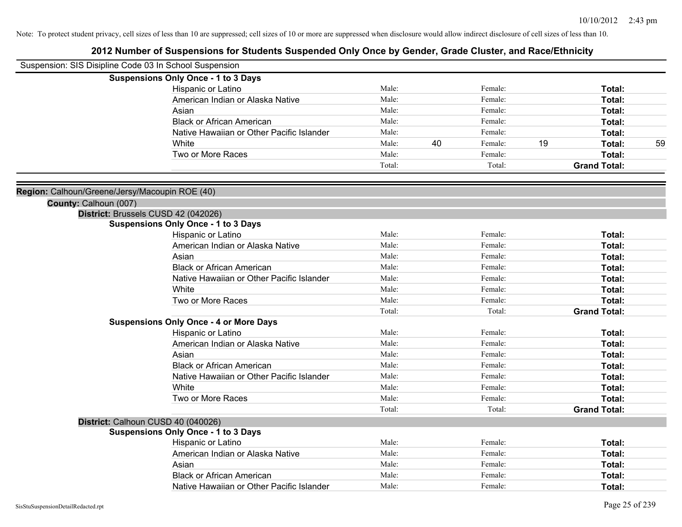| Suspension: SIS Disipline Code 03 In School Suspension |                                                                                   |        |    |         |    |                     |    |
|--------------------------------------------------------|-----------------------------------------------------------------------------------|--------|----|---------|----|---------------------|----|
|                                                        | <b>Suspensions Only Once - 1 to 3 Days</b>                                        |        |    |         |    |                     |    |
|                                                        | Hispanic or Latino                                                                | Male:  |    | Female: |    | Total:              |    |
|                                                        | American Indian or Alaska Native                                                  | Male:  |    | Female: |    | Total:              |    |
|                                                        | Asian                                                                             | Male:  |    | Female: |    | <b>Total:</b>       |    |
|                                                        | <b>Black or African American</b>                                                  | Male:  |    | Female: |    | Total:              |    |
|                                                        | Native Hawaiian or Other Pacific Islander                                         | Male:  |    | Female: |    | Total:              |    |
|                                                        | White                                                                             | Male:  | 40 | Female: | 19 | <b>Total:</b>       | 59 |
|                                                        | Two or More Races                                                                 | Male:  |    | Female: |    | Total:              |    |
|                                                        |                                                                                   | Total: |    | Total:  |    | <b>Grand Total:</b> |    |
|                                                        |                                                                                   |        |    |         |    |                     |    |
| Region: Calhoun/Greene/Jersy/Macoupin ROE (40)         |                                                                                   |        |    |         |    |                     |    |
| County: Calhoun (007)                                  |                                                                                   |        |    |         |    |                     |    |
|                                                        | District: Brussels CUSD 42 (042026)<br><b>Suspensions Only Once - 1 to 3 Days</b> |        |    |         |    |                     |    |
|                                                        | Hispanic or Latino                                                                | Male:  |    | Female: |    | Total:              |    |
|                                                        | American Indian or Alaska Native                                                  | Male:  |    | Female: |    | Total:              |    |
|                                                        | Asian                                                                             | Male:  |    | Female: |    | Total:              |    |
|                                                        | <b>Black or African American</b>                                                  | Male:  |    | Female: |    | <b>Total:</b>       |    |
|                                                        | Native Hawaiian or Other Pacific Islander                                         | Male:  |    | Female: |    | Total:              |    |
|                                                        | White                                                                             | Male:  |    | Female: |    | Total:              |    |
|                                                        | Two or More Races                                                                 | Male:  |    | Female: |    | <b>Total:</b>       |    |
|                                                        |                                                                                   | Total: |    | Total:  |    | <b>Grand Total:</b> |    |
|                                                        | <b>Suspensions Only Once - 4 or More Days</b>                                     |        |    |         |    |                     |    |
|                                                        | Hispanic or Latino                                                                | Male:  |    | Female: |    | Total:              |    |
|                                                        | American Indian or Alaska Native                                                  | Male:  |    | Female: |    | Total:              |    |
|                                                        | Asian                                                                             | Male:  |    | Female: |    | Total:              |    |
|                                                        | <b>Black or African American</b>                                                  | Male:  |    | Female: |    | <b>Total:</b>       |    |
|                                                        | Native Hawaiian or Other Pacific Islander                                         | Male:  |    | Female: |    | <b>Total:</b>       |    |
|                                                        | White                                                                             | Male:  |    | Female: |    | Total:              |    |
|                                                        | Two or More Races                                                                 | Male:  |    | Female: |    | Total:              |    |
|                                                        |                                                                                   | Total: |    | Total:  |    | <b>Grand Total:</b> |    |
|                                                        | District: Calhoun CUSD 40 (040026)                                                |        |    |         |    |                     |    |
|                                                        | <b>Suspensions Only Once - 1 to 3 Days</b>                                        |        |    |         |    |                     |    |
|                                                        | Hispanic or Latino                                                                | Male:  |    | Female: |    | <b>Total:</b>       |    |
|                                                        | American Indian or Alaska Native                                                  | Male:  |    | Female: |    | Total:              |    |
|                                                        | Asian                                                                             | Male:  |    | Female: |    | Total:              |    |
|                                                        | <b>Black or African American</b>                                                  | Male:  |    | Female: |    | Total:              |    |
|                                                        | Native Hawaiian or Other Pacific Islander                                         | Male:  |    | Female: |    | Total:              |    |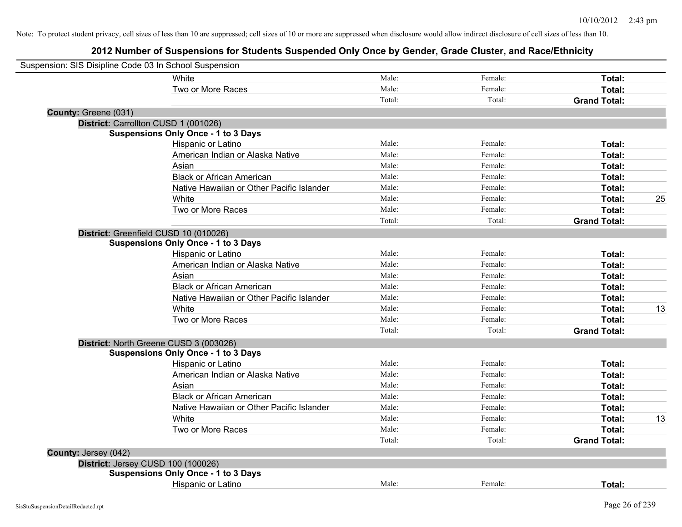| Suspension: SIS Disipline Code 03 In School Suspension |                                            |        |         |                     |    |
|--------------------------------------------------------|--------------------------------------------|--------|---------|---------------------|----|
|                                                        | White                                      | Male:  | Female: | Total:              |    |
|                                                        | Two or More Races                          | Male:  | Female: | Total:              |    |
|                                                        |                                            | Total: | Total:  | <b>Grand Total:</b> |    |
| County: Greene (031)                                   |                                            |        |         |                     |    |
|                                                        | District: Carrollton CUSD 1 (001026)       |        |         |                     |    |
|                                                        | <b>Suspensions Only Once - 1 to 3 Days</b> |        |         |                     |    |
|                                                        | Hispanic or Latino                         | Male:  | Female: | Total:              |    |
|                                                        | American Indian or Alaska Native           | Male:  | Female: | Total:              |    |
|                                                        | Asian                                      | Male:  | Female: | Total:              |    |
|                                                        | <b>Black or African American</b>           | Male:  | Female: | Total:              |    |
|                                                        | Native Hawaiian or Other Pacific Islander  | Male:  | Female: | Total:              |    |
|                                                        | White                                      | Male:  | Female: | Total:              | 25 |
|                                                        | Two or More Races                          | Male:  | Female: | Total:              |    |
|                                                        |                                            | Total: | Total:  | <b>Grand Total:</b> |    |
|                                                        | District: Greenfield CUSD 10 (010026)      |        |         |                     |    |
|                                                        | <b>Suspensions Only Once - 1 to 3 Days</b> |        |         |                     |    |
|                                                        | Hispanic or Latino                         | Male:  | Female: | Total:              |    |
|                                                        | American Indian or Alaska Native           | Male:  | Female: | Total:              |    |
|                                                        | Asian                                      | Male:  | Female: | Total:              |    |
|                                                        | <b>Black or African American</b>           | Male:  | Female: | Total:              |    |
|                                                        | Native Hawaiian or Other Pacific Islander  | Male:  | Female: | Total:              |    |
|                                                        | White                                      | Male:  | Female: | Total:              | 13 |
|                                                        | Two or More Races                          | Male:  | Female: | Total:              |    |
|                                                        |                                            | Total: | Total:  | <b>Grand Total:</b> |    |
|                                                        | District: North Greene CUSD 3 (003026)     |        |         |                     |    |
|                                                        | <b>Suspensions Only Once - 1 to 3 Days</b> |        |         |                     |    |
|                                                        | Hispanic or Latino                         | Male:  | Female: | Total:              |    |
|                                                        | American Indian or Alaska Native           | Male:  | Female: | Total:              |    |
|                                                        | Asian                                      | Male:  | Female: | Total:              |    |
|                                                        | <b>Black or African American</b>           | Male:  | Female: | Total:              |    |
|                                                        | Native Hawaiian or Other Pacific Islander  | Male:  | Female: | Total:              |    |
|                                                        | White                                      | Male:  | Female: | Total:              | 13 |
|                                                        | Two or More Races                          | Male:  | Female: | Total:              |    |
|                                                        |                                            | Total: | Total:  | <b>Grand Total:</b> |    |
| County: Jersey (042)                                   |                                            |        |         |                     |    |
|                                                        | District: Jersey CUSD 100 (100026)         |        |         |                     |    |
|                                                        | <b>Suspensions Only Once - 1 to 3 Days</b> |        |         |                     |    |
|                                                        | Hispanic or Latino                         | Male:  | Female: | Total:              |    |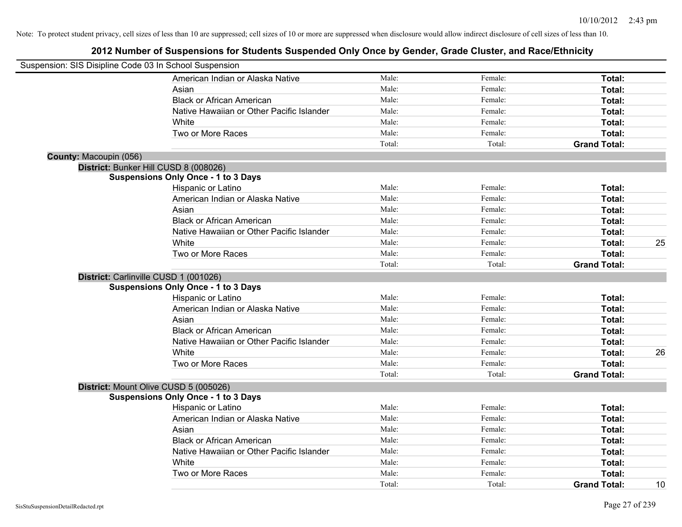| Suspension: SIS Disipline Code 03 In School Suspension |                                            |        |         |                     |    |
|--------------------------------------------------------|--------------------------------------------|--------|---------|---------------------|----|
|                                                        | American Indian or Alaska Native           | Male:  | Female: | Total:              |    |
|                                                        | Asian                                      | Male:  | Female: | Total:              |    |
|                                                        | <b>Black or African American</b>           | Male:  | Female: | Total:              |    |
|                                                        | Native Hawaiian or Other Pacific Islander  | Male:  | Female: | Total:              |    |
|                                                        | White                                      | Male:  | Female: | Total:              |    |
|                                                        | Two or More Races                          | Male:  | Female: | Total:              |    |
|                                                        |                                            | Total: | Total:  | <b>Grand Total:</b> |    |
| County: Macoupin (056)                                 |                                            |        |         |                     |    |
|                                                        | District: Bunker Hill CUSD 8 (008026)      |        |         |                     |    |
|                                                        | <b>Suspensions Only Once - 1 to 3 Days</b> |        |         |                     |    |
|                                                        | Hispanic or Latino                         | Male:  | Female: | Total:              |    |
|                                                        | American Indian or Alaska Native           | Male:  | Female: | Total:              |    |
|                                                        | Asian                                      | Male:  | Female: | Total:              |    |
|                                                        | <b>Black or African American</b>           | Male:  | Female: | Total:              |    |
|                                                        | Native Hawaiian or Other Pacific Islander  | Male:  | Female: | Total:              |    |
|                                                        | White                                      | Male:  | Female: | Total:              | 25 |
|                                                        | Two or More Races                          | Male:  | Female: | <b>Total:</b>       |    |
|                                                        |                                            | Total: | Total:  | <b>Grand Total:</b> |    |
|                                                        | District: Carlinville CUSD 1 (001026)      |        |         |                     |    |
|                                                        | <b>Suspensions Only Once - 1 to 3 Days</b> |        |         |                     |    |
|                                                        | Hispanic or Latino                         | Male:  | Female: | Total:              |    |
|                                                        | American Indian or Alaska Native           | Male:  | Female: | Total:              |    |
|                                                        | Asian                                      | Male:  | Female: | Total:              |    |
|                                                        | <b>Black or African American</b>           | Male:  | Female: | Total:              |    |
|                                                        | Native Hawaiian or Other Pacific Islander  | Male:  | Female: | Total:              |    |
|                                                        | White                                      | Male:  | Female: | Total:              | 26 |
|                                                        | Two or More Races                          | Male:  | Female: | Total:              |    |
|                                                        |                                            | Total: | Total:  | <b>Grand Total:</b> |    |
|                                                        | District: Mount Olive CUSD 5 (005026)      |        |         |                     |    |
|                                                        | <b>Suspensions Only Once - 1 to 3 Days</b> |        |         |                     |    |
|                                                        | Hispanic or Latino                         | Male:  | Female: | Total:              |    |
|                                                        | American Indian or Alaska Native           | Male:  | Female: | Total:              |    |
|                                                        | Asian                                      | Male:  | Female: | Total:              |    |
|                                                        | <b>Black or African American</b>           | Male:  | Female: | Total:              |    |
|                                                        | Native Hawaiian or Other Pacific Islander  | Male:  | Female: | Total:              |    |
|                                                        | White                                      | Male:  | Female: | Total:              |    |
|                                                        | Two or More Races                          | Male:  | Female: | <b>Total:</b>       |    |
|                                                        |                                            | Total: | Total:  | <b>Grand Total:</b> | 10 |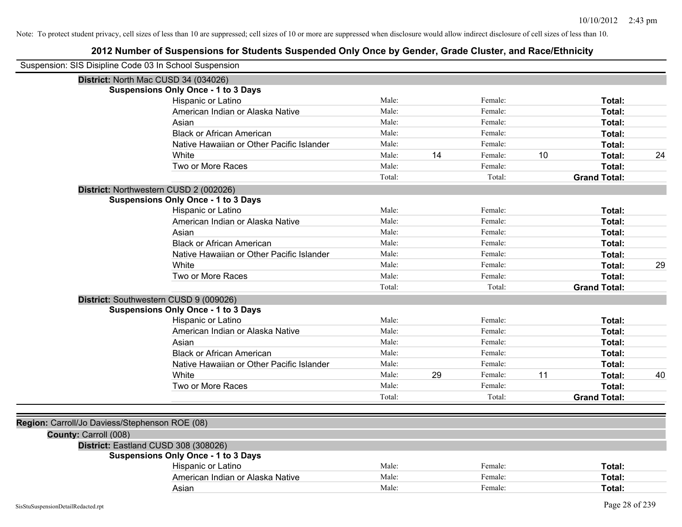| Suspension: SIS Disipline Code 03 In School Suspension |                                            |        |    |         |    |                     |    |
|--------------------------------------------------------|--------------------------------------------|--------|----|---------|----|---------------------|----|
| District: North Mac CUSD 34 (034026)                   |                                            |        |    |         |    |                     |    |
|                                                        | <b>Suspensions Only Once - 1 to 3 Days</b> |        |    |         |    |                     |    |
|                                                        | Hispanic or Latino                         | Male:  |    | Female: |    | Total:              |    |
|                                                        | American Indian or Alaska Native           | Male:  |    | Female: |    | Total:              |    |
|                                                        | Asian                                      | Male:  |    | Female: |    | Total:              |    |
|                                                        | <b>Black or African American</b>           | Male:  |    | Female: |    | Total:              |    |
|                                                        | Native Hawaiian or Other Pacific Islander  | Male:  |    | Female: |    | Total:              |    |
|                                                        | White                                      | Male:  | 14 | Female: | 10 | Total:              | 24 |
|                                                        | Two or More Races                          | Male:  |    | Female: |    | Total:              |    |
|                                                        |                                            | Total: |    | Total:  |    | <b>Grand Total:</b> |    |
| District: Northwestern CUSD 2 (002026)                 |                                            |        |    |         |    |                     |    |
|                                                        | <b>Suspensions Only Once - 1 to 3 Days</b> |        |    |         |    |                     |    |
|                                                        | Hispanic or Latino                         | Male:  |    | Female: |    | Total:              |    |
|                                                        | American Indian or Alaska Native           | Male:  |    | Female: |    | Total:              |    |
|                                                        | Asian                                      | Male:  |    | Female: |    | Total:              |    |
|                                                        | <b>Black or African American</b>           | Male:  |    | Female: |    | Total:              |    |
|                                                        | Native Hawaiian or Other Pacific Islander  | Male:  |    | Female: |    | Total:              |    |
|                                                        | <b>White</b>                               | Male:  |    | Female: |    | Total:              | 29 |
|                                                        | Two or More Races                          | Male:  |    | Female: |    | Total:              |    |
|                                                        |                                            | Total: |    | Total:  |    | <b>Grand Total:</b> |    |
| District: Southwestern CUSD 9 (009026)                 |                                            |        |    |         |    |                     |    |
|                                                        | <b>Suspensions Only Once - 1 to 3 Days</b> |        |    |         |    |                     |    |
|                                                        | Hispanic or Latino                         | Male:  |    | Female: |    | Total:              |    |
|                                                        | American Indian or Alaska Native           | Male:  |    | Female: |    | Total:              |    |
|                                                        | Asian                                      | Male:  |    | Female: |    | Total:              |    |
|                                                        | <b>Black or African American</b>           | Male:  |    | Female: |    | Total:              |    |
|                                                        | Native Hawaiian or Other Pacific Islander  | Male:  |    | Female: |    | Total:              |    |
|                                                        | White                                      | Male:  | 29 | Female: | 11 | Total:              | 40 |
|                                                        | Two or More Races                          | Male:  |    | Female: |    | Total:              |    |
|                                                        |                                            | Total: |    | Total:  |    | <b>Grand Total:</b> |    |
|                                                        |                                            |        |    |         |    |                     |    |
| Region: Carroll/Jo Daviess/Stephenson ROE (08)         |                                            |        |    |         |    |                     |    |
| County: Carroll (008)                                  |                                            |        |    |         |    |                     |    |
| District: Eastland CUSD 308 (308026)                   |                                            |        |    |         |    |                     |    |
|                                                        | <b>Suspensions Only Once - 1 to 3 Days</b> |        |    |         |    |                     |    |
|                                                        | Hispanic or Latino                         | Male:  |    | Female: |    | Total:              |    |
|                                                        | American Indian or Alaska Native           | Male:  |    | Female: |    | Total:              |    |
|                                                        | Asian                                      | Male:  |    | Female: |    | Total:              |    |
|                                                        |                                            |        |    |         |    |                     |    |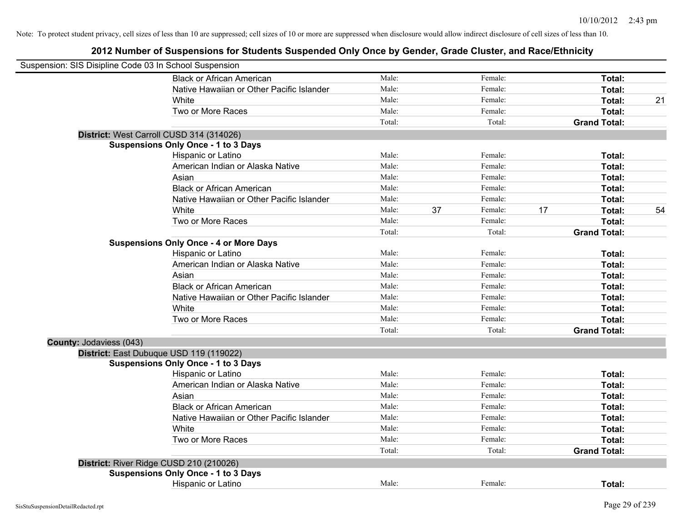| Suspension: SIS Disipline Code 03 In School Suspension |                                               |        |    |         |    |                     |    |
|--------------------------------------------------------|-----------------------------------------------|--------|----|---------|----|---------------------|----|
|                                                        | <b>Black or African American</b>              | Male:  |    | Female: |    | Total:              |    |
|                                                        | Native Hawaiian or Other Pacific Islander     | Male:  |    | Female: |    | Total:              |    |
|                                                        | White                                         | Male:  |    | Female: |    | Total:              | 21 |
|                                                        | Two or More Races                             | Male:  |    | Female: |    | Total:              |    |
|                                                        |                                               | Total: |    | Total:  |    | <b>Grand Total:</b> |    |
|                                                        | District: West Carroll CUSD 314 (314026)      |        |    |         |    |                     |    |
|                                                        | <b>Suspensions Only Once - 1 to 3 Days</b>    |        |    |         |    |                     |    |
|                                                        | Hispanic or Latino                            | Male:  |    | Female: |    | Total:              |    |
|                                                        | American Indian or Alaska Native              | Male:  |    | Female: |    | Total:              |    |
|                                                        | Asian                                         | Male:  |    | Female: |    | Total:              |    |
|                                                        | <b>Black or African American</b>              | Male:  |    | Female: |    | Total:              |    |
|                                                        | Native Hawaiian or Other Pacific Islander     | Male:  |    | Female: |    | Total:              |    |
|                                                        | White                                         | Male:  | 37 | Female: | 17 | Total:              | 54 |
|                                                        | Two or More Races                             | Male:  |    | Female: |    | Total:              |    |
|                                                        |                                               | Total: |    | Total:  |    | <b>Grand Total:</b> |    |
|                                                        | <b>Suspensions Only Once - 4 or More Days</b> |        |    |         |    |                     |    |
|                                                        | Hispanic or Latino                            | Male:  |    | Female: |    | Total:              |    |
|                                                        | American Indian or Alaska Native              | Male:  |    | Female: |    | Total:              |    |
|                                                        | Asian                                         | Male:  |    | Female: |    | Total:              |    |
|                                                        | <b>Black or African American</b>              | Male:  |    | Female: |    | Total:              |    |
|                                                        | Native Hawaiian or Other Pacific Islander     | Male:  |    | Female: |    | Total:              |    |
|                                                        | White                                         | Male:  |    | Female: |    | Total:              |    |
|                                                        | Two or More Races                             | Male:  |    | Female: |    | Total:              |    |
|                                                        |                                               | Total: |    | Total:  |    | <b>Grand Total:</b> |    |
| <b>County: Jodaviess (043)</b>                         |                                               |        |    |         |    |                     |    |
|                                                        | District: East Dubuque USD 119 (119022)       |        |    |         |    |                     |    |
|                                                        | <b>Suspensions Only Once - 1 to 3 Days</b>    |        |    |         |    |                     |    |
|                                                        | Hispanic or Latino                            | Male:  |    | Female: |    | Total:              |    |
|                                                        | American Indian or Alaska Native              | Male:  |    | Female: |    | Total:              |    |
|                                                        | Asian                                         | Male:  |    | Female: |    | Total:              |    |
|                                                        | <b>Black or African American</b>              | Male:  |    | Female: |    | Total:              |    |
|                                                        | Native Hawaiian or Other Pacific Islander     | Male:  |    | Female: |    | Total:              |    |
|                                                        | White                                         | Male:  |    | Female: |    | Total:              |    |
|                                                        | Two or More Races                             | Male:  |    | Female: |    | Total:              |    |
|                                                        |                                               | Total: |    | Total:  |    | <b>Grand Total:</b> |    |
|                                                        | District: River Ridge CUSD 210 (210026)       |        |    |         |    |                     |    |
|                                                        | <b>Suspensions Only Once - 1 to 3 Days</b>    |        |    |         |    |                     |    |
|                                                        | Hispanic or Latino                            | Male:  |    | Female: |    | Total:              |    |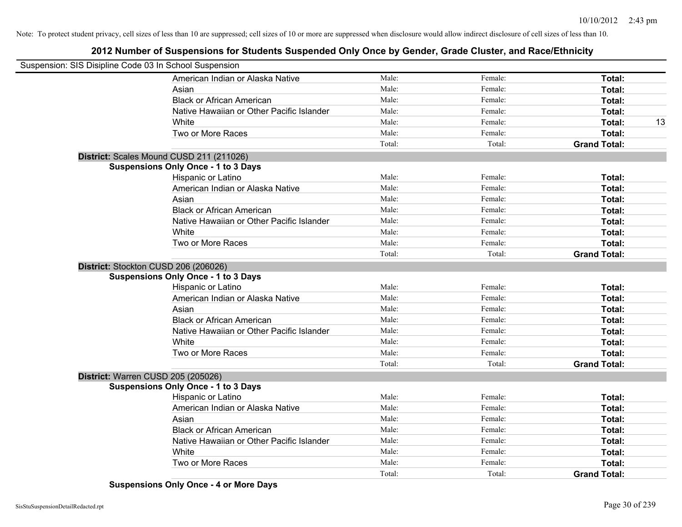# **2012 Number of Suspensions for Students Suspended Only Once by Gender, Grade Cluster, and Race/Ethnicity**

| Suspension: SIS Disipline Code 03 In School Suspension |                                            |        |         |                     |    |
|--------------------------------------------------------|--------------------------------------------|--------|---------|---------------------|----|
|                                                        | American Indian or Alaska Native           | Male:  | Female: | Total:              |    |
|                                                        | Asian                                      | Male:  | Female: | Total:              |    |
|                                                        | <b>Black or African American</b>           | Male:  | Female: | Total:              |    |
|                                                        | Native Hawaiian or Other Pacific Islander  | Male:  | Female: | Total:              |    |
|                                                        | White                                      | Male:  | Female: | Total:              | 13 |
|                                                        | Two or More Races                          | Male:  | Female: | Total:              |    |
|                                                        |                                            | Total: | Total:  | <b>Grand Total:</b> |    |
|                                                        | District: Scales Mound CUSD 211 (211026)   |        |         |                     |    |
|                                                        | <b>Suspensions Only Once - 1 to 3 Days</b> |        |         |                     |    |
|                                                        | Hispanic or Latino                         | Male:  | Female: | Total:              |    |
|                                                        | American Indian or Alaska Native           | Male:  | Female: | Total:              |    |
|                                                        | Asian                                      | Male:  | Female: | Total:              |    |
|                                                        | <b>Black or African American</b>           | Male:  | Female: | Total:              |    |
|                                                        | Native Hawaiian or Other Pacific Islander  | Male:  | Female: | Total:              |    |
|                                                        | White                                      | Male:  | Female: | Total:              |    |
|                                                        | Two or More Races                          | Male:  | Female: | Total:              |    |
|                                                        |                                            | Total: | Total:  | <b>Grand Total:</b> |    |
|                                                        | District: Stockton CUSD 206 (206026)       |        |         |                     |    |
|                                                        | <b>Suspensions Only Once - 1 to 3 Days</b> |        |         |                     |    |
|                                                        | Hispanic or Latino                         | Male:  | Female: | Total:              |    |
|                                                        | American Indian or Alaska Native           | Male:  | Female: | Total:              |    |
|                                                        | Asian                                      | Male:  | Female: | Total:              |    |
|                                                        | <b>Black or African American</b>           | Male:  | Female: | Total:              |    |
|                                                        | Native Hawaiian or Other Pacific Islander  | Male:  | Female: | Total:              |    |
|                                                        | White                                      | Male:  | Female: | Total:              |    |
|                                                        | Two or More Races                          | Male:  | Female: | Total:              |    |
|                                                        |                                            | Total: | Total:  | <b>Grand Total:</b> |    |
|                                                        | District: Warren CUSD 205 (205026)         |        |         |                     |    |
|                                                        | <b>Suspensions Only Once - 1 to 3 Days</b> |        |         |                     |    |
|                                                        | Hispanic or Latino                         | Male:  | Female: | Total:              |    |
|                                                        | American Indian or Alaska Native           | Male:  | Female: | Total:              |    |
|                                                        | Asian                                      | Male:  | Female: | Total:              |    |
|                                                        | <b>Black or African American</b>           | Male:  | Female: | Total:              |    |
|                                                        | Native Hawaiian or Other Pacific Islander  | Male:  | Female: | Total:              |    |
|                                                        | White                                      | Male:  | Female: | Total:              |    |
|                                                        | Two or More Races                          | Male:  | Female: | Total:              |    |
|                                                        |                                            | Total: | Total:  | <b>Grand Total:</b> |    |

**Suspensions Only Once - 4 or More Days**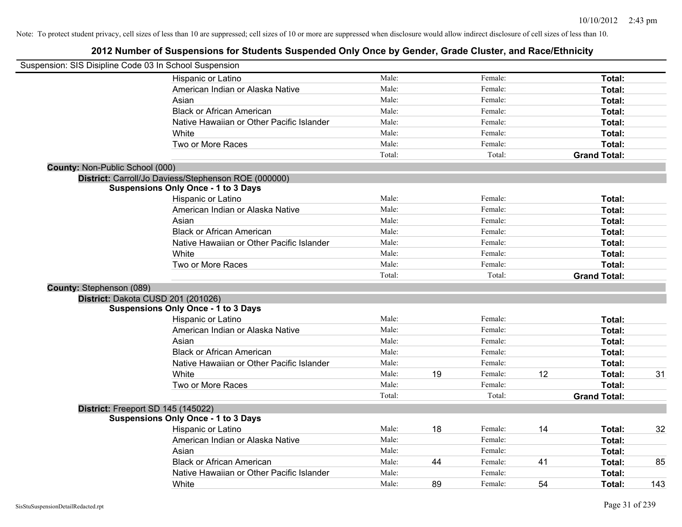|                                        | Suspension: SIS Disipline Code 03 In School Suspension |        |    |         |    |                     |     |
|----------------------------------------|--------------------------------------------------------|--------|----|---------|----|---------------------|-----|
|                                        | <b>Hispanic or Latino</b>                              | Male:  |    | Female: |    | Total:              |     |
|                                        | American Indian or Alaska Native                       | Male:  |    | Female: |    | Total:              |     |
|                                        | Asian                                                  | Male:  |    | Female: |    | Total:              |     |
|                                        | <b>Black or African American</b>                       | Male:  |    | Female: |    | Total:              |     |
|                                        | Native Hawaiian or Other Pacific Islander              | Male:  |    | Female: |    | Total:              |     |
|                                        | White                                                  | Male:  |    | Female: |    | Total:              |     |
|                                        | Two or More Races                                      | Male:  |    | Female: |    | Total:              |     |
|                                        |                                                        | Total: |    | Total:  |    | <b>Grand Total:</b> |     |
| <b>County: Non-Public School (000)</b> |                                                        |        |    |         |    |                     |     |
|                                        | District: Carroll/Jo Daviess/Stephenson ROE (000000)   |        |    |         |    |                     |     |
|                                        | <b>Suspensions Only Once - 1 to 3 Days</b>             |        |    |         |    |                     |     |
|                                        | Hispanic or Latino                                     | Male:  |    | Female: |    | Total:              |     |
|                                        | American Indian or Alaska Native                       | Male:  |    | Female: |    | Total:              |     |
|                                        | Asian                                                  | Male:  |    | Female: |    | Total:              |     |
|                                        | <b>Black or African American</b>                       | Male:  |    | Female: |    | Total:              |     |
|                                        | Native Hawaiian or Other Pacific Islander              | Male:  |    | Female: |    | Total:              |     |
|                                        | White                                                  | Male:  |    | Female: |    | Total:              |     |
|                                        | Two or More Races                                      | Male:  |    | Female: |    | <b>Total:</b>       |     |
|                                        |                                                        | Total: |    | Total:  |    | <b>Grand Total:</b> |     |
| County: Stephenson (089)               |                                                        |        |    |         |    |                     |     |
|                                        | District: Dakota CUSD 201 (201026)                     |        |    |         |    |                     |     |
|                                        | <b>Suspensions Only Once - 1 to 3 Days</b>             |        |    |         |    |                     |     |
|                                        | Hispanic or Latino                                     | Male:  |    | Female: |    | Total:              |     |
|                                        | American Indian or Alaska Native                       | Male:  |    | Female: |    | Total:              |     |
|                                        | Asian                                                  | Male:  |    | Female: |    | Total:              |     |
|                                        | <b>Black or African American</b>                       | Male:  |    | Female: |    | Total:              |     |
|                                        | Native Hawaiian or Other Pacific Islander              | Male:  |    | Female: |    | Total:              |     |
|                                        | White                                                  | Male:  | 19 | Female: | 12 | Total:              | 31  |
|                                        | Two or More Races                                      | Male:  |    | Female: |    | Total:              |     |
|                                        |                                                        | Total: |    | Total:  |    | <b>Grand Total:</b> |     |
|                                        | District: Freeport SD 145 (145022)                     |        |    |         |    |                     |     |
|                                        | <b>Suspensions Only Once - 1 to 3 Days</b>             |        |    |         |    |                     |     |
|                                        | Hispanic or Latino                                     | Male:  | 18 | Female: | 14 | Total:              | 32  |
|                                        | American Indian or Alaska Native                       | Male:  |    | Female: |    | Total:              |     |
|                                        | Asian                                                  | Male:  |    | Female: |    | Total:              |     |
|                                        | <b>Black or African American</b>                       | Male:  | 44 | Female: | 41 | Total:              | 85  |
|                                        | Native Hawaiian or Other Pacific Islander              | Male:  |    | Female: |    | <b>Total:</b>       |     |
|                                        | White                                                  | Male:  | 89 | Female: | 54 | Total:              | 143 |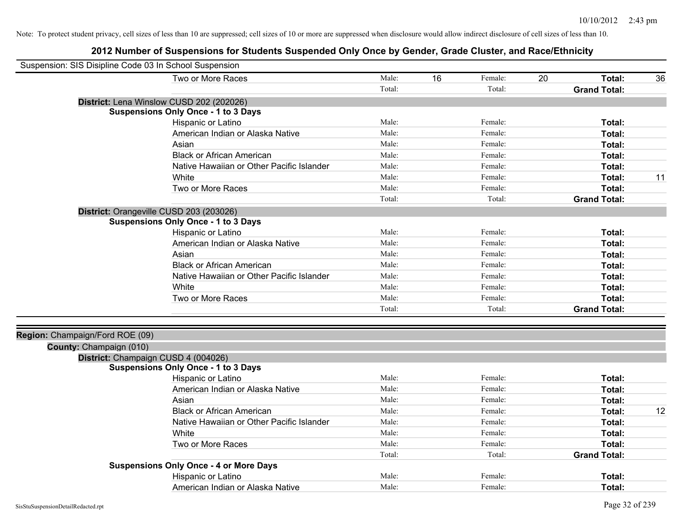| Suspension: SIS Disipline Code 03 In School Suspension |                                               |        |    |         |    |                     |    |
|--------------------------------------------------------|-----------------------------------------------|--------|----|---------|----|---------------------|----|
|                                                        | Two or More Races                             | Male:  | 16 | Female: | 20 | Total:              | 36 |
|                                                        |                                               | Total: |    | Total:  |    | <b>Grand Total:</b> |    |
|                                                        | District: Lena Winslow CUSD 202 (202026)      |        |    |         |    |                     |    |
|                                                        | <b>Suspensions Only Once - 1 to 3 Days</b>    |        |    |         |    |                     |    |
|                                                        | Hispanic or Latino                            | Male:  |    | Female: |    | Total:              |    |
|                                                        | American Indian or Alaska Native              | Male:  |    | Female: |    | Total:              |    |
|                                                        | Asian                                         | Male:  |    | Female: |    | Total:              |    |
|                                                        | <b>Black or African American</b>              | Male:  |    | Female: |    | Total:              |    |
|                                                        | Native Hawaiian or Other Pacific Islander     | Male:  |    | Female: |    | Total:              |    |
|                                                        | White                                         | Male:  |    | Female: |    | Total:              | 11 |
|                                                        | Two or More Races                             | Male:  |    | Female: |    | Total:              |    |
|                                                        |                                               | Total: |    | Total:  |    | <b>Grand Total:</b> |    |
|                                                        | District: Orangeville CUSD 203 (203026)       |        |    |         |    |                     |    |
|                                                        | <b>Suspensions Only Once - 1 to 3 Days</b>    |        |    |         |    |                     |    |
|                                                        | Hispanic or Latino                            | Male:  |    | Female: |    | Total:              |    |
|                                                        | American Indian or Alaska Native              | Male:  |    | Female: |    | Total:              |    |
|                                                        | Asian                                         | Male:  |    | Female: |    | Total:              |    |
|                                                        | <b>Black or African American</b>              | Male:  |    | Female: |    | Total:              |    |
|                                                        | Native Hawaiian or Other Pacific Islander     | Male:  |    | Female: |    | Total:              |    |
|                                                        | White                                         | Male:  |    | Female: |    | Total:              |    |
|                                                        | Two or More Races                             | Male:  |    | Female: |    | Total:              |    |
|                                                        |                                               | Total: |    | Total:  |    | <b>Grand Total:</b> |    |
|                                                        |                                               |        |    |         |    |                     |    |
| Region: Champaign/Ford ROE (09)                        |                                               |        |    |         |    |                     |    |
| County: Champaign (010)                                |                                               |        |    |         |    |                     |    |
|                                                        | District: Champaign CUSD 4 (004026)           |        |    |         |    |                     |    |
|                                                        | <b>Suspensions Only Once - 1 to 3 Days</b>    |        |    |         |    |                     |    |
|                                                        | Hispanic or Latino                            | Male:  |    | Female: |    | Total:              |    |
|                                                        | American Indian or Alaska Native              | Male:  |    | Female: |    | Total:              |    |
|                                                        | Asian                                         | Male:  |    | Female: |    | Total:              |    |
|                                                        | <b>Black or African American</b>              | Male:  |    | Female: |    | Total:              | 12 |
|                                                        | Native Hawaiian or Other Pacific Islander     | Male:  |    | Female: |    | Total:              |    |
|                                                        | White                                         | Male:  |    | Female: |    | Total:              |    |
|                                                        | Two or More Races                             | Male:  |    | Female: |    | Total:              |    |
|                                                        |                                               | Total: |    | Total:  |    | <b>Grand Total:</b> |    |
|                                                        | <b>Suspensions Only Once - 4 or More Days</b> |        |    |         |    |                     |    |
|                                                        | Hispanic or Latino                            | Male:  |    | Female: |    | Total:              |    |
|                                                        | American Indian or Alaska Native              | Male:  |    | Female: |    | Total:              |    |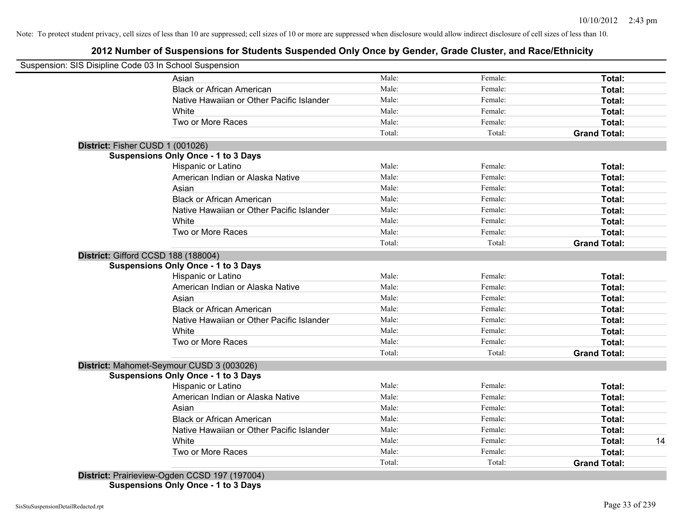| Suspension: SIS Disipline Code 03 In School Suspension<br>Asian                   | Male:  | Female: | Total:              |
|-----------------------------------------------------------------------------------|--------|---------|---------------------|
| <b>Black or African American</b>                                                  | Male:  | Female: | Total:              |
| Native Hawaiian or Other Pacific Islander                                         | Male:  | Female: | Total:              |
| White                                                                             | Male:  | Female: | Total:              |
| Two or More Races                                                                 | Male:  | Female: | Total:              |
|                                                                                   | Total: | Total:  | <b>Grand Total:</b> |
|                                                                                   |        |         |                     |
| District: Fisher CUSD 1 (001026)                                                  |        |         |                     |
| <b>Suspensions Only Once - 1 to 3 Days</b>                                        | Male:  | Female: | Total:              |
| Hispanic or Latino<br>American Indian or Alaska Native                            | Male:  | Female: | Total:              |
| Asian                                                                             | Male:  | Female: | Total:              |
| <b>Black or African American</b>                                                  | Male:  | Female: | Total:              |
| Native Hawaiian or Other Pacific Islander                                         | Male:  | Female: | Total:              |
| White                                                                             | Male:  | Female: | Total:              |
| Two or More Races                                                                 | Male:  | Female: | Total:              |
|                                                                                   | Total: | Total:  | <b>Grand Total:</b> |
|                                                                                   |        |         |                     |
| District: Gifford CCSD 188 (188004)<br><b>Suspensions Only Once - 1 to 3 Days</b> |        |         |                     |
| Hispanic or Latino                                                                | Male:  | Female: | Total:              |
| American Indian or Alaska Native                                                  | Male:  | Female: | Total:              |
| Asian                                                                             | Male:  | Female: | Total:              |
| <b>Black or African American</b>                                                  | Male:  | Female: | Total:              |
| Native Hawaiian or Other Pacific Islander                                         | Male:  | Female: | Total:              |
| White                                                                             | Male:  | Female: | Total:              |
| Two or More Races                                                                 | Male:  | Female: | Total:              |
|                                                                                   | Total: | Total:  | <b>Grand Total:</b> |
| District: Mahomet-Seymour CUSD 3 (003026)                                         |        |         |                     |
| <b>Suspensions Only Once - 1 to 3 Days</b>                                        |        |         |                     |
| Hispanic or Latino                                                                | Male:  | Female: | Total:              |
| American Indian or Alaska Native                                                  | Male:  | Female: | Total:              |
| Asian                                                                             | Male:  | Female: | Total:              |
| <b>Black or African American</b>                                                  | Male:  | Female: | Total:              |
| Native Hawaiian or Other Pacific Islander                                         | Male:  | Female: | Total:              |
| White                                                                             | Male:  | Female: | Total:              |
| Two or More Races                                                                 | Male:  | Female: | Total:              |
|                                                                                   |        | Total:  |                     |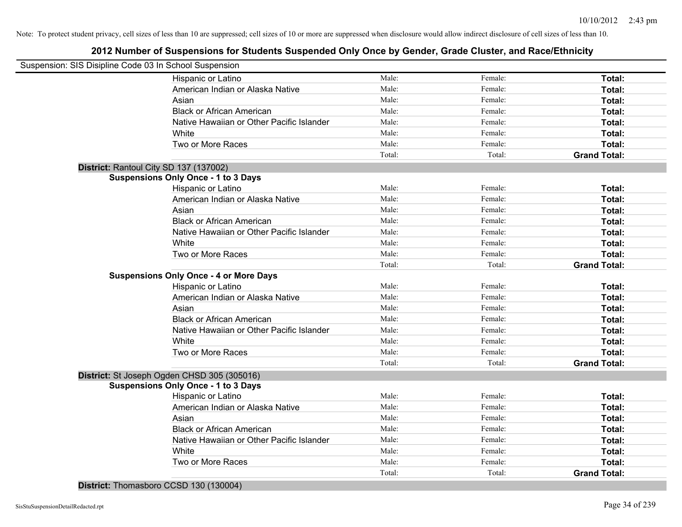| Suspension: SIS Disipline Code 03 In School Suspension |        |         |                     |
|--------------------------------------------------------|--------|---------|---------------------|
| Hispanic or Latino                                     | Male:  | Female: | Total:              |
| American Indian or Alaska Native                       | Male:  | Female: | Total:              |
| Asian                                                  | Male:  | Female: | Total:              |
| <b>Black or African American</b>                       | Male:  | Female: | Total:              |
| Native Hawaiian or Other Pacific Islander              | Male:  | Female: | Total:              |
| White                                                  | Male:  | Female: | Total:              |
| Two or More Races                                      | Male:  | Female: | Total:              |
|                                                        | Total: | Total:  | <b>Grand Total:</b> |
| District: Rantoul City SD 137 (137002)                 |        |         |                     |
| <b>Suspensions Only Once - 1 to 3 Days</b>             |        |         |                     |
| Hispanic or Latino                                     | Male:  | Female: | Total:              |
| American Indian or Alaska Native                       | Male:  | Female: | Total:              |
| Asian                                                  | Male:  | Female: | Total:              |
| <b>Black or African American</b>                       | Male:  | Female: | Total:              |
| Native Hawaiian or Other Pacific Islander              | Male:  | Female: | Total:              |
| White                                                  | Male:  | Female: | Total:              |
| Two or More Races                                      | Male:  | Female: | Total:              |
|                                                        | Total: | Total:  | <b>Grand Total:</b> |
| <b>Suspensions Only Once - 4 or More Days</b>          |        |         |                     |
| Hispanic or Latino                                     | Male:  | Female: | Total:              |
| American Indian or Alaska Native                       | Male:  | Female: | Total:              |
| Asian                                                  | Male:  | Female: | Total:              |
| <b>Black or African American</b>                       | Male:  | Female: | Total:              |
| Native Hawaiian or Other Pacific Islander              | Male:  | Female: | Total:              |
| White                                                  | Male:  | Female: | Total:              |
| Two or More Races                                      | Male:  | Female: | Total:              |
|                                                        | Total: | Total:  | <b>Grand Total:</b> |
| District: St Joseph Ogden CHSD 305 (305016)            |        |         |                     |
| <b>Suspensions Only Once - 1 to 3 Days</b>             |        |         |                     |
| Hispanic or Latino                                     | Male:  | Female: | Total:              |
| American Indian or Alaska Native                       | Male:  | Female: | Total:              |
| Asian                                                  | Male:  | Female: | Total:              |
| <b>Black or African American</b>                       | Male:  | Female: | Total:              |
| Native Hawaiian or Other Pacific Islander              | Male:  | Female: | Total:              |
| White                                                  | Male:  | Female: | Total:              |
| Two or More Races                                      | Male:  | Female: | Total:              |
|                                                        | Total: | Total:  | <b>Grand Total:</b> |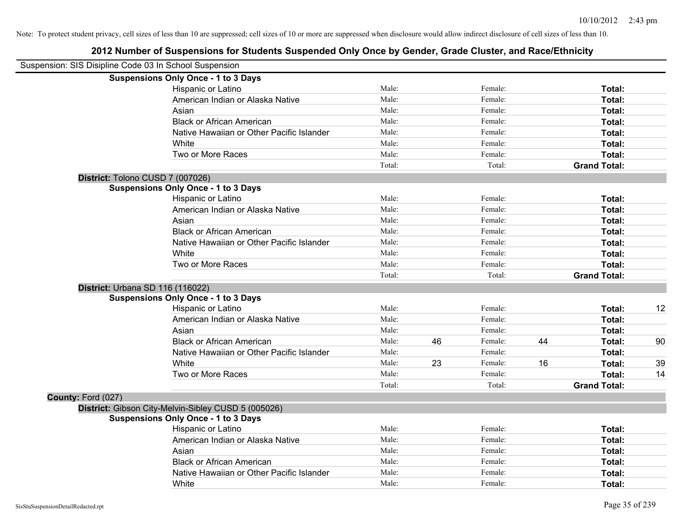| Suspension: SIS Disipline Code 03 In School Suspension |                                                     |        |    |         |    |                     |    |
|--------------------------------------------------------|-----------------------------------------------------|--------|----|---------|----|---------------------|----|
|                                                        | <b>Suspensions Only Once - 1 to 3 Days</b>          |        |    |         |    |                     |    |
|                                                        | Hispanic or Latino                                  | Male:  |    | Female: |    | Total:              |    |
|                                                        | American Indian or Alaska Native                    | Male:  |    | Female: |    | Total:              |    |
|                                                        | Asian                                               | Male:  |    | Female: |    | Total:              |    |
|                                                        | <b>Black or African American</b>                    | Male:  |    | Female: |    | Total:              |    |
|                                                        | Native Hawaiian or Other Pacific Islander           | Male:  |    | Female: |    | Total:              |    |
|                                                        | White                                               | Male:  |    | Female: |    | Total:              |    |
|                                                        | Two or More Races                                   | Male:  |    | Female: |    | Total:              |    |
|                                                        |                                                     | Total: |    | Total:  |    | <b>Grand Total:</b> |    |
|                                                        | District: Tolono CUSD 7 (007026)                    |        |    |         |    |                     |    |
|                                                        | <b>Suspensions Only Once - 1 to 3 Days</b>          |        |    |         |    |                     |    |
|                                                        | Hispanic or Latino                                  | Male:  |    | Female: |    | Total:              |    |
|                                                        | American Indian or Alaska Native                    | Male:  |    | Female: |    | Total:              |    |
|                                                        | Asian                                               | Male:  |    | Female: |    | Total:              |    |
|                                                        | <b>Black or African American</b>                    | Male:  |    | Female: |    | Total:              |    |
|                                                        | Native Hawaiian or Other Pacific Islander           | Male:  |    | Female: |    | Total:              |    |
|                                                        | White                                               | Male:  |    | Female: |    | Total:              |    |
|                                                        | Two or More Races                                   | Male:  |    | Female: |    | Total:              |    |
|                                                        |                                                     | Total: |    | Total:  |    | <b>Grand Total:</b> |    |
|                                                        | District: Urbana SD 116 (116022)                    |        |    |         |    |                     |    |
|                                                        | <b>Suspensions Only Once - 1 to 3 Days</b>          |        |    |         |    |                     |    |
|                                                        | Hispanic or Latino                                  | Male:  |    | Female: |    | Total:              | 12 |
|                                                        | American Indian or Alaska Native                    | Male:  |    | Female: |    | Total:              |    |
|                                                        | Asian                                               | Male:  |    | Female: |    | Total:              |    |
|                                                        | <b>Black or African American</b>                    | Male:  | 46 | Female: | 44 | Total:              | 90 |
|                                                        | Native Hawaiian or Other Pacific Islander           | Male:  |    | Female: |    | Total:              |    |
|                                                        | White                                               | Male:  | 23 | Female: | 16 | Total:              | 39 |
|                                                        | Two or More Races                                   | Male:  |    | Female: |    | Total:              | 14 |
|                                                        |                                                     | Total: |    | Total:  |    | <b>Grand Total:</b> |    |
| County: Ford (027)                                     |                                                     |        |    |         |    |                     |    |
|                                                        | District: Gibson City-Melvin-Sibley CUSD 5 (005026) |        |    |         |    |                     |    |
|                                                        | <b>Suspensions Only Once - 1 to 3 Days</b>          |        |    |         |    |                     |    |
|                                                        | Hispanic or Latino                                  | Male:  |    | Female: |    | Total:              |    |
|                                                        | American Indian or Alaska Native                    | Male:  |    | Female: |    | Total:              |    |
|                                                        | Asian                                               | Male:  |    | Female: |    | Total:              |    |
|                                                        | <b>Black or African American</b>                    | Male:  |    | Female: |    | Total:              |    |
|                                                        | Native Hawaiian or Other Pacific Islander           | Male:  |    | Female: |    | Total:              |    |
|                                                        | White                                               | Male:  |    | Female: |    | Total:              |    |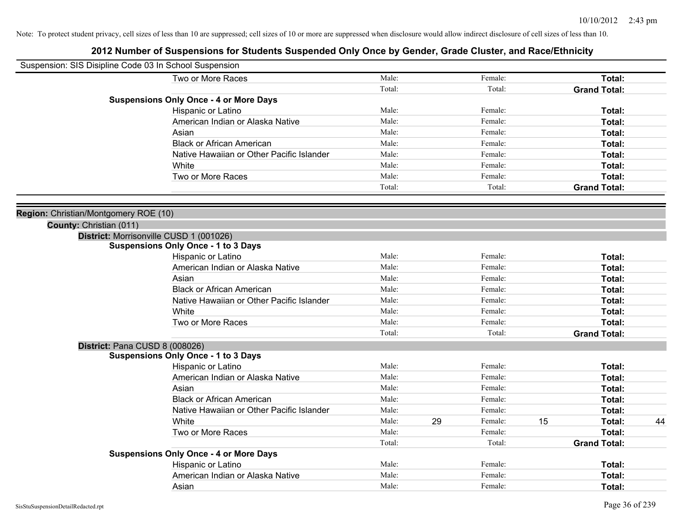| Suspension: SIS Disipline Code 03 In School Suspension |                                                                  |        |    |         |    |                     |    |
|--------------------------------------------------------|------------------------------------------------------------------|--------|----|---------|----|---------------------|----|
|                                                        | Two or More Races                                                | Male:  |    | Female: |    | Total:              |    |
|                                                        |                                                                  | Total: |    | Total:  |    | <b>Grand Total:</b> |    |
|                                                        | <b>Suspensions Only Once - 4 or More Days</b>                    |        |    |         |    |                     |    |
|                                                        | Hispanic or Latino                                               | Male:  |    | Female: |    | Total:              |    |
|                                                        | American Indian or Alaska Native                                 | Male:  |    | Female: |    | Total:              |    |
|                                                        | Asian                                                            | Male:  |    | Female: |    | Total:              |    |
|                                                        | <b>Black or African American</b>                                 | Male:  |    | Female: |    | Total:              |    |
|                                                        | Native Hawaiian or Other Pacific Islander                        | Male:  |    | Female: |    | Total:              |    |
|                                                        | White                                                            | Male:  |    | Female: |    | Total:              |    |
|                                                        | Two or More Races                                                | Male:  |    | Female: |    | Total:              |    |
|                                                        |                                                                  | Total: |    | Total:  |    | <b>Grand Total:</b> |    |
|                                                        |                                                                  |        |    |         |    |                     |    |
| Region: Christian/Montgomery ROE (10)                  |                                                                  |        |    |         |    |                     |    |
| County: Christian (011)                                |                                                                  |        |    |         |    |                     |    |
|                                                        | District: Morrisonville CUSD 1 (001026)                          |        |    |         |    |                     |    |
|                                                        | <b>Suspensions Only Once - 1 to 3 Days</b><br>Hispanic or Latino | Male:  |    | Female: |    | Total:              |    |
|                                                        | American Indian or Alaska Native                                 | Male:  |    | Female: |    | Total:              |    |
|                                                        | Asian                                                            | Male:  |    | Female: |    | Total:              |    |
|                                                        | <b>Black or African American</b>                                 | Male:  |    | Female: |    | Total:              |    |
|                                                        | Native Hawaiian or Other Pacific Islander                        | Male:  |    | Female: |    | Total:              |    |
|                                                        | White                                                            | Male:  |    | Female: |    | Total:              |    |
|                                                        | Two or More Races                                                | Male:  |    | Female: |    | Total:              |    |
|                                                        |                                                                  | Total: |    | Total:  |    | <b>Grand Total:</b> |    |
|                                                        | District: Pana CUSD 8 (008026)                                   |        |    |         |    |                     |    |
|                                                        | <b>Suspensions Only Once - 1 to 3 Days</b>                       |        |    |         |    |                     |    |
|                                                        | Hispanic or Latino                                               | Male:  |    | Female: |    | Total:              |    |
|                                                        | American Indian or Alaska Native                                 | Male:  |    | Female: |    | Total:              |    |
|                                                        | Asian                                                            | Male:  |    | Female: |    | Total:              |    |
|                                                        | <b>Black or African American</b>                                 | Male:  |    | Female: |    | Total:              |    |
|                                                        | Native Hawaiian or Other Pacific Islander                        | Male:  |    | Female: |    | Total:              |    |
|                                                        | White                                                            | Male:  | 29 | Female: | 15 | Total:              | 44 |
|                                                        | Two or More Races                                                | Male:  |    | Female: |    | Total:              |    |
|                                                        |                                                                  | Total: |    | Total:  |    | <b>Grand Total:</b> |    |
|                                                        | <b>Suspensions Only Once - 4 or More Days</b>                    |        |    |         |    |                     |    |
|                                                        | Hispanic or Latino                                               | Male:  |    | Female: |    | Total:              |    |
|                                                        | American Indian or Alaska Native                                 | Male:  |    | Female: |    | Total:              |    |
|                                                        | Asian                                                            | Male:  |    | Female: |    | Total:              |    |
|                                                        |                                                                  |        |    |         |    |                     |    |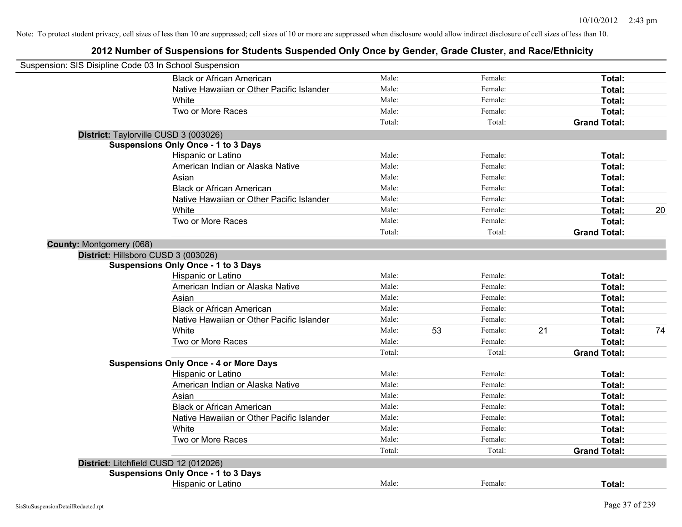| Suspension: SIS Disipline Code 03 In School Suspension |                                               |        |    |         |    |                     |    |
|--------------------------------------------------------|-----------------------------------------------|--------|----|---------|----|---------------------|----|
|                                                        | <b>Black or African American</b>              | Male:  |    | Female: |    | Total:              |    |
|                                                        | Native Hawaiian or Other Pacific Islander     | Male:  |    | Female: |    | Total:              |    |
|                                                        | White                                         | Male:  |    | Female: |    | Total:              |    |
|                                                        | Two or More Races                             | Male:  |    | Female: |    | Total:              |    |
|                                                        |                                               | Total: |    | Total:  |    | <b>Grand Total:</b> |    |
|                                                        | District: Taylorville CUSD 3 (003026)         |        |    |         |    |                     |    |
|                                                        | <b>Suspensions Only Once - 1 to 3 Days</b>    |        |    |         |    |                     |    |
|                                                        | Hispanic or Latino                            | Male:  |    | Female: |    | Total:              |    |
|                                                        | American Indian or Alaska Native              | Male:  |    | Female: |    | Total:              |    |
|                                                        | Asian                                         | Male:  |    | Female: |    | Total:              |    |
|                                                        | <b>Black or African American</b>              | Male:  |    | Female: |    | Total:              |    |
|                                                        | Native Hawaiian or Other Pacific Islander     | Male:  |    | Female: |    | Total:              |    |
|                                                        | White                                         | Male:  |    | Female: |    | Total:              | 20 |
|                                                        | Two or More Races                             | Male:  |    | Female: |    | Total:              |    |
|                                                        |                                               | Total: |    | Total:  |    | <b>Grand Total:</b> |    |
| County: Montgomery (068)                               |                                               |        |    |         |    |                     |    |
|                                                        | District: Hillsboro CUSD 3 (003026)           |        |    |         |    |                     |    |
|                                                        | <b>Suspensions Only Once - 1 to 3 Days</b>    |        |    |         |    |                     |    |
|                                                        | Hispanic or Latino                            | Male:  |    | Female: |    | Total:              |    |
|                                                        | American Indian or Alaska Native              | Male:  |    | Female: |    | Total:              |    |
|                                                        | Asian                                         | Male:  |    | Female: |    | Total:              |    |
|                                                        | <b>Black or African American</b>              | Male:  |    | Female: |    | Total:              |    |
|                                                        | Native Hawaiian or Other Pacific Islander     | Male:  |    | Female: |    | Total:              |    |
|                                                        | White                                         | Male:  | 53 | Female: | 21 | Total:              | 74 |
|                                                        | Two or More Races                             | Male:  |    | Female: |    | Total:              |    |
|                                                        |                                               | Total: |    | Total:  |    | <b>Grand Total:</b> |    |
|                                                        | <b>Suspensions Only Once - 4 or More Days</b> |        |    |         |    |                     |    |
|                                                        | Hispanic or Latino                            | Male:  |    | Female: |    | Total:              |    |
|                                                        | American Indian or Alaska Native              | Male:  |    | Female: |    | Total:              |    |
|                                                        | Asian                                         | Male:  |    | Female: |    | Total:              |    |
|                                                        | <b>Black or African American</b>              | Male:  |    | Female: |    | Total:              |    |
|                                                        | Native Hawaiian or Other Pacific Islander     | Male:  |    | Female: |    | Total:              |    |
|                                                        | White                                         | Male:  |    | Female: |    | Total:              |    |
|                                                        | Two or More Races                             | Male:  |    | Female: |    | Total:              |    |
|                                                        |                                               | Total: |    | Total:  |    | <b>Grand Total:</b> |    |
|                                                        | District: Litchfield CUSD 12 (012026)         |        |    |         |    |                     |    |
|                                                        | <b>Suspensions Only Once - 1 to 3 Days</b>    |        |    |         |    |                     |    |
|                                                        | Hispanic or Latino                            | Male:  |    | Female: |    | Total:              |    |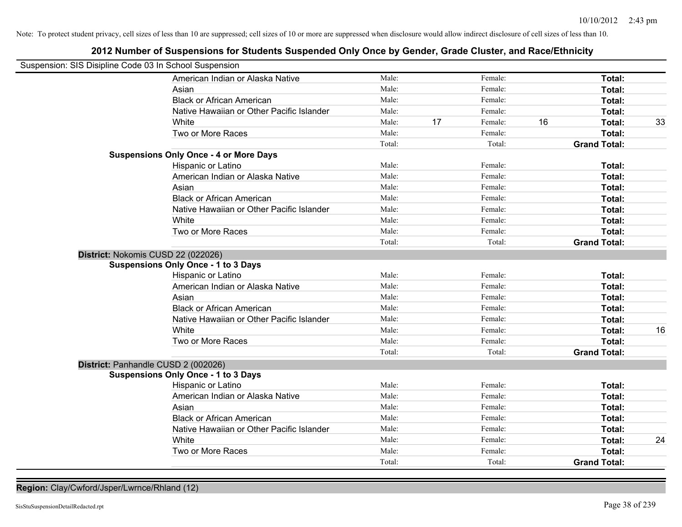# **2012 Number of Suspensions for Students Suspended Only Once by Gender, Grade Cluster, and Race/Ethnicity**

| Suspension: SIS Disipline Code 03 In School Suspension |                                               |        |    |         |    |                     |    |
|--------------------------------------------------------|-----------------------------------------------|--------|----|---------|----|---------------------|----|
|                                                        | American Indian or Alaska Native              | Male:  |    | Female: |    | Total:              |    |
|                                                        | Asian                                         | Male:  |    | Female: |    | Total:              |    |
|                                                        | <b>Black or African American</b>              | Male:  |    | Female: |    | Total:              |    |
|                                                        | Native Hawaiian or Other Pacific Islander     | Male:  |    | Female: |    | Total:              |    |
|                                                        | White                                         | Male:  | 17 | Female: | 16 | Total:              | 33 |
|                                                        | Two or More Races                             | Male:  |    | Female: |    | Total:              |    |
|                                                        |                                               | Total: |    | Total:  |    | <b>Grand Total:</b> |    |
|                                                        | <b>Suspensions Only Once - 4 or More Days</b> |        |    |         |    |                     |    |
|                                                        | Hispanic or Latino                            | Male:  |    | Female: |    | Total:              |    |
|                                                        | American Indian or Alaska Native              | Male:  |    | Female: |    | Total:              |    |
|                                                        | Asian                                         | Male:  |    | Female: |    | Total:              |    |
|                                                        | <b>Black or African American</b>              | Male:  |    | Female: |    | Total:              |    |
|                                                        | Native Hawaiian or Other Pacific Islander     | Male:  |    | Female: |    | Total:              |    |
|                                                        | White                                         | Male:  |    | Female: |    | Total:              |    |
|                                                        | Two or More Races                             | Male:  |    | Female: |    | Total:              |    |
|                                                        |                                               | Total: |    | Total:  |    | <b>Grand Total:</b> |    |
| District: Nokomis CUSD 22 (022026)                     |                                               |        |    |         |    |                     |    |
|                                                        | <b>Suspensions Only Once - 1 to 3 Days</b>    |        |    |         |    |                     |    |
|                                                        | Hispanic or Latino                            | Male:  |    | Female: |    | Total:              |    |
|                                                        | American Indian or Alaska Native              | Male:  |    | Female: |    | Total:              |    |
|                                                        | Asian                                         | Male:  |    | Female: |    | Total:              |    |
|                                                        | <b>Black or African American</b>              | Male:  |    | Female: |    | Total:              |    |
|                                                        | Native Hawaiian or Other Pacific Islander     | Male:  |    | Female: |    | Total:              |    |
|                                                        | White                                         | Male:  |    | Female: |    | Total:              | 16 |
|                                                        | Two or More Races                             | Male:  |    | Female: |    | Total:              |    |
|                                                        |                                               | Total: |    | Total:  |    | <b>Grand Total:</b> |    |
| District: Panhandle CUSD 2 (002026)                    |                                               |        |    |         |    |                     |    |
|                                                        | <b>Suspensions Only Once - 1 to 3 Days</b>    |        |    |         |    |                     |    |
|                                                        | Hispanic or Latino                            | Male:  |    | Female: |    | Total:              |    |
|                                                        | American Indian or Alaska Native              | Male:  |    | Female: |    | Total:              |    |
|                                                        | Asian                                         | Male:  |    | Female: |    | Total:              |    |
|                                                        | <b>Black or African American</b>              | Male:  |    | Female: |    | Total:              |    |
|                                                        | Native Hawaiian or Other Pacific Islander     | Male:  |    | Female: |    | Total:              |    |
|                                                        | White                                         | Male:  |    | Female: |    | Total:              | 24 |
|                                                        | Two or More Races                             | Male:  |    | Female: |    | Total:              |    |
|                                                        |                                               | Total: |    | Total:  |    | <b>Grand Total:</b> |    |

**Region:** Clay/Cwford/Jsper/Lwrnce/Rhland (12)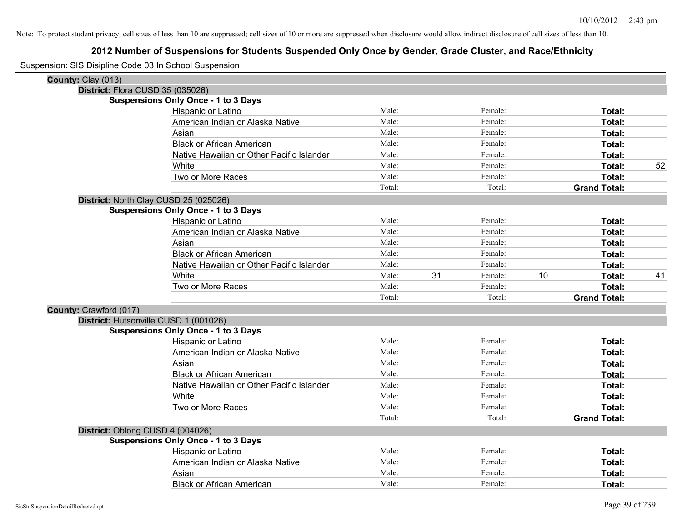| Suspension: SIS Disipline Code 03 In School Suspension |                                            |        |    |         |    |                     |    |
|--------------------------------------------------------|--------------------------------------------|--------|----|---------|----|---------------------|----|
| County: Clay (013)                                     |                                            |        |    |         |    |                     |    |
|                                                        | District: Flora CUSD 35 (035026)           |        |    |         |    |                     |    |
|                                                        | <b>Suspensions Only Once - 1 to 3 Days</b> |        |    |         |    |                     |    |
|                                                        | Hispanic or Latino                         | Male:  |    | Female: |    | Total:              |    |
|                                                        | American Indian or Alaska Native           | Male:  |    | Female: |    | <b>Total:</b>       |    |
|                                                        | Asian                                      | Male:  |    | Female: |    | Total:              |    |
|                                                        | <b>Black or African American</b>           | Male:  |    | Female: |    | Total:              |    |
|                                                        | Native Hawaiian or Other Pacific Islander  | Male:  |    | Female: |    | Total:              |    |
|                                                        | White                                      | Male:  |    | Female: |    | Total:              | 52 |
|                                                        | Two or More Races                          | Male:  |    | Female: |    | Total:              |    |
|                                                        |                                            | Total: |    | Total:  |    | <b>Grand Total:</b> |    |
|                                                        | District: North Clay CUSD 25 (025026)      |        |    |         |    |                     |    |
|                                                        | <b>Suspensions Only Once - 1 to 3 Days</b> |        |    |         |    |                     |    |
|                                                        | Hispanic or Latino                         | Male:  |    | Female: |    | Total:              |    |
|                                                        | American Indian or Alaska Native           | Male:  |    | Female: |    | Total:              |    |
|                                                        | Asian                                      | Male:  |    | Female: |    | Total:              |    |
|                                                        | <b>Black or African American</b>           | Male:  |    | Female: |    | Total:              |    |
|                                                        | Native Hawaiian or Other Pacific Islander  | Male:  |    | Female: |    | Total:              |    |
|                                                        | White                                      | Male:  | 31 | Female: | 10 | Total:              | 41 |
|                                                        | Two or More Races                          | Male:  |    | Female: |    | Total:              |    |
|                                                        |                                            | Total: |    | Total:  |    | <b>Grand Total:</b> |    |
| County: Crawford (017)                                 |                                            |        |    |         |    |                     |    |
|                                                        | District: Hutsonville CUSD 1 (001026)      |        |    |         |    |                     |    |
|                                                        | <b>Suspensions Only Once - 1 to 3 Days</b> |        |    |         |    |                     |    |
|                                                        | Hispanic or Latino                         | Male:  |    | Female: |    | Total:              |    |
|                                                        | American Indian or Alaska Native           | Male:  |    | Female: |    | <b>Total:</b>       |    |
|                                                        | Asian                                      | Male:  |    | Female: |    | Total:              |    |
|                                                        | <b>Black or African American</b>           | Male:  |    | Female: |    | Total:              |    |
|                                                        | Native Hawaiian or Other Pacific Islander  | Male:  |    | Female: |    | Total:              |    |
|                                                        | White                                      | Male:  |    | Female: |    | Total:              |    |
|                                                        | Two or More Races                          | Male:  |    | Female: |    | Total:              |    |
|                                                        |                                            | Total: |    | Total:  |    | <b>Grand Total:</b> |    |
|                                                        | District: Oblong CUSD 4 (004026)           |        |    |         |    |                     |    |
|                                                        | <b>Suspensions Only Once - 1 to 3 Days</b> |        |    |         |    |                     |    |
|                                                        | Hispanic or Latino                         | Male:  |    | Female: |    | Total:              |    |
|                                                        | American Indian or Alaska Native           | Male:  |    | Female: |    | Total:              |    |
|                                                        | Asian                                      | Male:  |    | Female: |    | <b>Total:</b>       |    |
|                                                        | <b>Black or African American</b>           | Male:  |    | Female: |    | Total:              |    |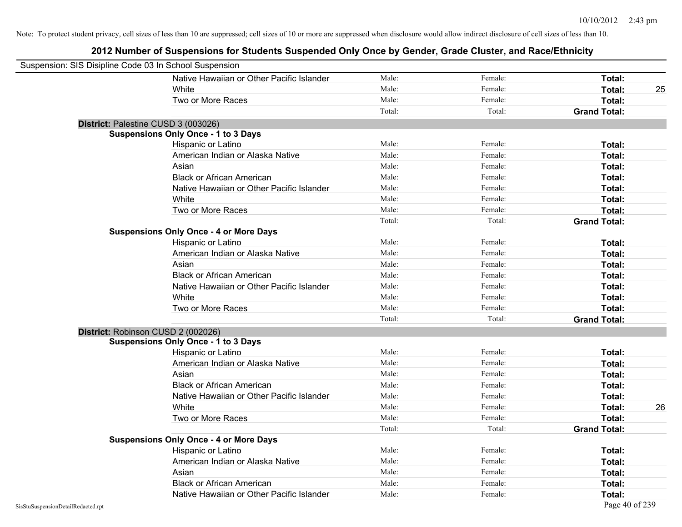| Suspension: SIS Disipline Code 03 In School Suspension |                                               |        |         |                     |    |
|--------------------------------------------------------|-----------------------------------------------|--------|---------|---------------------|----|
|                                                        | Native Hawaiian or Other Pacific Islander     | Male:  | Female: | Total:              |    |
|                                                        | White                                         | Male:  | Female: | Total:              | 25 |
|                                                        | Two or More Races                             | Male:  | Female: | Total:              |    |
|                                                        |                                               | Total: | Total:  | <b>Grand Total:</b> |    |
| District: Palestine CUSD 3 (003026)                    |                                               |        |         |                     |    |
|                                                        | <b>Suspensions Only Once - 1 to 3 Days</b>    |        |         |                     |    |
|                                                        | Hispanic or Latino                            | Male:  | Female: | Total:              |    |
|                                                        | American Indian or Alaska Native              | Male:  | Female: | Total:              |    |
|                                                        | Asian                                         | Male:  | Female: | Total:              |    |
|                                                        | <b>Black or African American</b>              | Male:  | Female: | Total:              |    |
|                                                        | Native Hawaiian or Other Pacific Islander     | Male:  | Female: | Total:              |    |
|                                                        | White                                         | Male:  | Female: | Total:              |    |
|                                                        | Two or More Races                             | Male:  | Female: | Total:              |    |
|                                                        |                                               | Total: | Total:  | <b>Grand Total:</b> |    |
|                                                        | <b>Suspensions Only Once - 4 or More Days</b> |        |         |                     |    |
|                                                        | Hispanic or Latino                            | Male:  | Female: | Total:              |    |
|                                                        | American Indian or Alaska Native              | Male:  | Female: | Total:              |    |
|                                                        | Asian                                         | Male:  | Female: | Total:              |    |
|                                                        | <b>Black or African American</b>              | Male:  | Female: | Total:              |    |
|                                                        | Native Hawaiian or Other Pacific Islander     | Male:  | Female: | Total:              |    |
|                                                        | White                                         | Male:  | Female: | Total:              |    |
|                                                        | Two or More Races                             | Male:  | Female: | Total:              |    |
|                                                        |                                               | Total: | Total:  | <b>Grand Total:</b> |    |
| District: Robinson CUSD 2 (002026)                     |                                               |        |         |                     |    |
|                                                        | <b>Suspensions Only Once - 1 to 3 Days</b>    |        |         |                     |    |
|                                                        | Hispanic or Latino                            | Male:  | Female: | Total:              |    |
|                                                        | American Indian or Alaska Native              | Male:  | Female: | Total:              |    |
|                                                        | Asian                                         | Male:  | Female: | Total:              |    |
|                                                        | <b>Black or African American</b>              | Male:  | Female: | Total:              |    |
|                                                        | Native Hawaiian or Other Pacific Islander     | Male:  | Female: | Total:              |    |
|                                                        | White                                         | Male:  | Female: | Total:              | 26 |
|                                                        | Two or More Races                             | Male:  | Female: | Total:              |    |
|                                                        |                                               | Total: | Total:  | <b>Grand Total:</b> |    |
|                                                        | <b>Suspensions Only Once - 4 or More Days</b> |        |         |                     |    |
|                                                        | Hispanic or Latino                            | Male:  | Female: | Total:              |    |
|                                                        | American Indian or Alaska Native              | Male:  | Female: | Total:              |    |
|                                                        | Asian                                         | Male:  | Female: | Total:              |    |
|                                                        | <b>Black or African American</b>              | Male:  | Female: | Total:              |    |
|                                                        | Native Hawaiian or Other Pacific Islander     | Male:  | Female: | Total:              |    |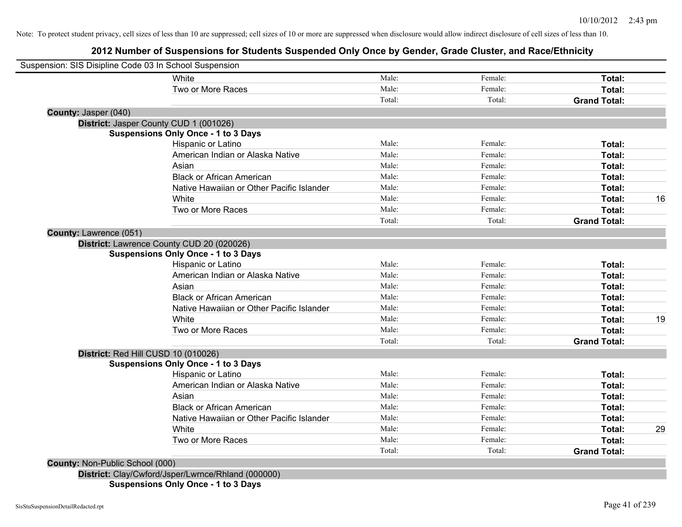# **2012 Number of Suspensions for Students Suspended Only Once by Gender, Grade Cluster, and Race/Ethnicity**

|                                 | Suspension: SIS Disipline Code 03 In School Suspension |        |         |                     |    |
|---------------------------------|--------------------------------------------------------|--------|---------|---------------------|----|
|                                 | White                                                  | Male:  | Female: | Total:              |    |
|                                 | Two or More Races                                      | Male:  | Female: | Total:              |    |
|                                 |                                                        | Total: | Total:  | <b>Grand Total:</b> |    |
| County: Jasper (040)            |                                                        |        |         |                     |    |
|                                 | District: Jasper County CUD 1 (001026)                 |        |         |                     |    |
|                                 | <b>Suspensions Only Once - 1 to 3 Days</b>             |        |         |                     |    |
|                                 | Hispanic or Latino                                     | Male:  | Female: | Total:              |    |
|                                 | American Indian or Alaska Native                       | Male:  | Female: | Total:              |    |
|                                 | Asian                                                  | Male:  | Female: | Total:              |    |
|                                 | <b>Black or African American</b>                       | Male:  | Female: | Total:              |    |
|                                 | Native Hawaiian or Other Pacific Islander              | Male:  | Female: | Total:              |    |
|                                 | White                                                  | Male:  | Female: | Total:              | 16 |
|                                 | Two or More Races                                      | Male:  | Female: | Total:              |    |
|                                 |                                                        | Total: | Total:  | <b>Grand Total:</b> |    |
| County: Lawrence (051)          |                                                        |        |         |                     |    |
|                                 | District: Lawrence County CUD 20 (020026)              |        |         |                     |    |
|                                 | <b>Suspensions Only Once - 1 to 3 Days</b>             |        |         |                     |    |
|                                 | Hispanic or Latino                                     | Male:  | Female: | Total:              |    |
|                                 | American Indian or Alaska Native                       | Male:  | Female: | Total:              |    |
|                                 | Asian                                                  | Male:  | Female: | Total:              |    |
|                                 | <b>Black or African American</b>                       | Male:  | Female: | Total:              |    |
|                                 | Native Hawaiian or Other Pacific Islander              | Male:  | Female: | Total:              |    |
|                                 | White                                                  | Male:  | Female: | Total:              | 19 |
|                                 | Two or More Races                                      | Male:  | Female: | <b>Total:</b>       |    |
|                                 |                                                        | Total: | Total:  | <b>Grand Total:</b> |    |
|                                 | District: Red Hill CUSD 10 (010026)                    |        |         |                     |    |
|                                 | <b>Suspensions Only Once - 1 to 3 Days</b>             |        |         |                     |    |
|                                 | Hispanic or Latino                                     | Male:  | Female: | Total:              |    |
|                                 | American Indian or Alaska Native                       | Male:  | Female: | Total:              |    |
|                                 | Asian                                                  | Male:  | Female: | Total:              |    |
|                                 | <b>Black or African American</b>                       | Male:  | Female: | Total:              |    |
|                                 | Native Hawaiian or Other Pacific Islander              | Male:  | Female: | Total:              |    |
|                                 | White                                                  | Male:  | Female: | Total:              | 29 |
|                                 | Two or More Races                                      | Male:  | Female: | Total:              |    |
|                                 |                                                        | Total: | Total:  | <b>Grand Total:</b> |    |
| County: Non-Public School (000) |                                                        |        |         |                     |    |
|                                 | District: Clay/Cwford/Jsper/Lwrnce/Rhland (000000)     |        |         |                     |    |
|                                 | $\sim$ $\sim$ $\sim$ $\sim$                            |        |         |                     |    |

**Suspensions Only Once - 1 to 3 Days**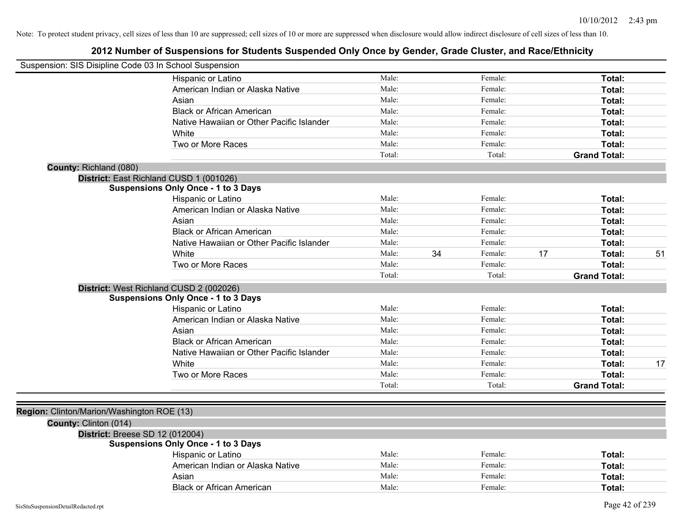| Suspension: SIS Disipline Code 03 In School Suspension |                                            |        |    |         |    |                     |    |
|--------------------------------------------------------|--------------------------------------------|--------|----|---------|----|---------------------|----|
|                                                        | Hispanic or Latino                         | Male:  |    | Female: |    | Total:              |    |
|                                                        | American Indian or Alaska Native           | Male:  |    | Female: |    | Total:              |    |
|                                                        | Asian                                      | Male:  |    | Female: |    | Total:              |    |
|                                                        | <b>Black or African American</b>           | Male:  |    | Female: |    | Total:              |    |
|                                                        | Native Hawaiian or Other Pacific Islander  | Male:  |    | Female: |    | Total:              |    |
|                                                        | White                                      | Male:  |    | Female: |    | Total:              |    |
|                                                        | Two or More Races                          | Male:  |    | Female: |    | Total:              |    |
|                                                        |                                            | Total: |    | Total:  |    | <b>Grand Total:</b> |    |
| County: Richland (080)                                 |                                            |        |    |         |    |                     |    |
|                                                        | District: East Richland CUSD 1 (001026)    |        |    |         |    |                     |    |
|                                                        | <b>Suspensions Only Once - 1 to 3 Days</b> |        |    |         |    |                     |    |
|                                                        | Hispanic or Latino                         | Male:  |    | Female: |    | Total:              |    |
|                                                        | American Indian or Alaska Native           | Male:  |    | Female: |    | Total:              |    |
|                                                        | Asian                                      | Male:  |    | Female: |    | Total:              |    |
|                                                        | <b>Black or African American</b>           | Male:  |    | Female: |    | Total:              |    |
|                                                        | Native Hawaiian or Other Pacific Islander  | Male:  |    | Female: |    | Total:              |    |
|                                                        | White                                      | Male:  | 34 | Female: | 17 | Total:              | 51 |
|                                                        | Two or More Races                          | Male:  |    | Female: |    | Total:              |    |
|                                                        |                                            | Total: |    | Total:  |    | <b>Grand Total:</b> |    |
|                                                        | District: West Richland CUSD 2 (002026)    |        |    |         |    |                     |    |
|                                                        | <b>Suspensions Only Once - 1 to 3 Days</b> |        |    |         |    |                     |    |
|                                                        | Hispanic or Latino                         | Male:  |    | Female: |    | Total:              |    |
|                                                        | American Indian or Alaska Native           | Male:  |    | Female: |    | Total:              |    |
|                                                        | Asian                                      | Male:  |    | Female: |    | Total:              |    |
|                                                        | <b>Black or African American</b>           | Male:  |    | Female: |    | Total:              |    |
|                                                        | Native Hawaiian or Other Pacific Islander  | Male:  |    | Female: |    | Total:              |    |
|                                                        | <b>White</b>                               | Male:  |    | Female: |    | Total:              | 17 |
|                                                        | Two or More Races                          | Male:  |    | Female: |    | Total:              |    |
|                                                        |                                            | Total: |    | Total:  |    | <b>Grand Total:</b> |    |
|                                                        |                                            |        |    |         |    |                     |    |
| Region: Clinton/Marion/Washington ROE (13)             |                                            |        |    |         |    |                     |    |
| County: Clinton (014)                                  |                                            |        |    |         |    |                     |    |
| District: Breese SD 12 (012004)                        |                                            |        |    |         |    |                     |    |
|                                                        | <b>Suspensions Only Once - 1 to 3 Days</b> |        |    |         |    |                     |    |
|                                                        | Hispanic or Latino                         | Male:  |    | Female: |    | Total:              |    |
|                                                        | American Indian or Alaska Native           | Male:  |    | Female: |    | Total:              |    |
|                                                        | Asian                                      | Male:  |    | Female: |    | Total:              |    |
|                                                        | <b>Black or African American</b>           | Male:  |    | Female: |    | Total:              |    |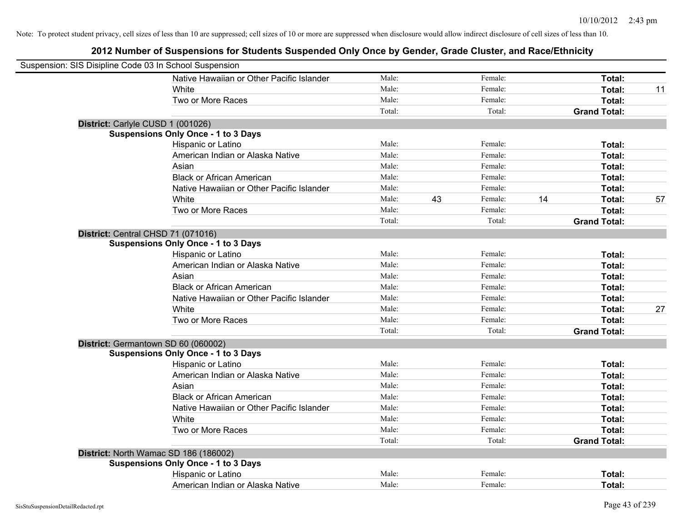| Suspension: SIS Disipline Code 03 In School Suspension |                                            |        |    |         |    |                     |    |
|--------------------------------------------------------|--------------------------------------------|--------|----|---------|----|---------------------|----|
|                                                        | Native Hawaiian or Other Pacific Islander  | Male:  |    | Female: |    | Total:              |    |
|                                                        | White                                      | Male:  |    | Female: |    | Total:              | 11 |
|                                                        | Two or More Races                          | Male:  |    | Female: |    | Total:              |    |
|                                                        |                                            | Total: |    | Total:  |    | <b>Grand Total:</b> |    |
| District: Carlyle CUSD 1 (001026)                      |                                            |        |    |         |    |                     |    |
|                                                        | <b>Suspensions Only Once - 1 to 3 Days</b> |        |    |         |    |                     |    |
|                                                        | Hispanic or Latino                         | Male:  |    | Female: |    | Total:              |    |
|                                                        | American Indian or Alaska Native           | Male:  |    | Female: |    | Total:              |    |
|                                                        | Asian                                      | Male:  |    | Female: |    | Total:              |    |
|                                                        | <b>Black or African American</b>           | Male:  |    | Female: |    | Total:              |    |
|                                                        | Native Hawaiian or Other Pacific Islander  | Male:  |    | Female: |    | Total:              |    |
|                                                        | White                                      | Male:  | 43 | Female: | 14 | Total:              | 57 |
|                                                        | Two or More Races                          | Male:  |    | Female: |    | Total:              |    |
|                                                        |                                            | Total: |    | Total:  |    | <b>Grand Total:</b> |    |
| District: Central CHSD 71 (071016)                     |                                            |        |    |         |    |                     |    |
|                                                        | <b>Suspensions Only Once - 1 to 3 Days</b> |        |    |         |    |                     |    |
|                                                        | Hispanic or Latino                         | Male:  |    | Female: |    | Total:              |    |
|                                                        | American Indian or Alaska Native           | Male:  |    | Female: |    | Total:              |    |
|                                                        | Asian                                      | Male:  |    | Female: |    | Total:              |    |
|                                                        | <b>Black or African American</b>           | Male:  |    | Female: |    | Total:              |    |
|                                                        | Native Hawaiian or Other Pacific Islander  | Male:  |    | Female: |    | Total:              |    |
|                                                        | White                                      | Male:  |    | Female: |    | Total:              | 27 |
|                                                        | Two or More Races                          | Male:  |    | Female: |    | Total:              |    |
|                                                        |                                            | Total: |    | Total:  |    | <b>Grand Total:</b> |    |
|                                                        | District: Germantown SD 60 (060002)        |        |    |         |    |                     |    |
|                                                        | <b>Suspensions Only Once - 1 to 3 Days</b> |        |    |         |    |                     |    |
|                                                        | Hispanic or Latino                         | Male:  |    | Female: |    | Total:              |    |
|                                                        | American Indian or Alaska Native           | Male:  |    | Female: |    | Total:              |    |
|                                                        | Asian                                      | Male:  |    | Female: |    | Total:              |    |
|                                                        | <b>Black or African American</b>           | Male:  |    | Female: |    | Total:              |    |
|                                                        | Native Hawaiian or Other Pacific Islander  | Male:  |    | Female: |    | Total:              |    |
|                                                        | White                                      | Male:  |    | Female: |    | Total:              |    |
|                                                        | Two or More Races                          | Male:  |    | Female: |    | Total:              |    |
|                                                        |                                            | Total: |    | Total:  |    | <b>Grand Total:</b> |    |
|                                                        | District: North Wamac SD 186 (186002)      |        |    |         |    |                     |    |
|                                                        | <b>Suspensions Only Once - 1 to 3 Days</b> |        |    |         |    |                     |    |
|                                                        | Hispanic or Latino                         | Male:  |    | Female: |    | Total:              |    |
|                                                        | American Indian or Alaska Native           | Male:  |    | Female: |    | Total:              |    |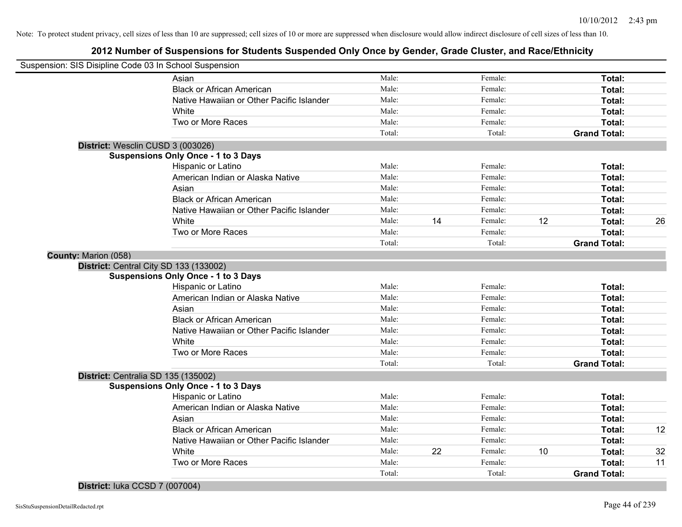# **2012 Number of Suspensions for Students Suspended Only Once by Gender, Grade Cluster, and Race/Ethnicity**

| Suspension: SIS Disipline Code 03 In School Suspension |                                            |        |    |         |    |                     |    |
|--------------------------------------------------------|--------------------------------------------|--------|----|---------|----|---------------------|----|
|                                                        | Asian                                      | Male:  |    | Female: |    | Total:              |    |
|                                                        | <b>Black or African American</b>           | Male:  |    | Female: |    | Total:              |    |
|                                                        | Native Hawaiian or Other Pacific Islander  | Male:  |    | Female: |    | Total:              |    |
|                                                        | White                                      | Male:  |    | Female: |    | Total:              |    |
|                                                        | Two or More Races                          | Male:  |    | Female: |    | Total:              |    |
|                                                        |                                            | Total: |    | Total:  |    | <b>Grand Total:</b> |    |
| District: Wesclin CUSD 3 (003026)                      |                                            |        |    |         |    |                     |    |
|                                                        | <b>Suspensions Only Once - 1 to 3 Days</b> |        |    |         |    |                     |    |
|                                                        | Hispanic or Latino                         | Male:  |    | Female: |    | Total:              |    |
|                                                        | American Indian or Alaska Native           | Male:  |    | Female: |    | Total:              |    |
|                                                        | Asian                                      | Male:  |    | Female: |    | Total:              |    |
|                                                        | <b>Black or African American</b>           | Male:  |    | Female: |    | Total:              |    |
|                                                        | Native Hawaiian or Other Pacific Islander  | Male:  |    | Female: |    | Total:              |    |
|                                                        | White                                      | Male:  | 14 | Female: | 12 | Total:              | 26 |
|                                                        | Two or More Races                          | Male:  |    | Female: |    | Total:              |    |
|                                                        |                                            | Total: |    | Total:  |    | <b>Grand Total:</b> |    |
| County: Marion (058)                                   |                                            |        |    |         |    |                     |    |
|                                                        | District: Central City SD 133 (133002)     |        |    |         |    |                     |    |
|                                                        | <b>Suspensions Only Once - 1 to 3 Days</b> |        |    |         |    |                     |    |
|                                                        | Hispanic or Latino                         | Male:  |    | Female: |    | Total:              |    |
|                                                        | American Indian or Alaska Native           | Male:  |    | Female: |    | Total:              |    |
|                                                        | Asian                                      | Male:  |    | Female: |    | Total:              |    |
|                                                        | <b>Black or African American</b>           | Male:  |    | Female: |    | Total:              |    |
|                                                        | Native Hawaiian or Other Pacific Islander  | Male:  |    | Female: |    | Total:              |    |
|                                                        | White                                      | Male:  |    | Female: |    | Total:              |    |
|                                                        | Two or More Races                          | Male:  |    | Female: |    | Total:              |    |
|                                                        |                                            | Total: |    | Total:  |    | <b>Grand Total:</b> |    |
| District: Centralia SD 135 (135002)                    |                                            |        |    |         |    |                     |    |
|                                                        | <b>Suspensions Only Once - 1 to 3 Days</b> |        |    |         |    |                     |    |
|                                                        | Hispanic or Latino                         | Male:  |    | Female: |    | Total:              |    |
|                                                        | American Indian or Alaska Native           | Male:  |    | Female: |    | Total:              |    |
|                                                        | Asian                                      | Male:  |    | Female: |    | Total:              |    |
|                                                        | <b>Black or African American</b>           | Male:  |    | Female: |    | Total:              | 12 |
|                                                        | Native Hawaiian or Other Pacific Islander  | Male:  |    | Female: |    | Total:              |    |
|                                                        | White                                      | Male:  | 22 | Female: | 10 | Total:              | 32 |
|                                                        | Two or More Races                          | Male:  |    | Female: |    | <b>Total:</b>       | 11 |
|                                                        |                                            | Total: |    | Total:  |    | <b>Grand Total:</b> |    |

**District:** Iuka CCSD 7 (007004)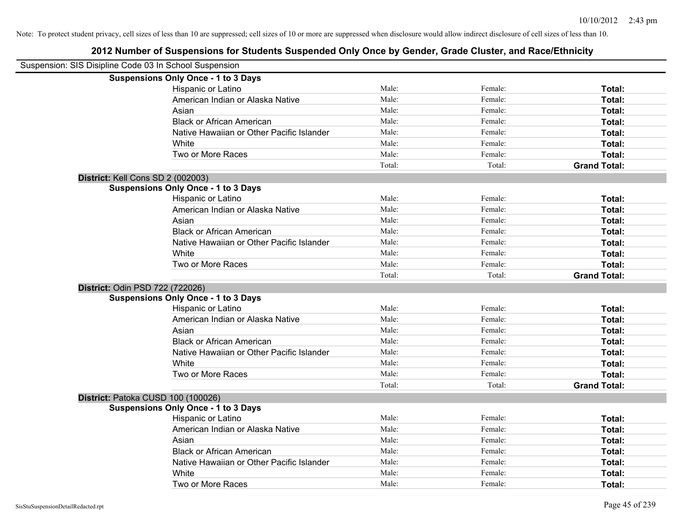| Suspension: SIS Disipline Code 03 In School Suspension |        |         |                     |
|--------------------------------------------------------|--------|---------|---------------------|
| <b>Suspensions Only Once - 1 to 3 Days</b>             |        |         |                     |
| Hispanic or Latino                                     | Male:  | Female: | Total:              |
| American Indian or Alaska Native                       | Male:  | Female: | Total:              |
| Asian                                                  | Male:  | Female: | Total:              |
| <b>Black or African American</b>                       | Male:  | Female: | Total:              |
| Native Hawaiian or Other Pacific Islander              | Male:  | Female: | Total:              |
| White                                                  | Male:  | Female: | Total:              |
| Two or More Races                                      | Male:  | Female: | Total:              |
|                                                        | Total: | Total:  | <b>Grand Total:</b> |
| District: Kell Cons SD 2 (002003)                      |        |         |                     |
| <b>Suspensions Only Once - 1 to 3 Days</b>             |        |         |                     |
| Hispanic or Latino                                     | Male:  | Female: | Total:              |
| American Indian or Alaska Native                       | Male:  | Female: | Total:              |
| Asian                                                  | Male:  | Female: | Total:              |
| <b>Black or African American</b>                       | Male:  | Female: | Total:              |
| Native Hawaiian or Other Pacific Islander              | Male:  | Female: | Total:              |
| White                                                  | Male:  | Female: | Total:              |
| Two or More Races                                      | Male:  | Female: | Total:              |
|                                                        | Total: | Total:  | <b>Grand Total:</b> |
| District: Odin PSD 722 (722026)                        |        |         |                     |
| <b>Suspensions Only Once - 1 to 3 Days</b>             |        |         |                     |
| Hispanic or Latino                                     | Male:  | Female: | Total:              |
| American Indian or Alaska Native                       | Male:  | Female: | Total:              |
| Asian                                                  | Male:  | Female: | Total:              |
| <b>Black or African American</b>                       | Male:  | Female: | Total:              |
| Native Hawaiian or Other Pacific Islander              | Male:  | Female: | Total:              |
| White                                                  | Male:  | Female: | Total:              |
| Two or More Races                                      | Male:  | Female: | Total:              |
|                                                        | Total: | Total:  | <b>Grand Total:</b> |
| District: Patoka CUSD 100 (100026)                     |        |         |                     |
| <b>Suspensions Only Once - 1 to 3 Days</b>             |        |         |                     |
| Hispanic or Latino                                     | Male:  | Female: | Total:              |
| American Indian or Alaska Native                       | Male:  | Female: | Total:              |
| Asian                                                  | Male:  | Female: | Total:              |
| <b>Black or African American</b>                       | Male:  | Female: | Total:              |
| Native Hawaiian or Other Pacific Islander              | Male:  | Female: | Total:              |
| White                                                  | Male:  | Female: | Total:              |
| Two or More Races                                      | Male:  | Female: | Total:              |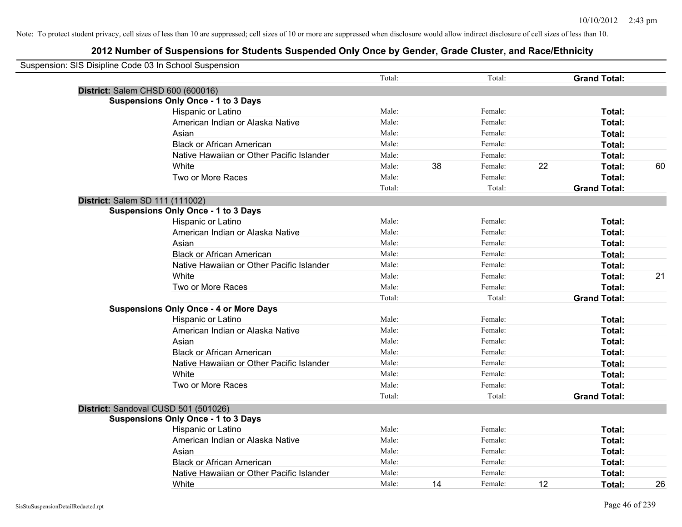| Suspension: SIS Disipline Code 03 In School Suspension |                                               |        |    |         |    |                     |    |
|--------------------------------------------------------|-----------------------------------------------|--------|----|---------|----|---------------------|----|
|                                                        |                                               | Total: |    | Total:  |    | <b>Grand Total:</b> |    |
| District: Salem CHSD 600 (600016)                      |                                               |        |    |         |    |                     |    |
|                                                        | <b>Suspensions Only Once - 1 to 3 Days</b>    |        |    |         |    |                     |    |
|                                                        | Hispanic or Latino                            | Male:  |    | Female: |    | Total:              |    |
|                                                        | American Indian or Alaska Native              | Male:  |    | Female: |    | Total:              |    |
|                                                        | Asian                                         | Male:  |    | Female: |    | Total:              |    |
|                                                        | <b>Black or African American</b>              | Male:  |    | Female: |    | Total:              |    |
|                                                        | Native Hawaiian or Other Pacific Islander     | Male:  |    | Female: |    | Total:              |    |
|                                                        | White                                         | Male:  | 38 | Female: | 22 | Total:              | 60 |
|                                                        | Two or More Races                             | Male:  |    | Female: |    | Total:              |    |
|                                                        |                                               | Total: |    | Total:  |    | <b>Grand Total:</b> |    |
| District: Salem SD 111 (111002)                        |                                               |        |    |         |    |                     |    |
|                                                        | <b>Suspensions Only Once - 1 to 3 Days</b>    |        |    |         |    |                     |    |
|                                                        | Hispanic or Latino                            | Male:  |    | Female: |    | Total:              |    |
|                                                        | American Indian or Alaska Native              | Male:  |    | Female: |    | Total:              |    |
|                                                        | Asian                                         | Male:  |    | Female: |    | Total:              |    |
|                                                        | <b>Black or African American</b>              | Male:  |    | Female: |    | Total:              |    |
|                                                        | Native Hawaiian or Other Pacific Islander     | Male:  |    | Female: |    | Total:              |    |
|                                                        | White                                         | Male:  |    | Female: |    | Total:              | 21 |
|                                                        | Two or More Races                             | Male:  |    | Female: |    | Total:              |    |
|                                                        |                                               | Total: |    | Total:  |    | <b>Grand Total:</b> |    |
|                                                        | <b>Suspensions Only Once - 4 or More Days</b> |        |    |         |    |                     |    |
|                                                        | Hispanic or Latino                            | Male:  |    | Female: |    | Total:              |    |
|                                                        | American Indian or Alaska Native              | Male:  |    | Female: |    | Total:              |    |
|                                                        | Asian                                         | Male:  |    | Female: |    | Total:              |    |
|                                                        | <b>Black or African American</b>              | Male:  |    | Female: |    | Total:              |    |
|                                                        | Native Hawaiian or Other Pacific Islander     | Male:  |    | Female: |    | Total:              |    |
|                                                        | White                                         | Male:  |    | Female: |    | Total:              |    |
|                                                        | Two or More Races                             | Male:  |    | Female: |    | Total:              |    |
|                                                        |                                               | Total: |    | Total:  |    | <b>Grand Total:</b> |    |
| District: Sandoval CUSD 501 (501026)                   |                                               |        |    |         |    |                     |    |
|                                                        | <b>Suspensions Only Once - 1 to 3 Days</b>    |        |    |         |    |                     |    |
|                                                        | Hispanic or Latino                            | Male:  |    | Female: |    | Total:              |    |
|                                                        | American Indian or Alaska Native              | Male:  |    | Female: |    | Total:              |    |
|                                                        | Asian                                         | Male:  |    | Female: |    | Total:              |    |
|                                                        | <b>Black or African American</b>              | Male:  |    | Female: |    | Total:              |    |
|                                                        | Native Hawaiian or Other Pacific Islander     | Male:  |    | Female: |    | Total:              |    |
|                                                        | White                                         | Male:  | 14 | Female: | 12 | Total:              | 26 |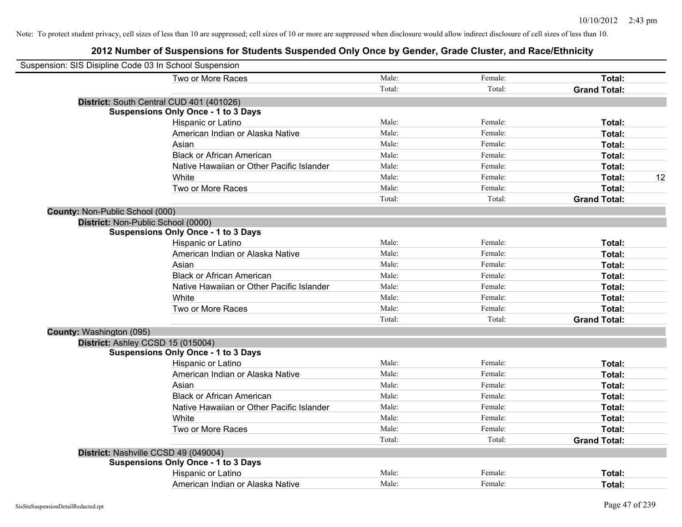|                                 | Suspension: SIS Disipline Code 03 In School Suspension |        |         |                     |
|---------------------------------|--------------------------------------------------------|--------|---------|---------------------|
|                                 | Two or More Races                                      | Male:  | Female: | Total:              |
|                                 |                                                        | Total: | Total:  | <b>Grand Total:</b> |
|                                 | District: South Central CUD 401 (401026)               |        |         |                     |
|                                 | <b>Suspensions Only Once - 1 to 3 Days</b>             |        |         |                     |
|                                 | Hispanic or Latino                                     | Male:  | Female: | Total:              |
|                                 | American Indian or Alaska Native                       | Male:  | Female: | Total:              |
|                                 | Asian                                                  | Male:  | Female: | Total:              |
|                                 | <b>Black or African American</b>                       | Male:  | Female: | Total:              |
|                                 | Native Hawaiian or Other Pacific Islander              | Male:  | Female: | Total:              |
|                                 | White                                                  | Male:  | Female: | 12<br>Total:        |
|                                 | Two or More Races                                      | Male:  | Female: | Total:              |
|                                 |                                                        | Total: | Total:  | <b>Grand Total:</b> |
| County: Non-Public School (000) |                                                        |        |         |                     |
|                                 | District: Non-Public School (0000)                     |        |         |                     |
|                                 | <b>Suspensions Only Once - 1 to 3 Days</b>             |        |         |                     |
|                                 | Hispanic or Latino                                     | Male:  | Female: | Total:              |
|                                 | American Indian or Alaska Native                       | Male:  | Female: | Total:              |
|                                 | Asian                                                  | Male:  | Female: | Total:              |
|                                 | <b>Black or African American</b>                       | Male:  | Female: | Total:              |
|                                 | Native Hawaiian or Other Pacific Islander              | Male:  | Female: | Total:              |
|                                 | White                                                  | Male:  | Female: | Total:              |
|                                 | Two or More Races                                      | Male:  | Female: | Total:              |
|                                 |                                                        | Total: | Total:  | <b>Grand Total:</b> |
| County: Washington (095)        |                                                        |        |         |                     |
|                                 | District: Ashley CCSD 15 (015004)                      |        |         |                     |
|                                 | <b>Suspensions Only Once - 1 to 3 Days</b>             |        |         |                     |
|                                 | Hispanic or Latino                                     | Male:  | Female: | Total:              |
|                                 | American Indian or Alaska Native                       | Male:  | Female: | Total:              |
|                                 | Asian                                                  | Male:  | Female: | Total:              |
|                                 | <b>Black or African American</b>                       | Male:  | Female: | Total:              |
|                                 | Native Hawaiian or Other Pacific Islander              | Male:  | Female: | Total:              |
|                                 | White                                                  | Male:  | Female: | Total:              |
|                                 | Two or More Races                                      | Male:  | Female: | Total:              |
|                                 |                                                        | Total: | Total:  | <b>Grand Total:</b> |
|                                 | District: Nashville CCSD 49 (049004)                   |        |         |                     |
|                                 | <b>Suspensions Only Once - 1 to 3 Days</b>             |        |         |                     |
|                                 | Hispanic or Latino                                     | Male:  | Female: | Total:              |
|                                 | American Indian or Alaska Native                       | Male:  | Female: | Total:              |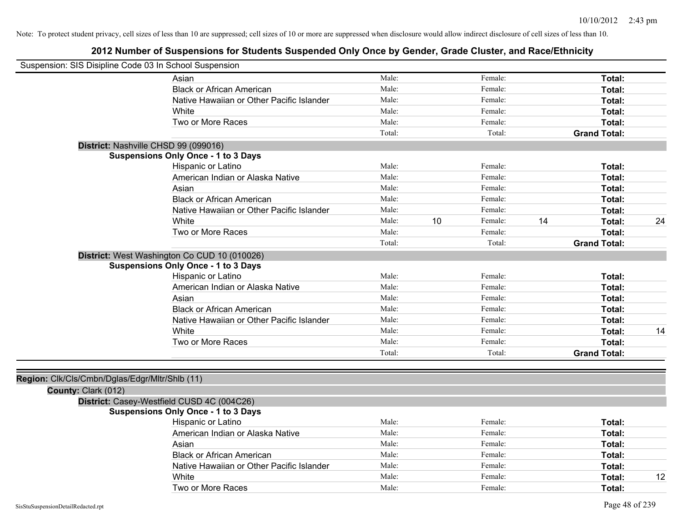|                                                | Suspension: SIS Disipline Code 03 In School Suspension |        |    |         |    |                     |    |
|------------------------------------------------|--------------------------------------------------------|--------|----|---------|----|---------------------|----|
|                                                | Asian                                                  | Male:  |    | Female: |    | Total:              |    |
|                                                | <b>Black or African American</b>                       | Male:  |    | Female: |    | Total:              |    |
|                                                | Native Hawaiian or Other Pacific Islander              | Male:  |    | Female: |    | Total:              |    |
|                                                | White                                                  | Male:  |    | Female: |    | Total:              |    |
|                                                | Two or More Races                                      | Male:  |    | Female: |    | Total:              |    |
|                                                |                                                        | Total: |    | Total:  |    | <b>Grand Total:</b> |    |
|                                                | District: Nashville CHSD 99 (099016)                   |        |    |         |    |                     |    |
|                                                | <b>Suspensions Only Once - 1 to 3 Days</b>             |        |    |         |    |                     |    |
|                                                | Hispanic or Latino                                     | Male:  |    | Female: |    | Total:              |    |
|                                                | American Indian or Alaska Native                       | Male:  |    | Female: |    | Total:              |    |
|                                                | Asian                                                  | Male:  |    | Female: |    | Total:              |    |
|                                                | <b>Black or African American</b>                       | Male:  |    | Female: |    | Total:              |    |
|                                                | Native Hawaiian or Other Pacific Islander              | Male:  |    | Female: |    | Total:              |    |
|                                                | White                                                  | Male:  | 10 | Female: | 14 | Total:              | 24 |
|                                                | Two or More Races                                      | Male:  |    | Female: |    | Total:              |    |
|                                                |                                                        | Total: |    | Total:  |    | <b>Grand Total:</b> |    |
|                                                | District: West Washington Co CUD 10 (010026)           |        |    |         |    |                     |    |
|                                                | <b>Suspensions Only Once - 1 to 3 Days</b>             |        |    |         |    |                     |    |
|                                                | Hispanic or Latino                                     | Male:  |    | Female: |    | Total:              |    |
|                                                | American Indian or Alaska Native                       | Male:  |    | Female: |    | Total:              |    |
|                                                | Asian                                                  | Male:  |    | Female: |    | Total:              |    |
|                                                | <b>Black or African American</b>                       | Male:  |    | Female: |    | Total:              |    |
|                                                | Native Hawaiian or Other Pacific Islander              | Male:  |    | Female: |    | Total:              |    |
|                                                | White                                                  | Male:  |    | Female: |    | Total:              | 14 |
|                                                | Two or More Races                                      | Male:  |    | Female: |    | Total:              |    |
|                                                |                                                        | Total: |    | Total:  |    | <b>Grand Total:</b> |    |
|                                                |                                                        |        |    |         |    |                     |    |
| Region: Clk/Cls/Cmbn/Dglas/Edgr/Mltr/Shlb (11) |                                                        |        |    |         |    |                     |    |
| County: Clark (012)                            |                                                        |        |    |         |    |                     |    |
|                                                | District: Casey-Westfield CUSD 4C (004C26)             |        |    |         |    |                     |    |
|                                                | <b>Suspensions Only Once - 1 to 3 Days</b>             |        |    |         |    |                     |    |
|                                                | Hispanic or Latino                                     | Male:  |    | Female: |    | Total:              |    |
|                                                | American Indian or Alaska Native                       | Male:  |    | Female: |    | Total:              |    |
|                                                | Asian                                                  | Male:  |    | Female: |    | Total:              |    |
|                                                | <b>Black or African American</b>                       | Male:  |    | Female: |    | Total:              |    |
|                                                | Native Hawaiian or Other Pacific Islander              | Male:  |    | Female: |    | Total:              |    |
|                                                | White                                                  | Male:  |    | Female: |    | Total:              | 12 |
|                                                | Two or More Races                                      | Male:  |    | Female: |    | Total:              |    |
|                                                |                                                        |        |    |         |    |                     |    |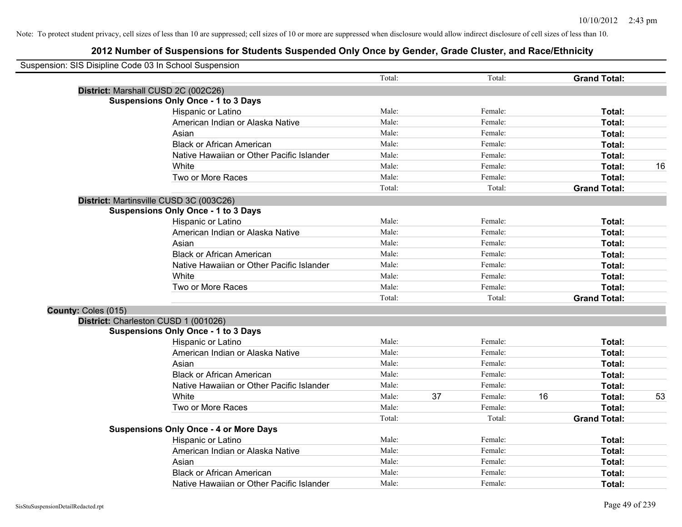| Suspension: SIS Disipline Code 03 In School Suspension |                                               |        |    |         |    |                     |    |
|--------------------------------------------------------|-----------------------------------------------|--------|----|---------|----|---------------------|----|
|                                                        |                                               | Total: |    | Total:  |    | <b>Grand Total:</b> |    |
|                                                        | District: Marshall CUSD 2C (002C26)           |        |    |         |    |                     |    |
|                                                        | <b>Suspensions Only Once - 1 to 3 Days</b>    |        |    |         |    |                     |    |
|                                                        | Hispanic or Latino                            | Male:  |    | Female: |    | Total:              |    |
|                                                        | American Indian or Alaska Native              | Male:  |    | Female: |    | Total:              |    |
|                                                        | Asian                                         | Male:  |    | Female: |    | Total:              |    |
|                                                        | <b>Black or African American</b>              | Male:  |    | Female: |    | Total:              |    |
|                                                        | Native Hawaiian or Other Pacific Islander     | Male:  |    | Female: |    | Total:              |    |
|                                                        | White                                         | Male:  |    | Female: |    | Total:              | 16 |
|                                                        | Two or More Races                             | Male:  |    | Female: |    | Total:              |    |
|                                                        |                                               | Total: |    | Total:  |    | <b>Grand Total:</b> |    |
|                                                        | District: Martinsville CUSD 3C (003C26)       |        |    |         |    |                     |    |
|                                                        | <b>Suspensions Only Once - 1 to 3 Days</b>    |        |    |         |    |                     |    |
|                                                        | Hispanic or Latino                            | Male:  |    | Female: |    | Total:              |    |
|                                                        | American Indian or Alaska Native              | Male:  |    | Female: |    | Total:              |    |
|                                                        | Asian                                         | Male:  |    | Female: |    | Total:              |    |
|                                                        | <b>Black or African American</b>              | Male:  |    | Female: |    | Total:              |    |
|                                                        | Native Hawaiian or Other Pacific Islander     | Male:  |    | Female: |    | Total:              |    |
|                                                        | White                                         | Male:  |    | Female: |    | Total:              |    |
|                                                        | Two or More Races                             | Male:  |    | Female: |    | Total:              |    |
|                                                        |                                               | Total: |    | Total:  |    | <b>Grand Total:</b> |    |
| County: Coles (015)                                    |                                               |        |    |         |    |                     |    |
|                                                        | District: Charleston CUSD 1 (001026)          |        |    |         |    |                     |    |
|                                                        | <b>Suspensions Only Once - 1 to 3 Days</b>    |        |    |         |    |                     |    |
|                                                        | Hispanic or Latino                            | Male:  |    | Female: |    | Total:              |    |
|                                                        | American Indian or Alaska Native              | Male:  |    | Female: |    | Total:              |    |
|                                                        | Asian                                         | Male:  |    | Female: |    | Total:              |    |
|                                                        | <b>Black or African American</b>              | Male:  |    | Female: |    | Total:              |    |
|                                                        | Native Hawaiian or Other Pacific Islander     | Male:  |    | Female: |    | Total:              |    |
|                                                        | White                                         | Male:  | 37 | Female: | 16 | Total:              | 53 |
|                                                        | Two or More Races                             | Male:  |    | Female: |    | Total:              |    |
|                                                        |                                               | Total: |    | Total:  |    | <b>Grand Total:</b> |    |
|                                                        | <b>Suspensions Only Once - 4 or More Days</b> |        |    |         |    |                     |    |
|                                                        | Hispanic or Latino                            | Male:  |    | Female: |    | Total:              |    |
|                                                        | American Indian or Alaska Native              | Male:  |    | Female: |    | Total:              |    |
|                                                        | Asian                                         | Male:  |    | Female: |    | Total:              |    |
|                                                        | <b>Black or African American</b>              | Male:  |    | Female: |    | Total:              |    |
|                                                        | Native Hawaiian or Other Pacific Islander     | Male:  |    | Female: |    | Total:              |    |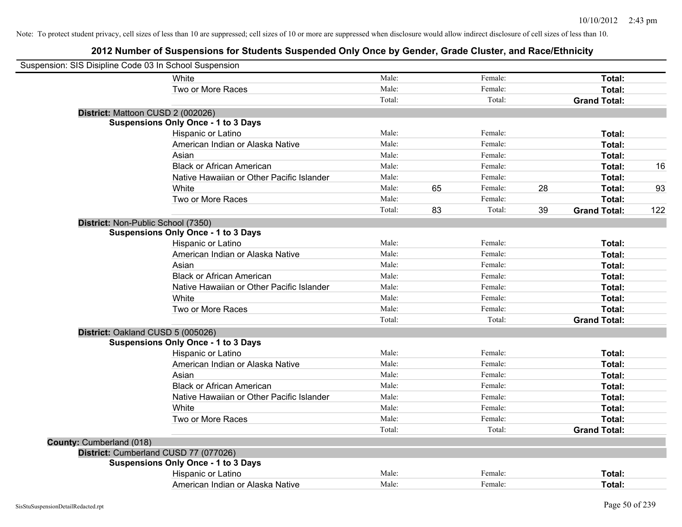| Suspension: SIS Disipline Code 03 In School Suspension |                                            |        |    |         |    |                     |     |
|--------------------------------------------------------|--------------------------------------------|--------|----|---------|----|---------------------|-----|
|                                                        | White                                      | Male:  |    | Female: |    | Total:              |     |
|                                                        | Two or More Races                          | Male:  |    | Female: |    | Total:              |     |
|                                                        |                                            | Total: |    | Total:  |    | <b>Grand Total:</b> |     |
| District: Mattoon CUSD 2 (002026)                      |                                            |        |    |         |    |                     |     |
|                                                        | <b>Suspensions Only Once - 1 to 3 Days</b> |        |    |         |    |                     |     |
|                                                        | Hispanic or Latino                         | Male:  |    | Female: |    | Total:              |     |
|                                                        | American Indian or Alaska Native           | Male:  |    | Female: |    | Total:              |     |
|                                                        | Asian                                      | Male:  |    | Female: |    | Total:              |     |
|                                                        | <b>Black or African American</b>           | Male:  |    | Female: |    | Total:              | 16  |
|                                                        | Native Hawaiian or Other Pacific Islander  | Male:  |    | Female: |    | Total:              |     |
|                                                        | White                                      | Male:  | 65 | Female: | 28 | Total:              | 93  |
|                                                        | Two or More Races                          | Male:  |    | Female: |    | Total:              |     |
|                                                        |                                            | Total: | 83 | Total:  | 39 | <b>Grand Total:</b> | 122 |
| District: Non-Public School (7350)                     |                                            |        |    |         |    |                     |     |
|                                                        | <b>Suspensions Only Once - 1 to 3 Days</b> |        |    |         |    |                     |     |
|                                                        | Hispanic or Latino                         | Male:  |    | Female: |    | Total:              |     |
|                                                        | American Indian or Alaska Native           | Male:  |    | Female: |    | Total:              |     |
|                                                        | Asian                                      | Male:  |    | Female: |    | Total:              |     |
|                                                        | <b>Black or African American</b>           | Male:  |    | Female: |    | Total:              |     |
|                                                        | Native Hawaiian or Other Pacific Islander  | Male:  |    | Female: |    | Total:              |     |
|                                                        | White                                      | Male:  |    | Female: |    | Total:              |     |
|                                                        | Two or More Races                          | Male:  |    | Female: |    | Total:              |     |
|                                                        |                                            | Total: |    | Total:  |    | <b>Grand Total:</b> |     |
| District: Oakland CUSD 5 (005026)                      |                                            |        |    |         |    |                     |     |
|                                                        | <b>Suspensions Only Once - 1 to 3 Days</b> |        |    |         |    |                     |     |
|                                                        | Hispanic or Latino                         | Male:  |    | Female: |    | Total:              |     |
|                                                        | American Indian or Alaska Native           | Male:  |    | Female: |    | Total:              |     |
|                                                        | Asian                                      | Male:  |    | Female: |    | Total:              |     |
|                                                        | <b>Black or African American</b>           | Male:  |    | Female: |    | Total:              |     |
|                                                        | Native Hawaiian or Other Pacific Islander  | Male:  |    | Female: |    | Total:              |     |
|                                                        | White                                      | Male:  |    | Female: |    | Total:              |     |
|                                                        | Two or More Races                          | Male:  |    | Female: |    | Total:              |     |
|                                                        |                                            | Total: |    | Total:  |    | <b>Grand Total:</b> |     |
| County: Cumberland (018)                               |                                            |        |    |         |    |                     |     |
| District: Cumberland CUSD 77 (077026)                  |                                            |        |    |         |    |                     |     |
|                                                        | <b>Suspensions Only Once - 1 to 3 Days</b> |        |    |         |    |                     |     |
|                                                        | Hispanic or Latino                         | Male:  |    | Female: |    | Total:              |     |
|                                                        | American Indian or Alaska Native           | Male:  |    | Female: |    | Total:              |     |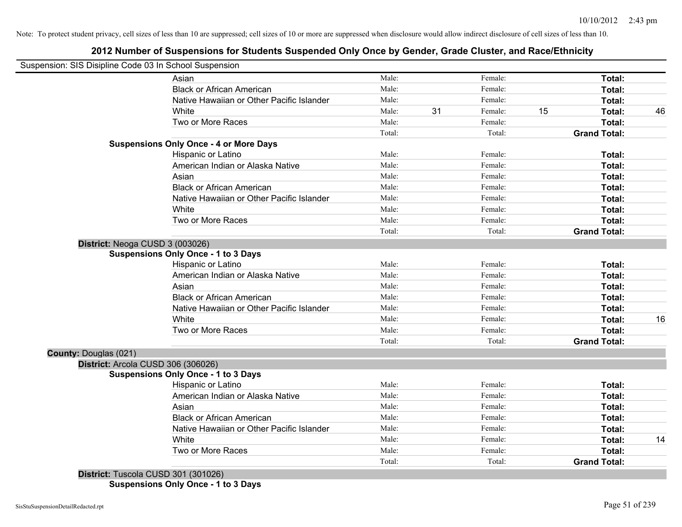# **2012 Number of Suspensions for Students Suspended Only Once by Gender, Grade Cluster, and Race/Ethnicity**

| Suspension: SIS Disipline Code 03 In School Suspension |                                               |        |    |         |    |                     |    |
|--------------------------------------------------------|-----------------------------------------------|--------|----|---------|----|---------------------|----|
|                                                        | Asian                                         | Male:  |    | Female: |    | Total:              |    |
|                                                        | <b>Black or African American</b>              | Male:  |    | Female: |    | Total:              |    |
|                                                        | Native Hawaiian or Other Pacific Islander     | Male:  |    | Female: |    | Total:              |    |
|                                                        | White                                         | Male:  | 31 | Female: | 15 | Total:              | 46 |
|                                                        | Two or More Races                             | Male:  |    | Female: |    | Total:              |    |
|                                                        |                                               | Total: |    | Total:  |    | <b>Grand Total:</b> |    |
|                                                        | <b>Suspensions Only Once - 4 or More Days</b> |        |    |         |    |                     |    |
|                                                        | Hispanic or Latino                            | Male:  |    | Female: |    | Total:              |    |
|                                                        | American Indian or Alaska Native              | Male:  |    | Female: |    | Total:              |    |
|                                                        | Asian                                         | Male:  |    | Female: |    | Total:              |    |
|                                                        | <b>Black or African American</b>              | Male:  |    | Female: |    | Total:              |    |
|                                                        | Native Hawaiian or Other Pacific Islander     | Male:  |    | Female: |    | Total:              |    |
|                                                        | White                                         | Male:  |    | Female: |    | Total:              |    |
|                                                        | Two or More Races                             | Male:  |    | Female: |    | Total:              |    |
|                                                        |                                               | Total: |    | Total:  |    | <b>Grand Total:</b> |    |
| District: Neoga CUSD 3 (003026)                        | <b>Suspensions Only Once - 1 to 3 Days</b>    |        |    |         |    |                     |    |
|                                                        | Hispanic or Latino                            | Male:  |    | Female: |    | Total:              |    |
|                                                        | American Indian or Alaska Native              | Male:  |    | Female: |    | Total:              |    |
|                                                        | Asian                                         | Male:  |    | Female: |    | Total:              |    |
|                                                        | <b>Black or African American</b>              | Male:  |    | Female: |    | Total:              |    |
|                                                        | Native Hawaiian or Other Pacific Islander     | Male:  |    | Female: |    | Total:              |    |
|                                                        | White                                         | Male:  |    | Female: |    | Total:              | 16 |
|                                                        | Two or More Races                             | Male:  |    | Female: |    | Total:              |    |
|                                                        |                                               | Total: |    | Total:  |    | <b>Grand Total:</b> |    |
| County: Douglas (021)                                  |                                               |        |    |         |    |                     |    |
| District: Arcola CUSD 306 (306026)                     |                                               |        |    |         |    |                     |    |
|                                                        | <b>Suspensions Only Once - 1 to 3 Days</b>    |        |    |         |    |                     |    |
|                                                        | Hispanic or Latino                            | Male:  |    | Female: |    | Total:              |    |
|                                                        | American Indian or Alaska Native              | Male:  |    | Female: |    | Total:              |    |
|                                                        | Asian                                         | Male:  |    | Female: |    | Total:              |    |
|                                                        | <b>Black or African American</b>              | Male:  |    | Female: |    | Total:              |    |
|                                                        | Native Hawaiian or Other Pacific Islander     | Male:  |    | Female: |    | Total:              |    |
|                                                        | White                                         | Male:  |    | Female: |    | Total:              | 14 |
|                                                        | Two or More Races                             | Male:  |    | Female: |    | Total:              |    |
| $D_{i}$                                                |                                               | Total: |    | Total:  |    | <b>Grand Total:</b> |    |

**District:** Tuscola CUSD 301 (301026) **Suspensions Only Once - 1 to 3 Days**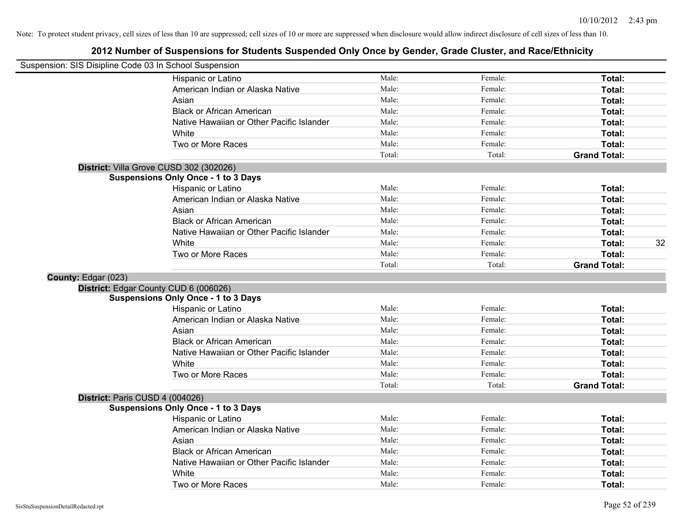| Suspension: SIS Disipline Code 03 In School Suspension |                                            |        |         |                     |
|--------------------------------------------------------|--------------------------------------------|--------|---------|---------------------|
|                                                        | Hispanic or Latino                         | Male:  | Female: | Total:              |
|                                                        | American Indian or Alaska Native           | Male:  | Female: | Total:              |
|                                                        | Asian                                      | Male:  | Female: | Total:              |
|                                                        | <b>Black or African American</b>           | Male:  | Female: | Total:              |
|                                                        | Native Hawaiian or Other Pacific Islander  | Male:  | Female: | Total:              |
|                                                        | White                                      | Male:  | Female: | Total:              |
|                                                        | Two or More Races                          | Male:  | Female: | Total:              |
|                                                        |                                            | Total: | Total:  | <b>Grand Total:</b> |
|                                                        | District: Villa Grove CUSD 302 (302026)    |        |         |                     |
|                                                        | <b>Suspensions Only Once - 1 to 3 Days</b> |        |         |                     |
|                                                        | Hispanic or Latino                         | Male:  | Female: | Total:              |
|                                                        | American Indian or Alaska Native           | Male:  | Female: | Total:              |
|                                                        | Asian                                      | Male:  | Female: | Total:              |
|                                                        | <b>Black or African American</b>           | Male:  | Female: | Total:              |
|                                                        | Native Hawaiian or Other Pacific Islander  | Male:  | Female: | Total:              |
|                                                        | White                                      | Male:  | Female: | 32<br>Total:        |
|                                                        | Two or More Races                          | Male:  | Female: | Total:              |
|                                                        |                                            | Total: | Total:  | <b>Grand Total:</b> |
| County: Edgar (023)                                    |                                            |        |         |                     |
|                                                        | District: Edgar County CUD 6 (006026)      |        |         |                     |
|                                                        | <b>Suspensions Only Once - 1 to 3 Days</b> |        |         |                     |
|                                                        | Hispanic or Latino                         | Male:  | Female: | Total:              |
|                                                        | American Indian or Alaska Native           | Male:  | Female: | Total:              |
|                                                        | Asian                                      | Male:  | Female: | Total:              |
|                                                        | <b>Black or African American</b>           | Male:  | Female: | Total:              |
|                                                        | Native Hawaiian or Other Pacific Islander  | Male:  | Female: | Total:              |
|                                                        | White                                      | Male:  | Female: | Total:              |
|                                                        | Two or More Races                          | Male:  | Female: | Total:              |
|                                                        |                                            | Total: | Total:  | <b>Grand Total:</b> |
| District: Paris CUSD 4 (004026)                        |                                            |        |         |                     |
|                                                        | <b>Suspensions Only Once - 1 to 3 Days</b> |        |         |                     |
|                                                        | Hispanic or Latino                         | Male:  | Female: | Total:              |
|                                                        | American Indian or Alaska Native           | Male:  | Female: | Total:              |
|                                                        | Asian                                      | Male:  | Female: | Total:              |
|                                                        | <b>Black or African American</b>           | Male:  | Female: | Total:              |
|                                                        | Native Hawaiian or Other Pacific Islander  | Male:  | Female: | Total:              |
|                                                        | White                                      | Male:  | Female: | <b>Total:</b>       |
|                                                        | Two or More Races                          | Male:  | Female: | Total:              |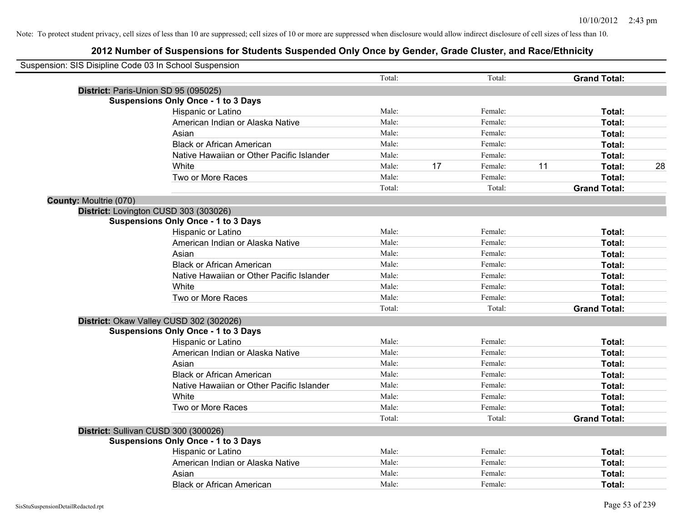| Suspension: SIS Disipline Code 03 In School Suspension |                                            |        |    |         |    |                     |    |
|--------------------------------------------------------|--------------------------------------------|--------|----|---------|----|---------------------|----|
|                                                        |                                            | Total: |    | Total:  |    | <b>Grand Total:</b> |    |
| District: Paris-Union SD 95 (095025)                   |                                            |        |    |         |    |                     |    |
|                                                        | <b>Suspensions Only Once - 1 to 3 Days</b> |        |    |         |    |                     |    |
|                                                        | Hispanic or Latino                         | Male:  |    | Female: |    | Total:              |    |
|                                                        | American Indian or Alaska Native           | Male:  |    | Female: |    | Total:              |    |
|                                                        | Asian                                      | Male:  |    | Female: |    | Total:              |    |
|                                                        | <b>Black or African American</b>           | Male:  |    | Female: |    | Total:              |    |
|                                                        | Native Hawaiian or Other Pacific Islander  | Male:  |    | Female: |    | Total:              |    |
|                                                        | White                                      | Male:  | 17 | Female: | 11 | Total:              | 28 |
|                                                        | Two or More Races                          | Male:  |    | Female: |    | Total:              |    |
|                                                        |                                            | Total: |    | Total:  |    | <b>Grand Total:</b> |    |
| <b>County: Moultrie (070)</b>                          |                                            |        |    |         |    |                     |    |
| District: Lovington CUSD 303 (303026)                  |                                            |        |    |         |    |                     |    |
|                                                        | <b>Suspensions Only Once - 1 to 3 Days</b> |        |    |         |    |                     |    |
|                                                        | Hispanic or Latino                         | Male:  |    | Female: |    | Total:              |    |
|                                                        | American Indian or Alaska Native           | Male:  |    | Female: |    | Total:              |    |
|                                                        | Asian                                      | Male:  |    | Female: |    | Total:              |    |
|                                                        | <b>Black or African American</b>           | Male:  |    | Female: |    | Total:              |    |
|                                                        | Native Hawaiian or Other Pacific Islander  | Male:  |    | Female: |    | Total:              |    |
|                                                        | White                                      | Male:  |    | Female: |    | Total:              |    |
|                                                        | Two or More Races                          | Male:  |    | Female: |    | Total:              |    |
|                                                        |                                            | Total: |    | Total:  |    | <b>Grand Total:</b> |    |
| District: Okaw Valley CUSD 302 (302026)                |                                            |        |    |         |    |                     |    |
|                                                        | <b>Suspensions Only Once - 1 to 3 Days</b> |        |    |         |    |                     |    |
|                                                        | Hispanic or Latino                         | Male:  |    | Female: |    | Total:              |    |
|                                                        | American Indian or Alaska Native           | Male:  |    | Female: |    | Total:              |    |
|                                                        | Asian                                      | Male:  |    | Female: |    | Total:              |    |
|                                                        | <b>Black or African American</b>           | Male:  |    | Female: |    | Total:              |    |
|                                                        | Native Hawaiian or Other Pacific Islander  | Male:  |    | Female: |    | Total:              |    |
|                                                        | White                                      | Male:  |    | Female: |    | Total:              |    |
|                                                        | Two or More Races                          | Male:  |    | Female: |    | Total:              |    |
|                                                        |                                            | Total: |    | Total:  |    | <b>Grand Total:</b> |    |
| District: Sullivan CUSD 300 (300026)                   |                                            |        |    |         |    |                     |    |
|                                                        | <b>Suspensions Only Once - 1 to 3 Days</b> |        |    |         |    |                     |    |
|                                                        | Hispanic or Latino                         | Male:  |    | Female: |    | Total:              |    |
|                                                        | American Indian or Alaska Native           | Male:  |    | Female: |    | Total:              |    |
|                                                        | Asian                                      | Male:  |    | Female: |    | Total:              |    |
|                                                        | <b>Black or African American</b>           | Male:  |    | Female: |    | Total:              |    |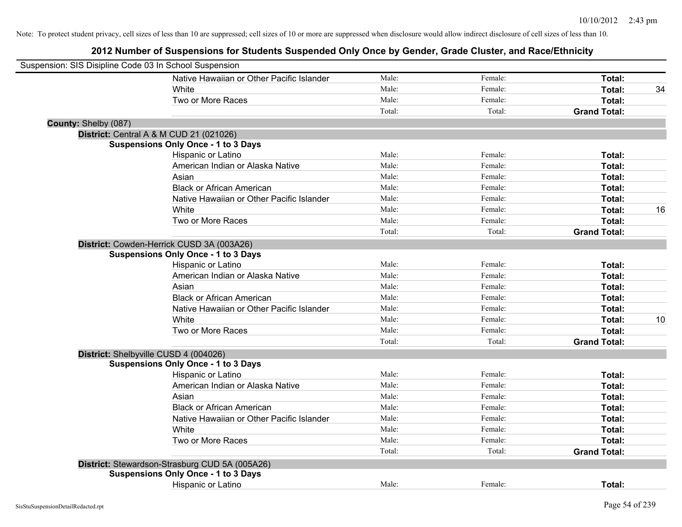| Suspension: SIS Disipline Code 03 In School Suspension |                                                |        |         |                     |    |
|--------------------------------------------------------|------------------------------------------------|--------|---------|---------------------|----|
|                                                        | Native Hawaiian or Other Pacific Islander      | Male:  | Female: | Total:              |    |
|                                                        | White                                          | Male:  | Female: | Total:              | 34 |
|                                                        | Two or More Races                              | Male:  | Female: | Total:              |    |
|                                                        |                                                | Total: | Total:  | <b>Grand Total:</b> |    |
| County: Shelby (087)                                   |                                                |        |         |                     |    |
|                                                        | District: Central A & M CUD 21 (021026)        |        |         |                     |    |
|                                                        | <b>Suspensions Only Once - 1 to 3 Days</b>     |        |         |                     |    |
|                                                        | Hispanic or Latino                             | Male:  | Female: | Total:              |    |
|                                                        | American Indian or Alaska Native               | Male:  | Female: | Total:              |    |
|                                                        | Asian                                          | Male:  | Female: | Total:              |    |
|                                                        | <b>Black or African American</b>               | Male:  | Female: | Total:              |    |
|                                                        | Native Hawaiian or Other Pacific Islander      | Male:  | Female: | Total:              |    |
|                                                        | White                                          | Male:  | Female: | Total:              | 16 |
|                                                        | Two or More Races                              | Male:  | Female: | Total:              |    |
|                                                        |                                                | Total: | Total:  | <b>Grand Total:</b> |    |
|                                                        | District: Cowden-Herrick CUSD 3A (003A26)      |        |         |                     |    |
|                                                        | <b>Suspensions Only Once - 1 to 3 Days</b>     |        |         |                     |    |
|                                                        | Hispanic or Latino                             | Male:  | Female: | Total:              |    |
|                                                        | American Indian or Alaska Native               | Male:  | Female: | Total:              |    |
|                                                        | Asian                                          | Male:  | Female: | Total:              |    |
|                                                        | <b>Black or African American</b>               | Male:  | Female: | Total:              |    |
|                                                        | Native Hawaiian or Other Pacific Islander      | Male:  | Female: | Total:              |    |
|                                                        | White                                          | Male:  | Female: | Total:              | 10 |
|                                                        | Two or More Races                              | Male:  | Female: | Total:              |    |
|                                                        |                                                | Total: | Total:  | <b>Grand Total:</b> |    |
| District: Shelbyville CUSD 4 (004026)                  |                                                |        |         |                     |    |
|                                                        | <b>Suspensions Only Once - 1 to 3 Days</b>     |        |         |                     |    |
|                                                        | Hispanic or Latino                             | Male:  | Female: | Total:              |    |
|                                                        | American Indian or Alaska Native               | Male:  | Female: | Total:              |    |
|                                                        | Asian                                          | Male:  | Female: | Total:              |    |
|                                                        | <b>Black or African American</b>               | Male:  | Female: | Total:              |    |
|                                                        | Native Hawaiian or Other Pacific Islander      | Male:  | Female: | Total:              |    |
|                                                        | White                                          | Male:  | Female: | Total:              |    |
|                                                        | Two or More Races                              | Male:  | Female: | Total:              |    |
|                                                        |                                                | Total: | Total:  | <b>Grand Total:</b> |    |
|                                                        | District: Stewardson-Strasburg CUD 5A (005A26) |        |         |                     |    |
|                                                        | <b>Suspensions Only Once - 1 to 3 Days</b>     |        |         |                     |    |
|                                                        | Hispanic or Latino                             | Male:  | Female: | Total:              |    |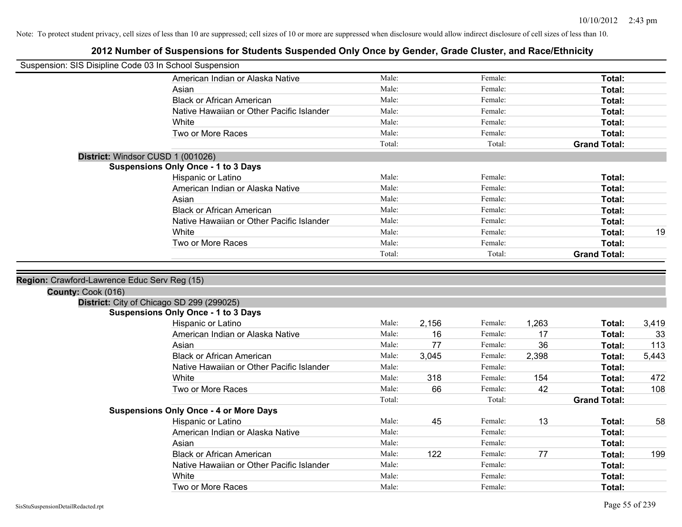| Suspension: SIS Disipline Code 03 In School Suspension |                                               |        |       |         |       |                     |       |
|--------------------------------------------------------|-----------------------------------------------|--------|-------|---------|-------|---------------------|-------|
|                                                        | American Indian or Alaska Native              | Male:  |       | Female: |       | Total:              |       |
|                                                        | Asian                                         | Male:  |       | Female: |       | Total:              |       |
|                                                        | <b>Black or African American</b>              | Male:  |       | Female: |       | Total:              |       |
|                                                        | Native Hawaiian or Other Pacific Islander     | Male:  |       | Female: |       | Total:              |       |
|                                                        | White                                         | Male:  |       | Female: |       | Total:              |       |
|                                                        | Two or More Races                             | Male:  |       | Female: |       | Total:              |       |
|                                                        |                                               | Total: |       | Total:  |       | <b>Grand Total:</b> |       |
|                                                        | District: Windsor CUSD 1 (001026)             |        |       |         |       |                     |       |
|                                                        | <b>Suspensions Only Once - 1 to 3 Days</b>    |        |       |         |       |                     |       |
|                                                        | Hispanic or Latino                            | Male:  |       | Female: |       | Total:              |       |
|                                                        | American Indian or Alaska Native              | Male:  |       | Female: |       | Total:              |       |
|                                                        | Asian                                         | Male:  |       | Female: |       | Total:              |       |
|                                                        | <b>Black or African American</b>              | Male:  |       | Female: |       | Total:              |       |
|                                                        | Native Hawaiian or Other Pacific Islander     | Male:  |       | Female: |       | Total:              |       |
|                                                        | White                                         | Male:  |       | Female: |       | Total:              | 19    |
|                                                        | Two or More Races                             | Male:  |       | Female: |       | Total:              |       |
|                                                        |                                               | Total: |       | Total:  |       | <b>Grand Total:</b> |       |
|                                                        |                                               |        |       |         |       |                     |       |
| Region: Crawford-Lawrence Educ Serv Reg (15)           |                                               |        |       |         |       |                     |       |
| County: Cook (016)                                     |                                               |        |       |         |       |                     |       |
|                                                        | District: City of Chicago SD 299 (299025)     |        |       |         |       |                     |       |
|                                                        | <b>Suspensions Only Once - 1 to 3 Days</b>    |        |       |         |       |                     |       |
|                                                        | Hispanic or Latino                            | Male:  | 2,156 | Female: | 1,263 | Total:              | 3,419 |
|                                                        | American Indian or Alaska Native              | Male:  | 16    | Female: | 17    | Total:              | 33    |
|                                                        | Asian                                         | Male:  | 77    | Female: | 36    | Total:              | 113   |
|                                                        | <b>Black or African American</b>              | Male:  | 3,045 | Female: | 2,398 | Total:              | 5,443 |
|                                                        | Native Hawaiian or Other Pacific Islander     | Male:  |       | Female: |       | Total:              |       |
|                                                        | White                                         | Male:  | 318   | Female: | 154   | Total:              | 472   |
|                                                        | Two or More Races                             | Male:  | 66    | Female: | 42    | Total:              | 108   |
|                                                        |                                               | Total: |       | Total:  |       | <b>Grand Total:</b> |       |
|                                                        | <b>Suspensions Only Once - 4 or More Days</b> |        |       |         |       |                     |       |
|                                                        | Hispanic or Latino                            | Male:  | 45    | Female: | 13    | Total:              | 58    |
|                                                        | American Indian or Alaska Native              | Male:  |       | Female: |       | Total:              |       |
|                                                        | Asian                                         | Male:  |       | Female: |       | Total:              |       |
|                                                        | <b>Black or African American</b>              | Male:  | 122   | Female: | 77    | Total:              | 199   |
|                                                        | Native Hawaiian or Other Pacific Islander     | Male:  |       | Female: |       | <b>Total:</b>       |       |
|                                                        | White                                         | Male:  |       | Female: |       | <b>Total:</b>       |       |
|                                                        | Two or More Races                             | Male:  |       | Female: |       | Total:              |       |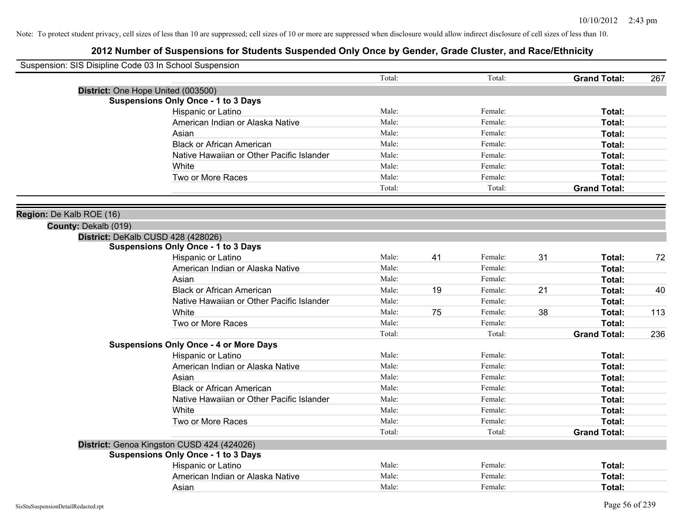| Suspension: SIS Disipline Code 03 In School Suspension |                                                                                  |        |    |         |    |                     |     |
|--------------------------------------------------------|----------------------------------------------------------------------------------|--------|----|---------|----|---------------------|-----|
|                                                        |                                                                                  | Total: |    | Total:  |    | <b>Grand Total:</b> | 267 |
|                                                        | District: One Hope United (003500)                                               |        |    |         |    |                     |     |
|                                                        | <b>Suspensions Only Once - 1 to 3 Days</b>                                       |        |    |         |    |                     |     |
|                                                        | Hispanic or Latino                                                               | Male:  |    | Female: |    | Total:              |     |
|                                                        | American Indian or Alaska Native                                                 | Male:  |    | Female: |    | Total:              |     |
|                                                        | Asian                                                                            | Male:  |    | Female: |    | Total:              |     |
|                                                        | <b>Black or African American</b>                                                 | Male:  |    | Female: |    | Total:              |     |
|                                                        | Native Hawaiian or Other Pacific Islander                                        | Male:  |    | Female: |    | Total:              |     |
|                                                        | White                                                                            | Male:  |    | Female: |    | Total:              |     |
|                                                        | Two or More Races                                                                | Male:  |    | Female: |    | Total:              |     |
|                                                        |                                                                                  | Total: |    | Total:  |    | <b>Grand Total:</b> |     |
|                                                        |                                                                                  |        |    |         |    |                     |     |
| Region: De Kalb ROE (16)                               |                                                                                  |        |    |         |    |                     |     |
| County: Dekalb (019)                                   |                                                                                  |        |    |         |    |                     |     |
|                                                        | District: DeKalb CUSD 428 (428026)<br><b>Suspensions Only Once - 1 to 3 Days</b> |        |    |         |    |                     |     |
|                                                        | Hispanic or Latino                                                               | Male:  | 41 | Female: | 31 | Total:              | 72  |
|                                                        | American Indian or Alaska Native                                                 | Male:  |    | Female: |    | Total:              |     |
|                                                        | Asian                                                                            | Male:  |    | Female: |    | Total:              |     |
|                                                        | <b>Black or African American</b>                                                 | Male:  | 19 | Female: | 21 | Total:              | 40  |
|                                                        | Native Hawaiian or Other Pacific Islander                                        | Male:  |    | Female: |    |                     |     |
|                                                        | White                                                                            | Male:  | 75 | Female: | 38 | Total:              | 113 |
|                                                        |                                                                                  |        |    |         |    | Total:              |     |
|                                                        | Two or More Races                                                                | Male:  |    | Female: |    | Total:              |     |
|                                                        |                                                                                  | Total: |    | Total:  |    | <b>Grand Total:</b> | 236 |
|                                                        | <b>Suspensions Only Once - 4 or More Days</b>                                    | Male:  |    | Female: |    |                     |     |
|                                                        | Hispanic or Latino                                                               | Male:  |    | Female: |    | Total:              |     |
|                                                        | American Indian or Alaska Native                                                 |        |    |         |    | Total:              |     |
|                                                        | Asian                                                                            | Male:  |    | Female: |    | Total:              |     |
|                                                        | <b>Black or African American</b>                                                 | Male:  |    | Female: |    | Total:              |     |
|                                                        | Native Hawaiian or Other Pacific Islander                                        | Male:  |    | Female: |    | Total:              |     |
|                                                        | White                                                                            | Male:  |    | Female: |    | Total:              |     |
|                                                        | Two or More Races                                                                | Male:  |    | Female: |    | <b>Total:</b>       |     |
|                                                        |                                                                                  | Total: |    | Total:  |    | <b>Grand Total:</b> |     |
|                                                        | District: Genoa Kingston CUSD 424 (424026)                                       |        |    |         |    |                     |     |
|                                                        | <b>Suspensions Only Once - 1 to 3 Days</b>                                       |        |    |         |    |                     |     |
|                                                        | Hispanic or Latino                                                               | Male:  |    | Female: |    | Total:              |     |
|                                                        | American Indian or Alaska Native                                                 | Male:  |    | Female: |    | Total:              |     |
|                                                        | Asian                                                                            | Male:  |    | Female: |    | Total:              |     |
| SisStuSuspensionDetailRedacted.rpt                     |                                                                                  |        |    |         |    | Page 56 of 239      |     |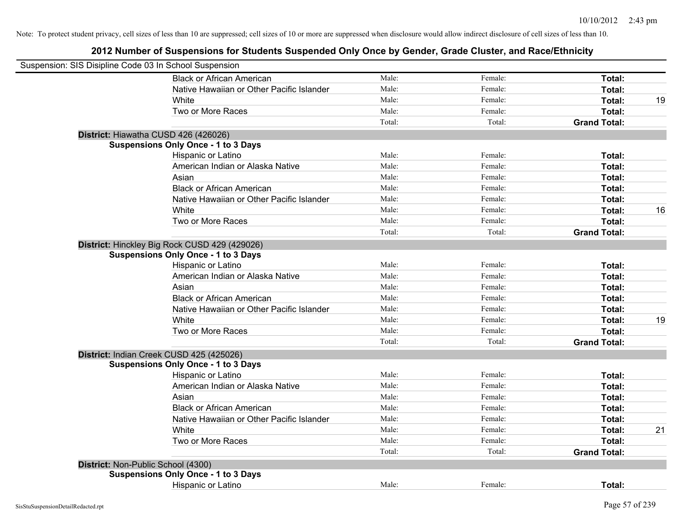| Suspension: SIS Disipline Code 03 In School Suspension |                                               |        |         |                     |    |
|--------------------------------------------------------|-----------------------------------------------|--------|---------|---------------------|----|
|                                                        | <b>Black or African American</b>              | Male:  | Female: | Total:              |    |
|                                                        | Native Hawaiian or Other Pacific Islander     | Male:  | Female: | Total:              |    |
|                                                        | White                                         | Male:  | Female: | Total:              | 19 |
|                                                        | Two or More Races                             | Male:  | Female: | Total:              |    |
|                                                        |                                               | Total: | Total:  | <b>Grand Total:</b> |    |
|                                                        | District: Hiawatha CUSD 426 (426026)          |        |         |                     |    |
|                                                        | <b>Suspensions Only Once - 1 to 3 Days</b>    |        |         |                     |    |
|                                                        | Hispanic or Latino                            | Male:  | Female: | Total:              |    |
|                                                        | American Indian or Alaska Native              | Male:  | Female: | Total:              |    |
|                                                        | Asian                                         | Male:  | Female: | Total:              |    |
|                                                        | <b>Black or African American</b>              | Male:  | Female: | Total:              |    |
|                                                        | Native Hawaiian or Other Pacific Islander     | Male:  | Female: | Total:              |    |
|                                                        | White                                         | Male:  | Female: | Total:              | 16 |
|                                                        | Two or More Races                             | Male:  | Female: | Total:              |    |
|                                                        |                                               | Total: | Total:  | <b>Grand Total:</b> |    |
|                                                        | District: Hinckley Big Rock CUSD 429 (429026) |        |         |                     |    |
|                                                        | <b>Suspensions Only Once - 1 to 3 Days</b>    |        |         |                     |    |
|                                                        | Hispanic or Latino                            | Male:  | Female: | Total:              |    |
|                                                        | American Indian or Alaska Native              | Male:  | Female: | Total:              |    |
|                                                        | Asian                                         | Male:  | Female: | Total:              |    |
|                                                        | <b>Black or African American</b>              | Male:  | Female: | Total:              |    |
|                                                        | Native Hawaiian or Other Pacific Islander     | Male:  | Female: | Total:              |    |
|                                                        | White                                         | Male:  | Female: | Total:              | 19 |
|                                                        | Two or More Races                             | Male:  | Female: | Total:              |    |
|                                                        |                                               | Total: | Total:  | <b>Grand Total:</b> |    |
|                                                        | District: Indian Creek CUSD 425 (425026)      |        |         |                     |    |
|                                                        | <b>Suspensions Only Once - 1 to 3 Days</b>    |        |         |                     |    |
|                                                        | Hispanic or Latino                            | Male:  | Female: | Total:              |    |
|                                                        | American Indian or Alaska Native              | Male:  | Female: | Total:              |    |
|                                                        | Asian                                         | Male:  | Female: | Total:              |    |
|                                                        | <b>Black or African American</b>              | Male:  | Female: | Total:              |    |
|                                                        | Native Hawaiian or Other Pacific Islander     | Male:  | Female: | Total:              |    |
|                                                        | <b>White</b>                                  | Male:  | Female: | Total:              | 21 |
|                                                        | Two or More Races                             | Male:  | Female: | Total:              |    |
|                                                        |                                               | Total: | Total:  | <b>Grand Total:</b> |    |
|                                                        | District: Non-Public School (4300)            |        |         |                     |    |
|                                                        | <b>Suspensions Only Once - 1 to 3 Days</b>    |        |         |                     |    |
|                                                        | Hispanic or Latino                            | Male:  | Female: | Total:              |    |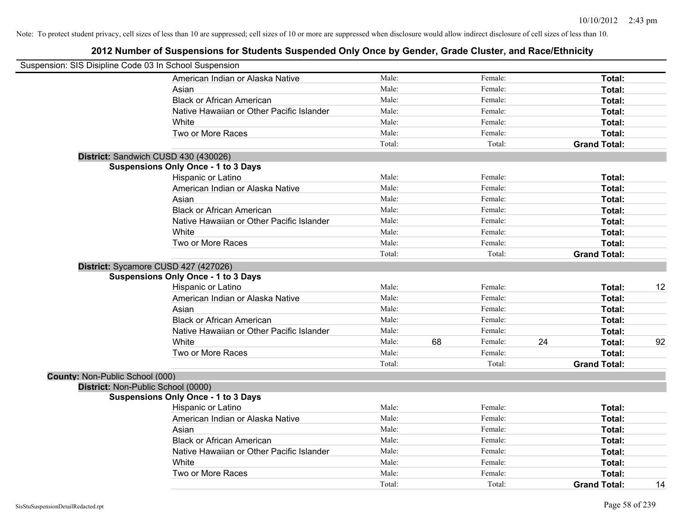| Suspension: SIS Disipline Code 03 In School Suspension |                                            |        |    |         |    |                     |    |
|--------------------------------------------------------|--------------------------------------------|--------|----|---------|----|---------------------|----|
|                                                        | American Indian or Alaska Native           | Male:  |    | Female: |    | Total:              |    |
|                                                        | Asian                                      | Male:  |    | Female: |    | Total:              |    |
|                                                        | <b>Black or African American</b>           | Male:  |    | Female: |    | Total:              |    |
|                                                        | Native Hawaiian or Other Pacific Islander  | Male:  |    | Female: |    | Total:              |    |
|                                                        | White                                      | Male:  |    | Female: |    | Total:              |    |
|                                                        | Two or More Races                          | Male:  |    | Female: |    | Total:              |    |
|                                                        |                                            | Total: |    | Total:  |    | <b>Grand Total:</b> |    |
|                                                        | District: Sandwich CUSD 430 (430026)       |        |    |         |    |                     |    |
|                                                        | <b>Suspensions Only Once - 1 to 3 Days</b> |        |    |         |    |                     |    |
|                                                        | Hispanic or Latino                         | Male:  |    | Female: |    | Total:              |    |
|                                                        | American Indian or Alaska Native           | Male:  |    | Female: |    | Total:              |    |
|                                                        | Asian                                      | Male:  |    | Female: |    | Total:              |    |
|                                                        | <b>Black or African American</b>           | Male:  |    | Female: |    | Total:              |    |
|                                                        | Native Hawaiian or Other Pacific Islander  | Male:  |    | Female: |    | Total:              |    |
|                                                        | White                                      | Male:  |    | Female: |    | Total:              |    |
|                                                        | Two or More Races                          | Male:  |    | Female: |    | Total:              |    |
|                                                        |                                            | Total: |    | Total:  |    | <b>Grand Total:</b> |    |
|                                                        | District: Sycamore CUSD 427 (427026)       |        |    |         |    |                     |    |
|                                                        | <b>Suspensions Only Once - 1 to 3 Days</b> |        |    |         |    |                     |    |
|                                                        | Hispanic or Latino                         | Male:  |    | Female: |    | Total:              | 12 |
|                                                        | American Indian or Alaska Native           | Male:  |    | Female: |    | Total:              |    |
|                                                        | Asian                                      | Male:  |    | Female: |    | Total:              |    |
|                                                        | <b>Black or African American</b>           | Male:  |    | Female: |    | Total:              |    |
|                                                        | Native Hawaiian or Other Pacific Islander  | Male:  |    | Female: |    | Total:              |    |
|                                                        | White                                      | Male:  | 68 | Female: | 24 | Total:              | 92 |
|                                                        | Two or More Races                          | Male:  |    | Female: |    | Total:              |    |
|                                                        |                                            | Total: |    | Total:  |    | <b>Grand Total:</b> |    |
| County: Non-Public School (000)                        |                                            |        |    |         |    |                     |    |
|                                                        | District: Non-Public School (0000)         |        |    |         |    |                     |    |
|                                                        | <b>Suspensions Only Once - 1 to 3 Days</b> |        |    |         |    |                     |    |
|                                                        | Hispanic or Latino                         | Male:  |    | Female: |    | Total:              |    |
|                                                        | American Indian or Alaska Native           | Male:  |    | Female: |    | Total:              |    |
|                                                        | Asian                                      | Male:  |    | Female: |    | Total:              |    |
|                                                        | <b>Black or African American</b>           | Male:  |    | Female: |    | Total:              |    |
|                                                        | Native Hawaiian or Other Pacific Islander  | Male:  |    | Female: |    | Total:              |    |
|                                                        | White                                      | Male:  |    | Female: |    | Total:              |    |
|                                                        | Two or More Races                          | Male:  |    | Female: |    | Total:              |    |
|                                                        |                                            | Total: |    | Total:  |    | <b>Grand Total:</b> | 14 |
|                                                        |                                            |        |    |         |    |                     |    |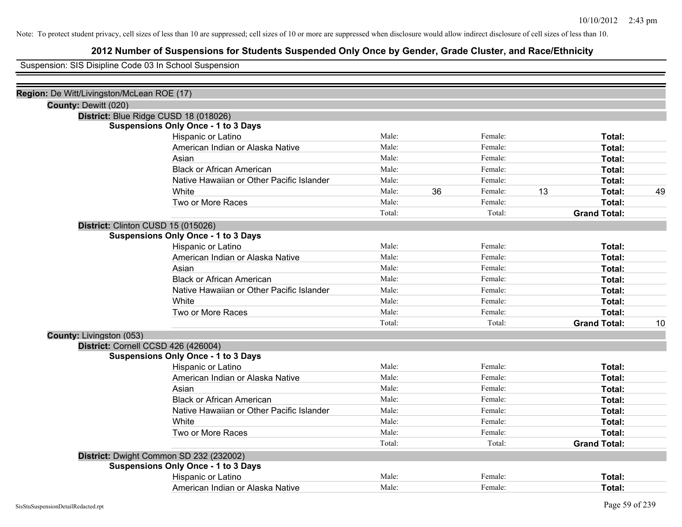# **2012 Number of Suspensions for Students Suspended Only Once by Gender, Grade Cluster, and Race/Ethnicity**

Suspension: SIS Disipline Code 03 In School Suspension

| Region: De Witt/Livingston/McLean ROE (17) |                                            |        |    |         |    |                     |    |
|--------------------------------------------|--------------------------------------------|--------|----|---------|----|---------------------|----|
| County: Dewitt (020)                       |                                            |        |    |         |    |                     |    |
|                                            | District: Blue Ridge CUSD 18 (018026)      |        |    |         |    |                     |    |
|                                            | <b>Suspensions Only Once - 1 to 3 Days</b> |        |    |         |    |                     |    |
|                                            | Hispanic or Latino                         | Male:  |    | Female: |    | Total:              |    |
|                                            | American Indian or Alaska Native           | Male:  |    | Female: |    | Total:              |    |
|                                            | Asian                                      | Male:  |    | Female: |    | Total:              |    |
|                                            | <b>Black or African American</b>           | Male:  |    | Female: |    | Total:              |    |
|                                            | Native Hawaiian or Other Pacific Islander  | Male:  |    | Female: |    | Total:              |    |
|                                            | White                                      | Male:  | 36 | Female: | 13 | Total:              | 49 |
|                                            | Two or More Races                          | Male:  |    | Female: |    | Total:              |    |
|                                            |                                            | Total: |    | Total:  |    | <b>Grand Total:</b> |    |
|                                            | District: Clinton CUSD 15 (015026)         |        |    |         |    |                     |    |
|                                            | <b>Suspensions Only Once - 1 to 3 Days</b> |        |    |         |    |                     |    |
|                                            | Hispanic or Latino                         | Male:  |    | Female: |    | Total:              |    |
|                                            | American Indian or Alaska Native           | Male:  |    | Female: |    | Total:              |    |
|                                            | Asian                                      | Male:  |    | Female: |    | Total:              |    |
|                                            | <b>Black or African American</b>           | Male:  |    | Female: |    | Total:              |    |
|                                            | Native Hawaiian or Other Pacific Islander  | Male:  |    | Female: |    | Total:              |    |
|                                            | White                                      | Male:  |    | Female: |    | Total:              |    |
|                                            | Two or More Races                          | Male:  |    | Female: |    | Total:              |    |
|                                            |                                            | Total: |    | Total:  |    | <b>Grand Total:</b> | 10 |
| <b>County: Livingston (053)</b>            |                                            |        |    |         |    |                     |    |
|                                            | District: Cornell CCSD 426 (426004)        |        |    |         |    |                     |    |
|                                            | <b>Suspensions Only Once - 1 to 3 Days</b> |        |    |         |    |                     |    |
|                                            | Hispanic or Latino                         | Male:  |    | Female: |    | Total:              |    |
|                                            | American Indian or Alaska Native           | Male:  |    | Female: |    | Total:              |    |
|                                            | Asian                                      | Male:  |    | Female: |    | Total:              |    |
|                                            | <b>Black or African American</b>           | Male:  |    | Female: |    | Total:              |    |
|                                            | Native Hawaiian or Other Pacific Islander  | Male:  |    | Female: |    | Total:              |    |
|                                            | White                                      | Male:  |    | Female: |    | Total:              |    |
|                                            | Two or More Races                          | Male:  |    | Female: |    | Total:              |    |
|                                            |                                            | Total: |    | Total:  |    | <b>Grand Total:</b> |    |
|                                            | District: Dwight Common SD 232 (232002)    |        |    |         |    |                     |    |
|                                            | <b>Suspensions Only Once - 1 to 3 Days</b> |        |    |         |    |                     |    |
|                                            | Hispanic or Latino                         | Male:  |    | Female: |    | Total:              |    |
|                                            | American Indian or Alaska Native           | Male:  |    | Female: |    | Total:              |    |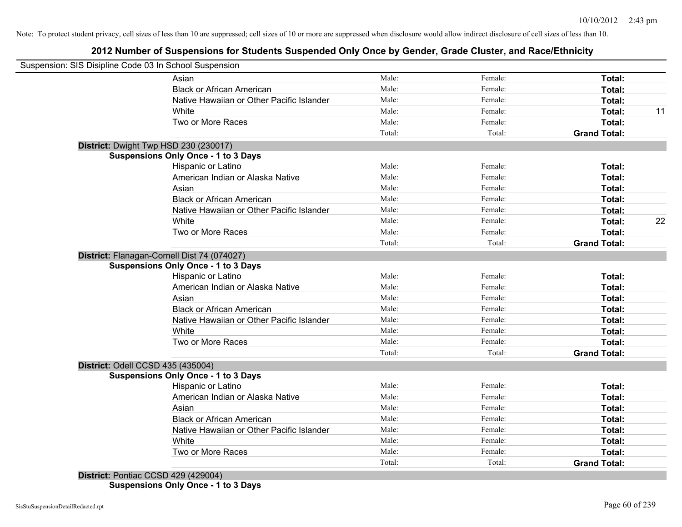# **2012 Number of Suspensions for Students Suspended Only Once by Gender, Grade Cluster, and Race/Ethnicity**

| Suspension: SIS Disipline Code 03 In School Suspension |        |         |                     |    |
|--------------------------------------------------------|--------|---------|---------------------|----|
| Asian                                                  | Male:  | Female: | Total:              |    |
| <b>Black or African American</b>                       | Male:  | Female: | Total:              |    |
| Native Hawaiian or Other Pacific Islander              | Male:  | Female: | Total:              |    |
| White                                                  | Male:  | Female: | Total:              | 11 |
| Two or More Races                                      | Male:  | Female: | Total:              |    |
|                                                        | Total: | Total:  | <b>Grand Total:</b> |    |
| District: Dwight Twp HSD 230 (230017)                  |        |         |                     |    |
| <b>Suspensions Only Once - 1 to 3 Days</b>             |        |         |                     |    |
| Hispanic or Latino                                     | Male:  | Female: | <b>Total:</b>       |    |
| American Indian or Alaska Native                       | Male:  | Female: | Total:              |    |
| Asian                                                  | Male:  | Female: | Total:              |    |
| <b>Black or African American</b>                       | Male:  | Female: | Total:              |    |
| Native Hawaiian or Other Pacific Islander              | Male:  | Female: | Total:              |    |
| White                                                  | Male:  | Female: | Total:              | 22 |
| Two or More Races                                      | Male:  | Female: | Total:              |    |
|                                                        | Total: | Total:  | <b>Grand Total:</b> |    |
| District: Flanagan-Cornell Dist 74 (074027)            |        |         |                     |    |
| <b>Suspensions Only Once - 1 to 3 Days</b>             |        |         |                     |    |
| Hispanic or Latino                                     | Male:  | Female: | Total:              |    |
| American Indian or Alaska Native                       | Male:  | Female: | Total:              |    |
| Asian                                                  | Male:  | Female: | Total:              |    |
| <b>Black or African American</b>                       | Male:  | Female: | Total:              |    |
| Native Hawaiian or Other Pacific Islander              | Male:  | Female: | Total:              |    |
| White                                                  | Male:  | Female: | Total:              |    |
| Two or More Races                                      | Male:  | Female: | Total:              |    |
|                                                        | Total: | Total:  | <b>Grand Total:</b> |    |
| District: Odell CCSD 435 (435004)                      |        |         |                     |    |
| <b>Suspensions Only Once - 1 to 3 Days</b>             |        |         |                     |    |
| Hispanic or Latino                                     | Male:  | Female: | Total:              |    |
| American Indian or Alaska Native                       | Male:  | Female: | Total:              |    |
| Asian                                                  | Male:  | Female: | Total:              |    |
| <b>Black or African American</b>                       | Male:  | Female: | Total:              |    |
| Native Hawaiian or Other Pacific Islander              | Male:  | Female: | Total:              |    |
| White                                                  | Male:  | Female: | Total:              |    |
| Two or More Races                                      | Male:  | Female: | Total:              |    |
|                                                        | Total: | Total:  | <b>Grand Total:</b> |    |
| District: Pontiac CCSD 429 (429004)                    |        |         |                     |    |

**Suspensions Only Once - 1 to 3 Days**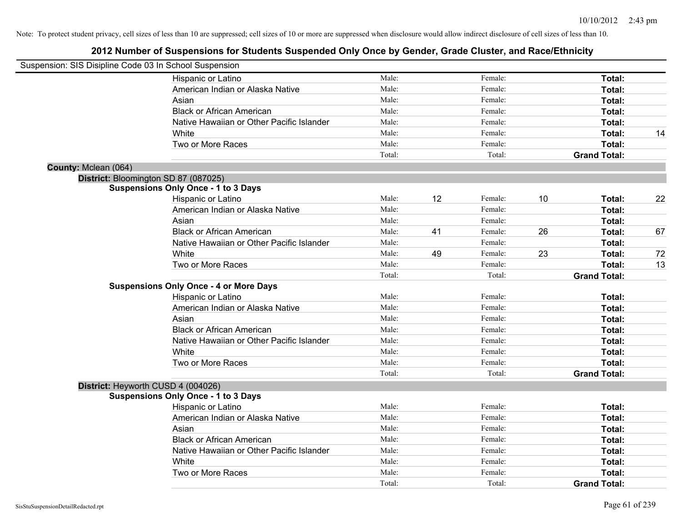| Suspension: SIS Disipline Code 03 In School Suspension |                                               |        |    |         |    |                     |    |
|--------------------------------------------------------|-----------------------------------------------|--------|----|---------|----|---------------------|----|
|                                                        | Hispanic or Latino                            | Male:  |    | Female: |    | Total:              |    |
|                                                        | American Indian or Alaska Native              | Male:  |    | Female: |    | Total:              |    |
|                                                        | Asian                                         | Male:  |    | Female: |    | Total:              |    |
|                                                        | <b>Black or African American</b>              | Male:  |    | Female: |    | Total:              |    |
|                                                        | Native Hawaiian or Other Pacific Islander     | Male:  |    | Female: |    | Total:              |    |
|                                                        | White                                         | Male:  |    | Female: |    | Total:              | 14 |
|                                                        | Two or More Races                             | Male:  |    | Female: |    | Total:              |    |
|                                                        |                                               | Total: |    | Total:  |    | <b>Grand Total:</b> |    |
| County: Mclean (064)                                   |                                               |        |    |         |    |                     |    |
|                                                        | District: Bloomington SD 87 (087025)          |        |    |         |    |                     |    |
|                                                        | <b>Suspensions Only Once - 1 to 3 Days</b>    |        |    |         |    |                     |    |
|                                                        | Hispanic or Latino                            | Male:  | 12 | Female: | 10 | Total:              | 22 |
|                                                        | American Indian or Alaska Native              | Male:  |    | Female: |    | Total:              |    |
|                                                        | Asian                                         | Male:  |    | Female: |    | Total:              |    |
|                                                        | <b>Black or African American</b>              | Male:  | 41 | Female: | 26 | Total:              | 67 |
|                                                        | Native Hawaiian or Other Pacific Islander     | Male:  |    | Female: |    | Total:              |    |
|                                                        | White                                         | Male:  | 49 | Female: | 23 | Total:              | 72 |
|                                                        | Two or More Races                             | Male:  |    | Female: |    | Total:              | 13 |
|                                                        |                                               | Total: |    | Total:  |    | <b>Grand Total:</b> |    |
|                                                        | <b>Suspensions Only Once - 4 or More Days</b> |        |    |         |    |                     |    |
|                                                        | Hispanic or Latino                            | Male:  |    | Female: |    | Total:              |    |
|                                                        | American Indian or Alaska Native              | Male:  |    | Female: |    | Total:              |    |
|                                                        | Asian                                         | Male:  |    | Female: |    | Total:              |    |
|                                                        | <b>Black or African American</b>              | Male:  |    | Female: |    | Total:              |    |
|                                                        | Native Hawaiian or Other Pacific Islander     | Male:  |    | Female: |    | Total:              |    |
|                                                        | White                                         | Male:  |    | Female: |    | Total:              |    |
|                                                        | Two or More Races                             | Male:  |    | Female: |    | Total:              |    |
|                                                        |                                               | Total: |    | Total:  |    | <b>Grand Total:</b> |    |
|                                                        | District: Heyworth CUSD 4 (004026)            |        |    |         |    |                     |    |
|                                                        | <b>Suspensions Only Once - 1 to 3 Days</b>    |        |    |         |    |                     |    |
|                                                        | Hispanic or Latino                            | Male:  |    | Female: |    | Total:              |    |
|                                                        | American Indian or Alaska Native              | Male:  |    | Female: |    | Total:              |    |
|                                                        | Asian                                         | Male:  |    | Female: |    | Total:              |    |
|                                                        | <b>Black or African American</b>              | Male:  |    | Female: |    | Total:              |    |
|                                                        | Native Hawaiian or Other Pacific Islander     | Male:  |    | Female: |    | Total:              |    |
|                                                        | White                                         | Male:  |    | Female: |    | Total:              |    |
|                                                        | Two or More Races                             | Male:  |    | Female: |    | Total:              |    |
|                                                        |                                               | Total: |    | Total:  |    | <b>Grand Total:</b> |    |
|                                                        |                                               |        |    |         |    |                     |    |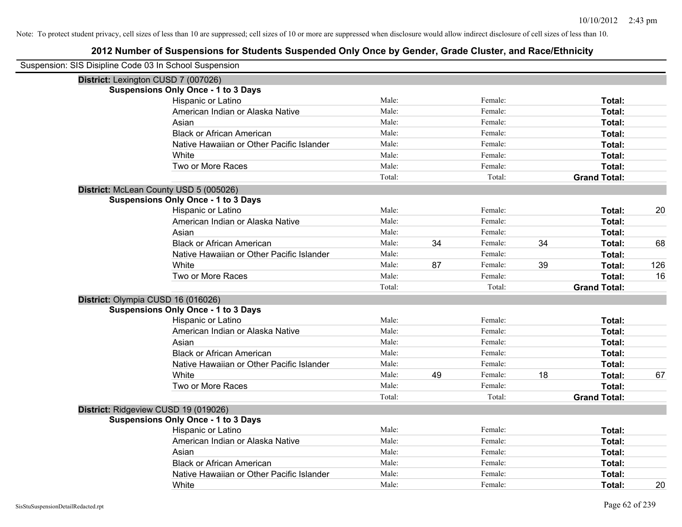| Suspension: SIS Disipline Code 03 In School Suspension |        |    |         |    |                     |     |
|--------------------------------------------------------|--------|----|---------|----|---------------------|-----|
| District: Lexington CUSD 7 (007026)                    |        |    |         |    |                     |     |
| <b>Suspensions Only Once - 1 to 3 Days</b>             |        |    |         |    |                     |     |
| Hispanic or Latino                                     | Male:  |    | Female: |    | Total:              |     |
| American Indian or Alaska Native                       | Male:  |    | Female: |    | Total:              |     |
| Asian                                                  | Male:  |    | Female: |    | Total:              |     |
| <b>Black or African American</b>                       | Male:  |    | Female: |    | Total:              |     |
| Native Hawaiian or Other Pacific Islander              | Male:  |    | Female: |    | Total:              |     |
| White                                                  | Male:  |    | Female: |    | Total:              |     |
| Two or More Races                                      | Male:  |    | Female: |    | Total:              |     |
|                                                        | Total: |    | Total:  |    | <b>Grand Total:</b> |     |
| District: McLean County USD 5 (005026)                 |        |    |         |    |                     |     |
| <b>Suspensions Only Once - 1 to 3 Days</b>             |        |    |         |    |                     |     |
| Hispanic or Latino                                     | Male:  |    | Female: |    | Total:              | 20  |
| American Indian or Alaska Native                       | Male:  |    | Female: |    | Total:              |     |
| Asian                                                  | Male:  |    | Female: |    | Total:              |     |
| <b>Black or African American</b>                       | Male:  | 34 | Female: | 34 | Total:              | 68  |
| Native Hawaiian or Other Pacific Islander              | Male:  |    | Female: |    | Total:              |     |
| White                                                  | Male:  | 87 | Female: | 39 | Total:              | 126 |
| Two or More Races                                      | Male:  |    | Female: |    | Total:              | 16  |
|                                                        | Total: |    | Total:  |    | <b>Grand Total:</b> |     |
| District: Olympia CUSD 16 (016026)                     |        |    |         |    |                     |     |
| <b>Suspensions Only Once - 1 to 3 Days</b>             |        |    |         |    |                     |     |
| Hispanic or Latino                                     | Male:  |    | Female: |    | Total:              |     |
| American Indian or Alaska Native                       | Male:  |    | Female: |    | Total:              |     |
| Asian                                                  | Male:  |    | Female: |    | Total:              |     |
| <b>Black or African American</b>                       | Male:  |    | Female: |    | Total:              |     |
| Native Hawaiian or Other Pacific Islander              | Male:  |    | Female: |    | Total:              |     |
| White                                                  | Male:  | 49 | Female: | 18 | Total:              | 67  |
| Two or More Races                                      | Male:  |    | Female: |    | Total:              |     |
|                                                        | Total: |    | Total:  |    | <b>Grand Total:</b> |     |
| District: Ridgeview CUSD 19 (019026)                   |        |    |         |    |                     |     |
| <b>Suspensions Only Once - 1 to 3 Days</b>             |        |    |         |    |                     |     |
| Hispanic or Latino                                     | Male:  |    | Female: |    | Total:              |     |
| American Indian or Alaska Native                       | Male:  |    | Female: |    | Total:              |     |
| Asian                                                  | Male:  |    | Female: |    | Total:              |     |
| <b>Black or African American</b>                       | Male:  |    | Female: |    | Total:              |     |
| Native Hawaiian or Other Pacific Islander              | Male:  |    | Female: |    | Total:              |     |
| White                                                  | Male:  |    | Female: |    | Total:              | 20  |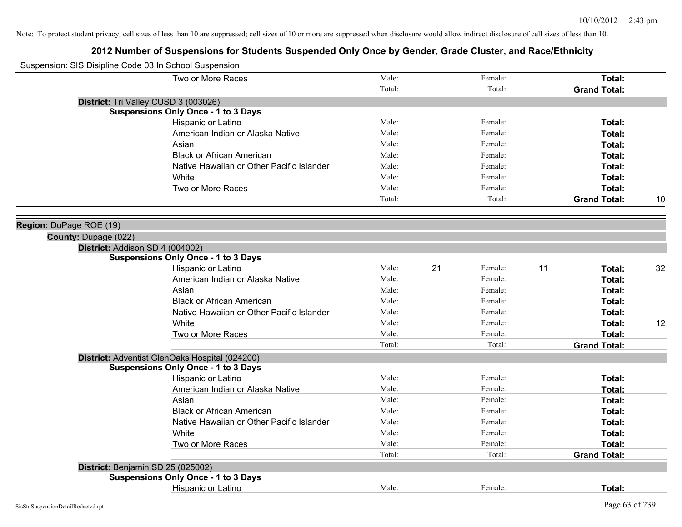| Suspension: SIS Disipline Code 03 In School Suspension |                                                |        |    |         |    |                     |    |
|--------------------------------------------------------|------------------------------------------------|--------|----|---------|----|---------------------|----|
|                                                        | Two or More Races                              | Male:  |    | Female: |    | Total:              |    |
|                                                        |                                                | Total: |    | Total:  |    | <b>Grand Total:</b> |    |
| District: Tri Valley CUSD 3 (003026)                   |                                                |        |    |         |    |                     |    |
|                                                        | <b>Suspensions Only Once - 1 to 3 Days</b>     |        |    |         |    |                     |    |
|                                                        | Hispanic or Latino                             | Male:  |    | Female: |    | Total:              |    |
|                                                        | American Indian or Alaska Native               | Male:  |    | Female: |    | Total:              |    |
|                                                        | Asian                                          | Male:  |    | Female: |    | Total:              |    |
|                                                        | <b>Black or African American</b>               | Male:  |    | Female: |    | Total:              |    |
|                                                        | Native Hawaiian or Other Pacific Islander      | Male:  |    | Female: |    | Total:              |    |
|                                                        | White                                          | Male:  |    | Female: |    | Total:              |    |
|                                                        | Two or More Races                              | Male:  |    | Female: |    | Total:              |    |
|                                                        |                                                | Total: |    | Total:  |    | <b>Grand Total:</b> | 10 |
|                                                        |                                                |        |    |         |    |                     |    |
| Region: DuPage ROE (19)                                |                                                |        |    |         |    |                     |    |
| County: Dupage (022)                                   |                                                |        |    |         |    |                     |    |
| District: Addison SD 4 (004002)                        |                                                |        |    |         |    |                     |    |
|                                                        | <b>Suspensions Only Once - 1 to 3 Days</b>     |        |    |         |    |                     |    |
|                                                        | Hispanic or Latino                             | Male:  | 21 | Female: | 11 | Total:              | 32 |
|                                                        | American Indian or Alaska Native               | Male:  |    | Female: |    | Total:              |    |
|                                                        | Asian                                          | Male:  |    | Female: |    | Total:              |    |
|                                                        | <b>Black or African American</b>               | Male:  |    | Female: |    | Total:              |    |
|                                                        | Native Hawaiian or Other Pacific Islander      | Male:  |    | Female: |    | Total:              |    |
|                                                        | White                                          | Male:  |    | Female: |    | Total:              | 12 |
|                                                        | Two or More Races                              | Male:  |    | Female: |    | Total:              |    |
|                                                        |                                                | Total: |    | Total:  |    | <b>Grand Total:</b> |    |
|                                                        | District: Adventist GlenOaks Hospital (024200) |        |    |         |    |                     |    |
|                                                        | <b>Suspensions Only Once - 1 to 3 Days</b>     |        |    |         |    |                     |    |
|                                                        | Hispanic or Latino                             | Male:  |    | Female: |    | Total:              |    |
|                                                        | American Indian or Alaska Native               | Male:  |    | Female: |    | Total:              |    |
|                                                        | Asian                                          | Male:  |    | Female: |    | Total:              |    |
|                                                        | <b>Black or African American</b>               | Male:  |    | Female: |    | Total:              |    |
|                                                        | Native Hawaiian or Other Pacific Islander      | Male:  |    | Female: |    | Total:              |    |
|                                                        | White                                          | Male:  |    | Female: |    | Total:              |    |
|                                                        | Two or More Races                              | Male:  |    | Female: |    | Total:              |    |
|                                                        |                                                | Total: |    | Total:  |    | <b>Grand Total:</b> |    |
| District: Benjamin SD 25 (025002)                      |                                                |        |    |         |    |                     |    |
|                                                        | <b>Suspensions Only Once - 1 to 3 Days</b>     |        |    |         |    |                     |    |
|                                                        | Hispanic or Latino                             | Male:  |    | Female: |    | Total:              |    |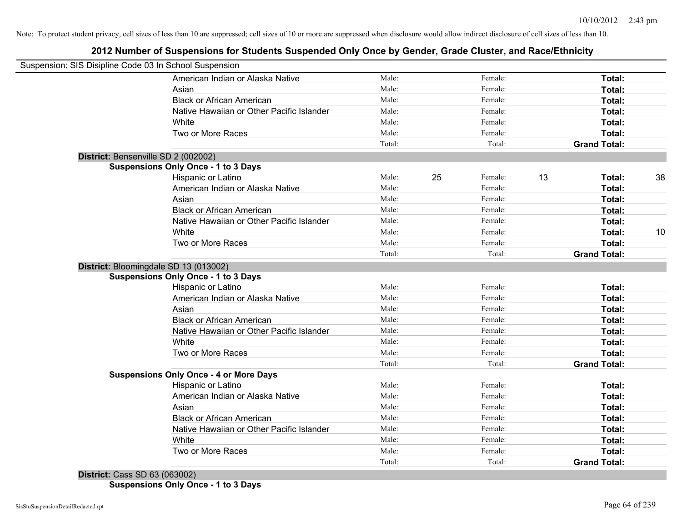# **2012 Number of Suspensions for Students Suspended Only Once by Gender, Grade Cluster, and Race/Ethnicity**

| Suspension: SIS Disipline Code 03 In School Suspension |        |    |         |    |                     |    |
|--------------------------------------------------------|--------|----|---------|----|---------------------|----|
| American Indian or Alaska Native                       | Male:  |    | Female: |    | Total:              |    |
| Asian                                                  | Male:  |    | Female: |    | Total:              |    |
| <b>Black or African American</b>                       | Male:  |    | Female: |    | Total:              |    |
| Native Hawaiian or Other Pacific Islander              | Male:  |    | Female: |    | Total:              |    |
| White                                                  | Male:  |    | Female: |    | Total:              |    |
| Two or More Races                                      | Male:  |    | Female: |    | Total:              |    |
|                                                        | Total: |    | Total:  |    | <b>Grand Total:</b> |    |
| District: Bensenville SD 2 (002002)                    |        |    |         |    |                     |    |
| <b>Suspensions Only Once - 1 to 3 Days</b>             |        |    |         |    |                     |    |
| Hispanic or Latino                                     | Male:  | 25 | Female: | 13 | Total:              | 38 |
| American Indian or Alaska Native                       | Male:  |    | Female: |    | Total:              |    |
| Asian                                                  | Male:  |    | Female: |    | Total:              |    |
| <b>Black or African American</b>                       | Male:  |    | Female: |    | Total:              |    |
| Native Hawaiian or Other Pacific Islander              | Male:  |    | Female: |    | Total:              |    |
| White                                                  | Male:  |    | Female: |    | Total:              | 10 |
| Two or More Races                                      | Male:  |    | Female: |    | Total:              |    |
|                                                        | Total: |    | Total:  |    | <b>Grand Total:</b> |    |
| District: Bloomingdale SD 13 (013002)                  |        |    |         |    |                     |    |
| <b>Suspensions Only Once - 1 to 3 Days</b>             |        |    |         |    |                     |    |
| Hispanic or Latino                                     | Male:  |    | Female: |    | Total:              |    |
| American Indian or Alaska Native                       | Male:  |    | Female: |    | Total:              |    |
| Asian                                                  | Male:  |    | Female: |    | Total:              |    |
| <b>Black or African American</b>                       | Male:  |    | Female: |    | Total:              |    |
| Native Hawaiian or Other Pacific Islander              | Male:  |    | Female: |    | Total:              |    |
| White                                                  | Male:  |    | Female: |    | Total:              |    |
| Two or More Races                                      | Male:  |    | Female: |    | Total:              |    |
|                                                        | Total: |    | Total:  |    | <b>Grand Total:</b> |    |
| <b>Suspensions Only Once - 4 or More Days</b>          |        |    |         |    |                     |    |
| Hispanic or Latino                                     | Male:  |    | Female: |    | Total:              |    |
| American Indian or Alaska Native                       | Male:  |    | Female: |    | Total:              |    |
| Asian                                                  | Male:  |    | Female: |    | Total:              |    |
| <b>Black or African American</b>                       | Male:  |    | Female: |    | Total:              |    |
| Native Hawaiian or Other Pacific Islander              | Male:  |    | Female: |    | Total:              |    |
| White                                                  | Male:  |    | Female: |    | Total:              |    |
| Two or More Races                                      | Male:  |    | Female: |    | <b>Total:</b>       |    |
|                                                        | Total: |    | Total:  |    | <b>Grand Total:</b> |    |
|                                                        |        |    |         |    |                     |    |

**District:** Cass SD 63 (063002) **Suspensions Only Once - 1 to 3 Days**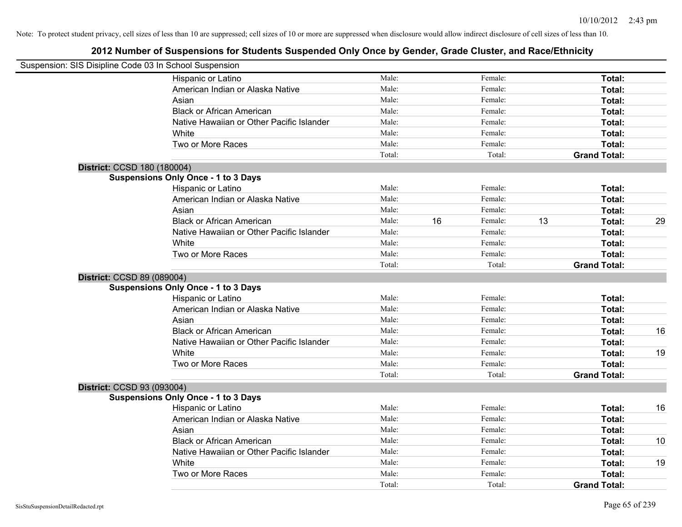|                             | Suspension: SIS Disipline Code 03 In School Suspension |        |    |         |    |                     |    |
|-----------------------------|--------------------------------------------------------|--------|----|---------|----|---------------------|----|
|                             | Hispanic or Latino                                     | Male:  |    | Female: |    | Total:              |    |
|                             | American Indian or Alaska Native                       | Male:  |    | Female: |    | Total:              |    |
|                             | Asian                                                  | Male:  |    | Female: |    | Total:              |    |
|                             | <b>Black or African American</b>                       | Male:  |    | Female: |    | Total:              |    |
|                             | Native Hawaiian or Other Pacific Islander              | Male:  |    | Female: |    | Total:              |    |
|                             | White                                                  | Male:  |    | Female: |    | Total:              |    |
|                             | Two or More Races                                      | Male:  |    | Female: |    | Total:              |    |
|                             |                                                        | Total: |    | Total:  |    | <b>Grand Total:</b> |    |
| District: CCSD 180 (180004) |                                                        |        |    |         |    |                     |    |
|                             | <b>Suspensions Only Once - 1 to 3 Days</b>             |        |    |         |    |                     |    |
|                             | Hispanic or Latino                                     | Male:  |    | Female: |    | Total:              |    |
|                             | American Indian or Alaska Native                       | Male:  |    | Female: |    | Total:              |    |
|                             | Asian                                                  | Male:  |    | Female: |    | Total:              |    |
|                             | <b>Black or African American</b>                       | Male:  | 16 | Female: | 13 | Total:              | 29 |
|                             | Native Hawaiian or Other Pacific Islander              | Male:  |    | Female: |    | Total:              |    |
|                             | White                                                  | Male:  |    | Female: |    | Total:              |    |
|                             | Two or More Races                                      | Male:  |    | Female: |    | Total:              |    |
|                             |                                                        | Total: |    | Total:  |    | <b>Grand Total:</b> |    |
| District: CCSD 89 (089004)  |                                                        |        |    |         |    |                     |    |
|                             | <b>Suspensions Only Once - 1 to 3 Days</b>             |        |    |         |    |                     |    |
|                             | Hispanic or Latino                                     | Male:  |    | Female: |    | Total:              |    |
|                             | American Indian or Alaska Native                       | Male:  |    | Female: |    | Total:              |    |
|                             | Asian                                                  | Male:  |    | Female: |    | Total:              |    |
|                             | <b>Black or African American</b>                       | Male:  |    | Female: |    | Total:              | 16 |
|                             | Native Hawaiian or Other Pacific Islander              | Male:  |    | Female: |    | Total:              |    |
|                             | White                                                  | Male:  |    | Female: |    | Total:              | 19 |
|                             | Two or More Races                                      | Male:  |    | Female: |    | Total:              |    |
|                             |                                                        | Total: |    | Total:  |    | <b>Grand Total:</b> |    |
| District: CCSD 93 (093004)  |                                                        |        |    |         |    |                     |    |
|                             | <b>Suspensions Only Once - 1 to 3 Days</b>             |        |    |         |    |                     |    |
|                             | Hispanic or Latino                                     | Male:  |    | Female: |    | Total:              | 16 |
|                             | American Indian or Alaska Native                       | Male:  |    | Female: |    | Total:              |    |
|                             | Asian                                                  | Male:  |    | Female: |    | Total:              |    |
|                             | <b>Black or African American</b>                       | Male:  |    | Female: |    | Total:              | 10 |
|                             | Native Hawaiian or Other Pacific Islander              | Male:  |    | Female: |    | Total:              |    |
|                             | White                                                  | Male:  |    | Female: |    | Total:              | 19 |
|                             | Two or More Races                                      | Male:  |    | Female: |    | Total:              |    |
|                             |                                                        | Total: |    | Total:  |    | <b>Grand Total:</b> |    |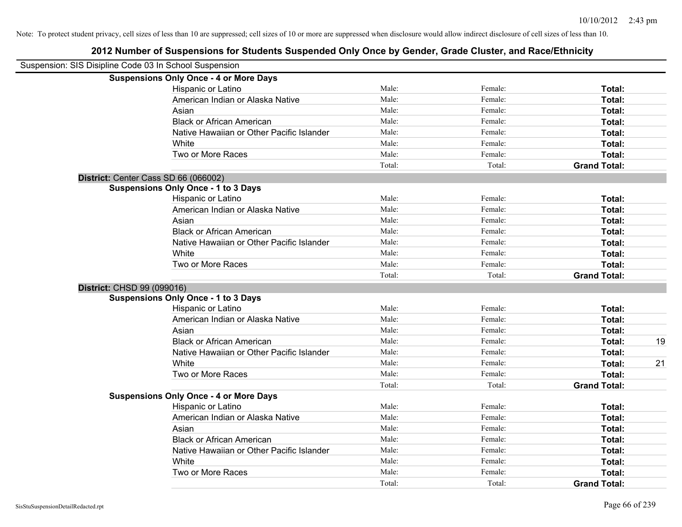| Suspension: SIS Disipline Code 03 In School Suspension |                                               |        |         |                     |    |
|--------------------------------------------------------|-----------------------------------------------|--------|---------|---------------------|----|
|                                                        | <b>Suspensions Only Once - 4 or More Days</b> |        |         |                     |    |
|                                                        | Hispanic or Latino                            | Male:  | Female: | Total:              |    |
|                                                        | American Indian or Alaska Native              | Male:  | Female: | Total:              |    |
|                                                        | Asian                                         | Male:  | Female: | Total:              |    |
|                                                        | <b>Black or African American</b>              | Male:  | Female: | Total:              |    |
|                                                        | Native Hawaiian or Other Pacific Islander     | Male:  | Female: | Total:              |    |
|                                                        | White                                         | Male:  | Female: | Total:              |    |
|                                                        | Two or More Races                             | Male:  | Female: | Total:              |    |
|                                                        |                                               | Total: | Total:  | <b>Grand Total:</b> |    |
|                                                        | District: Center Cass SD 66 (066002)          |        |         |                     |    |
|                                                        | <b>Suspensions Only Once - 1 to 3 Days</b>    |        |         |                     |    |
|                                                        | Hispanic or Latino                            | Male:  | Female: | Total:              |    |
|                                                        | American Indian or Alaska Native              | Male:  | Female: | <b>Total:</b>       |    |
|                                                        | Asian                                         | Male:  | Female: | Total:              |    |
|                                                        | <b>Black or African American</b>              | Male:  | Female: | Total:              |    |
|                                                        | Native Hawaiian or Other Pacific Islander     | Male:  | Female: | Total:              |    |
|                                                        | White                                         | Male:  | Female: | Total:              |    |
|                                                        | Two or More Races                             | Male:  | Female: | Total:              |    |
|                                                        |                                               | Total: | Total:  | <b>Grand Total:</b> |    |
|                                                        | District: CHSD 99 (099016)                    |        |         |                     |    |
|                                                        | <b>Suspensions Only Once - 1 to 3 Days</b>    |        |         |                     |    |
|                                                        | Hispanic or Latino                            | Male:  | Female: | Total:              |    |
|                                                        | American Indian or Alaska Native              | Male:  | Female: | Total:              |    |
|                                                        | Asian                                         | Male:  | Female: | Total:              |    |
|                                                        | <b>Black or African American</b>              | Male:  | Female: | Total:              | 19 |
|                                                        | Native Hawaiian or Other Pacific Islander     | Male:  | Female: | Total:              |    |
|                                                        | White                                         | Male:  | Female: | Total:              | 21 |
|                                                        | Two or More Races                             | Male:  | Female: | Total:              |    |
|                                                        |                                               | Total: | Total:  | <b>Grand Total:</b> |    |
|                                                        | <b>Suspensions Only Once - 4 or More Days</b> |        |         |                     |    |
|                                                        | Hispanic or Latino                            | Male:  | Female: | Total:              |    |
|                                                        | American Indian or Alaska Native              | Male:  | Female: | Total:              |    |
|                                                        | Asian                                         | Male:  | Female: | Total:              |    |
|                                                        | <b>Black or African American</b>              | Male:  | Female: | Total:              |    |
|                                                        | Native Hawaiian or Other Pacific Islander     | Male:  | Female: | Total:              |    |
|                                                        | White                                         | Male:  | Female: | Total:              |    |
|                                                        | Two or More Races                             | Male:  | Female: | Total:              |    |
|                                                        |                                               | Total: | Total:  | <b>Grand Total:</b> |    |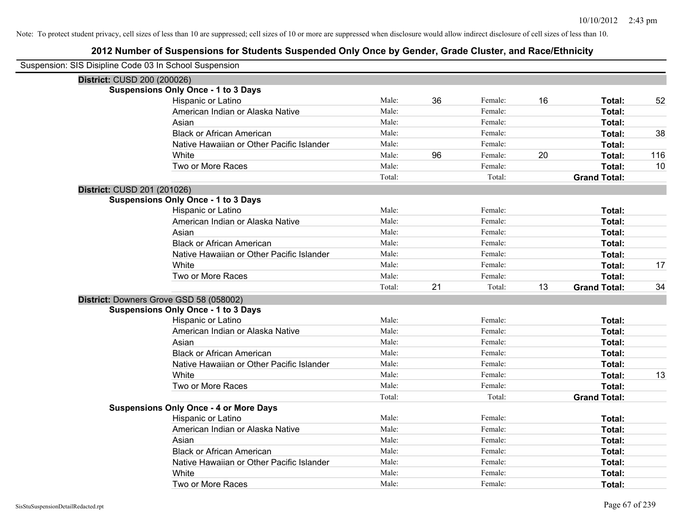| Suspension: SIS Disipline Code 03 In School Suspension |                                               |        |    |         |    |                     |     |
|--------------------------------------------------------|-----------------------------------------------|--------|----|---------|----|---------------------|-----|
| District: CUSD 200 (200026)                            |                                               |        |    |         |    |                     |     |
|                                                        | <b>Suspensions Only Once - 1 to 3 Days</b>    |        |    |         |    |                     |     |
|                                                        | Hispanic or Latino                            | Male:  | 36 | Female: | 16 | Total:              | 52  |
|                                                        | American Indian or Alaska Native              | Male:  |    | Female: |    | Total:              |     |
|                                                        | Asian                                         | Male:  |    | Female: |    | Total:              |     |
|                                                        | <b>Black or African American</b>              | Male:  |    | Female: |    | Total:              | 38  |
|                                                        | Native Hawaiian or Other Pacific Islander     | Male:  |    | Female: |    | Total:              |     |
|                                                        | White                                         | Male:  | 96 | Female: | 20 | Total:              | 116 |
|                                                        | Two or More Races                             | Male:  |    | Female: |    | Total:              | 10  |
|                                                        |                                               | Total: |    | Total:  |    | <b>Grand Total:</b> |     |
| District: CUSD 201 (201026)                            |                                               |        |    |         |    |                     |     |
|                                                        | <b>Suspensions Only Once - 1 to 3 Days</b>    |        |    |         |    |                     |     |
|                                                        | Hispanic or Latino                            | Male:  |    | Female: |    | Total:              |     |
|                                                        | American Indian or Alaska Native              | Male:  |    | Female: |    | Total:              |     |
|                                                        | Asian                                         | Male:  |    | Female: |    | Total:              |     |
|                                                        | <b>Black or African American</b>              | Male:  |    | Female: |    | Total:              |     |
|                                                        | Native Hawaiian or Other Pacific Islander     | Male:  |    | Female: |    | Total:              |     |
|                                                        | White                                         | Male:  |    | Female: |    | Total:              | 17  |
|                                                        | Two or More Races                             | Male:  |    | Female: |    | <b>Total:</b>       |     |
|                                                        |                                               | Total: | 21 | Total:  | 13 | <b>Grand Total:</b> | 34  |
|                                                        | District: Downers Grove GSD 58 (058002)       |        |    |         |    |                     |     |
|                                                        | <b>Suspensions Only Once - 1 to 3 Days</b>    |        |    |         |    |                     |     |
|                                                        | Hispanic or Latino                            | Male:  |    | Female: |    | Total:              |     |
|                                                        | American Indian or Alaska Native              | Male:  |    | Female: |    | Total:              |     |
|                                                        | Asian                                         | Male:  |    | Female: |    | Total:              |     |
|                                                        | <b>Black or African American</b>              | Male:  |    | Female: |    | Total:              |     |
|                                                        | Native Hawaiian or Other Pacific Islander     | Male:  |    | Female: |    | Total:              |     |
|                                                        | White                                         | Male:  |    | Female: |    | Total:              | 13  |
|                                                        | Two or More Races                             | Male:  |    | Female: |    | Total:              |     |
|                                                        |                                               | Total: |    | Total:  |    | <b>Grand Total:</b> |     |
|                                                        | <b>Suspensions Only Once - 4 or More Days</b> |        |    |         |    |                     |     |
|                                                        | Hispanic or Latino                            | Male:  |    | Female: |    | Total:              |     |
|                                                        | American Indian or Alaska Native              | Male:  |    | Female: |    | Total:              |     |
|                                                        | Asian                                         | Male:  |    | Female: |    | Total:              |     |
|                                                        | <b>Black or African American</b>              | Male:  |    | Female: |    | Total:              |     |
|                                                        | Native Hawaiian or Other Pacific Islander     | Male:  |    | Female: |    | Total:              |     |
|                                                        | White                                         | Male:  |    | Female: |    | Total:              |     |
|                                                        | Two or More Races                             | Male:  |    | Female: |    | Total:              |     |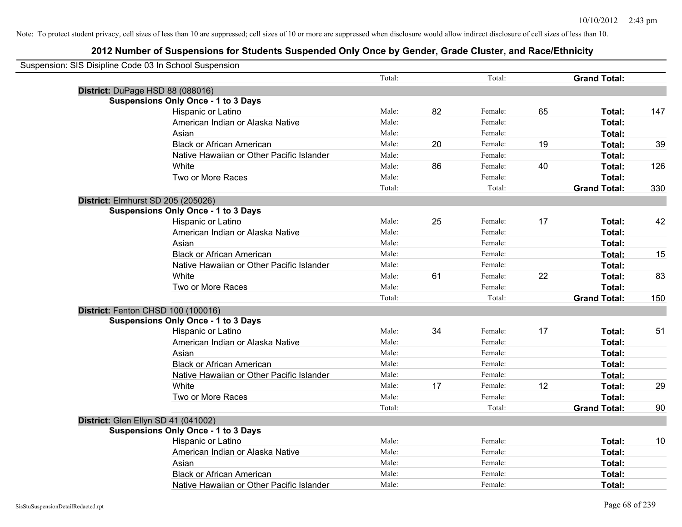| Suspension: SIS Disipline Code 03 In School Suspension |                                            |        |    |         |    |                     |     |
|--------------------------------------------------------|--------------------------------------------|--------|----|---------|----|---------------------|-----|
|                                                        |                                            | Total: |    | Total:  |    | <b>Grand Total:</b> |     |
|                                                        | District: DuPage HSD 88 (088016)           |        |    |         |    |                     |     |
|                                                        | <b>Suspensions Only Once - 1 to 3 Days</b> |        |    |         |    |                     |     |
|                                                        | Hispanic or Latino                         | Male:  | 82 | Female: | 65 | Total:              | 147 |
|                                                        | American Indian or Alaska Native           | Male:  |    | Female: |    | Total:              |     |
|                                                        | Asian                                      | Male:  |    | Female: |    | Total:              |     |
|                                                        | <b>Black or African American</b>           | Male:  | 20 | Female: | 19 | Total:              | 39  |
|                                                        | Native Hawaiian or Other Pacific Islander  | Male:  |    | Female: |    | Total:              |     |
|                                                        | White                                      | Male:  | 86 | Female: | 40 | Total:              | 126 |
|                                                        | Two or More Races                          | Male:  |    | Female: |    | Total:              |     |
|                                                        |                                            | Total: |    | Total:  |    | <b>Grand Total:</b> | 330 |
|                                                        | District: Elmhurst SD 205 (205026)         |        |    |         |    |                     |     |
|                                                        | <b>Suspensions Only Once - 1 to 3 Days</b> |        |    |         |    |                     |     |
|                                                        | Hispanic or Latino                         | Male:  | 25 | Female: | 17 | Total:              | 42  |
|                                                        | American Indian or Alaska Native           | Male:  |    | Female: |    | Total:              |     |
|                                                        | Asian                                      | Male:  |    | Female: |    | Total:              |     |
|                                                        | <b>Black or African American</b>           | Male:  |    | Female: |    | Total:              | 15  |
|                                                        | Native Hawaiian or Other Pacific Islander  | Male:  |    | Female: |    | Total:              |     |
|                                                        | White                                      | Male:  | 61 | Female: | 22 | Total:              | 83  |
|                                                        | Two or More Races                          | Male:  |    | Female: |    | Total:              |     |
|                                                        |                                            | Total: |    | Total:  |    | <b>Grand Total:</b> | 150 |
|                                                        | District: Fenton CHSD 100 (100016)         |        |    |         |    |                     |     |
|                                                        | <b>Suspensions Only Once - 1 to 3 Days</b> |        |    |         |    |                     |     |
|                                                        | Hispanic or Latino                         | Male:  | 34 | Female: | 17 | Total:              | 51  |
|                                                        | American Indian or Alaska Native           | Male:  |    | Female: |    | Total:              |     |
|                                                        | Asian                                      | Male:  |    | Female: |    | Total:              |     |
|                                                        | <b>Black or African American</b>           | Male:  |    | Female: |    | Total:              |     |
|                                                        | Native Hawaiian or Other Pacific Islander  | Male:  |    | Female: |    | Total:              |     |
|                                                        | White                                      | Male:  | 17 | Female: | 12 | Total:              | 29  |
|                                                        | Two or More Races                          | Male:  |    | Female: |    | Total:              |     |
|                                                        |                                            | Total: |    | Total:  |    | <b>Grand Total:</b> | 90  |
|                                                        | District: Glen Ellyn SD 41 (041002)        |        |    |         |    |                     |     |
|                                                        | <b>Suspensions Only Once - 1 to 3 Days</b> |        |    |         |    |                     |     |
|                                                        | Hispanic or Latino                         | Male:  |    | Female: |    | Total:              | 10  |
|                                                        | American Indian or Alaska Native           | Male:  |    | Female: |    | Total:              |     |
|                                                        | Asian                                      | Male:  |    | Female: |    | Total:              |     |
|                                                        | <b>Black or African American</b>           | Male:  |    | Female: |    | Total:              |     |
|                                                        | Native Hawaiian or Other Pacific Islander  | Male:  |    | Female: |    | Total:              |     |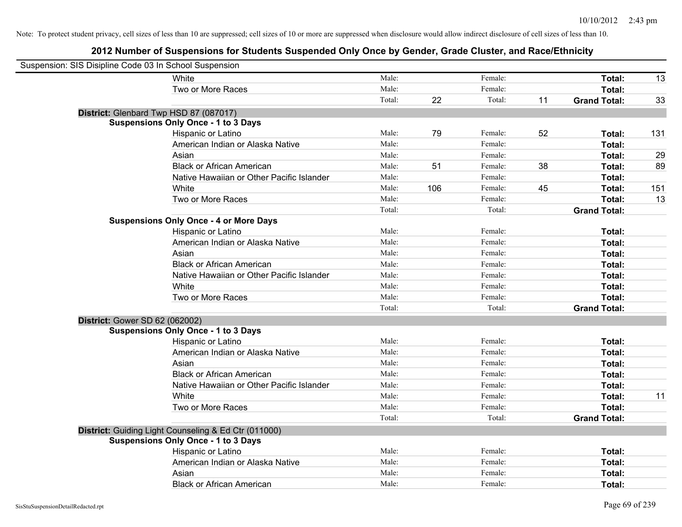| Suspension: SIS Disipline Code 03 In School Suspension |                                                      |        |     |         |    |                     |     |
|--------------------------------------------------------|------------------------------------------------------|--------|-----|---------|----|---------------------|-----|
|                                                        | White                                                | Male:  |     | Female: |    | Total:              | 13  |
|                                                        | Two or More Races                                    | Male:  |     | Female: |    | Total:              |     |
|                                                        |                                                      | Total: | 22  | Total:  | 11 | <b>Grand Total:</b> | 33  |
| District: Glenbard Twp HSD 87 (087017)                 |                                                      |        |     |         |    |                     |     |
|                                                        | <b>Suspensions Only Once - 1 to 3 Days</b>           |        |     |         |    |                     |     |
|                                                        | Hispanic or Latino                                   | Male:  | 79  | Female: | 52 | Total:              | 131 |
|                                                        | American Indian or Alaska Native                     | Male:  |     | Female: |    | Total:              |     |
|                                                        | Asian                                                | Male:  |     | Female: |    | Total:              | 29  |
|                                                        | <b>Black or African American</b>                     | Male:  | 51  | Female: | 38 | Total:              | 89  |
|                                                        | Native Hawaiian or Other Pacific Islander            | Male:  |     | Female: |    | Total:              |     |
|                                                        | White                                                | Male:  | 106 | Female: | 45 | Total:              | 151 |
|                                                        | Two or More Races                                    | Male:  |     | Female: |    | Total:              | 13  |
|                                                        |                                                      | Total: |     | Total:  |    | <b>Grand Total:</b> |     |
|                                                        | <b>Suspensions Only Once - 4 or More Days</b>        |        |     |         |    |                     |     |
|                                                        | Hispanic or Latino                                   | Male:  |     | Female: |    | Total:              |     |
|                                                        | American Indian or Alaska Native                     | Male:  |     | Female: |    | Total:              |     |
|                                                        | Asian                                                | Male:  |     | Female: |    | Total:              |     |
|                                                        | <b>Black or African American</b>                     | Male:  |     | Female: |    | Total:              |     |
|                                                        | Native Hawaiian or Other Pacific Islander            | Male:  |     | Female: |    | Total:              |     |
|                                                        | White                                                | Male:  |     | Female: |    | Total:              |     |
|                                                        | Two or More Races                                    | Male:  |     | Female: |    | Total:              |     |
|                                                        |                                                      | Total: |     | Total:  |    | <b>Grand Total:</b> |     |
| District: Gower SD 62 (062002)                         |                                                      |        |     |         |    |                     |     |
|                                                        | <b>Suspensions Only Once - 1 to 3 Days</b>           |        |     |         |    |                     |     |
|                                                        | Hispanic or Latino                                   | Male:  |     | Female: |    | Total:              |     |
|                                                        | American Indian or Alaska Native                     | Male:  |     | Female: |    | Total:              |     |
|                                                        | Asian                                                | Male:  |     | Female: |    | Total:              |     |
|                                                        | <b>Black or African American</b>                     | Male:  |     | Female: |    | Total:              |     |
|                                                        | Native Hawaiian or Other Pacific Islander            | Male:  |     | Female: |    | Total:              |     |
|                                                        | White                                                | Male:  |     | Female: |    | Total:              | 11  |
|                                                        | Two or More Races                                    | Male:  |     | Female: |    | Total:              |     |
|                                                        |                                                      | Total: |     | Total:  |    | <b>Grand Total:</b> |     |
|                                                        | District: Guiding Light Counseling & Ed Ctr (011000) |        |     |         |    |                     |     |
|                                                        | <b>Suspensions Only Once - 1 to 3 Days</b>           |        |     |         |    |                     |     |
|                                                        | Hispanic or Latino                                   | Male:  |     | Female: |    | Total:              |     |
|                                                        | American Indian or Alaska Native                     | Male:  |     | Female: |    | Total:              |     |
|                                                        | Asian                                                | Male:  |     | Female: |    | Total:              |     |
|                                                        | <b>Black or African American</b>                     | Male:  |     | Female: |    | Total:              |     |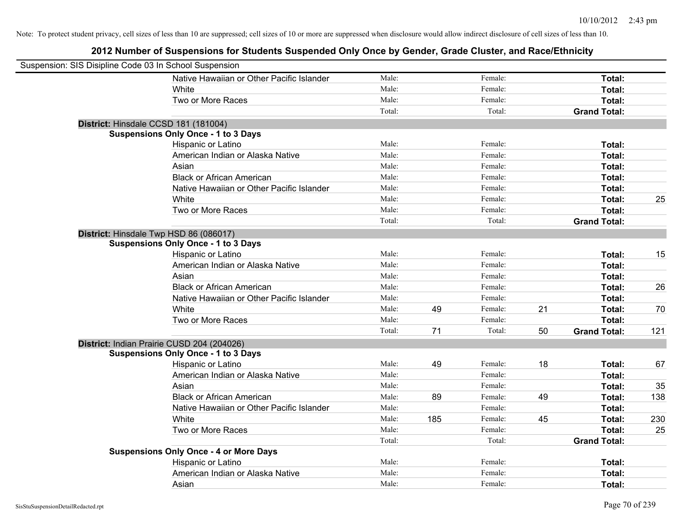| Suspension: SIS Disipline Code 03 In School Suspension |                                               |        |     |         |    |                     |     |
|--------------------------------------------------------|-----------------------------------------------|--------|-----|---------|----|---------------------|-----|
|                                                        | Native Hawaiian or Other Pacific Islander     | Male:  |     | Female: |    | Total:              |     |
|                                                        | White                                         | Male:  |     | Female: |    | Total:              |     |
|                                                        | Two or More Races                             | Male:  |     | Female: |    | Total:              |     |
|                                                        |                                               | Total: |     | Total:  |    | <b>Grand Total:</b> |     |
| District: Hinsdale CCSD 181 (181004)                   |                                               |        |     |         |    |                     |     |
|                                                        | <b>Suspensions Only Once - 1 to 3 Days</b>    |        |     |         |    |                     |     |
|                                                        | Hispanic or Latino                            | Male:  |     | Female: |    | Total:              |     |
|                                                        | American Indian or Alaska Native              | Male:  |     | Female: |    | Total:              |     |
|                                                        | Asian                                         | Male:  |     | Female: |    | Total:              |     |
|                                                        | <b>Black or African American</b>              | Male:  |     | Female: |    | Total:              |     |
|                                                        | Native Hawaiian or Other Pacific Islander     | Male:  |     | Female: |    | Total:              |     |
|                                                        | White                                         | Male:  |     | Female: |    | Total:              | 25  |
|                                                        | Two or More Races                             | Male:  |     | Female: |    | Total:              |     |
|                                                        |                                               | Total: |     | Total:  |    | <b>Grand Total:</b> |     |
| District: Hinsdale Twp HSD 86 (086017)                 |                                               |        |     |         |    |                     |     |
|                                                        | <b>Suspensions Only Once - 1 to 3 Days</b>    |        |     |         |    |                     |     |
|                                                        | Hispanic or Latino                            | Male:  |     | Female: |    | Total:              | 15  |
|                                                        | American Indian or Alaska Native              | Male:  |     | Female: |    | Total:              |     |
|                                                        | Asian                                         | Male:  |     | Female: |    | Total:              |     |
|                                                        | <b>Black or African American</b>              | Male:  |     | Female: |    | Total:              | 26  |
|                                                        | Native Hawaiian or Other Pacific Islander     | Male:  |     | Female: |    | Total:              |     |
|                                                        | White                                         | Male:  | 49  | Female: | 21 | Total:              | 70  |
|                                                        | Two or More Races                             | Male:  |     | Female: |    | Total:              |     |
|                                                        |                                               | Total: | 71  | Total:  | 50 | <b>Grand Total:</b> | 121 |
|                                                        | District: Indian Prairie CUSD 204 (204026)    |        |     |         |    |                     |     |
|                                                        | <b>Suspensions Only Once - 1 to 3 Days</b>    |        |     |         |    |                     |     |
|                                                        | Hispanic or Latino                            | Male:  | 49  | Female: | 18 | Total:              | 67  |
|                                                        | American Indian or Alaska Native              | Male:  |     | Female: |    | Total:              |     |
|                                                        | Asian                                         | Male:  |     | Female: |    | Total:              | 35  |
|                                                        | <b>Black or African American</b>              | Male:  | 89  | Female: | 49 | Total:              | 138 |
|                                                        | Native Hawaiian or Other Pacific Islander     | Male:  |     | Female: |    | Total:              |     |
|                                                        | <b>White</b>                                  | Male:  | 185 | Female: | 45 | Total:              | 230 |
|                                                        | Two or More Races                             | Male:  |     | Female: |    | Total:              | 25  |
|                                                        |                                               | Total: |     | Total:  |    | <b>Grand Total:</b> |     |
|                                                        | <b>Suspensions Only Once - 4 or More Days</b> |        |     |         |    |                     |     |
|                                                        | Hispanic or Latino                            | Male:  |     | Female: |    | Total:              |     |
|                                                        | American Indian or Alaska Native              | Male:  |     | Female: |    | Total:              |     |
|                                                        | Asian                                         | Male:  |     | Female: |    | Total:              |     |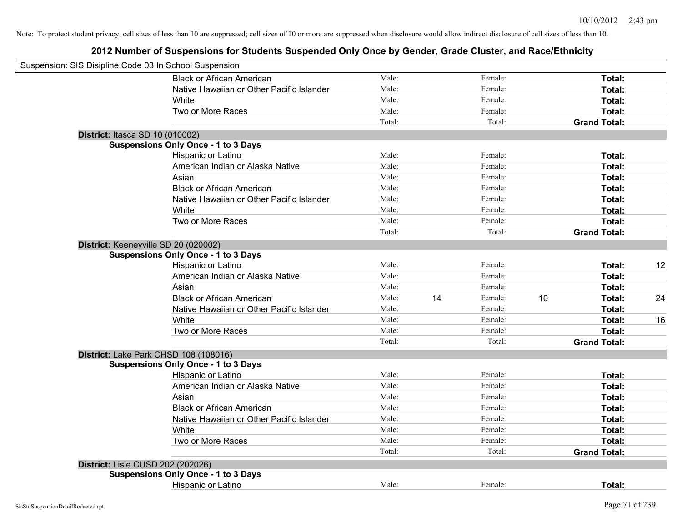|                                   | Suspension: SIS Disipline Code 03 In School Suspension |        |    |         |    |                     |    |
|-----------------------------------|--------------------------------------------------------|--------|----|---------|----|---------------------|----|
|                                   | <b>Black or African American</b>                       | Male:  |    | Female: |    | Total:              |    |
|                                   | Native Hawaiian or Other Pacific Islander              | Male:  |    | Female: |    | Total:              |    |
|                                   | White                                                  | Male:  |    | Female: |    | Total:              |    |
|                                   | Two or More Races                                      | Male:  |    | Female: |    | Total:              |    |
|                                   |                                                        | Total: |    | Total:  |    | <b>Grand Total:</b> |    |
| District: Itasca SD 10 (010002)   |                                                        |        |    |         |    |                     |    |
|                                   | <b>Suspensions Only Once - 1 to 3 Days</b>             |        |    |         |    |                     |    |
|                                   | Hispanic or Latino                                     | Male:  |    | Female: |    | Total:              |    |
|                                   | American Indian or Alaska Native                       | Male:  |    | Female: |    | Total:              |    |
|                                   | Asian                                                  | Male:  |    | Female: |    | Total:              |    |
|                                   | <b>Black or African American</b>                       | Male:  |    | Female: |    | Total:              |    |
|                                   | Native Hawaiian or Other Pacific Islander              | Male:  |    | Female: |    | Total:              |    |
|                                   | White                                                  | Male:  |    | Female: |    | Total:              |    |
|                                   | Two or More Races                                      | Male:  |    | Female: |    | Total:              |    |
|                                   |                                                        | Total: |    | Total:  |    | <b>Grand Total:</b> |    |
|                                   | District: Keeneyville SD 20 (020002)                   |        |    |         |    |                     |    |
|                                   | <b>Suspensions Only Once - 1 to 3 Days</b>             |        |    |         |    |                     |    |
|                                   | Hispanic or Latino                                     | Male:  |    | Female: |    | Total:              | 12 |
|                                   | American Indian or Alaska Native                       | Male:  |    | Female: |    | Total:              |    |
|                                   | Asian                                                  | Male:  |    | Female: |    | Total:              |    |
|                                   | <b>Black or African American</b>                       | Male:  | 14 | Female: | 10 | Total:              | 24 |
|                                   | Native Hawaiian or Other Pacific Islander              | Male:  |    | Female: |    | Total:              |    |
|                                   | White                                                  | Male:  |    | Female: |    | Total:              | 16 |
|                                   | Two or More Races                                      | Male:  |    | Female: |    | Total:              |    |
|                                   |                                                        | Total: |    | Total:  |    | <b>Grand Total:</b> |    |
|                                   | District: Lake Park CHSD 108 (108016)                  |        |    |         |    |                     |    |
|                                   | <b>Suspensions Only Once - 1 to 3 Days</b>             |        |    |         |    |                     |    |
|                                   | Hispanic or Latino                                     | Male:  |    | Female: |    | Total:              |    |
|                                   | American Indian or Alaska Native                       | Male:  |    | Female: |    | Total:              |    |
|                                   | Asian                                                  | Male:  |    | Female: |    | Total:              |    |
|                                   | <b>Black or African American</b>                       | Male:  |    | Female: |    | Total:              |    |
|                                   | Native Hawaiian or Other Pacific Islander              | Male:  |    | Female: |    | Total:              |    |
|                                   | White                                                  | Male:  |    | Female: |    | Total:              |    |
|                                   | Two or More Races                                      | Male:  |    | Female: |    | Total:              |    |
|                                   |                                                        | Total: |    | Total:  |    | <b>Grand Total:</b> |    |
| District: Lisle CUSD 202 (202026) |                                                        |        |    |         |    |                     |    |
|                                   | <b>Suspensions Only Once - 1 to 3 Days</b>             |        |    |         |    |                     |    |
|                                   | Hispanic or Latino                                     | Male:  |    | Female: |    | Total:              |    |
|                                   |                                                        |        |    |         |    |                     |    |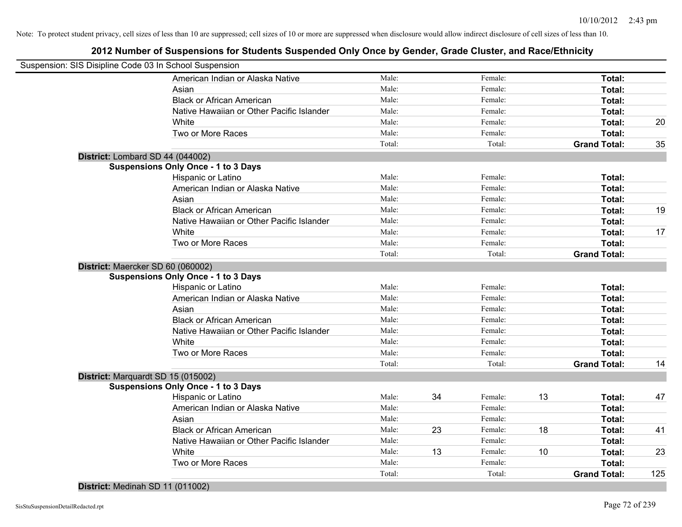| Suspension: SIS Disipline Code 03 In School Suspension |                                                        |        |    |         |    |                     |     |
|--------------------------------------------------------|--------------------------------------------------------|--------|----|---------|----|---------------------|-----|
|                                                        | American Indian or Alaska Native                       | Male:  |    | Female: |    | Total:              |     |
|                                                        | Asian                                                  | Male:  |    | Female: |    | Total:              |     |
|                                                        | <b>Black or African American</b>                       | Male:  |    | Female: |    | Total:              |     |
|                                                        | Native Hawaiian or Other Pacific Islander              | Male:  |    | Female: |    | Total:              |     |
|                                                        | White                                                  | Male:  |    | Female: |    | Total:              | 20  |
|                                                        | Two or More Races                                      | Male:  |    | Female: |    | Total:              |     |
|                                                        |                                                        | Total: |    | Total:  |    | <b>Grand Total:</b> | 35  |
| District: Lombard SD 44 (044002)                       |                                                        |        |    |         |    |                     |     |
|                                                        | <b>Suspensions Only Once - 1 to 3 Days</b>             |        |    |         |    |                     |     |
|                                                        | Hispanic or Latino                                     | Male:  |    | Female: |    | Total:              |     |
|                                                        | American Indian or Alaska Native                       | Male:  |    | Female: |    | Total:              |     |
|                                                        | Asian                                                  | Male:  |    | Female: |    | Total:              |     |
|                                                        | <b>Black or African American</b>                       | Male:  |    | Female: |    | Total:              | 19  |
|                                                        | Native Hawaiian or Other Pacific Islander              | Male:  |    | Female: |    | Total:              |     |
|                                                        | White                                                  | Male:  |    | Female: |    | Total:              | 17  |
|                                                        | Two or More Races                                      | Male:  |    | Female: |    | Total:              |     |
|                                                        |                                                        | Total: |    | Total:  |    | <b>Grand Total:</b> |     |
| District: Maercker SD 60 (060002)                      | <b>Suspensions Only Once - 1 to 3 Days</b>             |        |    |         |    |                     |     |
|                                                        |                                                        | Male:  |    | Female: |    | Total:              |     |
|                                                        | Hispanic or Latino<br>American Indian or Alaska Native | Male:  |    | Female: |    | Total:              |     |
|                                                        | Asian                                                  | Male:  |    | Female: |    | Total:              |     |
|                                                        | <b>Black or African American</b>                       | Male:  |    | Female: |    | Total:              |     |
|                                                        | Native Hawaiian or Other Pacific Islander              | Male:  |    | Female: |    | Total:              |     |
|                                                        | White                                                  | Male:  |    | Female: |    | Total:              |     |
|                                                        | Two or More Races                                      | Male:  |    | Female: |    | Total:              |     |
|                                                        |                                                        | Total: |    | Total:  |    | <b>Grand Total:</b> | 14  |
| District: Marquardt SD 15 (015002)                     |                                                        |        |    |         |    |                     |     |
|                                                        | <b>Suspensions Only Once - 1 to 3 Days</b>             |        |    |         |    |                     |     |
|                                                        | Hispanic or Latino                                     | Male:  | 34 | Female: | 13 | Total:              | 47  |
|                                                        | American Indian or Alaska Native                       | Male:  |    | Female: |    | Total:              |     |
|                                                        | Asian                                                  | Male:  |    | Female: |    | Total:              |     |
|                                                        | <b>Black or African American</b>                       | Male:  | 23 | Female: | 18 | Total:              | 41  |
|                                                        | Native Hawaiian or Other Pacific Islander              | Male:  |    | Female: |    | Total:              |     |
|                                                        | White                                                  | Male:  | 13 | Female: | 10 | Total:              | 23  |
|                                                        | Two or More Races                                      | Male:  |    | Female: |    | Total:              |     |
|                                                        |                                                        | Total: |    | Total:  |    | <b>Grand Total:</b> | 125 |
| District: Medinah SD 11 (011002)                       |                                                        |        |    |         |    |                     |     |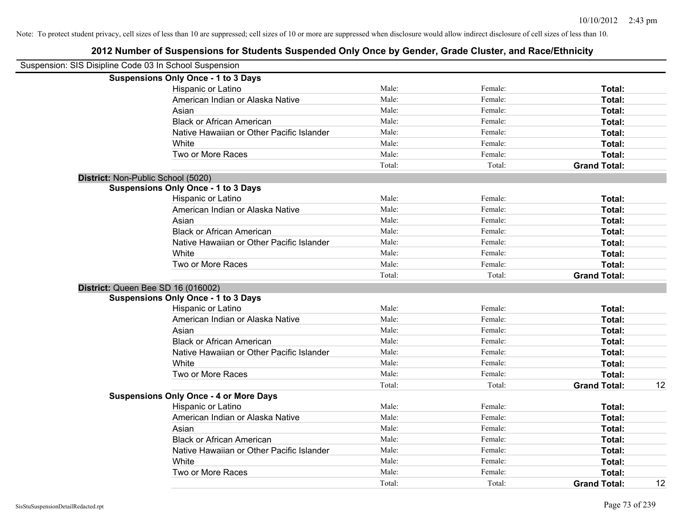| Suspension: SIS Disipline Code 03 In School Suspension |                                               |        |         |                     |    |
|--------------------------------------------------------|-----------------------------------------------|--------|---------|---------------------|----|
|                                                        | <b>Suspensions Only Once - 1 to 3 Days</b>    |        |         |                     |    |
|                                                        | Hispanic or Latino                            | Male:  | Female: | Total:              |    |
|                                                        | American Indian or Alaska Native              | Male:  | Female: | Total:              |    |
|                                                        | Asian                                         | Male:  | Female: | Total:              |    |
|                                                        | <b>Black or African American</b>              | Male:  | Female: | Total:              |    |
|                                                        | Native Hawaiian or Other Pacific Islander     | Male:  | Female: | Total:              |    |
|                                                        | White                                         | Male:  | Female: | Total:              |    |
|                                                        | Two or More Races                             | Male:  | Female: | Total:              |    |
|                                                        |                                               | Total: | Total:  | <b>Grand Total:</b> |    |
|                                                        | District: Non-Public School (5020)            |        |         |                     |    |
|                                                        | <b>Suspensions Only Once - 1 to 3 Days</b>    |        |         |                     |    |
|                                                        | Hispanic or Latino                            | Male:  | Female: | Total:              |    |
|                                                        | American Indian or Alaska Native              | Male:  | Female: | Total:              |    |
|                                                        | Asian                                         | Male:  | Female: | Total:              |    |
|                                                        | <b>Black or African American</b>              | Male:  | Female: | Total:              |    |
|                                                        | Native Hawaiian or Other Pacific Islander     | Male:  | Female: | Total:              |    |
|                                                        | White                                         | Male:  | Female: | Total:              |    |
|                                                        | Two or More Races                             | Male:  | Female: | Total:              |    |
|                                                        |                                               | Total: | Total:  | <b>Grand Total:</b> |    |
|                                                        | District: Queen Bee SD 16 (016002)            |        |         |                     |    |
|                                                        | <b>Suspensions Only Once - 1 to 3 Days</b>    |        |         |                     |    |
|                                                        | Hispanic or Latino                            | Male:  | Female: | Total:              |    |
|                                                        | American Indian or Alaska Native              | Male:  | Female: | Total:              |    |
|                                                        | Asian                                         | Male:  | Female: | Total:              |    |
|                                                        | <b>Black or African American</b>              | Male:  | Female: | Total:              |    |
|                                                        | Native Hawaiian or Other Pacific Islander     | Male:  | Female: | Total:              |    |
|                                                        | White                                         | Male:  | Female: | Total:              |    |
|                                                        | Two or More Races                             | Male:  | Female: | Total:              |    |
|                                                        |                                               | Total: | Total:  | <b>Grand Total:</b> | 12 |
|                                                        | <b>Suspensions Only Once - 4 or More Days</b> |        |         |                     |    |
|                                                        | Hispanic or Latino                            | Male:  | Female: | Total:              |    |
|                                                        | American Indian or Alaska Native              | Male:  | Female: | Total:              |    |
|                                                        | Asian                                         | Male:  | Female: | Total:              |    |
|                                                        | <b>Black or African American</b>              | Male:  | Female: | Total:              |    |
|                                                        | Native Hawaiian or Other Pacific Islander     | Male:  | Female: | Total:              |    |
|                                                        | White                                         | Male:  | Female: | Total:              |    |
|                                                        | Two or More Races                             | Male:  | Female: | Total:              |    |
|                                                        |                                               | Total: | Total:  | <b>Grand Total:</b> | 12 |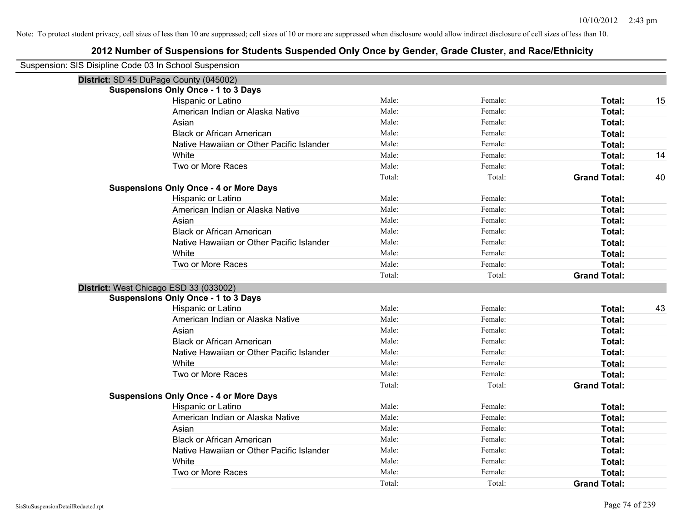| Suspension: SIS Disipline Code 03 In School Suspension |                                               |        |         |                     |    |
|--------------------------------------------------------|-----------------------------------------------|--------|---------|---------------------|----|
|                                                        | District: SD 45 DuPage County (045002)        |        |         |                     |    |
|                                                        | <b>Suspensions Only Once - 1 to 3 Days</b>    |        |         |                     |    |
|                                                        | Hispanic or Latino                            | Male:  | Female: | Total:              | 15 |
|                                                        | American Indian or Alaska Native              | Male:  | Female: | Total:              |    |
|                                                        | Asian                                         | Male:  | Female: | Total:              |    |
|                                                        | <b>Black or African American</b>              | Male:  | Female: | Total:              |    |
|                                                        | Native Hawaiian or Other Pacific Islander     | Male:  | Female: | Total:              |    |
|                                                        | White                                         | Male:  | Female: | Total:              | 14 |
|                                                        | Two or More Races                             | Male:  | Female: | Total:              |    |
|                                                        |                                               | Total: | Total:  | <b>Grand Total:</b> | 40 |
|                                                        | <b>Suspensions Only Once - 4 or More Days</b> |        |         |                     |    |
|                                                        | Hispanic or Latino                            | Male:  | Female: | Total:              |    |
|                                                        | American Indian or Alaska Native              | Male:  | Female: | Total:              |    |
|                                                        | Asian                                         | Male:  | Female: | Total:              |    |
|                                                        | <b>Black or African American</b>              | Male:  | Female: | Total:              |    |
|                                                        | Native Hawaiian or Other Pacific Islander     | Male:  | Female: | Total:              |    |
|                                                        | White                                         | Male:  | Female: | Total:              |    |
|                                                        | Two or More Races                             | Male:  | Female: | Total:              |    |
|                                                        |                                               | Total: | Total:  | <b>Grand Total:</b> |    |
|                                                        | District: West Chicago ESD 33 (033002)        |        |         |                     |    |
|                                                        | <b>Suspensions Only Once - 1 to 3 Days</b>    |        |         |                     |    |
|                                                        | Hispanic or Latino                            | Male:  | Female: | Total:              | 43 |
|                                                        | American Indian or Alaska Native              | Male:  | Female: | Total:              |    |
|                                                        | Asian                                         | Male:  | Female: | Total:              |    |
|                                                        | <b>Black or African American</b>              | Male:  | Female: | Total:              |    |
|                                                        | Native Hawaiian or Other Pacific Islander     | Male:  | Female: | Total:              |    |
|                                                        | White                                         | Male:  | Female: | Total:              |    |
|                                                        | Two or More Races                             | Male:  | Female: | Total:              |    |
|                                                        |                                               | Total: | Total:  | <b>Grand Total:</b> |    |
|                                                        | <b>Suspensions Only Once - 4 or More Days</b> |        |         |                     |    |
|                                                        | Hispanic or Latino                            | Male:  | Female: | Total:              |    |
|                                                        | American Indian or Alaska Native              | Male:  | Female: | Total:              |    |
|                                                        | Asian                                         | Male:  | Female: | Total:              |    |
|                                                        | <b>Black or African American</b>              | Male:  | Female: | Total:              |    |
|                                                        | Native Hawaiian or Other Pacific Islander     | Male:  | Female: | Total:              |    |
|                                                        | White                                         | Male:  | Female: | Total:              |    |
|                                                        | Two or More Races                             | Male:  | Female: | Total:              |    |
|                                                        |                                               | Total: | Total:  | <b>Grand Total:</b> |    |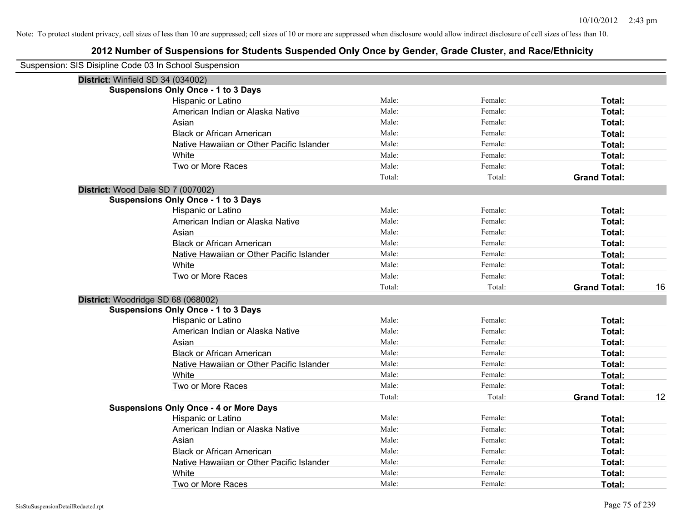| Suspension: SIS Disipline Code 03 In School Suspension |                                               |        |         |                     |    |
|--------------------------------------------------------|-----------------------------------------------|--------|---------|---------------------|----|
|                                                        | District: Winfield SD 34 (034002)             |        |         |                     |    |
|                                                        | <b>Suspensions Only Once - 1 to 3 Days</b>    |        |         |                     |    |
|                                                        | Hispanic or Latino                            | Male:  | Female: | Total:              |    |
|                                                        | American Indian or Alaska Native              | Male:  | Female: | Total:              |    |
|                                                        | Asian                                         | Male:  | Female: | Total:              |    |
|                                                        | <b>Black or African American</b>              | Male:  | Female: | Total:              |    |
|                                                        | Native Hawaiian or Other Pacific Islander     | Male:  | Female: | Total:              |    |
|                                                        | White                                         | Male:  | Female: | Total:              |    |
|                                                        | Two or More Races                             | Male:  | Female: | Total:              |    |
|                                                        |                                               | Total: | Total:  | <b>Grand Total:</b> |    |
|                                                        | District: Wood Dale SD 7 (007002)             |        |         |                     |    |
|                                                        | <b>Suspensions Only Once - 1 to 3 Days</b>    |        |         |                     |    |
|                                                        | Hispanic or Latino                            | Male:  | Female: | Total:              |    |
|                                                        | American Indian or Alaska Native              | Male:  | Female: | Total:              |    |
|                                                        | Asian                                         | Male:  | Female: | Total:              |    |
|                                                        | <b>Black or African American</b>              | Male:  | Female: | Total:              |    |
|                                                        | Native Hawaiian or Other Pacific Islander     | Male:  | Female: | Total:              |    |
|                                                        | White                                         | Male:  | Female: | Total:              |    |
|                                                        | Two or More Races                             | Male:  | Female: | Total:              |    |
|                                                        |                                               | Total: | Total:  | <b>Grand Total:</b> | 16 |
|                                                        | District: Woodridge SD 68 (068002)            |        |         |                     |    |
|                                                        | <b>Suspensions Only Once - 1 to 3 Days</b>    |        |         |                     |    |
|                                                        | Hispanic or Latino                            | Male:  | Female: | Total:              |    |
|                                                        | American Indian or Alaska Native              | Male:  | Female: | Total:              |    |
|                                                        | Asian                                         | Male:  | Female: | Total:              |    |
|                                                        | <b>Black or African American</b>              | Male:  | Female: | Total:              |    |
|                                                        | Native Hawaiian or Other Pacific Islander     | Male:  | Female: | Total:              |    |
|                                                        | White                                         | Male:  | Female: | Total:              |    |
|                                                        | Two or More Races                             | Male:  | Female: | Total:              |    |
|                                                        |                                               | Total: | Total:  | <b>Grand Total:</b> | 12 |
|                                                        | <b>Suspensions Only Once - 4 or More Days</b> |        |         |                     |    |
|                                                        | Hispanic or Latino                            | Male:  | Female: | Total:              |    |
|                                                        | American Indian or Alaska Native              | Male:  | Female: | Total:              |    |
|                                                        | Asian                                         | Male:  | Female: | Total:              |    |
|                                                        | <b>Black or African American</b>              | Male:  | Female: | Total:              |    |
|                                                        | Native Hawaiian or Other Pacific Islander     | Male:  | Female: | Total:              |    |
|                                                        | White                                         | Male:  | Female: | Total:              |    |
|                                                        | Two or More Races                             | Male:  | Female: | Total:              |    |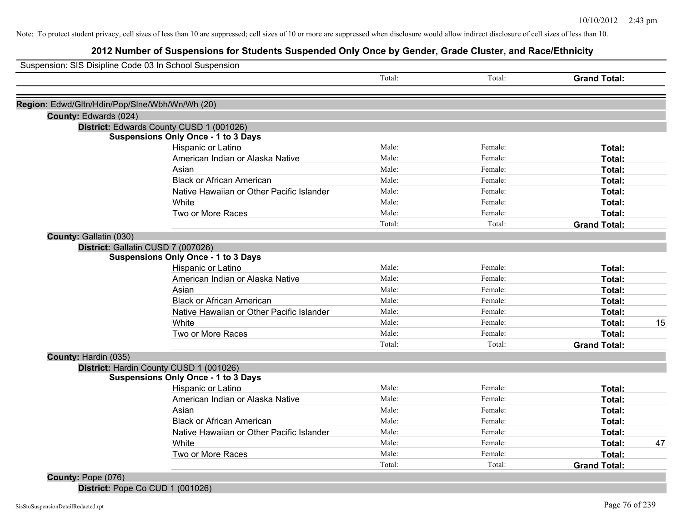# **2012 Number of Suspensions for Students Suspended Only Once by Gender, Grade Cluster, and Race/Ethnicity**

|                                                |                                                        | Total:         | Total:  | <b>Grand Total:</b> |    |
|------------------------------------------------|--------------------------------------------------------|----------------|---------|---------------------|----|
|                                                |                                                        |                |         |                     |    |
| Region: Edwd/Gltn/Hdin/Pop/Slne/Wbh/Wn/Wh (20) |                                                        |                |         |                     |    |
| County: Edwards (024)                          |                                                        |                |         |                     |    |
| District: Edwards County CUSD 1 (001026)       |                                                        |                |         |                     |    |
|                                                | <b>Suspensions Only Once - 1 to 3 Days</b>             | Male:          | Female: |                     |    |
|                                                | Hispanic or Latino                                     | Male:          | Female: | Total:              |    |
|                                                | American Indian or Alaska Native                       | Male:          | Female: | Total:              |    |
|                                                | Asian                                                  | Male:          | Female: | Total:              |    |
|                                                | <b>Black or African American</b>                       |                |         | Total:              |    |
|                                                | Native Hawaiian or Other Pacific Islander              | Male:<br>Male: | Female: | Total:              |    |
|                                                | White                                                  |                | Female: | Total:              |    |
|                                                | Two or More Races                                      | Male:          | Female: | Total:              |    |
|                                                |                                                        | Total:         | Total:  | <b>Grand Total:</b> |    |
| County: Gallatin (030)                         |                                                        |                |         |                     |    |
| District: Gallatin CUSD 7 (007026)             |                                                        |                |         |                     |    |
|                                                | <b>Suspensions Only Once - 1 to 3 Days</b>             | Male:          | Female: |                     |    |
|                                                | Hispanic or Latino<br>American Indian or Alaska Native | Male:          | Female: | Total:              |    |
|                                                |                                                        | Male:          | Female: | Total:              |    |
|                                                | Asian                                                  | Male:          |         | Total:              |    |
|                                                | <b>Black or African American</b>                       | Male:          | Female: | Total:              |    |
|                                                | Native Hawaiian or Other Pacific Islander              |                | Female: | Total:              |    |
|                                                | White                                                  | Male:          | Female: | Total:              | 15 |
|                                                | Two or More Races                                      | Male:          | Female: | Total:              |    |
|                                                |                                                        | Total:         | Total:  | <b>Grand Total:</b> |    |
| County: Hardin (035)                           |                                                        |                |         |                     |    |
| District: Hardin County CUSD 1 (001026)        |                                                        |                |         |                     |    |
|                                                | <b>Suspensions Only Once - 1 to 3 Days</b>             |                |         |                     |    |
|                                                | Hispanic or Latino                                     | Male:          | Female: | Total:              |    |
|                                                | American Indian or Alaska Native                       | Male:          | Female: | Total:              |    |
|                                                | Asian                                                  | Male:          | Female: | Total:              |    |
|                                                | <b>Black or African American</b>                       | Male:          | Female: | Total:              |    |
|                                                | Native Hawaiian or Other Pacific Islander              | Male:          | Female: | Total:              |    |
|                                                | White                                                  | Male:          | Female: | Total:              | 47 |
|                                                | Two or More Races                                      | Male:          | Female: | Total:              |    |
|                                                |                                                        | Total:         | Total:  | <b>Grand Total:</b> |    |

**District:** Pope Co CUD 1 (001026)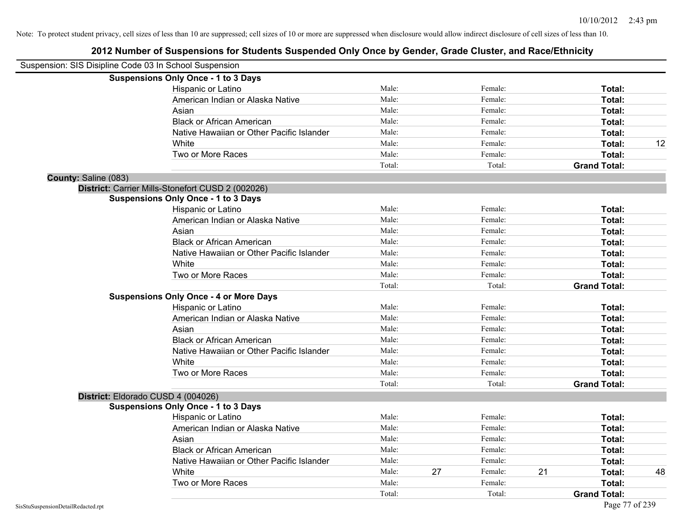| Suspension: SIS Disipline Code 03 In School Suspension |                                                   |        |    |         |    |                     |    |
|--------------------------------------------------------|---------------------------------------------------|--------|----|---------|----|---------------------|----|
|                                                        | <b>Suspensions Only Once - 1 to 3 Days</b>        |        |    |         |    |                     |    |
|                                                        | Hispanic or Latino                                | Male:  |    | Female: |    | Total:              |    |
|                                                        | American Indian or Alaska Native                  | Male:  |    | Female: |    | Total:              |    |
|                                                        | Asian                                             | Male:  |    | Female: |    | Total:              |    |
|                                                        | <b>Black or African American</b>                  | Male:  |    | Female: |    | Total:              |    |
|                                                        | Native Hawaiian or Other Pacific Islander         | Male:  |    | Female: |    | Total:              |    |
|                                                        | White                                             | Male:  |    | Female: |    | <b>Total:</b>       | 12 |
|                                                        | Two or More Races                                 | Male:  |    | Female: |    | Total:              |    |
|                                                        |                                                   | Total: |    | Total:  |    | <b>Grand Total:</b> |    |
| County: Saline (083)                                   |                                                   |        |    |         |    |                     |    |
|                                                        | District: Carrier Mills-Stonefort CUSD 2 (002026) |        |    |         |    |                     |    |
|                                                        | <b>Suspensions Only Once - 1 to 3 Days</b>        |        |    |         |    |                     |    |
|                                                        | Hispanic or Latino                                | Male:  |    | Female: |    | Total:              |    |
|                                                        | American Indian or Alaska Native                  | Male:  |    | Female: |    | <b>Total:</b>       |    |
|                                                        | Asian                                             | Male:  |    | Female: |    | <b>Total:</b>       |    |
|                                                        | <b>Black or African American</b>                  | Male:  |    | Female: |    | Total:              |    |
|                                                        | Native Hawaiian or Other Pacific Islander         | Male:  |    | Female: |    | Total:              |    |
|                                                        | White                                             | Male:  |    | Female: |    | Total:              |    |
|                                                        | Two or More Races                                 | Male:  |    | Female: |    | Total:              |    |
|                                                        |                                                   | Total: |    | Total:  |    | <b>Grand Total:</b> |    |
|                                                        | <b>Suspensions Only Once - 4 or More Days</b>     |        |    |         |    |                     |    |
|                                                        | Hispanic or Latino                                | Male:  |    | Female: |    | Total:              |    |
|                                                        | American Indian or Alaska Native                  | Male:  |    | Female: |    | <b>Total:</b>       |    |
|                                                        | Asian                                             | Male:  |    | Female: |    | <b>Total:</b>       |    |
|                                                        | <b>Black or African American</b>                  | Male:  |    | Female: |    | Total:              |    |
|                                                        | Native Hawaiian or Other Pacific Islander         | Male:  |    | Female: |    | Total:              |    |
|                                                        | White                                             | Male:  |    | Female: |    | Total:              |    |
|                                                        | Two or More Races                                 | Male:  |    | Female: |    | Total:              |    |
|                                                        |                                                   | Total: |    | Total:  |    | <b>Grand Total:</b> |    |
|                                                        | District: Eldorado CUSD 4 (004026)                |        |    |         |    |                     |    |
|                                                        | <b>Suspensions Only Once - 1 to 3 Days</b>        |        |    |         |    |                     |    |
|                                                        | Hispanic or Latino                                | Male:  |    | Female: |    | <b>Total:</b>       |    |
|                                                        | American Indian or Alaska Native                  | Male:  |    | Female: |    | Total:              |    |
|                                                        | Asian                                             | Male:  |    | Female: |    | Total:              |    |
|                                                        | <b>Black or African American</b>                  | Male:  |    | Female: |    | Total:              |    |
|                                                        | Native Hawaiian or Other Pacific Islander         | Male:  |    | Female: |    | Total:              |    |
|                                                        | White                                             | Male:  | 27 | Female: | 21 | <b>Total:</b>       | 48 |
|                                                        | Two or More Races                                 | Male:  |    | Female: |    | Total:              |    |
|                                                        |                                                   | Total: |    | Total:  |    | <b>Grand Total:</b> |    |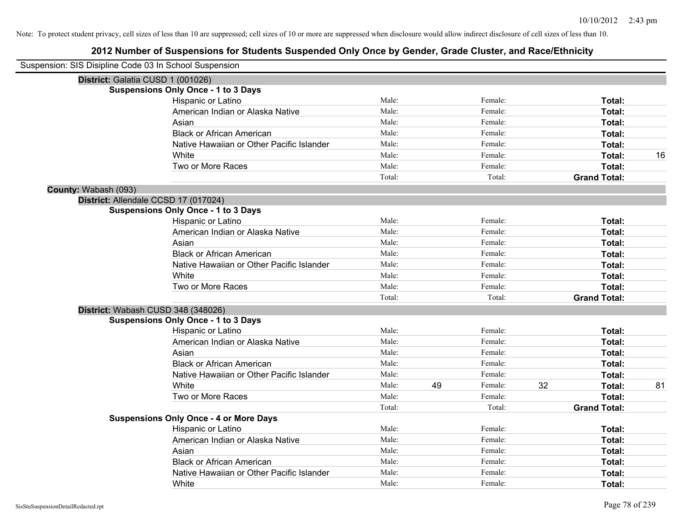| Suspension: SIS Disipline Code 03 In School Suspension |                                               |        |    |         |    |                     |    |
|--------------------------------------------------------|-----------------------------------------------|--------|----|---------|----|---------------------|----|
|                                                        | District: Galatia CUSD 1 (001026)             |        |    |         |    |                     |    |
|                                                        | <b>Suspensions Only Once - 1 to 3 Days</b>    |        |    |         |    |                     |    |
|                                                        | Hispanic or Latino                            | Male:  |    | Female: |    | Total:              |    |
|                                                        | American Indian or Alaska Native              | Male:  |    | Female: |    | Total:              |    |
|                                                        | Asian                                         | Male:  |    | Female: |    | Total:              |    |
|                                                        | <b>Black or African American</b>              | Male:  |    | Female: |    | Total:              |    |
|                                                        | Native Hawaiian or Other Pacific Islander     | Male:  |    | Female: |    | Total:              |    |
|                                                        | White                                         | Male:  |    | Female: |    | Total:              | 16 |
|                                                        | Two or More Races                             | Male:  |    | Female: |    | Total:              |    |
|                                                        |                                               | Total: |    | Total:  |    | <b>Grand Total:</b> |    |
| County: Wabash (093)                                   |                                               |        |    |         |    |                     |    |
|                                                        | District: Allendale CCSD 17 (017024)          |        |    |         |    |                     |    |
|                                                        | <b>Suspensions Only Once - 1 to 3 Days</b>    |        |    |         |    |                     |    |
|                                                        | Hispanic or Latino                            | Male:  |    | Female: |    | Total:              |    |
|                                                        | American Indian or Alaska Native              | Male:  |    | Female: |    | Total:              |    |
|                                                        | Asian                                         | Male:  |    | Female: |    | Total:              |    |
|                                                        | <b>Black or African American</b>              | Male:  |    | Female: |    | Total:              |    |
|                                                        | Native Hawaiian or Other Pacific Islander     | Male:  |    | Female: |    | Total:              |    |
|                                                        | White                                         | Male:  |    | Female: |    | Total:              |    |
|                                                        | Two or More Races                             | Male:  |    | Female: |    | Total:              |    |
|                                                        |                                               | Total: |    | Total:  |    | <b>Grand Total:</b> |    |
|                                                        | District: Wabash CUSD 348 (348026)            |        |    |         |    |                     |    |
|                                                        | <b>Suspensions Only Once - 1 to 3 Days</b>    |        |    |         |    |                     |    |
|                                                        | Hispanic or Latino                            | Male:  |    | Female: |    | Total:              |    |
|                                                        | American Indian or Alaska Native              | Male:  |    | Female: |    | Total:              |    |
|                                                        | Asian                                         | Male:  |    | Female: |    | Total:              |    |
|                                                        | <b>Black or African American</b>              | Male:  |    | Female: |    | Total:              |    |
|                                                        | Native Hawaiian or Other Pacific Islander     | Male:  |    | Female: |    | Total:              |    |
|                                                        | White                                         | Male:  | 49 | Female: | 32 | Total:              | 81 |
|                                                        | Two or More Races                             | Male:  |    | Female: |    | <b>Total:</b>       |    |
|                                                        |                                               | Total: |    | Total:  |    | <b>Grand Total:</b> |    |
|                                                        | <b>Suspensions Only Once - 4 or More Days</b> |        |    |         |    |                     |    |
|                                                        | Hispanic or Latino                            | Male:  |    | Female: |    | Total:              |    |
|                                                        | American Indian or Alaska Native              | Male:  |    | Female: |    | Total:              |    |
|                                                        | Asian                                         | Male:  |    | Female: |    | Total:              |    |
|                                                        | <b>Black or African American</b>              | Male:  |    | Female: |    | Total:              |    |
|                                                        | Native Hawaiian or Other Pacific Islander     | Male:  |    | Female: |    | <b>Total:</b>       |    |
|                                                        | White                                         | Male:  |    | Female: |    | Total:              |    |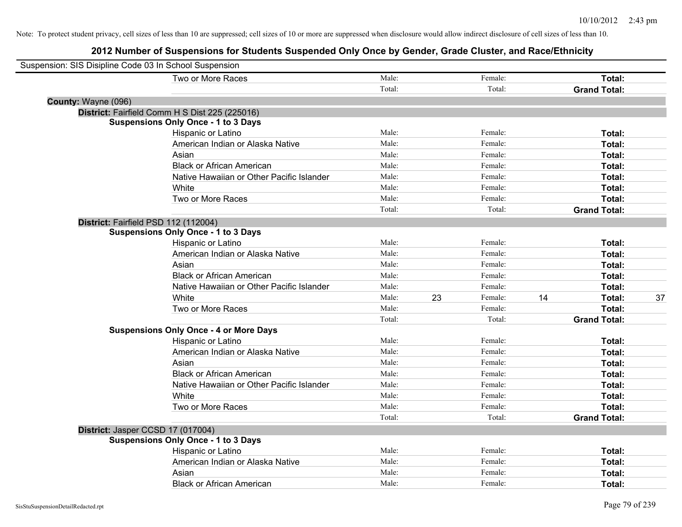| Suspension: SIS Disipline Code 03 In School Suspension |                                                |        |    |         |    |                     |    |
|--------------------------------------------------------|------------------------------------------------|--------|----|---------|----|---------------------|----|
|                                                        | Two or More Races                              | Male:  |    | Female: |    | Total:              |    |
|                                                        |                                                | Total: |    | Total:  |    | <b>Grand Total:</b> |    |
| County: Wayne (096)                                    |                                                |        |    |         |    |                     |    |
|                                                        | District: Fairfield Comm H S Dist 225 (225016) |        |    |         |    |                     |    |
|                                                        | <b>Suspensions Only Once - 1 to 3 Days</b>     |        |    |         |    |                     |    |
|                                                        | Hispanic or Latino                             | Male:  |    | Female: |    | Total:              |    |
|                                                        | American Indian or Alaska Native               | Male:  |    | Female: |    | Total:              |    |
|                                                        | Asian                                          | Male:  |    | Female: |    | Total:              |    |
|                                                        | <b>Black or African American</b>               | Male:  |    | Female: |    | Total:              |    |
|                                                        | Native Hawaiian or Other Pacific Islander      | Male:  |    | Female: |    | Total:              |    |
|                                                        | White                                          | Male:  |    | Female: |    | Total:              |    |
|                                                        | Two or More Races                              | Male:  |    | Female: |    | Total:              |    |
|                                                        |                                                | Total: |    | Total:  |    | <b>Grand Total:</b> |    |
| District: Fairfield PSD 112 (112004)                   |                                                |        |    |         |    |                     |    |
|                                                        | <b>Suspensions Only Once - 1 to 3 Days</b>     |        |    |         |    |                     |    |
|                                                        | Hispanic or Latino                             | Male:  |    | Female: |    | Total:              |    |
|                                                        | American Indian or Alaska Native               | Male:  |    | Female: |    | Total:              |    |
|                                                        | Asian                                          | Male:  |    | Female: |    | Total:              |    |
|                                                        | <b>Black or African American</b>               | Male:  |    | Female: |    | Total:              |    |
|                                                        | Native Hawaiian or Other Pacific Islander      | Male:  |    | Female: |    | Total:              |    |
|                                                        | White                                          | Male:  | 23 | Female: | 14 | Total:              | 37 |
|                                                        | Two or More Races                              | Male:  |    | Female: |    | Total:              |    |
|                                                        |                                                | Total: |    | Total:  |    | <b>Grand Total:</b> |    |
|                                                        | <b>Suspensions Only Once - 4 or More Days</b>  |        |    |         |    |                     |    |
|                                                        | Hispanic or Latino                             | Male:  |    | Female: |    | Total:              |    |
|                                                        | American Indian or Alaska Native               | Male:  |    | Female: |    | Total:              |    |
|                                                        | Asian                                          | Male:  |    | Female: |    | Total:              |    |
|                                                        | <b>Black or African American</b>               | Male:  |    | Female: |    | Total:              |    |
|                                                        | Native Hawaiian or Other Pacific Islander      | Male:  |    | Female: |    | Total:              |    |
|                                                        | White                                          | Male:  |    | Female: |    | Total:              |    |
|                                                        | Two or More Races                              | Male:  |    | Female: |    | Total:              |    |
|                                                        |                                                | Total: |    | Total:  |    | <b>Grand Total:</b> |    |
| District: Jasper CCSD 17 (017004)                      |                                                |        |    |         |    |                     |    |
|                                                        | <b>Suspensions Only Once - 1 to 3 Days</b>     |        |    |         |    |                     |    |
|                                                        | Hispanic or Latino                             | Male:  |    | Female: |    | Total:              |    |
|                                                        | American Indian or Alaska Native               | Male:  |    | Female: |    | Total:              |    |
|                                                        | Asian                                          | Male:  |    | Female: |    | Total:              |    |
|                                                        | <b>Black or African American</b>               | Male:  |    | Female: |    | Total:              |    |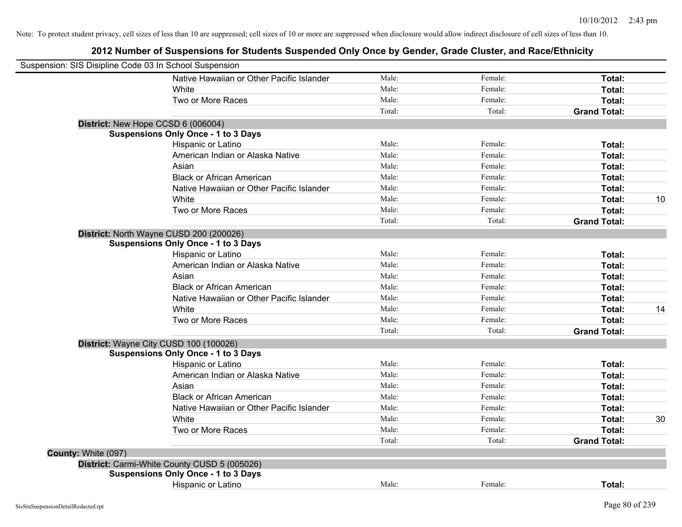| Suspension: SIS Disipline Code 03 In School Suspension |                                              |        |         |                     |    |
|--------------------------------------------------------|----------------------------------------------|--------|---------|---------------------|----|
|                                                        | Native Hawaiian or Other Pacific Islander    | Male:  | Female: | Total:              |    |
|                                                        | White                                        | Male:  | Female: | Total:              |    |
|                                                        | Two or More Races                            | Male:  | Female: | Total:              |    |
|                                                        |                                              | Total: | Total:  | <b>Grand Total:</b> |    |
|                                                        | District: New Hope CCSD 6 (006004)           |        |         |                     |    |
|                                                        | <b>Suspensions Only Once - 1 to 3 Days</b>   |        |         |                     |    |
|                                                        | Hispanic or Latino                           | Male:  | Female: | Total:              |    |
|                                                        | American Indian or Alaska Native             | Male:  | Female: | Total:              |    |
|                                                        | Asian                                        | Male:  | Female: | Total:              |    |
|                                                        | <b>Black or African American</b>             | Male:  | Female: | Total:              |    |
|                                                        | Native Hawaiian or Other Pacific Islander    | Male:  | Female: | Total:              |    |
|                                                        | White                                        | Male:  | Female: | Total:              | 10 |
|                                                        | Two or More Races                            | Male:  | Female: | Total:              |    |
|                                                        |                                              | Total: | Total:  | <b>Grand Total:</b> |    |
|                                                        | District: North Wayne CUSD 200 (200026)      |        |         |                     |    |
|                                                        | <b>Suspensions Only Once - 1 to 3 Days</b>   |        |         |                     |    |
|                                                        | Hispanic or Latino                           | Male:  | Female: | Total:              |    |
|                                                        | American Indian or Alaska Native             | Male:  | Female: | Total:              |    |
|                                                        | Asian                                        | Male:  | Female: | Total:              |    |
|                                                        | <b>Black or African American</b>             | Male:  | Female: | Total:              |    |
|                                                        | Native Hawaiian or Other Pacific Islander    | Male:  | Female: | Total:              |    |
|                                                        | White                                        | Male:  | Female: | Total:              | 14 |
|                                                        | Two or More Races                            | Male:  | Female: | Total:              |    |
|                                                        |                                              | Total: | Total:  | <b>Grand Total:</b> |    |
|                                                        | District: Wayne City CUSD 100 (100026)       |        |         |                     |    |
|                                                        | <b>Suspensions Only Once - 1 to 3 Days</b>   |        |         |                     |    |
|                                                        | Hispanic or Latino                           | Male:  | Female: | Total:              |    |
|                                                        | American Indian or Alaska Native             | Male:  | Female: | Total:              |    |
|                                                        | Asian                                        | Male:  | Female: | Total:              |    |
|                                                        | <b>Black or African American</b>             | Male:  | Female: | Total:              |    |
|                                                        | Native Hawaiian or Other Pacific Islander    | Male:  | Female: | Total:              |    |
|                                                        | White                                        | Male:  | Female: | Total:              | 30 |
|                                                        | Two or More Races                            | Male:  | Female: | Total:              |    |
|                                                        |                                              | Total: | Total:  | <b>Grand Total:</b> |    |
| County: White (097)                                    |                                              |        |         |                     |    |
|                                                        | District: Carmi-White County CUSD 5 (005026) |        |         |                     |    |
|                                                        | <b>Suspensions Only Once - 1 to 3 Days</b>   |        |         |                     |    |
|                                                        | <b>Hispanic or Latino</b>                    | Male:  | Female: | Total:              |    |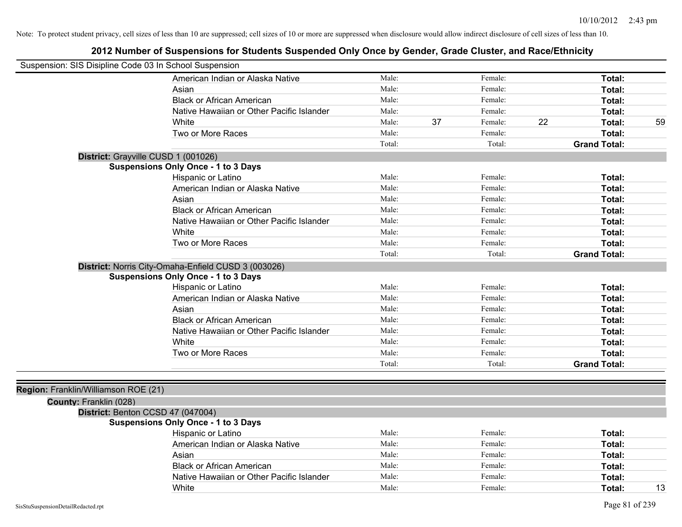| Suspension: SIS Disipline Code 03 In School Suspension |                                                     |        |    |         |    |                     |    |
|--------------------------------------------------------|-----------------------------------------------------|--------|----|---------|----|---------------------|----|
|                                                        | American Indian or Alaska Native                    | Male:  |    | Female: |    | Total:              |    |
|                                                        | Asian                                               | Male:  |    | Female: |    | Total:              |    |
|                                                        | <b>Black or African American</b>                    | Male:  |    | Female: |    | Total:              |    |
|                                                        | Native Hawaiian or Other Pacific Islander           | Male:  |    | Female: |    | <b>Total:</b>       |    |
|                                                        | White                                               | Male:  | 37 | Female: | 22 | <b>Total:</b>       | 59 |
|                                                        | Two or More Races                                   | Male:  |    | Female: |    | <b>Total:</b>       |    |
|                                                        |                                                     | Total: |    | Total:  |    | <b>Grand Total:</b> |    |
|                                                        | District: Grayville CUSD 1 (001026)                 |        |    |         |    |                     |    |
|                                                        | <b>Suspensions Only Once - 1 to 3 Days</b>          |        |    |         |    |                     |    |
|                                                        | Hispanic or Latino                                  | Male:  |    | Female: |    | Total:              |    |
|                                                        | American Indian or Alaska Native                    | Male:  |    | Female: |    | Total:              |    |
|                                                        | Asian                                               | Male:  |    | Female: |    | <b>Total:</b>       |    |
|                                                        | <b>Black or African American</b>                    | Male:  |    | Female: |    | <b>Total:</b>       |    |
|                                                        | Native Hawaiian or Other Pacific Islander           | Male:  |    | Female: |    | Total:              |    |
|                                                        | White                                               | Male:  |    | Female: |    | <b>Total:</b>       |    |
|                                                        | Two or More Races                                   | Male:  |    | Female: |    | <b>Total:</b>       |    |
|                                                        |                                                     | Total: |    | Total:  |    | <b>Grand Total:</b> |    |
|                                                        | District: Norris City-Omaha-Enfield CUSD 3 (003026) |        |    |         |    |                     |    |
|                                                        | <b>Suspensions Only Once - 1 to 3 Days</b>          |        |    |         |    |                     |    |
|                                                        | Hispanic or Latino                                  | Male:  |    | Female: |    | Total:              |    |
|                                                        | American Indian or Alaska Native                    | Male:  |    | Female: |    | <b>Total:</b>       |    |
|                                                        | Asian                                               | Male:  |    | Female: |    | <b>Total:</b>       |    |
|                                                        | <b>Black or African American</b>                    | Male:  |    | Female: |    | <b>Total:</b>       |    |
|                                                        | Native Hawaiian or Other Pacific Islander           | Male:  |    | Female: |    | <b>Total:</b>       |    |
|                                                        | White                                               | Male:  |    | Female: |    | <b>Total:</b>       |    |
|                                                        | Two or More Races                                   | Male:  |    | Female: |    | Total:              |    |
|                                                        |                                                     | Total: |    | Total:  |    | <b>Grand Total:</b> |    |
|                                                        |                                                     |        |    |         |    |                     |    |
| Region: Franklin/Williamson ROE (21)                   |                                                     |        |    |         |    |                     |    |
| County: Franklin (028)                                 |                                                     |        |    |         |    |                     |    |
|                                                        | District: Benton CCSD 47 (047004)                   |        |    |         |    |                     |    |
|                                                        | <b>Suspensions Only Once - 1 to 3 Days</b>          |        |    |         |    |                     |    |
|                                                        | Hispanic or Latino                                  | Male:  |    | Female: |    | <b>Total:</b>       |    |
|                                                        | American Indian or Alaska Native                    | Male:  |    | Female: |    | <b>Total:</b>       |    |
|                                                        | Asian                                               | Male:  |    | Female: |    | Total:              |    |
|                                                        | <b>Black or African American</b>                    | Male:  |    | Female: |    | <b>Total:</b>       |    |
|                                                        | Native Hawaiian or Other Pacific Islander           | Male:  |    | Female: |    | <b>Total:</b>       |    |
|                                                        | White                                               | Male:  |    | Female: |    | Total:              | 13 |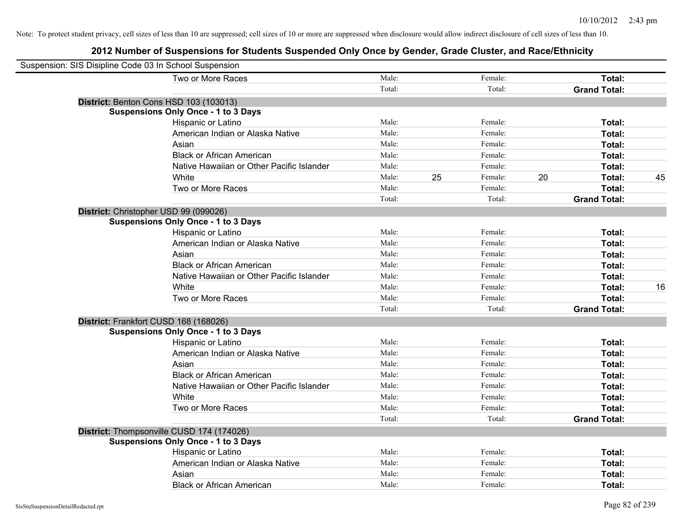| Suspension: SIS Disipline Code 03 In School Suspension |                                            |        |    |         |    |                     |    |
|--------------------------------------------------------|--------------------------------------------|--------|----|---------|----|---------------------|----|
|                                                        | Two or More Races                          | Male:  |    | Female: |    | Total:              |    |
|                                                        |                                            | Total: |    | Total:  |    | <b>Grand Total:</b> |    |
| District: Benton Cons HSD 103 (103013)                 |                                            |        |    |         |    |                     |    |
|                                                        | <b>Suspensions Only Once - 1 to 3 Days</b> |        |    |         |    |                     |    |
|                                                        | Hispanic or Latino                         | Male:  |    | Female: |    | Total:              |    |
|                                                        | American Indian or Alaska Native           | Male:  |    | Female: |    | Total:              |    |
|                                                        | Asian                                      | Male:  |    | Female: |    | Total:              |    |
|                                                        | <b>Black or African American</b>           | Male:  |    | Female: |    | Total:              |    |
|                                                        | Native Hawaiian or Other Pacific Islander  | Male:  |    | Female: |    | Total:              |    |
|                                                        | White                                      | Male:  | 25 | Female: | 20 | Total:              | 45 |
|                                                        | Two or More Races                          | Male:  |    | Female: |    | Total:              |    |
|                                                        |                                            | Total: |    | Total:  |    | <b>Grand Total:</b> |    |
| District: Christopher USD 99 (099026)                  |                                            |        |    |         |    |                     |    |
|                                                        | <b>Suspensions Only Once - 1 to 3 Days</b> |        |    |         |    |                     |    |
|                                                        | Hispanic or Latino                         | Male:  |    | Female: |    | Total:              |    |
|                                                        | American Indian or Alaska Native           | Male:  |    | Female: |    | Total:              |    |
|                                                        | Asian                                      | Male:  |    | Female: |    | Total:              |    |
|                                                        | <b>Black or African American</b>           | Male:  |    | Female: |    | Total:              |    |
|                                                        | Native Hawaiian or Other Pacific Islander  | Male:  |    | Female: |    | Total:              |    |
|                                                        | White                                      | Male:  |    | Female: |    | Total:              | 16 |
|                                                        | Two or More Races                          | Male:  |    | Female: |    | Total:              |    |
|                                                        |                                            | Total: |    | Total:  |    | <b>Grand Total:</b> |    |
| District: Frankfort CUSD 168 (168026)                  |                                            |        |    |         |    |                     |    |
|                                                        | <b>Suspensions Only Once - 1 to 3 Days</b> |        |    |         |    |                     |    |
|                                                        | Hispanic or Latino                         | Male:  |    | Female: |    | Total:              |    |
|                                                        | American Indian or Alaska Native           | Male:  |    | Female: |    | Total:              |    |
|                                                        | Asian                                      | Male:  |    | Female: |    | Total:              |    |
|                                                        | <b>Black or African American</b>           | Male:  |    | Female: |    | Total:              |    |
|                                                        | Native Hawaiian or Other Pacific Islander  | Male:  |    | Female: |    | Total:              |    |
|                                                        | White                                      | Male:  |    | Female: |    | Total:              |    |
|                                                        | Two or More Races                          | Male:  |    | Female: |    | Total:              |    |
|                                                        |                                            | Total: |    | Total:  |    | <b>Grand Total:</b> |    |
|                                                        | District: Thompsonville CUSD 174 (174026)  |        |    |         |    |                     |    |
|                                                        | <b>Suspensions Only Once - 1 to 3 Days</b> |        |    |         |    |                     |    |
|                                                        | Hispanic or Latino                         | Male:  |    | Female: |    | Total:              |    |
|                                                        | American Indian or Alaska Native           | Male:  |    | Female: |    | Total:              |    |
|                                                        | Asian                                      | Male:  |    | Female: |    | Total:              |    |
|                                                        | <b>Black or African American</b>           | Male:  |    | Female: |    | Total:              |    |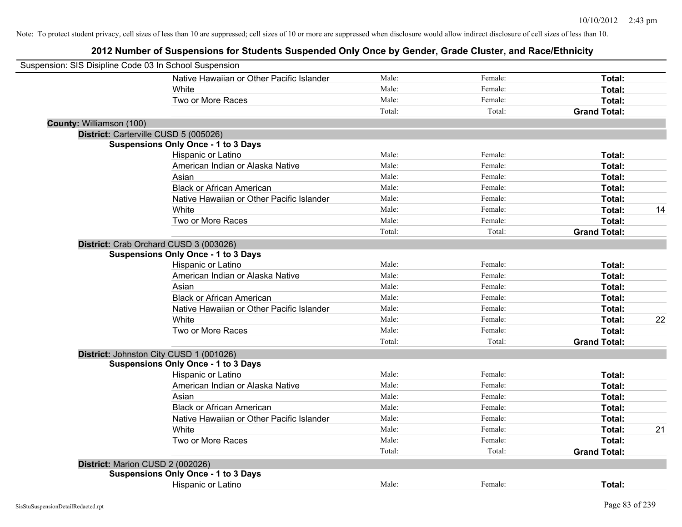| Suspension: SIS Disipline Code 03 In School Suspension |                                            |        |         |                     |    |
|--------------------------------------------------------|--------------------------------------------|--------|---------|---------------------|----|
|                                                        | Native Hawaiian or Other Pacific Islander  | Male:  | Female: | Total:              |    |
|                                                        | White                                      | Male:  | Female: | Total:              |    |
|                                                        | Two or More Races                          | Male:  | Female: | Total:              |    |
|                                                        |                                            | Total: | Total:  | <b>Grand Total:</b> |    |
| County: Williamson (100)                               |                                            |        |         |                     |    |
| District: Carterville CUSD 5 (005026)                  |                                            |        |         |                     |    |
|                                                        | <b>Suspensions Only Once - 1 to 3 Days</b> |        |         |                     |    |
|                                                        | Hispanic or Latino                         | Male:  | Female: | Total:              |    |
|                                                        | American Indian or Alaska Native           | Male:  | Female: | Total:              |    |
|                                                        | Asian                                      | Male:  | Female: | Total:              |    |
|                                                        | <b>Black or African American</b>           | Male:  | Female: | Total:              |    |
|                                                        | Native Hawaiian or Other Pacific Islander  | Male:  | Female: | Total:              |    |
|                                                        | White                                      | Male:  | Female: | Total:              | 14 |
|                                                        | Two or More Races                          | Male:  | Female: | Total:              |    |
|                                                        |                                            | Total: | Total:  | <b>Grand Total:</b> |    |
|                                                        | District: Crab Orchard CUSD 3 (003026)     |        |         |                     |    |
|                                                        | <b>Suspensions Only Once - 1 to 3 Days</b> |        |         |                     |    |
|                                                        | Hispanic or Latino                         | Male:  | Female: | Total:              |    |
|                                                        | American Indian or Alaska Native           | Male:  | Female: | Total:              |    |
|                                                        | Asian                                      | Male:  | Female: | Total:              |    |
|                                                        | <b>Black or African American</b>           | Male:  | Female: | Total:              |    |
|                                                        | Native Hawaiian or Other Pacific Islander  | Male:  | Female: | Total:              |    |
|                                                        | White                                      | Male:  | Female: | Total:              | 22 |
|                                                        | Two or More Races                          | Male:  | Female: | Total:              |    |
|                                                        |                                            | Total: | Total:  | <b>Grand Total:</b> |    |
|                                                        | District: Johnston City CUSD 1 (001026)    |        |         |                     |    |
|                                                        | <b>Suspensions Only Once - 1 to 3 Days</b> |        |         |                     |    |
|                                                        | Hispanic or Latino                         | Male:  | Female: | Total:              |    |
|                                                        | American Indian or Alaska Native           | Male:  | Female: | Total:              |    |
|                                                        | Asian                                      | Male:  | Female: | Total:              |    |
|                                                        | <b>Black or African American</b>           | Male:  | Female: | Total:              |    |
|                                                        | Native Hawaiian or Other Pacific Islander  | Male:  | Female: | Total:              |    |
|                                                        | <b>White</b>                               | Male:  | Female: | Total:              | 21 |
|                                                        | Two or More Races                          | Male:  | Female: | Total:              |    |
|                                                        |                                            | Total: | Total:  | <b>Grand Total:</b> |    |
| District: Marion CUSD 2 (002026)                       |                                            |        |         |                     |    |
|                                                        | <b>Suspensions Only Once - 1 to 3 Days</b> |        |         |                     |    |
|                                                        | <b>Hispanic or Latino</b>                  | Male:  | Female: | Total:              |    |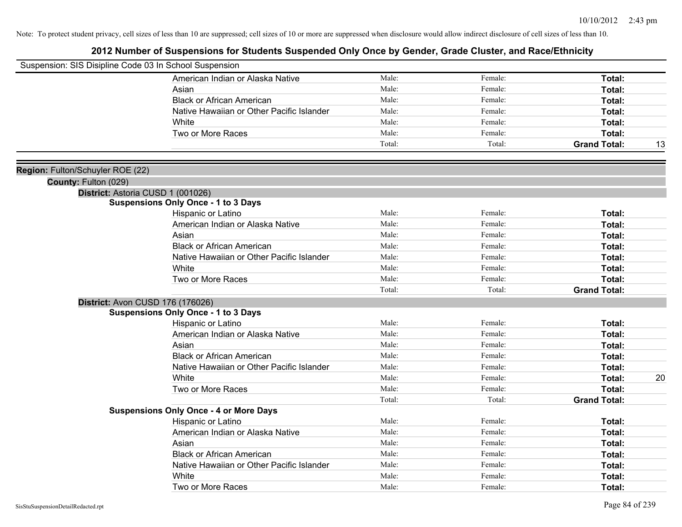| Suspension: SIS Disipline Code 03 In School Suspension |                                               |        |         |                     |    |
|--------------------------------------------------------|-----------------------------------------------|--------|---------|---------------------|----|
|                                                        | American Indian or Alaska Native              | Male:  | Female: | Total:              |    |
|                                                        | Asian                                         | Male:  | Female: | Total:              |    |
|                                                        | <b>Black or African American</b>              | Male:  | Female: | Total:              |    |
|                                                        | Native Hawaiian or Other Pacific Islander     | Male:  | Female: | Total:              |    |
|                                                        | White                                         | Male:  | Female: | Total:              |    |
|                                                        | Two or More Races                             | Male:  | Female: | Total:              |    |
|                                                        |                                               | Total: | Total:  | <b>Grand Total:</b> | 13 |
|                                                        |                                               |        |         |                     |    |
| Region: Fulton/Schuyler ROE (22)                       |                                               |        |         |                     |    |
| County: Fulton (029)                                   |                                               |        |         |                     |    |
|                                                        | District: Astoria CUSD 1 (001026)             |        |         |                     |    |
|                                                        | <b>Suspensions Only Once - 1 to 3 Days</b>    |        |         |                     |    |
|                                                        | Hispanic or Latino                            | Male:  | Female: | Total:              |    |
|                                                        | American Indian or Alaska Native              | Male:  | Female: | Total:              |    |
|                                                        | Asian                                         | Male:  | Female: | Total:              |    |
|                                                        | <b>Black or African American</b>              | Male:  | Female: | Total:              |    |
|                                                        | Native Hawaiian or Other Pacific Islander     | Male:  | Female: | Total:              |    |
|                                                        | White                                         | Male:  | Female: | Total:              |    |
|                                                        | Two or More Races                             | Male:  | Female: | Total:              |    |
|                                                        |                                               | Total: | Total:  | <b>Grand Total:</b> |    |
|                                                        | District: Avon CUSD 176 (176026)              |        |         |                     |    |
|                                                        | <b>Suspensions Only Once - 1 to 3 Days</b>    |        |         |                     |    |
|                                                        | Hispanic or Latino                            | Male:  | Female: | Total:              |    |
|                                                        | American Indian or Alaska Native              | Male:  | Female: | Total:              |    |
|                                                        | Asian                                         | Male:  | Female: | Total:              |    |
|                                                        | <b>Black or African American</b>              | Male:  | Female: | Total:              |    |
|                                                        | Native Hawaiian or Other Pacific Islander     | Male:  | Female: | Total:              |    |
|                                                        | White                                         | Male:  | Female: | Total:              | 20 |
|                                                        | Two or More Races                             | Male:  | Female: | Total:              |    |
|                                                        |                                               | Total: | Total:  | <b>Grand Total:</b> |    |
|                                                        | <b>Suspensions Only Once - 4 or More Days</b> |        |         |                     |    |
|                                                        | Hispanic or Latino                            | Male:  | Female: | Total:              |    |
|                                                        | American Indian or Alaska Native              | Male:  | Female: | Total:              |    |
|                                                        | Asian                                         | Male:  | Female: | Total:              |    |
|                                                        | <b>Black or African American</b>              | Male:  | Female: | Total:              |    |
|                                                        | Native Hawaiian or Other Pacific Islander     | Male:  | Female: | Total:              |    |
|                                                        | White                                         | Male:  | Female: | <b>Total:</b>       |    |
|                                                        | Two or More Races                             | Male:  | Female: | Total:              |    |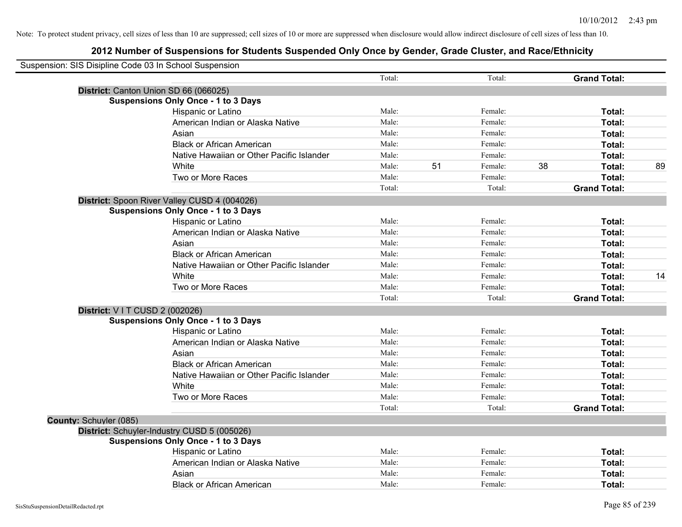|                        | Suspension: SIS Disipline Code 03 In School Suspension |        |    |         |    |                     |    |
|------------------------|--------------------------------------------------------|--------|----|---------|----|---------------------|----|
|                        |                                                        | Total: |    | Total:  |    | <b>Grand Total:</b> |    |
|                        | District: Canton Union SD 66 (066025)                  |        |    |         |    |                     |    |
|                        | <b>Suspensions Only Once - 1 to 3 Days</b>             |        |    |         |    |                     |    |
|                        | Hispanic or Latino                                     | Male:  |    | Female: |    | Total:              |    |
|                        | American Indian or Alaska Native                       | Male:  |    | Female: |    | Total:              |    |
|                        | Asian                                                  | Male:  |    | Female: |    | Total:              |    |
|                        | <b>Black or African American</b>                       | Male:  |    | Female: |    | Total:              |    |
|                        | Native Hawaiian or Other Pacific Islander              | Male:  |    | Female: |    | Total:              |    |
|                        | White                                                  | Male:  | 51 | Female: | 38 | Total:              | 89 |
|                        | Two or More Races                                      | Male:  |    | Female: |    | Total:              |    |
|                        |                                                        | Total: |    | Total:  |    | <b>Grand Total:</b> |    |
|                        | District: Spoon River Valley CUSD 4 (004026)           |        |    |         |    |                     |    |
|                        | <b>Suspensions Only Once - 1 to 3 Days</b>             |        |    |         |    |                     |    |
|                        | Hispanic or Latino                                     | Male:  |    | Female: |    | Total:              |    |
|                        | American Indian or Alaska Native                       | Male:  |    | Female: |    | Total:              |    |
|                        | Asian                                                  | Male:  |    | Female: |    | Total:              |    |
|                        | <b>Black or African American</b>                       | Male:  |    | Female: |    | Total:              |    |
|                        | Native Hawaiian or Other Pacific Islander              | Male:  |    | Female: |    | Total:              |    |
|                        | White                                                  | Male:  |    | Female: |    | Total:              | 14 |
|                        | Two or More Races                                      | Male:  |    | Female: |    | Total:              |    |
|                        |                                                        | Total: |    | Total:  |    | <b>Grand Total:</b> |    |
|                        | District: V I T CUSD 2 (002026)                        |        |    |         |    |                     |    |
|                        | <b>Suspensions Only Once - 1 to 3 Days</b>             |        |    |         |    |                     |    |
|                        | Hispanic or Latino                                     | Male:  |    | Female: |    | Total:              |    |
|                        | American Indian or Alaska Native                       | Male:  |    | Female: |    | Total:              |    |
|                        | Asian                                                  | Male:  |    | Female: |    | Total:              |    |
|                        | <b>Black or African American</b>                       | Male:  |    | Female: |    | Total:              |    |
|                        | Native Hawaiian or Other Pacific Islander              | Male:  |    | Female: |    | Total:              |    |
|                        | White                                                  | Male:  |    | Female: |    | Total:              |    |
|                        | Two or More Races                                      | Male:  |    | Female: |    | Total:              |    |
|                        |                                                        | Total: |    | Total:  |    | <b>Grand Total:</b> |    |
| County: Schuyler (085) |                                                        |        |    |         |    |                     |    |
|                        | District: Schuyler-Industry CUSD 5 (005026)            |        |    |         |    |                     |    |
|                        | <b>Suspensions Only Once - 1 to 3 Days</b>             |        |    |         |    |                     |    |
|                        | Hispanic or Latino                                     | Male:  |    | Female: |    | Total:              |    |
|                        | American Indian or Alaska Native                       | Male:  |    | Female: |    | Total:              |    |
|                        | Asian                                                  | Male:  |    | Female: |    | Total:              |    |
|                        | <b>Black or African American</b>                       | Male:  |    | Female: |    | Total:              |    |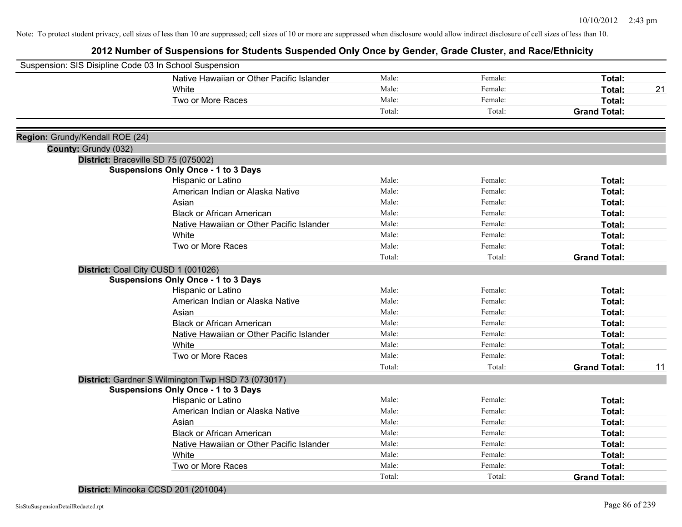# **2012 Number of Suspensions for Students Suspended Only Once by Gender, Grade Cluster, and Race/Ethnicity**

| Suspension: SIS Disipline Code 03 In School Suspension |                                                    |        |         |                     |    |
|--------------------------------------------------------|----------------------------------------------------|--------|---------|---------------------|----|
|                                                        | Native Hawaiian or Other Pacific Islander          | Male:  | Female: | Total:              |    |
|                                                        | White                                              | Male:  | Female: | Total:              | 21 |
|                                                        | Two or More Races                                  | Male:  | Female: | <b>Total:</b>       |    |
|                                                        |                                                    | Total: | Total:  | <b>Grand Total:</b> |    |
|                                                        |                                                    |        |         |                     |    |
| Region: Grundy/Kendall ROE (24)                        |                                                    |        |         |                     |    |
| County: Grundy (032)                                   |                                                    |        |         |                     |    |
|                                                        | District: Braceville SD 75 (075002)                |        |         |                     |    |
|                                                        | <b>Suspensions Only Once - 1 to 3 Days</b>         |        |         |                     |    |
|                                                        | Hispanic or Latino                                 | Male:  | Female: | Total:              |    |
|                                                        | American Indian or Alaska Native                   | Male:  | Female: | Total:              |    |
|                                                        | Asian                                              | Male:  | Female: | Total:              |    |
|                                                        | <b>Black or African American</b>                   | Male:  | Female: | Total:              |    |
|                                                        | Native Hawaiian or Other Pacific Islander          | Male:  | Female: | Total:              |    |
|                                                        | White                                              | Male:  | Female: | Total:              |    |
|                                                        | Two or More Races                                  | Male:  | Female: | Total:              |    |
|                                                        |                                                    | Total: | Total:  | <b>Grand Total:</b> |    |
|                                                        | District: Coal City CUSD 1 (001026)                |        |         |                     |    |
|                                                        | <b>Suspensions Only Once - 1 to 3 Days</b>         |        |         |                     |    |
|                                                        | Hispanic or Latino                                 | Male:  | Female: | Total:              |    |
|                                                        | American Indian or Alaska Native                   | Male:  | Female: | Total:              |    |
|                                                        | Asian                                              | Male:  | Female: | Total:              |    |
|                                                        | <b>Black or African American</b>                   | Male:  | Female: | Total:              |    |
|                                                        | Native Hawaiian or Other Pacific Islander          | Male:  | Female: | Total:              |    |
|                                                        | White                                              | Male:  | Female: | Total:              |    |
|                                                        | Two or More Races                                  | Male:  | Female: | Total:              |    |
|                                                        |                                                    | Total: | Total:  | <b>Grand Total:</b> | 11 |
|                                                        | District: Gardner S Wilmington Twp HSD 73 (073017) |        |         |                     |    |
|                                                        | <b>Suspensions Only Once - 1 to 3 Days</b>         |        |         |                     |    |
|                                                        | Hispanic or Latino                                 | Male:  | Female: | Total:              |    |
|                                                        | American Indian or Alaska Native                   | Male:  | Female: | Total:              |    |
|                                                        | Asian                                              | Male:  | Female: | Total:              |    |
|                                                        | <b>Black or African American</b>                   | Male:  | Female: | Total:              |    |
|                                                        | Native Hawaiian or Other Pacific Islander          | Male:  | Female: | Total:              |    |
|                                                        | White                                              | Male:  | Female: | Total:              |    |
|                                                        | Two or More Races                                  | Male:  | Female: | Total:              |    |
|                                                        |                                                    | Total: | Total:  | <b>Grand Total:</b> |    |
|                                                        |                                                    |        |         |                     |    |

**District:** Minooka CCSD 201 (201004)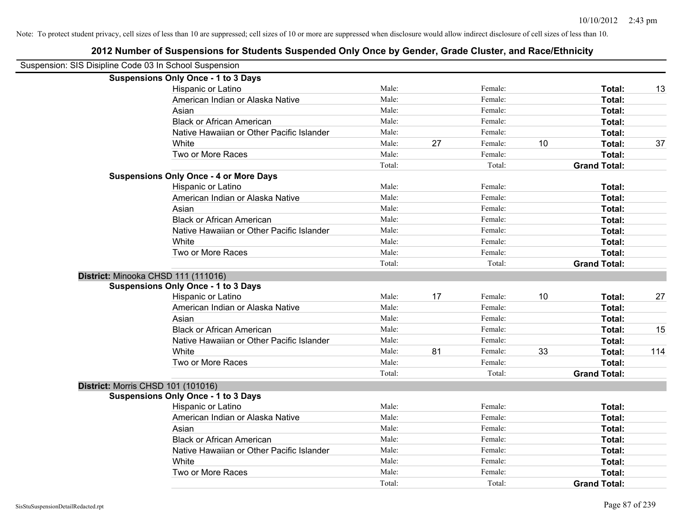| Suspension: SIS Disipline Code 03 In School Suspension |                                               |        |    |         |    |                     |     |
|--------------------------------------------------------|-----------------------------------------------|--------|----|---------|----|---------------------|-----|
|                                                        | <b>Suspensions Only Once - 1 to 3 Days</b>    |        |    |         |    |                     |     |
|                                                        | Hispanic or Latino                            | Male:  |    | Female: |    | Total:              | 13  |
|                                                        | American Indian or Alaska Native              | Male:  |    | Female: |    | Total:              |     |
|                                                        | Asian                                         | Male:  |    | Female: |    | Total:              |     |
|                                                        | <b>Black or African American</b>              | Male:  |    | Female: |    | Total:              |     |
|                                                        | Native Hawaiian or Other Pacific Islander     | Male:  |    | Female: |    | Total:              |     |
|                                                        | White                                         | Male:  | 27 | Female: | 10 | Total:              | 37  |
|                                                        | Two or More Races                             | Male:  |    | Female: |    | Total:              |     |
|                                                        |                                               | Total: |    | Total:  |    | <b>Grand Total:</b> |     |
|                                                        | <b>Suspensions Only Once - 4 or More Days</b> |        |    |         |    |                     |     |
|                                                        | Hispanic or Latino                            | Male:  |    | Female: |    | Total:              |     |
|                                                        | American Indian or Alaska Native              | Male:  |    | Female: |    | Total:              |     |
|                                                        | Asian                                         | Male:  |    | Female: |    | Total:              |     |
|                                                        | <b>Black or African American</b>              | Male:  |    | Female: |    | Total:              |     |
|                                                        | Native Hawaiian or Other Pacific Islander     | Male:  |    | Female: |    | Total:              |     |
|                                                        | White                                         | Male:  |    | Female: |    | Total:              |     |
|                                                        | Two or More Races                             | Male:  |    | Female: |    | Total:              |     |
|                                                        |                                               | Total: |    | Total:  |    | <b>Grand Total:</b> |     |
| District: Minooka CHSD 111 (111016)                    |                                               |        |    |         |    |                     |     |
|                                                        | <b>Suspensions Only Once - 1 to 3 Days</b>    |        |    |         |    |                     |     |
|                                                        | Hispanic or Latino                            | Male:  | 17 | Female: | 10 | Total:              | 27  |
|                                                        | American Indian or Alaska Native              | Male:  |    | Female: |    | Total:              |     |
|                                                        | Asian                                         | Male:  |    | Female: |    | Total:              |     |
|                                                        | <b>Black or African American</b>              | Male:  |    | Female: |    | Total:              | 15  |
|                                                        | Native Hawaiian or Other Pacific Islander     | Male:  |    | Female: |    | Total:              |     |
|                                                        | White                                         | Male:  | 81 | Female: | 33 | Total:              | 114 |
|                                                        | Two or More Races                             | Male:  |    | Female: |    | Total:              |     |
|                                                        |                                               | Total: |    | Total:  |    | <b>Grand Total:</b> |     |
| District: Morris CHSD 101 (101016)                     |                                               |        |    |         |    |                     |     |
|                                                        | <b>Suspensions Only Once - 1 to 3 Days</b>    |        |    |         |    |                     |     |
|                                                        | Hispanic or Latino                            | Male:  |    | Female: |    | Total:              |     |
|                                                        | American Indian or Alaska Native              | Male:  |    | Female: |    | Total:              |     |
|                                                        | Asian                                         | Male:  |    | Female: |    | Total:              |     |
|                                                        | <b>Black or African American</b>              | Male:  |    | Female: |    | Total:              |     |
|                                                        | Native Hawaiian or Other Pacific Islander     | Male:  |    | Female: |    | Total:              |     |
|                                                        | White                                         | Male:  |    | Female: |    | Total:              |     |
|                                                        | Two or More Races                             | Male:  |    | Female: |    | Total:              |     |
|                                                        |                                               | Total: |    | Total:  |    | <b>Grand Total:</b> |     |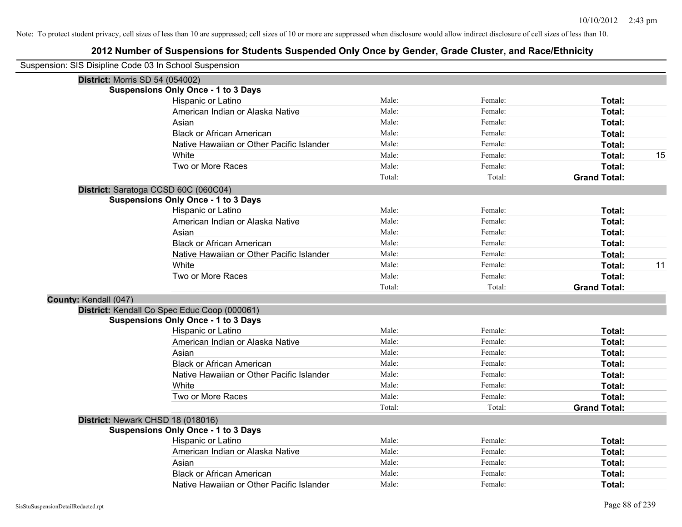| Suspension: SIS Disipline Code 03 In School Suspension |                                              |        |         |                     |    |
|--------------------------------------------------------|----------------------------------------------|--------|---------|---------------------|----|
|                                                        | <b>District: Morris SD 54 (054002)</b>       |        |         |                     |    |
|                                                        | <b>Suspensions Only Once - 1 to 3 Days</b>   |        |         |                     |    |
|                                                        | Hispanic or Latino                           | Male:  | Female: | Total:              |    |
|                                                        | American Indian or Alaska Native             | Male:  | Female: | Total:              |    |
|                                                        | Asian                                        | Male:  | Female: | Total:              |    |
|                                                        | <b>Black or African American</b>             | Male:  | Female: | Total:              |    |
|                                                        | Native Hawaiian or Other Pacific Islander    | Male:  | Female: | Total:              |    |
|                                                        | White                                        | Male:  | Female: | Total:              | 15 |
|                                                        | Two or More Races                            | Male:  | Female: | Total:              |    |
|                                                        |                                              | Total: | Total:  | <b>Grand Total:</b> |    |
|                                                        | District: Saratoga CCSD 60C (060C04)         |        |         |                     |    |
|                                                        | <b>Suspensions Only Once - 1 to 3 Days</b>   |        |         |                     |    |
|                                                        | Hispanic or Latino                           | Male:  | Female: | Total:              |    |
|                                                        | American Indian or Alaska Native             | Male:  | Female: | Total:              |    |
|                                                        | Asian                                        | Male:  | Female: | Total:              |    |
|                                                        | <b>Black or African American</b>             | Male:  | Female: | Total:              |    |
|                                                        | Native Hawaiian or Other Pacific Islander    | Male:  | Female: | Total:              |    |
|                                                        | White                                        | Male:  | Female: | Total:              | 11 |
|                                                        | Two or More Races                            | Male:  | Female: | Total:              |    |
|                                                        |                                              | Total: | Total:  | <b>Grand Total:</b> |    |
| County: Kendall (047)                                  |                                              |        |         |                     |    |
|                                                        | District: Kendall Co Spec Educ Coop (000061) |        |         |                     |    |
|                                                        | <b>Suspensions Only Once - 1 to 3 Days</b>   |        |         |                     |    |
|                                                        | Hispanic or Latino                           | Male:  | Female: | Total:              |    |
|                                                        | American Indian or Alaska Native             | Male:  | Female: | Total:              |    |
|                                                        | Asian                                        | Male:  | Female: | Total:              |    |
|                                                        | <b>Black or African American</b>             | Male:  | Female: | Total:              |    |
|                                                        | Native Hawaiian or Other Pacific Islander    | Male:  | Female: | Total:              |    |
|                                                        | White                                        | Male:  | Female: | Total:              |    |
|                                                        | Two or More Races                            | Male:  | Female: | Total:              |    |
|                                                        |                                              | Total: | Total:  | <b>Grand Total:</b> |    |
|                                                        | District: Newark CHSD 18 (018016)            |        |         |                     |    |
|                                                        | <b>Suspensions Only Once - 1 to 3 Days</b>   |        |         |                     |    |
|                                                        | Hispanic or Latino                           | Male:  | Female: | Total:              |    |
|                                                        | American Indian or Alaska Native             | Male:  | Female: | Total:              |    |
|                                                        | Asian                                        | Male:  | Female: | Total:              |    |
|                                                        | <b>Black or African American</b>             | Male:  | Female: | Total:              |    |
|                                                        | Native Hawaiian or Other Pacific Islander    | Male:  | Female: | Total:              |    |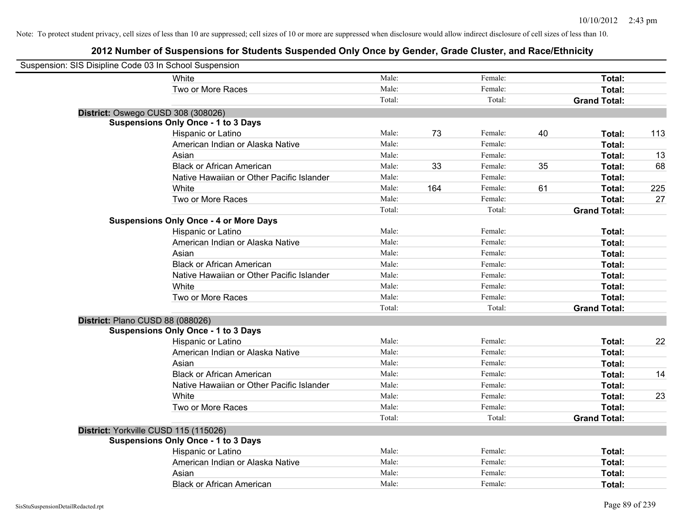| Suspension: SIS Disipline Code 03 In School Suspension |                                               |        |     |         |    |                     |     |
|--------------------------------------------------------|-----------------------------------------------|--------|-----|---------|----|---------------------|-----|
|                                                        | White                                         | Male:  |     | Female: |    | Total:              |     |
|                                                        | Two or More Races                             | Male:  |     | Female: |    | Total:              |     |
|                                                        |                                               | Total: |     | Total:  |    | <b>Grand Total:</b> |     |
| District: Oswego CUSD 308 (308026)                     |                                               |        |     |         |    |                     |     |
|                                                        | <b>Suspensions Only Once - 1 to 3 Days</b>    |        |     |         |    |                     |     |
|                                                        | Hispanic or Latino                            | Male:  | 73  | Female: | 40 | Total:              | 113 |
|                                                        | American Indian or Alaska Native              | Male:  |     | Female: |    | Total:              |     |
|                                                        | Asian                                         | Male:  |     | Female: |    | Total:              | 13  |
|                                                        | <b>Black or African American</b>              | Male:  | 33  | Female: | 35 | Total:              | 68  |
|                                                        | Native Hawaiian or Other Pacific Islander     | Male:  |     | Female: |    | Total:              |     |
|                                                        | White                                         | Male:  | 164 | Female: | 61 | Total:              | 225 |
|                                                        | Two or More Races                             | Male:  |     | Female: |    | Total:              | 27  |
|                                                        |                                               | Total: |     | Total:  |    | <b>Grand Total:</b> |     |
|                                                        | <b>Suspensions Only Once - 4 or More Days</b> |        |     |         |    |                     |     |
|                                                        | Hispanic or Latino                            | Male:  |     | Female: |    | Total:              |     |
|                                                        | American Indian or Alaska Native              | Male:  |     | Female: |    | Total:              |     |
|                                                        | Asian                                         | Male:  |     | Female: |    | Total:              |     |
|                                                        | <b>Black or African American</b>              | Male:  |     | Female: |    | Total:              |     |
|                                                        | Native Hawaiian or Other Pacific Islander     | Male:  |     | Female: |    | Total:              |     |
|                                                        | White                                         | Male:  |     | Female: |    | Total:              |     |
|                                                        | Two or More Races                             | Male:  |     | Female: |    | Total:              |     |
|                                                        |                                               | Total: |     | Total:  |    | <b>Grand Total:</b> |     |
| District: Plano CUSD 88 (088026)                       |                                               |        |     |         |    |                     |     |
|                                                        | <b>Suspensions Only Once - 1 to 3 Days</b>    |        |     |         |    |                     |     |
|                                                        | Hispanic or Latino                            | Male:  |     | Female: |    | Total:              | 22  |
|                                                        | American Indian or Alaska Native              | Male:  |     | Female: |    | Total:              |     |
|                                                        | Asian                                         | Male:  |     | Female: |    | Total:              |     |
|                                                        | <b>Black or African American</b>              | Male:  |     | Female: |    | Total:              | 14  |
|                                                        | Native Hawaiian or Other Pacific Islander     | Male:  |     | Female: |    | Total:              |     |
|                                                        | White                                         | Male:  |     | Female: |    | Total:              | 23  |
|                                                        | Two or More Races                             | Male:  |     | Female: |    | Total:              |     |
|                                                        |                                               | Total: |     | Total:  |    | <b>Grand Total:</b> |     |
| District: Yorkville CUSD 115 (115026)                  |                                               |        |     |         |    |                     |     |
|                                                        | <b>Suspensions Only Once - 1 to 3 Days</b>    |        |     |         |    |                     |     |
|                                                        | Hispanic or Latino                            | Male:  |     | Female: |    | Total:              |     |
|                                                        | American Indian or Alaska Native              | Male:  |     | Female: |    | Total:              |     |
|                                                        | Asian                                         | Male:  |     | Female: |    | Total:              |     |
|                                                        | <b>Black or African American</b>              | Male:  |     | Female: |    | Total:              |     |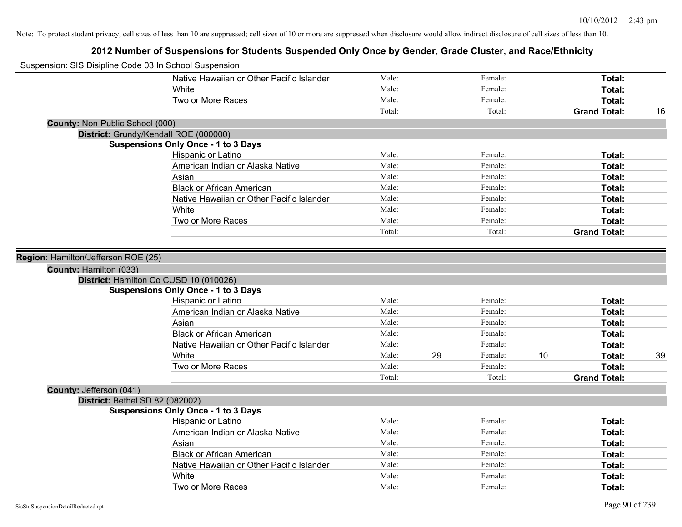| Suspension: SIS Disipline Code 03 In School Suspension |                                            |        |    |         |    |                     |    |
|--------------------------------------------------------|--------------------------------------------|--------|----|---------|----|---------------------|----|
|                                                        | Native Hawaiian or Other Pacific Islander  | Male:  |    | Female: |    | Total:              |    |
|                                                        | White                                      | Male:  |    | Female: |    | <b>Total:</b>       |    |
|                                                        | Two or More Races                          | Male:  |    | Female: |    | Total:              |    |
|                                                        |                                            | Total: |    | Total:  |    | <b>Grand Total:</b> | 16 |
| County: Non-Public School (000)                        |                                            |        |    |         |    |                     |    |
|                                                        | District: Grundy/Kendall ROE (000000)      |        |    |         |    |                     |    |
|                                                        | <b>Suspensions Only Once - 1 to 3 Days</b> |        |    |         |    |                     |    |
|                                                        | Hispanic or Latino                         | Male:  |    | Female: |    | Total:              |    |
|                                                        | American Indian or Alaska Native           | Male:  |    | Female: |    | Total:              |    |
|                                                        | Asian                                      | Male:  |    | Female: |    | Total:              |    |
|                                                        | <b>Black or African American</b>           | Male:  |    | Female: |    | Total:              |    |
|                                                        | Native Hawaiian or Other Pacific Islander  | Male:  |    | Female: |    | Total:              |    |
|                                                        | White                                      | Male:  |    | Female: |    | <b>Total:</b>       |    |
|                                                        | Two or More Races                          | Male:  |    | Female: |    | Total:              |    |
|                                                        |                                            | Total: |    | Total:  |    | <b>Grand Total:</b> |    |
|                                                        |                                            |        |    |         |    |                     |    |
| Region: Hamilton/Jefferson ROE (25)                    |                                            |        |    |         |    |                     |    |
| County: Hamilton (033)                                 |                                            |        |    |         |    |                     |    |
|                                                        | District: Hamilton Co CUSD 10 (010026)     |        |    |         |    |                     |    |
|                                                        | <b>Suspensions Only Once - 1 to 3 Days</b> |        |    |         |    |                     |    |
|                                                        | Hispanic or Latino                         | Male:  |    | Female: |    | Total:              |    |
|                                                        | American Indian or Alaska Native           | Male:  |    | Female: |    | Total:              |    |
|                                                        | Asian                                      | Male:  |    | Female: |    | Total:              |    |
|                                                        | <b>Black or African American</b>           | Male:  |    | Female: |    | Total:              |    |
|                                                        | Native Hawaiian or Other Pacific Islander  | Male:  |    | Female: |    | Total:              |    |
|                                                        | White                                      | Male:  | 29 | Female: | 10 | Total:              | 39 |
|                                                        | Two or More Races                          | Male:  |    | Female: |    | Total:              |    |
|                                                        |                                            | Total: |    | Total:  |    | <b>Grand Total:</b> |    |
| County: Jefferson (041)                                |                                            |        |    |         |    |                     |    |
| District: Bethel SD 82 (082002)                        |                                            |        |    |         |    |                     |    |
|                                                        | <b>Suspensions Only Once - 1 to 3 Days</b> |        |    |         |    |                     |    |
|                                                        | Hispanic or Latino                         | Male:  |    | Female: |    | Total:              |    |
|                                                        | American Indian or Alaska Native           | Male:  |    | Female: |    | Total:              |    |
|                                                        | Asian                                      | Male:  |    | Female: |    | Total:              |    |
|                                                        | <b>Black or African American</b>           | Male:  |    | Female: |    | Total:              |    |
|                                                        | Native Hawaiian or Other Pacific Islander  | Male:  |    | Female: |    | Total:              |    |
|                                                        | White                                      | Male:  |    | Female: |    | Total:              |    |
|                                                        | Two or More Races                          | Male:  |    | Female: |    | Total:              |    |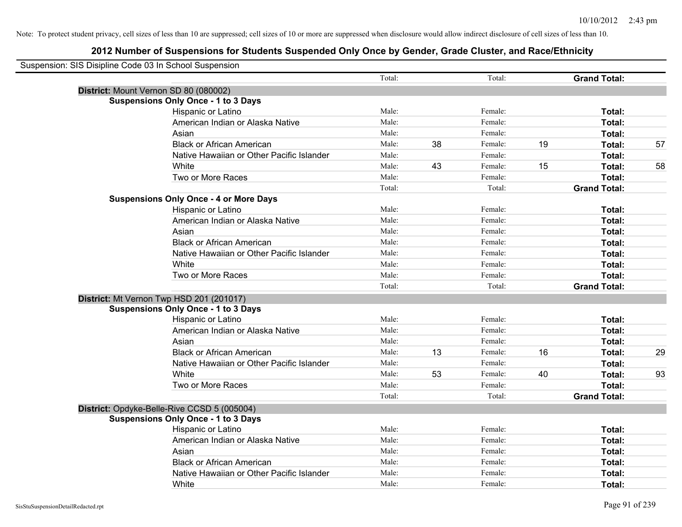| Suspension: SIS Disipline Code 03 In School Suspension |                                               |        |    |         |    |                     |    |
|--------------------------------------------------------|-----------------------------------------------|--------|----|---------|----|---------------------|----|
|                                                        |                                               | Total: |    | Total:  |    | <b>Grand Total:</b> |    |
|                                                        | District: Mount Vernon SD 80 (080002)         |        |    |         |    |                     |    |
|                                                        | <b>Suspensions Only Once - 1 to 3 Days</b>    |        |    |         |    |                     |    |
|                                                        | Hispanic or Latino                            | Male:  |    | Female: |    | Total:              |    |
|                                                        | American Indian or Alaska Native              | Male:  |    | Female: |    | Total:              |    |
|                                                        | Asian                                         | Male:  |    | Female: |    | Total:              |    |
|                                                        | <b>Black or African American</b>              | Male:  | 38 | Female: | 19 | Total:              | 57 |
|                                                        | Native Hawaiian or Other Pacific Islander     | Male:  |    | Female: |    | Total:              |    |
|                                                        | White                                         | Male:  | 43 | Female: | 15 | Total:              | 58 |
|                                                        | Two or More Races                             | Male:  |    | Female: |    | Total:              |    |
|                                                        |                                               | Total: |    | Total:  |    | <b>Grand Total:</b> |    |
|                                                        | <b>Suspensions Only Once - 4 or More Days</b> |        |    |         |    |                     |    |
|                                                        | Hispanic or Latino                            | Male:  |    | Female: |    | Total:              |    |
|                                                        | American Indian or Alaska Native              | Male:  |    | Female: |    | Total:              |    |
|                                                        | Asian                                         | Male:  |    | Female: |    | Total:              |    |
|                                                        | <b>Black or African American</b>              | Male:  |    | Female: |    | Total:              |    |
|                                                        | Native Hawaiian or Other Pacific Islander     | Male:  |    | Female: |    | Total:              |    |
|                                                        | White                                         | Male:  |    | Female: |    | Total:              |    |
|                                                        | Two or More Races                             | Male:  |    | Female: |    | Total:              |    |
|                                                        |                                               | Total: |    | Total:  |    | <b>Grand Total:</b> |    |
|                                                        | District: Mt Vernon Twp HSD 201 (201017)      |        |    |         |    |                     |    |
|                                                        | <b>Suspensions Only Once - 1 to 3 Days</b>    |        |    |         |    |                     |    |
|                                                        | Hispanic or Latino                            | Male:  |    | Female: |    | Total:              |    |
|                                                        | American Indian or Alaska Native              | Male:  |    | Female: |    | Total:              |    |
|                                                        | Asian                                         | Male:  |    | Female: |    | Total:              |    |
|                                                        | <b>Black or African American</b>              | Male:  | 13 | Female: | 16 | Total:              | 29 |
|                                                        | Native Hawaiian or Other Pacific Islander     | Male:  |    | Female: |    | Total:              |    |
|                                                        | White                                         | Male:  | 53 | Female: | 40 | Total:              | 93 |
|                                                        | Two or More Races                             | Male:  |    | Female: |    | Total:              |    |
|                                                        |                                               | Total: |    | Total:  |    | <b>Grand Total:</b> |    |
|                                                        | District: Opdyke-Belle-Rive CCSD 5 (005004)   |        |    |         |    |                     |    |
|                                                        | <b>Suspensions Only Once - 1 to 3 Days</b>    |        |    |         |    |                     |    |
|                                                        | Hispanic or Latino                            | Male:  |    | Female: |    | Total:              |    |
|                                                        | American Indian or Alaska Native              | Male:  |    | Female: |    | Total:              |    |
|                                                        | Asian                                         | Male:  |    | Female: |    | Total:              |    |
|                                                        | <b>Black or African American</b>              | Male:  |    | Female: |    | Total:              |    |
|                                                        | Native Hawaiian or Other Pacific Islander     | Male:  |    | Female: |    | Total:              |    |
|                                                        | White                                         | Male:  |    | Female: |    | Total:              |    |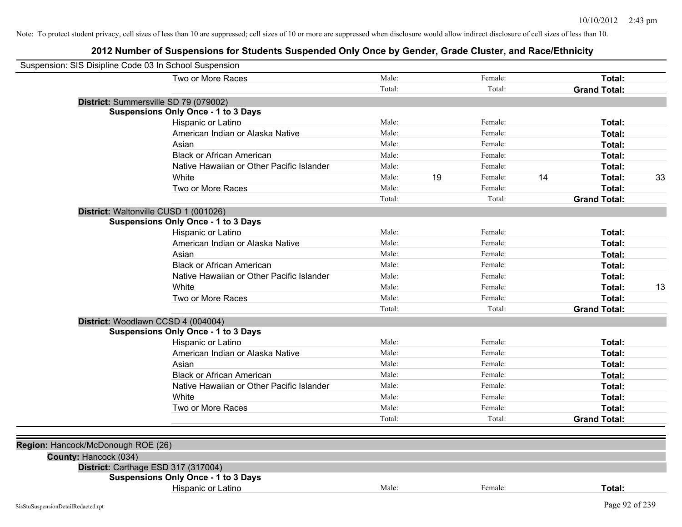| Suspension: SIS Disipline Code 03 In School Suspension |                                            |        |    |         |    |                     |    |
|--------------------------------------------------------|--------------------------------------------|--------|----|---------|----|---------------------|----|
|                                                        | Two or More Races                          | Male:  |    | Female: |    | Total:              |    |
|                                                        |                                            | Total: |    | Total:  |    | <b>Grand Total:</b> |    |
|                                                        | District: Summersville SD 79 (079002)      |        |    |         |    |                     |    |
|                                                        | <b>Suspensions Only Once - 1 to 3 Days</b> |        |    |         |    |                     |    |
|                                                        | Hispanic or Latino                         | Male:  |    | Female: |    | Total:              |    |
|                                                        | American Indian or Alaska Native           | Male:  |    | Female: |    | Total:              |    |
|                                                        | Asian                                      | Male:  |    | Female: |    | Total:              |    |
|                                                        | <b>Black or African American</b>           | Male:  |    | Female: |    | Total:              |    |
|                                                        | Native Hawaiian or Other Pacific Islander  | Male:  |    | Female: |    | Total:              |    |
|                                                        | White                                      | Male:  | 19 | Female: | 14 | Total:              | 33 |
|                                                        | Two or More Races                          | Male:  |    | Female: |    | Total:              |    |
|                                                        |                                            | Total: |    | Total:  |    | <b>Grand Total:</b> |    |
|                                                        | District: Waltonville CUSD 1 (001026)      |        |    |         |    |                     |    |
|                                                        | <b>Suspensions Only Once - 1 to 3 Days</b> |        |    |         |    |                     |    |
|                                                        | Hispanic or Latino                         | Male:  |    | Female: |    | Total:              |    |
|                                                        | American Indian or Alaska Native           | Male:  |    | Female: |    | Total:              |    |
|                                                        | Asian                                      | Male:  |    | Female: |    | Total:              |    |
|                                                        | <b>Black or African American</b>           | Male:  |    | Female: |    | Total:              |    |
|                                                        | Native Hawaiian or Other Pacific Islander  | Male:  |    | Female: |    | Total:              |    |
|                                                        | White                                      | Male:  |    | Female: |    | Total:              | 13 |
|                                                        | Two or More Races                          | Male:  |    | Female: |    | Total:              |    |
|                                                        |                                            | Total: |    | Total:  |    | <b>Grand Total:</b> |    |
|                                                        | District: Woodlawn CCSD 4 (004004)         |        |    |         |    |                     |    |
|                                                        | <b>Suspensions Only Once - 1 to 3 Days</b> |        |    |         |    |                     |    |
|                                                        | Hispanic or Latino                         | Male:  |    | Female: |    | Total:              |    |
|                                                        | American Indian or Alaska Native           | Male:  |    | Female: |    | Total:              |    |
|                                                        | Asian                                      | Male:  |    | Female: |    | Total:              |    |
|                                                        | <b>Black or African American</b>           | Male:  |    | Female: |    | Total:              |    |
|                                                        | Native Hawaiian or Other Pacific Islander  | Male:  |    | Female: |    | Total:              |    |
|                                                        | White                                      | Male:  |    | Female: |    | Total:              |    |
|                                                        | Two or More Races                          | Male:  |    | Female: |    | Total:              |    |
|                                                        |                                            | Total: |    | Total:  |    | <b>Grand Total:</b> |    |
|                                                        |                                            |        |    |         |    |                     |    |
| Region: Hancock/McDonough ROE (26)                     |                                            |        |    |         |    |                     |    |
| County: Hancock (034)                                  |                                            |        |    |         |    |                     |    |
|                                                        | District: Carthage ESD 317 (317004)        |        |    |         |    |                     |    |
|                                                        | <b>Suspensions Only Once - 1 to 3 Days</b> |        |    |         |    |                     |    |
|                                                        | Hispanic or Latino                         | Male:  |    | Female: |    | Total:              |    |
| SisStuSuspensionDetailRedacted.rpt                     |                                            |        |    |         |    | Page 92 of 239      |    |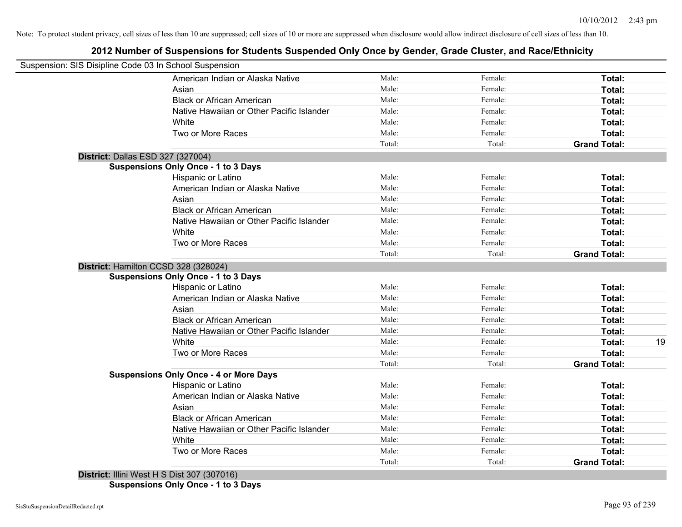# **2012 Number of Suspensions for Students Suspended Only Once by Gender, Grade Cluster, and Race/Ethnicity**

| Suspension: SIS Disipline Code 03 In School Suspension |                                               |        |         |                     |    |
|--------------------------------------------------------|-----------------------------------------------|--------|---------|---------------------|----|
|                                                        | American Indian or Alaska Native              | Male:  | Female: | Total:              |    |
|                                                        | Asian                                         | Male:  | Female: | Total:              |    |
|                                                        | <b>Black or African American</b>              | Male:  | Female: | Total:              |    |
|                                                        | Native Hawaiian or Other Pacific Islander     | Male:  | Female: | Total:              |    |
|                                                        | White                                         | Male:  | Female: | Total:              |    |
|                                                        | Two or More Races                             | Male:  | Female: | Total:              |    |
|                                                        |                                               | Total: | Total:  | <b>Grand Total:</b> |    |
|                                                        | District: Dallas ESD 327 (327004)             |        |         |                     |    |
|                                                        | <b>Suspensions Only Once - 1 to 3 Days</b>    |        |         |                     |    |
|                                                        | Hispanic or Latino                            | Male:  | Female: | Total:              |    |
|                                                        | American Indian or Alaska Native              | Male:  | Female: | Total:              |    |
|                                                        | Asian                                         | Male:  | Female: | Total:              |    |
|                                                        | <b>Black or African American</b>              | Male:  | Female: | Total:              |    |
|                                                        | Native Hawaiian or Other Pacific Islander     | Male:  | Female: | Total:              |    |
|                                                        | White                                         | Male:  | Female: | Total:              |    |
|                                                        | Two or More Races                             | Male:  | Female: | Total:              |    |
|                                                        |                                               | Total: | Total:  | <b>Grand Total:</b> |    |
|                                                        | District: Hamilton CCSD 328 (328024)          |        |         |                     |    |
|                                                        | <b>Suspensions Only Once - 1 to 3 Days</b>    |        |         |                     |    |
|                                                        | Hispanic or Latino                            | Male:  | Female: | Total:              |    |
|                                                        | American Indian or Alaska Native              | Male:  | Female: | Total:              |    |
|                                                        | Asian                                         | Male:  | Female: | Total:              |    |
|                                                        | <b>Black or African American</b>              | Male:  | Female: | Total:              |    |
|                                                        | Native Hawaiian or Other Pacific Islander     | Male:  | Female: | Total:              |    |
|                                                        | White                                         | Male:  | Female: | Total:              | 19 |
|                                                        | Two or More Races                             | Male:  | Female: | Total:              |    |
|                                                        |                                               | Total: | Total:  | <b>Grand Total:</b> |    |
|                                                        | <b>Suspensions Only Once - 4 or More Days</b> |        |         |                     |    |
|                                                        | Hispanic or Latino                            | Male:  | Female: | Total:              |    |
|                                                        | American Indian or Alaska Native              | Male:  | Female: | Total:              |    |
|                                                        | Asian                                         | Male:  | Female: | Total:              |    |
|                                                        | <b>Black or African American</b>              | Male:  | Female: | Total:              |    |
|                                                        | Native Hawaiian or Other Pacific Islander     | Male:  | Female: | Total:              |    |
|                                                        | White                                         | Male:  | Female: | Total:              |    |
|                                                        | Two or More Races                             | Male:  | Female: | Total:              |    |
| .                                                      | $-1$ . And $ -$                               | Total: | Total:  | <b>Grand Total:</b> |    |
|                                                        |                                               |        |         |                     |    |

**District:** Illini West H S Dist 307 (307016) **Suspensions Only Once - 1 to 3 Days**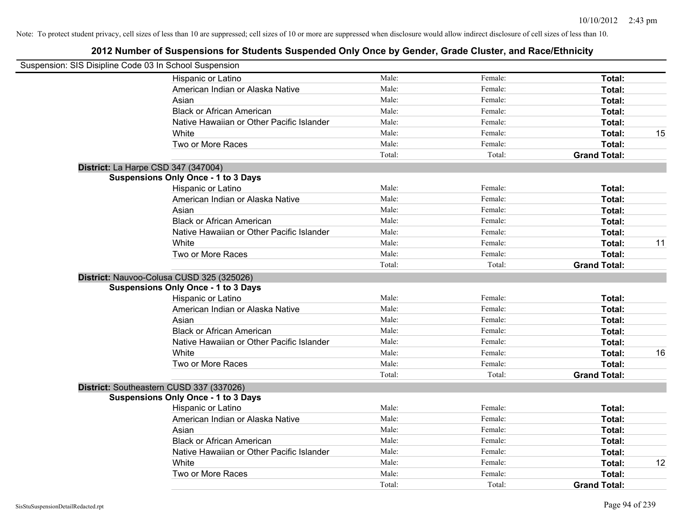| Suspension: SIS Disipline Code 03 In School Suspension |        |         |                     |    |
|--------------------------------------------------------|--------|---------|---------------------|----|
| Hispanic or Latino                                     | Male:  | Female: | Total:              |    |
| American Indian or Alaska Native                       | Male:  | Female: | Total:              |    |
| Asian                                                  | Male:  | Female: | Total:              |    |
| <b>Black or African American</b>                       | Male:  | Female: | Total:              |    |
| Native Hawaiian or Other Pacific Islander              | Male:  | Female: | Total:              |    |
| White                                                  | Male:  | Female: | Total:              | 15 |
| Two or More Races                                      | Male:  | Female: | Total:              |    |
|                                                        | Total: | Total:  | <b>Grand Total:</b> |    |
| District: La Harpe CSD 347 (347004)                    |        |         |                     |    |
| <b>Suspensions Only Once - 1 to 3 Days</b>             |        |         |                     |    |
| Hispanic or Latino                                     | Male:  | Female: | Total:              |    |
| American Indian or Alaska Native                       | Male:  | Female: | Total:              |    |
| Asian                                                  | Male:  | Female: | Total:              |    |
| <b>Black or African American</b>                       | Male:  | Female: | Total:              |    |
| Native Hawaiian or Other Pacific Islander              | Male:  | Female: | Total:              |    |
| White                                                  | Male:  | Female: | Total:              | 11 |
| Two or More Races                                      | Male:  | Female: | Total:              |    |
|                                                        | Total: | Total:  | <b>Grand Total:</b> |    |
| District: Nauvoo-Colusa CUSD 325 (325026)              |        |         |                     |    |
| <b>Suspensions Only Once - 1 to 3 Days</b>             |        |         |                     |    |
| Hispanic or Latino                                     | Male:  | Female: | Total:              |    |
| American Indian or Alaska Native                       | Male:  | Female: | Total:              |    |
| Asian                                                  | Male:  | Female: | Total:              |    |
| <b>Black or African American</b>                       | Male:  | Female: | Total:              |    |
| Native Hawaiian or Other Pacific Islander              | Male:  | Female: | Total:              |    |
| White                                                  | Male:  | Female: | Total:              | 16 |
| Two or More Races                                      | Male:  | Female: | Total:              |    |
|                                                        | Total: | Total:  | <b>Grand Total:</b> |    |
| District: Southeastern CUSD 337 (337026)               |        |         |                     |    |
| <b>Suspensions Only Once - 1 to 3 Days</b>             |        |         |                     |    |
| Hispanic or Latino                                     | Male:  | Female: | Total:              |    |
| American Indian or Alaska Native                       | Male:  | Female: | Total:              |    |
| Asian                                                  | Male:  | Female: | Total:              |    |
| <b>Black or African American</b>                       | Male:  | Female: | Total:              |    |
| Native Hawaiian or Other Pacific Islander              | Male:  | Female: | Total:              |    |
| White                                                  | Male:  | Female: | Total:              | 12 |
| Two or More Races                                      | Male:  | Female: | Total:              |    |
|                                                        | Total: | Total:  | <b>Grand Total:</b> |    |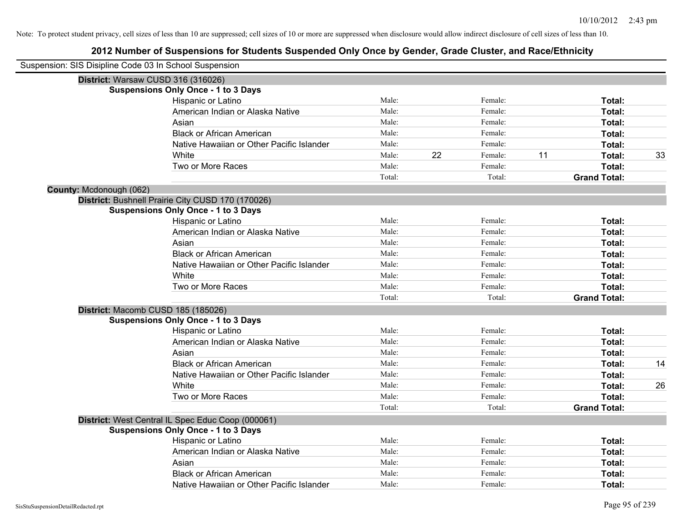| Suspension: SIS Disipline Code 03 In School Suspension |                                                   |        |    |         |    |                     |    |
|--------------------------------------------------------|---------------------------------------------------|--------|----|---------|----|---------------------|----|
|                                                        | District: Warsaw CUSD 316 (316026)                |        |    |         |    |                     |    |
|                                                        | <b>Suspensions Only Once - 1 to 3 Days</b>        |        |    |         |    |                     |    |
|                                                        | Hispanic or Latino                                | Male:  |    | Female: |    | Total:              |    |
|                                                        | American Indian or Alaska Native                  | Male:  |    | Female: |    | Total:              |    |
|                                                        | Asian                                             | Male:  |    | Female: |    | Total:              |    |
|                                                        | <b>Black or African American</b>                  | Male:  |    | Female: |    | Total:              |    |
|                                                        | Native Hawaiian or Other Pacific Islander         | Male:  |    | Female: |    | Total:              |    |
|                                                        | White                                             | Male:  | 22 | Female: | 11 | Total:              | 33 |
|                                                        | Two or More Races                                 | Male:  |    | Female: |    | Total:              |    |
|                                                        |                                                   | Total: |    | Total:  |    | <b>Grand Total:</b> |    |
| County: Mcdonough (062)                                |                                                   |        |    |         |    |                     |    |
|                                                        | District: Bushnell Prairie City CUSD 170 (170026) |        |    |         |    |                     |    |
|                                                        | <b>Suspensions Only Once - 1 to 3 Days</b>        |        |    |         |    |                     |    |
|                                                        | Hispanic or Latino                                | Male:  |    | Female: |    | Total:              |    |
|                                                        | American Indian or Alaska Native                  | Male:  |    | Female: |    | Total:              |    |
|                                                        | Asian                                             | Male:  |    | Female: |    | Total:              |    |
|                                                        | <b>Black or African American</b>                  | Male:  |    | Female: |    | Total:              |    |
|                                                        | Native Hawaiian or Other Pacific Islander         | Male:  |    | Female: |    | Total:              |    |
|                                                        | White                                             | Male:  |    | Female: |    | Total:              |    |
|                                                        | Two or More Races                                 | Male:  |    | Female: |    | Total:              |    |
|                                                        |                                                   | Total: |    | Total:  |    | <b>Grand Total:</b> |    |
|                                                        | District: Macomb CUSD 185 (185026)                |        |    |         |    |                     |    |
|                                                        | <b>Suspensions Only Once - 1 to 3 Days</b>        |        |    |         |    |                     |    |
|                                                        | Hispanic or Latino                                | Male:  |    | Female: |    | Total:              |    |
|                                                        | American Indian or Alaska Native                  | Male:  |    | Female: |    | <b>Total:</b>       |    |
|                                                        | Asian                                             | Male:  |    | Female: |    | Total:              |    |
|                                                        | <b>Black or African American</b>                  | Male:  |    | Female: |    | Total:              | 14 |
|                                                        | Native Hawaiian or Other Pacific Islander         | Male:  |    | Female: |    | Total:              |    |
|                                                        | White                                             | Male:  |    | Female: |    | Total:              | 26 |
|                                                        | Two or More Races                                 | Male:  |    | Female: |    | Total:              |    |
|                                                        |                                                   | Total: |    | Total:  |    | <b>Grand Total:</b> |    |
|                                                        | District: West Central IL Spec Educ Coop (000061) |        |    |         |    |                     |    |
|                                                        | <b>Suspensions Only Once - 1 to 3 Days</b>        |        |    |         |    |                     |    |
|                                                        | Hispanic or Latino                                | Male:  |    | Female: |    | Total:              |    |
|                                                        | American Indian or Alaska Native                  | Male:  |    | Female: |    | Total:              |    |
|                                                        | Asian                                             | Male:  |    | Female: |    | Total:              |    |
|                                                        | <b>Black or African American</b>                  | Male:  |    | Female: |    | Total:              |    |
|                                                        | Native Hawaiian or Other Pacific Islander         | Male:  |    | Female: |    | Total:              |    |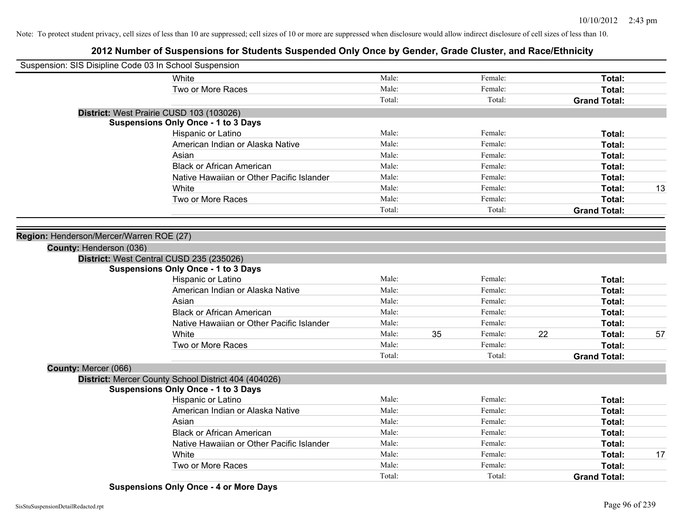# **2012 Number of Suspensions for Students Suspended Only Once by Gender, Grade Cluster, and Race/Ethnicity**

| Suspension: SIS Disipline Code 03 In School Suspension |                                                      |        |    |         |    |                     |    |
|--------------------------------------------------------|------------------------------------------------------|--------|----|---------|----|---------------------|----|
|                                                        | White                                                | Male:  |    | Female: |    | Total:              |    |
|                                                        | Two or More Races                                    | Male:  |    | Female: |    | Total:              |    |
|                                                        |                                                      | Total: |    | Total:  |    | <b>Grand Total:</b> |    |
|                                                        | District: West Prairie CUSD 103 (103026)             |        |    |         |    |                     |    |
|                                                        | <b>Suspensions Only Once - 1 to 3 Days</b>           |        |    |         |    |                     |    |
|                                                        | Hispanic or Latino                                   | Male:  |    | Female: |    | Total:              |    |
|                                                        | American Indian or Alaska Native                     | Male:  |    | Female: |    | Total:              |    |
|                                                        | Asian                                                | Male:  |    | Female: |    | Total:              |    |
|                                                        | <b>Black or African American</b>                     | Male:  |    | Female: |    | Total:              |    |
|                                                        | Native Hawaiian or Other Pacific Islander            | Male:  |    | Female: |    | Total:              |    |
|                                                        | White                                                | Male:  |    | Female: |    | Total:              | 13 |
|                                                        | Two or More Races                                    | Male:  |    | Female: |    | Total:              |    |
|                                                        |                                                      | Total: |    | Total:  |    | <b>Grand Total:</b> |    |
|                                                        |                                                      |        |    |         |    |                     |    |
| Region: Henderson/Mercer/Warren ROE (27)               |                                                      |        |    |         |    |                     |    |
| County: Henderson (036)                                |                                                      |        |    |         |    |                     |    |
|                                                        | District: West Central CUSD 235 (235026)             |        |    |         |    |                     |    |
|                                                        | <b>Suspensions Only Once - 1 to 3 Days</b>           |        |    |         |    |                     |    |
|                                                        | Hispanic or Latino                                   | Male:  |    | Female: |    | Total:              |    |
|                                                        | American Indian or Alaska Native                     | Male:  |    | Female: |    | Total:              |    |
|                                                        | Asian                                                | Male:  |    | Female: |    | Total:              |    |
|                                                        | <b>Black or African American</b>                     | Male:  |    | Female: |    | Total:              |    |
|                                                        | Native Hawaiian or Other Pacific Islander            | Male:  |    | Female: |    | Total:              |    |
|                                                        | White                                                | Male:  | 35 | Female: | 22 | Total:              | 57 |
|                                                        | Two or More Races                                    | Male:  |    | Female: |    | Total:              |    |
|                                                        |                                                      | Total: |    | Total:  |    | <b>Grand Total:</b> |    |
| County: Mercer (066)                                   |                                                      |        |    |         |    |                     |    |
|                                                        | District: Mercer County School District 404 (404026) |        |    |         |    |                     |    |
|                                                        | <b>Suspensions Only Once - 1 to 3 Days</b>           |        |    |         |    |                     |    |
|                                                        | Hispanic or Latino                                   | Male:  |    | Female: |    | Total:              |    |
|                                                        | American Indian or Alaska Native                     | Male:  |    | Female: |    | Total:              |    |
|                                                        | Asian                                                | Male:  |    | Female: |    | Total:              |    |
|                                                        | <b>Black or African American</b>                     | Male:  |    | Female: |    | Total:              |    |
|                                                        | Native Hawaiian or Other Pacific Islander            | Male:  |    | Female: |    | Total:              |    |
|                                                        | White                                                | Male:  |    | Female: |    | Total:              | 17 |
|                                                        | Two or More Races                                    | Male:  |    | Female: |    | Total:              |    |
|                                                        |                                                      | Total: |    | Total:  |    | <b>Grand Total:</b> |    |

**Suspensions Only Once - 4 or More Days**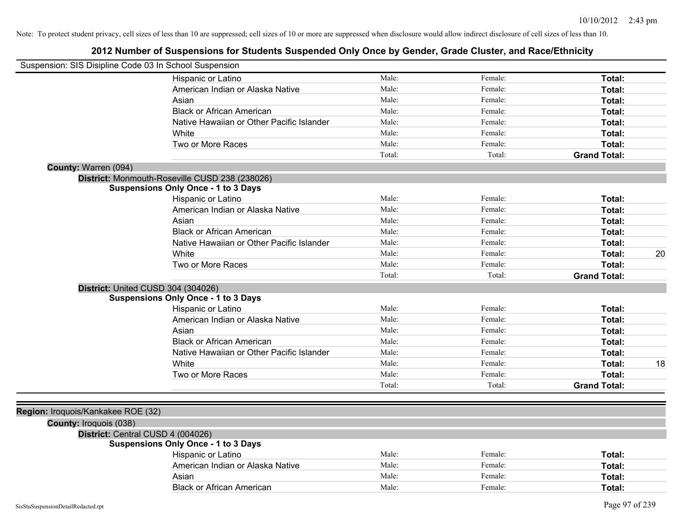| Suspension: SIS Disipline Code 03 In School Suspension |                                                |        |         |                     |    |
|--------------------------------------------------------|------------------------------------------------|--------|---------|---------------------|----|
|                                                        | Hispanic or Latino                             | Male:  | Female: | Total:              |    |
|                                                        | American Indian or Alaska Native               | Male:  | Female: | Total:              |    |
|                                                        | Asian                                          | Male:  | Female: | Total:              |    |
|                                                        | <b>Black or African American</b>               | Male:  | Female: | Total:              |    |
|                                                        | Native Hawaiian or Other Pacific Islander      | Male:  | Female: | Total:              |    |
|                                                        | White                                          | Male:  | Female: | Total:              |    |
|                                                        | Two or More Races                              | Male:  | Female: | Total:              |    |
|                                                        |                                                | Total: | Total:  | <b>Grand Total:</b> |    |
| County: Warren (094)                                   |                                                |        |         |                     |    |
|                                                        | District: Monmouth-Roseville CUSD 238 (238026) |        |         |                     |    |
|                                                        | <b>Suspensions Only Once - 1 to 3 Days</b>     |        |         |                     |    |
|                                                        | Hispanic or Latino                             | Male:  | Female: | Total:              |    |
|                                                        | American Indian or Alaska Native               | Male:  | Female: | Total:              |    |
|                                                        | Asian                                          | Male:  | Female: | Total:              |    |
|                                                        | <b>Black or African American</b>               | Male:  | Female: | Total:              |    |
|                                                        | Native Hawaiian or Other Pacific Islander      | Male:  | Female: | Total:              |    |
|                                                        | White                                          | Male:  | Female: | Total:              | 20 |
|                                                        | Two or More Races                              | Male:  | Female: | Total:              |    |
|                                                        |                                                | Total: | Total:  | <b>Grand Total:</b> |    |
| District: United CUSD 304 (304026)                     |                                                |        |         |                     |    |
|                                                        | <b>Suspensions Only Once - 1 to 3 Days</b>     |        |         |                     |    |
|                                                        | Hispanic or Latino                             | Male:  | Female: | Total:              |    |
|                                                        | American Indian or Alaska Native               | Male:  | Female: | Total:              |    |
|                                                        | Asian                                          | Male:  | Female: | Total:              |    |
|                                                        | <b>Black or African American</b>               | Male:  | Female: | Total:              |    |
|                                                        | Native Hawaiian or Other Pacific Islander      | Male:  | Female: | Total:              |    |
|                                                        | White                                          | Male:  | Female: | Total:              | 18 |
|                                                        | Two or More Races                              | Male:  | Female: | Total:              |    |
|                                                        |                                                | Total: | Total:  | <b>Grand Total:</b> |    |
|                                                        |                                                |        |         |                     |    |
| Region: Iroquois/Kankakee ROE (32)                     |                                                |        |         |                     |    |
| County: Iroquois (038)                                 |                                                |        |         |                     |    |
| District: Central CUSD 4 (004026)                      |                                                |        |         |                     |    |
|                                                        | <b>Suspensions Only Once - 1 to 3 Days</b>     |        |         |                     |    |
|                                                        | Hispanic or Latino                             | Male:  | Female: | Total:              |    |
|                                                        | American Indian or Alaska Native               | Male:  | Female: | Total:              |    |
|                                                        | Asian                                          | Male:  | Female: | Total:              |    |
|                                                        | <b>Black or African American</b>               | Male:  | Female: | Total:              |    |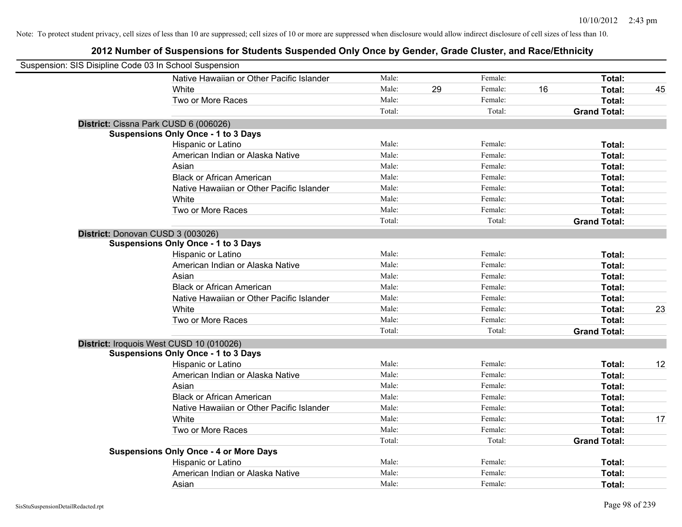| Suspension: SIS Disipline Code 03 In School Suspension |                                               |        |    |         |    |                     |    |
|--------------------------------------------------------|-----------------------------------------------|--------|----|---------|----|---------------------|----|
|                                                        | Native Hawaiian or Other Pacific Islander     | Male:  |    | Female: |    | Total:              |    |
|                                                        | White                                         | Male:  | 29 | Female: | 16 | Total:              | 45 |
|                                                        | Two or More Races                             | Male:  |    | Female: |    | Total:              |    |
|                                                        |                                               | Total: |    | Total:  |    | <b>Grand Total:</b> |    |
| District: Cissna Park CUSD 6 (006026)                  |                                               |        |    |         |    |                     |    |
|                                                        | <b>Suspensions Only Once - 1 to 3 Days</b>    |        |    |         |    |                     |    |
|                                                        | Hispanic or Latino                            | Male:  |    | Female: |    | Total:              |    |
|                                                        | American Indian or Alaska Native              | Male:  |    | Female: |    | Total:              |    |
|                                                        | Asian                                         | Male:  |    | Female: |    | Total:              |    |
|                                                        | <b>Black or African American</b>              | Male:  |    | Female: |    | Total:              |    |
|                                                        | Native Hawaiian or Other Pacific Islander     | Male:  |    | Female: |    | Total:              |    |
|                                                        | White                                         | Male:  |    | Female: |    | Total:              |    |
|                                                        | Two or More Races                             | Male:  |    | Female: |    | Total:              |    |
|                                                        |                                               | Total: |    | Total:  |    | <b>Grand Total:</b> |    |
| District: Donovan CUSD 3 (003026)                      |                                               |        |    |         |    |                     |    |
|                                                        | <b>Suspensions Only Once - 1 to 3 Days</b>    |        |    |         |    |                     |    |
|                                                        | Hispanic or Latino                            | Male:  |    | Female: |    | Total:              |    |
|                                                        | American Indian or Alaska Native              | Male:  |    | Female: |    | Total:              |    |
|                                                        | Asian                                         | Male:  |    | Female: |    | Total:              |    |
|                                                        | <b>Black or African American</b>              | Male:  |    | Female: |    | Total:              |    |
|                                                        | Native Hawaiian or Other Pacific Islander     | Male:  |    | Female: |    | Total:              |    |
|                                                        | White                                         | Male:  |    | Female: |    | Total:              | 23 |
|                                                        | Two or More Races                             | Male:  |    | Female: |    | Total:              |    |
|                                                        |                                               | Total: |    | Total:  |    | <b>Grand Total:</b> |    |
| District: Iroquois West CUSD 10 (010026)               |                                               |        |    |         |    |                     |    |
|                                                        | <b>Suspensions Only Once - 1 to 3 Days</b>    |        |    |         |    |                     |    |
|                                                        | Hispanic or Latino                            | Male:  |    | Female: |    | Total:              | 12 |
|                                                        | American Indian or Alaska Native              | Male:  |    | Female: |    | Total:              |    |
|                                                        | Asian                                         | Male:  |    | Female: |    | Total:              |    |
|                                                        | <b>Black or African American</b>              | Male:  |    | Female: |    | Total:              |    |
|                                                        | Native Hawaiian or Other Pacific Islander     | Male:  |    | Female: |    | Total:              |    |
|                                                        | White                                         | Male:  |    | Female: |    | Total:              | 17 |
|                                                        | Two or More Races                             | Male:  |    | Female: |    | Total:              |    |
|                                                        |                                               | Total: |    | Total:  |    | <b>Grand Total:</b> |    |
|                                                        | <b>Suspensions Only Once - 4 or More Days</b> |        |    |         |    |                     |    |
|                                                        | Hispanic or Latino                            | Male:  |    | Female: |    | Total:              |    |
|                                                        | American Indian or Alaska Native              | Male:  |    | Female: |    | Total:              |    |
|                                                        | Asian                                         | Male:  |    | Female: |    | Total:              |    |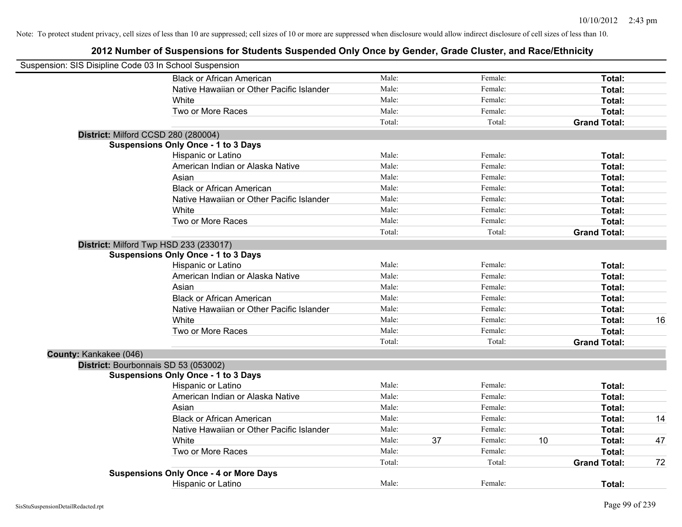| Suspension: SIS Disipline Code 03 In School Suspension |                                               |        |    |         |    |                     |    |
|--------------------------------------------------------|-----------------------------------------------|--------|----|---------|----|---------------------|----|
|                                                        | <b>Black or African American</b>              | Male:  |    | Female: |    | Total:              |    |
|                                                        | Native Hawaiian or Other Pacific Islander     | Male:  |    | Female: |    | Total:              |    |
|                                                        | White                                         | Male:  |    | Female: |    | Total:              |    |
|                                                        | Two or More Races                             | Male:  |    | Female: |    | Total:              |    |
|                                                        |                                               | Total: |    | Total:  |    | <b>Grand Total:</b> |    |
| District: Milford CCSD 280 (280004)                    |                                               |        |    |         |    |                     |    |
|                                                        | <b>Suspensions Only Once - 1 to 3 Days</b>    |        |    |         |    |                     |    |
|                                                        | Hispanic or Latino                            | Male:  |    | Female: |    | Total:              |    |
|                                                        | American Indian or Alaska Native              | Male:  |    | Female: |    | Total:              |    |
|                                                        | Asian                                         | Male:  |    | Female: |    | Total:              |    |
|                                                        | <b>Black or African American</b>              | Male:  |    | Female: |    | Total:              |    |
|                                                        | Native Hawaiian or Other Pacific Islander     | Male:  |    | Female: |    | Total:              |    |
|                                                        | White                                         | Male:  |    | Female: |    | Total:              |    |
|                                                        | Two or More Races                             | Male:  |    | Female: |    | Total:              |    |
|                                                        |                                               | Total: |    | Total:  |    | <b>Grand Total:</b> |    |
|                                                        | District: Milford Twp HSD 233 (233017)        |        |    |         |    |                     |    |
|                                                        | <b>Suspensions Only Once - 1 to 3 Days</b>    |        |    |         |    |                     |    |
|                                                        | Hispanic or Latino                            | Male:  |    | Female: |    | Total:              |    |
|                                                        | American Indian or Alaska Native              | Male:  |    | Female: |    | Total:              |    |
|                                                        | Asian                                         | Male:  |    | Female: |    | Total:              |    |
|                                                        | <b>Black or African American</b>              | Male:  |    | Female: |    | Total:              |    |
|                                                        | Native Hawaiian or Other Pacific Islander     | Male:  |    | Female: |    | Total:              |    |
|                                                        | White                                         | Male:  |    | Female: |    | Total:              | 16 |
|                                                        | Two or More Races                             | Male:  |    | Female: |    | Total:              |    |
|                                                        |                                               | Total: |    | Total:  |    | <b>Grand Total:</b> |    |
| County: Kankakee (046)                                 |                                               |        |    |         |    |                     |    |
|                                                        | District: Bourbonnais SD 53 (053002)          |        |    |         |    |                     |    |
|                                                        | <b>Suspensions Only Once - 1 to 3 Days</b>    |        |    |         |    |                     |    |
|                                                        | Hispanic or Latino                            | Male:  |    | Female: |    | Total:              |    |
|                                                        | American Indian or Alaska Native              | Male:  |    | Female: |    | Total:              |    |
|                                                        | Asian                                         | Male:  |    | Female: |    | Total:              |    |
|                                                        | <b>Black or African American</b>              | Male:  |    | Female: |    | Total:              | 14 |
|                                                        | Native Hawaiian or Other Pacific Islander     | Male:  |    | Female: |    | Total:              |    |
|                                                        | White                                         | Male:  | 37 | Female: | 10 | Total:              | 47 |
|                                                        | Two or More Races                             | Male:  |    | Female: |    | Total:              |    |
|                                                        |                                               | Total: |    | Total:  |    | <b>Grand Total:</b> | 72 |
|                                                        | <b>Suspensions Only Once - 4 or More Days</b> |        |    |         |    |                     |    |
|                                                        | <b>Hispanic or Latino</b>                     | Male:  |    | Female: |    | Total:              |    |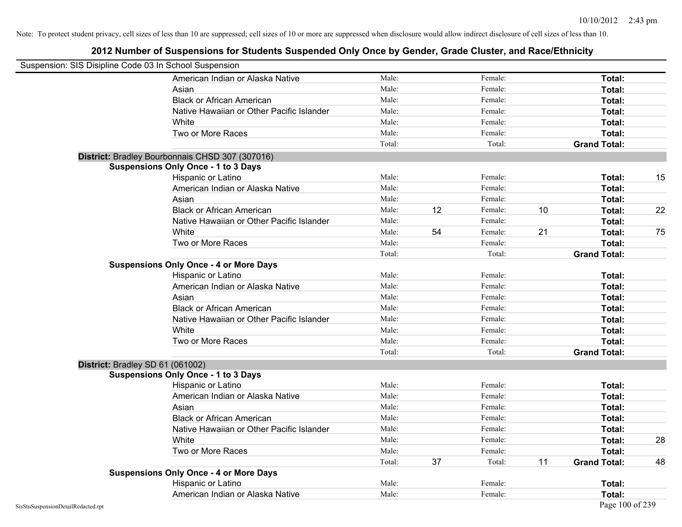| Suspension: SIS Disipline Code 03 In School Suspension |                                                 |        |    |         |    |                     |    |
|--------------------------------------------------------|-------------------------------------------------|--------|----|---------|----|---------------------|----|
|                                                        | American Indian or Alaska Native                | Male:  |    | Female: |    | Total:              |    |
|                                                        | Asian                                           | Male:  |    | Female: |    | Total:              |    |
|                                                        | <b>Black or African American</b>                | Male:  |    | Female: |    | Total:              |    |
|                                                        | Native Hawaiian or Other Pacific Islander       | Male:  |    | Female: |    | Total:              |    |
|                                                        | White                                           | Male:  |    | Female: |    | Total:              |    |
|                                                        | Two or More Races                               | Male:  |    | Female: |    | Total:              |    |
|                                                        |                                                 | Total: |    | Total:  |    | <b>Grand Total:</b> |    |
|                                                        | District: Bradley Bourbonnais CHSD 307 (307016) |        |    |         |    |                     |    |
|                                                        | <b>Suspensions Only Once - 1 to 3 Days</b>      |        |    |         |    |                     |    |
|                                                        | Hispanic or Latino                              | Male:  |    | Female: |    | Total:              | 15 |
|                                                        | American Indian or Alaska Native                | Male:  |    | Female: |    | Total:              |    |
|                                                        | Asian                                           | Male:  |    | Female: |    | Total:              |    |
|                                                        | <b>Black or African American</b>                | Male:  | 12 | Female: | 10 | Total:              | 22 |
|                                                        | Native Hawaiian or Other Pacific Islander       | Male:  |    | Female: |    | Total:              |    |
|                                                        | White                                           | Male:  | 54 | Female: | 21 | Total:              | 75 |
|                                                        | Two or More Races                               | Male:  |    | Female: |    | Total:              |    |
|                                                        |                                                 | Total: |    | Total:  |    | <b>Grand Total:</b> |    |
|                                                        | <b>Suspensions Only Once - 4 or More Days</b>   |        |    |         |    |                     |    |
|                                                        | Hispanic or Latino                              | Male:  |    | Female: |    | Total:              |    |
|                                                        | American Indian or Alaska Native                | Male:  |    | Female: |    | Total:              |    |
|                                                        | Asian                                           | Male:  |    | Female: |    | Total:              |    |
|                                                        | <b>Black or African American</b>                | Male:  |    | Female: |    | Total:              |    |
|                                                        | Native Hawaiian or Other Pacific Islander       | Male:  |    | Female: |    | Total:              |    |
|                                                        | White                                           | Male:  |    | Female: |    | Total:              |    |
|                                                        | Two or More Races                               | Male:  |    | Female: |    | Total:              |    |
|                                                        |                                                 | Total: |    | Total:  |    | <b>Grand Total:</b> |    |
|                                                        | District: Bradley SD 61 (061002)                |        |    |         |    |                     |    |
|                                                        | <b>Suspensions Only Once - 1 to 3 Days</b>      |        |    |         |    |                     |    |
|                                                        | Hispanic or Latino                              | Male:  |    | Female: |    | Total:              |    |
|                                                        | American Indian or Alaska Native                | Male:  |    | Female: |    | Total:              |    |
|                                                        | Asian                                           | Male:  |    | Female: |    | Total:              |    |
|                                                        | <b>Black or African American</b>                | Male:  |    | Female: |    | Total:              |    |
|                                                        | Native Hawaiian or Other Pacific Islander       | Male:  |    | Female: |    | Total:              |    |
|                                                        | White                                           | Male:  |    | Female: |    | Total:              | 28 |
|                                                        | Two or More Races                               | Male:  |    | Female: |    | Total:              |    |
|                                                        |                                                 | Total: | 37 | Total:  | 11 | <b>Grand Total:</b> | 48 |
|                                                        | <b>Suspensions Only Once - 4 or More Days</b>   |        |    |         |    |                     |    |
|                                                        | Hispanic or Latino                              | Male:  |    | Female: |    | Total:              |    |
|                                                        | American Indian or Alaska Native                | Male:  |    | Female: |    | Total:              |    |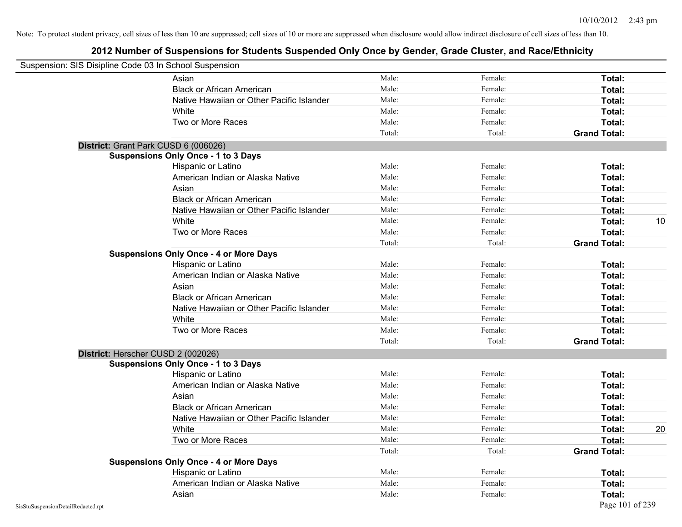| Suspension: SIS Disipline Code 03 In School Suspension |                                               |        |         |                     |    |
|--------------------------------------------------------|-----------------------------------------------|--------|---------|---------------------|----|
|                                                        | Asian                                         | Male:  | Female: | Total:              |    |
|                                                        | <b>Black or African American</b>              | Male:  | Female: | Total:              |    |
|                                                        | Native Hawaiian or Other Pacific Islander     | Male:  | Female: | Total:              |    |
|                                                        | White                                         | Male:  | Female: | Total:              |    |
|                                                        | Two or More Races                             | Male:  | Female: | Total:              |    |
|                                                        |                                               | Total: | Total:  | <b>Grand Total:</b> |    |
|                                                        | District: Grant Park CUSD 6 (006026)          |        |         |                     |    |
|                                                        | <b>Suspensions Only Once - 1 to 3 Days</b>    |        |         |                     |    |
|                                                        | Hispanic or Latino                            | Male:  | Female: | Total:              |    |
|                                                        | American Indian or Alaska Native              | Male:  | Female: | Total:              |    |
|                                                        | Asian                                         | Male:  | Female: | Total:              |    |
|                                                        | <b>Black or African American</b>              | Male:  | Female: | Total:              |    |
|                                                        | Native Hawaiian or Other Pacific Islander     | Male:  | Female: | Total:              |    |
|                                                        | White                                         | Male:  | Female: | Total:              | 10 |
|                                                        | Two or More Races                             | Male:  | Female: | Total:              |    |
|                                                        |                                               | Total: | Total:  | <b>Grand Total:</b> |    |
|                                                        | <b>Suspensions Only Once - 4 or More Days</b> |        |         |                     |    |
|                                                        | Hispanic or Latino                            | Male:  | Female: | Total:              |    |
|                                                        | American Indian or Alaska Native              | Male:  | Female: | Total:              |    |
|                                                        | Asian                                         | Male:  | Female: | Total:              |    |
|                                                        | <b>Black or African American</b>              | Male:  | Female: | Total:              |    |
|                                                        | Native Hawaiian or Other Pacific Islander     | Male:  | Female: | Total:              |    |
|                                                        | White                                         | Male:  | Female: | Total:              |    |
|                                                        | Two or More Races                             | Male:  | Female: | Total:              |    |
|                                                        |                                               | Total: | Total:  | <b>Grand Total:</b> |    |
|                                                        | District: Herscher CUSD 2 (002026)            |        |         |                     |    |
|                                                        | <b>Suspensions Only Once - 1 to 3 Days</b>    |        |         |                     |    |
|                                                        | Hispanic or Latino                            | Male:  | Female: | Total:              |    |
|                                                        | American Indian or Alaska Native              | Male:  | Female: | Total:              |    |
|                                                        | Asian                                         | Male:  | Female: | Total:              |    |
|                                                        | <b>Black or African American</b>              | Male:  | Female: | Total:              |    |
|                                                        | Native Hawaiian or Other Pacific Islander     | Male:  | Female: | Total:              |    |
|                                                        | White                                         | Male:  | Female: | Total:              | 20 |
|                                                        | Two or More Races                             | Male:  | Female: | Total:              |    |
|                                                        |                                               | Total: | Total:  | <b>Grand Total:</b> |    |
|                                                        | <b>Suspensions Only Once - 4 or More Days</b> |        |         |                     |    |
|                                                        | Hispanic or Latino                            | Male:  | Female: | Total:              |    |
|                                                        | American Indian or Alaska Native              | Male:  | Female: | Total:              |    |
|                                                        | Asian                                         | Male:  | Female: | Total:              |    |
| SisStuSuspensionDetailRedacted.rpt                     |                                               |        |         | Page 101 of 239     |    |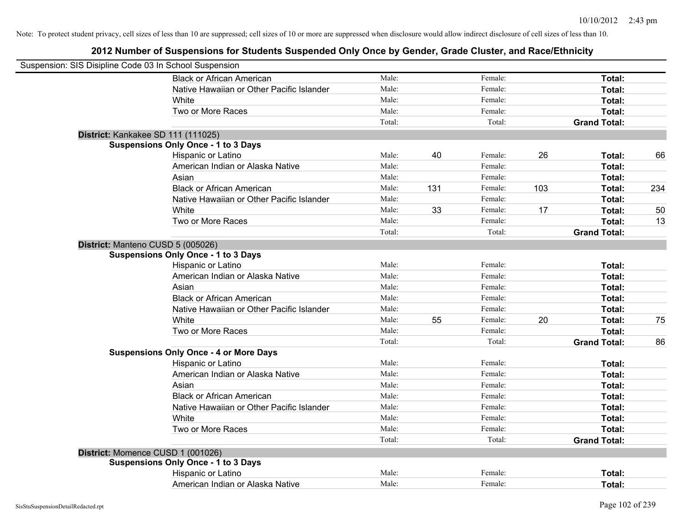| Suspension: SIS Disipline Code 03 In School Suspension |                                               |        |     |         |     |                     |     |
|--------------------------------------------------------|-----------------------------------------------|--------|-----|---------|-----|---------------------|-----|
|                                                        | <b>Black or African American</b>              | Male:  |     | Female: |     | Total:              |     |
|                                                        | Native Hawaiian or Other Pacific Islander     | Male:  |     | Female: |     | Total:              |     |
|                                                        | White                                         | Male:  |     | Female: |     | Total:              |     |
|                                                        | Two or More Races                             | Male:  |     | Female: |     | Total:              |     |
|                                                        |                                               | Total: |     | Total:  |     | <b>Grand Total:</b> |     |
|                                                        | District: Kankakee SD 111 (111025)            |        |     |         |     |                     |     |
|                                                        | <b>Suspensions Only Once - 1 to 3 Days</b>    |        |     |         |     |                     |     |
|                                                        | Hispanic or Latino                            | Male:  | 40  | Female: | 26  | Total:              | 66  |
|                                                        | American Indian or Alaska Native              | Male:  |     | Female: |     | Total:              |     |
|                                                        | Asian                                         | Male:  |     | Female: |     | Total:              |     |
|                                                        | <b>Black or African American</b>              | Male:  | 131 | Female: | 103 | Total:              | 234 |
|                                                        | Native Hawaiian or Other Pacific Islander     | Male:  |     | Female: |     | Total:              |     |
|                                                        | White                                         | Male:  | 33  | Female: | 17  | Total:              | 50  |
|                                                        | Two or More Races                             | Male:  |     | Female: |     | Total:              | 13  |
|                                                        |                                               | Total: |     | Total:  |     | <b>Grand Total:</b> |     |
|                                                        | District: Manteno CUSD 5 (005026)             |        |     |         |     |                     |     |
|                                                        | <b>Suspensions Only Once - 1 to 3 Days</b>    |        |     |         |     |                     |     |
|                                                        | Hispanic or Latino                            | Male:  |     | Female: |     | Total:              |     |
|                                                        | American Indian or Alaska Native              | Male:  |     | Female: |     | Total:              |     |
|                                                        | Asian                                         | Male:  |     | Female: |     | Total:              |     |
|                                                        | <b>Black or African American</b>              | Male:  |     | Female: |     | Total:              |     |
|                                                        | Native Hawaiian or Other Pacific Islander     | Male:  |     | Female: |     | Total:              |     |
|                                                        | White                                         | Male:  | 55  | Female: | 20  | Total:              | 75  |
|                                                        | Two or More Races                             | Male:  |     | Female: |     | Total:              |     |
|                                                        |                                               | Total: |     | Total:  |     | <b>Grand Total:</b> | 86  |
|                                                        | <b>Suspensions Only Once - 4 or More Days</b> |        |     |         |     |                     |     |
|                                                        | Hispanic or Latino                            | Male:  |     | Female: |     | Total:              |     |
|                                                        | American Indian or Alaska Native              | Male:  |     | Female: |     | Total:              |     |
|                                                        | Asian                                         | Male:  |     | Female: |     | Total:              |     |
|                                                        | <b>Black or African American</b>              | Male:  |     | Female: |     | Total:              |     |
|                                                        | Native Hawaiian or Other Pacific Islander     | Male:  |     | Female: |     | Total:              |     |
|                                                        | White                                         | Male:  |     | Female: |     | Total:              |     |
|                                                        | Two or More Races                             | Male:  |     | Female: |     | Total:              |     |
|                                                        |                                               | Total: |     | Total:  |     | <b>Grand Total:</b> |     |
|                                                        | District: Momence CUSD 1 (001026)             |        |     |         |     |                     |     |
|                                                        | <b>Suspensions Only Once - 1 to 3 Days</b>    |        |     |         |     |                     |     |
|                                                        | Hispanic or Latino                            | Male:  |     | Female: |     | Total:              |     |
|                                                        | American Indian or Alaska Native              | Male:  |     | Female: |     | Total:              |     |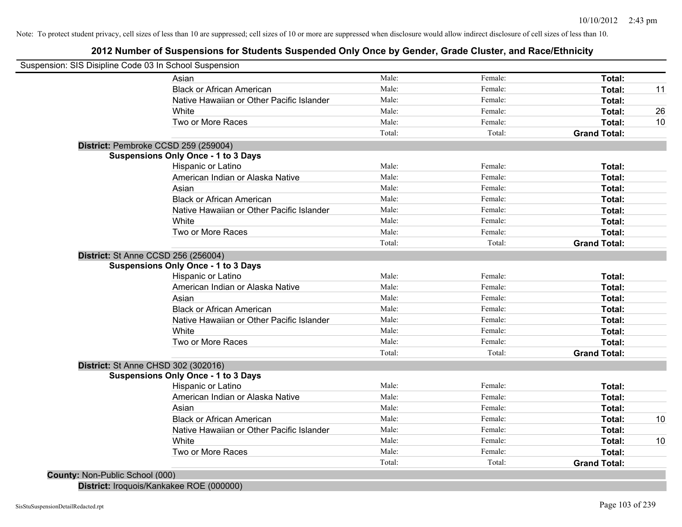# **2012 Number of Suspensions for Students Suspended Only Once by Gender, Grade Cluster, and Race/Ethnicity**

|                                            | Suspension: SIS Disipline Code 03 In School Suspension |        |         |                     |    |
|--------------------------------------------|--------------------------------------------------------|--------|---------|---------------------|----|
|                                            | Asian                                                  | Male:  | Female: | Total:              |    |
|                                            | <b>Black or African American</b>                       | Male:  | Female: | Total:              | 11 |
|                                            | Native Hawaiian or Other Pacific Islander              | Male:  | Female: | Total:              |    |
|                                            | White                                                  | Male:  | Female: | Total:              | 26 |
|                                            | Two or More Races                                      | Male:  | Female: | Total:              | 10 |
|                                            |                                                        | Total: | Total:  | <b>Grand Total:</b> |    |
|                                            | District: Pembroke CCSD 259 (259004)                   |        |         |                     |    |
|                                            | <b>Suspensions Only Once - 1 to 3 Days</b>             |        |         |                     |    |
|                                            | Hispanic or Latino                                     | Male:  | Female: | Total:              |    |
|                                            | American Indian or Alaska Native                       | Male:  | Female: | Total:              |    |
|                                            | Asian                                                  | Male:  | Female: | Total:              |    |
|                                            | <b>Black or African American</b>                       | Male:  | Female: | Total:              |    |
|                                            | Native Hawaiian or Other Pacific Islander              | Male:  | Female: | Total:              |    |
|                                            | White                                                  | Male:  | Female: | Total:              |    |
|                                            | Two or More Races                                      | Male:  | Female: | Total:              |    |
|                                            |                                                        | Total: | Total:  | <b>Grand Total:</b> |    |
| District: St Anne CCSD 256 (256004)        |                                                        |        |         |                     |    |
|                                            | <b>Suspensions Only Once - 1 to 3 Days</b>             |        |         |                     |    |
|                                            | Hispanic or Latino                                     | Male:  | Female: | Total:              |    |
|                                            | American Indian or Alaska Native                       | Male:  | Female: | Total:              |    |
|                                            | Asian                                                  | Male:  | Female: | Total:              |    |
|                                            | <b>Black or African American</b>                       | Male:  | Female: | Total:              |    |
|                                            | Native Hawaiian or Other Pacific Islander              | Male:  | Female: | Total:              |    |
|                                            | White                                                  | Male:  | Female: | Total:              |    |
|                                            | Two or More Races                                      | Male:  | Female: | Total:              |    |
|                                            |                                                        | Total: | Total:  | <b>Grand Total:</b> |    |
| <b>District: St Anne CHSD 302 (302016)</b> |                                                        |        |         |                     |    |
|                                            | <b>Suspensions Only Once - 1 to 3 Days</b>             |        |         |                     |    |
|                                            | Hispanic or Latino                                     | Male:  | Female: | Total:              |    |
|                                            | American Indian or Alaska Native                       | Male:  | Female: | Total:              |    |
|                                            | Asian                                                  | Male:  | Female: | Total:              |    |
|                                            | <b>Black or African American</b>                       | Male:  | Female: | Total:              | 10 |
|                                            | Native Hawaiian or Other Pacific Islander              | Male:  | Female: | Total:              |    |
|                                            | White                                                  | Male:  | Female: | Total:              | 10 |
|                                            | Two or More Races                                      | Male:  | Female: | Total:              |    |
|                                            |                                                        | Total: | Total:  | <b>Grand Total:</b> |    |

**District:** Iroquois/Kankakee ROE (000000)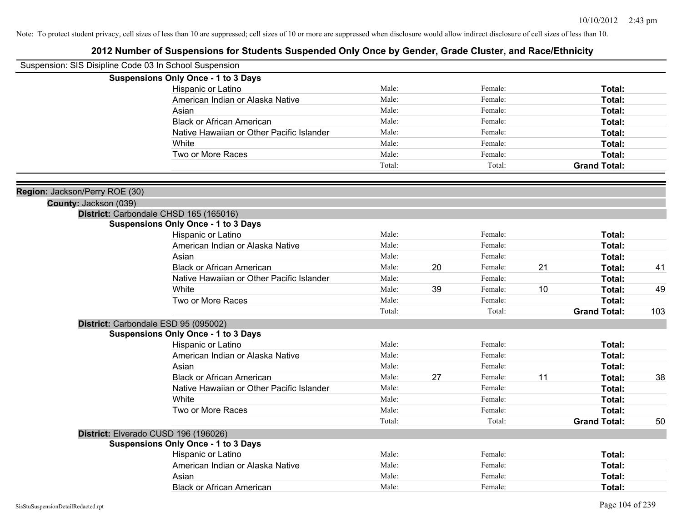| Suspension: SIS Disipline Code 03 In School Suspension |                                                                                      |        |    |         |    |                     |     |
|--------------------------------------------------------|--------------------------------------------------------------------------------------|--------|----|---------|----|---------------------|-----|
|                                                        | <b>Suspensions Only Once - 1 to 3 Days</b>                                           |        |    |         |    |                     |     |
|                                                        | Hispanic or Latino                                                                   | Male:  |    | Female: |    | Total:              |     |
|                                                        | American Indian or Alaska Native                                                     | Male:  |    | Female: |    | Total:              |     |
|                                                        | Asian                                                                                | Male:  |    | Female: |    | Total:              |     |
|                                                        | <b>Black or African American</b>                                                     | Male:  |    | Female: |    | Total:              |     |
|                                                        | Native Hawaiian or Other Pacific Islander                                            | Male:  |    | Female: |    | Total:              |     |
|                                                        | White                                                                                | Male:  |    | Female: |    | Total:              |     |
|                                                        | Two or More Races                                                                    | Male:  |    | Female: |    | Total:              |     |
|                                                        |                                                                                      | Total: |    | Total:  |    | <b>Grand Total:</b> |     |
|                                                        |                                                                                      |        |    |         |    |                     |     |
| Region: Jackson/Perry ROE (30)                         |                                                                                      |        |    |         |    |                     |     |
| County: Jackson (039)                                  |                                                                                      |        |    |         |    |                     |     |
|                                                        | District: Carbondale CHSD 165 (165016)<br><b>Suspensions Only Once - 1 to 3 Days</b> |        |    |         |    |                     |     |
|                                                        | Hispanic or Latino                                                                   | Male:  |    | Female: |    | Total:              |     |
|                                                        | American Indian or Alaska Native                                                     | Male:  |    | Female: |    | Total:              |     |
|                                                        | Asian                                                                                | Male:  |    | Female: |    | Total:              |     |
|                                                        | <b>Black or African American</b>                                                     | Male:  | 20 | Female: | 21 | Total:              | 41  |
|                                                        | Native Hawaiian or Other Pacific Islander                                            | Male:  |    | Female: |    | Total:              |     |
|                                                        | White                                                                                | Male:  | 39 | Female: | 10 | Total:              | 49  |
|                                                        | Two or More Races                                                                    | Male:  |    | Female: |    | Total:              |     |
|                                                        |                                                                                      | Total: |    | Total:  |    | <b>Grand Total:</b> | 103 |
|                                                        | District: Carbondale ESD 95 (095002)                                                 |        |    |         |    |                     |     |
|                                                        | <b>Suspensions Only Once - 1 to 3 Days</b>                                           |        |    |         |    |                     |     |
|                                                        | Hispanic or Latino                                                                   | Male:  |    | Female: |    | Total:              |     |
|                                                        | American Indian or Alaska Native                                                     | Male:  |    | Female: |    | Total:              |     |
|                                                        | Asian                                                                                | Male:  |    | Female: |    | Total:              |     |
|                                                        | <b>Black or African American</b>                                                     | Male:  | 27 | Female: | 11 | Total:              | 38  |
|                                                        | Native Hawaiian or Other Pacific Islander                                            | Male:  |    | Female: |    | Total:              |     |
|                                                        | White                                                                                | Male:  |    | Female: |    | Total:              |     |
|                                                        | Two or More Races                                                                    | Male:  |    | Female: |    | Total:              |     |
|                                                        |                                                                                      | Total: |    | Total:  |    | <b>Grand Total:</b> | 50  |
|                                                        | District: Elverado CUSD 196 (196026)                                                 |        |    |         |    |                     |     |
|                                                        | <b>Suspensions Only Once - 1 to 3 Days</b>                                           |        |    |         |    |                     |     |
|                                                        | Hispanic or Latino                                                                   | Male:  |    | Female: |    | Total:              |     |
|                                                        | American Indian or Alaska Native                                                     | Male:  |    | Female: |    | Total:              |     |
|                                                        | Asian                                                                                | Male:  |    | Female: |    | Total:              |     |
|                                                        | <b>Black or African American</b>                                                     | Male:  |    | Female: |    | Total:              |     |
|                                                        |                                                                                      |        |    |         |    |                     |     |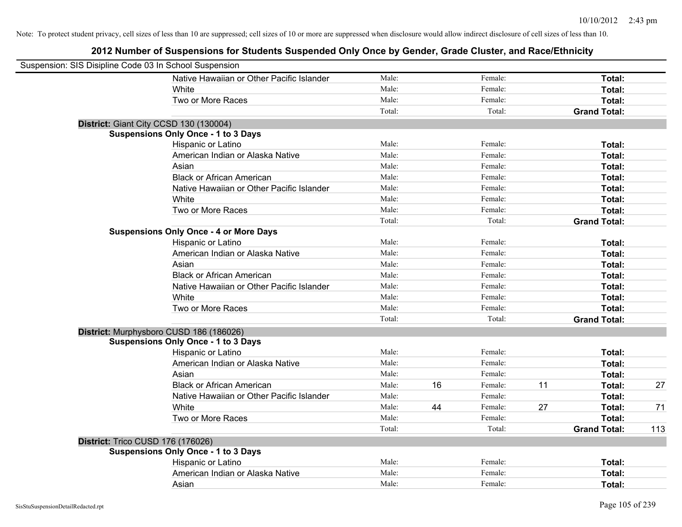| Suspension: SIS Disipline Code 03 In School Suspension |                                               |        |    |         |    |                     |     |
|--------------------------------------------------------|-----------------------------------------------|--------|----|---------|----|---------------------|-----|
|                                                        | Native Hawaiian or Other Pacific Islander     | Male:  |    | Female: |    | Total:              |     |
|                                                        | White                                         | Male:  |    | Female: |    | Total:              |     |
|                                                        | Two or More Races                             | Male:  |    | Female: |    | Total:              |     |
|                                                        |                                               | Total: |    | Total:  |    | <b>Grand Total:</b> |     |
| District: Giant City CCSD 130 (130004)                 |                                               |        |    |         |    |                     |     |
|                                                        | <b>Suspensions Only Once - 1 to 3 Days</b>    |        |    |         |    |                     |     |
|                                                        | Hispanic or Latino                            | Male:  |    | Female: |    | Total:              |     |
|                                                        | American Indian or Alaska Native              | Male:  |    | Female: |    | Total:              |     |
|                                                        | Asian                                         | Male:  |    | Female: |    | Total:              |     |
|                                                        | <b>Black or African American</b>              | Male:  |    | Female: |    | Total:              |     |
|                                                        | Native Hawaiian or Other Pacific Islander     | Male:  |    | Female: |    | Total:              |     |
|                                                        | White                                         | Male:  |    | Female: |    | Total:              |     |
|                                                        | Two or More Races                             | Male:  |    | Female: |    | Total:              |     |
|                                                        |                                               | Total: |    | Total:  |    | <b>Grand Total:</b> |     |
|                                                        | <b>Suspensions Only Once - 4 or More Days</b> |        |    |         |    |                     |     |
|                                                        | Hispanic or Latino                            | Male:  |    | Female: |    | Total:              |     |
|                                                        | American Indian or Alaska Native              | Male:  |    | Female: |    | Total:              |     |
|                                                        | Asian                                         | Male:  |    | Female: |    | Total:              |     |
|                                                        | <b>Black or African American</b>              | Male:  |    | Female: |    | Total:              |     |
|                                                        | Native Hawaiian or Other Pacific Islander     | Male:  |    | Female: |    | Total:              |     |
|                                                        | White                                         | Male:  |    | Female: |    | Total:              |     |
|                                                        | Two or More Races                             | Male:  |    | Female: |    | Total:              |     |
|                                                        |                                               | Total: |    | Total:  |    | <b>Grand Total:</b> |     |
|                                                        | District: Murphysboro CUSD 186 (186026)       |        |    |         |    |                     |     |
|                                                        | <b>Suspensions Only Once - 1 to 3 Days</b>    |        |    |         |    |                     |     |
|                                                        | Hispanic or Latino                            | Male:  |    | Female: |    | Total:              |     |
|                                                        | American Indian or Alaska Native              | Male:  |    | Female: |    | Total:              |     |
|                                                        | Asian                                         | Male:  |    | Female: |    | Total:              |     |
|                                                        | <b>Black or African American</b>              | Male:  | 16 | Female: | 11 | Total:              | 27  |
|                                                        | Native Hawaiian or Other Pacific Islander     | Male:  |    | Female: |    | Total:              |     |
|                                                        | White                                         | Male:  | 44 | Female: | 27 | Total:              | 71  |
|                                                        | Two or More Races                             | Male:  |    | Female: |    | Total:              |     |
|                                                        |                                               | Total: |    | Total:  |    | <b>Grand Total:</b> | 113 |
| District: Trico CUSD 176 (176026)                      |                                               |        |    |         |    |                     |     |
|                                                        | <b>Suspensions Only Once - 1 to 3 Days</b>    |        |    |         |    |                     |     |
|                                                        | Hispanic or Latino                            | Male:  |    | Female: |    | Total:              |     |
|                                                        | American Indian or Alaska Native              | Male:  |    | Female: |    | Total:              |     |
|                                                        | Asian                                         | Male:  |    | Female: |    | Total:              |     |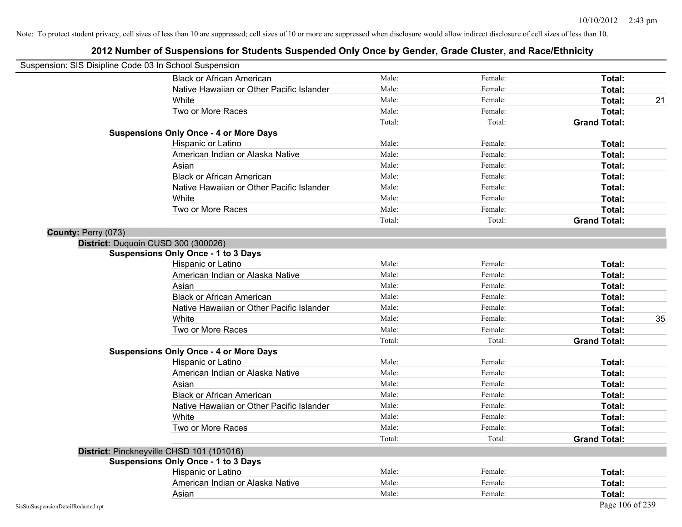| Suspension: SIS Disipline Code 03 In School Suspension |                                               |        |         |                     |
|--------------------------------------------------------|-----------------------------------------------|--------|---------|---------------------|
|                                                        | <b>Black or African American</b>              | Male:  | Female: | Total:              |
|                                                        | Native Hawaiian or Other Pacific Islander     | Male:  | Female: | Total:              |
|                                                        | White                                         | Male:  | Female: | Total:<br>21        |
|                                                        | Two or More Races                             | Male:  | Female: | Total:              |
|                                                        |                                               | Total: | Total:  | <b>Grand Total:</b> |
|                                                        | <b>Suspensions Only Once - 4 or More Days</b> |        |         |                     |
|                                                        | Hispanic or Latino                            | Male:  | Female: | Total:              |
|                                                        | American Indian or Alaska Native              | Male:  | Female: | Total:              |
|                                                        | Asian                                         | Male:  | Female: | Total:              |
|                                                        | <b>Black or African American</b>              | Male:  | Female: | Total:              |
|                                                        | Native Hawaiian or Other Pacific Islander     | Male:  | Female: | Total:              |
|                                                        | White                                         | Male:  | Female: | Total:              |
|                                                        | Two or More Races                             | Male:  | Female: | Total:              |
|                                                        |                                               | Total: | Total:  | <b>Grand Total:</b> |
| County: Perry (073)                                    |                                               |        |         |                     |
|                                                        | District: Duquoin CUSD 300 (300026)           |        |         |                     |
|                                                        | <b>Suspensions Only Once - 1 to 3 Days</b>    |        |         |                     |
|                                                        | Hispanic or Latino                            | Male:  | Female: | Total:              |
|                                                        | American Indian or Alaska Native              | Male:  | Female: | Total:              |
|                                                        | Asian                                         | Male:  | Female: | Total:              |
|                                                        | <b>Black or African American</b>              | Male:  | Female: | Total:              |
|                                                        | Native Hawaiian or Other Pacific Islander     | Male:  | Female: | Total:              |
|                                                        | White                                         | Male:  | Female: | 35<br>Total:        |
|                                                        | Two or More Races                             | Male:  | Female: | Total:              |
|                                                        |                                               | Total: | Total:  | <b>Grand Total:</b> |
|                                                        | <b>Suspensions Only Once - 4 or More Days</b> |        |         |                     |
|                                                        | Hispanic or Latino                            | Male:  | Female: | Total:              |
|                                                        | American Indian or Alaska Native              | Male:  | Female: | Total:              |
|                                                        | Asian                                         | Male:  | Female: | Total:              |
|                                                        | <b>Black or African American</b>              | Male:  | Female: | Total:              |
|                                                        | Native Hawaiian or Other Pacific Islander     | Male:  | Female: | Total:              |
|                                                        | White                                         | Male:  | Female: | Total:              |
|                                                        | Two or More Races                             | Male:  | Female: | Total:              |
|                                                        |                                               | Total: | Total:  | <b>Grand Total:</b> |
|                                                        | District: Pinckneyville CHSD 101 (101016)     |        |         |                     |
|                                                        | <b>Suspensions Only Once - 1 to 3 Days</b>    |        |         |                     |
|                                                        | Hispanic or Latino                            | Male:  | Female: | Total:              |
|                                                        | American Indian or Alaska Native              | Male:  | Female: | Total:              |
|                                                        | Asian                                         | Male:  | Female: | Total:              |
| SisStuSuspensionDetailRedacted.rpt                     |                                               |        |         | Page 106 of 239     |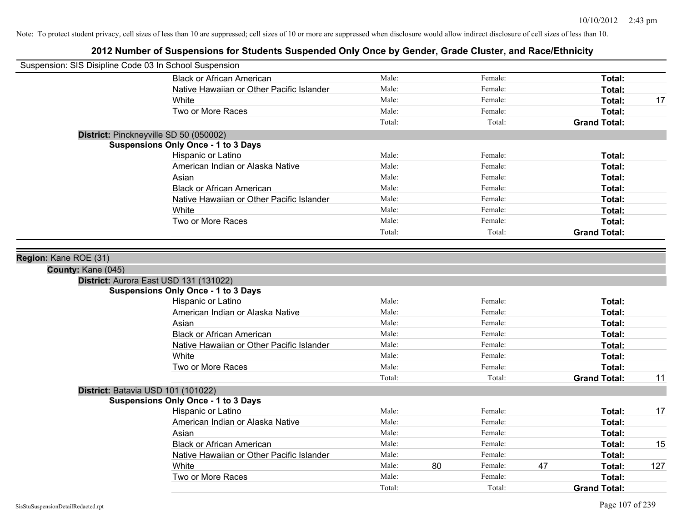| Suspension: SIS Disipline Code 03 In School Suspension |                                            |        |    |         |    |                     |     |
|--------------------------------------------------------|--------------------------------------------|--------|----|---------|----|---------------------|-----|
|                                                        | <b>Black or African American</b>           | Male:  |    | Female: |    | Total:              |     |
|                                                        | Native Hawaiian or Other Pacific Islander  | Male:  |    | Female: |    | Total:              |     |
|                                                        | White                                      | Male:  |    | Female: |    | Total:              | 17  |
|                                                        | Two or More Races                          | Male:  |    | Female: |    | <b>Total:</b>       |     |
|                                                        |                                            | Total: |    | Total:  |    | <b>Grand Total:</b> |     |
|                                                        | District: Pinckneyville SD 50 (050002)     |        |    |         |    |                     |     |
|                                                        | <b>Suspensions Only Once - 1 to 3 Days</b> |        |    |         |    |                     |     |
|                                                        | Hispanic or Latino                         | Male:  |    | Female: |    | Total:              |     |
|                                                        | American Indian or Alaska Native           | Male:  |    | Female: |    | Total:              |     |
|                                                        | Asian                                      | Male:  |    | Female: |    | Total:              |     |
|                                                        | <b>Black or African American</b>           | Male:  |    | Female: |    | Total:              |     |
|                                                        | Native Hawaiian or Other Pacific Islander  | Male:  |    | Female: |    | Total:              |     |
|                                                        | White                                      | Male:  |    | Female: |    | Total:              |     |
|                                                        | Two or More Races                          | Male:  |    | Female: |    | Total:              |     |
|                                                        |                                            | Total: |    | Total:  |    | <b>Grand Total:</b> |     |
| Region: Kane ROE (31)<br>County: Kane (045)            |                                            |        |    |         |    |                     |     |
|                                                        | District: Aurora East USD 131 (131022)     |        |    |         |    |                     |     |
|                                                        | <b>Suspensions Only Once - 1 to 3 Days</b> |        |    |         |    |                     |     |
|                                                        | Hispanic or Latino                         | Male:  |    | Female: |    | Total:              |     |
|                                                        | American Indian or Alaska Native           | Male:  |    | Female: |    | Total:              |     |
|                                                        | Asian                                      | Male:  |    | Female: |    | Total:              |     |
|                                                        | <b>Black or African American</b>           | Male:  |    | Female: |    | Total:              |     |
|                                                        | Native Hawaiian or Other Pacific Islander  | Male:  |    | Female: |    | Total:              |     |
|                                                        | White                                      | Male:  |    | Female: |    | Total:              |     |
|                                                        | Two or More Races                          | Male:  |    | Female: |    | Total:              |     |
|                                                        |                                            | Total: |    | Total:  |    | <b>Grand Total:</b> | 11  |
| District: Batavia USD 101 (101022)                     |                                            |        |    |         |    |                     |     |
|                                                        | <b>Suspensions Only Once - 1 to 3 Days</b> |        |    |         |    |                     |     |
|                                                        | Hispanic or Latino                         | Male:  |    | Female: |    | Total:              | 17  |
|                                                        | American Indian or Alaska Native           | Male:  |    | Female: |    | Total:              |     |
|                                                        | Asian                                      | Male:  |    | Female: |    | Total:              |     |
|                                                        | <b>Black or African American</b>           | Male:  |    | Female: |    | Total:              | 15  |
|                                                        | Native Hawaiian or Other Pacific Islander  | Male:  |    | Female: |    | Total:              |     |
|                                                        | White                                      | Male:  | 80 | Female: | 47 | <b>Total:</b>       | 127 |
|                                                        | Two or More Races                          | Male:  |    | Female: |    | <b>Total:</b>       |     |
|                                                        |                                            | Total: |    | Total:  |    | <b>Grand Total:</b> |     |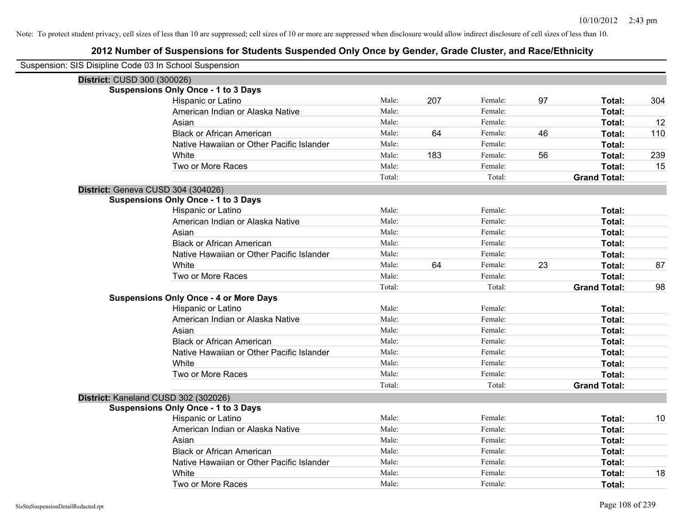| Suspension: SIS Disipline Code 03 In School Suspension |                                               |        |     |         |    |                     |     |
|--------------------------------------------------------|-----------------------------------------------|--------|-----|---------|----|---------------------|-----|
| District: CUSD 300 (300026)                            |                                               |        |     |         |    |                     |     |
|                                                        | <b>Suspensions Only Once - 1 to 3 Days</b>    |        |     |         |    |                     |     |
|                                                        | Hispanic or Latino                            | Male:  | 207 | Female: | 97 | Total:              | 304 |
|                                                        | American Indian or Alaska Native              | Male:  |     | Female: |    | Total:              |     |
|                                                        | Asian                                         | Male:  |     | Female: |    | Total:              | 12  |
|                                                        | <b>Black or African American</b>              | Male:  | 64  | Female: | 46 | Total:              | 110 |
|                                                        | Native Hawaiian or Other Pacific Islander     | Male:  |     | Female: |    | Total:              |     |
|                                                        | White                                         | Male:  | 183 | Female: | 56 | Total:              | 239 |
|                                                        | Two or More Races                             | Male:  |     | Female: |    | Total:              | 15  |
|                                                        |                                               | Total: |     | Total:  |    | <b>Grand Total:</b> |     |
|                                                        | District: Geneva CUSD 304 (304026)            |        |     |         |    |                     |     |
|                                                        | <b>Suspensions Only Once - 1 to 3 Days</b>    |        |     |         |    |                     |     |
|                                                        | Hispanic or Latino                            | Male:  |     | Female: |    | Total:              |     |
|                                                        | American Indian or Alaska Native              | Male:  |     | Female: |    | Total:              |     |
|                                                        | Asian                                         | Male:  |     | Female: |    | Total:              |     |
|                                                        | <b>Black or African American</b>              | Male:  |     | Female: |    | Total:              |     |
|                                                        | Native Hawaiian or Other Pacific Islander     | Male:  |     | Female: |    | Total:              |     |
|                                                        | White                                         | Male:  | 64  | Female: | 23 | Total:              | 87  |
|                                                        | Two or More Races                             | Male:  |     | Female: |    | Total:              |     |
|                                                        |                                               | Total: |     | Total:  |    | <b>Grand Total:</b> | 98  |
|                                                        | <b>Suspensions Only Once - 4 or More Days</b> |        |     |         |    |                     |     |
|                                                        | Hispanic or Latino                            | Male:  |     | Female: |    | Total:              |     |
|                                                        | American Indian or Alaska Native              | Male:  |     | Female: |    | Total:              |     |
|                                                        | Asian                                         | Male:  |     | Female: |    | Total:              |     |
|                                                        | <b>Black or African American</b>              | Male:  |     | Female: |    | Total:              |     |
|                                                        | Native Hawaiian or Other Pacific Islander     | Male:  |     | Female: |    | Total:              |     |
|                                                        | White                                         | Male:  |     | Female: |    | Total:              |     |
|                                                        | Two or More Races                             | Male:  |     | Female: |    | Total:              |     |
|                                                        |                                               | Total: |     | Total:  |    | <b>Grand Total:</b> |     |
|                                                        | District: Kaneland CUSD 302 (302026)          |        |     |         |    |                     |     |
|                                                        | <b>Suspensions Only Once - 1 to 3 Days</b>    |        |     |         |    |                     |     |
|                                                        | Hispanic or Latino                            | Male:  |     | Female: |    | Total:              | 10  |
|                                                        | American Indian or Alaska Native              | Male:  |     | Female: |    | Total:              |     |
|                                                        | Asian                                         | Male:  |     | Female: |    | Total:              |     |
|                                                        | <b>Black or African American</b>              | Male:  |     | Female: |    | Total:              |     |
|                                                        | Native Hawaiian or Other Pacific Islander     | Male:  |     | Female: |    | Total:              |     |
|                                                        | White                                         | Male:  |     | Female: |    | Total:              | 18  |
|                                                        | Two or More Races                             | Male:  |     | Female: |    | Total:              |     |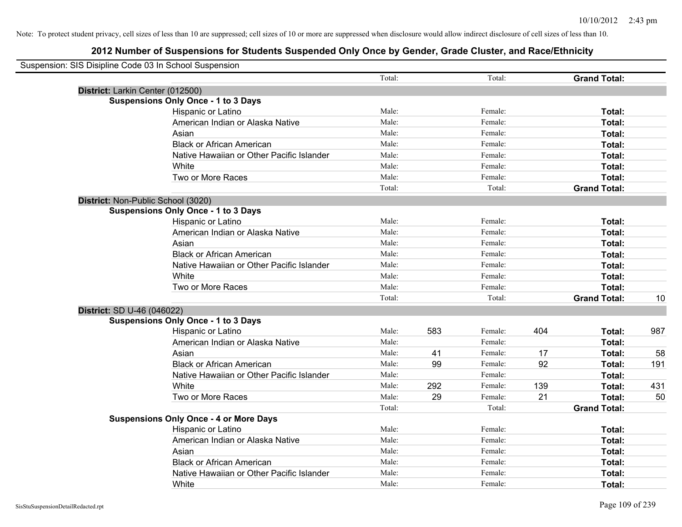| Suspension: SIS Disipline Code 03 In School Suspension |                                               |        |     |         |     |                     |     |
|--------------------------------------------------------|-----------------------------------------------|--------|-----|---------|-----|---------------------|-----|
|                                                        |                                               | Total: |     | Total:  |     | <b>Grand Total:</b> |     |
| District: Larkin Center (012500)                       |                                               |        |     |         |     |                     |     |
|                                                        | <b>Suspensions Only Once - 1 to 3 Days</b>    |        |     |         |     |                     |     |
|                                                        | Hispanic or Latino                            | Male:  |     | Female: |     | Total:              |     |
|                                                        | American Indian or Alaska Native              | Male:  |     | Female: |     | Total:              |     |
|                                                        | Asian                                         | Male:  |     | Female: |     | Total:              |     |
|                                                        | <b>Black or African American</b>              | Male:  |     | Female: |     | Total:              |     |
|                                                        | Native Hawaiian or Other Pacific Islander     | Male:  |     | Female: |     | Total:              |     |
|                                                        | White                                         | Male:  |     | Female: |     | Total:              |     |
|                                                        | Two or More Races                             | Male:  |     | Female: |     | Total:              |     |
|                                                        |                                               | Total: |     | Total:  |     | <b>Grand Total:</b> |     |
| District: Non-Public School (3020)                     |                                               |        |     |         |     |                     |     |
|                                                        | <b>Suspensions Only Once - 1 to 3 Days</b>    |        |     |         |     |                     |     |
|                                                        | Hispanic or Latino                            | Male:  |     | Female: |     | Total:              |     |
|                                                        | American Indian or Alaska Native              | Male:  |     | Female: |     | Total:              |     |
|                                                        | Asian                                         | Male:  |     | Female: |     | Total:              |     |
|                                                        | <b>Black or African American</b>              | Male:  |     | Female: |     | Total:              |     |
|                                                        | Native Hawaiian or Other Pacific Islander     | Male:  |     | Female: |     | Total:              |     |
|                                                        | White                                         | Male:  |     | Female: |     | Total:              |     |
|                                                        | Two or More Races                             | Male:  |     | Female: |     | Total:              |     |
|                                                        |                                               | Total: |     | Total:  |     | <b>Grand Total:</b> | 10  |
| District: SD U-46 (046022)                             |                                               |        |     |         |     |                     |     |
|                                                        | <b>Suspensions Only Once - 1 to 3 Days</b>    |        |     |         |     |                     |     |
|                                                        | Hispanic or Latino                            | Male:  | 583 | Female: | 404 | Total:              | 987 |
|                                                        | American Indian or Alaska Native              | Male:  |     | Female: |     | Total:              |     |
|                                                        | Asian                                         | Male:  | 41  | Female: | 17  | Total:              | 58  |
|                                                        | <b>Black or African American</b>              | Male:  | 99  | Female: | 92  | Total:              | 191 |
|                                                        | Native Hawaiian or Other Pacific Islander     | Male:  |     | Female: |     | Total:              |     |
|                                                        | White                                         | Male:  | 292 | Female: | 139 | Total:              | 431 |
|                                                        | Two or More Races                             | Male:  | 29  | Female: | 21  | Total:              | 50  |
|                                                        |                                               | Total: |     | Total:  |     | <b>Grand Total:</b> |     |
|                                                        | <b>Suspensions Only Once - 4 or More Days</b> |        |     |         |     |                     |     |
|                                                        | Hispanic or Latino                            | Male:  |     | Female: |     | Total:              |     |
|                                                        | American Indian or Alaska Native              | Male:  |     | Female: |     | Total:              |     |
|                                                        | Asian                                         | Male:  |     | Female: |     | Total:              |     |
|                                                        | <b>Black or African American</b>              | Male:  |     | Female: |     | Total:              |     |
|                                                        | Native Hawaiian or Other Pacific Islander     | Male:  |     | Female: |     | Total:              |     |
|                                                        | White                                         | Male:  |     | Female: |     | Total:              |     |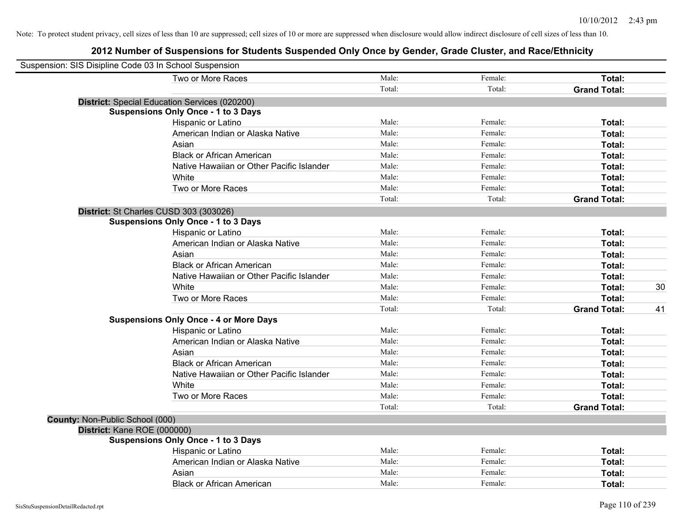| Suspension: SIS Disipline Code 03 In School Suspension |        |         |                     |    |
|--------------------------------------------------------|--------|---------|---------------------|----|
| Two or More Races                                      | Male:  | Female: | Total:              |    |
|                                                        | Total: | Total:  | <b>Grand Total:</b> |    |
| <b>District:</b> Special Education Services (020200)   |        |         |                     |    |
| <b>Suspensions Only Once - 1 to 3 Days</b>             |        |         |                     |    |
| Hispanic or Latino                                     | Male:  | Female: | Total:              |    |
| American Indian or Alaska Native                       | Male:  | Female: | Total:              |    |
| Asian                                                  | Male:  | Female: | Total:              |    |
| <b>Black or African American</b>                       | Male:  | Female: | Total:              |    |
| Native Hawaiian or Other Pacific Islander              | Male:  | Female: | Total:              |    |
| White                                                  | Male:  | Female: | Total:              |    |
| Two or More Races                                      | Male:  | Female: | Total:              |    |
|                                                        | Total: | Total:  | <b>Grand Total:</b> |    |
| District: St Charles CUSD 303 (303026)                 |        |         |                     |    |
| <b>Suspensions Only Once - 1 to 3 Days</b>             |        |         |                     |    |
| Hispanic or Latino                                     | Male:  | Female: | Total:              |    |
| American Indian or Alaska Native                       | Male:  | Female: | Total:              |    |
| Asian                                                  | Male:  | Female: | Total:              |    |
| <b>Black or African American</b>                       | Male:  | Female: | Total:              |    |
| Native Hawaiian or Other Pacific Islander              | Male:  | Female: | Total:              |    |
| White                                                  | Male:  | Female: | Total:              | 30 |
| Two or More Races                                      | Male:  | Female: | Total:              |    |
|                                                        | Total: | Total:  | <b>Grand Total:</b> | 41 |
| <b>Suspensions Only Once - 4 or More Days</b>          |        |         |                     |    |
| Hispanic or Latino                                     | Male:  | Female: | Total:              |    |
| American Indian or Alaska Native                       | Male:  | Female: | <b>Total:</b>       |    |
| Asian                                                  | Male:  | Female: | Total:              |    |
| <b>Black or African American</b>                       | Male:  | Female: | Total:              |    |
| Native Hawaiian or Other Pacific Islander              | Male:  | Female: | Total:              |    |
| White                                                  | Male:  | Female: | Total:              |    |
| Two or More Races                                      | Male:  | Female: | Total:              |    |
|                                                        | Total: | Total:  | <b>Grand Total:</b> |    |
| County: Non-Public School (000)                        |        |         |                     |    |
| District: Kane ROE (000000)                            |        |         |                     |    |
| <b>Suspensions Only Once - 1 to 3 Days</b>             |        |         |                     |    |
| Hispanic or Latino                                     | Male:  | Female: | Total:              |    |
| American Indian or Alaska Native                       | Male:  | Female: | Total:              |    |
| Asian                                                  | Male:  | Female: | Total:              |    |
| <b>Black or African American</b>                       | Male:  | Female: | Total:              |    |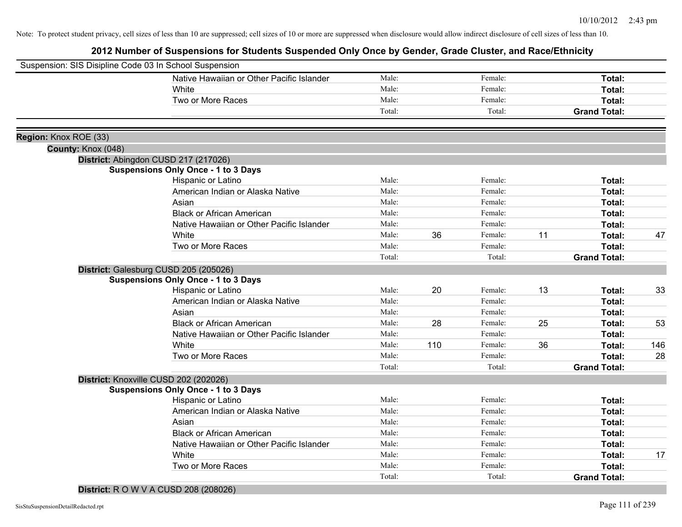# **2012 Number of Suspensions for Students Suspended Only Once by Gender, Grade Cluster, and Race/Ethnicity**

| Suspension: SIS Disipline Code 03 In School Suspension |                                                                                     |                |     |                    |    |                               |     |
|--------------------------------------------------------|-------------------------------------------------------------------------------------|----------------|-----|--------------------|----|-------------------------------|-----|
|                                                        | Native Hawaiian or Other Pacific Islander                                           | Male:          |     | Female:            |    | Total:                        |     |
|                                                        | White                                                                               | Male:          |     | Female:            |    | Total:                        |     |
|                                                        | Two or More Races                                                                   | Male:          |     | Female:            |    | Total:                        |     |
|                                                        |                                                                                     | Total:         |     | Total:             |    | <b>Grand Total:</b>           |     |
|                                                        |                                                                                     |                |     |                    |    |                               |     |
| Region: Knox ROE (33)                                  |                                                                                     |                |     |                    |    |                               |     |
| County: Knox (048)                                     |                                                                                     |                |     |                    |    |                               |     |
|                                                        | District: Abingdon CUSD 217 (217026)                                                |                |     |                    |    |                               |     |
|                                                        | <b>Suspensions Only Once - 1 to 3 Days</b>                                          |                |     |                    |    |                               |     |
|                                                        | Hispanic or Latino                                                                  | Male:<br>Male: |     | Female:            |    | Total:                        |     |
|                                                        | American Indian or Alaska Native                                                    | Male:          |     | Female:            |    | Total:                        |     |
|                                                        | Asian                                                                               | Male:          |     | Female:            |    | Total:                        |     |
|                                                        | <b>Black or African American</b>                                                    | Male:          |     | Female:<br>Female: |    | Total:                        |     |
|                                                        | Native Hawaiian or Other Pacific Islander<br>White                                  | Male:          | 36  | Female:            | 11 | Total:                        |     |
|                                                        |                                                                                     | Male:          |     | Female:            |    | Total:                        | 47  |
|                                                        | Two or More Races                                                                   | Total:         |     | Total:             |    | Total:<br><b>Grand Total:</b> |     |
|                                                        |                                                                                     |                |     |                    |    |                               |     |
|                                                        | District: Galesburg CUSD 205 (205026)<br><b>Suspensions Only Once - 1 to 3 Days</b> |                |     |                    |    |                               |     |
|                                                        | Hispanic or Latino                                                                  | Male:          | 20  | Female:            | 13 | Total:                        | 33  |
|                                                        | American Indian or Alaska Native                                                    | Male:          |     | Female:            |    | Total:                        |     |
|                                                        | Asian                                                                               | Male:          |     | Female:            |    | Total:                        |     |
|                                                        | <b>Black or African American</b>                                                    | Male:          | 28  | Female:            | 25 | Total:                        | 53  |
|                                                        | Native Hawaiian or Other Pacific Islander                                           | Male:          |     | Female:            |    | Total:                        |     |
|                                                        | White                                                                               | Male:          | 110 | Female:            | 36 | Total:                        | 146 |
|                                                        | Two or More Races                                                                   | Male:          |     | Female:            |    | Total:                        | 28  |
|                                                        |                                                                                     | Total:         |     | Total:             |    | <b>Grand Total:</b>           |     |
|                                                        |                                                                                     |                |     |                    |    |                               |     |
|                                                        | District: Knoxville CUSD 202 (202026)<br><b>Suspensions Only Once - 1 to 3 Days</b> |                |     |                    |    |                               |     |
|                                                        | Hispanic or Latino                                                                  | Male:          |     | Female:            |    | Total:                        |     |
|                                                        | American Indian or Alaska Native                                                    | Male:          |     | Female:            |    | Total:                        |     |
|                                                        | Asian                                                                               | Male:          |     | Female:            |    | Total:                        |     |
|                                                        | <b>Black or African American</b>                                                    | Male:          |     | Female:            |    | Total:                        |     |
|                                                        | Native Hawaiian or Other Pacific Islander                                           | Male:          |     | Female:            |    | Total:                        |     |
|                                                        | White                                                                               | Male:          |     | Female:            |    | Total:                        | 17  |
|                                                        | Two or More Races                                                                   | Male:          |     | Female:            |    | Total:                        |     |
|                                                        |                                                                                     | Total:         |     | Total:             |    | <b>Grand Total:</b>           |     |
|                                                        |                                                                                     |                |     |                    |    |                               |     |

**District:** R O W V A CUSD 208 (208026)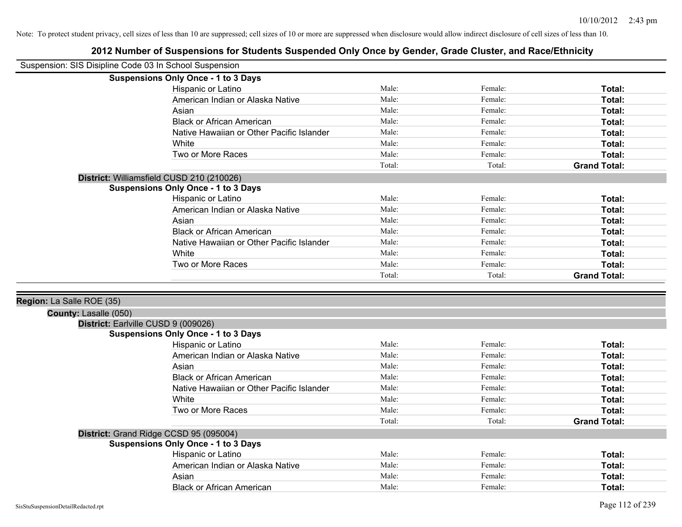| Suspension: SIS Disipline Code 03 In School Suspension |                                            |        |         |                     |
|--------------------------------------------------------|--------------------------------------------|--------|---------|---------------------|
|                                                        | <b>Suspensions Only Once - 1 to 3 Days</b> |        |         |                     |
|                                                        | Hispanic or Latino                         | Male:  | Female: | Total:              |
|                                                        | American Indian or Alaska Native           | Male:  | Female: | Total:              |
|                                                        | Asian                                      | Male:  | Female: | Total:              |
|                                                        | <b>Black or African American</b>           | Male:  | Female: | Total:              |
|                                                        | Native Hawaiian or Other Pacific Islander  | Male:  | Female: | Total:              |
|                                                        | White                                      | Male:  | Female: | Total:              |
|                                                        | Two or More Races                          | Male:  | Female: | Total:              |
|                                                        |                                            | Total: | Total:  | <b>Grand Total:</b> |
|                                                        | District: Williamsfield CUSD 210 (210026)  |        |         |                     |
|                                                        | <b>Suspensions Only Once - 1 to 3 Days</b> |        |         |                     |
|                                                        | Hispanic or Latino                         | Male:  | Female: | Total:              |
|                                                        | American Indian or Alaska Native           | Male:  | Female: | Total:              |
|                                                        | Asian                                      | Male:  | Female: | Total:              |
|                                                        | <b>Black or African American</b>           | Male:  | Female: | Total:              |
|                                                        | Native Hawaiian or Other Pacific Islander  | Male:  | Female: | Total:              |
|                                                        | White                                      | Male:  | Female: | Total:              |
|                                                        | Two or More Races                          | Male:  | Female: | Total:              |
|                                                        |                                            | Total: | Total:  | <b>Grand Total:</b> |
| County: Lasalle (050)                                  | District: Earlville CUSD 9 (009026)        |        |         |                     |
|                                                        | <b>Suspensions Only Once - 1 to 3 Days</b> |        |         |                     |
|                                                        | Hispanic or Latino                         | Male:  | Female: | Total:              |
|                                                        | American Indian or Alaska Native           | Male:  | Female: | Total:              |
|                                                        | Asian                                      | Male:  | Female: | Total:              |
|                                                        | <b>Black or African American</b>           | Male:  | Female: | Total:              |
|                                                        | Native Hawaiian or Other Pacific Islander  | Male:  | Female: | Total:              |
|                                                        | White                                      | Male:  | Female: | Total:              |
|                                                        | Two or More Races                          | Male:  | Female: | Total:              |
|                                                        |                                            | Total: | Total:  | <b>Grand Total:</b> |
|                                                        | District: Grand Ridge CCSD 95 (095004)     |        |         |                     |
|                                                        | <b>Suspensions Only Once - 1 to 3 Days</b> |        |         |                     |
|                                                        | Hispanic or Latino                         | Male:  | Female: | Total:              |
|                                                        | American Indian or Alaska Native           | Male:  | Female: | Total:              |
|                                                        | Asian                                      | Male:  | Female: | Total:              |
|                                                        | <b>Black or African American</b>           | Male:  | Female: | Total:              |
| SisStuSuspensionDetailRedacted.rpt                     |                                            |        |         | Page 112 of 239     |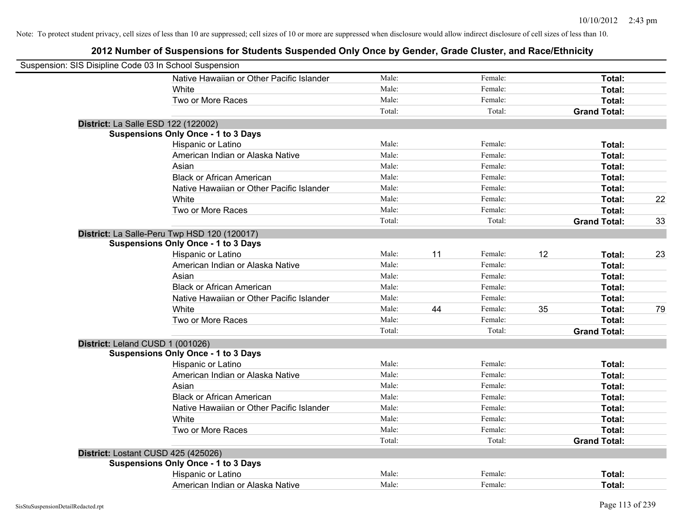| Suspension: SIS Disipline Code 03 In School Suspension |                                              |        |    |         |    |                     |    |
|--------------------------------------------------------|----------------------------------------------|--------|----|---------|----|---------------------|----|
|                                                        | Native Hawaiian or Other Pacific Islander    | Male:  |    | Female: |    | Total:              |    |
|                                                        | White                                        | Male:  |    | Female: |    | Total:              |    |
|                                                        | Two or More Races                            | Male:  |    | Female: |    | Total:              |    |
|                                                        |                                              | Total: |    | Total:  |    | <b>Grand Total:</b> |    |
| District: La Salle ESD 122 (122002)                    |                                              |        |    |         |    |                     |    |
|                                                        | <b>Suspensions Only Once - 1 to 3 Days</b>   |        |    |         |    |                     |    |
|                                                        | Hispanic or Latino                           | Male:  |    | Female: |    | Total:              |    |
|                                                        | American Indian or Alaska Native             | Male:  |    | Female: |    | Total:              |    |
|                                                        | Asian                                        | Male:  |    | Female: |    | Total:              |    |
|                                                        | <b>Black or African American</b>             | Male:  |    | Female: |    | Total:              |    |
|                                                        | Native Hawaiian or Other Pacific Islander    | Male:  |    | Female: |    | Total:              |    |
|                                                        | White                                        | Male:  |    | Female: |    | Total:              | 22 |
|                                                        | Two or More Races                            | Male:  |    | Female: |    | Total:              |    |
|                                                        |                                              | Total: |    | Total:  |    | <b>Grand Total:</b> | 33 |
|                                                        | District: La Salle-Peru Twp HSD 120 (120017) |        |    |         |    |                     |    |
|                                                        | <b>Suspensions Only Once - 1 to 3 Days</b>   |        |    |         |    |                     |    |
|                                                        | Hispanic or Latino                           | Male:  | 11 | Female: | 12 | Total:              | 23 |
|                                                        | American Indian or Alaska Native             | Male:  |    | Female: |    | Total:              |    |
|                                                        | Asian                                        | Male:  |    | Female: |    | Total:              |    |
|                                                        | <b>Black or African American</b>             | Male:  |    | Female: |    | Total:              |    |
|                                                        | Native Hawaiian or Other Pacific Islander    | Male:  |    | Female: |    | Total:              |    |
|                                                        | White                                        | Male:  | 44 | Female: | 35 | Total:              | 79 |
|                                                        | Two or More Races                            | Male:  |    | Female: |    | Total:              |    |
|                                                        |                                              | Total: |    | Total:  |    | <b>Grand Total:</b> |    |
| District: Leland CUSD 1 (001026)                       |                                              |        |    |         |    |                     |    |
|                                                        | <b>Suspensions Only Once - 1 to 3 Days</b>   |        |    |         |    |                     |    |
|                                                        | Hispanic or Latino                           | Male:  |    | Female: |    | Total:              |    |
|                                                        | American Indian or Alaska Native             | Male:  |    | Female: |    | Total:              |    |
|                                                        | Asian                                        | Male:  |    | Female: |    | Total:              |    |
|                                                        | <b>Black or African American</b>             | Male:  |    | Female: |    | Total:              |    |
|                                                        | Native Hawaiian or Other Pacific Islander    | Male:  |    | Female: |    | Total:              |    |
|                                                        | White                                        | Male:  |    | Female: |    | Total:              |    |
|                                                        | Two or More Races                            | Male:  |    | Female: |    | Total:              |    |
|                                                        |                                              | Total: |    | Total:  |    | <b>Grand Total:</b> |    |
| District: Lostant CUSD 425 (425026)                    |                                              |        |    |         |    |                     |    |
|                                                        | <b>Suspensions Only Once - 1 to 3 Days</b>   |        |    |         |    |                     |    |
|                                                        | Hispanic or Latino                           | Male:  |    | Female: |    | Total:              |    |
|                                                        | American Indian or Alaska Native             | Male:  |    | Female: |    | Total:              |    |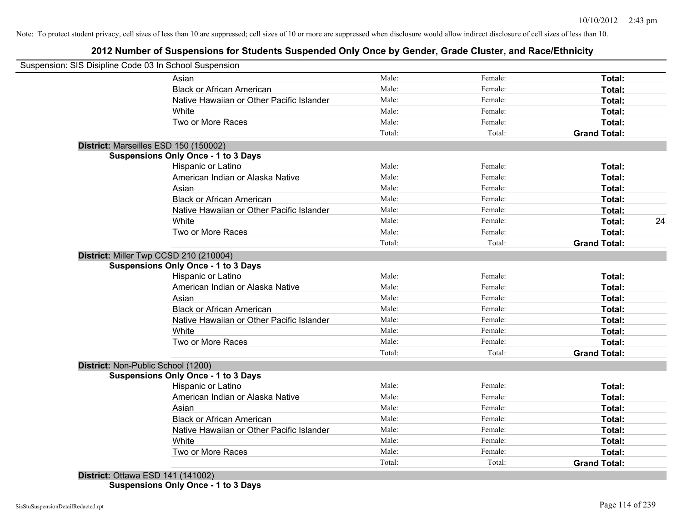# **2012 Number of Suspensions for Students Suspended Only Once by Gender, Grade Cluster, and Race/Ethnicity**

|                                    | Suspension: SIS Disipline Code 03 In School Suspension |        |         |                     |    |
|------------------------------------|--------------------------------------------------------|--------|---------|---------------------|----|
|                                    | Asian                                                  | Male:  | Female: | Total:              |    |
|                                    | <b>Black or African American</b>                       | Male:  | Female: | Total:              |    |
|                                    | Native Hawaiian or Other Pacific Islander              | Male:  | Female: | Total:              |    |
|                                    | White                                                  | Male:  | Female: | Total:              |    |
|                                    | Two or More Races                                      | Male:  | Female: | Total:              |    |
|                                    |                                                        | Total: | Total:  | <b>Grand Total:</b> |    |
|                                    | District: Marseilles ESD 150 (150002)                  |        |         |                     |    |
|                                    | <b>Suspensions Only Once - 1 to 3 Days</b>             |        |         |                     |    |
|                                    | <b>Hispanic or Latino</b>                              | Male:  | Female: | Total:              |    |
|                                    | American Indian or Alaska Native                       | Male:  | Female: | Total:              |    |
|                                    | Asian                                                  | Male:  | Female: | Total:              |    |
|                                    | <b>Black or African American</b>                       | Male:  | Female: | Total:              |    |
|                                    | Native Hawaiian or Other Pacific Islander              | Male:  | Female: | Total:              |    |
|                                    | White                                                  | Male:  | Female: | Total:              | 24 |
|                                    | Two or More Races                                      | Male:  | Female: | Total:              |    |
|                                    |                                                        | Total: | Total:  | <b>Grand Total:</b> |    |
|                                    | District: Miller Twp CCSD 210 (210004)                 |        |         |                     |    |
|                                    | <b>Suspensions Only Once - 1 to 3 Days</b>             |        |         |                     |    |
|                                    | Hispanic or Latino                                     | Male:  | Female: | Total:              |    |
|                                    | American Indian or Alaska Native                       | Male:  | Female: | Total:              |    |
|                                    | Asian                                                  | Male:  | Female: | Total:              |    |
|                                    | <b>Black or African American</b>                       | Male:  | Female: | Total:              |    |
|                                    | Native Hawaiian or Other Pacific Islander              | Male:  | Female: | Total:              |    |
|                                    | White                                                  | Male:  | Female: | Total:              |    |
|                                    | Two or More Races                                      | Male:  | Female: | Total:              |    |
|                                    |                                                        | Total: | Total:  | <b>Grand Total:</b> |    |
| District: Non-Public School (1200) |                                                        |        |         |                     |    |
|                                    | <b>Suspensions Only Once - 1 to 3 Days</b>             |        |         |                     |    |
|                                    | Hispanic or Latino                                     | Male:  | Female: | Total:              |    |
|                                    | American Indian or Alaska Native                       | Male:  | Female: | Total:              |    |
|                                    | Asian                                                  | Male:  | Female: | Total:              |    |
|                                    | <b>Black or African American</b>                       | Male:  | Female: | Total:              |    |
|                                    | Native Hawaiian or Other Pacific Islander              | Male:  | Female: | Total:              |    |
|                                    | White                                                  | Male:  | Female: | Total:              |    |
|                                    | Two or More Races                                      | Male:  | Female: | Total:              |    |
|                                    |                                                        | Total: | Total:  | <b>Grand Total:</b> |    |

**Suspensions Only Once - 1 to 3 Days**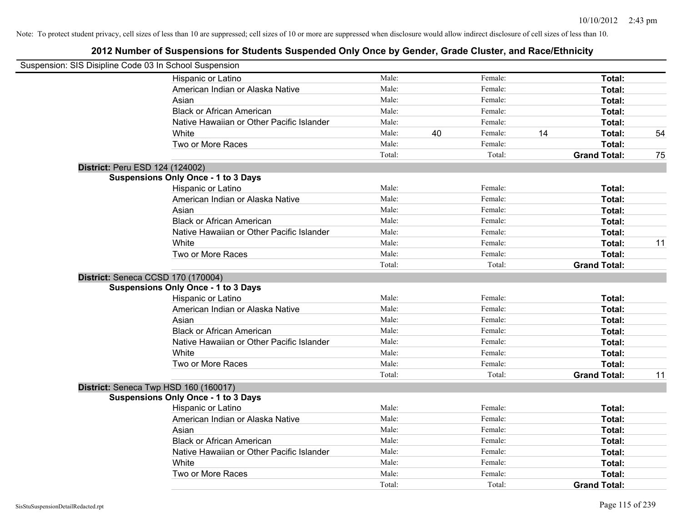|                                 | Suspension: SIS Disipline Code 03 In School Suspension |        |    |         |    |                     |    |
|---------------------------------|--------------------------------------------------------|--------|----|---------|----|---------------------|----|
|                                 | Hispanic or Latino                                     | Male:  |    | Female: |    | Total:              |    |
|                                 | American Indian or Alaska Native                       | Male:  |    | Female: |    | Total:              |    |
|                                 | Asian                                                  | Male:  |    | Female: |    | Total:              |    |
|                                 | <b>Black or African American</b>                       | Male:  |    | Female: |    | Total:              |    |
|                                 | Native Hawaiian or Other Pacific Islander              | Male:  |    | Female: |    | Total:              |    |
|                                 | White                                                  | Male:  | 40 | Female: | 14 | Total:              | 54 |
|                                 | Two or More Races                                      | Male:  |    | Female: |    | Total:              |    |
|                                 |                                                        | Total: |    | Total:  |    | <b>Grand Total:</b> | 75 |
| District: Peru ESD 124 (124002) |                                                        |        |    |         |    |                     |    |
|                                 | <b>Suspensions Only Once - 1 to 3 Days</b>             |        |    |         |    |                     |    |
|                                 | Hispanic or Latino                                     | Male:  |    | Female: |    | Total:              |    |
|                                 | American Indian or Alaska Native                       | Male:  |    | Female: |    | Total:              |    |
|                                 | Asian                                                  | Male:  |    | Female: |    | Total:              |    |
|                                 | <b>Black or African American</b>                       | Male:  |    | Female: |    | Total:              |    |
|                                 | Native Hawaiian or Other Pacific Islander              | Male:  |    | Female: |    | Total:              |    |
|                                 | White                                                  | Male:  |    | Female: |    | Total:              | 11 |
|                                 | Two or More Races                                      | Male:  |    | Female: |    | Total:              |    |
|                                 |                                                        | Total: |    | Total:  |    | <b>Grand Total:</b> |    |
|                                 | District: Seneca CCSD 170 (170004)                     |        |    |         |    |                     |    |
|                                 | <b>Suspensions Only Once - 1 to 3 Days</b>             |        |    |         |    |                     |    |
|                                 | Hispanic or Latino                                     | Male:  |    | Female: |    | Total:              |    |
|                                 | American Indian or Alaska Native                       | Male:  |    | Female: |    | Total:              |    |
|                                 | Asian                                                  | Male:  |    | Female: |    | Total:              |    |
|                                 | <b>Black or African American</b>                       | Male:  |    | Female: |    | Total:              |    |
|                                 | Native Hawaiian or Other Pacific Islander              | Male:  |    | Female: |    | Total:              |    |
|                                 | White                                                  | Male:  |    | Female: |    | <b>Total:</b>       |    |
|                                 | Two or More Races                                      | Male:  |    | Female: |    | Total:              |    |
|                                 |                                                        | Total: |    | Total:  |    | <b>Grand Total:</b> | 11 |
|                                 | District: Seneca Twp HSD 160 (160017)                  |        |    |         |    |                     |    |
|                                 | <b>Suspensions Only Once - 1 to 3 Days</b>             |        |    |         |    |                     |    |
|                                 | Hispanic or Latino                                     | Male:  |    | Female: |    | Total:              |    |
|                                 | American Indian or Alaska Native                       | Male:  |    | Female: |    | Total:              |    |
|                                 | Asian                                                  | Male:  |    | Female: |    | Total:              |    |
|                                 | <b>Black or African American</b>                       | Male:  |    | Female: |    | Total:              |    |
|                                 | Native Hawaiian or Other Pacific Islander              | Male:  |    | Female: |    | Total:              |    |
|                                 | White                                                  | Male:  |    | Female: |    | Total:              |    |
|                                 | Two or More Races                                      | Male:  |    | Female: |    | Total:              |    |
|                                 |                                                        | Total: |    | Total:  |    | <b>Grand Total:</b> |    |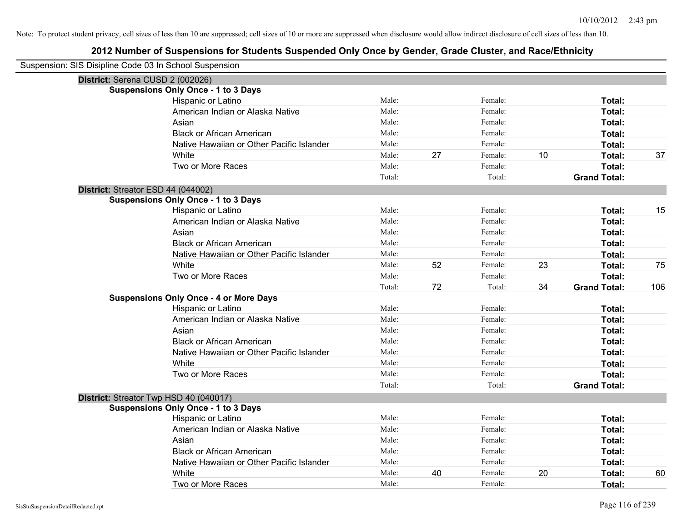| Suspension: SIS Disipline Code 03 In School Suspension |                                               |        |    |         |    |                     |     |
|--------------------------------------------------------|-----------------------------------------------|--------|----|---------|----|---------------------|-----|
| District: Serena CUSD 2 (002026)                       |                                               |        |    |         |    |                     |     |
|                                                        | <b>Suspensions Only Once - 1 to 3 Days</b>    |        |    |         |    |                     |     |
|                                                        | Hispanic or Latino                            | Male:  |    | Female: |    | Total:              |     |
|                                                        | American Indian or Alaska Native              | Male:  |    | Female: |    | Total:              |     |
|                                                        | Asian                                         | Male:  |    | Female: |    | Total:              |     |
|                                                        | <b>Black or African American</b>              | Male:  |    | Female: |    | Total:              |     |
|                                                        | Native Hawaiian or Other Pacific Islander     | Male:  |    | Female: |    | Total:              |     |
|                                                        | White                                         | Male:  | 27 | Female: | 10 | Total:              | 37  |
|                                                        | Two or More Races                             | Male:  |    | Female: |    | Total:              |     |
|                                                        |                                               | Total: |    | Total:  |    | <b>Grand Total:</b> |     |
| District: Streator ESD 44 (044002)                     |                                               |        |    |         |    |                     |     |
|                                                        | <b>Suspensions Only Once - 1 to 3 Days</b>    |        |    |         |    |                     |     |
|                                                        | Hispanic or Latino                            | Male:  |    | Female: |    | Total:              | 15  |
|                                                        | American Indian or Alaska Native              | Male:  |    | Female: |    | Total:              |     |
|                                                        | Asian                                         | Male:  |    | Female: |    | Total:              |     |
|                                                        | <b>Black or African American</b>              | Male:  |    | Female: |    | Total:              |     |
|                                                        | Native Hawaiian or Other Pacific Islander     | Male:  |    | Female: |    | Total:              |     |
|                                                        | White                                         | Male:  | 52 | Female: | 23 | Total:              | 75  |
|                                                        | Two or More Races                             | Male:  |    | Female: |    | Total:              |     |
|                                                        |                                               | Total: | 72 | Total:  | 34 | <b>Grand Total:</b> | 106 |
|                                                        | <b>Suspensions Only Once - 4 or More Days</b> |        |    |         |    |                     |     |
|                                                        | Hispanic or Latino                            | Male:  |    | Female: |    | Total:              |     |
|                                                        | American Indian or Alaska Native              | Male:  |    | Female: |    | Total:              |     |
|                                                        | Asian                                         | Male:  |    | Female: |    | Total:              |     |
|                                                        | <b>Black or African American</b>              | Male:  |    | Female: |    | Total:              |     |
|                                                        | Native Hawaiian or Other Pacific Islander     | Male:  |    | Female: |    | Total:              |     |
|                                                        | White                                         | Male:  |    | Female: |    | Total:              |     |
|                                                        | Two or More Races                             | Male:  |    | Female: |    | Total:              |     |
|                                                        |                                               | Total: |    | Total:  |    | <b>Grand Total:</b> |     |
| District: Streator Twp HSD 40 (040017)                 |                                               |        |    |         |    |                     |     |
|                                                        | <b>Suspensions Only Once - 1 to 3 Days</b>    |        |    |         |    |                     |     |
|                                                        | Hispanic or Latino                            | Male:  |    | Female: |    | Total:              |     |
|                                                        | American Indian or Alaska Native              | Male:  |    | Female: |    | Total:              |     |
|                                                        | Asian                                         | Male:  |    | Female: |    | Total:              |     |
|                                                        | <b>Black or African American</b>              | Male:  |    | Female: |    | Total:              |     |
|                                                        | Native Hawaiian or Other Pacific Islander     | Male:  |    | Female: |    | Total:              |     |
|                                                        | White                                         | Male:  | 40 | Female: | 20 | <b>Total:</b>       | 60  |
|                                                        | Two or More Races                             | Male:  |    | Female: |    | Total:              |     |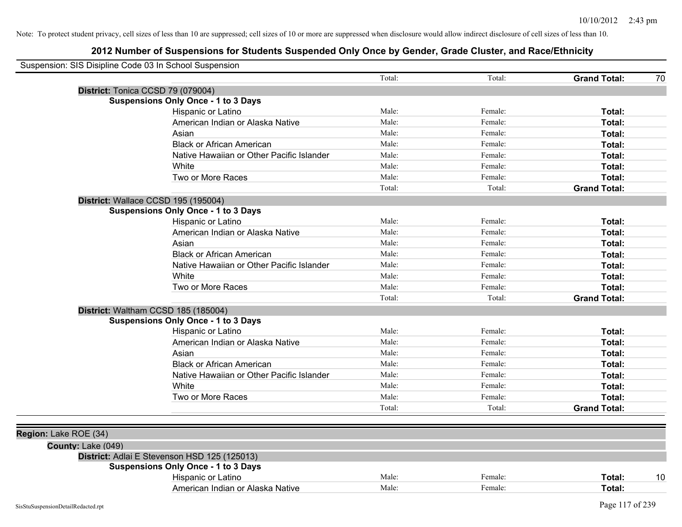|                       | Suspension: SIS Disipline Code 03 In School Suspension |        |         |                           |
|-----------------------|--------------------------------------------------------|--------|---------|---------------------------|
|                       |                                                        | Total: | Total:  | <b>Grand Total:</b><br>70 |
|                       | District: Tonica CCSD 79 (079004)                      |        |         |                           |
|                       | <b>Suspensions Only Once - 1 to 3 Days</b>             |        |         |                           |
|                       | Hispanic or Latino                                     | Male:  | Female: | Total:                    |
|                       | American Indian or Alaska Native                       | Male:  | Female: | Total:                    |
|                       | Asian                                                  | Male:  | Female: | Total:                    |
|                       | <b>Black or African American</b>                       | Male:  | Female: | Total:                    |
|                       | Native Hawaiian or Other Pacific Islander              | Male:  | Female: | Total:                    |
|                       | White                                                  | Male:  | Female: | Total:                    |
|                       | Two or More Races                                      | Male:  | Female: | Total:                    |
|                       |                                                        | Total: | Total:  | <b>Grand Total:</b>       |
|                       | District: Wallace CCSD 195 (195004)                    |        |         |                           |
|                       | <b>Suspensions Only Once - 1 to 3 Days</b>             |        |         |                           |
|                       | Hispanic or Latino                                     | Male:  | Female: | <b>Total:</b>             |
|                       | American Indian or Alaska Native                       | Male:  | Female: | <b>Total:</b>             |
|                       | Asian                                                  | Male:  | Female: | Total:                    |
|                       | <b>Black or African American</b>                       | Male:  | Female: | <b>Total:</b>             |
|                       | Native Hawaiian or Other Pacific Islander              | Male:  | Female: | Total:                    |
|                       | White                                                  | Male:  | Female: | Total:                    |
|                       | Two or More Races                                      | Male:  | Female: | Total:                    |
|                       |                                                        | Total: | Total:  | <b>Grand Total:</b>       |
|                       | District: Waltham CCSD 185 (185004)                    |        |         |                           |
|                       | <b>Suspensions Only Once - 1 to 3 Days</b>             |        |         |                           |
|                       | Hispanic or Latino                                     | Male:  | Female: | Total:                    |
|                       | American Indian or Alaska Native                       | Male:  | Female: | Total:                    |
|                       | Asian                                                  | Male:  | Female: | Total:                    |
|                       | <b>Black or African American</b>                       | Male:  | Female: | Total:                    |
|                       | Native Hawaiian or Other Pacific Islander              | Male:  | Female: | <b>Total:</b>             |
|                       | White                                                  | Male:  | Female: | Total:                    |
|                       | Two or More Races                                      | Male:  | Female: | Total:                    |
|                       |                                                        | Total: | Total:  | <b>Grand Total:</b>       |
|                       |                                                        |        |         |                           |
| Region: Lake ROE (34) |                                                        |        |         |                           |
| County: Lake (049)    |                                                        |        |         |                           |
|                       | District: Adlai E Stevenson HSD 125 (125013)           |        |         |                           |
|                       | <b>Suspensions Only Once - 1 to 3 Days</b>             |        |         |                           |
|                       | Hispanic or Latino                                     | Male:  | Female: | 10<br>Total:              |
|                       | American Indian or Alaska Native                       | Male:  | Female: | Total:                    |
|                       |                                                        |        |         |                           |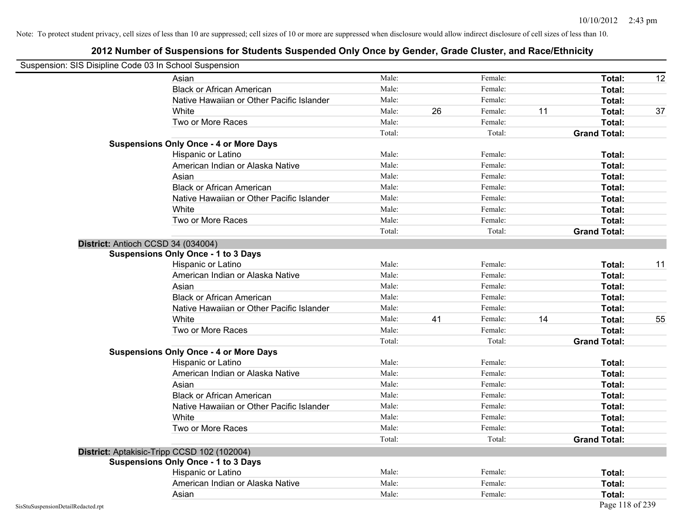|                                    | Suspension: SIS Disipline Code 03 In School Suspension |        |    |         |    |                     |    |
|------------------------------------|--------------------------------------------------------|--------|----|---------|----|---------------------|----|
|                                    | Asian                                                  | Male:  |    | Female: |    | Total:              | 12 |
|                                    | <b>Black or African American</b>                       | Male:  |    | Female: |    | Total:              |    |
|                                    | Native Hawaiian or Other Pacific Islander              | Male:  |    | Female: |    | Total:              |    |
|                                    | White                                                  | Male:  | 26 | Female: | 11 | Total:              | 37 |
|                                    | Two or More Races                                      | Male:  |    | Female: |    | <b>Total:</b>       |    |
|                                    |                                                        | Total: |    | Total:  |    | <b>Grand Total:</b> |    |
|                                    | <b>Suspensions Only Once - 4 or More Days</b>          |        |    |         |    |                     |    |
|                                    | Hispanic or Latino                                     | Male:  |    | Female: |    | Total:              |    |
|                                    | American Indian or Alaska Native                       | Male:  |    | Female: |    | Total:              |    |
|                                    | Asian                                                  | Male:  |    | Female: |    | Total:              |    |
|                                    | <b>Black or African American</b>                       | Male:  |    | Female: |    | <b>Total:</b>       |    |
|                                    | Native Hawaiian or Other Pacific Islander              | Male:  |    | Female: |    | Total:              |    |
|                                    | White                                                  | Male:  |    | Female: |    | Total:              |    |
|                                    | Two or More Races                                      | Male:  |    | Female: |    | Total:              |    |
|                                    |                                                        | Total: |    | Total:  |    | <b>Grand Total:</b> |    |
|                                    | District: Antioch CCSD 34 (034004)                     |        |    |         |    |                     |    |
|                                    | <b>Suspensions Only Once - 1 to 3 Days</b>             |        |    |         |    |                     |    |
|                                    | Hispanic or Latino                                     | Male:  |    | Female: |    | Total:              | 11 |
|                                    | American Indian or Alaska Native                       | Male:  |    | Female: |    | Total:              |    |
|                                    | Asian                                                  | Male:  |    | Female: |    | Total:              |    |
|                                    | <b>Black or African American</b>                       | Male:  |    | Female: |    | Total:              |    |
|                                    | Native Hawaiian or Other Pacific Islander              | Male:  |    | Female: |    | Total:              |    |
|                                    | White                                                  | Male:  | 41 | Female: | 14 | Total:              | 55 |
|                                    | Two or More Races                                      | Male:  |    | Female: |    | Total:              |    |
|                                    |                                                        | Total: |    | Total:  |    | <b>Grand Total:</b> |    |
|                                    | <b>Suspensions Only Once - 4 or More Days</b>          |        |    |         |    |                     |    |
|                                    | Hispanic or Latino                                     | Male:  |    | Female: |    | <b>Total:</b>       |    |
|                                    | American Indian or Alaska Native                       | Male:  |    | Female: |    | <b>Total:</b>       |    |
|                                    | Asian                                                  | Male:  |    | Female: |    | Total:              |    |
|                                    | <b>Black or African American</b>                       | Male:  |    | Female: |    | Total:              |    |
|                                    | Native Hawaiian or Other Pacific Islander              | Male:  |    | Female: |    | Total:              |    |
|                                    | White                                                  | Male:  |    | Female: |    | Total:              |    |
|                                    | Two or More Races                                      | Male:  |    | Female: |    | Total:              |    |
|                                    |                                                        | Total: |    | Total:  |    | <b>Grand Total:</b> |    |
|                                    | District: Aptakisic-Tripp CCSD 102 (102004)            |        |    |         |    |                     |    |
|                                    | <b>Suspensions Only Once - 1 to 3 Days</b>             |        |    |         |    |                     |    |
|                                    | Hispanic or Latino                                     | Male:  |    | Female: |    | Total:              |    |
|                                    | American Indian or Alaska Native                       | Male:  |    | Female: |    | Total:              |    |
|                                    | Asian                                                  | Male:  |    | Female: |    | <b>Total:</b>       |    |
| SisStuSuspensionDetailRedacted.rpt |                                                        |        |    |         |    | Page 118 of 239     |    |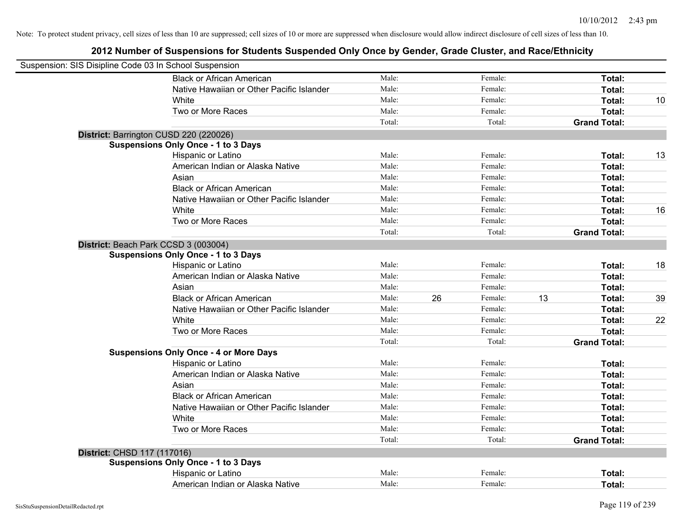| Suspension: SIS Disipline Code 03 In School Suspension |                                               |        |    |         |    |                     |    |
|--------------------------------------------------------|-----------------------------------------------|--------|----|---------|----|---------------------|----|
|                                                        | <b>Black or African American</b>              | Male:  |    | Female: |    | Total:              |    |
|                                                        | Native Hawaiian or Other Pacific Islander     | Male:  |    | Female: |    | Total:              |    |
|                                                        | White                                         | Male:  |    | Female: |    | Total:              | 10 |
|                                                        | Two or More Races                             | Male:  |    | Female: |    | Total:              |    |
|                                                        |                                               | Total: |    | Total:  |    | <b>Grand Total:</b> |    |
|                                                        | District: Barrington CUSD 220 (220026)        |        |    |         |    |                     |    |
|                                                        | <b>Suspensions Only Once - 1 to 3 Days</b>    |        |    |         |    |                     |    |
|                                                        | Hispanic or Latino                            | Male:  |    | Female: |    | Total:              | 13 |
|                                                        | American Indian or Alaska Native              | Male:  |    | Female: |    | Total:              |    |
|                                                        | Asian                                         | Male:  |    | Female: |    | Total:              |    |
|                                                        | <b>Black or African American</b>              | Male:  |    | Female: |    | Total:              |    |
|                                                        | Native Hawaiian or Other Pacific Islander     | Male:  |    | Female: |    | Total:              |    |
|                                                        | White                                         | Male:  |    | Female: |    | Total:              | 16 |
|                                                        | Two or More Races                             | Male:  |    | Female: |    | Total:              |    |
|                                                        |                                               | Total: |    | Total:  |    | <b>Grand Total:</b> |    |
|                                                        | District: Beach Park CCSD 3 (003004)          |        |    |         |    |                     |    |
|                                                        | <b>Suspensions Only Once - 1 to 3 Days</b>    |        |    |         |    |                     |    |
|                                                        | Hispanic or Latino                            | Male:  |    | Female: |    | Total:              | 18 |
|                                                        | American Indian or Alaska Native              | Male:  |    | Female: |    | Total:              |    |
|                                                        | Asian                                         | Male:  |    | Female: |    | Total:              |    |
|                                                        | <b>Black or African American</b>              | Male:  | 26 | Female: | 13 | Total:              | 39 |
|                                                        | Native Hawaiian or Other Pacific Islander     | Male:  |    | Female: |    | Total:              |    |
|                                                        | White                                         | Male:  |    | Female: |    | Total:              | 22 |
|                                                        | Two or More Races                             | Male:  |    | Female: |    | Total:              |    |
|                                                        |                                               | Total: |    | Total:  |    | <b>Grand Total:</b> |    |
|                                                        | <b>Suspensions Only Once - 4 or More Days</b> |        |    |         |    |                     |    |
|                                                        | Hispanic or Latino                            | Male:  |    | Female: |    | Total:              |    |
|                                                        | American Indian or Alaska Native              | Male:  |    | Female: |    | Total:              |    |
|                                                        | Asian                                         | Male:  |    | Female: |    | Total:              |    |
|                                                        | <b>Black or African American</b>              | Male:  |    | Female: |    | Total:              |    |
|                                                        | Native Hawaiian or Other Pacific Islander     | Male:  |    | Female: |    | Total:              |    |
|                                                        | White                                         | Male:  |    | Female: |    | Total:              |    |
|                                                        | Two or More Races                             | Male:  |    | Female: |    | Total:              |    |
|                                                        |                                               | Total: |    | Total:  |    | <b>Grand Total:</b> |    |
| District: CHSD 117 (117016)                            |                                               |        |    |         |    |                     |    |
|                                                        | <b>Suspensions Only Once - 1 to 3 Days</b>    |        |    |         |    |                     |    |
|                                                        | Hispanic or Latino                            | Male:  |    | Female: |    | Total:              |    |
|                                                        | American Indian or Alaska Native              | Male:  |    | Female: |    | Total:              |    |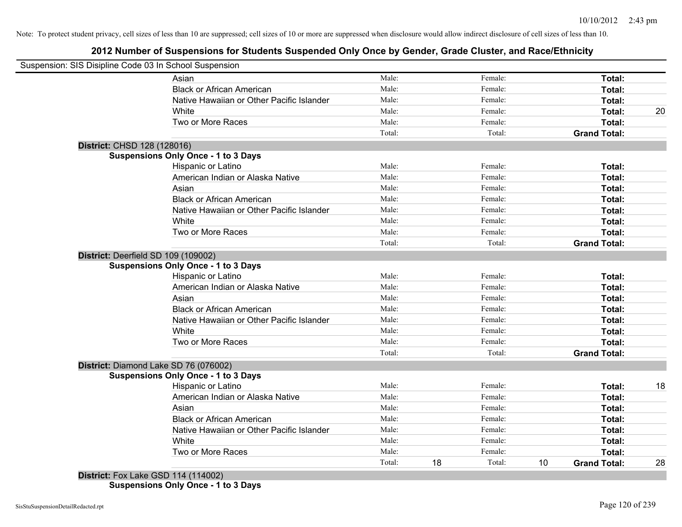# **2012 Number of Suspensions for Students Suspended Only Once by Gender, Grade Cluster, and Race/Ethnicity**

|                                     | Suspension: SIS Disipline Code 03 In School Suspension |        |    |         |    |                     |    |
|-------------------------------------|--------------------------------------------------------|--------|----|---------|----|---------------------|----|
|                                     | Asian                                                  | Male:  |    | Female: |    | Total:              |    |
|                                     | <b>Black or African American</b>                       | Male:  |    | Female: |    | Total:              |    |
|                                     | Native Hawaiian or Other Pacific Islander              | Male:  |    | Female: |    | Total:              |    |
|                                     | White                                                  | Male:  |    | Female: |    | Total:              | 20 |
|                                     | Two or More Races                                      | Male:  |    | Female: |    | Total:              |    |
|                                     |                                                        | Total: |    | Total:  |    | <b>Grand Total:</b> |    |
| District: CHSD 128 (128016)         |                                                        |        |    |         |    |                     |    |
|                                     | <b>Suspensions Only Once - 1 to 3 Days</b>             |        |    |         |    |                     |    |
|                                     | Hispanic or Latino                                     | Male:  |    | Female: |    | Total:              |    |
|                                     | American Indian or Alaska Native                       | Male:  |    | Female: |    | Total:              |    |
|                                     | Asian                                                  | Male:  |    | Female: |    | Total:              |    |
|                                     | <b>Black or African American</b>                       | Male:  |    | Female: |    | Total:              |    |
|                                     | Native Hawaiian or Other Pacific Islander              | Male:  |    | Female: |    | Total:              |    |
|                                     | White                                                  | Male:  |    | Female: |    | Total:              |    |
|                                     | Two or More Races                                      | Male:  |    | Female: |    | Total:              |    |
|                                     |                                                        | Total: |    | Total:  |    | <b>Grand Total:</b> |    |
| District: Deerfield SD 109 (109002) |                                                        |        |    |         |    |                     |    |
|                                     | <b>Suspensions Only Once - 1 to 3 Days</b>             |        |    |         |    |                     |    |
|                                     | Hispanic or Latino                                     | Male:  |    | Female: |    | Total:              |    |
|                                     | American Indian or Alaska Native                       | Male:  |    | Female: |    | Total:              |    |
|                                     | Asian                                                  | Male:  |    | Female: |    | Total:              |    |
|                                     | <b>Black or African American</b>                       | Male:  |    | Female: |    | Total:              |    |
|                                     | Native Hawaiian or Other Pacific Islander              | Male:  |    | Female: |    | Total:              |    |
|                                     | White                                                  | Male:  |    | Female: |    | Total:              |    |
|                                     | Two or More Races                                      | Male:  |    | Female: |    | Total:              |    |
|                                     |                                                        | Total: |    | Total:  |    | <b>Grand Total:</b> |    |
|                                     | District: Diamond Lake SD 76 (076002)                  |        |    |         |    |                     |    |
|                                     | <b>Suspensions Only Once - 1 to 3 Days</b>             |        |    |         |    |                     |    |
|                                     | Hispanic or Latino                                     | Male:  |    | Female: |    | Total:              | 18 |
|                                     | American Indian or Alaska Native                       | Male:  |    | Female: |    | Total:              |    |
|                                     | Asian                                                  | Male:  |    | Female: |    | Total:              |    |
|                                     | <b>Black or African American</b>                       | Male:  |    | Female: |    | Total:              |    |
|                                     | Native Hawaiian or Other Pacific Islander              | Male:  |    | Female: |    | Total:              |    |
|                                     | White                                                  | Male:  |    | Female: |    | Total:              |    |
|                                     | Two or More Races                                      | Male:  |    | Female: |    | <b>Total:</b>       |    |
|                                     |                                                        | Total: | 18 | Total:  | 10 | <b>Grand Total:</b> | 28 |

**Suspensions Only Once - 1 to 3 Days**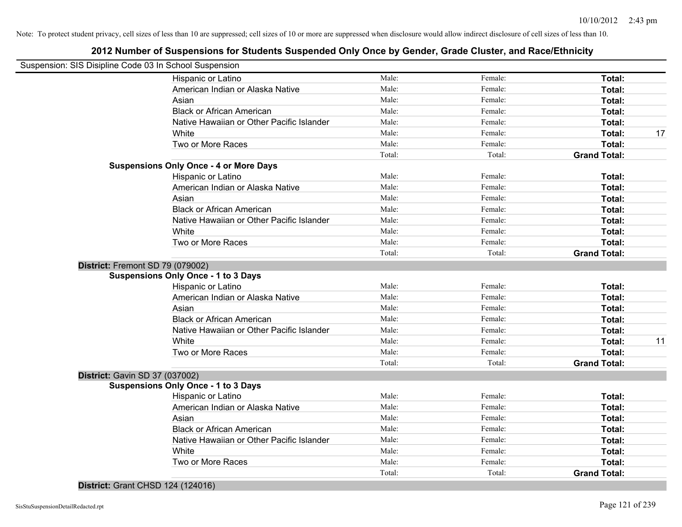| Suspension: SIS Disipline Code 03 In School Suspension |        |         |                     |    |
|--------------------------------------------------------|--------|---------|---------------------|----|
| Hispanic or Latino                                     | Male:  | Female: | Total:              |    |
| American Indian or Alaska Native                       | Male:  | Female: | Total:              |    |
| Asian                                                  | Male:  | Female: | Total:              |    |
| <b>Black or African American</b>                       | Male:  | Female: | Total:              |    |
| Native Hawaiian or Other Pacific Islander              | Male:  | Female: | Total:              |    |
| White                                                  | Male:  | Female: | Total:              | 17 |
| Two or More Races                                      | Male:  | Female: | Total:              |    |
|                                                        | Total: | Total:  | <b>Grand Total:</b> |    |
| <b>Suspensions Only Once - 4 or More Days</b>          |        |         |                     |    |
| Hispanic or Latino                                     | Male:  | Female: | Total:              |    |
| American Indian or Alaska Native                       | Male:  | Female: | Total:              |    |
| Asian                                                  | Male:  | Female: | Total:              |    |
| <b>Black or African American</b>                       | Male:  | Female: | Total:              |    |
| Native Hawaiian or Other Pacific Islander              | Male:  | Female: | Total:              |    |
| White                                                  | Male:  | Female: | Total:              |    |
| Two or More Races                                      | Male:  | Female: | Total:              |    |
|                                                        | Total: | Total:  | <b>Grand Total:</b> |    |
| District: Fremont SD 79 (079002)                       |        |         |                     |    |
| <b>Suspensions Only Once - 1 to 3 Days</b>             |        |         |                     |    |
| Hispanic or Latino                                     | Male:  | Female: | Total:              |    |
| American Indian or Alaska Native                       | Male:  | Female: | Total:              |    |
| Asian                                                  | Male:  | Female: | Total:              |    |
| <b>Black or African American</b>                       | Male:  | Female: | Total:              |    |
| Native Hawaiian or Other Pacific Islander              | Male:  | Female: | Total:              |    |
| White                                                  | Male:  | Female: | Total:              | 11 |
| Two or More Races                                      | Male:  | Female: | Total:              |    |
|                                                        | Total: | Total:  | <b>Grand Total:</b> |    |
| District: Gavin SD 37 (037002)                         |        |         |                     |    |
| <b>Suspensions Only Once - 1 to 3 Days</b>             |        |         |                     |    |
| Hispanic or Latino                                     | Male:  | Female: | Total:              |    |
| American Indian or Alaska Native                       | Male:  | Female: | Total:              |    |
| Asian                                                  | Male:  | Female: | Total:              |    |
| <b>Black or African American</b>                       | Male:  | Female: | Total:              |    |
| Native Hawaiian or Other Pacific Islander              | Male:  | Female: | Total:              |    |
| White                                                  | Male:  | Female: | Total:              |    |
| Two or More Races                                      | Male:  | Female: | Total:              |    |
|                                                        | Total: | Total:  | <b>Grand Total:</b> |    |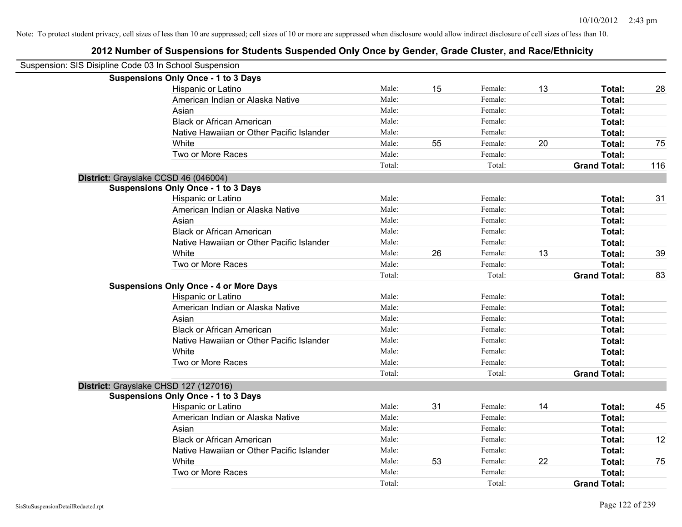| Suspension: SIS Disipline Code 03 In School Suspension |                                           |        |    |         |    |                     |     |
|--------------------------------------------------------|-------------------------------------------|--------|----|---------|----|---------------------|-----|
| <b>Suspensions Only Once - 1 to 3 Days</b>             |                                           |        |    |         |    |                     |     |
|                                                        | Hispanic or Latino                        | Male:  | 15 | Female: | 13 | Total:              | 28  |
|                                                        | American Indian or Alaska Native          | Male:  |    | Female: |    | Total:              |     |
| Asian                                                  |                                           | Male:  |    | Female: |    | Total:              |     |
|                                                        | <b>Black or African American</b>          | Male:  |    | Female: |    | Total:              |     |
|                                                        | Native Hawaiian or Other Pacific Islander | Male:  |    | Female: |    | Total:              |     |
| White                                                  |                                           | Male:  | 55 | Female: | 20 | Total:              | 75  |
|                                                        | Two or More Races                         | Male:  |    | Female: |    | Total:              |     |
|                                                        |                                           | Total: |    | Total:  |    | <b>Grand Total:</b> | 116 |
| District: Grayslake CCSD 46 (046004)                   |                                           |        |    |         |    |                     |     |
| <b>Suspensions Only Once - 1 to 3 Days</b>             |                                           |        |    |         |    |                     |     |
|                                                        | Hispanic or Latino                        | Male:  |    | Female: |    | Total:              | 31  |
|                                                        | American Indian or Alaska Native          | Male:  |    | Female: |    | Total:              |     |
| Asian                                                  |                                           | Male:  |    | Female: |    | Total:              |     |
|                                                        | <b>Black or African American</b>          | Male:  |    | Female: |    | Total:              |     |
|                                                        | Native Hawaiian or Other Pacific Islander | Male:  |    | Female: |    | Total:              |     |
| White                                                  |                                           | Male:  | 26 | Female: | 13 | Total:              | 39  |
|                                                        | Two or More Races                         | Male:  |    | Female: |    | Total:              |     |
|                                                        |                                           | Total: |    | Total:  |    | <b>Grand Total:</b> | 83  |
| <b>Suspensions Only Once - 4 or More Days</b>          |                                           |        |    |         |    |                     |     |
|                                                        | Hispanic or Latino                        | Male:  |    | Female: |    | Total:              |     |
|                                                        | American Indian or Alaska Native          | Male:  |    | Female: |    | Total:              |     |
| Asian                                                  |                                           | Male:  |    | Female: |    | Total:              |     |
|                                                        | <b>Black or African American</b>          | Male:  |    | Female: |    | Total:              |     |
|                                                        | Native Hawaiian or Other Pacific Islander | Male:  |    | Female: |    | Total:              |     |
| White                                                  |                                           | Male:  |    | Female: |    | Total:              |     |
|                                                        | Two or More Races                         | Male:  |    | Female: |    | Total:              |     |
|                                                        |                                           | Total: |    | Total:  |    | <b>Grand Total:</b> |     |
| District: Grayslake CHSD 127 (127016)                  |                                           |        |    |         |    |                     |     |
| <b>Suspensions Only Once - 1 to 3 Days</b>             |                                           |        |    |         |    |                     |     |
|                                                        | <b>Hispanic or Latino</b>                 | Male:  | 31 | Female: | 14 | Total:              | 45  |
|                                                        | American Indian or Alaska Native          | Male:  |    | Female: |    | Total:              |     |
| Asian                                                  |                                           | Male:  |    | Female: |    | Total:              |     |
|                                                        | <b>Black or African American</b>          | Male:  |    | Female: |    | Total:              | 12  |
|                                                        | Native Hawaiian or Other Pacific Islander | Male:  |    | Female: |    | Total:              |     |
| White                                                  |                                           | Male:  | 53 | Female: | 22 | Total:              | 75  |
|                                                        | Two or More Races                         | Male:  |    | Female: |    | Total:              |     |
|                                                        |                                           | Total: |    | Total:  |    | <b>Grand Total:</b> |     |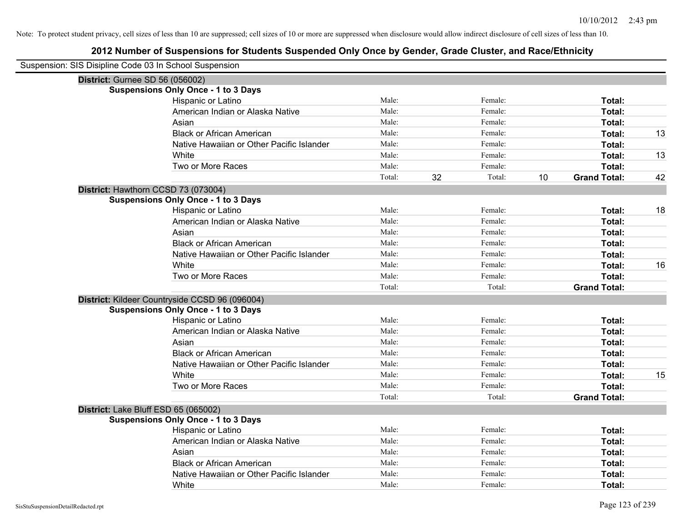| Suspension: SIS Disipline Code 03 In School Suspension |                                                |        |    |         |    |                     |    |
|--------------------------------------------------------|------------------------------------------------|--------|----|---------|----|---------------------|----|
| <b>District: Gurnee SD 56 (056002)</b>                 |                                                |        |    |         |    |                     |    |
|                                                        | <b>Suspensions Only Once - 1 to 3 Days</b>     |        |    |         |    |                     |    |
|                                                        | Hispanic or Latino                             | Male:  |    | Female: |    | Total:              |    |
|                                                        | American Indian or Alaska Native               | Male:  |    | Female: |    | Total:              |    |
|                                                        | Asian                                          | Male:  |    | Female: |    | Total:              |    |
|                                                        | <b>Black or African American</b>               | Male:  |    | Female: |    | Total:              | 13 |
|                                                        | Native Hawaiian or Other Pacific Islander      | Male:  |    | Female: |    | Total:              |    |
|                                                        | White                                          | Male:  |    | Female: |    | Total:              | 13 |
|                                                        | Two or More Races                              | Male:  |    | Female: |    | Total:              |    |
|                                                        |                                                | Total: | 32 | Total:  | 10 | <b>Grand Total:</b> | 42 |
|                                                        | District: Hawthorn CCSD 73 (073004)            |        |    |         |    |                     |    |
|                                                        | <b>Suspensions Only Once - 1 to 3 Days</b>     |        |    |         |    |                     |    |
|                                                        | Hispanic or Latino                             | Male:  |    | Female: |    | Total:              | 18 |
|                                                        | American Indian or Alaska Native               | Male:  |    | Female: |    | Total:              |    |
|                                                        | Asian                                          | Male:  |    | Female: |    | Total:              |    |
|                                                        | <b>Black or African American</b>               | Male:  |    | Female: |    | Total:              |    |
|                                                        | Native Hawaiian or Other Pacific Islander      | Male:  |    | Female: |    | Total:              |    |
|                                                        | White                                          | Male:  |    | Female: |    | Total:              | 16 |
|                                                        | Two or More Races                              | Male:  |    | Female: |    | Total:              |    |
|                                                        |                                                | Total: |    | Total:  |    | <b>Grand Total:</b> |    |
|                                                        | District: Kildeer Countryside CCSD 96 (096004) |        |    |         |    |                     |    |
|                                                        | <b>Suspensions Only Once - 1 to 3 Days</b>     |        |    |         |    |                     |    |
|                                                        | Hispanic or Latino                             | Male:  |    | Female: |    | Total:              |    |
|                                                        | American Indian or Alaska Native               | Male:  |    | Female: |    | Total:              |    |
|                                                        | Asian                                          | Male:  |    | Female: |    | Total:              |    |
|                                                        | <b>Black or African American</b>               | Male:  |    | Female: |    | Total:              |    |
|                                                        | Native Hawaiian or Other Pacific Islander      | Male:  |    | Female: |    | Total:              |    |
|                                                        | White                                          | Male:  |    | Female: |    | Total:              | 15 |
|                                                        | Two or More Races                              | Male:  |    | Female: |    | Total:              |    |
|                                                        |                                                | Total: |    | Total:  |    | <b>Grand Total:</b> |    |
|                                                        | District: Lake Bluff ESD 65 (065002)           |        |    |         |    |                     |    |
|                                                        | <b>Suspensions Only Once - 1 to 3 Days</b>     |        |    |         |    |                     |    |
|                                                        | Hispanic or Latino                             | Male:  |    | Female: |    | Total:              |    |
|                                                        | American Indian or Alaska Native               | Male:  |    | Female: |    | Total:              |    |
|                                                        | Asian                                          | Male:  |    | Female: |    | Total:              |    |
|                                                        | <b>Black or African American</b>               | Male:  |    | Female: |    | Total:              |    |
|                                                        | Native Hawaiian or Other Pacific Islander      | Male:  |    | Female: |    | Total:              |    |
|                                                        | White                                          | Male:  |    | Female: |    | Total:              |    |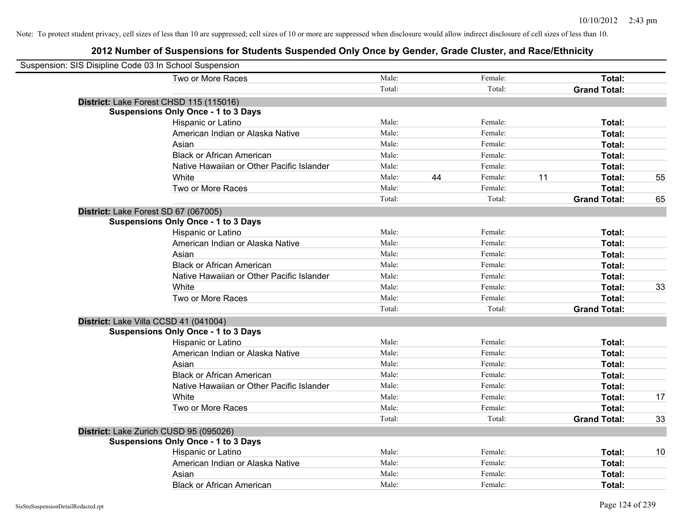| Suspension: SIS Disipline Code 03 In School Suspension |        |    |         |    |                     |    |
|--------------------------------------------------------|--------|----|---------|----|---------------------|----|
| Two or More Races                                      | Male:  |    | Female: |    | Total:              |    |
|                                                        | Total: |    | Total:  |    | <b>Grand Total:</b> |    |
| District: Lake Forest CHSD 115 (115016)                |        |    |         |    |                     |    |
| <b>Suspensions Only Once - 1 to 3 Days</b>             |        |    |         |    |                     |    |
| Hispanic or Latino                                     | Male:  |    | Female: |    | Total:              |    |
| American Indian or Alaska Native                       | Male:  |    | Female: |    | Total:              |    |
| Asian                                                  | Male:  |    | Female: |    | Total:              |    |
| <b>Black or African American</b>                       | Male:  |    | Female: |    | Total:              |    |
| Native Hawaiian or Other Pacific Islander              | Male:  |    | Female: |    | Total:              |    |
| White                                                  | Male:  | 44 | Female: | 11 | Total:              | 55 |
| Two or More Races                                      | Male:  |    | Female: |    | <b>Total:</b>       |    |
|                                                        | Total: |    | Total:  |    | <b>Grand Total:</b> | 65 |
| District: Lake Forest SD 67 (067005)                   |        |    |         |    |                     |    |
| <b>Suspensions Only Once - 1 to 3 Days</b>             |        |    |         |    |                     |    |
| Hispanic or Latino                                     | Male:  |    | Female: |    | Total:              |    |
| American Indian or Alaska Native                       | Male:  |    | Female: |    | Total:              |    |
| Asian                                                  | Male:  |    | Female: |    | Total:              |    |
| <b>Black or African American</b>                       | Male:  |    | Female: |    | Total:              |    |
| Native Hawaiian or Other Pacific Islander              | Male:  |    | Female: |    | Total:              |    |
| White                                                  | Male:  |    | Female: |    | Total:              | 33 |
| Two or More Races                                      | Male:  |    | Female: |    | Total:              |    |
|                                                        | Total: |    | Total:  |    | <b>Grand Total:</b> |    |
| District: Lake Villa CCSD 41 (041004)                  |        |    |         |    |                     |    |
| <b>Suspensions Only Once - 1 to 3 Days</b>             |        |    |         |    |                     |    |
| Hispanic or Latino                                     | Male:  |    | Female: |    | Total:              |    |
| American Indian or Alaska Native                       | Male:  |    | Female: |    | Total:              |    |
| Asian                                                  | Male:  |    | Female: |    | Total:              |    |
| <b>Black or African American</b>                       | Male:  |    | Female: |    | Total:              |    |
| Native Hawaiian or Other Pacific Islander              | Male:  |    | Female: |    | Total:              |    |
| White                                                  | Male:  |    | Female: |    | Total:              | 17 |
| Two or More Races                                      | Male:  |    | Female: |    | Total:              |    |
|                                                        | Total: |    | Total:  |    | <b>Grand Total:</b> | 33 |
| District: Lake Zurich CUSD 95 (095026)                 |        |    |         |    |                     |    |
| <b>Suspensions Only Once - 1 to 3 Days</b>             |        |    |         |    |                     |    |
| Hispanic or Latino                                     | Male:  |    | Female: |    | Total:              | 10 |
| American Indian or Alaska Native                       | Male:  |    | Female: |    | Total:              |    |
| Asian                                                  | Male:  |    | Female: |    | <b>Total:</b>       |    |
| <b>Black or African American</b>                       | Male:  |    | Female: |    | Total:              |    |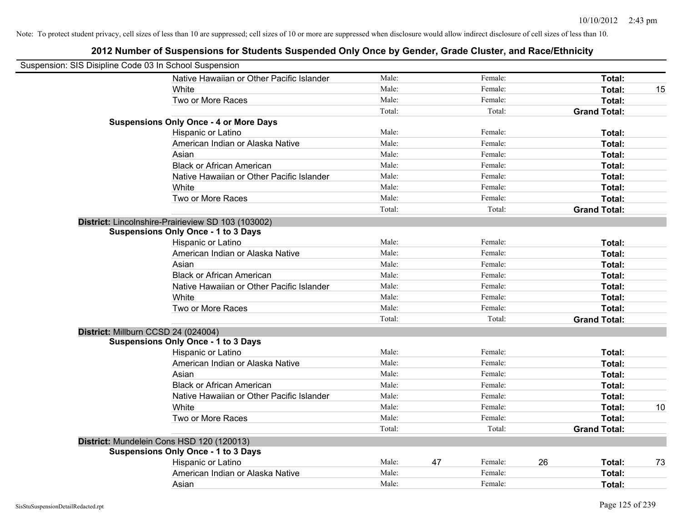| Suspension: SIS Disipline Code 03 In School Suspension |        |    |         |    |                     |    |
|--------------------------------------------------------|--------|----|---------|----|---------------------|----|
| Native Hawaiian or Other Pacific Islander              | Male:  |    | Female: |    | Total:              |    |
| <b>White</b>                                           | Male:  |    | Female: |    | Total:              | 15 |
| Two or More Races                                      | Male:  |    | Female: |    | Total:              |    |
|                                                        | Total: |    | Total:  |    | <b>Grand Total:</b> |    |
| <b>Suspensions Only Once - 4 or More Days</b>          |        |    |         |    |                     |    |
| Hispanic or Latino                                     | Male:  |    | Female: |    | Total:              |    |
| American Indian or Alaska Native                       | Male:  |    | Female: |    | Total:              |    |
| Asian                                                  | Male:  |    | Female: |    | Total:              |    |
| <b>Black or African American</b>                       | Male:  |    | Female: |    | Total:              |    |
| Native Hawaiian or Other Pacific Islander              | Male:  |    | Female: |    | Total:              |    |
| White                                                  | Male:  |    | Female: |    | Total:              |    |
| Two or More Races                                      | Male:  |    | Female: |    | Total:              |    |
|                                                        | Total: |    | Total:  |    | <b>Grand Total:</b> |    |
| District: Lincolnshire-Prairieview SD 103 (103002)     |        |    |         |    |                     |    |
| <b>Suspensions Only Once - 1 to 3 Days</b>             |        |    |         |    |                     |    |
| Hispanic or Latino                                     | Male:  |    | Female: |    | Total:              |    |
| American Indian or Alaska Native                       | Male:  |    | Female: |    | Total:              |    |
| Asian                                                  | Male:  |    | Female: |    | Total:              |    |
| <b>Black or African American</b>                       | Male:  |    | Female: |    | Total:              |    |
| Native Hawaiian or Other Pacific Islander              | Male:  |    | Female: |    | Total:              |    |
| White                                                  | Male:  |    | Female: |    | Total:              |    |
| Two or More Races                                      | Male:  |    | Female: |    | Total:              |    |
|                                                        | Total: |    | Total:  |    | <b>Grand Total:</b> |    |
| District: Millburn CCSD 24 (024004)                    |        |    |         |    |                     |    |
| <b>Suspensions Only Once - 1 to 3 Days</b>             |        |    |         |    |                     |    |
| Hispanic or Latino                                     | Male:  |    | Female: |    | Total:              |    |
| American Indian or Alaska Native                       | Male:  |    | Female: |    | Total:              |    |
| Asian                                                  | Male:  |    | Female: |    | Total:              |    |
| <b>Black or African American</b>                       | Male:  |    | Female: |    | Total:              |    |
| Native Hawaiian or Other Pacific Islander              | Male:  |    | Female: |    | Total:              |    |
| White                                                  | Male:  |    | Female: |    | Total:              | 10 |
| Two or More Races                                      | Male:  |    | Female: |    | Total:              |    |
|                                                        | Total: |    | Total:  |    | <b>Grand Total:</b> |    |
| District: Mundelein Cons HSD 120 (120013)              |        |    |         |    |                     |    |
| <b>Suspensions Only Once - 1 to 3 Days</b>             |        |    |         |    |                     |    |
| Hispanic or Latino                                     | Male:  | 47 | Female: | 26 | Total:              | 73 |
| American Indian or Alaska Native                       | Male:  |    | Female: |    | Total:              |    |
| Asian                                                  | Male:  |    | Female: |    | Total:              |    |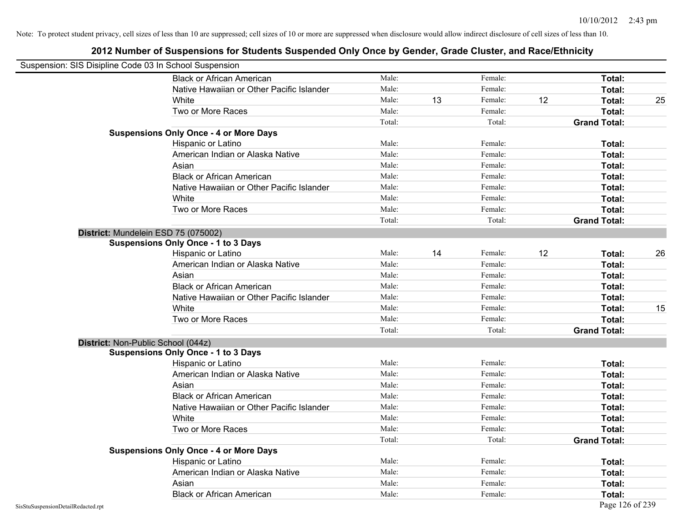|                                    | Suspension: SIS Disipline Code 03 In School Suspension |        |    |         |    |                     |    |
|------------------------------------|--------------------------------------------------------|--------|----|---------|----|---------------------|----|
|                                    | <b>Black or African American</b>                       | Male:  |    | Female: |    | <b>Total:</b>       |    |
|                                    | Native Hawaiian or Other Pacific Islander              | Male:  |    | Female: |    | Total:              |    |
|                                    | White                                                  | Male:  | 13 | Female: | 12 | Total:              | 25 |
|                                    | Two or More Races                                      | Male:  |    | Female: |    | Total:              |    |
|                                    |                                                        | Total: |    | Total:  |    | <b>Grand Total:</b> |    |
|                                    | <b>Suspensions Only Once - 4 or More Days</b>          |        |    |         |    |                     |    |
|                                    | Hispanic or Latino                                     | Male:  |    | Female: |    | Total:              |    |
|                                    | American Indian or Alaska Native                       | Male:  |    | Female: |    | Total:              |    |
|                                    | Asian                                                  | Male:  |    | Female: |    | Total:              |    |
|                                    | <b>Black or African American</b>                       | Male:  |    | Female: |    | Total:              |    |
|                                    | Native Hawaiian or Other Pacific Islander              | Male:  |    | Female: |    | Total:              |    |
|                                    | White                                                  | Male:  |    | Female: |    | Total:              |    |
|                                    | Two or More Races                                      | Male:  |    | Female: |    | Total:              |    |
|                                    |                                                        | Total: |    | Total:  |    | <b>Grand Total:</b> |    |
|                                    | District: Mundelein ESD 75 (075002)                    |        |    |         |    |                     |    |
|                                    | <b>Suspensions Only Once - 1 to 3 Days</b>             |        |    |         |    |                     |    |
|                                    | Hispanic or Latino                                     | Male:  | 14 | Female: | 12 | Total:              | 26 |
|                                    | American Indian or Alaska Native                       | Male:  |    | Female: |    | Total:              |    |
|                                    | Asian                                                  | Male:  |    | Female: |    | Total:              |    |
|                                    | <b>Black or African American</b>                       | Male:  |    | Female: |    | Total:              |    |
|                                    | Native Hawaiian or Other Pacific Islander              | Male:  |    | Female: |    | Total:              |    |
|                                    | White                                                  | Male:  |    | Female: |    | Total:              | 15 |
|                                    | Two or More Races                                      | Male:  |    | Female: |    | Total:              |    |
|                                    |                                                        | Total: |    | Total:  |    | <b>Grand Total:</b> |    |
|                                    | District: Non-Public School (044z)                     |        |    |         |    |                     |    |
|                                    | <b>Suspensions Only Once - 1 to 3 Days</b>             |        |    |         |    |                     |    |
|                                    | Hispanic or Latino                                     | Male:  |    | Female: |    | Total:              |    |
|                                    | American Indian or Alaska Native                       | Male:  |    | Female: |    | Total:              |    |
|                                    | Asian                                                  | Male:  |    | Female: |    | Total:              |    |
|                                    | <b>Black or African American</b>                       | Male:  |    | Female: |    | Total:              |    |
|                                    | Native Hawaiian or Other Pacific Islander              | Male:  |    | Female: |    | Total:              |    |
|                                    | White                                                  | Male:  |    | Female: |    | <b>Total:</b>       |    |
|                                    | Two or More Races                                      | Male:  |    | Female: |    | Total:              |    |
|                                    |                                                        | Total: |    | Total:  |    | <b>Grand Total:</b> |    |
|                                    | <b>Suspensions Only Once - 4 or More Days</b>          |        |    |         |    |                     |    |
|                                    | Hispanic or Latino                                     | Male:  |    | Female: |    | Total:              |    |
|                                    | American Indian or Alaska Native                       | Male:  |    | Female: |    | Total:              |    |
|                                    | Asian                                                  | Male:  |    | Female: |    | Total:              |    |
|                                    | <b>Black or African American</b>                       | Male:  |    | Female: |    | Total:              |    |
| SisStuSuspensionDetailRedacted.rpt |                                                        |        |    |         |    | Page 126 of 239     |    |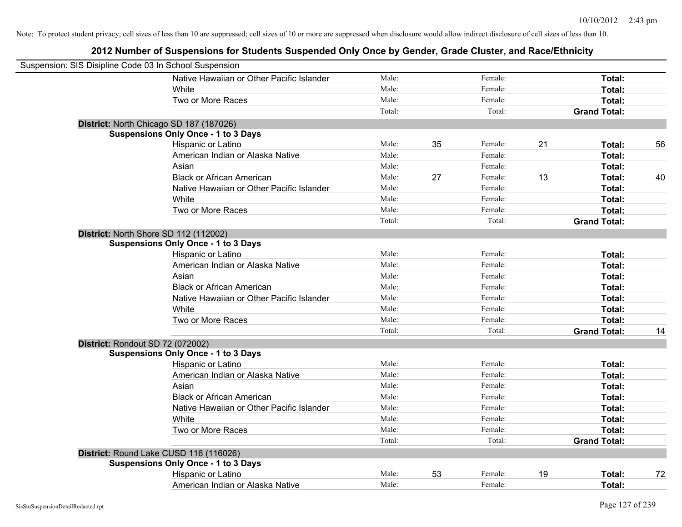| Suspension: SIS Disipline Code 03 In School Suspension |        |    |         |    |                     |    |
|--------------------------------------------------------|--------|----|---------|----|---------------------|----|
| Native Hawaiian or Other Pacific Islander              | Male:  |    | Female: |    | Total:              |    |
| White                                                  | Male:  |    | Female: |    | Total:              |    |
| Two or More Races                                      | Male:  |    | Female: |    | Total:              |    |
|                                                        | Total: |    | Total:  |    | <b>Grand Total:</b> |    |
| District: North Chicago SD 187 (187026)                |        |    |         |    |                     |    |
| <b>Suspensions Only Once - 1 to 3 Days</b>             |        |    |         |    |                     |    |
| Hispanic or Latino                                     | Male:  | 35 | Female: | 21 | Total:              | 56 |
| American Indian or Alaska Native                       | Male:  |    | Female: |    | Total:              |    |
| Asian                                                  | Male:  |    | Female: |    | Total:              |    |
| <b>Black or African American</b>                       | Male:  | 27 | Female: | 13 | Total:              | 40 |
| Native Hawaiian or Other Pacific Islander              | Male:  |    | Female: |    | Total:              |    |
| White                                                  | Male:  |    | Female: |    | Total:              |    |
| Two or More Races                                      | Male:  |    | Female: |    | Total:              |    |
|                                                        | Total: |    | Total:  |    | <b>Grand Total:</b> |    |
| District: North Shore SD 112 (112002)                  |        |    |         |    |                     |    |
| <b>Suspensions Only Once - 1 to 3 Days</b>             |        |    |         |    |                     |    |
| Hispanic or Latino                                     | Male:  |    | Female: |    | Total:              |    |
| American Indian or Alaska Native                       | Male:  |    | Female: |    | Total:              |    |
| Asian                                                  | Male:  |    | Female: |    | Total:              |    |
| <b>Black or African American</b>                       | Male:  |    | Female: |    | Total:              |    |
| Native Hawaiian or Other Pacific Islander              | Male:  |    | Female: |    | Total:              |    |
| White                                                  | Male:  |    | Female: |    | Total:              |    |
| Two or More Races                                      | Male:  |    | Female: |    | Total:              |    |
|                                                        | Total: |    | Total:  |    | <b>Grand Total:</b> | 14 |
| District: Rondout SD 72 (072002)                       |        |    |         |    |                     |    |
| <b>Suspensions Only Once - 1 to 3 Days</b>             |        |    |         |    |                     |    |
| Hispanic or Latino                                     | Male:  |    | Female: |    | Total:              |    |
| American Indian or Alaska Native                       | Male:  |    | Female: |    | Total:              |    |
| Asian                                                  | Male:  |    | Female: |    | Total:              |    |
| <b>Black or African American</b>                       | Male:  |    | Female: |    | Total:              |    |
| Native Hawaiian or Other Pacific Islander              | Male:  |    | Female: |    | Total:              |    |
| White                                                  | Male:  |    | Female: |    | Total:              |    |
| Two or More Races                                      | Male:  |    | Female: |    | Total:              |    |
|                                                        | Total: |    | Total:  |    | <b>Grand Total:</b> |    |
| District: Round Lake CUSD 116 (116026)                 |        |    |         |    |                     |    |
| <b>Suspensions Only Once - 1 to 3 Days</b>             |        |    |         |    |                     |    |
| Hispanic or Latino                                     | Male:  | 53 | Female: | 19 | Total:              | 72 |
| American Indian or Alaska Native                       | Male:  |    | Female: |    | Total:              |    |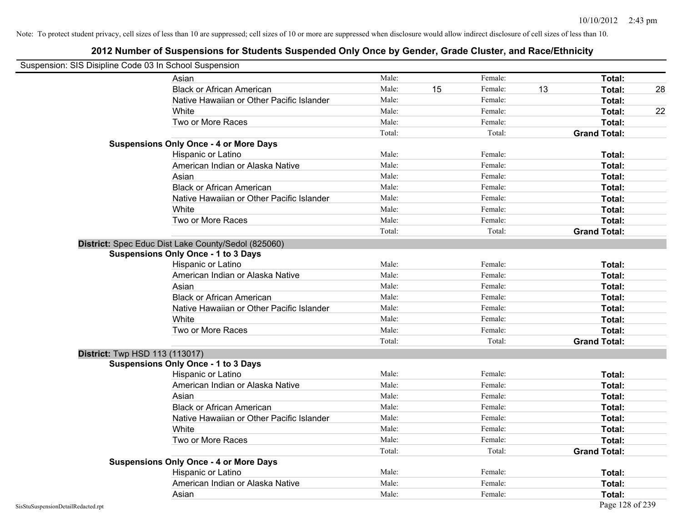| Suspension: SIS Disipline Code 03 In School Suspension |                                                     |        |    |         |    |                     |    |
|--------------------------------------------------------|-----------------------------------------------------|--------|----|---------|----|---------------------|----|
|                                                        | Asian                                               | Male:  |    | Female: |    | Total:              |    |
|                                                        | <b>Black or African American</b>                    | Male:  | 15 | Female: | 13 | Total:              | 28 |
|                                                        | Native Hawaiian or Other Pacific Islander           | Male:  |    | Female: |    | Total:              |    |
|                                                        | White                                               | Male:  |    | Female: |    | Total:              | 22 |
|                                                        | Two or More Races                                   | Male:  |    | Female: |    | Total:              |    |
|                                                        |                                                     | Total: |    | Total:  |    | <b>Grand Total:</b> |    |
|                                                        | <b>Suspensions Only Once - 4 or More Days</b>       |        |    |         |    |                     |    |
|                                                        | Hispanic or Latino                                  | Male:  |    | Female: |    | Total:              |    |
|                                                        | American Indian or Alaska Native                    | Male:  |    | Female: |    | Total:              |    |
|                                                        | Asian                                               | Male:  |    | Female: |    | Total:              |    |
|                                                        | <b>Black or African American</b>                    | Male:  |    | Female: |    | Total:              |    |
|                                                        | Native Hawaiian or Other Pacific Islander           | Male:  |    | Female: |    | Total:              |    |
|                                                        | White                                               | Male:  |    | Female: |    | Total:              |    |
|                                                        | Two or More Races                                   | Male:  |    | Female: |    | Total:              |    |
|                                                        |                                                     | Total: |    | Total:  |    | <b>Grand Total:</b> |    |
|                                                        | District: Spec Educ Dist Lake County/Sedol (825060) |        |    |         |    |                     |    |
|                                                        | <b>Suspensions Only Once - 1 to 3 Days</b>          |        |    |         |    |                     |    |
|                                                        | Hispanic or Latino                                  | Male:  |    | Female: |    | Total:              |    |
|                                                        | American Indian or Alaska Native                    | Male:  |    | Female: |    | Total:              |    |
|                                                        | Asian                                               | Male:  |    | Female: |    | Total:              |    |
|                                                        | <b>Black or African American</b>                    | Male:  |    | Female: |    | Total:              |    |
|                                                        | Native Hawaiian or Other Pacific Islander           | Male:  |    | Female: |    | Total:              |    |
|                                                        | White                                               | Male:  |    | Female: |    | Total:              |    |
|                                                        | Two or More Races                                   | Male:  |    | Female: |    | Total:              |    |
|                                                        |                                                     | Total: |    | Total:  |    | <b>Grand Total:</b> |    |
| <b>District:</b> Twp HSD 113 (113017)                  |                                                     |        |    |         |    |                     |    |
|                                                        | <b>Suspensions Only Once - 1 to 3 Days</b>          |        |    |         |    |                     |    |
|                                                        | Hispanic or Latino                                  | Male:  |    | Female: |    | Total:              |    |
|                                                        | American Indian or Alaska Native                    | Male:  |    | Female: |    | Total:              |    |
|                                                        | Asian                                               | Male:  |    | Female: |    | Total:              |    |
|                                                        | <b>Black or African American</b>                    | Male:  |    | Female: |    | Total:              |    |
|                                                        | Native Hawaiian or Other Pacific Islander           | Male:  |    | Female: |    | Total:              |    |
|                                                        | White                                               | Male:  |    | Female: |    | Total:              |    |
|                                                        | Two or More Races                                   | Male:  |    | Female: |    | Total:              |    |
|                                                        |                                                     | Total: |    | Total:  |    | <b>Grand Total:</b> |    |
|                                                        | <b>Suspensions Only Once - 4 or More Days</b>       |        |    |         |    |                     |    |
|                                                        | Hispanic or Latino                                  | Male:  |    | Female: |    | Total:              |    |
|                                                        | American Indian or Alaska Native                    | Male:  |    | Female: |    | Total:              |    |
|                                                        | Asian                                               | Male:  |    | Female: |    | Total:              |    |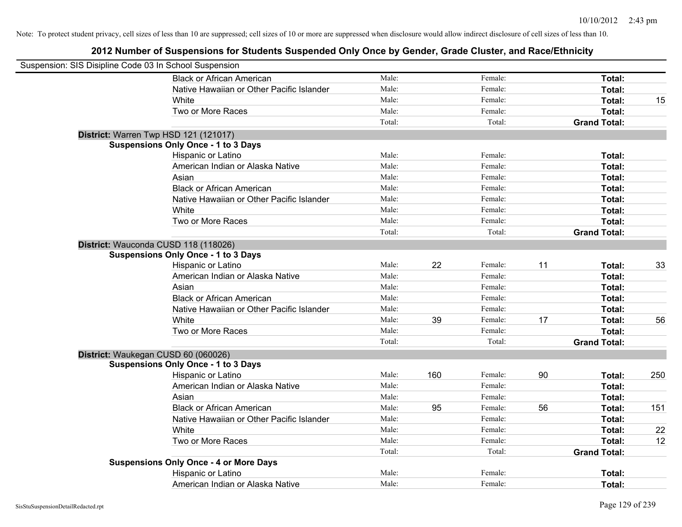| Suspension: SIS Disipline Code 03 In School Suspension |                                               |        |     |         |    |                     |     |
|--------------------------------------------------------|-----------------------------------------------|--------|-----|---------|----|---------------------|-----|
|                                                        | <b>Black or African American</b>              | Male:  |     | Female: |    | Total:              |     |
|                                                        | Native Hawaiian or Other Pacific Islander     | Male:  |     | Female: |    | Total:              |     |
|                                                        | White                                         | Male:  |     | Female: |    | Total:              | 15  |
|                                                        | Two or More Races                             | Male:  |     | Female: |    | Total:              |     |
|                                                        |                                               | Total: |     | Total:  |    | <b>Grand Total:</b> |     |
|                                                        | District: Warren Twp HSD 121 (121017)         |        |     |         |    |                     |     |
|                                                        | <b>Suspensions Only Once - 1 to 3 Days</b>    |        |     |         |    |                     |     |
|                                                        | Hispanic or Latino                            | Male:  |     | Female: |    | Total:              |     |
|                                                        | American Indian or Alaska Native              | Male:  |     | Female: |    | Total:              |     |
|                                                        | Asian                                         | Male:  |     | Female: |    | Total:              |     |
|                                                        | <b>Black or African American</b>              | Male:  |     | Female: |    | Total:              |     |
|                                                        | Native Hawaiian or Other Pacific Islander     | Male:  |     | Female: |    | Total:              |     |
|                                                        | White                                         | Male:  |     | Female: |    | Total:              |     |
|                                                        | Two or More Races                             | Male:  |     | Female: |    | Total:              |     |
|                                                        |                                               | Total: |     | Total:  |    | <b>Grand Total:</b> |     |
|                                                        | District: Wauconda CUSD 118 (118026)          |        |     |         |    |                     |     |
|                                                        | <b>Suspensions Only Once - 1 to 3 Days</b>    |        |     |         |    |                     |     |
|                                                        | Hispanic or Latino                            | Male:  | 22  | Female: | 11 | Total:              | 33  |
|                                                        | American Indian or Alaska Native              | Male:  |     | Female: |    | Total:              |     |
|                                                        | Asian                                         | Male:  |     | Female: |    | Total:              |     |
|                                                        | <b>Black or African American</b>              | Male:  |     | Female: |    | Total:              |     |
|                                                        | Native Hawaiian or Other Pacific Islander     | Male:  |     | Female: |    | Total:              |     |
|                                                        | White                                         | Male:  | 39  | Female: | 17 | Total:              | 56  |
|                                                        | Two or More Races                             | Male:  |     | Female: |    | Total:              |     |
|                                                        |                                               | Total: |     | Total:  |    | <b>Grand Total:</b> |     |
|                                                        | District: Waukegan CUSD 60 (060026)           |        |     |         |    |                     |     |
|                                                        | <b>Suspensions Only Once - 1 to 3 Days</b>    |        |     |         |    |                     |     |
|                                                        | Hispanic or Latino                            | Male:  | 160 | Female: | 90 | Total:              | 250 |
|                                                        | American Indian or Alaska Native              | Male:  |     | Female: |    | Total:              |     |
|                                                        | Asian                                         | Male:  |     | Female: |    | Total:              |     |
|                                                        | <b>Black or African American</b>              | Male:  | 95  | Female: | 56 | Total:              | 151 |
|                                                        | Native Hawaiian or Other Pacific Islander     | Male:  |     | Female: |    | Total:              |     |
|                                                        | White                                         | Male:  |     | Female: |    | Total:              | 22  |
|                                                        | Two or More Races                             | Male:  |     | Female: |    | Total:              | 12  |
|                                                        |                                               | Total: |     | Total:  |    | <b>Grand Total:</b> |     |
|                                                        | <b>Suspensions Only Once - 4 or More Days</b> |        |     |         |    |                     |     |
|                                                        | Hispanic or Latino                            | Male:  |     | Female: |    | Total:              |     |
|                                                        | American Indian or Alaska Native              | Male:  |     | Female: |    | Total:              |     |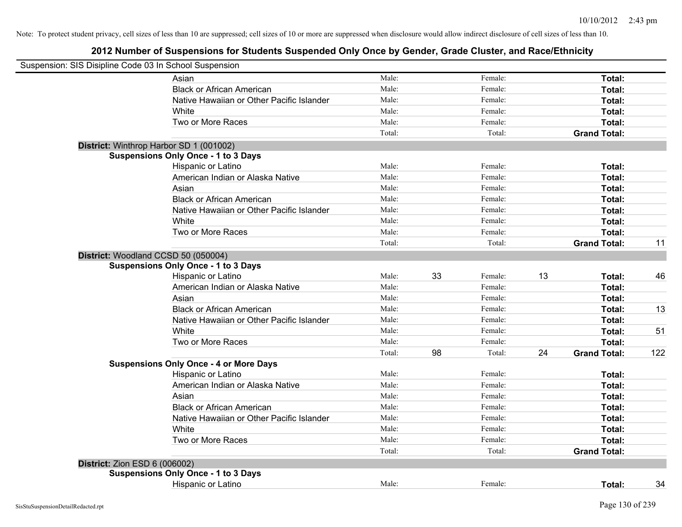| Suspension: SIS Disipline Code 03 In School Suspension |                                               |        |    |         |    |                     |     |
|--------------------------------------------------------|-----------------------------------------------|--------|----|---------|----|---------------------|-----|
|                                                        | Asian                                         | Male:  |    | Female: |    | Total:              |     |
|                                                        | <b>Black or African American</b>              | Male:  |    | Female: |    | Total:              |     |
|                                                        | Native Hawaiian or Other Pacific Islander     | Male:  |    | Female: |    | Total:              |     |
|                                                        | White                                         | Male:  |    | Female: |    | Total:              |     |
|                                                        | Two or More Races                             | Male:  |    | Female: |    | Total:              |     |
|                                                        |                                               | Total: |    | Total:  |    | <b>Grand Total:</b> |     |
|                                                        | District: Winthrop Harbor SD 1 (001002)       |        |    |         |    |                     |     |
|                                                        | <b>Suspensions Only Once - 1 to 3 Days</b>    |        |    |         |    |                     |     |
|                                                        | Hispanic or Latino                            | Male:  |    | Female: |    | Total:              |     |
|                                                        | American Indian or Alaska Native              | Male:  |    | Female: |    | Total:              |     |
|                                                        | Asian                                         | Male:  |    | Female: |    | Total:              |     |
|                                                        | <b>Black or African American</b>              | Male:  |    | Female: |    | Total:              |     |
|                                                        | Native Hawaiian or Other Pacific Islander     | Male:  |    | Female: |    | Total:              |     |
|                                                        | White                                         | Male:  |    | Female: |    | Total:              |     |
|                                                        | Two or More Races                             | Male:  |    | Female: |    | Total:              |     |
|                                                        |                                               | Total: |    | Total:  |    | <b>Grand Total:</b> | 11  |
| District: Woodland CCSD 50 (050004)                    |                                               |        |    |         |    |                     |     |
|                                                        | <b>Suspensions Only Once - 1 to 3 Days</b>    |        |    |         |    |                     |     |
|                                                        | Hispanic or Latino                            | Male:  | 33 | Female: | 13 | Total:              | 46  |
|                                                        | American Indian or Alaska Native              | Male:  |    | Female: |    | Total:              |     |
|                                                        | Asian                                         | Male:  |    | Female: |    | Total:              |     |
|                                                        | <b>Black or African American</b>              | Male:  |    | Female: |    | Total:              | 13  |
|                                                        | Native Hawaiian or Other Pacific Islander     | Male:  |    | Female: |    | Total:              |     |
|                                                        | White                                         | Male:  |    | Female: |    | Total:              | 51  |
|                                                        | Two or More Races                             | Male:  |    | Female: |    | Total:              |     |
|                                                        |                                               | Total: | 98 | Total:  | 24 | <b>Grand Total:</b> | 122 |
|                                                        | <b>Suspensions Only Once - 4 or More Days</b> |        |    |         |    |                     |     |
|                                                        | Hispanic or Latino                            | Male:  |    | Female: |    | Total:              |     |
|                                                        | American Indian or Alaska Native              | Male:  |    | Female: |    | Total:              |     |
|                                                        | Asian                                         | Male:  |    | Female: |    | Total:              |     |
|                                                        | <b>Black or African American</b>              | Male:  |    | Female: |    | Total:              |     |
|                                                        | Native Hawaiian or Other Pacific Islander     | Male:  |    | Female: |    | Total:              |     |
|                                                        | White                                         | Male:  |    | Female: |    | Total:              |     |
|                                                        | Two or More Races                             | Male:  |    | Female: |    | Total:              |     |
|                                                        |                                               | Total: |    | Total:  |    | <b>Grand Total:</b> |     |
| District: Zion ESD 6 (006002)                          |                                               |        |    |         |    |                     |     |
|                                                        | <b>Suspensions Only Once - 1 to 3 Days</b>    |        |    |         |    |                     |     |
|                                                        | Hispanic or Latino                            | Male:  |    | Female: |    | Total:              | 34  |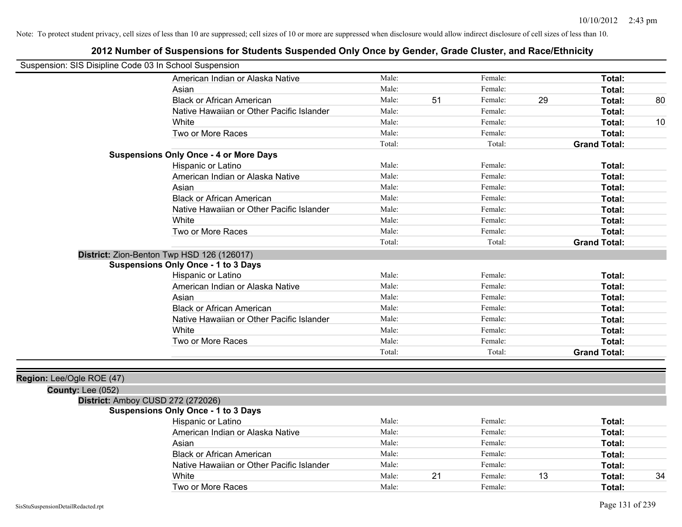| Suspension: SIS Disipline Code 03 In School Suspension |                                               |        |    |         |    |                     |    |
|--------------------------------------------------------|-----------------------------------------------|--------|----|---------|----|---------------------|----|
|                                                        | American Indian or Alaska Native              | Male:  |    | Female: |    | Total:              |    |
|                                                        | Asian                                         | Male:  |    | Female: |    | Total:              |    |
|                                                        | <b>Black or African American</b>              | Male:  | 51 | Female: | 29 | Total:              | 80 |
|                                                        | Native Hawaiian or Other Pacific Islander     | Male:  |    | Female: |    | Total:              |    |
|                                                        | White                                         | Male:  |    | Female: |    | Total:              | 10 |
|                                                        | Two or More Races                             | Male:  |    | Female: |    | <b>Total:</b>       |    |
|                                                        |                                               | Total: |    | Total:  |    | <b>Grand Total:</b> |    |
|                                                        | <b>Suspensions Only Once - 4 or More Days</b> |        |    |         |    |                     |    |
|                                                        | Hispanic or Latino                            | Male:  |    | Female: |    | Total:              |    |
|                                                        | American Indian or Alaska Native              | Male:  |    | Female: |    | Total:              |    |
|                                                        | Asian                                         | Male:  |    | Female: |    | Total:              |    |
|                                                        | <b>Black or African American</b>              | Male:  |    | Female: |    | <b>Total:</b>       |    |
|                                                        | Native Hawaiian or Other Pacific Islander     | Male:  |    | Female: |    | Total:              |    |
|                                                        | White                                         | Male:  |    | Female: |    | Total:              |    |
|                                                        | Two or More Races                             | Male:  |    | Female: |    | <b>Total:</b>       |    |
|                                                        |                                               | Total: |    | Total:  |    | <b>Grand Total:</b> |    |
|                                                        | District: Zion-Benton Twp HSD 126 (126017)    |        |    |         |    |                     |    |
|                                                        | <b>Suspensions Only Once - 1 to 3 Days</b>    |        |    |         |    |                     |    |
|                                                        | Hispanic or Latino                            | Male:  |    | Female: |    | <b>Total:</b>       |    |
|                                                        | American Indian or Alaska Native              | Male:  |    | Female: |    | Total:              |    |
|                                                        | Asian                                         | Male:  |    | Female: |    | <b>Total:</b>       |    |
|                                                        | <b>Black or African American</b>              | Male:  |    | Female: |    | Total:              |    |
|                                                        | Native Hawaiian or Other Pacific Islander     | Male:  |    | Female: |    | Total:              |    |
|                                                        | White                                         | Male:  |    | Female: |    | Total:              |    |
|                                                        | Two or More Races                             | Male:  |    | Female: |    | Total:              |    |
|                                                        |                                               | Total: |    | Total:  |    | <b>Grand Total:</b> |    |
|                                                        |                                               |        |    |         |    |                     |    |
| Region: Lee/Ogle ROE (47)                              |                                               |        |    |         |    |                     |    |
| <b>County: Lee (052)</b>                               |                                               |        |    |         |    |                     |    |
|                                                        | District: Amboy CUSD 272 (272026)             |        |    |         |    |                     |    |
|                                                        | <b>Suspensions Only Once - 1 to 3 Days</b>    |        |    |         |    |                     |    |
|                                                        | Hispanic or Latino                            | Male:  |    | Female: |    | Total:              |    |
|                                                        | American Indian or Alaska Native              | Male:  |    | Female: |    | Total:              |    |
|                                                        | Asian                                         | Male:  |    | Female: |    | <b>Total:</b>       |    |
|                                                        | <b>Black or African American</b>              | Male:  |    | Female: |    | Total:              |    |
|                                                        | Native Hawaiian or Other Pacific Islander     | Male:  |    | Female: |    | Total:              |    |
|                                                        | White                                         | Male:  | 21 | Female: | 13 | <b>Total:</b>       | 34 |
|                                                        | Two or More Races                             | Male:  |    | Female: |    | Total:              |    |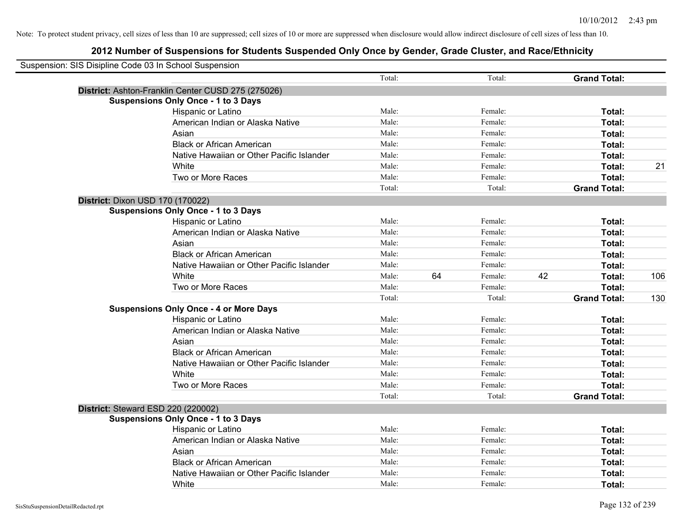| Suspension: SIS Disipline Code 03 In School Suspension |                                                    |        |    |         |    |                     |     |
|--------------------------------------------------------|----------------------------------------------------|--------|----|---------|----|---------------------|-----|
|                                                        |                                                    | Total: |    | Total:  |    | <b>Grand Total:</b> |     |
|                                                        | District: Ashton-Franklin Center CUSD 275 (275026) |        |    |         |    |                     |     |
|                                                        | <b>Suspensions Only Once - 1 to 3 Days</b>         |        |    |         |    |                     |     |
|                                                        | Hispanic or Latino                                 | Male:  |    | Female: |    | Total:              |     |
|                                                        | American Indian or Alaska Native                   | Male:  |    | Female: |    | Total:              |     |
|                                                        | Asian                                              | Male:  |    | Female: |    | Total:              |     |
|                                                        | <b>Black or African American</b>                   | Male:  |    | Female: |    | Total:              |     |
|                                                        | Native Hawaiian or Other Pacific Islander          | Male:  |    | Female: |    | Total:              |     |
|                                                        | White                                              | Male:  |    | Female: |    | Total:              | 21  |
|                                                        | Two or More Races                                  | Male:  |    | Female: |    | Total:              |     |
|                                                        |                                                    | Total: |    | Total:  |    | <b>Grand Total:</b> |     |
| District: Dixon USD 170 (170022)                       |                                                    |        |    |         |    |                     |     |
|                                                        | <b>Suspensions Only Once - 1 to 3 Days</b>         |        |    |         |    |                     |     |
|                                                        | Hispanic or Latino                                 | Male:  |    | Female: |    | Total:              |     |
|                                                        | American Indian or Alaska Native                   | Male:  |    | Female: |    | Total:              |     |
|                                                        | Asian                                              | Male:  |    | Female: |    | Total:              |     |
|                                                        | <b>Black or African American</b>                   | Male:  |    | Female: |    | Total:              |     |
|                                                        | Native Hawaiian or Other Pacific Islander          | Male:  |    | Female: |    | Total:              |     |
|                                                        | White                                              | Male:  | 64 | Female: | 42 | Total:              | 106 |
|                                                        | Two or More Races                                  | Male:  |    | Female: |    | Total:              |     |
|                                                        |                                                    | Total: |    | Total:  |    | <b>Grand Total:</b> | 130 |
|                                                        | <b>Suspensions Only Once - 4 or More Days</b>      |        |    |         |    |                     |     |
|                                                        | Hispanic or Latino                                 | Male:  |    | Female: |    | Total:              |     |
|                                                        | American Indian or Alaska Native                   | Male:  |    | Female: |    | Total:              |     |
|                                                        | Asian                                              | Male:  |    | Female: |    | Total:              |     |
|                                                        | <b>Black or African American</b>                   | Male:  |    | Female: |    | Total:              |     |
|                                                        | Native Hawaiian or Other Pacific Islander          | Male:  |    | Female: |    | Total:              |     |
|                                                        | White                                              | Male:  |    | Female: |    | Total:              |     |
|                                                        | Two or More Races                                  | Male:  |    | Female: |    | Total:              |     |
|                                                        |                                                    | Total: |    | Total:  |    | <b>Grand Total:</b> |     |
|                                                        | District: Steward ESD 220 (220002)                 |        |    |         |    |                     |     |
|                                                        | <b>Suspensions Only Once - 1 to 3 Days</b>         |        |    |         |    |                     |     |
|                                                        | Hispanic or Latino                                 | Male:  |    | Female: |    | Total:              |     |
|                                                        | American Indian or Alaska Native                   | Male:  |    | Female: |    | Total:              |     |
|                                                        | Asian                                              | Male:  |    | Female: |    | Total:              |     |
|                                                        | <b>Black or African American</b>                   | Male:  |    | Female: |    | Total:              |     |
|                                                        | Native Hawaiian or Other Pacific Islander          | Male:  |    | Female: |    | Total:              |     |
|                                                        | White                                              | Male:  |    | Female: |    | Total:              |     |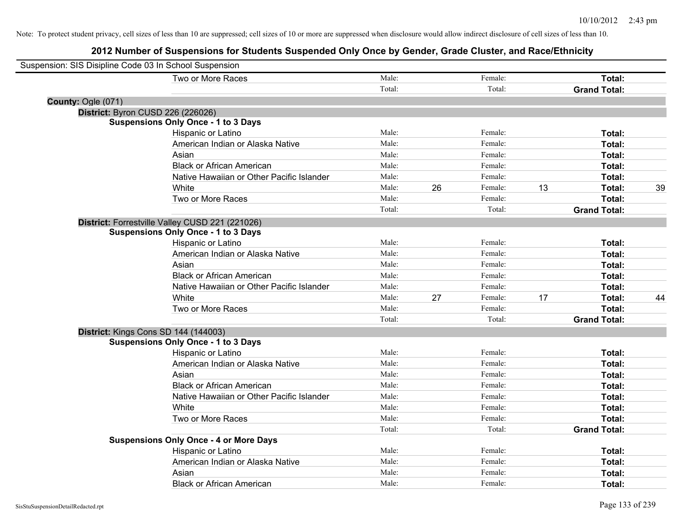| Suspension: SIS Disipline Code 03 In School Suspension |                                                 |        |    |         |    |                     |    |
|--------------------------------------------------------|-------------------------------------------------|--------|----|---------|----|---------------------|----|
|                                                        | Two or More Races                               | Male:  |    | Female: |    | Total:              |    |
|                                                        |                                                 | Total: |    | Total:  |    | <b>Grand Total:</b> |    |
| County: Ogle (071)                                     |                                                 |        |    |         |    |                     |    |
| District: Byron CUSD 226 (226026)                      |                                                 |        |    |         |    |                     |    |
|                                                        | <b>Suspensions Only Once - 1 to 3 Days</b>      |        |    |         |    |                     |    |
|                                                        | Hispanic or Latino                              | Male:  |    | Female: |    | Total:              |    |
|                                                        | American Indian or Alaska Native                | Male:  |    | Female: |    | Total:              |    |
|                                                        | Asian                                           | Male:  |    | Female: |    | Total:              |    |
|                                                        | <b>Black or African American</b>                | Male:  |    | Female: |    | Total:              |    |
|                                                        | Native Hawaiian or Other Pacific Islander       | Male:  |    | Female: |    | Total:              |    |
|                                                        | White                                           | Male:  | 26 | Female: | 13 | Total:              | 39 |
|                                                        | Two or More Races                               | Male:  |    | Female: |    | Total:              |    |
|                                                        |                                                 | Total: |    | Total:  |    | <b>Grand Total:</b> |    |
|                                                        | District: Forrestville Valley CUSD 221 (221026) |        |    |         |    |                     |    |
|                                                        | <b>Suspensions Only Once - 1 to 3 Days</b>      |        |    |         |    |                     |    |
|                                                        | Hispanic or Latino                              | Male:  |    | Female: |    | Total:              |    |
|                                                        | American Indian or Alaska Native                | Male:  |    | Female: |    | Total:              |    |
|                                                        | Asian                                           | Male:  |    | Female: |    | Total:              |    |
|                                                        | <b>Black or African American</b>                | Male:  |    | Female: |    | Total:              |    |
|                                                        | Native Hawaiian or Other Pacific Islander       | Male:  |    | Female: |    | Total:              |    |
|                                                        | White                                           | Male:  | 27 | Female: | 17 | Total:              | 44 |
|                                                        | Two or More Races                               | Male:  |    | Female: |    | Total:              |    |
|                                                        |                                                 | Total: |    | Total:  |    | <b>Grand Total:</b> |    |
|                                                        | District: Kings Cons SD 144 (144003)            |        |    |         |    |                     |    |
|                                                        | <b>Suspensions Only Once - 1 to 3 Days</b>      |        |    |         |    |                     |    |
|                                                        | Hispanic or Latino                              | Male:  |    | Female: |    | Total:              |    |
|                                                        | American Indian or Alaska Native                | Male:  |    | Female: |    | Total:              |    |
|                                                        | Asian                                           | Male:  |    | Female: |    | Total:              |    |
|                                                        | <b>Black or African American</b>                | Male:  |    | Female: |    | Total:              |    |
|                                                        | Native Hawaiian or Other Pacific Islander       | Male:  |    | Female: |    | Total:              |    |
|                                                        | White                                           | Male:  |    | Female: |    | Total:              |    |
|                                                        | Two or More Races                               | Male:  |    | Female: |    | Total:              |    |
|                                                        |                                                 | Total: |    | Total:  |    | <b>Grand Total:</b> |    |
|                                                        | <b>Suspensions Only Once - 4 or More Days</b>   |        |    |         |    |                     |    |
|                                                        | Hispanic or Latino                              | Male:  |    | Female: |    | Total:              |    |
|                                                        | American Indian or Alaska Native                | Male:  |    | Female: |    | Total:              |    |
|                                                        | Asian                                           | Male:  |    | Female: |    | Total:              |    |
|                                                        | <b>Black or African American</b>                | Male:  |    | Female: |    | Total:              |    |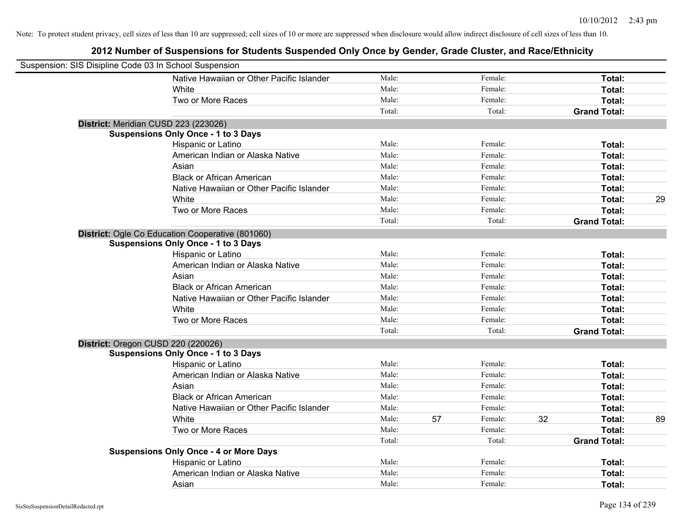| Suspension: SIS Disipline Code 03 In School Suspension |                                                  |        |    |         |    |                     |    |
|--------------------------------------------------------|--------------------------------------------------|--------|----|---------|----|---------------------|----|
|                                                        | Native Hawaiian or Other Pacific Islander        | Male:  |    | Female: |    | Total:              |    |
|                                                        | White                                            | Male:  |    | Female: |    | Total:              |    |
|                                                        | Two or More Races                                | Male:  |    | Female: |    | Total:              |    |
|                                                        |                                                  | Total: |    | Total:  |    | <b>Grand Total:</b> |    |
|                                                        | District: Meridian CUSD 223 (223026)             |        |    |         |    |                     |    |
|                                                        | <b>Suspensions Only Once - 1 to 3 Days</b>       |        |    |         |    |                     |    |
|                                                        | Hispanic or Latino                               | Male:  |    | Female: |    | Total:              |    |
|                                                        | American Indian or Alaska Native                 | Male:  |    | Female: |    | Total:              |    |
|                                                        | Asian                                            | Male:  |    | Female: |    | Total:              |    |
|                                                        | <b>Black or African American</b>                 | Male:  |    | Female: |    | Total:              |    |
|                                                        | Native Hawaiian or Other Pacific Islander        | Male:  |    | Female: |    | Total:              |    |
|                                                        | White                                            | Male:  |    | Female: |    | Total:              | 29 |
|                                                        | Two or More Races                                | Male:  |    | Female: |    | Total:              |    |
|                                                        |                                                  | Total: |    | Total:  |    | <b>Grand Total:</b> |    |
|                                                        | District: Ogle Co Education Cooperative (801060) |        |    |         |    |                     |    |
|                                                        | <b>Suspensions Only Once - 1 to 3 Days</b>       |        |    |         |    |                     |    |
|                                                        | Hispanic or Latino                               | Male:  |    | Female: |    | Total:              |    |
|                                                        | American Indian or Alaska Native                 | Male:  |    | Female: |    | Total:              |    |
|                                                        | Asian                                            | Male:  |    | Female: |    | Total:              |    |
|                                                        | <b>Black or African American</b>                 | Male:  |    | Female: |    | Total:              |    |
|                                                        | Native Hawaiian or Other Pacific Islander        | Male:  |    | Female: |    | Total:              |    |
|                                                        | White                                            | Male:  |    | Female: |    | Total:              |    |
|                                                        | Two or More Races                                | Male:  |    | Female: |    | Total:              |    |
|                                                        |                                                  | Total: |    | Total:  |    | <b>Grand Total:</b> |    |
| District: Oregon CUSD 220 (220026)                     |                                                  |        |    |         |    |                     |    |
|                                                        | <b>Suspensions Only Once - 1 to 3 Days</b>       |        |    |         |    |                     |    |
|                                                        | Hispanic or Latino                               | Male:  |    | Female: |    | Total:              |    |
|                                                        | American Indian or Alaska Native                 | Male:  |    | Female: |    | Total:              |    |
|                                                        | Asian                                            | Male:  |    | Female: |    | Total:              |    |
|                                                        | <b>Black or African American</b>                 | Male:  |    | Female: |    | Total:              |    |
|                                                        | Native Hawaiian or Other Pacific Islander        | Male:  |    | Female: |    | Total:              |    |
|                                                        | White                                            | Male:  | 57 | Female: | 32 | Total:              | 89 |
|                                                        | Two or More Races                                | Male:  |    | Female: |    | Total:              |    |
|                                                        |                                                  | Total: |    | Total:  |    | <b>Grand Total:</b> |    |
|                                                        | <b>Suspensions Only Once - 4 or More Days</b>    |        |    |         |    |                     |    |
|                                                        | Hispanic or Latino                               | Male:  |    | Female: |    | Total:              |    |
|                                                        | American Indian or Alaska Native                 | Male:  |    | Female: |    | Total:              |    |
|                                                        | Asian                                            | Male:  |    | Female: |    | Total:              |    |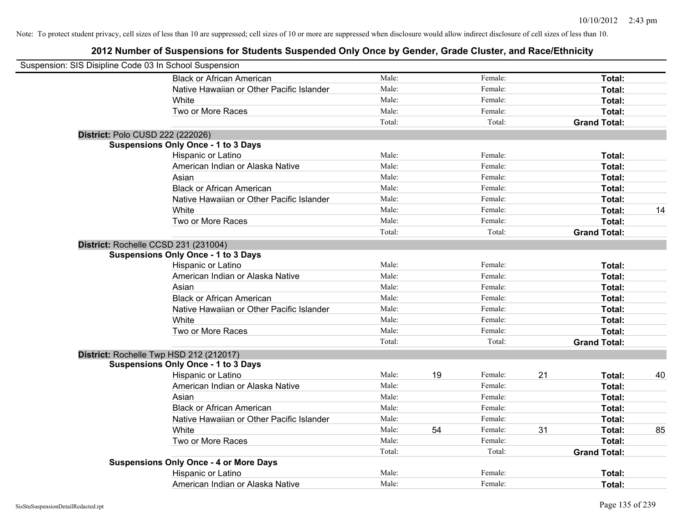| Suspension: SIS Disipline Code 03 In School Suspension |                                               |        |    |         |    |                     |    |
|--------------------------------------------------------|-----------------------------------------------|--------|----|---------|----|---------------------|----|
|                                                        | <b>Black or African American</b>              | Male:  |    | Female: |    | Total:              |    |
|                                                        | Native Hawaiian or Other Pacific Islander     | Male:  |    | Female: |    | Total:              |    |
|                                                        | White                                         | Male:  |    | Female: |    | Total:              |    |
|                                                        | Two or More Races                             | Male:  |    | Female: |    | Total:              |    |
|                                                        |                                               | Total: |    | Total:  |    | <b>Grand Total:</b> |    |
| District: Polo CUSD 222 (222026)                       |                                               |        |    |         |    |                     |    |
|                                                        | <b>Suspensions Only Once - 1 to 3 Days</b>    |        |    |         |    |                     |    |
|                                                        | Hispanic or Latino                            | Male:  |    | Female: |    | Total:              |    |
|                                                        | American Indian or Alaska Native              | Male:  |    | Female: |    | Total:              |    |
|                                                        | Asian                                         | Male:  |    | Female: |    | Total:              |    |
|                                                        | <b>Black or African American</b>              | Male:  |    | Female: |    | Total:              |    |
|                                                        | Native Hawaiian or Other Pacific Islander     | Male:  |    | Female: |    | Total:              |    |
|                                                        | White                                         | Male:  |    | Female: |    | Total:              | 14 |
|                                                        | Two or More Races                             | Male:  |    | Female: |    | Total:              |    |
|                                                        |                                               | Total: |    | Total:  |    | <b>Grand Total:</b> |    |
|                                                        | District: Rochelle CCSD 231 (231004)          |        |    |         |    |                     |    |
|                                                        | <b>Suspensions Only Once - 1 to 3 Days</b>    |        |    |         |    |                     |    |
|                                                        | Hispanic or Latino                            | Male:  |    | Female: |    | Total:              |    |
|                                                        | American Indian or Alaska Native              | Male:  |    | Female: |    | Total:              |    |
|                                                        | Asian                                         | Male:  |    | Female: |    | Total:              |    |
|                                                        | <b>Black or African American</b>              | Male:  |    | Female: |    | Total:              |    |
|                                                        | Native Hawaiian or Other Pacific Islander     | Male:  |    | Female: |    | Total:              |    |
|                                                        | White                                         | Male:  |    | Female: |    | Total:              |    |
|                                                        | Two or More Races                             | Male:  |    | Female: |    | Total:              |    |
|                                                        |                                               | Total: |    | Total:  |    | <b>Grand Total:</b> |    |
|                                                        | District: Rochelle Twp HSD 212 (212017)       |        |    |         |    |                     |    |
|                                                        | <b>Suspensions Only Once - 1 to 3 Days</b>    |        |    |         |    |                     |    |
|                                                        | Hispanic or Latino                            | Male:  | 19 | Female: | 21 | Total:              | 40 |
|                                                        | American Indian or Alaska Native              | Male:  |    | Female: |    | Total:              |    |
|                                                        | Asian                                         | Male:  |    | Female: |    | Total:              |    |
|                                                        | <b>Black or African American</b>              | Male:  |    | Female: |    | Total:              |    |
|                                                        | Native Hawaiian or Other Pacific Islander     | Male:  |    | Female: |    | Total:              |    |
|                                                        | <b>White</b>                                  | Male:  | 54 | Female: | 31 | Total:              | 85 |
|                                                        | Two or More Races                             | Male:  |    | Female: |    | Total:              |    |
|                                                        |                                               | Total: |    | Total:  |    | <b>Grand Total:</b> |    |
|                                                        | <b>Suspensions Only Once - 4 or More Days</b> |        |    |         |    |                     |    |
|                                                        | Hispanic or Latino                            | Male:  |    | Female: |    | <b>Total:</b>       |    |
|                                                        | American Indian or Alaska Native              | Male:  |    | Female: |    | Total:              |    |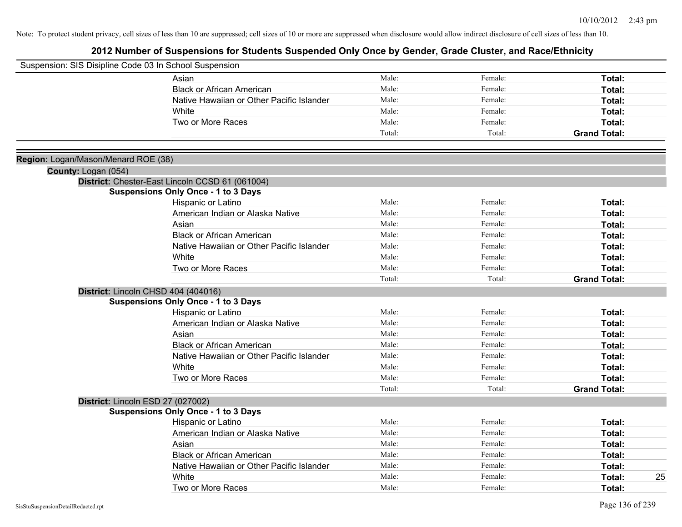| Suspension: SIS Disipline Code 03 In School Suspension |                                                 |        |         |                     |
|--------------------------------------------------------|-------------------------------------------------|--------|---------|---------------------|
|                                                        | Asian                                           | Male:  | Female: | Total:              |
|                                                        | <b>Black or African American</b>                | Male:  | Female: | Total:              |
|                                                        | Native Hawaiian or Other Pacific Islander       | Male:  | Female: | Total:              |
|                                                        | White                                           | Male:  | Female: | Total:              |
|                                                        | Two or More Races                               | Male:  | Female: | Total:              |
|                                                        |                                                 | Total: | Total:  | <b>Grand Total:</b> |
| Region: Logan/Mason/Menard ROE (38)                    |                                                 |        |         |                     |
| County: Logan (054)                                    |                                                 |        |         |                     |
|                                                        | District: Chester-East Lincoln CCSD 61 (061004) |        |         |                     |
|                                                        | <b>Suspensions Only Once - 1 to 3 Days</b>      |        |         |                     |
|                                                        | Hispanic or Latino                              | Male:  | Female: | Total:              |
|                                                        | American Indian or Alaska Native                | Male:  | Female: | Total:              |
|                                                        | Asian                                           | Male:  | Female: | Total:              |
|                                                        | <b>Black or African American</b>                | Male:  | Female: | Total:              |
|                                                        | Native Hawaiian or Other Pacific Islander       | Male:  | Female: | Total:              |
|                                                        | White                                           | Male:  | Female: | Total:              |
|                                                        | Two or More Races                               | Male:  | Female: | Total:              |
|                                                        |                                                 | Total: | Total:  | <b>Grand Total:</b> |
|                                                        | District: Lincoln CHSD 404 (404016)             |        |         |                     |
|                                                        | <b>Suspensions Only Once - 1 to 3 Days</b>      |        |         |                     |
|                                                        | Hispanic or Latino                              | Male:  | Female: | Total:              |
|                                                        | American Indian or Alaska Native                | Male:  | Female: | Total:              |
|                                                        | Asian                                           | Male:  | Female: | Total:              |
|                                                        | <b>Black or African American</b>                | Male:  | Female: | Total:              |
|                                                        | Native Hawaiian or Other Pacific Islander       | Male:  | Female: | Total:              |
|                                                        | White                                           | Male:  | Female: | Total:              |
|                                                        | Two or More Races                               | Male:  | Female: | Total:              |
|                                                        |                                                 | Total: | Total:  | <b>Grand Total:</b> |
|                                                        | District: Lincoln ESD 27 (027002)               |        |         |                     |
|                                                        | <b>Suspensions Only Once - 1 to 3 Days</b>      |        |         |                     |
|                                                        | Hispanic or Latino                              | Male:  | Female: | Total:              |
|                                                        | American Indian or Alaska Native                | Male:  | Female: | Total:              |
|                                                        | Asian                                           | Male:  | Female: | Total:              |
|                                                        | <b>Black or African American</b>                | Male:  | Female: | Total:              |
|                                                        | Native Hawaiian or Other Pacific Islander       | Male:  | Female: | Total:              |
|                                                        | White                                           | Male:  | Female: | 25<br>Total:        |
|                                                        | Two or More Races                               | Male:  | Female: | Total:              |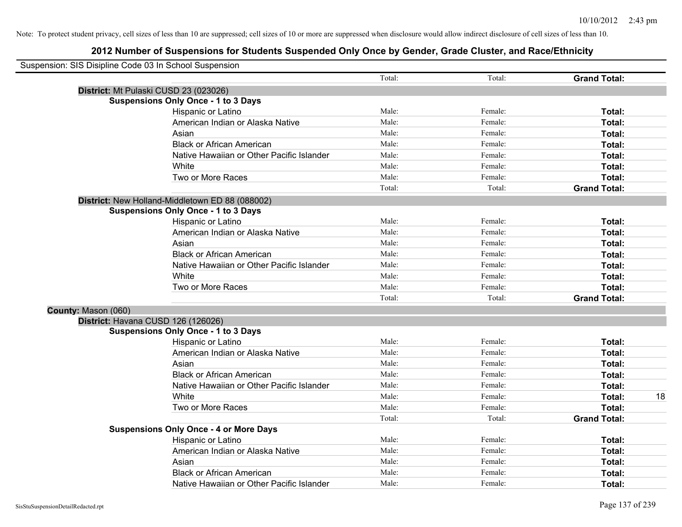| Suspension: SIS Disipline Code 03 In School Suspension |                                                 |        |         |                     |    |
|--------------------------------------------------------|-------------------------------------------------|--------|---------|---------------------|----|
|                                                        |                                                 | Total: | Total:  | <b>Grand Total:</b> |    |
| District: Mt Pulaski CUSD 23 (023026)                  |                                                 |        |         |                     |    |
|                                                        | <b>Suspensions Only Once - 1 to 3 Days</b>      |        |         |                     |    |
|                                                        | Hispanic or Latino                              | Male:  | Female: | Total:              |    |
|                                                        | American Indian or Alaska Native                | Male:  | Female: | Total:              |    |
|                                                        | Asian                                           | Male:  | Female: | Total:              |    |
|                                                        | <b>Black or African American</b>                | Male:  | Female: | Total:              |    |
|                                                        | Native Hawaiian or Other Pacific Islander       | Male:  | Female: | Total:              |    |
|                                                        | White                                           | Male:  | Female: | Total:              |    |
|                                                        | Two or More Races                               | Male:  | Female: | Total:              |    |
|                                                        |                                                 | Total: | Total:  | <b>Grand Total:</b> |    |
|                                                        | District: New Holland-Middletown ED 88 (088002) |        |         |                     |    |
|                                                        | <b>Suspensions Only Once - 1 to 3 Days</b>      |        |         |                     |    |
|                                                        | Hispanic or Latino                              | Male:  | Female: | Total:              |    |
|                                                        | American Indian or Alaska Native                | Male:  | Female: | Total:              |    |
|                                                        | Asian                                           | Male:  | Female: | Total:              |    |
|                                                        | <b>Black or African American</b>                | Male:  | Female: | Total:              |    |
|                                                        | Native Hawaiian or Other Pacific Islander       | Male:  | Female: | Total:              |    |
|                                                        | White                                           | Male:  | Female: | Total:              |    |
|                                                        | Two or More Races                               | Male:  | Female: | Total:              |    |
|                                                        |                                                 | Total: | Total:  | <b>Grand Total:</b> |    |
| County: Mason (060)                                    |                                                 |        |         |                     |    |
| District: Havana CUSD 126 (126026)                     |                                                 |        |         |                     |    |
|                                                        | <b>Suspensions Only Once - 1 to 3 Days</b>      |        |         |                     |    |
|                                                        | Hispanic or Latino                              | Male:  | Female: | Total:              |    |
|                                                        | American Indian or Alaska Native                | Male:  | Female: | Total:              |    |
|                                                        | Asian                                           | Male:  | Female: | Total:              |    |
|                                                        | <b>Black or African American</b>                | Male:  | Female: | Total:              |    |
|                                                        | Native Hawaiian or Other Pacific Islander       | Male:  | Female: | Total:              |    |
|                                                        | <b>White</b>                                    | Male:  | Female: | Total:              | 18 |
|                                                        | Two or More Races                               | Male:  | Female: | Total:              |    |
|                                                        |                                                 | Total: | Total:  | <b>Grand Total:</b> |    |
|                                                        | <b>Suspensions Only Once - 4 or More Days</b>   |        |         |                     |    |
|                                                        | Hispanic or Latino                              | Male:  | Female: | Total:              |    |
|                                                        | American Indian or Alaska Native                | Male:  | Female: | Total:              |    |
|                                                        | Asian                                           | Male:  | Female: | Total:              |    |
|                                                        | <b>Black or African American</b>                | Male:  | Female: | Total:              |    |
|                                                        | Native Hawaiian or Other Pacific Islander       | Male:  | Female: | Total:              |    |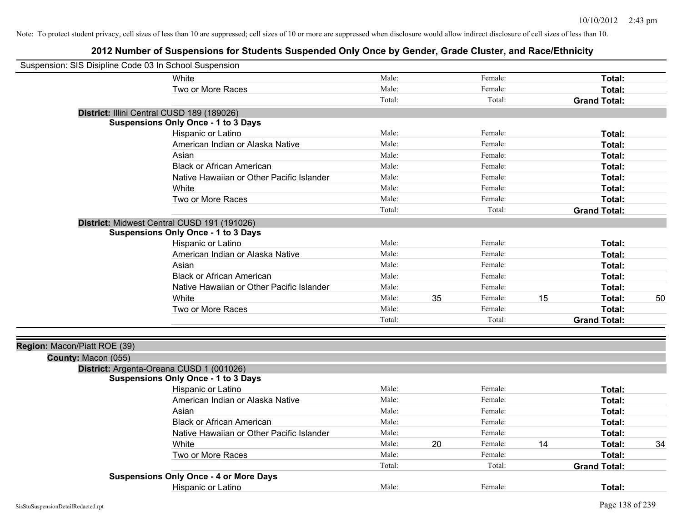| Suspension: SIS Disipline Code 03 In School Suspension |                                               |        |    |         |    |                     |    |
|--------------------------------------------------------|-----------------------------------------------|--------|----|---------|----|---------------------|----|
|                                                        | White                                         | Male:  |    | Female: |    | Total:              |    |
|                                                        | Two or More Races                             | Male:  |    | Female: |    | Total:              |    |
|                                                        |                                               | Total: |    | Total:  |    | <b>Grand Total:</b> |    |
|                                                        | District: Illini Central CUSD 189 (189026)    |        |    |         |    |                     |    |
|                                                        | <b>Suspensions Only Once - 1 to 3 Days</b>    |        |    |         |    |                     |    |
|                                                        | Hispanic or Latino                            | Male:  |    | Female: |    | Total:              |    |
|                                                        | American Indian or Alaska Native              | Male:  |    | Female: |    | Total:              |    |
|                                                        | Asian                                         | Male:  |    | Female: |    | Total:              |    |
|                                                        | <b>Black or African American</b>              | Male:  |    | Female: |    | Total:              |    |
|                                                        | Native Hawaiian or Other Pacific Islander     | Male:  |    | Female: |    | Total:              |    |
|                                                        | White                                         | Male:  |    | Female: |    | Total:              |    |
|                                                        | Two or More Races                             | Male:  |    | Female: |    | <b>Total:</b>       |    |
|                                                        |                                               | Total: |    | Total:  |    | <b>Grand Total:</b> |    |
|                                                        | District: Midwest Central CUSD 191 (191026)   |        |    |         |    |                     |    |
|                                                        | <b>Suspensions Only Once - 1 to 3 Days</b>    |        |    |         |    |                     |    |
|                                                        | Hispanic or Latino                            | Male:  |    | Female: |    | Total:              |    |
|                                                        | American Indian or Alaska Native              | Male:  |    | Female: |    | <b>Total:</b>       |    |
|                                                        | Asian                                         | Male:  |    | Female: |    | Total:              |    |
|                                                        | <b>Black or African American</b>              | Male:  |    | Female: |    | Total:              |    |
|                                                        | Native Hawaiian or Other Pacific Islander     | Male:  |    | Female: |    | Total:              |    |
|                                                        | White                                         | Male:  | 35 | Female: | 15 | Total:              | 50 |
|                                                        | Two or More Races                             | Male:  |    | Female: |    | Total:              |    |
|                                                        |                                               | Total: |    | Total:  |    | <b>Grand Total:</b> |    |
| Region: Macon/Piatt ROE (39)                           |                                               |        |    |         |    |                     |    |
| County: Macon (055)                                    |                                               |        |    |         |    |                     |    |
|                                                        | District: Argenta-Oreana CUSD 1 (001026)      |        |    |         |    |                     |    |
|                                                        | <b>Suspensions Only Once - 1 to 3 Days</b>    |        |    |         |    |                     |    |
|                                                        | Hispanic or Latino                            | Male:  |    | Female: |    | Total:              |    |
|                                                        | American Indian or Alaska Native              | Male:  |    | Female: |    | <b>Total:</b>       |    |
|                                                        | Asian                                         | Male:  |    | Female: |    | Total:              |    |
|                                                        | <b>Black or African American</b>              | Male:  |    | Female: |    | Total:              |    |
|                                                        | Native Hawaiian or Other Pacific Islander     | Male:  |    | Female: |    | Total:              |    |
|                                                        | White                                         | Male:  | 20 | Female: | 14 | Total:              | 34 |
|                                                        | Two or More Races                             | Male:  |    | Female: |    | <b>Total:</b>       |    |
|                                                        |                                               | Total: |    | Total:  |    | <b>Grand Total:</b> |    |
|                                                        | <b>Suspensions Only Once - 4 or More Days</b> |        |    |         |    |                     |    |
|                                                        | Hispanic or Latino                            | Male:  |    | Female: |    | Total:              |    |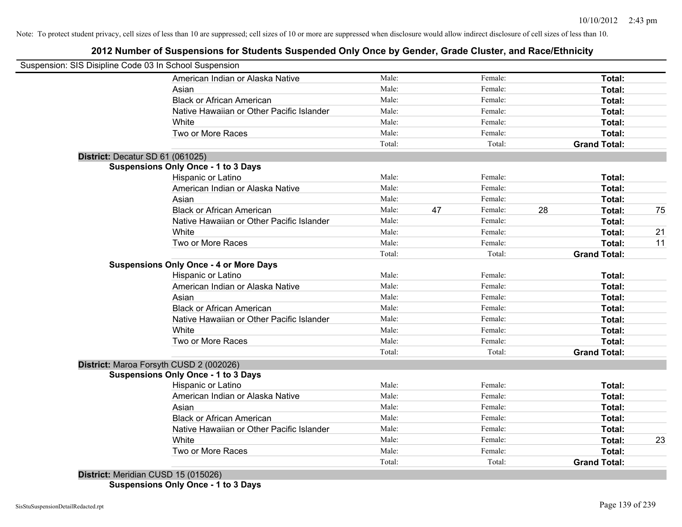# **2012 Number of Suspensions for Students Suspended Only Once by Gender, Grade Cluster, and Race/Ethnicity**

|                                  | Suspension: SIS Disipline Code 03 In School Suspension |        |    |         |    |                     |    |
|----------------------------------|--------------------------------------------------------|--------|----|---------|----|---------------------|----|
|                                  | American Indian or Alaska Native                       | Male:  |    | Female: |    | Total:              |    |
|                                  | Asian                                                  | Male:  |    | Female: |    | Total:              |    |
|                                  | <b>Black or African American</b>                       | Male:  |    | Female: |    | Total:              |    |
|                                  | Native Hawaiian or Other Pacific Islander              | Male:  |    | Female: |    | Total:              |    |
|                                  | White                                                  | Male:  |    | Female: |    | Total:              |    |
|                                  | Two or More Races                                      | Male:  |    | Female: |    | Total:              |    |
|                                  |                                                        | Total: |    | Total:  |    | <b>Grand Total:</b> |    |
| District: Decatur SD 61 (061025) |                                                        |        |    |         |    |                     |    |
|                                  | <b>Suspensions Only Once - 1 to 3 Days</b>             |        |    |         |    |                     |    |
|                                  | Hispanic or Latino                                     | Male:  |    | Female: |    | Total:              |    |
|                                  | American Indian or Alaska Native                       | Male:  |    | Female: |    | Total:              |    |
|                                  | Asian                                                  | Male:  |    | Female: |    | Total:              |    |
|                                  | <b>Black or African American</b>                       | Male:  | 47 | Female: | 28 | Total:              | 75 |
|                                  | Native Hawaiian or Other Pacific Islander              | Male:  |    | Female: |    | Total:              |    |
|                                  | White                                                  | Male:  |    | Female: |    | Total:              | 21 |
|                                  | Two or More Races                                      | Male:  |    | Female: |    | Total:              | 11 |
|                                  |                                                        | Total: |    | Total:  |    | <b>Grand Total:</b> |    |
|                                  | <b>Suspensions Only Once - 4 or More Days</b>          |        |    |         |    |                     |    |
|                                  | Hispanic or Latino                                     | Male:  |    | Female: |    | Total:              |    |
|                                  | American Indian or Alaska Native                       | Male:  |    | Female: |    | Total:              |    |
|                                  | Asian                                                  | Male:  |    | Female: |    | Total:              |    |
|                                  | <b>Black or African American</b>                       | Male:  |    | Female: |    | Total:              |    |
|                                  | Native Hawaiian or Other Pacific Islander              | Male:  |    | Female: |    | Total:              |    |
|                                  | White                                                  | Male:  |    | Female: |    | Total:              |    |
|                                  | Two or More Races                                      | Male:  |    | Female: |    | Total:              |    |
|                                  |                                                        | Total: |    | Total:  |    | <b>Grand Total:</b> |    |
|                                  | District: Maroa Forsyth CUSD 2 (002026)                |        |    |         |    |                     |    |
|                                  | <b>Suspensions Only Once - 1 to 3 Days</b>             |        |    |         |    |                     |    |
|                                  | Hispanic or Latino                                     | Male:  |    | Female: |    | Total:              |    |
|                                  | American Indian or Alaska Native                       | Male:  |    | Female: |    | Total:              |    |
|                                  | Asian                                                  | Male:  |    | Female: |    | Total:              |    |
|                                  | <b>Black or African American</b>                       | Male:  |    | Female: |    | Total:              |    |
|                                  | Native Hawaiian or Other Pacific Islander              | Male:  |    | Female: |    | Total:              |    |
|                                  | White                                                  | Male:  |    | Female: |    | Total:              | 23 |
|                                  | Two or More Races                                      | Male:  |    | Female: |    | Total:              |    |
|                                  |                                                        | Total: |    | Total:  |    | <b>Grand Total:</b> |    |

**Suspensions Only Once - 1 to 3 Days**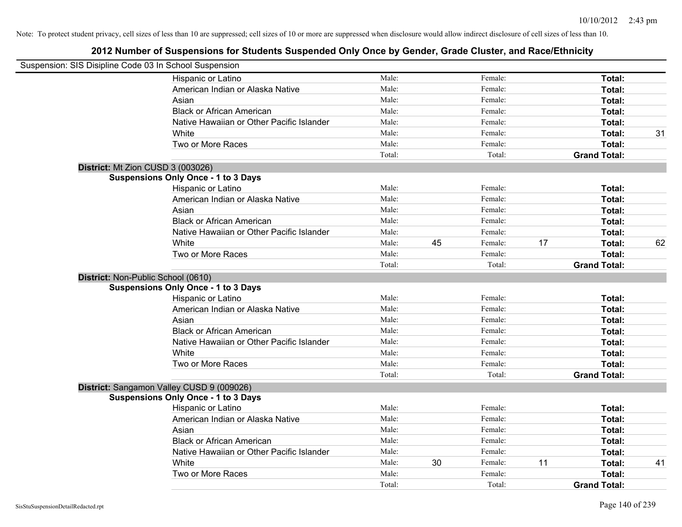| Suspension: SIS Disipline Code 03 In School Suspension |                                            |        |    |         |    |                     |    |
|--------------------------------------------------------|--------------------------------------------|--------|----|---------|----|---------------------|----|
|                                                        | Hispanic or Latino                         | Male:  |    | Female: |    | Total:              |    |
|                                                        | American Indian or Alaska Native           | Male:  |    | Female: |    | Total:              |    |
|                                                        | Asian                                      | Male:  |    | Female: |    | Total:              |    |
|                                                        | <b>Black or African American</b>           | Male:  |    | Female: |    | Total:              |    |
|                                                        | Native Hawaiian or Other Pacific Islander  | Male:  |    | Female: |    | Total:              |    |
|                                                        | White                                      | Male:  |    | Female: |    | Total:              | 31 |
|                                                        | Two or More Races                          | Male:  |    | Female: |    | Total:              |    |
|                                                        |                                            | Total: |    | Total:  |    | <b>Grand Total:</b> |    |
| District: Mt Zion CUSD 3 (003026)                      |                                            |        |    |         |    |                     |    |
|                                                        | <b>Suspensions Only Once - 1 to 3 Days</b> |        |    |         |    |                     |    |
|                                                        | Hispanic or Latino                         | Male:  |    | Female: |    | Total:              |    |
|                                                        | American Indian or Alaska Native           | Male:  |    | Female: |    | Total:              |    |
|                                                        | Asian                                      | Male:  |    | Female: |    | Total:              |    |
|                                                        | <b>Black or African American</b>           | Male:  |    | Female: |    | Total:              |    |
|                                                        | Native Hawaiian or Other Pacific Islander  | Male:  |    | Female: |    | Total:              |    |
|                                                        | White                                      | Male:  | 45 | Female: | 17 | Total:              | 62 |
|                                                        | Two or More Races                          | Male:  |    | Female: |    | Total:              |    |
|                                                        |                                            | Total: |    | Total:  |    | <b>Grand Total:</b> |    |
| District: Non-Public School (0610)                     |                                            |        |    |         |    |                     |    |
|                                                        | <b>Suspensions Only Once - 1 to 3 Days</b> |        |    |         |    |                     |    |
|                                                        | Hispanic or Latino                         | Male:  |    | Female: |    | Total:              |    |
|                                                        | American Indian or Alaska Native           | Male:  |    | Female: |    | Total:              |    |
|                                                        | Asian                                      | Male:  |    | Female: |    | Total:              |    |
|                                                        | <b>Black or African American</b>           | Male:  |    | Female: |    | Total:              |    |
|                                                        | Native Hawaiian or Other Pacific Islander  | Male:  |    | Female: |    | Total:              |    |
|                                                        | White                                      | Male:  |    | Female: |    | Total:              |    |
|                                                        | Two or More Races                          | Male:  |    | Female: |    | Total:              |    |
|                                                        |                                            | Total: |    | Total:  |    | <b>Grand Total:</b> |    |
|                                                        | District: Sangamon Valley CUSD 9 (009026)  |        |    |         |    |                     |    |
|                                                        | <b>Suspensions Only Once - 1 to 3 Days</b> |        |    |         |    |                     |    |
|                                                        | Hispanic or Latino                         | Male:  |    | Female: |    | Total:              |    |
|                                                        | American Indian or Alaska Native           | Male:  |    | Female: |    | Total:              |    |
|                                                        | Asian                                      | Male:  |    | Female: |    | Total:              |    |
|                                                        | <b>Black or African American</b>           | Male:  |    | Female: |    | Total:              |    |
|                                                        | Native Hawaiian or Other Pacific Islander  | Male:  |    | Female: |    | Total:              |    |
|                                                        | White                                      | Male:  | 30 | Female: | 11 | Total:              | 41 |
|                                                        | Two or More Races                          | Male:  |    | Female: |    | Total:              |    |
|                                                        |                                            | Total: |    | Total:  |    | <b>Grand Total:</b> |    |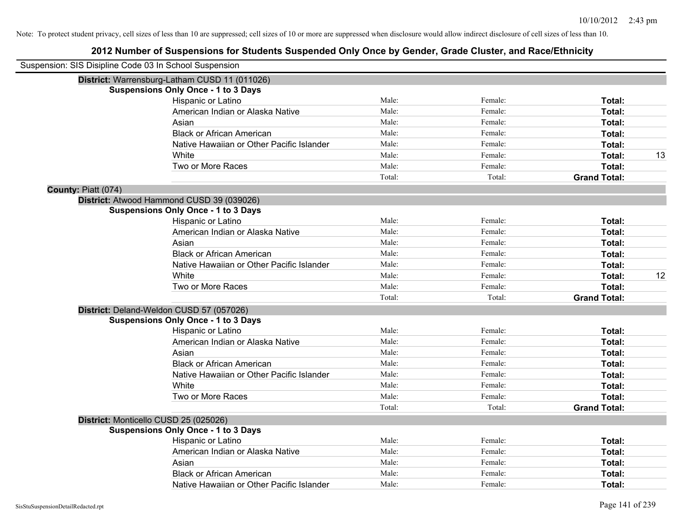| Suspension: SIS Disipline Code 03 In School Suspension |                                               |        |         |                     |    |
|--------------------------------------------------------|-----------------------------------------------|--------|---------|---------------------|----|
|                                                        | District: Warrensburg-Latham CUSD 11 (011026) |        |         |                     |    |
|                                                        | <b>Suspensions Only Once - 1 to 3 Days</b>    |        |         |                     |    |
|                                                        | Hispanic or Latino                            | Male:  | Female: | Total:              |    |
|                                                        | American Indian or Alaska Native              | Male:  | Female: | Total:              |    |
|                                                        | Asian                                         | Male:  | Female: | Total:              |    |
|                                                        | <b>Black or African American</b>              | Male:  | Female: | Total:              |    |
|                                                        | Native Hawaiian or Other Pacific Islander     | Male:  | Female: | Total:              |    |
|                                                        | White                                         | Male:  | Female: | Total:              | 13 |
|                                                        | Two or More Races                             | Male:  | Female: | Total:              |    |
|                                                        |                                               | Total: | Total:  | <b>Grand Total:</b> |    |
| County: Piatt (074)                                    |                                               |        |         |                     |    |
|                                                        | District: Atwood Hammond CUSD 39 (039026)     |        |         |                     |    |
|                                                        | <b>Suspensions Only Once - 1 to 3 Days</b>    |        |         |                     |    |
|                                                        | Hispanic or Latino                            | Male:  | Female: | Total:              |    |
|                                                        | American Indian or Alaska Native              | Male:  | Female: | Total:              |    |
|                                                        | Asian                                         | Male:  | Female: | Total:              |    |
|                                                        | <b>Black or African American</b>              | Male:  | Female: | Total:              |    |
|                                                        | Native Hawaiian or Other Pacific Islander     | Male:  | Female: | Total:              |    |
|                                                        | White                                         | Male:  | Female: | Total:              | 12 |
|                                                        | Two or More Races                             | Male:  | Female: | Total:              |    |
|                                                        |                                               | Total: | Total:  | <b>Grand Total:</b> |    |
|                                                        | District: Deland-Weldon CUSD 57 (057026)      |        |         |                     |    |
|                                                        | <b>Suspensions Only Once - 1 to 3 Days</b>    |        |         |                     |    |
|                                                        | Hispanic or Latino                            | Male:  | Female: | Total:              |    |
|                                                        | American Indian or Alaska Native              | Male:  | Female: | Total:              |    |
|                                                        | Asian                                         | Male:  | Female: | Total:              |    |
|                                                        | <b>Black or African American</b>              | Male:  | Female: | Total:              |    |
|                                                        | Native Hawaiian or Other Pacific Islander     | Male:  | Female: | Total:              |    |
|                                                        | White                                         | Male:  | Female: | Total:              |    |
|                                                        | Two or More Races                             | Male:  | Female: | Total:              |    |
|                                                        |                                               | Total: | Total:  | <b>Grand Total:</b> |    |
|                                                        | District: Monticello CUSD 25 (025026)         |        |         |                     |    |
|                                                        | <b>Suspensions Only Once - 1 to 3 Days</b>    |        |         |                     |    |
|                                                        | Hispanic or Latino                            | Male:  | Female: | Total:              |    |
|                                                        | American Indian or Alaska Native              | Male:  | Female: | Total:              |    |
|                                                        | Asian                                         | Male:  | Female: | Total:              |    |
|                                                        | <b>Black or African American</b>              | Male:  | Female: | Total:              |    |
|                                                        | Native Hawaiian or Other Pacific Islander     | Male:  | Female: | Total:              |    |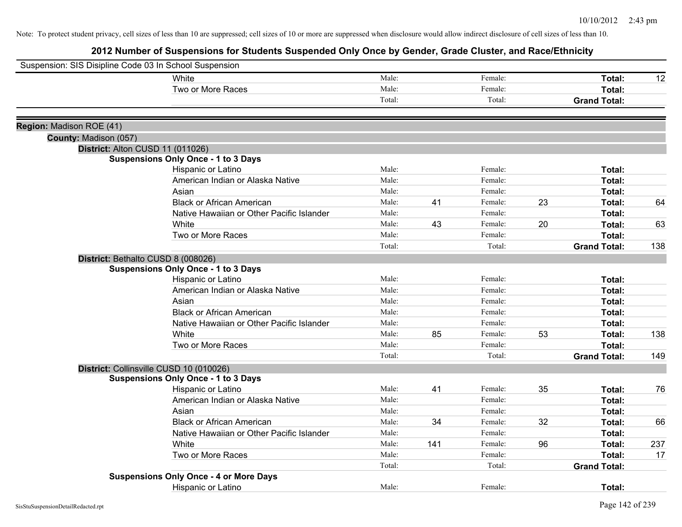| Suspension: SIS Disipline Code 03 In School Suspension |                                               |        |     |         |    |                     |     |
|--------------------------------------------------------|-----------------------------------------------|--------|-----|---------|----|---------------------|-----|
|                                                        | <b>White</b>                                  | Male:  |     | Female: |    | Total:              | 12  |
|                                                        | Two or More Races                             | Male:  |     | Female: |    | Total:              |     |
|                                                        |                                               | Total: |     | Total:  |    | <b>Grand Total:</b> |     |
| Region: Madison ROE (41)                               |                                               |        |     |         |    |                     |     |
| County: Madison (057)                                  |                                               |        |     |         |    |                     |     |
|                                                        | District: Alton CUSD 11 (011026)              |        |     |         |    |                     |     |
|                                                        | <b>Suspensions Only Once - 1 to 3 Days</b>    |        |     |         |    |                     |     |
|                                                        | Hispanic or Latino                            | Male:  |     | Female: |    | Total:              |     |
|                                                        | American Indian or Alaska Native              | Male:  |     | Female: |    | <b>Total:</b>       |     |
|                                                        | Asian                                         | Male:  |     | Female: |    | Total:              |     |
|                                                        | <b>Black or African American</b>              | Male:  | 41  | Female: | 23 | <b>Total:</b>       | 64  |
|                                                        | Native Hawaiian or Other Pacific Islander     | Male:  |     | Female: |    | Total:              |     |
|                                                        | White                                         | Male:  | 43  | Female: | 20 | Total:              | 63  |
|                                                        | Two or More Races                             | Male:  |     | Female: |    | <b>Total:</b>       |     |
|                                                        |                                               | Total: |     | Total:  |    | <b>Grand Total:</b> | 138 |
|                                                        | District: Bethalto CUSD 8 (008026)            |        |     |         |    |                     |     |
|                                                        | <b>Suspensions Only Once - 1 to 3 Days</b>    |        |     |         |    |                     |     |
|                                                        | Hispanic or Latino                            | Male:  |     | Female: |    | <b>Total:</b>       |     |
|                                                        | American Indian or Alaska Native              | Male:  |     | Female: |    | Total:              |     |
|                                                        | Asian                                         | Male:  |     | Female: |    | <b>Total:</b>       |     |
|                                                        | <b>Black or African American</b>              | Male:  |     | Female: |    | Total:              |     |
|                                                        | Native Hawaiian or Other Pacific Islander     | Male:  |     | Female: |    | Total:              |     |
|                                                        | White                                         | Male:  | 85  | Female: | 53 | <b>Total:</b>       | 138 |
|                                                        | Two or More Races                             | Male:  |     | Female: |    | <b>Total:</b>       |     |
|                                                        |                                               | Total: |     | Total:  |    | <b>Grand Total:</b> | 149 |
|                                                        | District: Collinsville CUSD 10 (010026)       |        |     |         |    |                     |     |
|                                                        | <b>Suspensions Only Once - 1 to 3 Days</b>    |        |     |         |    |                     |     |
|                                                        | Hispanic or Latino                            | Male:  | 41  | Female: | 35 | Total:              | 76  |
|                                                        | American Indian or Alaska Native              | Male:  |     | Female: |    | <b>Total:</b>       |     |
|                                                        | Asian                                         | Male:  |     | Female: |    | <b>Total:</b>       |     |
|                                                        | <b>Black or African American</b>              | Male:  | 34  | Female: | 32 | Total:              | 66  |
|                                                        | Native Hawaiian or Other Pacific Islander     | Male:  |     | Female: |    | Total:              |     |
|                                                        | White                                         | Male:  | 141 | Female: | 96 | Total:              | 237 |
|                                                        | Two or More Races                             | Male:  |     | Female: |    | <b>Total:</b>       | 17  |
|                                                        |                                               | Total: |     | Total:  |    | <b>Grand Total:</b> |     |
|                                                        | <b>Suspensions Only Once - 4 or More Days</b> |        |     |         |    |                     |     |
|                                                        | Hispanic or Latino                            | Male:  |     | Female: |    | Total:              |     |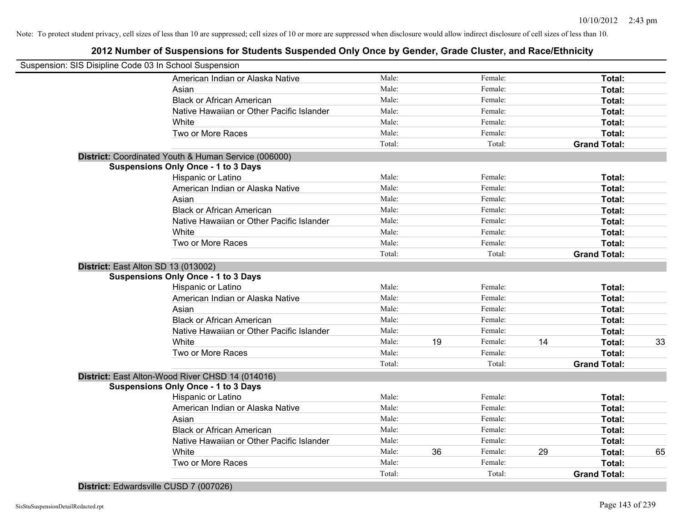# **2012 Number of Suspensions for Students Suspended Only Once by Gender, Grade Cluster, and Race/Ethnicity**

|                                     | Suspension: SIS Disipline Code 03 In School Suspension |        |    |         |    |                     |    |
|-------------------------------------|--------------------------------------------------------|--------|----|---------|----|---------------------|----|
|                                     | American Indian or Alaska Native                       | Male:  |    | Female: |    | Total:              |    |
|                                     | Asian                                                  | Male:  |    | Female: |    | Total:              |    |
|                                     | <b>Black or African American</b>                       | Male:  |    | Female: |    | Total:              |    |
|                                     | Native Hawaiian or Other Pacific Islander              | Male:  |    | Female: |    | Total:              |    |
|                                     | White                                                  | Male:  |    | Female: |    | Total:              |    |
|                                     | Two or More Races                                      | Male:  |    | Female: |    | Total:              |    |
|                                     |                                                        | Total: |    | Total:  |    | <b>Grand Total:</b> |    |
|                                     | District: Coordinated Youth & Human Service (006000)   |        |    |         |    |                     |    |
|                                     | <b>Suspensions Only Once - 1 to 3 Days</b>             |        |    |         |    |                     |    |
|                                     | Hispanic or Latino                                     | Male:  |    | Female: |    | Total:              |    |
|                                     | American Indian or Alaska Native                       | Male:  |    | Female: |    | Total:              |    |
|                                     | Asian                                                  | Male:  |    | Female: |    | Total:              |    |
|                                     | <b>Black or African American</b>                       | Male:  |    | Female: |    | Total:              |    |
|                                     | Native Hawaiian or Other Pacific Islander              | Male:  |    | Female: |    | Total:              |    |
|                                     | White                                                  | Male:  |    | Female: |    | Total:              |    |
|                                     | Two or More Races                                      | Male:  |    | Female: |    | Total:              |    |
|                                     |                                                        | Total: |    | Total:  |    | <b>Grand Total:</b> |    |
| District: East Alton SD 13 (013002) |                                                        |        |    |         |    |                     |    |
|                                     | <b>Suspensions Only Once - 1 to 3 Days</b>             |        |    |         |    |                     |    |
|                                     | Hispanic or Latino                                     | Male:  |    | Female: |    | Total:              |    |
|                                     | American Indian or Alaska Native                       | Male:  |    | Female: |    | Total:              |    |
|                                     | Asian                                                  | Male:  |    | Female: |    | Total:              |    |
|                                     | <b>Black or African American</b>                       | Male:  |    | Female: |    | Total:              |    |
|                                     | Native Hawaiian or Other Pacific Islander              | Male:  |    | Female: |    | Total:              |    |
|                                     | White                                                  | Male:  | 19 | Female: | 14 | Total:              | 33 |
|                                     | Two or More Races                                      | Male:  |    | Female: |    | <b>Total:</b>       |    |
|                                     |                                                        | Total: |    | Total:  |    | <b>Grand Total:</b> |    |
|                                     | District: East Alton-Wood River CHSD 14 (014016)       |        |    |         |    |                     |    |
|                                     | <b>Suspensions Only Once - 1 to 3 Days</b>             |        |    |         |    |                     |    |
|                                     | Hispanic or Latino                                     | Male:  |    | Female: |    | Total:              |    |
|                                     | American Indian or Alaska Native                       | Male:  |    | Female: |    | Total:              |    |
|                                     | Asian                                                  | Male:  |    | Female: |    | Total:              |    |
|                                     | <b>Black or African American</b>                       | Male:  |    | Female: |    | Total:              |    |
|                                     | Native Hawaiian or Other Pacific Islander              | Male:  |    | Female: |    | Total:              |    |
|                                     | White                                                  | Male:  | 36 | Female: | 29 | Total:              | 65 |
|                                     | Two or More Races                                      | Male:  |    | Female: |    | <b>Total:</b>       |    |
|                                     |                                                        | Total: |    | Total:  |    | <b>Grand Total:</b> |    |

**District:** Edwardsville CUSD 7 (007026)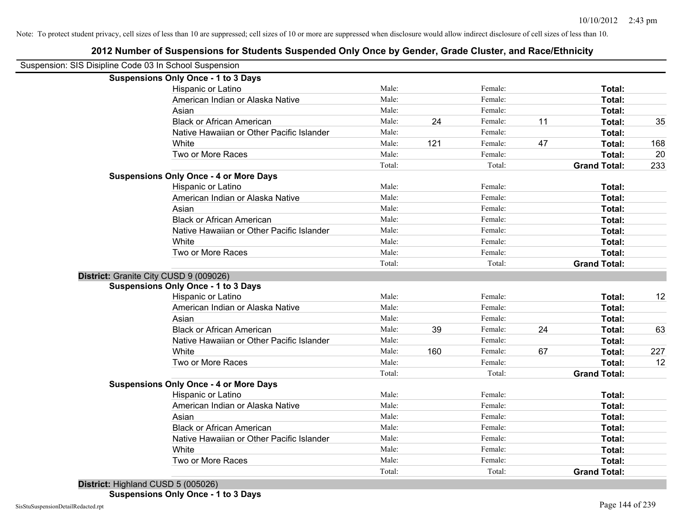| Suspension: SIS Disipline Code 03 In School Suspension |        |     |         |    |                     |     |
|--------------------------------------------------------|--------|-----|---------|----|---------------------|-----|
| <b>Suspensions Only Once - 1 to 3 Days</b>             |        |     |         |    |                     |     |
| Hispanic or Latino                                     | Male:  |     | Female: |    | Total:              |     |
| American Indian or Alaska Native                       | Male:  |     | Female: |    | Total:              |     |
| Asian                                                  | Male:  |     | Female: |    | Total:              |     |
| <b>Black or African American</b>                       | Male:  | 24  | Female: | 11 | Total:              | 35  |
| Native Hawaiian or Other Pacific Islander              | Male:  |     | Female: |    | Total:              |     |
| White                                                  | Male:  | 121 | Female: | 47 | Total:              | 168 |
| Two or More Races                                      | Male:  |     | Female: |    | Total:              | 20  |
|                                                        | Total: |     | Total:  |    | <b>Grand Total:</b> | 233 |
| <b>Suspensions Only Once - 4 or More Days</b>          |        |     |         |    |                     |     |
| Hispanic or Latino                                     | Male:  |     | Female: |    | Total:              |     |
| American Indian or Alaska Native                       | Male:  |     | Female: |    | Total:              |     |
| Asian                                                  | Male:  |     | Female: |    | Total:              |     |
| <b>Black or African American</b>                       | Male:  |     | Female: |    | Total:              |     |
| Native Hawaiian or Other Pacific Islander              | Male:  |     | Female: |    | Total:              |     |
| White                                                  | Male:  |     | Female: |    | Total:              |     |
| Two or More Races                                      | Male:  |     | Female: |    | Total:              |     |
|                                                        | Total: |     | Total:  |    | <b>Grand Total:</b> |     |
| District: Granite City CUSD 9 (009026)                 |        |     |         |    |                     |     |
| <b>Suspensions Only Once - 1 to 3 Days</b>             |        |     |         |    |                     |     |
| Hispanic or Latino                                     | Male:  |     | Female: |    | Total:              | 12  |
| American Indian or Alaska Native                       | Male:  |     | Female: |    | Total:              |     |
| Asian                                                  | Male:  |     | Female: |    | Total:              |     |
| <b>Black or African American</b>                       | Male:  | 39  | Female: | 24 | Total:              | 63  |
| Native Hawaiian or Other Pacific Islander              | Male:  |     | Female: |    | Total:              |     |
| White                                                  | Male:  | 160 | Female: | 67 | Total:              | 227 |
| Two or More Races                                      | Male:  |     | Female: |    | Total:              | 12  |
|                                                        | Total: |     | Total:  |    | <b>Grand Total:</b> |     |
| <b>Suspensions Only Once - 4 or More Days</b>          |        |     |         |    |                     |     |
| Hispanic or Latino                                     | Male:  |     | Female: |    | Total:              |     |
| American Indian or Alaska Native                       | Male:  |     | Female: |    | Total:              |     |
| Asian                                                  | Male:  |     | Female: |    | Total:              |     |
| <b>Black or African American</b>                       | Male:  |     | Female: |    | Total:              |     |
| Native Hawaiian or Other Pacific Islander              | Male:  |     | Female: |    | Total:              |     |
| White                                                  | Male:  |     | Female: |    | Total:              |     |

Two or More Races **Total:** Male: Female: **Total: Total: Total: Total: Total: Total: Total: Total: Total: Total: Total: Constant Potal: Total: Total: Total: Constant Potal: Constant Potal:**

Total: Total: **Grand Total:**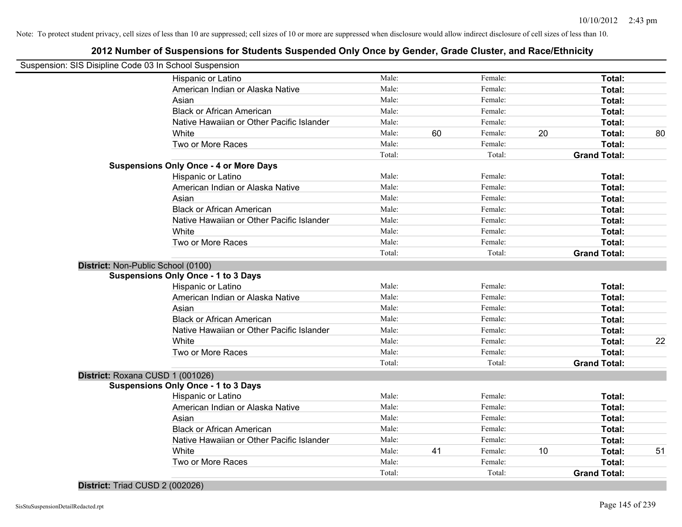## **2012 Number of Suspensions for Students Suspended Only Once by Gender, Grade Cluster, and Race/Ethnicity**

| Suspension: SIS Disipline Code 03 In School Suspension |        |    |         |    |                     |    |
|--------------------------------------------------------|--------|----|---------|----|---------------------|----|
| Hispanic or Latino                                     | Male:  |    | Female: |    | Total:              |    |
| American Indian or Alaska Native                       | Male:  |    | Female: |    | Total:              |    |
| Asian                                                  | Male:  |    | Female: |    | Total:              |    |
| <b>Black or African American</b>                       | Male:  |    | Female: |    | Total:              |    |
| Native Hawaiian or Other Pacific Islander              | Male:  |    | Female: |    | Total:              |    |
| White                                                  | Male:  | 60 | Female: | 20 | Total:              | 80 |
| Two or More Races                                      | Male:  |    | Female: |    | Total:              |    |
|                                                        | Total: |    | Total:  |    | <b>Grand Total:</b> |    |
| <b>Suspensions Only Once - 4 or More Days</b>          |        |    |         |    |                     |    |
| Hispanic or Latino                                     | Male:  |    | Female: |    | Total:              |    |
| American Indian or Alaska Native                       | Male:  |    | Female: |    | Total:              |    |
| Asian                                                  | Male:  |    | Female: |    | Total:              |    |
| <b>Black or African American</b>                       | Male:  |    | Female: |    | Total:              |    |
| Native Hawaiian or Other Pacific Islander              | Male:  |    | Female: |    | Total:              |    |
| White                                                  | Male:  |    | Female: |    | Total:              |    |
| Two or More Races                                      | Male:  |    | Female: |    | Total:              |    |
|                                                        | Total: |    | Total:  |    | <b>Grand Total:</b> |    |
| District: Non-Public School (0100)                     |        |    |         |    |                     |    |
| <b>Suspensions Only Once - 1 to 3 Days</b>             |        |    |         |    |                     |    |
| Hispanic or Latino                                     | Male:  |    | Female: |    | Total:              |    |
| American Indian or Alaska Native                       | Male:  |    | Female: |    | Total:              |    |
| Asian                                                  | Male:  |    | Female: |    | Total:              |    |
| <b>Black or African American</b>                       | Male:  |    | Female: |    | Total:              |    |
| Native Hawaiian or Other Pacific Islander              | Male:  |    | Female: |    | Total:              |    |
| White                                                  | Male:  |    | Female: |    | Total:              | 22 |
| Two or More Races                                      | Male:  |    | Female: |    | Total:              |    |
|                                                        | Total: |    | Total:  |    | <b>Grand Total:</b> |    |
| District: Roxana CUSD 1 (001026)                       |        |    |         |    |                     |    |
| <b>Suspensions Only Once - 1 to 3 Days</b>             |        |    |         |    |                     |    |
| Hispanic or Latino                                     | Male:  |    | Female: |    | Total:              |    |
| American Indian or Alaska Native                       | Male:  |    | Female: |    | Total:              |    |
| Asian                                                  | Male:  |    | Female: |    | Total:              |    |
| <b>Black or African American</b>                       | Male:  |    | Female: |    | Total:              |    |
| Native Hawaiian or Other Pacific Islander              | Male:  |    | Female: |    | Total:              |    |
| White                                                  | Male:  | 41 | Female: | 10 | Total:              | 51 |
| Two or More Races                                      | Male:  |    | Female: |    | Total:              |    |
|                                                        | Total: |    | Total:  |    | <b>Grand Total:</b> |    |

**District:** Triad CUSD 2 (002026)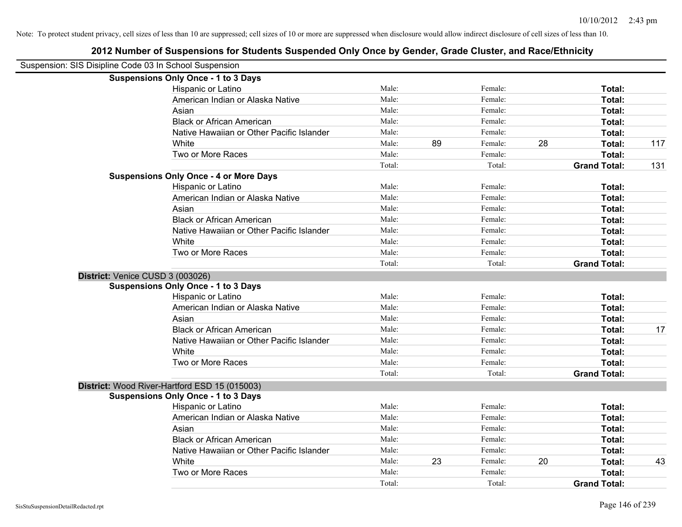| Suspension: SIS Disipline Code 03 In School Suspension |                                               |        |    |         |    |                     |     |
|--------------------------------------------------------|-----------------------------------------------|--------|----|---------|----|---------------------|-----|
|                                                        | <b>Suspensions Only Once - 1 to 3 Days</b>    |        |    |         |    |                     |     |
|                                                        | Hispanic or Latino                            | Male:  |    | Female: |    | Total:              |     |
|                                                        | American Indian or Alaska Native              | Male:  |    | Female: |    | Total:              |     |
|                                                        | Asian                                         | Male:  |    | Female: |    | Total:              |     |
|                                                        | <b>Black or African American</b>              | Male:  |    | Female: |    | Total:              |     |
|                                                        | Native Hawaiian or Other Pacific Islander     | Male:  |    | Female: |    | Total:              |     |
|                                                        | White                                         | Male:  | 89 | Female: | 28 | Total:              | 117 |
|                                                        | Two or More Races                             | Male:  |    | Female: |    | Total:              |     |
|                                                        |                                               | Total: |    | Total:  |    | <b>Grand Total:</b> | 131 |
|                                                        | <b>Suspensions Only Once - 4 or More Days</b> |        |    |         |    |                     |     |
|                                                        | Hispanic or Latino                            | Male:  |    | Female: |    | Total:              |     |
|                                                        | American Indian or Alaska Native              | Male:  |    | Female: |    | Total:              |     |
|                                                        | Asian                                         | Male:  |    | Female: |    | Total:              |     |
|                                                        | <b>Black or African American</b>              | Male:  |    | Female: |    | Total:              |     |
|                                                        | Native Hawaiian or Other Pacific Islander     | Male:  |    | Female: |    | Total:              |     |
|                                                        | White                                         | Male:  |    | Female: |    | Total:              |     |
|                                                        | Two or More Races                             | Male:  |    | Female: |    | Total:              |     |
|                                                        |                                               | Total: |    | Total:  |    | <b>Grand Total:</b> |     |
| District: Venice CUSD 3 (003026)                       |                                               |        |    |         |    |                     |     |
|                                                        | <b>Suspensions Only Once - 1 to 3 Days</b>    |        |    |         |    |                     |     |
|                                                        | Hispanic or Latino                            | Male:  |    | Female: |    | Total:              |     |
|                                                        | American Indian or Alaska Native              | Male:  |    | Female: |    | Total:              |     |
|                                                        | Asian                                         | Male:  |    | Female: |    | Total:              |     |
|                                                        | <b>Black or African American</b>              | Male:  |    | Female: |    | Total:              | 17  |
|                                                        | Native Hawaiian or Other Pacific Islander     | Male:  |    | Female: |    | Total:              |     |
|                                                        | White                                         | Male:  |    | Female: |    | Total:              |     |
|                                                        | Two or More Races                             | Male:  |    | Female: |    | Total:              |     |
|                                                        |                                               | Total: |    | Total:  |    | <b>Grand Total:</b> |     |
|                                                        | District: Wood River-Hartford ESD 15 (015003) |        |    |         |    |                     |     |
|                                                        | <b>Suspensions Only Once - 1 to 3 Days</b>    |        |    |         |    |                     |     |
|                                                        | Hispanic or Latino                            | Male:  |    | Female: |    | Total:              |     |
|                                                        | American Indian or Alaska Native              | Male:  |    | Female: |    | Total:              |     |
|                                                        | Asian                                         | Male:  |    | Female: |    | Total:              |     |
|                                                        | <b>Black or African American</b>              | Male:  |    | Female: |    | Total:              |     |
|                                                        | Native Hawaiian or Other Pacific Islander     | Male:  |    | Female: |    | Total:              |     |
|                                                        | White                                         | Male:  | 23 | Female: | 20 | Total:              | 43  |
|                                                        | Two or More Races                             | Male:  |    | Female: |    | <b>Total:</b>       |     |
|                                                        |                                               | Total: |    | Total:  |    | <b>Grand Total:</b> |     |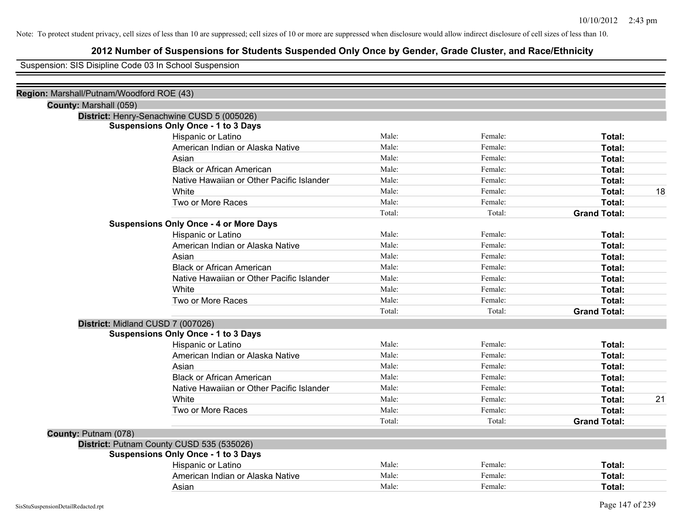## **2012 Number of Suspensions for Students Suspended Only Once by Gender, Grade Cluster, and Race/Ethnicity**

Suspension: SIS Disipline Code 03 In School Suspension

| Region: Marshall/Putnam/Woodford ROE (43) |                                               |        |         |                     |    |
|-------------------------------------------|-----------------------------------------------|--------|---------|---------------------|----|
| County: Marshall (059)                    |                                               |        |         |                     |    |
|                                           | District: Henry-Senachwine CUSD 5 (005026)    |        |         |                     |    |
|                                           | <b>Suspensions Only Once - 1 to 3 Days</b>    |        |         |                     |    |
|                                           | Hispanic or Latino                            | Male:  | Female: | Total:              |    |
|                                           | American Indian or Alaska Native              | Male:  | Female: | Total:              |    |
|                                           | Asian                                         | Male:  | Female: | Total:              |    |
|                                           | <b>Black or African American</b>              | Male:  | Female: | Total:              |    |
|                                           | Native Hawaiian or Other Pacific Islander     | Male:  | Female: | Total:              |    |
|                                           | White                                         | Male:  | Female: | Total:              | 18 |
|                                           | Two or More Races                             | Male:  | Female: | Total:              |    |
|                                           |                                               | Total: | Total:  | <b>Grand Total:</b> |    |
|                                           | <b>Suspensions Only Once - 4 or More Days</b> |        |         |                     |    |
|                                           | Hispanic or Latino                            | Male:  | Female: | Total:              |    |
|                                           | American Indian or Alaska Native              | Male:  | Female: | Total:              |    |
|                                           | Asian                                         | Male:  | Female: | Total:              |    |
|                                           | <b>Black or African American</b>              | Male:  | Female: | Total:              |    |
|                                           | Native Hawaiian or Other Pacific Islander     | Male:  | Female: | Total:              |    |
|                                           | White                                         | Male:  | Female: | Total:              |    |
|                                           | Two or More Races                             | Male:  | Female: | Total:              |    |
|                                           |                                               | Total: | Total:  | <b>Grand Total:</b> |    |
|                                           | District: Midland CUSD 7 (007026)             |        |         |                     |    |
|                                           | <b>Suspensions Only Once - 1 to 3 Days</b>    |        |         |                     |    |
|                                           | Hispanic or Latino                            | Male:  | Female: | Total:              |    |
|                                           | American Indian or Alaska Native              | Male:  | Female: | Total:              |    |
|                                           | Asian                                         | Male:  | Female: | Total:              |    |
|                                           | <b>Black or African American</b>              | Male:  | Female: | Total:              |    |
|                                           | Native Hawaiian or Other Pacific Islander     | Male:  | Female: | Total:              |    |
|                                           | White                                         | Male:  | Female: | Total:              | 21 |
|                                           | Two or More Races                             | Male:  | Female: | Total:              |    |
|                                           |                                               | Total: | Total:  | <b>Grand Total:</b> |    |
| County: Putnam (078)                      |                                               |        |         |                     |    |
|                                           | District: Putnam County CUSD 535 (535026)     |        |         |                     |    |
|                                           | <b>Suspensions Only Once - 1 to 3 Days</b>    |        |         |                     |    |
|                                           | Hispanic or Latino                            | Male:  | Female: | Total:              |    |
|                                           | American Indian or Alaska Native              | Male:  | Female: | Total:              |    |
|                                           | Asian                                         | Male:  | Female: | Total:              |    |
|                                           |                                               |        |         |                     |    |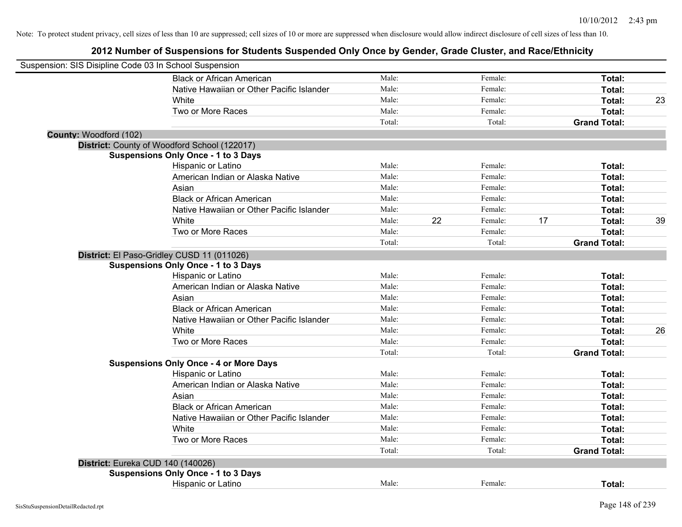| Suspension: SIS Disipline Code 03 In School Suspension |                                               |        |    |         |    |                     |    |
|--------------------------------------------------------|-----------------------------------------------|--------|----|---------|----|---------------------|----|
|                                                        | <b>Black or African American</b>              | Male:  |    | Female: |    | Total:              |    |
|                                                        | Native Hawaiian or Other Pacific Islander     | Male:  |    | Female: |    | Total:              |    |
|                                                        | White                                         | Male:  |    | Female: |    | <b>Total:</b>       | 23 |
|                                                        | Two or More Races                             | Male:  |    | Female: |    | Total:              |    |
|                                                        |                                               | Total: |    | Total:  |    | <b>Grand Total:</b> |    |
| County: Woodford (102)                                 |                                               |        |    |         |    |                     |    |
|                                                        | District: County of Woodford School (122017)  |        |    |         |    |                     |    |
|                                                        | <b>Suspensions Only Once - 1 to 3 Days</b>    |        |    |         |    |                     |    |
|                                                        | Hispanic or Latino                            | Male:  |    | Female: |    | Total:              |    |
|                                                        | American Indian or Alaska Native              | Male:  |    | Female: |    | Total:              |    |
|                                                        | Asian                                         | Male:  |    | Female: |    | Total:              |    |
|                                                        | <b>Black or African American</b>              | Male:  |    | Female: |    | Total:              |    |
|                                                        | Native Hawaiian or Other Pacific Islander     | Male:  |    | Female: |    | Total:              |    |
|                                                        | White                                         | Male:  | 22 | Female: | 17 | Total:              | 39 |
|                                                        | Two or More Races                             | Male:  |    | Female: |    | Total:              |    |
|                                                        |                                               | Total: |    | Total:  |    | <b>Grand Total:</b> |    |
|                                                        | District: El Paso-Gridley CUSD 11 (011026)    |        |    |         |    |                     |    |
|                                                        | <b>Suspensions Only Once - 1 to 3 Days</b>    |        |    |         |    |                     |    |
|                                                        | Hispanic or Latino                            | Male:  |    | Female: |    | Total:              |    |
|                                                        | American Indian or Alaska Native              | Male:  |    | Female: |    | Total:              |    |
|                                                        | Asian                                         | Male:  |    | Female: |    | Total:              |    |
|                                                        | <b>Black or African American</b>              | Male:  |    | Female: |    | Total:              |    |
|                                                        | Native Hawaiian or Other Pacific Islander     | Male:  |    | Female: |    | Total:              |    |
|                                                        | White                                         | Male:  |    | Female: |    | Total:              | 26 |
|                                                        | Two or More Races                             | Male:  |    | Female: |    | Total:              |    |
|                                                        |                                               | Total: |    | Total:  |    | <b>Grand Total:</b> |    |
|                                                        | <b>Suspensions Only Once - 4 or More Days</b> |        |    |         |    |                     |    |
|                                                        | Hispanic or Latino                            | Male:  |    | Female: |    | Total:              |    |
|                                                        | American Indian or Alaska Native              | Male:  |    | Female: |    | Total:              |    |
|                                                        | Asian                                         | Male:  |    | Female: |    | Total:              |    |
|                                                        | <b>Black or African American</b>              | Male:  |    | Female: |    | Total:              |    |
|                                                        | Native Hawaiian or Other Pacific Islander     | Male:  |    | Female: |    | Total:              |    |
|                                                        | White                                         | Male:  |    | Female: |    | Total:              |    |
|                                                        | Two or More Races                             | Male:  |    | Female: |    | Total:              |    |
|                                                        |                                               | Total: |    | Total:  |    | <b>Grand Total:</b> |    |
|                                                        | District: Eureka CUD 140 (140026)             |        |    |         |    |                     |    |
|                                                        | <b>Suspensions Only Once - 1 to 3 Days</b>    |        |    |         |    |                     |    |
|                                                        | Hispanic or Latino                            | Male:  |    | Female: |    | Total:              |    |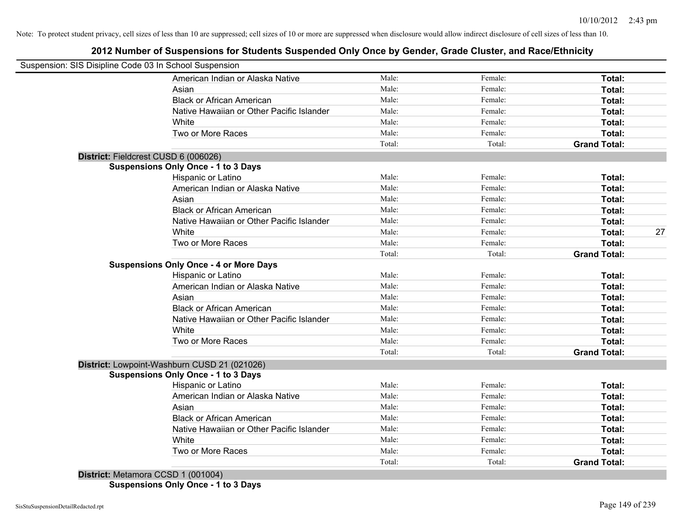## **2012 Number of Suspensions for Students Suspended Only Once by Gender, Grade Cluster, and Race/Ethnicity**

| Suspension: SIS Disipline Code 03 In School Suspension |        |         |                     |    |
|--------------------------------------------------------|--------|---------|---------------------|----|
| American Indian or Alaska Native                       | Male:  | Female: | Total:              |    |
| Asian                                                  | Male:  | Female: | Total:              |    |
| <b>Black or African American</b>                       | Male:  | Female: | Total:              |    |
| Native Hawaiian or Other Pacific Islander              | Male:  | Female: | Total:              |    |
| White                                                  | Male:  | Female: | Total:              |    |
| Two or More Races                                      | Male:  | Female: | <b>Total:</b>       |    |
|                                                        | Total: | Total:  | <b>Grand Total:</b> |    |
| District: Fieldcrest CUSD 6 (006026)                   |        |         |                     |    |
| <b>Suspensions Only Once - 1 to 3 Days</b>             |        |         |                     |    |
| Hispanic or Latino                                     | Male:  | Female: | Total:              |    |
| American Indian or Alaska Native                       | Male:  | Female: | Total:              |    |
| Asian                                                  | Male:  | Female: | Total:              |    |
| <b>Black or African American</b>                       | Male:  | Female: | Total:              |    |
| Native Hawaiian or Other Pacific Islander              | Male:  | Female: | Total:              |    |
| White                                                  | Male:  | Female: | Total:              | 27 |
| Two or More Races                                      | Male:  | Female: | <b>Total:</b>       |    |
|                                                        | Total: | Total:  | <b>Grand Total:</b> |    |
| <b>Suspensions Only Once - 4 or More Days</b>          |        |         |                     |    |
| Hispanic or Latino                                     | Male:  | Female: | Total:              |    |
| American Indian or Alaska Native                       | Male:  | Female: | Total:              |    |
| Asian                                                  | Male:  | Female: | Total:              |    |
| <b>Black or African American</b>                       | Male:  | Female: | Total:              |    |
| Native Hawaiian or Other Pacific Islander              | Male:  | Female: | Total:              |    |
| White                                                  | Male:  | Female: | Total:              |    |
| Two or More Races                                      | Male:  | Female: | <b>Total:</b>       |    |
|                                                        | Total: | Total:  | <b>Grand Total:</b> |    |
| District: Lowpoint-Washburn CUSD 21 (021026)           |        |         |                     |    |
| <b>Suspensions Only Once - 1 to 3 Days</b>             |        |         |                     |    |
| Hispanic or Latino                                     | Male:  | Female: | Total:              |    |
| American Indian or Alaska Native                       | Male:  | Female: | <b>Total:</b>       |    |
| Asian                                                  | Male:  | Female: | Total:              |    |
| <b>Black or African American</b>                       | Male:  | Female: | Total:              |    |
| Native Hawaiian or Other Pacific Islander              | Male:  | Female: | Total:              |    |
| White                                                  | Male:  | Female: | Total:              |    |
| Two or More Races                                      | Male:  | Female: | Total:              |    |
|                                                        | Total: | Total:  | <b>Grand Total:</b> |    |

**Suspensions Only Once - 1 to 3 Days**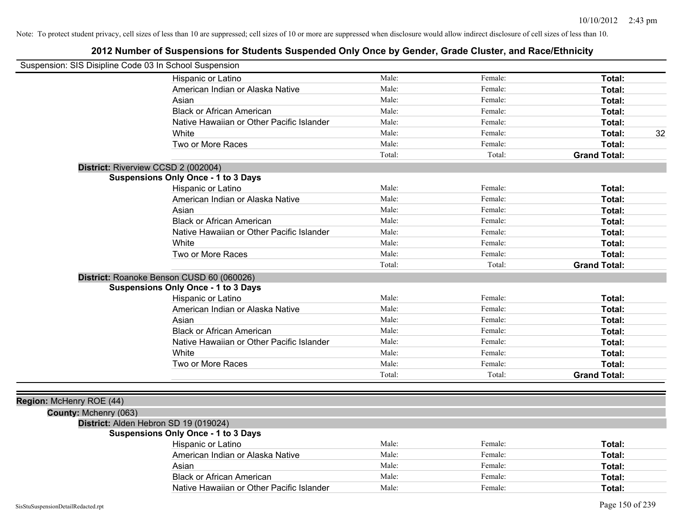| Suspension: SIS Disipline Code 03 In School Suspension |                                            |        |         |                     |
|--------------------------------------------------------|--------------------------------------------|--------|---------|---------------------|
|                                                        | Hispanic or Latino                         | Male:  | Female: | Total:              |
|                                                        | American Indian or Alaska Native           | Male:  | Female: | Total:              |
|                                                        | Asian                                      | Male:  | Female: | Total:              |
|                                                        | <b>Black or African American</b>           | Male:  | Female: | Total:              |
|                                                        | Native Hawaiian or Other Pacific Islander  | Male:  | Female: | Total:              |
|                                                        | White                                      | Male:  | Female: | 32<br>Total:        |
|                                                        | Two or More Races                          | Male:  | Female: | Total:              |
|                                                        |                                            | Total: | Total:  | <b>Grand Total:</b> |
|                                                        | District: Riverview CCSD 2 (002004)        |        |         |                     |
|                                                        | <b>Suspensions Only Once - 1 to 3 Days</b> |        |         |                     |
|                                                        | Hispanic or Latino                         | Male:  | Female: | Total:              |
|                                                        | American Indian or Alaska Native           | Male:  | Female: | Total:              |
|                                                        | Asian                                      | Male:  | Female: | Total:              |
|                                                        | <b>Black or African American</b>           | Male:  | Female: | Total:              |
|                                                        | Native Hawaiian or Other Pacific Islander  | Male:  | Female: | Total:              |
|                                                        | White                                      | Male:  | Female: | Total:              |
|                                                        | Two or More Races                          | Male:  | Female: | Total:              |
|                                                        |                                            | Total: | Total:  | <b>Grand Total:</b> |
|                                                        | District: Roanoke Benson CUSD 60 (060026)  |        |         |                     |
|                                                        | <b>Suspensions Only Once - 1 to 3 Days</b> |        |         |                     |
|                                                        | Hispanic or Latino                         | Male:  | Female: | Total:              |
|                                                        | American Indian or Alaska Native           | Male:  | Female: | Total:              |
|                                                        | Asian                                      | Male:  | Female: | Total:              |
|                                                        | <b>Black or African American</b>           | Male:  | Female: | Total:              |
|                                                        | Native Hawaiian or Other Pacific Islander  | Male:  | Female: | Total:              |
|                                                        | White                                      | Male:  | Female: | Total:              |
|                                                        | Two or More Races                          | Male:  | Female: | Total:              |
|                                                        |                                            | Total: | Total:  | <b>Grand Total:</b> |
|                                                        |                                            |        |         |                     |
| Region: McHenry ROE (44)                               |                                            |        |         |                     |
| County: Mchenry (063)                                  |                                            |        |         |                     |
|                                                        | District: Alden Hebron SD 19 (019024)      |        |         |                     |
|                                                        | <b>Suspensions Only Once - 1 to 3 Days</b> |        |         |                     |
|                                                        | Hispanic or Latino                         | Male:  | Female: | Total:              |
|                                                        | American Indian or Alaska Native           | Male:  | Female: | Total:              |
|                                                        | Asian                                      | Male:  | Female: | Total:              |
|                                                        | <b>Black or African American</b>           | Male:  | Female: | Total:              |
|                                                        | Native Hawaiian or Other Pacific Islander  | Male:  | Female: | Total:              |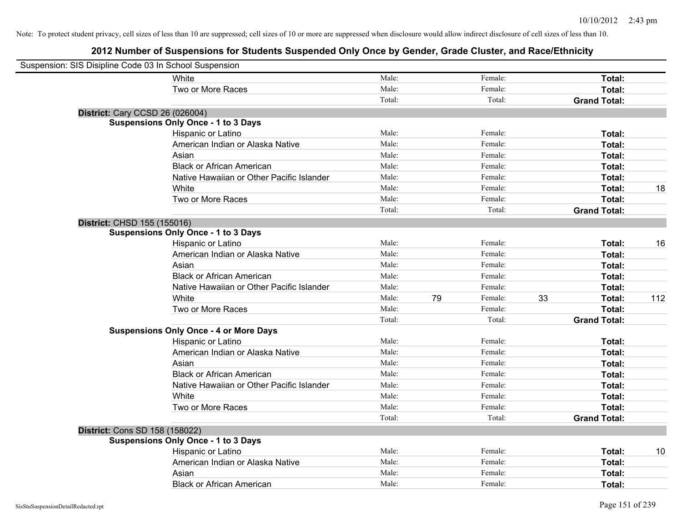| Suspension: SIS Disipline Code 03 In School Suspension |                                               |        |    |         |    |                     |     |
|--------------------------------------------------------|-----------------------------------------------|--------|----|---------|----|---------------------|-----|
|                                                        | White                                         | Male:  |    | Female: |    | Total:              |     |
|                                                        | Two or More Races                             | Male:  |    | Female: |    | Total:              |     |
|                                                        |                                               | Total: |    | Total:  |    | <b>Grand Total:</b> |     |
| <b>District: Cary CCSD 26 (026004)</b>                 |                                               |        |    |         |    |                     |     |
|                                                        | <b>Suspensions Only Once - 1 to 3 Days</b>    |        |    |         |    |                     |     |
|                                                        | Hispanic or Latino                            | Male:  |    | Female: |    | Total:              |     |
|                                                        | American Indian or Alaska Native              | Male:  |    | Female: |    | Total:              |     |
|                                                        | Asian                                         | Male:  |    | Female: |    | Total:              |     |
|                                                        | <b>Black or African American</b>              | Male:  |    | Female: |    | Total:              |     |
|                                                        | Native Hawaiian or Other Pacific Islander     | Male:  |    | Female: |    | Total:              |     |
|                                                        | White                                         | Male:  |    | Female: |    | Total:              | 18  |
|                                                        | Two or More Races                             | Male:  |    | Female: |    | Total:              |     |
|                                                        |                                               | Total: |    | Total:  |    | <b>Grand Total:</b> |     |
| District: CHSD 155 (155016)                            |                                               |        |    |         |    |                     |     |
|                                                        | <b>Suspensions Only Once - 1 to 3 Days</b>    |        |    |         |    |                     |     |
|                                                        | Hispanic or Latino                            | Male:  |    | Female: |    | Total:              | 16  |
|                                                        | American Indian or Alaska Native              | Male:  |    | Female: |    | Total:              |     |
|                                                        | Asian                                         | Male:  |    | Female: |    | Total:              |     |
|                                                        | <b>Black or African American</b>              | Male:  |    | Female: |    | Total:              |     |
|                                                        | Native Hawaiian or Other Pacific Islander     | Male:  |    | Female: |    | Total:              |     |
|                                                        | White                                         | Male:  | 79 | Female: | 33 | Total:              | 112 |
|                                                        | Two or More Races                             | Male:  |    | Female: |    | Total:              |     |
|                                                        |                                               | Total: |    | Total:  |    | <b>Grand Total:</b> |     |
|                                                        | <b>Suspensions Only Once - 4 or More Days</b> |        |    |         |    |                     |     |
|                                                        | Hispanic or Latino                            | Male:  |    | Female: |    | Total:              |     |
|                                                        | American Indian or Alaska Native              | Male:  |    | Female: |    | Total:              |     |
|                                                        | Asian                                         | Male:  |    | Female: |    | Total:              |     |
|                                                        | <b>Black or African American</b>              | Male:  |    | Female: |    | Total:              |     |
|                                                        | Native Hawaiian or Other Pacific Islander     | Male:  |    | Female: |    | Total:              |     |
|                                                        | White                                         | Male:  |    | Female: |    | Total:              |     |
|                                                        | Two or More Races                             | Male:  |    | Female: |    | Total:              |     |
|                                                        |                                               | Total: |    | Total:  |    | <b>Grand Total:</b> |     |
| <b>District: Cons SD 158 (158022)</b>                  |                                               |        |    |         |    |                     |     |
|                                                        | <b>Suspensions Only Once - 1 to 3 Days</b>    |        |    |         |    |                     |     |
|                                                        | Hispanic or Latino                            | Male:  |    | Female: |    | Total:              | 10  |
|                                                        | American Indian or Alaska Native              | Male:  |    | Female: |    | Total:              |     |
|                                                        | Asian                                         | Male:  |    | Female: |    | Total:              |     |
|                                                        | <b>Black or African American</b>              | Male:  |    | Female: |    | Total:              |     |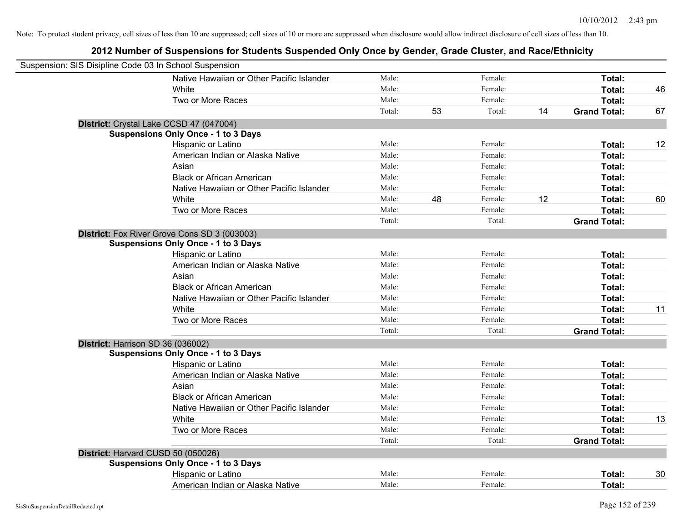| Suspension: SIS Disipline Code 03 In School Suspension |        |    |         |    |                     |    |
|--------------------------------------------------------|--------|----|---------|----|---------------------|----|
| Native Hawaiian or Other Pacific Islander              | Male:  |    | Female: |    | Total:              |    |
| White                                                  | Male:  |    | Female: |    | Total:              | 46 |
| Two or More Races                                      | Male:  |    | Female: |    | Total:              |    |
|                                                        | Total: | 53 | Total:  | 14 | <b>Grand Total:</b> | 67 |
| District: Crystal Lake CCSD 47 (047004)                |        |    |         |    |                     |    |
| <b>Suspensions Only Once - 1 to 3 Days</b>             |        |    |         |    |                     |    |
| Hispanic or Latino                                     | Male:  |    | Female: |    | Total:              | 12 |
| American Indian or Alaska Native                       | Male:  |    | Female: |    | Total:              |    |
| Asian                                                  | Male:  |    | Female: |    | Total:              |    |
| <b>Black or African American</b>                       | Male:  |    | Female: |    | Total:              |    |
| Native Hawaiian or Other Pacific Islander              | Male:  |    | Female: |    | Total:              |    |
| White                                                  | Male:  | 48 | Female: | 12 | Total:              | 60 |
| Two or More Races                                      | Male:  |    | Female: |    | Total:              |    |
|                                                        | Total: |    | Total:  |    | <b>Grand Total:</b> |    |
| District: Fox River Grove Cons SD 3 (003003)           |        |    |         |    |                     |    |
| <b>Suspensions Only Once - 1 to 3 Days</b>             |        |    |         |    |                     |    |
| Hispanic or Latino                                     | Male:  |    | Female: |    | Total:              |    |
| American Indian or Alaska Native                       | Male:  |    | Female: |    | Total:              |    |
| Asian                                                  | Male:  |    | Female: |    | Total:              |    |
| <b>Black or African American</b>                       | Male:  |    | Female: |    | Total:              |    |
| Native Hawaiian or Other Pacific Islander              | Male:  |    | Female: |    | Total:              |    |
| White                                                  | Male:  |    | Female: |    | Total:              | 11 |
| Two or More Races                                      | Male:  |    | Female: |    | Total:              |    |
|                                                        | Total: |    | Total:  |    | <b>Grand Total:</b> |    |
| District: Harrison SD 36 (036002)                      |        |    |         |    |                     |    |
| <b>Suspensions Only Once - 1 to 3 Days</b>             |        |    |         |    |                     |    |
| Hispanic or Latino                                     | Male:  |    | Female: |    | Total:              |    |
| American Indian or Alaska Native                       | Male:  |    | Female: |    | Total:              |    |
| Asian                                                  | Male:  |    | Female: |    | Total:              |    |
| <b>Black or African American</b>                       | Male:  |    | Female: |    | Total:              |    |
| Native Hawaiian or Other Pacific Islander              | Male:  |    | Female: |    | Total:              |    |
| White                                                  | Male:  |    | Female: |    | Total:              | 13 |
| Two or More Races                                      | Male:  |    | Female: |    | Total:              |    |
|                                                        | Total: |    | Total:  |    | <b>Grand Total:</b> |    |
| District: Harvard CUSD 50 (050026)                     |        |    |         |    |                     |    |
| <b>Suspensions Only Once - 1 to 3 Days</b>             |        |    |         |    |                     |    |
| Hispanic or Latino                                     | Male:  |    | Female: |    | Total:              | 30 |
| American Indian or Alaska Native                       | Male:  |    | Female: |    | Total:              |    |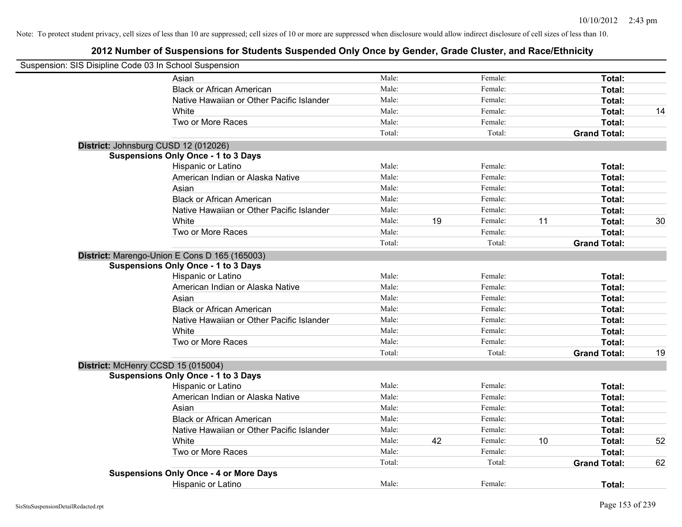| Suspension: SIS Disipline Code 03 In School Suspension |                                               |        |    |         |    |                     |    |
|--------------------------------------------------------|-----------------------------------------------|--------|----|---------|----|---------------------|----|
|                                                        | Asian                                         | Male:  |    | Female: |    | Total:              |    |
|                                                        | <b>Black or African American</b>              | Male:  |    | Female: |    | Total:              |    |
|                                                        | Native Hawaiian or Other Pacific Islander     | Male:  |    | Female: |    | Total:              |    |
|                                                        | White                                         | Male:  |    | Female: |    | Total:              | 14 |
|                                                        | Two or More Races                             | Male:  |    | Female: |    | Total:              |    |
|                                                        |                                               | Total: |    | Total:  |    | <b>Grand Total:</b> |    |
|                                                        | District: Johnsburg CUSD 12 (012026)          |        |    |         |    |                     |    |
|                                                        | <b>Suspensions Only Once - 1 to 3 Days</b>    |        |    |         |    |                     |    |
|                                                        | Hispanic or Latino                            | Male:  |    | Female: |    | Total:              |    |
|                                                        | American Indian or Alaska Native              | Male:  |    | Female: |    | Total:              |    |
|                                                        | Asian                                         | Male:  |    | Female: |    | Total:              |    |
|                                                        | <b>Black or African American</b>              | Male:  |    | Female: |    | Total:              |    |
|                                                        | Native Hawaiian or Other Pacific Islander     | Male:  |    | Female: |    | Total:              |    |
|                                                        | White                                         | Male:  | 19 | Female: | 11 | Total:              | 30 |
|                                                        | Two or More Races                             | Male:  |    | Female: |    | Total:              |    |
|                                                        |                                               | Total: |    | Total:  |    | <b>Grand Total:</b> |    |
|                                                        | District: Marengo-Union E Cons D 165 (165003) |        |    |         |    |                     |    |
|                                                        | <b>Suspensions Only Once - 1 to 3 Days</b>    |        |    |         |    |                     |    |
|                                                        | Hispanic or Latino                            | Male:  |    | Female: |    | Total:              |    |
|                                                        | American Indian or Alaska Native              | Male:  |    | Female: |    | Total:              |    |
|                                                        | Asian                                         | Male:  |    | Female: |    | Total:              |    |
|                                                        | <b>Black or African American</b>              | Male:  |    | Female: |    | Total:              |    |
|                                                        | Native Hawaiian or Other Pacific Islander     | Male:  |    | Female: |    | Total:              |    |
|                                                        | White                                         | Male:  |    | Female: |    | <b>Total:</b>       |    |
|                                                        | Two or More Races                             | Male:  |    | Female: |    | Total:              |    |
|                                                        |                                               | Total: |    | Total:  |    | <b>Grand Total:</b> | 19 |
|                                                        | District: McHenry CCSD 15 (015004)            |        |    |         |    |                     |    |
|                                                        | <b>Suspensions Only Once - 1 to 3 Days</b>    |        |    |         |    |                     |    |
|                                                        | Hispanic or Latino                            | Male:  |    | Female: |    | Total:              |    |
|                                                        | American Indian or Alaska Native              | Male:  |    | Female: |    | Total:              |    |
|                                                        | Asian                                         | Male:  |    | Female: |    | Total:              |    |
|                                                        | <b>Black or African American</b>              | Male:  |    | Female: |    | Total:              |    |
|                                                        | Native Hawaiian or Other Pacific Islander     | Male:  |    | Female: |    | Total:              |    |
|                                                        | White                                         | Male:  | 42 | Female: | 10 | Total:              | 52 |
|                                                        | Two or More Races                             | Male:  |    | Female: |    | <b>Total:</b>       |    |
|                                                        |                                               | Total: |    | Total:  |    | <b>Grand Total:</b> | 62 |
|                                                        | <b>Suspensions Only Once - 4 or More Days</b> |        |    |         |    |                     |    |
|                                                        | <b>Hispanic or Latino</b>                     | Male:  |    | Female: |    | Total:              |    |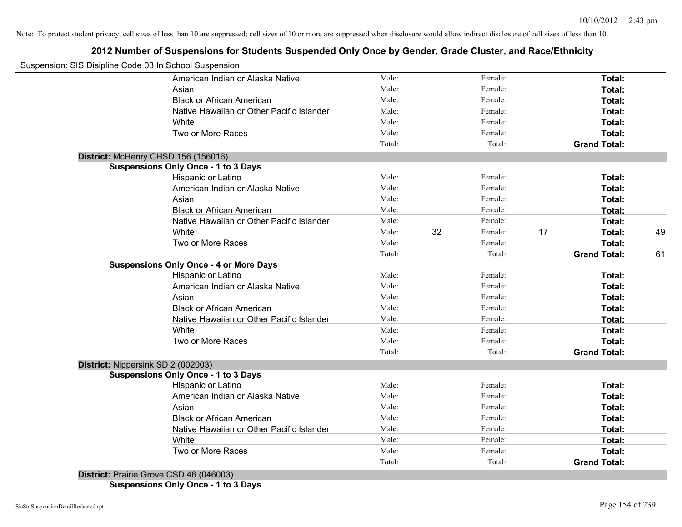## **2012 Number of Suspensions for Students Suspended Only Once by Gender, Grade Cluster, and Race/Ethnicity**

|                                    | Suspension: SIS Disipline Code 03 In School Suspension |        |    |         |    |                     |    |
|------------------------------------|--------------------------------------------------------|--------|----|---------|----|---------------------|----|
|                                    | American Indian or Alaska Native                       | Male:  |    | Female: |    | Total:              |    |
|                                    | Asian                                                  | Male:  |    | Female: |    | Total:              |    |
|                                    | <b>Black or African American</b>                       | Male:  |    | Female: |    | Total:              |    |
|                                    | Native Hawaiian or Other Pacific Islander              | Male:  |    | Female: |    | Total:              |    |
|                                    | White                                                  | Male:  |    | Female: |    | Total:              |    |
|                                    | Two or More Races                                      | Male:  |    | Female: |    | Total:              |    |
|                                    |                                                        | Total: |    | Total:  |    | <b>Grand Total:</b> |    |
|                                    | District: McHenry CHSD 156 (156016)                    |        |    |         |    |                     |    |
|                                    | <b>Suspensions Only Once - 1 to 3 Days</b>             |        |    |         |    |                     |    |
|                                    | Hispanic or Latino                                     | Male:  |    | Female: |    | Total:              |    |
|                                    | American Indian or Alaska Native                       | Male:  |    | Female: |    | Total:              |    |
|                                    | Asian                                                  | Male:  |    | Female: |    | Total:              |    |
|                                    | <b>Black or African American</b>                       | Male:  |    | Female: |    | Total:              |    |
|                                    | Native Hawaiian or Other Pacific Islander              | Male:  |    | Female: |    | Total:              |    |
|                                    | White                                                  | Male:  | 32 | Female: | 17 | Total:              | 49 |
|                                    | Two or More Races                                      | Male:  |    | Female: |    | Total:              |    |
|                                    |                                                        | Total: |    | Total:  |    | <b>Grand Total:</b> | 61 |
|                                    | <b>Suspensions Only Once - 4 or More Days</b>          |        |    |         |    |                     |    |
|                                    | Hispanic or Latino                                     | Male:  |    | Female: |    | Total:              |    |
|                                    | American Indian or Alaska Native                       | Male:  |    | Female: |    | Total:              |    |
|                                    | Asian                                                  | Male:  |    | Female: |    | Total:              |    |
|                                    | <b>Black or African American</b>                       | Male:  |    | Female: |    | Total:              |    |
|                                    | Native Hawaiian or Other Pacific Islander              | Male:  |    | Female: |    | Total:              |    |
|                                    | White                                                  | Male:  |    | Female: |    | Total:              |    |
|                                    | Two or More Races                                      | Male:  |    | Female: |    | Total:              |    |
|                                    |                                                        | Total: |    | Total:  |    | <b>Grand Total:</b> |    |
| District: Nippersink SD 2 (002003) |                                                        |        |    |         |    |                     |    |
|                                    | <b>Suspensions Only Once - 1 to 3 Days</b>             |        |    |         |    |                     |    |
|                                    | Hispanic or Latino                                     | Male:  |    | Female: |    | Total:              |    |
|                                    | American Indian or Alaska Native                       | Male:  |    | Female: |    | Total:              |    |
|                                    | Asian                                                  | Male:  |    | Female: |    | Total:              |    |
|                                    | <b>Black or African American</b>                       | Male:  |    | Female: |    | Total:              |    |
|                                    | Native Hawaiian or Other Pacific Islander              | Male:  |    | Female: |    | Total:              |    |
|                                    | White                                                  | Male:  |    | Female: |    | Total:              |    |
|                                    | Two or More Races                                      | Male:  |    | Female: |    | Total:              |    |
|                                    |                                                        | Total: |    | Total:  |    | <b>Grand Total:</b> |    |

**Suspensions Only Once - 1 to 3 Days**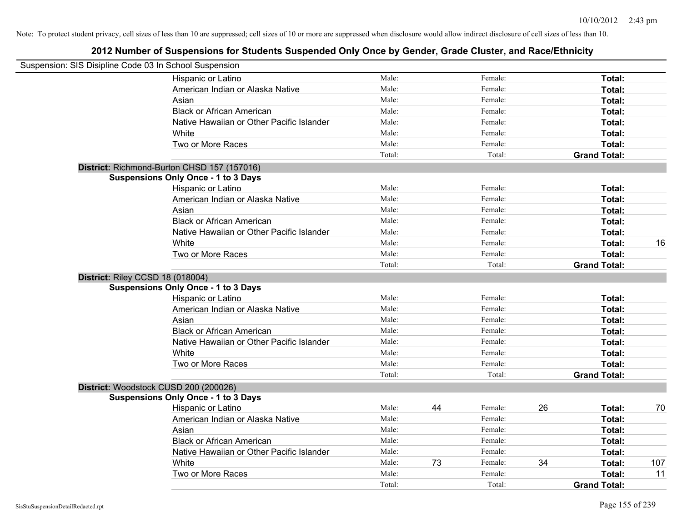| Suspension: SIS Disipline Code 03 In School Suspension |                                             |        |    |         |    |                     |     |
|--------------------------------------------------------|---------------------------------------------|--------|----|---------|----|---------------------|-----|
|                                                        | Hispanic or Latino                          | Male:  |    | Female: |    | Total:              |     |
|                                                        | American Indian or Alaska Native            | Male:  |    | Female: |    | Total:              |     |
|                                                        | Asian                                       | Male:  |    | Female: |    | Total:              |     |
|                                                        | <b>Black or African American</b>            | Male:  |    | Female: |    | Total:              |     |
|                                                        | Native Hawaiian or Other Pacific Islander   | Male:  |    | Female: |    | Total:              |     |
|                                                        | White                                       | Male:  |    | Female: |    | Total:              |     |
|                                                        | Two or More Races                           | Male:  |    | Female: |    | Total:              |     |
|                                                        |                                             | Total: |    | Total:  |    | <b>Grand Total:</b> |     |
|                                                        | District: Richmond-Burton CHSD 157 (157016) |        |    |         |    |                     |     |
|                                                        | <b>Suspensions Only Once - 1 to 3 Days</b>  |        |    |         |    |                     |     |
|                                                        | Hispanic or Latino                          | Male:  |    | Female: |    | Total:              |     |
|                                                        | American Indian or Alaska Native            | Male:  |    | Female: |    | Total:              |     |
|                                                        | Asian                                       | Male:  |    | Female: |    | Total:              |     |
|                                                        | <b>Black or African American</b>            | Male:  |    | Female: |    | Total:              |     |
|                                                        | Native Hawaiian or Other Pacific Islander   | Male:  |    | Female: |    | Total:              |     |
|                                                        | White                                       | Male:  |    | Female: |    | Total:              | 16  |
|                                                        | Two or More Races                           | Male:  |    | Female: |    | Total:              |     |
|                                                        |                                             | Total: |    | Total:  |    | <b>Grand Total:</b> |     |
| District: Riley CCSD 18 (018004)                       |                                             |        |    |         |    |                     |     |
|                                                        | <b>Suspensions Only Once - 1 to 3 Days</b>  |        |    |         |    |                     |     |
|                                                        | Hispanic or Latino                          | Male:  |    | Female: |    | Total:              |     |
|                                                        | American Indian or Alaska Native            | Male:  |    | Female: |    | Total:              |     |
|                                                        | Asian                                       | Male:  |    | Female: |    | Total:              |     |
|                                                        | <b>Black or African American</b>            | Male:  |    | Female: |    | Total:              |     |
|                                                        | Native Hawaiian or Other Pacific Islander   | Male:  |    | Female: |    | Total:              |     |
|                                                        | White                                       | Male:  |    | Female: |    | Total:              |     |
|                                                        | Two or More Races                           | Male:  |    | Female: |    | Total:              |     |
|                                                        |                                             | Total: |    | Total:  |    | <b>Grand Total:</b> |     |
|                                                        | District: Woodstock CUSD 200 (200026)       |        |    |         |    |                     |     |
|                                                        | <b>Suspensions Only Once - 1 to 3 Days</b>  |        |    |         |    |                     |     |
|                                                        | Hispanic or Latino                          | Male:  | 44 | Female: | 26 | Total:              | 70  |
|                                                        | American Indian or Alaska Native            | Male:  |    | Female: |    | Total:              |     |
|                                                        | Asian                                       | Male:  |    | Female: |    | Total:              |     |
|                                                        | <b>Black or African American</b>            | Male:  |    | Female: |    | Total:              |     |
|                                                        | Native Hawaiian or Other Pacific Islander   | Male:  |    | Female: |    | Total:              |     |
|                                                        | White                                       | Male:  | 73 | Female: | 34 | Total:              | 107 |
|                                                        | Two or More Races                           | Male:  |    | Female: |    | Total:              | 11  |
|                                                        |                                             | Total: |    | Total:  |    | <b>Grand Total:</b> |     |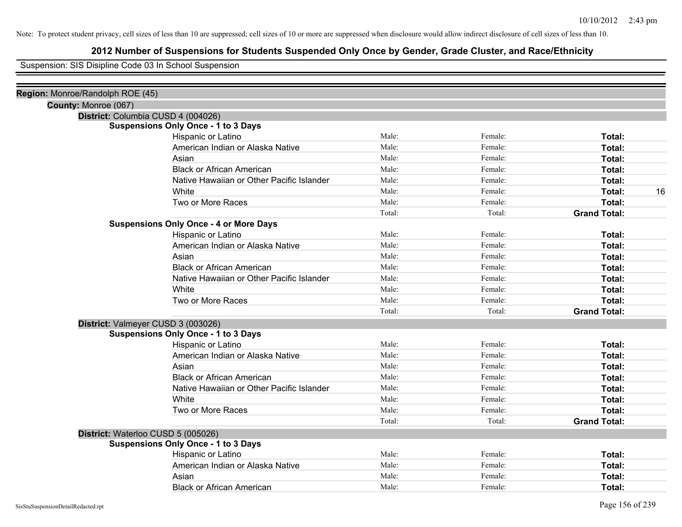## **2012 Number of Suspensions for Students Suspended Only Once by Gender, Grade Cluster, and Race/Ethnicity**

Suspension: SIS Disipline Code 03 In School Suspension

| Region: Monroe/Randolph ROE (45) |                                               |        |         |                     |
|----------------------------------|-----------------------------------------------|--------|---------|---------------------|
|                                  | County: Monroe (067)                          |        |         |                     |
|                                  | District: Columbia CUSD 4 (004026)            |        |         |                     |
|                                  | <b>Suspensions Only Once - 1 to 3 Days</b>    |        |         |                     |
|                                  | Hispanic or Latino                            | Male:  | Female: | Total:              |
|                                  | American Indian or Alaska Native              | Male:  | Female: | Total:              |
|                                  | Asian                                         | Male:  | Female: | Total:              |
|                                  | <b>Black or African American</b>              | Male:  | Female: | Total:              |
|                                  | Native Hawaiian or Other Pacific Islander     | Male:  | Female: | Total:              |
|                                  | White                                         | Male:  | Female: | Total:<br>16        |
|                                  | Two or More Races                             | Male:  | Female: | <b>Total:</b>       |
|                                  |                                               | Total: | Total:  | <b>Grand Total:</b> |
|                                  | <b>Suspensions Only Once - 4 or More Days</b> |        |         |                     |
|                                  | Hispanic or Latino                            | Male:  | Female: | Total:              |
|                                  | American Indian or Alaska Native              | Male:  | Female: | Total:              |
|                                  | Asian                                         | Male:  | Female: | Total:              |
|                                  | <b>Black or African American</b>              | Male:  | Female: | Total:              |
|                                  | Native Hawaiian or Other Pacific Islander     | Male:  | Female: | Total:              |
|                                  | White                                         | Male:  | Female: | Total:              |
|                                  | Two or More Races                             | Male:  | Female: | Total:              |
|                                  |                                               | Total: | Total:  | <b>Grand Total:</b> |
|                                  | District: Valmeyer CUSD 3 (003026)            |        |         |                     |
|                                  | <b>Suspensions Only Once - 1 to 3 Days</b>    |        |         |                     |
|                                  | Hispanic or Latino                            | Male:  | Female: | Total:              |
|                                  | American Indian or Alaska Native              | Male:  | Female: | Total:              |
|                                  | Asian                                         | Male:  | Female: | Total:              |
|                                  | <b>Black or African American</b>              | Male:  | Female: | Total:              |
|                                  | Native Hawaiian or Other Pacific Islander     | Male:  | Female: | Total:              |
|                                  | White                                         | Male:  | Female: | Total:              |
|                                  | Two or More Races                             | Male:  | Female: | Total:              |
|                                  |                                               | Total: | Total:  | <b>Grand Total:</b> |
|                                  | District: Waterloo CUSD 5 (005026)            |        |         |                     |
|                                  | <b>Suspensions Only Once - 1 to 3 Days</b>    |        |         |                     |
|                                  | Hispanic or Latino                            | Male:  | Female: | Total:              |
|                                  | American Indian or Alaska Native              | Male:  | Female: | Total:              |
|                                  | Asian                                         | Male:  | Female: | Total:              |
|                                  | <b>Black or African American</b>              | Male:  | Female: | Total:              |
|                                  |                                               |        |         |                     |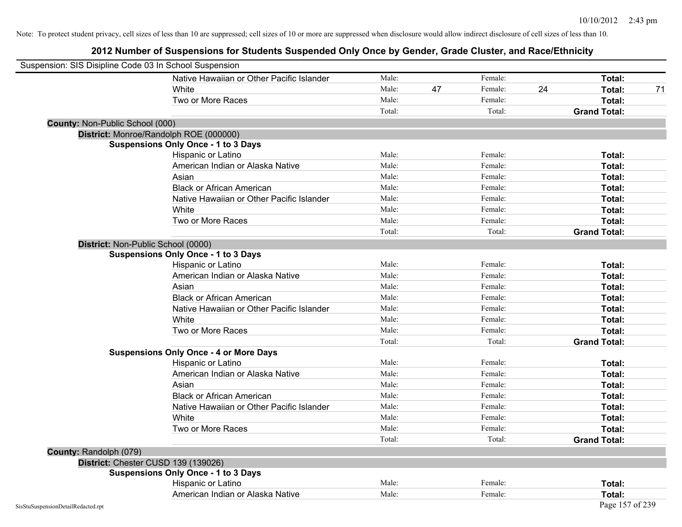| Suspension: SIS Disipline Code 03 In School Suspension |                                               |        |    |         |    |                     |
|--------------------------------------------------------|-----------------------------------------------|--------|----|---------|----|---------------------|
|                                                        | Native Hawaiian or Other Pacific Islander     | Male:  |    | Female: |    | Total:              |
|                                                        | White                                         | Male:  | 47 | Female: | 24 | Total:<br>71        |
|                                                        | Two or More Races                             | Male:  |    | Female: |    | Total:              |
|                                                        |                                               | Total: |    | Total:  |    | <b>Grand Total:</b> |
| County: Non-Public School (000)                        |                                               |        |    |         |    |                     |
|                                                        | District: Monroe/Randolph ROE (000000)        |        |    |         |    |                     |
|                                                        | <b>Suspensions Only Once - 1 to 3 Days</b>    |        |    |         |    |                     |
|                                                        | Hispanic or Latino                            | Male:  |    | Female: |    | Total:              |
|                                                        | American Indian or Alaska Native              | Male:  |    | Female: |    | Total:              |
|                                                        | Asian                                         | Male:  |    | Female: |    | Total:              |
|                                                        | <b>Black or African American</b>              | Male:  |    | Female: |    | Total:              |
|                                                        | Native Hawaiian or Other Pacific Islander     | Male:  |    | Female: |    | Total:              |
|                                                        | White                                         | Male:  |    | Female: |    | Total:              |
|                                                        | Two or More Races                             | Male:  |    | Female: |    | Total:              |
|                                                        |                                               | Total: |    | Total:  |    | <b>Grand Total:</b> |
|                                                        | District: Non-Public School (0000)            |        |    |         |    |                     |
|                                                        | <b>Suspensions Only Once - 1 to 3 Days</b>    |        |    |         |    |                     |
|                                                        | Hispanic or Latino                            | Male:  |    | Female: |    | Total:              |
|                                                        | American Indian or Alaska Native              | Male:  |    | Female: |    | Total:              |
|                                                        | Asian                                         | Male:  |    | Female: |    | Total:              |
|                                                        | <b>Black or African American</b>              | Male:  |    | Female: |    | Total:              |
|                                                        | Native Hawaiian or Other Pacific Islander     | Male:  |    | Female: |    | Total:              |
|                                                        | White                                         | Male:  |    | Female: |    | Total:              |
|                                                        | Two or More Races                             | Male:  |    | Female: |    | Total:              |
|                                                        |                                               | Total: |    | Total:  |    | <b>Grand Total:</b> |
|                                                        | <b>Suspensions Only Once - 4 or More Days</b> |        |    |         |    |                     |
|                                                        | Hispanic or Latino                            | Male:  |    | Female: |    | Total:              |
|                                                        | American Indian or Alaska Native              | Male:  |    | Female: |    | Total:              |
|                                                        | Asian                                         | Male:  |    | Female: |    | Total:              |
|                                                        | <b>Black or African American</b>              | Male:  |    | Female: |    | Total:              |
|                                                        | Native Hawaiian or Other Pacific Islander     | Male:  |    | Female: |    | Total:              |
|                                                        | White                                         | Male:  |    | Female: |    | Total:              |
|                                                        | Two or More Races                             | Male:  |    | Female: |    | Total:              |
|                                                        |                                               | Total: |    | Total:  |    | <b>Grand Total:</b> |
| County: Randolph (079)                                 |                                               |        |    |         |    |                     |
|                                                        | District: Chester CUSD 139 (139026)           |        |    |         |    |                     |
|                                                        | <b>Suspensions Only Once - 1 to 3 Days</b>    |        |    |         |    |                     |
|                                                        | Hispanic or Latino                            | Male:  |    | Female: |    | Total:              |
|                                                        | American Indian or Alaska Native              | Male:  |    | Female: |    | Total:              |
| SisStuSuspensionDetailRedacted.rpt                     |                                               |        |    |         |    | Page 157 of 239     |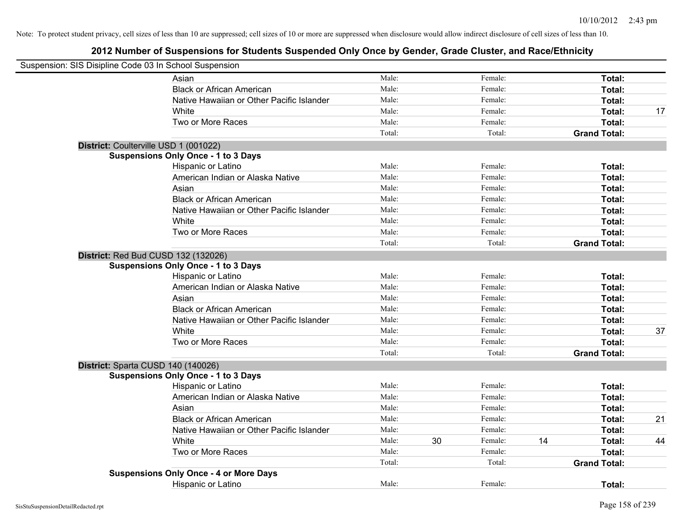| Suspension: SIS Disipline Code 03 In School Suspension |                                               |        |    |         |    |                     |    |
|--------------------------------------------------------|-----------------------------------------------|--------|----|---------|----|---------------------|----|
|                                                        | Asian                                         | Male:  |    | Female: |    | Total:              |    |
|                                                        | <b>Black or African American</b>              | Male:  |    | Female: |    | Total:              |    |
|                                                        | Native Hawaiian or Other Pacific Islander     | Male:  |    | Female: |    | Total:              |    |
|                                                        | White                                         | Male:  |    | Female: |    | Total:              | 17 |
|                                                        | Two or More Races                             | Male:  |    | Female: |    | Total:              |    |
|                                                        |                                               | Total: |    | Total:  |    | <b>Grand Total:</b> |    |
|                                                        | District: Coulterville USD 1 (001022)         |        |    |         |    |                     |    |
|                                                        | <b>Suspensions Only Once - 1 to 3 Days</b>    |        |    |         |    |                     |    |
|                                                        | Hispanic or Latino                            | Male:  |    | Female: |    | Total:              |    |
|                                                        | American Indian or Alaska Native              | Male:  |    | Female: |    | Total:              |    |
|                                                        | Asian                                         | Male:  |    | Female: |    | Total:              |    |
|                                                        | <b>Black or African American</b>              | Male:  |    | Female: |    | Total:              |    |
|                                                        | Native Hawaiian or Other Pacific Islander     | Male:  |    | Female: |    | Total:              |    |
|                                                        | White                                         | Male:  |    | Female: |    | Total:              |    |
|                                                        | Two or More Races                             | Male:  |    | Female: |    | Total:              |    |
|                                                        |                                               | Total: |    | Total:  |    | <b>Grand Total:</b> |    |
|                                                        | District: Red Bud CUSD 132 (132026)           |        |    |         |    |                     |    |
|                                                        | <b>Suspensions Only Once - 1 to 3 Days</b>    |        |    |         |    |                     |    |
|                                                        | Hispanic or Latino                            | Male:  |    | Female: |    | Total:              |    |
|                                                        | American Indian or Alaska Native              | Male:  |    | Female: |    | Total:              |    |
|                                                        | Asian                                         | Male:  |    | Female: |    | Total:              |    |
|                                                        | <b>Black or African American</b>              | Male:  |    | Female: |    | Total:              |    |
|                                                        | Native Hawaiian or Other Pacific Islander     | Male:  |    | Female: |    | Total:              |    |
|                                                        | White                                         | Male:  |    | Female: |    | Total:              | 37 |
|                                                        | Two or More Races                             | Male:  |    | Female: |    | Total:              |    |
|                                                        |                                               | Total: |    | Total:  |    | <b>Grand Total:</b> |    |
|                                                        | District: Sparta CUSD 140 (140026)            |        |    |         |    |                     |    |
|                                                        | <b>Suspensions Only Once - 1 to 3 Days</b>    |        |    |         |    |                     |    |
|                                                        | Hispanic or Latino                            | Male:  |    | Female: |    | Total:              |    |
|                                                        | American Indian or Alaska Native              | Male:  |    | Female: |    | Total:              |    |
|                                                        | Asian                                         | Male:  |    | Female: |    | Total:              |    |
|                                                        | <b>Black or African American</b>              | Male:  |    | Female: |    | Total:              | 21 |
|                                                        | Native Hawaiian or Other Pacific Islander     | Male:  |    | Female: |    | Total:              |    |
|                                                        | White                                         | Male:  | 30 | Female: | 14 | Total:              | 44 |
|                                                        | Two or More Races                             | Male:  |    | Female: |    | Total:              |    |
|                                                        |                                               | Total: |    | Total:  |    | <b>Grand Total:</b> |    |
|                                                        | <b>Suspensions Only Once - 4 or More Days</b> |        |    |         |    |                     |    |
|                                                        | <b>Hispanic or Latino</b>                     | Male:  |    | Female: |    | Total:              |    |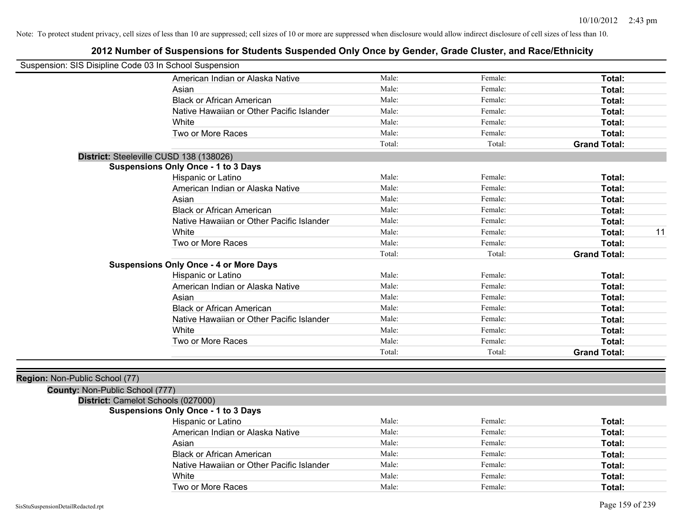### **2012 Number of Suspensions for Students Suspended Only Once by Gender, Grade Cluster, and Race/Ethnicity**

| Suspension: SIS Disipline Code 03 In School Suspension |                                               |        |         |                     |
|--------------------------------------------------------|-----------------------------------------------|--------|---------|---------------------|
|                                                        | American Indian or Alaska Native              | Male:  | Female: | Total:              |
|                                                        | Asian                                         | Male:  | Female: | Total:              |
|                                                        | <b>Black or African American</b>              | Male:  | Female: | Total:              |
|                                                        | Native Hawaiian or Other Pacific Islander     | Male:  | Female: | Total:              |
|                                                        | White                                         | Male:  | Female: | Total:              |
|                                                        | Two or More Races                             | Male:  | Female: | Total:              |
|                                                        |                                               | Total: | Total:  | <b>Grand Total:</b> |
|                                                        | District: Steeleville CUSD 138 (138026)       |        |         |                     |
|                                                        | <b>Suspensions Only Once - 1 to 3 Days</b>    |        |         |                     |
|                                                        | Hispanic or Latino                            | Male:  | Female: | Total:              |
|                                                        | American Indian or Alaska Native              | Male:  | Female: | Total:              |
|                                                        | Asian                                         | Male:  | Female: | Total:              |
|                                                        | <b>Black or African American</b>              | Male:  | Female: | Total:              |
|                                                        | Native Hawaiian or Other Pacific Islander     | Male:  | Female: | Total:              |
|                                                        | White                                         | Male:  | Female: | 11<br>Total:        |
|                                                        | Two or More Races                             | Male:  | Female: | Total:              |
|                                                        |                                               | Total: | Total:  | <b>Grand Total:</b> |
|                                                        | <b>Suspensions Only Once - 4 or More Days</b> |        |         |                     |
|                                                        | Hispanic or Latino                            | Male:  | Female: | Total:              |
|                                                        | American Indian or Alaska Native              | Male:  | Female: | Total:              |
|                                                        | Asian                                         | Male:  | Female: | Total:              |
|                                                        | <b>Black or African American</b>              | Male:  | Female: | Total:              |
|                                                        | Native Hawaiian or Other Pacific Islander     | Male:  | Female: | Total:              |
|                                                        | White                                         | Male:  | Female: | Total:              |
|                                                        | Two or More Races                             | Male:  | Female: | Total:              |
|                                                        |                                               | Total: | Total:  | <b>Grand Total:</b> |
|                                                        |                                               |        |         |                     |
| Region: Non-Public School (77)                         |                                               |        |         |                     |
| County: Non-Public School (777)                        |                                               |        |         |                     |
|                                                        | District: Camelot Schools (027000)            |        |         |                     |
|                                                        | <b>Suspensions Only Once - 1 to 3 Days</b>    |        |         |                     |
|                                                        | Hispanic or Latino                            | Male:  | Female: | Total:              |
|                                                        | American Indian or Alaska Native              | Male:  | Female: | Total:              |
|                                                        | Asian                                         | Male:  | Female: | Total:              |

Black or African American **Figure 1** and Male: **Female:** Female: **Fotal: Total: Total: Figure 1** Native Hawaiian or Other Pacific Islander Male: Female: Female: **Fotal:** Total: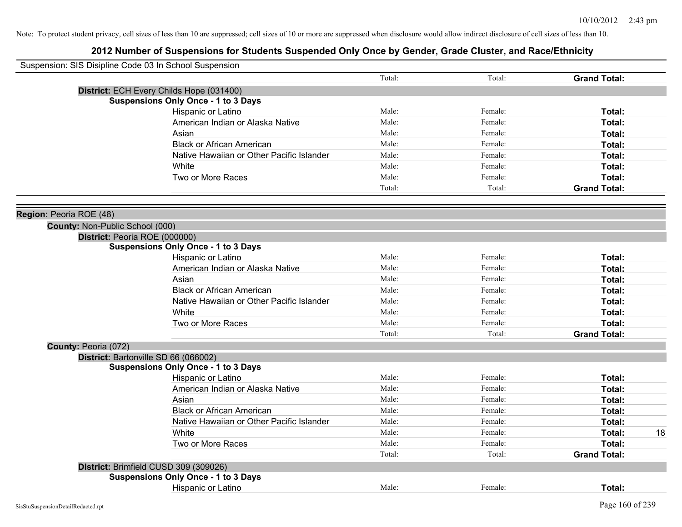| Suspension: SIS Disipline Code 03 In School Suspension |                                            |        |         |                     |    |
|--------------------------------------------------------|--------------------------------------------|--------|---------|---------------------|----|
|                                                        |                                            | Total: | Total:  | <b>Grand Total:</b> |    |
|                                                        | District: ECH Every Childs Hope (031400)   |        |         |                     |    |
|                                                        | <b>Suspensions Only Once - 1 to 3 Days</b> |        |         |                     |    |
|                                                        | Hispanic or Latino                         | Male:  | Female: | Total:              |    |
|                                                        | American Indian or Alaska Native           | Male:  | Female: | Total:              |    |
|                                                        | Asian                                      | Male:  | Female: | Total:              |    |
|                                                        | <b>Black or African American</b>           | Male:  | Female: | Total:              |    |
|                                                        | Native Hawaiian or Other Pacific Islander  | Male:  | Female: | Total:              |    |
|                                                        | White                                      | Male:  | Female: | Total:              |    |
|                                                        | Two or More Races                          | Male:  | Female: | Total:              |    |
|                                                        |                                            | Total: | Total:  | <b>Grand Total:</b> |    |
|                                                        |                                            |        |         |                     |    |
| Region: Peoria ROE (48)                                |                                            |        |         |                     |    |
| County: Non-Public School (000)                        |                                            |        |         |                     |    |
| District: Peoria ROE (000000)                          |                                            |        |         |                     |    |
|                                                        | <b>Suspensions Only Once - 1 to 3 Days</b> |        |         |                     |    |
|                                                        | Hispanic or Latino                         | Male:  | Female: | Total:              |    |
|                                                        | American Indian or Alaska Native           | Male:  | Female: | Total:              |    |
|                                                        | Asian                                      | Male:  | Female: | Total:              |    |
|                                                        | <b>Black or African American</b>           | Male:  | Female: | Total:              |    |
|                                                        | Native Hawaiian or Other Pacific Islander  | Male:  | Female: | Total:              |    |
|                                                        | White                                      | Male:  | Female: | Total:              |    |
|                                                        | Two or More Races                          | Male:  | Female: | Total:              |    |
|                                                        |                                            | Total: | Total:  | <b>Grand Total:</b> |    |
| County: Peoria (072)                                   |                                            |        |         |                     |    |
|                                                        | District: Bartonville SD 66 (066002)       |        |         |                     |    |
|                                                        | <b>Suspensions Only Once - 1 to 3 Days</b> |        |         |                     |    |
|                                                        | Hispanic or Latino                         | Male:  | Female: | Total:              |    |
|                                                        | American Indian or Alaska Native           | Male:  | Female: | Total:              |    |
|                                                        | Asian                                      | Male:  | Female: | Total:              |    |
|                                                        | <b>Black or African American</b>           | Male:  | Female: | Total:              |    |
|                                                        | Native Hawaiian or Other Pacific Islander  | Male:  | Female: | Total:              |    |
|                                                        | White                                      | Male:  | Female: | Total:              | 18 |
|                                                        | Two or More Races                          | Male:  | Female: | Total:              |    |
|                                                        |                                            | Total: | Total:  | <b>Grand Total:</b> |    |
|                                                        | District: Brimfield CUSD 309 (309026)      |        |         |                     |    |
|                                                        | <b>Suspensions Only Once - 1 to 3 Days</b> |        |         |                     |    |
|                                                        | <b>Hispanic or Latino</b>                  | Male:  | Female: | Total:              |    |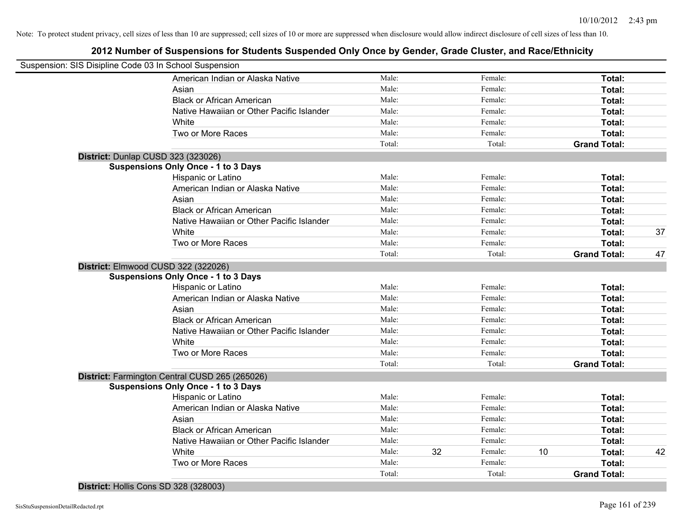| Suspension: SIS Disipline Code 03 In School Suspension |                                                |        |    |         |    |                     |    |
|--------------------------------------------------------|------------------------------------------------|--------|----|---------|----|---------------------|----|
|                                                        | American Indian or Alaska Native               | Male:  |    | Female: |    | Total:              |    |
|                                                        | Asian                                          | Male:  |    | Female: |    | Total:              |    |
|                                                        | <b>Black or African American</b>               | Male:  |    | Female: |    | Total:              |    |
|                                                        | Native Hawaiian or Other Pacific Islander      | Male:  |    | Female: |    | Total:              |    |
|                                                        | White                                          | Male:  |    | Female: |    | Total:              |    |
|                                                        | Two or More Races                              | Male:  |    | Female: |    | Total:              |    |
|                                                        |                                                | Total: |    | Total:  |    | <b>Grand Total:</b> |    |
| District: Dunlap CUSD 323 (323026)                     |                                                |        |    |         |    |                     |    |
|                                                        | <b>Suspensions Only Once - 1 to 3 Days</b>     |        |    |         |    |                     |    |
|                                                        | Hispanic or Latino                             | Male:  |    | Female: |    | Total:              |    |
|                                                        | American Indian or Alaska Native               | Male:  |    | Female: |    | Total:              |    |
|                                                        | Asian                                          | Male:  |    | Female: |    | Total:              |    |
|                                                        | <b>Black or African American</b>               | Male:  |    | Female: |    | Total:              |    |
|                                                        | Native Hawaiian or Other Pacific Islander      | Male:  |    | Female: |    | Total:              |    |
|                                                        | White                                          | Male:  |    | Female: |    | Total:              | 37 |
|                                                        | Two or More Races                              | Male:  |    | Female: |    | Total:              |    |
|                                                        |                                                | Total: |    | Total:  |    | <b>Grand Total:</b> | 47 |
| District: Elmwood CUSD 322 (322026)                    |                                                |        |    |         |    |                     |    |
|                                                        | <b>Suspensions Only Once - 1 to 3 Days</b>     |        |    |         |    |                     |    |
|                                                        | Hispanic or Latino                             | Male:  |    | Female: |    | Total:              |    |
|                                                        | American Indian or Alaska Native               | Male:  |    | Female: |    | Total:              |    |
|                                                        | Asian                                          | Male:  |    | Female: |    | Total:              |    |
|                                                        | <b>Black or African American</b>               | Male:  |    | Female: |    | Total:              |    |
|                                                        | Native Hawaiian or Other Pacific Islander      | Male:  |    | Female: |    | Total:              |    |
|                                                        | White                                          | Male:  |    | Female: |    | Total:              |    |
|                                                        | Two or More Races                              | Male:  |    | Female: |    | Total:              |    |
|                                                        |                                                | Total: |    | Total:  |    | <b>Grand Total:</b> |    |
|                                                        | District: Farmington Central CUSD 265 (265026) |        |    |         |    |                     |    |
|                                                        | <b>Suspensions Only Once - 1 to 3 Days</b>     |        |    |         |    |                     |    |
|                                                        | Hispanic or Latino                             | Male:  |    | Female: |    | Total:              |    |
|                                                        | American Indian or Alaska Native               | Male:  |    | Female: |    | Total:              |    |
|                                                        | Asian                                          | Male:  |    | Female: |    | Total:              |    |
|                                                        | <b>Black or African American</b>               | Male:  |    | Female: |    | Total:              |    |
|                                                        | Native Hawaiian or Other Pacific Islander      | Male:  |    | Female: |    | Total:              |    |
|                                                        | White                                          | Male:  | 32 | Female: | 10 | Total:              | 42 |
|                                                        | Two or More Races                              | Male:  |    | Female: |    | Total:              |    |
|                                                        |                                                | Total: |    | Total:  |    | <b>Grand Total:</b> |    |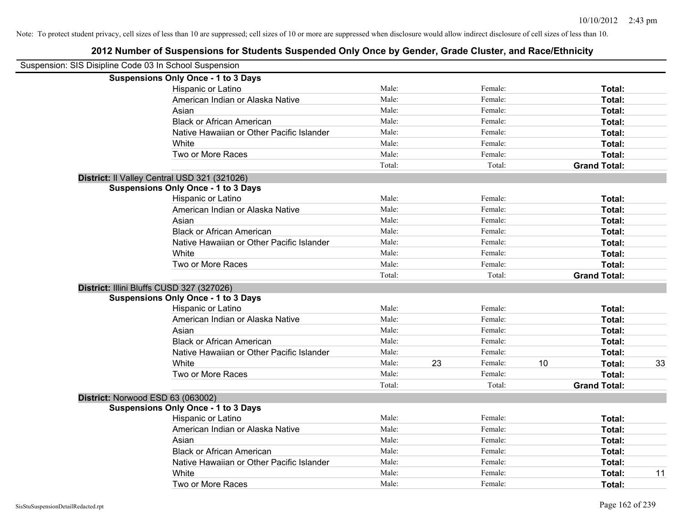| Suspension: SIS Disipline Code 03 In School Suspension |                                              |        |    |         |    |                     |    |
|--------------------------------------------------------|----------------------------------------------|--------|----|---------|----|---------------------|----|
|                                                        | <b>Suspensions Only Once - 1 to 3 Days</b>   |        |    |         |    |                     |    |
|                                                        | Hispanic or Latino                           | Male:  |    | Female: |    | Total:              |    |
|                                                        | American Indian or Alaska Native             | Male:  |    | Female: |    | Total:              |    |
|                                                        | Asian                                        | Male:  |    | Female: |    | Total:              |    |
|                                                        | <b>Black or African American</b>             | Male:  |    | Female: |    | Total:              |    |
|                                                        | Native Hawaiian or Other Pacific Islander    | Male:  |    | Female: |    | Total:              |    |
|                                                        | White                                        | Male:  |    | Female: |    | Total:              |    |
|                                                        | Two or More Races                            | Male:  |    | Female: |    | Total:              |    |
|                                                        |                                              | Total: |    | Total:  |    | <b>Grand Total:</b> |    |
|                                                        | District: Il Valley Central USD 321 (321026) |        |    |         |    |                     |    |
|                                                        | <b>Suspensions Only Once - 1 to 3 Days</b>   |        |    |         |    |                     |    |
|                                                        | Hispanic or Latino                           | Male:  |    | Female: |    | Total:              |    |
|                                                        | American Indian or Alaska Native             | Male:  |    | Female: |    | Total:              |    |
|                                                        | Asian                                        | Male:  |    | Female: |    | Total:              |    |
|                                                        | <b>Black or African American</b>             | Male:  |    | Female: |    | Total:              |    |
|                                                        | Native Hawaiian or Other Pacific Islander    | Male:  |    | Female: |    | Total:              |    |
|                                                        | White                                        | Male:  |    | Female: |    | Total:              |    |
|                                                        | Two or More Races                            | Male:  |    | Female: |    | Total:              |    |
|                                                        |                                              | Total: |    | Total:  |    | <b>Grand Total:</b> |    |
|                                                        | District: Illini Bluffs CUSD 327 (327026)    |        |    |         |    |                     |    |
|                                                        | <b>Suspensions Only Once - 1 to 3 Days</b>   |        |    |         |    |                     |    |
|                                                        | Hispanic or Latino                           | Male:  |    | Female: |    | Total:              |    |
|                                                        | American Indian or Alaska Native             | Male:  |    | Female: |    | Total:              |    |
|                                                        | Asian                                        | Male:  |    | Female: |    | Total:              |    |
|                                                        | <b>Black or African American</b>             | Male:  |    | Female: |    | Total:              |    |
|                                                        | Native Hawaiian or Other Pacific Islander    | Male:  |    | Female: |    | Total:              |    |
|                                                        | White                                        | Male:  | 23 | Female: | 10 | Total:              | 33 |
|                                                        | Two or More Races                            | Male:  |    | Female: |    | Total:              |    |
|                                                        |                                              | Total: |    | Total:  |    | <b>Grand Total:</b> |    |
|                                                        | District: Norwood ESD 63 (063002)            |        |    |         |    |                     |    |
|                                                        | <b>Suspensions Only Once - 1 to 3 Days</b>   |        |    |         |    |                     |    |
|                                                        | Hispanic or Latino                           | Male:  |    | Female: |    | Total:              |    |
|                                                        | American Indian or Alaska Native             | Male:  |    | Female: |    | Total:              |    |
|                                                        | Asian                                        | Male:  |    | Female: |    | Total:              |    |
|                                                        | <b>Black or African American</b>             | Male:  |    | Female: |    | Total:              |    |
|                                                        | Native Hawaiian or Other Pacific Islander    | Male:  |    | Female: |    | Total:              |    |
|                                                        | White                                        | Male:  |    | Female: |    | Total:              | 11 |
|                                                        | Two or More Races                            | Male:  |    | Female: |    | Total:              |    |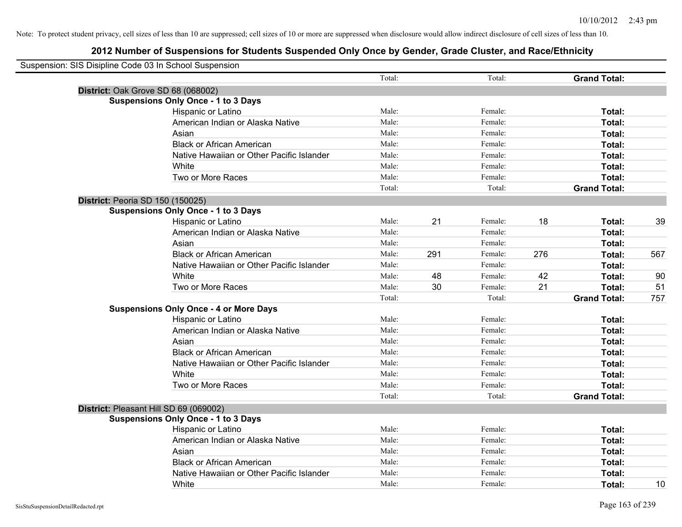| Suspension: SIS Disipline Code 03 In School Suspension |                                               |        |     |         |     |                     |     |
|--------------------------------------------------------|-----------------------------------------------|--------|-----|---------|-----|---------------------|-----|
|                                                        |                                               | Total: |     | Total:  |     | <b>Grand Total:</b> |     |
|                                                        | District: Oak Grove SD 68 (068002)            |        |     |         |     |                     |     |
|                                                        | <b>Suspensions Only Once - 1 to 3 Days</b>    |        |     |         |     |                     |     |
|                                                        | Hispanic or Latino                            | Male:  |     | Female: |     | Total:              |     |
|                                                        | American Indian or Alaska Native              | Male:  |     | Female: |     | Total:              |     |
|                                                        | Asian                                         | Male:  |     | Female: |     | Total:              |     |
|                                                        | <b>Black or African American</b>              | Male:  |     | Female: |     | Total:              |     |
|                                                        | Native Hawaiian or Other Pacific Islander     | Male:  |     | Female: |     | Total:              |     |
|                                                        | White                                         | Male:  |     | Female: |     | Total:              |     |
|                                                        | Two or More Races                             | Male:  |     | Female: |     | Total:              |     |
|                                                        |                                               | Total: |     | Total:  |     | <b>Grand Total:</b> |     |
|                                                        | District: Peoria SD 150 (150025)              |        |     |         |     |                     |     |
|                                                        | <b>Suspensions Only Once - 1 to 3 Days</b>    |        |     |         |     |                     |     |
|                                                        | Hispanic or Latino                            | Male:  | 21  | Female: | 18  | Total:              | 39  |
|                                                        | American Indian or Alaska Native              | Male:  |     | Female: |     | Total:              |     |
|                                                        | Asian                                         | Male:  |     | Female: |     | Total:              |     |
|                                                        | <b>Black or African American</b>              | Male:  | 291 | Female: | 276 | Total:              | 567 |
|                                                        | Native Hawaiian or Other Pacific Islander     | Male:  |     | Female: |     | Total:              |     |
|                                                        | White                                         | Male:  | 48  | Female: | 42  | Total:              | 90  |
|                                                        | Two or More Races                             | Male:  | 30  | Female: | 21  | Total:              | 51  |
|                                                        |                                               | Total: |     | Total:  |     | <b>Grand Total:</b> | 757 |
|                                                        | <b>Suspensions Only Once - 4 or More Days</b> |        |     |         |     |                     |     |
|                                                        | Hispanic or Latino                            | Male:  |     | Female: |     | Total:              |     |
|                                                        | American Indian or Alaska Native              | Male:  |     | Female: |     | Total:              |     |
|                                                        | Asian                                         | Male:  |     | Female: |     | Total:              |     |
|                                                        | <b>Black or African American</b>              | Male:  |     | Female: |     | Total:              |     |
|                                                        | Native Hawaiian or Other Pacific Islander     | Male:  |     | Female: |     | Total:              |     |
|                                                        | White                                         | Male:  |     | Female: |     | Total:              |     |
|                                                        | Two or More Races                             | Male:  |     | Female: |     | <b>Total:</b>       |     |
|                                                        |                                               | Total: |     | Total:  |     | <b>Grand Total:</b> |     |
|                                                        | District: Pleasant Hill SD 69 (069002)        |        |     |         |     |                     |     |
|                                                        | <b>Suspensions Only Once - 1 to 3 Days</b>    |        |     |         |     |                     |     |
|                                                        | Hispanic or Latino                            | Male:  |     | Female: |     | Total:              |     |
|                                                        | American Indian or Alaska Native              | Male:  |     | Female: |     | Total:              |     |
|                                                        | Asian                                         | Male:  |     | Female: |     | Total:              |     |
|                                                        | <b>Black or African American</b>              | Male:  |     | Female: |     | Total:              |     |
|                                                        | Native Hawaiian or Other Pacific Islander     | Male:  |     | Female: |     | Total:              |     |
|                                                        | White                                         | Male:  |     | Female: |     | Total:              | 10  |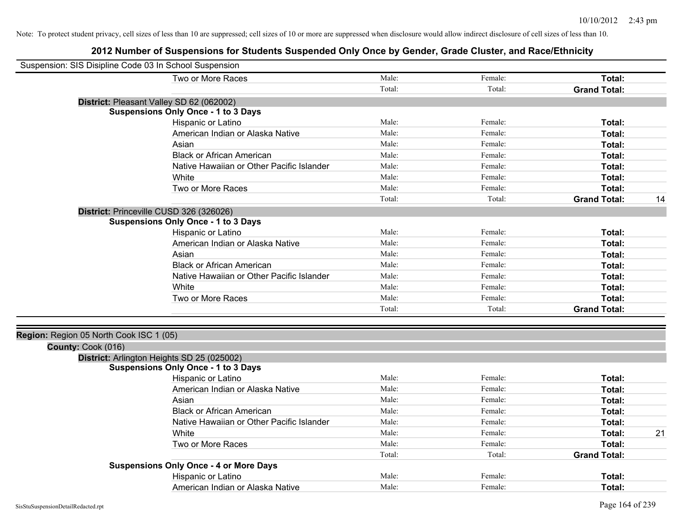|                                         | Suspension: SIS Disipline Code 03 In School Suspension |        |         |                     |    |
|-----------------------------------------|--------------------------------------------------------|--------|---------|---------------------|----|
|                                         | Two or More Races                                      | Male:  | Female: | Total:              |    |
|                                         |                                                        | Total: | Total:  | <b>Grand Total:</b> |    |
|                                         | District: Pleasant Valley SD 62 (062002)               |        |         |                     |    |
|                                         | <b>Suspensions Only Once - 1 to 3 Days</b>             |        |         |                     |    |
|                                         | Hispanic or Latino                                     | Male:  | Female: | Total:              |    |
|                                         | American Indian or Alaska Native                       | Male:  | Female: | Total:              |    |
|                                         | Asian                                                  | Male:  | Female: | Total:              |    |
|                                         | <b>Black or African American</b>                       | Male:  | Female: | Total:              |    |
|                                         | Native Hawaiian or Other Pacific Islander              | Male:  | Female: | Total:              |    |
|                                         | White                                                  | Male:  | Female: | Total:              |    |
|                                         | Two or More Races                                      | Male:  | Female: | Total:              |    |
|                                         |                                                        | Total: | Total:  | <b>Grand Total:</b> | 14 |
|                                         | District: Princeville CUSD 326 (326026)                |        |         |                     |    |
|                                         | <b>Suspensions Only Once - 1 to 3 Days</b>             |        |         |                     |    |
|                                         | Hispanic or Latino                                     | Male:  | Female: | Total:              |    |
|                                         | American Indian or Alaska Native                       | Male:  | Female: | Total:              |    |
|                                         | Asian                                                  | Male:  | Female: | Total:              |    |
|                                         | <b>Black or African American</b>                       | Male:  | Female: | Total:              |    |
|                                         | Native Hawaiian or Other Pacific Islander              | Male:  | Female: | Total:              |    |
|                                         | White                                                  | Male:  | Female: | Total:              |    |
|                                         | Two or More Races                                      | Male:  | Female: | Total:              |    |
|                                         |                                                        | Total: | Total:  | <b>Grand Total:</b> |    |
|                                         |                                                        |        |         |                     |    |
| Region: Region 05 North Cook ISC 1 (05) |                                                        |        |         |                     |    |
| County: Cook (016)                      |                                                        |        |         |                     |    |
|                                         | District: Arlington Heights SD 25 (025002)             |        |         |                     |    |
|                                         | <b>Suspensions Only Once - 1 to 3 Days</b>             |        |         |                     |    |
|                                         | Hispanic or Latino                                     | Male:  | Female: | Total:              |    |
|                                         | American Indian or Alaska Native                       | Male:  | Female: | Total:              |    |
|                                         | Asian                                                  | Male:  | Female: | Total:              |    |
|                                         | <b>Black or African American</b>                       | Male:  | Female: | Total:              |    |
|                                         | Native Hawaiian or Other Pacific Islander              | Male:  | Female: | Total:              |    |
|                                         | White                                                  | Male:  | Female: | Total:              | 21 |
|                                         | Two or More Races                                      | Male:  | Female: | Total:              |    |
|                                         |                                                        | Total: | Total:  | <b>Grand Total:</b> |    |
|                                         | <b>Suspensions Only Once - 4 or More Days</b>          |        |         |                     |    |
|                                         | Hispanic or Latino                                     | Male:  | Female: | <b>Total:</b>       |    |
|                                         | American Indian or Alaska Native                       | Male:  | Female: | Total:              |    |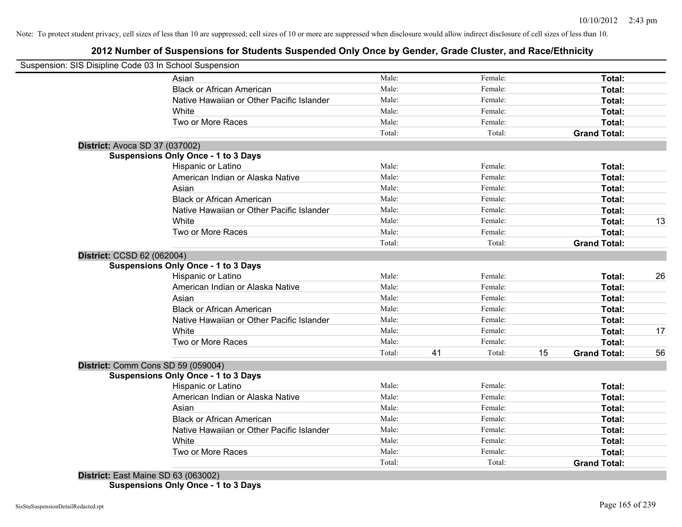## **2012 Number of Suspensions for Students Suspended Only Once by Gender, Grade Cluster, and Race/Ethnicity**

|                                     | Suspension: SIS Disipline Code 03 In School Suspension |        |    |         |    |                     |    |
|-------------------------------------|--------------------------------------------------------|--------|----|---------|----|---------------------|----|
|                                     | Asian                                                  | Male:  |    | Female: |    | Total:              |    |
|                                     | <b>Black or African American</b>                       | Male:  |    | Female: |    | Total:              |    |
|                                     | Native Hawaiian or Other Pacific Islander              | Male:  |    | Female: |    | Total:              |    |
|                                     | White                                                  | Male:  |    | Female: |    | Total:              |    |
|                                     | Two or More Races                                      | Male:  |    | Female: |    | Total:              |    |
|                                     |                                                        | Total: |    | Total:  |    | <b>Grand Total:</b> |    |
| District: Avoca SD 37 (037002)      |                                                        |        |    |         |    |                     |    |
|                                     | <b>Suspensions Only Once - 1 to 3 Days</b>             |        |    |         |    |                     |    |
|                                     | Hispanic or Latino                                     | Male:  |    | Female: |    | Total:              |    |
|                                     | American Indian or Alaska Native                       | Male:  |    | Female: |    | Total:              |    |
|                                     | Asian                                                  | Male:  |    | Female: |    | Total:              |    |
|                                     | <b>Black or African American</b>                       | Male:  |    | Female: |    | Total:              |    |
|                                     | Native Hawaiian or Other Pacific Islander              | Male:  |    | Female: |    | Total:              |    |
|                                     | White                                                  | Male:  |    | Female: |    | Total:              | 13 |
|                                     | Two or More Races                                      | Male:  |    | Female: |    | Total:              |    |
|                                     |                                                        | Total: |    | Total:  |    | <b>Grand Total:</b> |    |
| District: CCSD 62 (062004)          |                                                        |        |    |         |    |                     |    |
|                                     | <b>Suspensions Only Once - 1 to 3 Days</b>             |        |    |         |    |                     |    |
|                                     | Hispanic or Latino                                     | Male:  |    | Female: |    | Total:              | 26 |
|                                     | American Indian or Alaska Native                       | Male:  |    | Female: |    | Total:              |    |
|                                     | Asian                                                  | Male:  |    | Female: |    | Total:              |    |
|                                     | <b>Black or African American</b>                       | Male:  |    | Female: |    | Total:              |    |
|                                     | Native Hawaiian or Other Pacific Islander              | Male:  |    | Female: |    | Total:              |    |
|                                     | White                                                  | Male:  |    | Female: |    | Total:              | 17 |
|                                     | Two or More Races                                      | Male:  |    | Female: |    | Total:              |    |
|                                     |                                                        | Total: | 41 | Total:  | 15 | <b>Grand Total:</b> | 56 |
|                                     | District: Comm Cons SD 59 (059004)                     |        |    |         |    |                     |    |
|                                     | <b>Suspensions Only Once - 1 to 3 Days</b>             |        |    |         |    |                     |    |
|                                     | Hispanic or Latino                                     | Male:  |    | Female: |    | Total:              |    |
|                                     | American Indian or Alaska Native                       | Male:  |    | Female: |    | Total:              |    |
|                                     | Asian                                                  | Male:  |    | Female: |    | Total:              |    |
|                                     | <b>Black or African American</b>                       | Male:  |    | Female: |    | Total:              |    |
|                                     | Native Hawaiian or Other Pacific Islander              | Male:  |    | Female: |    | Total:              |    |
|                                     | White                                                  | Male:  |    | Female: |    | Total:              |    |
|                                     | Two or More Races                                      | Male:  |    | Female: |    | Total:              |    |
|                                     |                                                        | Total: |    | Total:  |    | <b>Grand Total:</b> |    |
| District: East Maine SD 63 (063002) |                                                        |        |    |         |    |                     |    |

**Suspensions Only Once - 1 to 3 Days**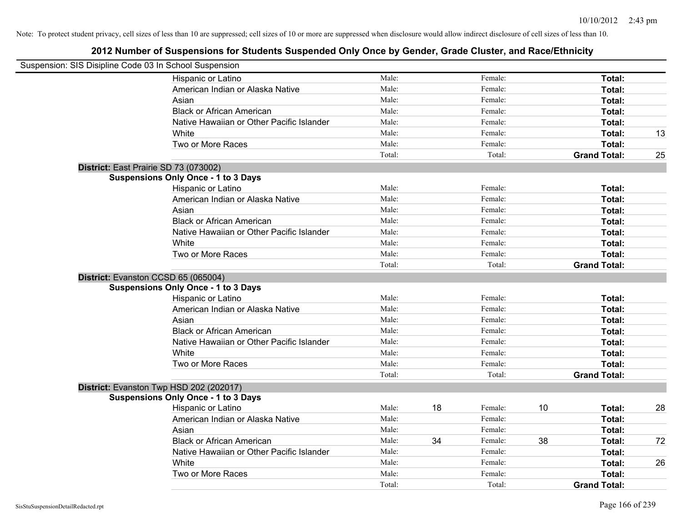| Suspension: SIS Disipline Code 03 In School Suspension |                                            |        |    |         |    |                     |    |
|--------------------------------------------------------|--------------------------------------------|--------|----|---------|----|---------------------|----|
|                                                        | Hispanic or Latino                         | Male:  |    | Female: |    | Total:              |    |
|                                                        | American Indian or Alaska Native           | Male:  |    | Female: |    | Total:              |    |
|                                                        | Asian                                      | Male:  |    | Female: |    | Total:              |    |
|                                                        | <b>Black or African American</b>           | Male:  |    | Female: |    | Total:              |    |
|                                                        | Native Hawaiian or Other Pacific Islander  | Male:  |    | Female: |    | Total:              |    |
|                                                        | White                                      | Male:  |    | Female: |    | Total:              | 13 |
|                                                        | Two or More Races                          | Male:  |    | Female: |    | Total:              |    |
|                                                        |                                            | Total: |    | Total:  |    | <b>Grand Total:</b> | 25 |
|                                                        | District: East Prairie SD 73 (073002)      |        |    |         |    |                     |    |
|                                                        | <b>Suspensions Only Once - 1 to 3 Days</b> |        |    |         |    |                     |    |
|                                                        | Hispanic or Latino                         | Male:  |    | Female: |    | Total:              |    |
|                                                        | American Indian or Alaska Native           | Male:  |    | Female: |    | Total:              |    |
|                                                        | Asian                                      | Male:  |    | Female: |    | Total:              |    |
|                                                        | <b>Black or African American</b>           | Male:  |    | Female: |    | Total:              |    |
|                                                        | Native Hawaiian or Other Pacific Islander  | Male:  |    | Female: |    | Total:              |    |
|                                                        | White                                      | Male:  |    | Female: |    | Total:              |    |
|                                                        | Two or More Races                          | Male:  |    | Female: |    | Total:              |    |
|                                                        |                                            | Total: |    | Total:  |    | <b>Grand Total:</b> |    |
|                                                        | District: Evanston CCSD 65 (065004)        |        |    |         |    |                     |    |
|                                                        | <b>Suspensions Only Once - 1 to 3 Days</b> |        |    |         |    |                     |    |
|                                                        | Hispanic or Latino                         | Male:  |    | Female: |    | Total:              |    |
|                                                        | American Indian or Alaska Native           | Male:  |    | Female: |    | Total:              |    |
|                                                        | Asian                                      | Male:  |    | Female: |    | Total:              |    |
|                                                        | <b>Black or African American</b>           | Male:  |    | Female: |    | Total:              |    |
|                                                        | Native Hawaiian or Other Pacific Islander  | Male:  |    | Female: |    | Total:              |    |
|                                                        | White                                      | Male:  |    | Female: |    | Total:              |    |
|                                                        | Two or More Races                          | Male:  |    | Female: |    | Total:              |    |
|                                                        |                                            | Total: |    | Total:  |    | <b>Grand Total:</b> |    |
|                                                        | District: Evanston Twp HSD 202 (202017)    |        |    |         |    |                     |    |
|                                                        | <b>Suspensions Only Once - 1 to 3 Days</b> |        |    |         |    |                     |    |
|                                                        | Hispanic or Latino                         | Male:  | 18 | Female: | 10 | Total:              | 28 |
|                                                        | American Indian or Alaska Native           | Male:  |    | Female: |    | Total:              |    |
|                                                        | Asian                                      | Male:  |    | Female: |    | Total:              |    |
|                                                        | <b>Black or African American</b>           | Male:  | 34 | Female: | 38 | Total:              | 72 |
|                                                        | Native Hawaiian or Other Pacific Islander  | Male:  |    | Female: |    | Total:              |    |
|                                                        | White                                      | Male:  |    | Female: |    | Total:              | 26 |
|                                                        | Two or More Races                          | Male:  |    | Female: |    | Total:              |    |
|                                                        |                                            | Total: |    | Total:  |    | <b>Grand Total:</b> |    |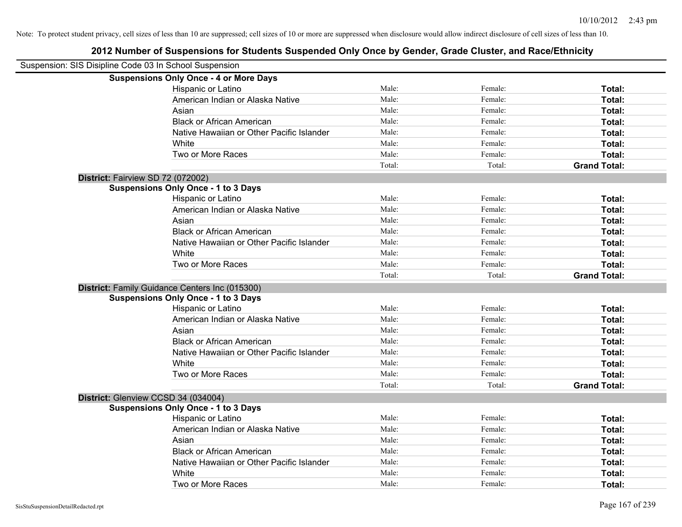| Suspension: SIS Disipline Code 03 In School Suspension |                                                |        |         |                     |
|--------------------------------------------------------|------------------------------------------------|--------|---------|---------------------|
|                                                        | <b>Suspensions Only Once - 4 or More Days</b>  |        |         |                     |
|                                                        | Hispanic or Latino                             | Male:  | Female: | Total:              |
|                                                        | American Indian or Alaska Native               | Male:  | Female: | Total:              |
|                                                        | Asian                                          | Male:  | Female: | Total:              |
|                                                        | <b>Black or African American</b>               | Male:  | Female: | Total:              |
|                                                        | Native Hawaiian or Other Pacific Islander      | Male:  | Female: | Total:              |
|                                                        | White                                          | Male:  | Female: | Total:              |
|                                                        | Two or More Races                              | Male:  | Female: | Total:              |
|                                                        |                                                | Total: | Total:  | <b>Grand Total:</b> |
| District: Fairview SD 72 (072002)                      |                                                |        |         |                     |
|                                                        | <b>Suspensions Only Once - 1 to 3 Days</b>     |        |         |                     |
|                                                        | Hispanic or Latino                             | Male:  | Female: | Total:              |
|                                                        | American Indian or Alaska Native               | Male:  | Female: | Total:              |
|                                                        | Asian                                          | Male:  | Female: | Total:              |
|                                                        | <b>Black or African American</b>               | Male:  | Female: | Total:              |
|                                                        | Native Hawaiian or Other Pacific Islander      | Male:  | Female: | Total:              |
|                                                        | White                                          | Male:  | Female: | Total:              |
|                                                        | Two or More Races                              | Male:  | Female: | Total:              |
|                                                        |                                                | Total: | Total:  | <b>Grand Total:</b> |
|                                                        | District: Family Guidance Centers Inc (015300) |        |         |                     |
|                                                        | <b>Suspensions Only Once - 1 to 3 Days</b>     |        |         |                     |
|                                                        | Hispanic or Latino                             | Male:  | Female: | Total:              |
|                                                        | American Indian or Alaska Native               | Male:  | Female: | Total:              |
|                                                        | Asian                                          | Male:  | Female: | Total:              |
|                                                        | <b>Black or African American</b>               | Male:  | Female: | Total:              |
|                                                        | Native Hawaiian or Other Pacific Islander      | Male:  | Female: | Total:              |
|                                                        | White                                          | Male:  | Female: | Total:              |
|                                                        | Two or More Races                              | Male:  | Female: | Total:              |
|                                                        |                                                | Total: | Total:  | <b>Grand Total:</b> |
| District: Glenview CCSD 34 (034004)                    |                                                |        |         |                     |
|                                                        | <b>Suspensions Only Once - 1 to 3 Days</b>     |        |         |                     |
|                                                        | Hispanic or Latino                             | Male:  | Female: | Total:              |
|                                                        | American Indian or Alaska Native               | Male:  | Female: | Total:              |
|                                                        | Asian                                          | Male:  | Female: | Total:              |
|                                                        | <b>Black or African American</b>               | Male:  | Female: | Total:              |
|                                                        | Native Hawaiian or Other Pacific Islander      | Male:  | Female: | Total:              |
|                                                        | White                                          | Male:  | Female: | <b>Total:</b>       |
|                                                        | Two or More Races                              | Male:  | Female: | Total:              |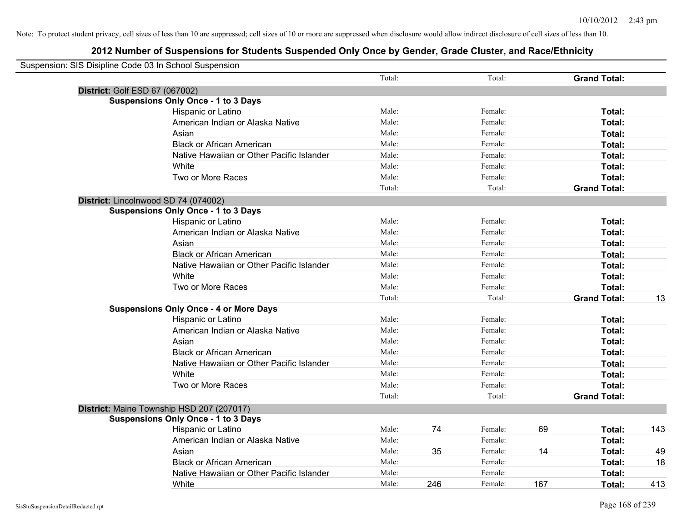| Suspension: SIS Disipline Code 03 In School Suspension |                                               |        |     |         |     |                     |     |
|--------------------------------------------------------|-----------------------------------------------|--------|-----|---------|-----|---------------------|-----|
|                                                        |                                               | Total: |     | Total:  |     | <b>Grand Total:</b> |     |
| District: Golf ESD 67 (067002)                         |                                               |        |     |         |     |                     |     |
|                                                        | <b>Suspensions Only Once - 1 to 3 Days</b>    |        |     |         |     |                     |     |
|                                                        | Hispanic or Latino                            | Male:  |     | Female: |     | Total:              |     |
|                                                        | American Indian or Alaska Native              | Male:  |     | Female: |     | Total:              |     |
|                                                        | Asian                                         | Male:  |     | Female: |     | Total:              |     |
|                                                        | <b>Black or African American</b>              | Male:  |     | Female: |     | Total:              |     |
|                                                        | Native Hawaiian or Other Pacific Islander     | Male:  |     | Female: |     | Total:              |     |
|                                                        | White                                         | Male:  |     | Female: |     | Total:              |     |
|                                                        | Two or More Races                             | Male:  |     | Female: |     | Total:              |     |
|                                                        |                                               | Total: |     | Total:  |     | <b>Grand Total:</b> |     |
|                                                        | District: Lincolnwood SD 74 (074002)          |        |     |         |     |                     |     |
|                                                        | <b>Suspensions Only Once - 1 to 3 Days</b>    |        |     |         |     |                     |     |
|                                                        | Hispanic or Latino                            | Male:  |     | Female: |     | Total:              |     |
|                                                        | American Indian or Alaska Native              | Male:  |     | Female: |     | Total:              |     |
|                                                        | Asian                                         | Male:  |     | Female: |     | Total:              |     |
|                                                        | <b>Black or African American</b>              | Male:  |     | Female: |     | Total:              |     |
|                                                        | Native Hawaiian or Other Pacific Islander     | Male:  |     | Female: |     | Total:              |     |
|                                                        | White                                         | Male:  |     | Female: |     | Total:              |     |
|                                                        | Two or More Races                             | Male:  |     | Female: |     | Total:              |     |
|                                                        |                                               | Total: |     | Total:  |     | <b>Grand Total:</b> | 13  |
|                                                        | <b>Suspensions Only Once - 4 or More Days</b> |        |     |         |     |                     |     |
|                                                        | Hispanic or Latino                            | Male:  |     | Female: |     | Total:              |     |
|                                                        | American Indian or Alaska Native              | Male:  |     | Female: |     | Total:              |     |
|                                                        | Asian                                         | Male:  |     | Female: |     | Total:              |     |
|                                                        | <b>Black or African American</b>              | Male:  |     | Female: |     | Total:              |     |
|                                                        | Native Hawaiian or Other Pacific Islander     | Male:  |     | Female: |     | Total:              |     |
|                                                        | White                                         | Male:  |     | Female: |     | Total:              |     |
|                                                        | Two or More Races                             | Male:  |     | Female: |     | Total:              |     |
|                                                        |                                               | Total: |     | Total:  |     | <b>Grand Total:</b> |     |
|                                                        | District: Maine Township HSD 207 (207017)     |        |     |         |     |                     |     |
|                                                        | <b>Suspensions Only Once - 1 to 3 Days</b>    |        |     |         |     |                     |     |
|                                                        | Hispanic or Latino                            | Male:  | 74  | Female: | 69  | Total:              | 143 |
|                                                        | American Indian or Alaska Native              | Male:  |     | Female: |     | Total:              |     |
|                                                        | Asian                                         | Male:  | 35  | Female: | 14  | Total:              | 49  |
|                                                        | <b>Black or African American</b>              | Male:  |     | Female: |     | Total:              | 18  |
|                                                        | Native Hawaiian or Other Pacific Islander     | Male:  |     | Female: |     | Total:              |     |
|                                                        | White                                         | Male:  | 246 | Female: | 167 | Total:              | 413 |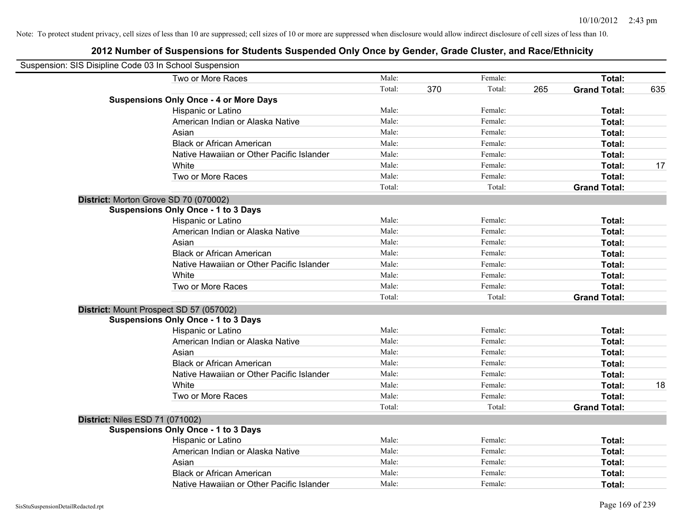| Suspension: SIS Disipline Code 03 In School Suspension |                                               |        |     |         |     |                     |     |
|--------------------------------------------------------|-----------------------------------------------|--------|-----|---------|-----|---------------------|-----|
|                                                        | Two or More Races                             | Male:  |     | Female: |     | Total:              |     |
|                                                        |                                               | Total: | 370 | Total:  | 265 | <b>Grand Total:</b> | 635 |
|                                                        | <b>Suspensions Only Once - 4 or More Days</b> |        |     |         |     |                     |     |
|                                                        | Hispanic or Latino                            | Male:  |     | Female: |     | Total:              |     |
|                                                        | American Indian or Alaska Native              | Male:  |     | Female: |     | Total:              |     |
|                                                        | Asian                                         | Male:  |     | Female: |     | Total:              |     |
|                                                        | <b>Black or African American</b>              | Male:  |     | Female: |     | Total:              |     |
|                                                        | Native Hawaiian or Other Pacific Islander     | Male:  |     | Female: |     | Total:              |     |
|                                                        | White                                         | Male:  |     | Female: |     | Total:              | 17  |
|                                                        | Two or More Races                             | Male:  |     | Female: |     | Total:              |     |
|                                                        |                                               | Total: |     | Total:  |     | <b>Grand Total:</b> |     |
|                                                        | District: Morton Grove SD 70 (070002)         |        |     |         |     |                     |     |
|                                                        | <b>Suspensions Only Once - 1 to 3 Days</b>    |        |     |         |     |                     |     |
|                                                        | Hispanic or Latino                            | Male:  |     | Female: |     | Total:              |     |
|                                                        | American Indian or Alaska Native              | Male:  |     | Female: |     | Total:              |     |
|                                                        | Asian                                         | Male:  |     | Female: |     | Total:              |     |
|                                                        | <b>Black or African American</b>              | Male:  |     | Female: |     | Total:              |     |
|                                                        | Native Hawaiian or Other Pacific Islander     | Male:  |     | Female: |     | Total:              |     |
|                                                        | White                                         | Male:  |     | Female: |     | Total:              |     |
|                                                        | Two or More Races                             | Male:  |     | Female: |     | Total:              |     |
|                                                        |                                               | Total: |     | Total:  |     | <b>Grand Total:</b> |     |
|                                                        | District: Mount Prospect SD 57 (057002)       |        |     |         |     |                     |     |
|                                                        | <b>Suspensions Only Once - 1 to 3 Days</b>    |        |     |         |     |                     |     |
|                                                        | Hispanic or Latino                            | Male:  |     | Female: |     | Total:              |     |
|                                                        | American Indian or Alaska Native              | Male:  |     | Female: |     | Total:              |     |
|                                                        | Asian                                         | Male:  |     | Female: |     | Total:              |     |
|                                                        | <b>Black or African American</b>              | Male:  |     | Female: |     | Total:              |     |
|                                                        | Native Hawaiian or Other Pacific Islander     | Male:  |     | Female: |     | Total:              |     |
|                                                        | White                                         | Male:  |     | Female: |     | Total:              | 18  |
|                                                        | Two or More Races                             | Male:  |     | Female: |     | Total:              |     |
|                                                        |                                               | Total: |     | Total:  |     | <b>Grand Total:</b> |     |
|                                                        | <b>District: Niles ESD 71 (071002)</b>        |        |     |         |     |                     |     |
|                                                        | <b>Suspensions Only Once - 1 to 3 Days</b>    |        |     |         |     |                     |     |
|                                                        | Hispanic or Latino                            | Male:  |     | Female: |     | Total:              |     |
|                                                        | American Indian or Alaska Native              | Male:  |     | Female: |     | Total:              |     |
|                                                        | Asian                                         | Male:  |     | Female: |     | Total:              |     |
|                                                        | <b>Black or African American</b>              | Male:  |     | Female: |     | Total:              |     |
|                                                        | Native Hawaiian or Other Pacific Islander     | Male:  |     | Female: |     | Total:              |     |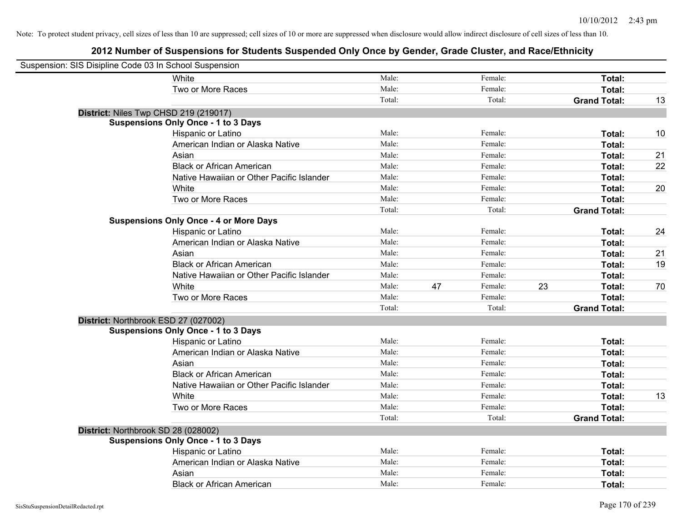| Suspension: SIS Disipline Code 03 In School Suspension |                                               |        |    |         |    |                     |    |
|--------------------------------------------------------|-----------------------------------------------|--------|----|---------|----|---------------------|----|
|                                                        | White                                         | Male:  |    | Female: |    | Total:              |    |
|                                                        | Two or More Races                             | Male:  |    | Female: |    | Total:              |    |
|                                                        |                                               | Total: |    | Total:  |    | <b>Grand Total:</b> | 13 |
| District: Niles Twp CHSD 219 (219017)                  |                                               |        |    |         |    |                     |    |
|                                                        | <b>Suspensions Only Once - 1 to 3 Days</b>    |        |    |         |    |                     |    |
|                                                        | Hispanic or Latino                            | Male:  |    | Female: |    | Total:              | 10 |
|                                                        | American Indian or Alaska Native              | Male:  |    | Female: |    | Total:              |    |
|                                                        | Asian                                         | Male:  |    | Female: |    | Total:              | 21 |
|                                                        | <b>Black or African American</b>              | Male:  |    | Female: |    | Total:              | 22 |
|                                                        | Native Hawaiian or Other Pacific Islander     | Male:  |    | Female: |    | Total:              |    |
|                                                        | White                                         | Male:  |    | Female: |    | Total:              | 20 |
|                                                        | Two or More Races                             | Male:  |    | Female: |    | Total:              |    |
|                                                        |                                               | Total: |    | Total:  |    | <b>Grand Total:</b> |    |
|                                                        | <b>Suspensions Only Once - 4 or More Days</b> |        |    |         |    |                     |    |
|                                                        | Hispanic or Latino                            | Male:  |    | Female: |    | Total:              | 24 |
|                                                        | American Indian or Alaska Native              | Male:  |    | Female: |    | Total:              |    |
|                                                        | Asian                                         | Male:  |    | Female: |    | Total:              | 21 |
|                                                        | <b>Black or African American</b>              | Male:  |    | Female: |    | Total:              | 19 |
|                                                        | Native Hawaiian or Other Pacific Islander     | Male:  |    | Female: |    | Total:              |    |
|                                                        | White                                         | Male:  | 47 | Female: | 23 | Total:              | 70 |
|                                                        | Two or More Races                             | Male:  |    | Female: |    | Total:              |    |
|                                                        |                                               | Total: |    | Total:  |    | <b>Grand Total:</b> |    |
| District: Northbrook ESD 27 (027002)                   |                                               |        |    |         |    |                     |    |
|                                                        | <b>Suspensions Only Once - 1 to 3 Days</b>    |        |    |         |    |                     |    |
|                                                        | Hispanic or Latino                            | Male:  |    | Female: |    | Total:              |    |
|                                                        | American Indian or Alaska Native              | Male:  |    | Female: |    | Total:              |    |
|                                                        | Asian                                         | Male:  |    | Female: |    | Total:              |    |
|                                                        | <b>Black or African American</b>              | Male:  |    | Female: |    | Total:              |    |
|                                                        | Native Hawaiian or Other Pacific Islander     | Male:  |    | Female: |    | Total:              |    |
|                                                        | White                                         | Male:  |    | Female: |    | Total:              | 13 |
|                                                        | Two or More Races                             | Male:  |    | Female: |    | Total:              |    |
|                                                        |                                               | Total: |    | Total:  |    | <b>Grand Total:</b> |    |
| District: Northbrook SD 28 (028002)                    |                                               |        |    |         |    |                     |    |
|                                                        | <b>Suspensions Only Once - 1 to 3 Days</b>    |        |    |         |    |                     |    |
|                                                        | Hispanic or Latino                            | Male:  |    | Female: |    | Total:              |    |
|                                                        | American Indian or Alaska Native              | Male:  |    | Female: |    | Total:              |    |
|                                                        | Asian                                         | Male:  |    | Female: |    | Total:              |    |
|                                                        | <b>Black or African American</b>              | Male:  |    | Female: |    | Total:              |    |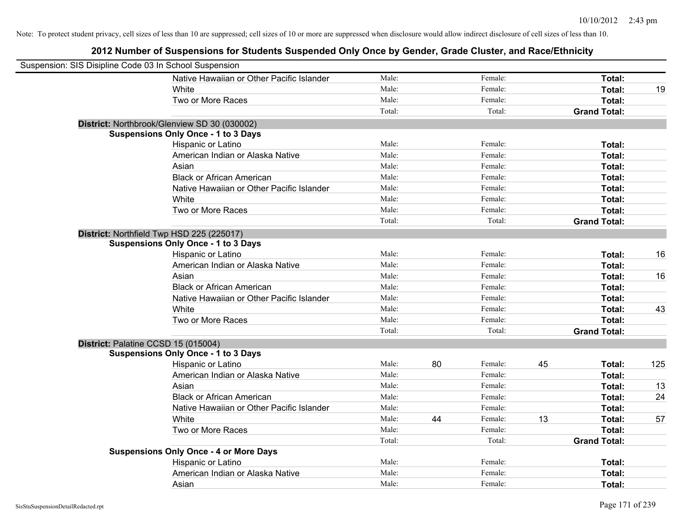| Suspension: SIS Disipline Code 03 In School Suspension |                                               |        |    |         |    |                     |     |
|--------------------------------------------------------|-----------------------------------------------|--------|----|---------|----|---------------------|-----|
|                                                        | Native Hawaiian or Other Pacific Islander     | Male:  |    | Female: |    | Total:              |     |
|                                                        | White                                         | Male:  |    | Female: |    | Total:              | 19  |
|                                                        | Two or More Races                             | Male:  |    | Female: |    | Total:              |     |
|                                                        |                                               | Total: |    | Total:  |    | <b>Grand Total:</b> |     |
|                                                        | District: Northbrook/Glenview SD 30 (030002)  |        |    |         |    |                     |     |
|                                                        | <b>Suspensions Only Once - 1 to 3 Days</b>    |        |    |         |    |                     |     |
|                                                        | Hispanic or Latino                            | Male:  |    | Female: |    | Total:              |     |
|                                                        | American Indian or Alaska Native              | Male:  |    | Female: |    | Total:              |     |
|                                                        | Asian                                         | Male:  |    | Female: |    | Total:              |     |
|                                                        | <b>Black or African American</b>              | Male:  |    | Female: |    | Total:              |     |
|                                                        | Native Hawaiian or Other Pacific Islander     | Male:  |    | Female: |    | Total:              |     |
|                                                        | White                                         | Male:  |    | Female: |    | Total:              |     |
|                                                        | Two or More Races                             | Male:  |    | Female: |    | Total:              |     |
|                                                        |                                               | Total: |    | Total:  |    | <b>Grand Total:</b> |     |
| District: Northfield Twp HSD 225 (225017)              |                                               |        |    |         |    |                     |     |
|                                                        | <b>Suspensions Only Once - 1 to 3 Days</b>    |        |    |         |    |                     |     |
|                                                        | Hispanic or Latino                            | Male:  |    | Female: |    | Total:              | 16  |
|                                                        | American Indian or Alaska Native              | Male:  |    | Female: |    | Total:              |     |
|                                                        | Asian                                         | Male:  |    | Female: |    | Total:              | 16  |
|                                                        | <b>Black or African American</b>              | Male:  |    | Female: |    | Total:              |     |
|                                                        | Native Hawaiian or Other Pacific Islander     | Male:  |    | Female: |    | Total:              |     |
|                                                        | White                                         | Male:  |    | Female: |    | Total:              | 43  |
|                                                        | Two or More Races                             | Male:  |    | Female: |    | Total:              |     |
|                                                        |                                               | Total: |    | Total:  |    | <b>Grand Total:</b> |     |
| District: Palatine CCSD 15 (015004)                    |                                               |        |    |         |    |                     |     |
|                                                        | <b>Suspensions Only Once - 1 to 3 Days</b>    |        |    |         |    |                     |     |
|                                                        | Hispanic or Latino                            | Male:  | 80 | Female: | 45 | Total:              | 125 |
|                                                        | American Indian or Alaska Native              | Male:  |    | Female: |    | Total:              |     |
|                                                        | Asian                                         | Male:  |    | Female: |    | Total:              | 13  |
|                                                        | <b>Black or African American</b>              | Male:  |    | Female: |    | Total:              | 24  |
|                                                        | Native Hawaiian or Other Pacific Islander     | Male:  |    | Female: |    | Total:              |     |
|                                                        | White                                         | Male:  | 44 | Female: | 13 | Total:              | 57  |
|                                                        | Two or More Races                             | Male:  |    | Female: |    | Total:              |     |
|                                                        |                                               | Total: |    | Total:  |    | <b>Grand Total:</b> |     |
|                                                        | <b>Suspensions Only Once - 4 or More Days</b> |        |    |         |    |                     |     |
|                                                        | Hispanic or Latino                            | Male:  |    | Female: |    | Total:              |     |
|                                                        | American Indian or Alaska Native              | Male:  |    | Female: |    | Total:              |     |
|                                                        | Asian                                         | Male:  |    | Female: |    | Total:              |     |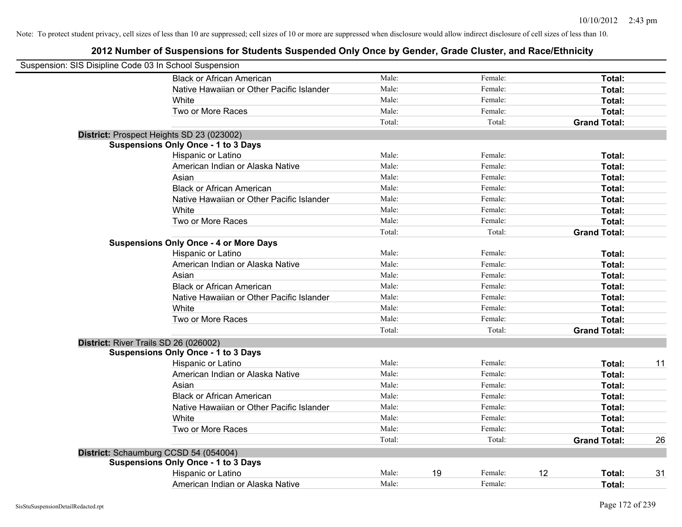| Suspension: SIS Disipline Code 03 In School Suspension |                                               |        |    |         |    |                     |    |
|--------------------------------------------------------|-----------------------------------------------|--------|----|---------|----|---------------------|----|
|                                                        | <b>Black or African American</b>              | Male:  |    | Female: |    | Total:              |    |
|                                                        | Native Hawaiian or Other Pacific Islander     | Male:  |    | Female: |    | Total:              |    |
|                                                        | White                                         | Male:  |    | Female: |    | Total:              |    |
|                                                        | Two or More Races                             | Male:  |    | Female: |    | Total:              |    |
|                                                        |                                               | Total: |    | Total:  |    | <b>Grand Total:</b> |    |
|                                                        | District: Prospect Heights SD 23 (023002)     |        |    |         |    |                     |    |
|                                                        | <b>Suspensions Only Once - 1 to 3 Days</b>    |        |    |         |    |                     |    |
|                                                        | Hispanic or Latino                            | Male:  |    | Female: |    | Total:              |    |
|                                                        | American Indian or Alaska Native              | Male:  |    | Female: |    | Total:              |    |
|                                                        | Asian                                         | Male:  |    | Female: |    | Total:              |    |
|                                                        | <b>Black or African American</b>              | Male:  |    | Female: |    | Total:              |    |
|                                                        | Native Hawaiian or Other Pacific Islander     | Male:  |    | Female: |    | Total:              |    |
|                                                        | White                                         | Male:  |    | Female: |    | Total:              |    |
|                                                        | Two or More Races                             | Male:  |    | Female: |    | Total:              |    |
|                                                        |                                               | Total: |    | Total:  |    | <b>Grand Total:</b> |    |
|                                                        | <b>Suspensions Only Once - 4 or More Days</b> |        |    |         |    |                     |    |
|                                                        | Hispanic or Latino                            | Male:  |    | Female: |    | Total:              |    |
|                                                        | American Indian or Alaska Native              | Male:  |    | Female: |    | Total:              |    |
|                                                        | Asian                                         | Male:  |    | Female: |    | Total:              |    |
|                                                        | <b>Black or African American</b>              | Male:  |    | Female: |    | Total:              |    |
|                                                        | Native Hawaiian or Other Pacific Islander     | Male:  |    | Female: |    | Total:              |    |
|                                                        | White                                         | Male:  |    | Female: |    | Total:              |    |
|                                                        | Two or More Races                             | Male:  |    | Female: |    | Total:              |    |
|                                                        |                                               | Total: |    | Total:  |    | <b>Grand Total:</b> |    |
|                                                        | District: River Trails SD 26 (026002)         |        |    |         |    |                     |    |
|                                                        | <b>Suspensions Only Once - 1 to 3 Days</b>    |        |    |         |    |                     |    |
|                                                        | Hispanic or Latino                            | Male:  |    | Female: |    | Total:              | 11 |
|                                                        | American Indian or Alaska Native              | Male:  |    | Female: |    | Total:              |    |
|                                                        | Asian                                         | Male:  |    | Female: |    | Total:              |    |
|                                                        | <b>Black or African American</b>              | Male:  |    | Female: |    | Total:              |    |
|                                                        | Native Hawaiian or Other Pacific Islander     | Male:  |    | Female: |    | Total:              |    |
|                                                        | White                                         | Male:  |    | Female: |    | Total:              |    |
|                                                        | Two or More Races                             | Male:  |    | Female: |    | <b>Total:</b>       |    |
|                                                        |                                               | Total: |    | Total:  |    | <b>Grand Total:</b> | 26 |
|                                                        | District: Schaumburg CCSD 54 (054004)         |        |    |         |    |                     |    |
|                                                        | <b>Suspensions Only Once - 1 to 3 Days</b>    |        |    |         |    |                     |    |
|                                                        | Hispanic or Latino                            | Male:  | 19 | Female: | 12 | Total:              | 31 |
|                                                        | American Indian or Alaska Native              | Male:  |    | Female: |    | Total:              |    |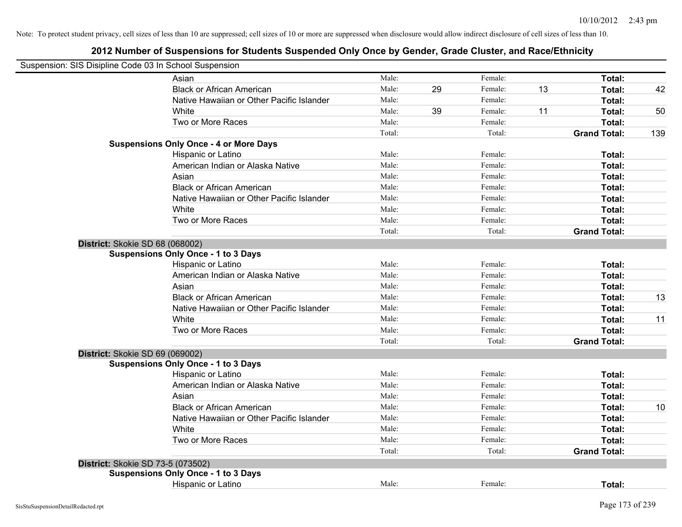|                                   | Suspension: SIS Disipline Code 03 In School Suspension |        |    |         |    |                     |     |
|-----------------------------------|--------------------------------------------------------|--------|----|---------|----|---------------------|-----|
|                                   | Asian                                                  | Male:  |    | Female: |    | Total:              |     |
|                                   | <b>Black or African American</b>                       | Male:  | 29 | Female: | 13 | Total:              | 42  |
|                                   | Native Hawaiian or Other Pacific Islander              | Male:  |    | Female: |    | Total:              |     |
|                                   | White                                                  | Male:  | 39 | Female: | 11 | Total:              | 50  |
|                                   | Two or More Races                                      | Male:  |    | Female: |    | Total:              |     |
|                                   |                                                        | Total: |    | Total:  |    | <b>Grand Total:</b> | 139 |
|                                   | <b>Suspensions Only Once - 4 or More Days</b>          |        |    |         |    |                     |     |
|                                   | Hispanic or Latino                                     | Male:  |    | Female: |    | Total:              |     |
|                                   | American Indian or Alaska Native                       | Male:  |    | Female: |    | Total:              |     |
|                                   | Asian                                                  | Male:  |    | Female: |    | Total:              |     |
|                                   | <b>Black or African American</b>                       | Male:  |    | Female: |    | Total:              |     |
|                                   | Native Hawaiian or Other Pacific Islander              | Male:  |    | Female: |    | Total:              |     |
|                                   | White                                                  | Male:  |    | Female: |    | Total:              |     |
|                                   | Two or More Races                                      | Male:  |    | Female: |    | Total:              |     |
|                                   |                                                        | Total: |    | Total:  |    | <b>Grand Total:</b> |     |
| District: Skokie SD 68 (068002)   |                                                        |        |    |         |    |                     |     |
|                                   | <b>Suspensions Only Once - 1 to 3 Days</b>             |        |    |         |    |                     |     |
|                                   | Hispanic or Latino                                     | Male:  |    | Female: |    | Total:              |     |
|                                   | American Indian or Alaska Native                       | Male:  |    | Female: |    | Total:              |     |
|                                   | Asian                                                  | Male:  |    | Female: |    | Total:              |     |
|                                   | <b>Black or African American</b>                       | Male:  |    | Female: |    | Total:              | 13  |
|                                   | Native Hawaiian or Other Pacific Islander              | Male:  |    | Female: |    | Total:              |     |
|                                   | White                                                  | Male:  |    | Female: |    | Total:              | 11  |
|                                   | Two or More Races                                      | Male:  |    | Female: |    | Total:              |     |
|                                   |                                                        | Total: |    | Total:  |    | <b>Grand Total:</b> |     |
| District: Skokie SD 69 (069002)   |                                                        |        |    |         |    |                     |     |
|                                   | <b>Suspensions Only Once - 1 to 3 Days</b>             |        |    |         |    |                     |     |
|                                   | Hispanic or Latino                                     | Male:  |    | Female: |    | Total:              |     |
|                                   | American Indian or Alaska Native                       | Male:  |    | Female: |    | Total:              |     |
|                                   | Asian                                                  | Male:  |    | Female: |    | Total:              |     |
|                                   | <b>Black or African American</b>                       | Male:  |    | Female: |    | Total:              | 10  |
|                                   | Native Hawaiian or Other Pacific Islander              | Male:  |    | Female: |    | Total:              |     |
|                                   | <b>White</b>                                           | Male:  |    | Female: |    | Total:              |     |
|                                   | Two or More Races                                      | Male:  |    | Female: |    | Total:              |     |
|                                   |                                                        | Total: |    | Total:  |    | <b>Grand Total:</b> |     |
| District: Skokie SD 73-5 (073502) |                                                        |        |    |         |    |                     |     |
|                                   | <b>Suspensions Only Once - 1 to 3 Days</b>             |        |    |         |    |                     |     |
|                                   | Hispanic or Latino                                     | Male:  |    | Female: |    | Total:              |     |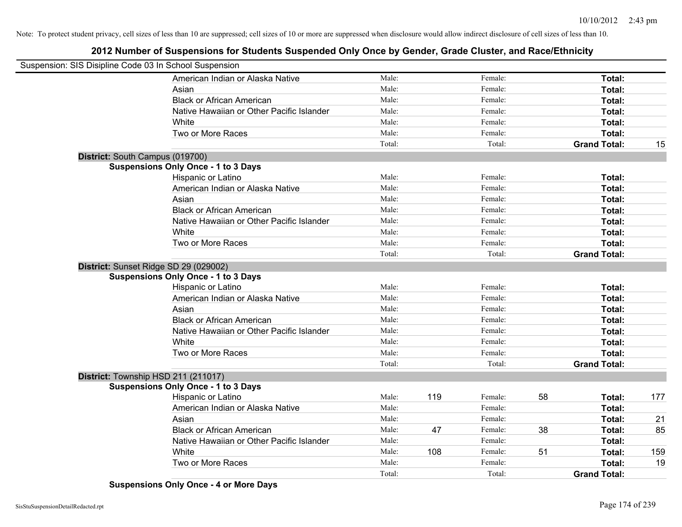## **2012 Number of Suspensions for Students Suspended Only Once by Gender, Grade Cluster, and Race/Ethnicity**

| Suspension: SIS Disipline Code 03 In School Suspension |                                            |        |     |         |    |                     |     |
|--------------------------------------------------------|--------------------------------------------|--------|-----|---------|----|---------------------|-----|
|                                                        | American Indian or Alaska Native           | Male:  |     | Female: |    | Total:              |     |
|                                                        | Asian                                      | Male:  |     | Female: |    | Total:              |     |
|                                                        | <b>Black or African American</b>           | Male:  |     | Female: |    | Total:              |     |
|                                                        | Native Hawaiian or Other Pacific Islander  | Male:  |     | Female: |    | Total:              |     |
|                                                        | White                                      | Male:  |     | Female: |    | Total:              |     |
|                                                        | Two or More Races                          | Male:  |     | Female: |    | Total:              |     |
|                                                        |                                            | Total: |     | Total:  |    | <b>Grand Total:</b> | 15  |
|                                                        | District: South Campus (019700)            |        |     |         |    |                     |     |
|                                                        | <b>Suspensions Only Once - 1 to 3 Days</b> |        |     |         |    |                     |     |
|                                                        | Hispanic or Latino                         | Male:  |     | Female: |    | Total:              |     |
|                                                        | American Indian or Alaska Native           | Male:  |     | Female: |    | Total:              |     |
|                                                        | Asian                                      | Male:  |     | Female: |    | Total:              |     |
|                                                        | <b>Black or African American</b>           | Male:  |     | Female: |    | Total:              |     |
|                                                        | Native Hawaiian or Other Pacific Islander  | Male:  |     | Female: |    | Total:              |     |
|                                                        | White                                      | Male:  |     | Female: |    | Total:              |     |
|                                                        | Two or More Races                          | Male:  |     | Female: |    | <b>Total:</b>       |     |
|                                                        |                                            | Total: |     | Total:  |    | <b>Grand Total:</b> |     |
|                                                        | District: Sunset Ridge SD 29 (029002)      |        |     |         |    |                     |     |
|                                                        | <b>Suspensions Only Once - 1 to 3 Days</b> |        |     |         |    |                     |     |
|                                                        | Hispanic or Latino                         | Male:  |     | Female: |    | Total:              |     |
|                                                        | American Indian or Alaska Native           | Male:  |     | Female: |    | Total:              |     |
|                                                        | Asian                                      | Male:  |     | Female: |    | Total:              |     |
|                                                        | <b>Black or African American</b>           | Male:  |     | Female: |    | Total:              |     |
|                                                        | Native Hawaiian or Other Pacific Islander  | Male:  |     | Female: |    | Total:              |     |
|                                                        | White                                      | Male:  |     | Female: |    | Total:              |     |
|                                                        | Two or More Races                          | Male:  |     | Female: |    | Total:              |     |
|                                                        |                                            | Total: |     | Total:  |    | <b>Grand Total:</b> |     |
|                                                        | District: Township HSD 211 (211017)        |        |     |         |    |                     |     |
|                                                        | <b>Suspensions Only Once - 1 to 3 Days</b> |        |     |         |    |                     |     |
|                                                        | Hispanic or Latino                         | Male:  | 119 | Female: | 58 | Total:              | 177 |
|                                                        | American Indian or Alaska Native           | Male:  |     | Female: |    | Total:              |     |
|                                                        | Asian                                      | Male:  |     | Female: |    | Total:              | 21  |
|                                                        | <b>Black or African American</b>           | Male:  | 47  | Female: | 38 | Total:              | 85  |
|                                                        | Native Hawaiian or Other Pacific Islander  | Male:  |     | Female: |    | Total:              |     |
|                                                        | White                                      | Male:  | 108 | Female: | 51 | Total:              | 159 |
|                                                        | Two or More Races                          | Male:  |     | Female: |    | <b>Total:</b>       | 19  |
|                                                        |                                            | Total: |     | Total:  |    | <b>Grand Total:</b> |     |

**Suspensions Only Once - 4 or More Days**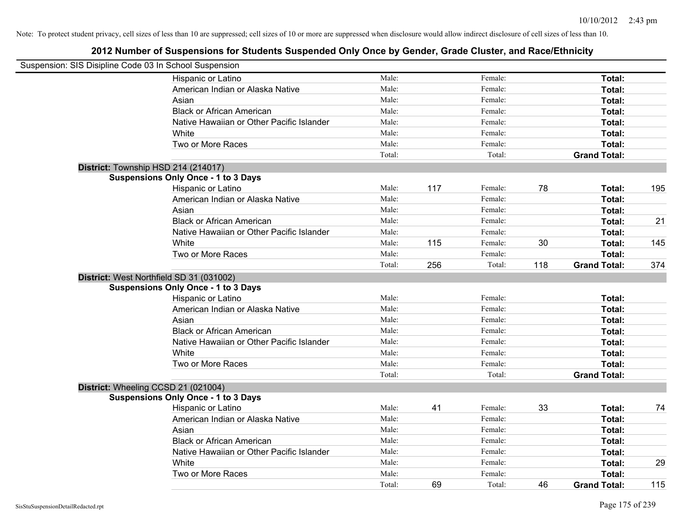| Suspension: SIS Disipline Code 03 In School Suspension |                                            |        |     |         |     |                     |     |
|--------------------------------------------------------|--------------------------------------------|--------|-----|---------|-----|---------------------|-----|
|                                                        | Hispanic or Latino                         | Male:  |     | Female: |     | Total:              |     |
|                                                        | American Indian or Alaska Native           | Male:  |     | Female: |     | Total:              |     |
|                                                        | Asian                                      | Male:  |     | Female: |     | Total:              |     |
|                                                        | <b>Black or African American</b>           | Male:  |     | Female: |     | Total:              |     |
|                                                        | Native Hawaiian or Other Pacific Islander  | Male:  |     | Female: |     | Total:              |     |
|                                                        | White                                      | Male:  |     | Female: |     | Total:              |     |
|                                                        | Two or More Races                          | Male:  |     | Female: |     | Total:              |     |
|                                                        |                                            | Total: |     | Total:  |     | <b>Grand Total:</b> |     |
| District: Township HSD 214 (214017)                    |                                            |        |     |         |     |                     |     |
|                                                        | <b>Suspensions Only Once - 1 to 3 Days</b> |        |     |         |     |                     |     |
|                                                        | Hispanic or Latino                         | Male:  | 117 | Female: | 78  | Total:              | 195 |
|                                                        | American Indian or Alaska Native           | Male:  |     | Female: |     | Total:              |     |
|                                                        | Asian                                      | Male:  |     | Female: |     | Total:              |     |
|                                                        | <b>Black or African American</b>           | Male:  |     | Female: |     | Total:              | 21  |
|                                                        | Native Hawaiian or Other Pacific Islander  | Male:  |     | Female: |     | Total:              |     |
|                                                        | White                                      | Male:  | 115 | Female: | 30  | Total:              | 145 |
|                                                        | Two or More Races                          | Male:  |     | Female: |     | Total:              |     |
|                                                        |                                            | Total: | 256 | Total:  | 118 | <b>Grand Total:</b> | 374 |
| District: West Northfield SD 31 (031002)               |                                            |        |     |         |     |                     |     |
|                                                        | <b>Suspensions Only Once - 1 to 3 Days</b> |        |     |         |     |                     |     |
|                                                        | Hispanic or Latino                         | Male:  |     | Female: |     | Total:              |     |
|                                                        | American Indian or Alaska Native           | Male:  |     | Female: |     | Total:              |     |
|                                                        | Asian                                      | Male:  |     | Female: |     | Total:              |     |
|                                                        | <b>Black or African American</b>           | Male:  |     | Female: |     | Total:              |     |
|                                                        | Native Hawaiian or Other Pacific Islander  | Male:  |     | Female: |     | Total:              |     |
|                                                        | White                                      | Male:  |     | Female: |     | Total:              |     |
|                                                        | Two or More Races                          | Male:  |     | Female: |     | Total:              |     |
|                                                        |                                            | Total: |     | Total:  |     | <b>Grand Total:</b> |     |
| District: Wheeling CCSD 21 (021004)                    |                                            |        |     |         |     |                     |     |
|                                                        | <b>Suspensions Only Once - 1 to 3 Days</b> |        |     |         |     |                     |     |
|                                                        | Hispanic or Latino                         | Male:  | 41  | Female: | 33  | Total:              | 74  |
|                                                        | American Indian or Alaska Native           | Male:  |     | Female: |     | Total:              |     |
|                                                        | Asian                                      | Male:  |     | Female: |     | Total:              |     |
|                                                        | <b>Black or African American</b>           | Male:  |     | Female: |     | Total:              |     |
|                                                        | Native Hawaiian or Other Pacific Islander  | Male:  |     | Female: |     | Total:              |     |
|                                                        | White                                      | Male:  |     | Female: |     | Total:              | 29  |
|                                                        | Two or More Races                          | Male:  |     | Female: |     | Total:              |     |
|                                                        |                                            | Total: | 69  | Total:  | 46  | <b>Grand Total:</b> | 115 |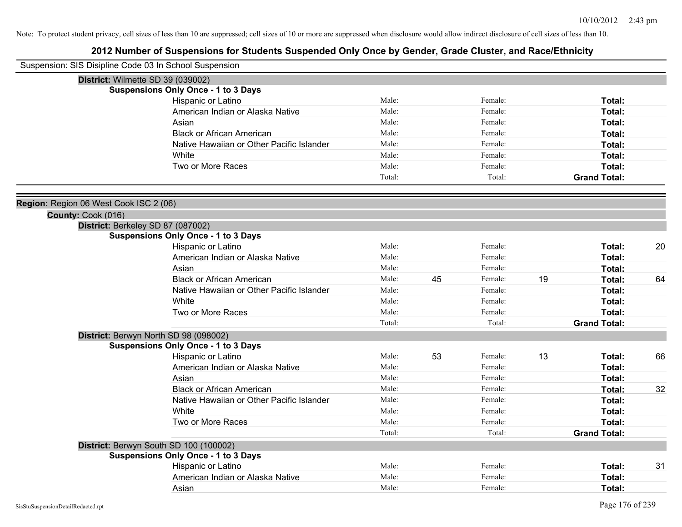| Suspension: SIS Disipline Code 03 In School Suspension |                                                                                                                                                                                                                                                                                                                                                                                                                                                                                                                                                                                                                                                                                                                                                                                                                           |                                                                                                                                                                                                       |          |                                                                                                                                                                                       |          |                                                                                                                                                                                                                                                                             |
|--------------------------------------------------------|---------------------------------------------------------------------------------------------------------------------------------------------------------------------------------------------------------------------------------------------------------------------------------------------------------------------------------------------------------------------------------------------------------------------------------------------------------------------------------------------------------------------------------------------------------------------------------------------------------------------------------------------------------------------------------------------------------------------------------------------------------------------------------------------------------------------------|-------------------------------------------------------------------------------------------------------------------------------------------------------------------------------------------------------|----------|---------------------------------------------------------------------------------------------------------------------------------------------------------------------------------------|----------|-----------------------------------------------------------------------------------------------------------------------------------------------------------------------------------------------------------------------------------------------------------------------------|
| District: Wilmette SD 39 (039002)                      |                                                                                                                                                                                                                                                                                                                                                                                                                                                                                                                                                                                                                                                                                                                                                                                                                           |                                                                                                                                                                                                       |          |                                                                                                                                                                                       |          |                                                                                                                                                                                                                                                                             |
| <b>Suspensions Only Once - 1 to 3 Days</b>             |                                                                                                                                                                                                                                                                                                                                                                                                                                                                                                                                                                                                                                                                                                                                                                                                                           |                                                                                                                                                                                                       |          |                                                                                                                                                                                       |          |                                                                                                                                                                                                                                                                             |
| Hispanic or Latino                                     | Male:                                                                                                                                                                                                                                                                                                                                                                                                                                                                                                                                                                                                                                                                                                                                                                                                                     |                                                                                                                                                                                                       | Female:  |                                                                                                                                                                                       | Total:   |                                                                                                                                                                                                                                                                             |
|                                                        | Male:                                                                                                                                                                                                                                                                                                                                                                                                                                                                                                                                                                                                                                                                                                                                                                                                                     |                                                                                                                                                                                                       | Female:  |                                                                                                                                                                                       | Total:   |                                                                                                                                                                                                                                                                             |
| Asian                                                  |                                                                                                                                                                                                                                                                                                                                                                                                                                                                                                                                                                                                                                                                                                                                                                                                                           |                                                                                                                                                                                                       | Female:  |                                                                                                                                                                                       | Total:   |                                                                                                                                                                                                                                                                             |
|                                                        |                                                                                                                                                                                                                                                                                                                                                                                                                                                                                                                                                                                                                                                                                                                                                                                                                           |                                                                                                                                                                                                       | Female:  |                                                                                                                                                                                       | Total:   |                                                                                                                                                                                                                                                                             |
|                                                        |                                                                                                                                                                                                                                                                                                                                                                                                                                                                                                                                                                                                                                                                                                                                                                                                                           |                                                                                                                                                                                                       | Female:  |                                                                                                                                                                                       |          |                                                                                                                                                                                                                                                                             |
|                                                        |                                                                                                                                                                                                                                                                                                                                                                                                                                                                                                                                                                                                                                                                                                                                                                                                                           |                                                                                                                                                                                                       | Female:  |                                                                                                                                                                                       |          |                                                                                                                                                                                                                                                                             |
|                                                        |                                                                                                                                                                                                                                                                                                                                                                                                                                                                                                                                                                                                                                                                                                                                                                                                                           |                                                                                                                                                                                                       |          |                                                                                                                                                                                       |          |                                                                                                                                                                                                                                                                             |
|                                                        |                                                                                                                                                                                                                                                                                                                                                                                                                                                                                                                                                                                                                                                                                                                                                                                                                           |                                                                                                                                                                                                       |          |                                                                                                                                                                                       |          |                                                                                                                                                                                                                                                                             |
|                                                        |                                                                                                                                                                                                                                                                                                                                                                                                                                                                                                                                                                                                                                                                                                                                                                                                                           |                                                                                                                                                                                                       |          |                                                                                                                                                                                       |          |                                                                                                                                                                                                                                                                             |
|                                                        |                                                                                                                                                                                                                                                                                                                                                                                                                                                                                                                                                                                                                                                                                                                                                                                                                           |                                                                                                                                                                                                       |          |                                                                                                                                                                                       |          |                                                                                                                                                                                                                                                                             |
|                                                        |                                                                                                                                                                                                                                                                                                                                                                                                                                                                                                                                                                                                                                                                                                                                                                                                                           |                                                                                                                                                                                                       |          |                                                                                                                                                                                       |          |                                                                                                                                                                                                                                                                             |
|                                                        |                                                                                                                                                                                                                                                                                                                                                                                                                                                                                                                                                                                                                                                                                                                                                                                                                           |                                                                                                                                                                                                       |          |                                                                                                                                                                                       |          |                                                                                                                                                                                                                                                                             |
|                                                        |                                                                                                                                                                                                                                                                                                                                                                                                                                                                                                                                                                                                                                                                                                                                                                                                                           |                                                                                                                                                                                                       |          |                                                                                                                                                                                       |          |                                                                                                                                                                                                                                                                             |
|                                                        |                                                                                                                                                                                                                                                                                                                                                                                                                                                                                                                                                                                                                                                                                                                                                                                                                           |                                                                                                                                                                                                       |          |                                                                                                                                                                                       |          | 20                                                                                                                                                                                                                                                                          |
|                                                        |                                                                                                                                                                                                                                                                                                                                                                                                                                                                                                                                                                                                                                                                                                                                                                                                                           |                                                                                                                                                                                                       |          |                                                                                                                                                                                       |          |                                                                                                                                                                                                                                                                             |
|                                                        |                                                                                                                                                                                                                                                                                                                                                                                                                                                                                                                                                                                                                                                                                                                                                                                                                           |                                                                                                                                                                                                       |          |                                                                                                                                                                                       |          |                                                                                                                                                                                                                                                                             |
|                                                        |                                                                                                                                                                                                                                                                                                                                                                                                                                                                                                                                                                                                                                                                                                                                                                                                                           |                                                                                                                                                                                                       |          |                                                                                                                                                                                       |          | 64                                                                                                                                                                                                                                                                          |
|                                                        |                                                                                                                                                                                                                                                                                                                                                                                                                                                                                                                                                                                                                                                                                                                                                                                                                           |                                                                                                                                                                                                       |          |                                                                                                                                                                                       |          |                                                                                                                                                                                                                                                                             |
|                                                        |                                                                                                                                                                                                                                                                                                                                                                                                                                                                                                                                                                                                                                                                                                                                                                                                                           |                                                                                                                                                                                                       |          |                                                                                                                                                                                       |          |                                                                                                                                                                                                                                                                             |
|                                                        |                                                                                                                                                                                                                                                                                                                                                                                                                                                                                                                                                                                                                                                                                                                                                                                                                           |                                                                                                                                                                                                       |          |                                                                                                                                                                                       |          |                                                                                                                                                                                                                                                                             |
|                                                        |                                                                                                                                                                                                                                                                                                                                                                                                                                                                                                                                                                                                                                                                                                                                                                                                                           |                                                                                                                                                                                                       |          |                                                                                                                                                                                       |          |                                                                                                                                                                                                                                                                             |
|                                                        |                                                                                                                                                                                                                                                                                                                                                                                                                                                                                                                                                                                                                                                                                                                                                                                                                           |                                                                                                                                                                                                       |          |                                                                                                                                                                                       |          |                                                                                                                                                                                                                                                                             |
|                                                        |                                                                                                                                                                                                                                                                                                                                                                                                                                                                                                                                                                                                                                                                                                                                                                                                                           |                                                                                                                                                                                                       |          |                                                                                                                                                                                       |          |                                                                                                                                                                                                                                                                             |
|                                                        |                                                                                                                                                                                                                                                                                                                                                                                                                                                                                                                                                                                                                                                                                                                                                                                                                           |                                                                                                                                                                                                       |          |                                                                                                                                                                                       |          | 66                                                                                                                                                                                                                                                                          |
|                                                        |                                                                                                                                                                                                                                                                                                                                                                                                                                                                                                                                                                                                                                                                                                                                                                                                                           |                                                                                                                                                                                                       |          |                                                                                                                                                                                       |          |                                                                                                                                                                                                                                                                             |
|                                                        |                                                                                                                                                                                                                                                                                                                                                                                                                                                                                                                                                                                                                                                                                                                                                                                                                           |                                                                                                                                                                                                       |          |                                                                                                                                                                                       |          |                                                                                                                                                                                                                                                                             |
|                                                        |                                                                                                                                                                                                                                                                                                                                                                                                                                                                                                                                                                                                                                                                                                                                                                                                                           |                                                                                                                                                                                                       |          |                                                                                                                                                                                       |          | 32                                                                                                                                                                                                                                                                          |
|                                                        |                                                                                                                                                                                                                                                                                                                                                                                                                                                                                                                                                                                                                                                                                                                                                                                                                           |                                                                                                                                                                                                       |          |                                                                                                                                                                                       |          |                                                                                                                                                                                                                                                                             |
|                                                        |                                                                                                                                                                                                                                                                                                                                                                                                                                                                                                                                                                                                                                                                                                                                                                                                                           |                                                                                                                                                                                                       |          |                                                                                                                                                                                       | Total:   |                                                                                                                                                                                                                                                                             |
|                                                        |                                                                                                                                                                                                                                                                                                                                                                                                                                                                                                                                                                                                                                                                                                                                                                                                                           |                                                                                                                                                                                                       |          |                                                                                                                                                                                       |          |                                                                                                                                                                                                                                                                             |
|                                                        |                                                                                                                                                                                                                                                                                                                                                                                                                                                                                                                                                                                                                                                                                                                                                                                                                           |                                                                                                                                                                                                       | Total:   |                                                                                                                                                                                       |          |                                                                                                                                                                                                                                                                             |
| District: Berwyn South SD 100 (100002)                 |                                                                                                                                                                                                                                                                                                                                                                                                                                                                                                                                                                                                                                                                                                                                                                                                                           |                                                                                                                                                                                                       |          |                                                                                                                                                                                       |          |                                                                                                                                                                                                                                                                             |
|                                                        |                                                                                                                                                                                                                                                                                                                                                                                                                                                                                                                                                                                                                                                                                                                                                                                                                           |                                                                                                                                                                                                       |          |                                                                                                                                                                                       |          |                                                                                                                                                                                                                                                                             |
| Hispanic or Latino                                     | Male:                                                                                                                                                                                                                                                                                                                                                                                                                                                                                                                                                                                                                                                                                                                                                                                                                     |                                                                                                                                                                                                       | Female:  |                                                                                                                                                                                       | Total:   | 31                                                                                                                                                                                                                                                                          |
|                                                        | Male:                                                                                                                                                                                                                                                                                                                                                                                                                                                                                                                                                                                                                                                                                                                                                                                                                     |                                                                                                                                                                                                       | Female:  |                                                                                                                                                                                       | Total:   |                                                                                                                                                                                                                                                                             |
| Asian                                                  | Male:                                                                                                                                                                                                                                                                                                                                                                                                                                                                                                                                                                                                                                                                                                                                                                                                                     |                                                                                                                                                                                                       | Female:  |                                                                                                                                                                                       | Total:   |                                                                                                                                                                                                                                                                             |
|                                                        | American Indian or Alaska Native<br><b>Black or African American</b><br>Native Hawaiian or Other Pacific Islander<br>White<br>Two or More Races<br>Region: Region 06 West Cook ISC 2 (06)<br>District: Berkeley SD 87 (087002)<br><b>Suspensions Only Once - 1 to 3 Days</b><br>Hispanic or Latino<br>American Indian or Alaska Native<br>Asian<br><b>Black or African American</b><br>Native Hawaiian or Other Pacific Islander<br>White<br>Two or More Races<br>District: Berwyn North SD 98 (098002)<br><b>Suspensions Only Once - 1 to 3 Days</b><br>Hispanic or Latino<br>American Indian or Alaska Native<br>Asian<br><b>Black or African American</b><br>Native Hawaiian or Other Pacific Islander<br>White<br>Two or More Races<br><b>Suspensions Only Once - 1 to 3 Days</b><br>American Indian or Alaska Native | Male:<br>Male:<br>Male:<br>Male:<br>Male:<br>Total:<br>Male:<br>Male:<br>Male:<br>Male:<br>Male:<br>Male:<br>Male:<br>Total:<br>Male:<br>Male:<br>Male:<br>Male:<br>Male:<br>Male:<br>Male:<br>Total: | 45<br>53 | Female:<br>Total:<br>Female:<br>Female:<br>Female:<br>Female:<br>Female:<br>Female:<br>Female:<br>Total:<br>Female:<br>Female:<br>Female:<br>Female:<br>Female:<br>Female:<br>Female: | 19<br>13 | Total:<br>Total:<br>Total:<br><b>Grand Total:</b><br>Total:<br>Total:<br>Total:<br>Total:<br>Total:<br>Total:<br>Total:<br><b>Grand Total:</b><br><b>Total:</b><br><b>Total:</b><br><b>Total:</b><br><b>Total:</b><br><b>Total:</b><br><b>Total:</b><br><b>Grand Total:</b> |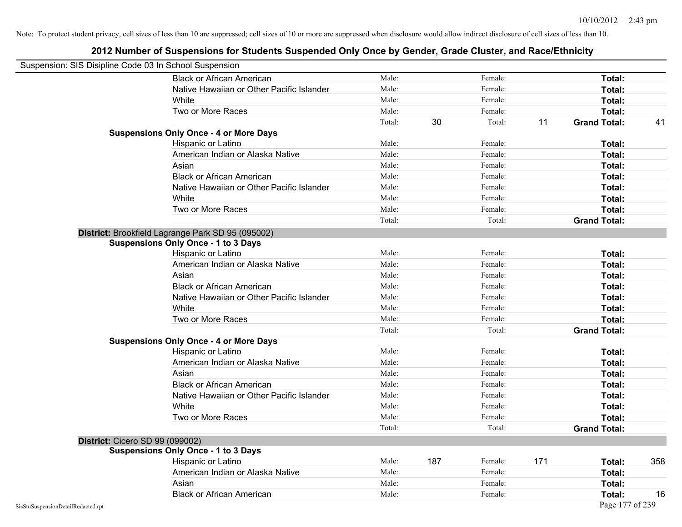| Suspension: SIS Disipline Code 03 In School Suspension |                                                   |        |     |         |     |                     |     |
|--------------------------------------------------------|---------------------------------------------------|--------|-----|---------|-----|---------------------|-----|
|                                                        | <b>Black or African American</b>                  | Male:  |     | Female: |     | Total:              |     |
|                                                        | Native Hawaiian or Other Pacific Islander         | Male:  |     | Female: |     | Total:              |     |
|                                                        | White                                             | Male:  |     | Female: |     | Total:              |     |
|                                                        | Two or More Races                                 | Male:  |     | Female: |     | Total:              |     |
|                                                        |                                                   | Total: | 30  | Total:  | 11  | <b>Grand Total:</b> | 41  |
|                                                        | <b>Suspensions Only Once - 4 or More Days</b>     |        |     |         |     |                     |     |
|                                                        | Hispanic or Latino                                | Male:  |     | Female: |     | Total:              |     |
|                                                        | American Indian or Alaska Native                  | Male:  |     | Female: |     | Total:              |     |
|                                                        | Asian                                             | Male:  |     | Female: |     | Total:              |     |
|                                                        | <b>Black or African American</b>                  | Male:  |     | Female: |     | Total:              |     |
|                                                        | Native Hawaiian or Other Pacific Islander         | Male:  |     | Female: |     | Total:              |     |
|                                                        | White                                             | Male:  |     | Female: |     | Total:              |     |
|                                                        | Two or More Races                                 | Male:  |     | Female: |     | Total:              |     |
|                                                        |                                                   | Total: |     | Total:  |     | <b>Grand Total:</b> |     |
|                                                        | District: Brookfield Lagrange Park SD 95 (095002) |        |     |         |     |                     |     |
|                                                        | <b>Suspensions Only Once - 1 to 3 Days</b>        |        |     |         |     |                     |     |
|                                                        | Hispanic or Latino                                | Male:  |     | Female: |     | Total:              |     |
|                                                        | American Indian or Alaska Native                  | Male:  |     | Female: |     | Total:              |     |
|                                                        | Asian                                             | Male:  |     | Female: |     | Total:              |     |
|                                                        | <b>Black or African American</b>                  | Male:  |     | Female: |     | Total:              |     |
|                                                        | Native Hawaiian or Other Pacific Islander         | Male:  |     | Female: |     | Total:              |     |
|                                                        | White                                             | Male:  |     | Female: |     | Total:              |     |
|                                                        | Two or More Races                                 | Male:  |     | Female: |     | Total:              |     |
|                                                        |                                                   | Total: |     | Total:  |     | <b>Grand Total:</b> |     |
|                                                        | <b>Suspensions Only Once - 4 or More Days</b>     |        |     |         |     |                     |     |
|                                                        | Hispanic or Latino                                | Male:  |     | Female: |     | Total:              |     |
|                                                        | American Indian or Alaska Native                  | Male:  |     | Female: |     | Total:              |     |
|                                                        | Asian                                             | Male:  |     | Female: |     | Total:              |     |
|                                                        | <b>Black or African American</b>                  | Male:  |     | Female: |     | Total:              |     |
|                                                        | Native Hawaiian or Other Pacific Islander         | Male:  |     | Female: |     | Total:              |     |
|                                                        | White                                             | Male:  |     | Female: |     | Total:              |     |
|                                                        | Two or More Races                                 | Male:  |     | Female: |     | Total:              |     |
|                                                        |                                                   | Total: |     | Total:  |     | <b>Grand Total:</b> |     |
| <b>District: Cicero SD 99 (099002)</b>                 |                                                   |        |     |         |     |                     |     |
|                                                        | <b>Suspensions Only Once - 1 to 3 Days</b>        |        |     |         |     |                     |     |
|                                                        | Hispanic or Latino                                | Male:  | 187 | Female: | 171 | Total:              | 358 |
|                                                        | American Indian or Alaska Native                  | Male:  |     | Female: |     | Total:              |     |
|                                                        | Asian                                             | Male:  |     | Female: |     | Total:              |     |
|                                                        | <b>Black or African American</b>                  | Male:  |     | Female: |     | Total:              | 16  |
| SisStuSuspensionDetailRedacted.rpt                     |                                                   |        |     |         |     | Page 177 of 239     |     |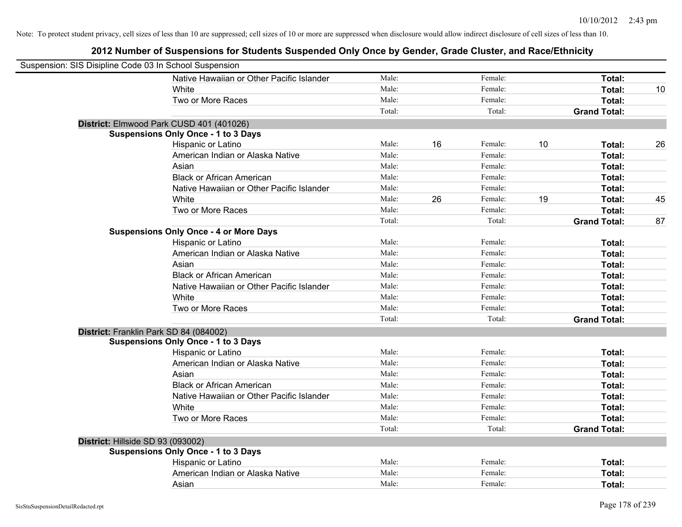| Suspension: SIS Disipline Code 03 In School Suspension |                                               |        |    |         |    |                     |    |
|--------------------------------------------------------|-----------------------------------------------|--------|----|---------|----|---------------------|----|
|                                                        | Native Hawaiian or Other Pacific Islander     | Male:  |    | Female: |    | Total:              |    |
|                                                        | White                                         | Male:  |    | Female: |    | Total:              | 10 |
|                                                        | Two or More Races                             | Male:  |    | Female: |    | Total:              |    |
|                                                        |                                               | Total: |    | Total:  |    | <b>Grand Total:</b> |    |
|                                                        | District: Elmwood Park CUSD 401 (401026)      |        |    |         |    |                     |    |
|                                                        | <b>Suspensions Only Once - 1 to 3 Days</b>    |        |    |         |    |                     |    |
|                                                        | Hispanic or Latino                            | Male:  | 16 | Female: | 10 | Total:              | 26 |
|                                                        | American Indian or Alaska Native              | Male:  |    | Female: |    | Total:              |    |
|                                                        | Asian                                         | Male:  |    | Female: |    | Total:              |    |
|                                                        | <b>Black or African American</b>              | Male:  |    | Female: |    | Total:              |    |
|                                                        | Native Hawaiian or Other Pacific Islander     | Male:  |    | Female: |    | Total:              |    |
|                                                        | White                                         | Male:  | 26 | Female: | 19 | Total:              | 45 |
|                                                        | Two or More Races                             | Male:  |    | Female: |    | Total:              |    |
|                                                        |                                               | Total: |    | Total:  |    | <b>Grand Total:</b> | 87 |
|                                                        | <b>Suspensions Only Once - 4 or More Days</b> |        |    |         |    |                     |    |
|                                                        | Hispanic or Latino                            | Male:  |    | Female: |    | Total:              |    |
|                                                        | American Indian or Alaska Native              | Male:  |    | Female: |    | Total:              |    |
|                                                        | Asian                                         | Male:  |    | Female: |    | Total:              |    |
|                                                        | <b>Black or African American</b>              | Male:  |    | Female: |    | Total:              |    |
|                                                        | Native Hawaiian or Other Pacific Islander     | Male:  |    | Female: |    | Total:              |    |
|                                                        | White                                         | Male:  |    | Female: |    | Total:              |    |
|                                                        | Two or More Races                             | Male:  |    | Female: |    | Total:              |    |
|                                                        |                                               | Total: |    | Total:  |    | <b>Grand Total:</b> |    |
| District: Franklin Park SD 84 (084002)                 |                                               |        |    |         |    |                     |    |
|                                                        | <b>Suspensions Only Once - 1 to 3 Days</b>    |        |    |         |    |                     |    |
|                                                        | Hispanic or Latino                            | Male:  |    | Female: |    | Total:              |    |
|                                                        | American Indian or Alaska Native              | Male:  |    | Female: |    | Total:              |    |
|                                                        | Asian                                         | Male:  |    | Female: |    | Total:              |    |
|                                                        | <b>Black or African American</b>              | Male:  |    | Female: |    | Total:              |    |
|                                                        | Native Hawaiian or Other Pacific Islander     | Male:  |    | Female: |    | Total:              |    |
|                                                        | White                                         | Male:  |    | Female: |    | Total:              |    |
|                                                        | Two or More Races                             | Male:  |    | Female: |    | Total:              |    |
|                                                        |                                               | Total: |    | Total:  |    | <b>Grand Total:</b> |    |
| District: Hillside SD 93 (093002)                      |                                               |        |    |         |    |                     |    |
|                                                        | <b>Suspensions Only Once - 1 to 3 Days</b>    |        |    |         |    |                     |    |
|                                                        | Hispanic or Latino                            | Male:  |    | Female: |    | Total:              |    |
|                                                        | American Indian or Alaska Native              | Male:  |    | Female: |    | Total:              |    |
|                                                        | Asian                                         | Male:  |    | Female: |    | Total:              |    |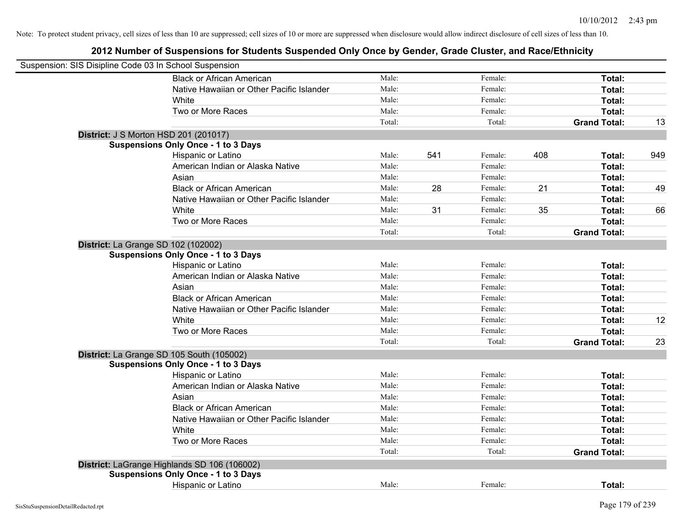| Suspension: SIS Disipline Code 03 In School Suspension |                                              |        |     |         |     |                     |     |
|--------------------------------------------------------|----------------------------------------------|--------|-----|---------|-----|---------------------|-----|
|                                                        | <b>Black or African American</b>             | Male:  |     | Female: |     | Total:              |     |
|                                                        | Native Hawaiian or Other Pacific Islander    | Male:  |     | Female: |     | Total:              |     |
|                                                        | White                                        | Male:  |     | Female: |     | Total:              |     |
|                                                        | Two or More Races                            | Male:  |     | Female: |     | Total:              |     |
|                                                        |                                              | Total: |     | Total:  |     | <b>Grand Total:</b> | 13  |
|                                                        | <b>District: J S Morton HSD 201 (201017)</b> |        |     |         |     |                     |     |
|                                                        | <b>Suspensions Only Once - 1 to 3 Days</b>   |        |     |         |     |                     |     |
|                                                        | Hispanic or Latino                           | Male:  | 541 | Female: | 408 | Total:              | 949 |
|                                                        | American Indian or Alaska Native             | Male:  |     | Female: |     | Total:              |     |
|                                                        | Asian                                        | Male:  |     | Female: |     | Total:              |     |
|                                                        | <b>Black or African American</b>             | Male:  | 28  | Female: | 21  | Total:              | 49  |
|                                                        | Native Hawaiian or Other Pacific Islander    | Male:  |     | Female: |     | Total:              |     |
|                                                        | White                                        | Male:  | 31  | Female: | 35  | Total:              | 66  |
|                                                        | Two or More Races                            | Male:  |     | Female: |     | Total:              |     |
|                                                        |                                              | Total: |     | Total:  |     | <b>Grand Total:</b> |     |
|                                                        | <b>District:</b> La Grange SD 102 (102002)   |        |     |         |     |                     |     |
|                                                        | <b>Suspensions Only Once - 1 to 3 Days</b>   |        |     |         |     |                     |     |
|                                                        | Hispanic or Latino                           | Male:  |     | Female: |     | Total:              |     |
|                                                        | American Indian or Alaska Native             | Male:  |     | Female: |     | Total:              |     |
|                                                        | Asian                                        | Male:  |     | Female: |     | Total:              |     |
|                                                        | <b>Black or African American</b>             | Male:  |     | Female: |     | Total:              |     |
|                                                        | Native Hawaiian or Other Pacific Islander    | Male:  |     | Female: |     | Total:              |     |
|                                                        | White                                        | Male:  |     | Female: |     | Total:              | 12  |
|                                                        | Two or More Races                            | Male:  |     | Female: |     | Total:              |     |
|                                                        |                                              | Total: |     | Total:  |     | <b>Grand Total:</b> | 23  |
|                                                        | District: La Grange SD 105 South (105002)    |        |     |         |     |                     |     |
|                                                        | <b>Suspensions Only Once - 1 to 3 Days</b>   |        |     |         |     |                     |     |
|                                                        | Hispanic or Latino                           | Male:  |     | Female: |     | Total:              |     |
|                                                        | American Indian or Alaska Native             | Male:  |     | Female: |     | Total:              |     |
|                                                        | Asian                                        | Male:  |     | Female: |     | Total:              |     |
|                                                        | <b>Black or African American</b>             | Male:  |     | Female: |     | Total:              |     |
|                                                        | Native Hawaiian or Other Pacific Islander    | Male:  |     | Female: |     | Total:              |     |
|                                                        | White                                        | Male:  |     | Female: |     | Total:              |     |
|                                                        | Two or More Races                            | Male:  |     | Female: |     | Total:              |     |
|                                                        |                                              | Total: |     | Total:  |     | <b>Grand Total:</b> |     |
|                                                        | District: LaGrange Highlands SD 106 (106002) |        |     |         |     |                     |     |
|                                                        | <b>Suspensions Only Once - 1 to 3 Days</b>   |        |     |         |     |                     |     |
|                                                        | Hispanic or Latino                           | Male:  |     | Female: |     | Total:              |     |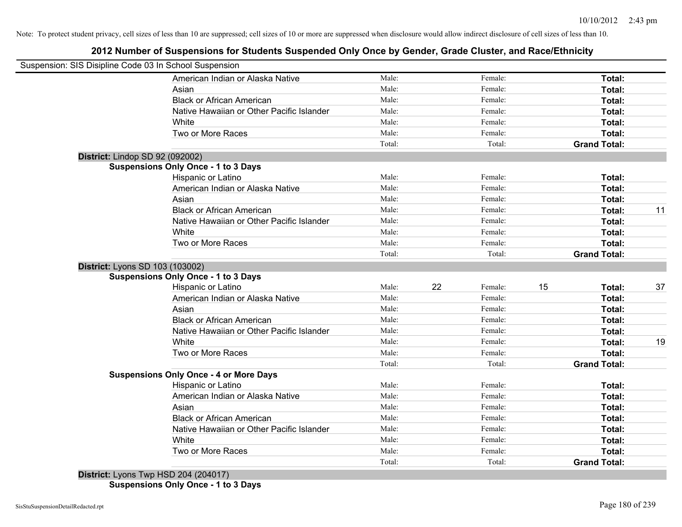## **2012 Number of Suspensions for Students Suspended Only Once by Gender, Grade Cluster, and Race/Ethnicity**

| Suspension: SIS Disipline Code 03 In School Suspension |                                               |        |    |         |    |                     |    |
|--------------------------------------------------------|-----------------------------------------------|--------|----|---------|----|---------------------|----|
|                                                        | American Indian or Alaska Native              | Male:  |    | Female: |    | Total:              |    |
|                                                        | Asian                                         | Male:  |    | Female: |    | Total:              |    |
|                                                        | <b>Black or African American</b>              | Male:  |    | Female: |    | Total:              |    |
|                                                        | Native Hawaiian or Other Pacific Islander     | Male:  |    | Female: |    | Total:              |    |
|                                                        | White                                         | Male:  |    | Female: |    | Total:              |    |
|                                                        | Two or More Races                             | Male:  |    | Female: |    | Total:              |    |
|                                                        |                                               | Total: |    | Total:  |    | <b>Grand Total:</b> |    |
|                                                        | District: Lindop SD 92 (092002)               |        |    |         |    |                     |    |
|                                                        | <b>Suspensions Only Once - 1 to 3 Days</b>    |        |    |         |    |                     |    |
|                                                        | Hispanic or Latino                            | Male:  |    | Female: |    | Total:              |    |
|                                                        | American Indian or Alaska Native              | Male:  |    | Female: |    | Total:              |    |
|                                                        | Asian                                         | Male:  |    | Female: |    | Total:              |    |
|                                                        | <b>Black or African American</b>              | Male:  |    | Female: |    | Total:              | 11 |
|                                                        | Native Hawaiian or Other Pacific Islander     | Male:  |    | Female: |    | Total:              |    |
|                                                        | White                                         | Male:  |    | Female: |    | Total:              |    |
|                                                        | Two or More Races                             | Male:  |    | Female: |    | Total:              |    |
|                                                        |                                               | Total: |    | Total:  |    | <b>Grand Total:</b> |    |
|                                                        | District: Lyons SD 103 (103002)               |        |    |         |    |                     |    |
|                                                        | <b>Suspensions Only Once - 1 to 3 Days</b>    |        |    |         |    |                     |    |
|                                                        | <b>Hispanic or Latino</b>                     | Male:  | 22 | Female: | 15 | Total:              | 37 |
|                                                        | American Indian or Alaska Native              | Male:  |    | Female: |    | Total:              |    |
|                                                        | Asian                                         | Male:  |    | Female: |    | Total:              |    |
|                                                        | <b>Black or African American</b>              | Male:  |    | Female: |    | Total:              |    |
|                                                        | Native Hawaiian or Other Pacific Islander     | Male:  |    | Female: |    | Total:              |    |
|                                                        | White                                         | Male:  |    | Female: |    | Total:              | 19 |
|                                                        | Two or More Races                             | Male:  |    | Female: |    | Total:              |    |
|                                                        |                                               | Total: |    | Total:  |    | <b>Grand Total:</b> |    |
|                                                        | <b>Suspensions Only Once - 4 or More Days</b> |        |    |         |    |                     |    |
|                                                        | Hispanic or Latino                            | Male:  |    | Female: |    | Total:              |    |
|                                                        | American Indian or Alaska Native              | Male:  |    | Female: |    | Total:              |    |
|                                                        | Asian                                         | Male:  |    | Female: |    | Total:              |    |
|                                                        | <b>Black or African American</b>              | Male:  |    | Female: |    | Total:              |    |
|                                                        | Native Hawaiian or Other Pacific Islander     | Male:  |    | Female: |    | Total:              |    |
|                                                        | White                                         | Male:  |    | Female: |    | Total:              |    |
|                                                        | Two or More Races                             | Male:  |    | Female: |    | Total:              |    |
|                                                        | $D_{i}$ $(0.4017)$                            | Total: |    | Total:  |    | <b>Grand Total:</b> |    |
|                                                        |                                               |        |    |         |    |                     |    |

**District:** Lyons Twp HSD 204 (204017) **Suspensions Only Once - 1 to 3 Days**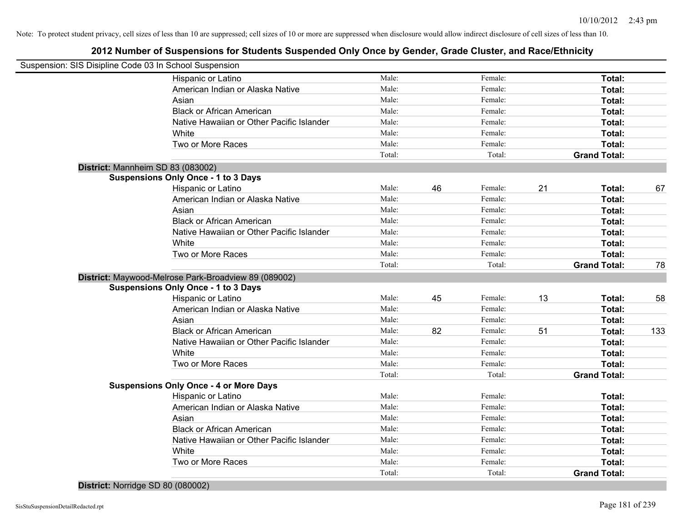# **2012 Number of Suspensions for Students Suspended Only Once by Gender, Grade Cluster, and Race/Ethnicity**

| Suspension: SIS Disipline Code 03 In School Suspension |                                                      |        |    |         |    |                     |     |
|--------------------------------------------------------|------------------------------------------------------|--------|----|---------|----|---------------------|-----|
|                                                        | Hispanic or Latino                                   | Male:  |    | Female: |    | Total:              |     |
|                                                        | American Indian or Alaska Native                     | Male:  |    | Female: |    | Total:              |     |
|                                                        | Asian                                                | Male:  |    | Female: |    | Total:              |     |
|                                                        | <b>Black or African American</b>                     | Male:  |    | Female: |    | Total:              |     |
|                                                        | Native Hawaiian or Other Pacific Islander            | Male:  |    | Female: |    | Total:              |     |
|                                                        | White                                                | Male:  |    | Female: |    | Total:              |     |
|                                                        | Two or More Races                                    | Male:  |    | Female: |    | Total:              |     |
|                                                        |                                                      | Total: |    | Total:  |    | <b>Grand Total:</b> |     |
| District: Mannheim SD 83 (083002)                      |                                                      |        |    |         |    |                     |     |
|                                                        | <b>Suspensions Only Once - 1 to 3 Days</b>           |        |    |         |    |                     |     |
|                                                        | Hispanic or Latino                                   | Male:  | 46 | Female: | 21 | Total:              | 67  |
|                                                        | American Indian or Alaska Native                     | Male:  |    | Female: |    | Total:              |     |
|                                                        | Asian                                                | Male:  |    | Female: |    | Total:              |     |
|                                                        | <b>Black or African American</b>                     | Male:  |    | Female: |    | Total:              |     |
|                                                        | Native Hawaiian or Other Pacific Islander            | Male:  |    | Female: |    | Total:              |     |
|                                                        | White                                                | Male:  |    | Female: |    | Total:              |     |
|                                                        | Two or More Races                                    | Male:  |    | Female: |    | Total:              |     |
|                                                        |                                                      | Total: |    | Total:  |    | <b>Grand Total:</b> | 78  |
|                                                        | District: Maywood-Melrose Park-Broadview 89 (089002) |        |    |         |    |                     |     |
|                                                        | <b>Suspensions Only Once - 1 to 3 Days</b>           |        |    |         |    |                     |     |
|                                                        | Hispanic or Latino                                   | Male:  | 45 | Female: | 13 | Total:              | 58  |
|                                                        | American Indian or Alaska Native                     | Male:  |    | Female: |    | Total:              |     |
|                                                        | Asian                                                | Male:  |    | Female: |    | Total:              |     |
|                                                        | <b>Black or African American</b>                     | Male:  | 82 | Female: | 51 | Total:              | 133 |
|                                                        | Native Hawaiian or Other Pacific Islander            | Male:  |    | Female: |    | Total:              |     |
|                                                        | White                                                | Male:  |    | Female: |    | Total:              |     |
|                                                        | Two or More Races                                    | Male:  |    | Female: |    | Total:              |     |
|                                                        |                                                      | Total: |    | Total:  |    | <b>Grand Total:</b> |     |
|                                                        | <b>Suspensions Only Once - 4 or More Days</b>        |        |    |         |    |                     |     |
|                                                        | Hispanic or Latino                                   | Male:  |    | Female: |    | Total:              |     |
|                                                        | American Indian or Alaska Native                     | Male:  |    | Female: |    | Total:              |     |
|                                                        | Asian                                                | Male:  |    | Female: |    | Total:              |     |
|                                                        | <b>Black or African American</b>                     | Male:  |    | Female: |    | Total:              |     |
|                                                        | Native Hawaiian or Other Pacific Islander            | Male:  |    | Female: |    | Total:              |     |
|                                                        | White                                                | Male:  |    | Female: |    | Total:              |     |
|                                                        | Two or More Races                                    | Male:  |    | Female: |    | <b>Total:</b>       |     |
|                                                        |                                                      | Total: |    | Total:  |    | <b>Grand Total:</b> |     |

**District:** Norridge SD 80 (080002)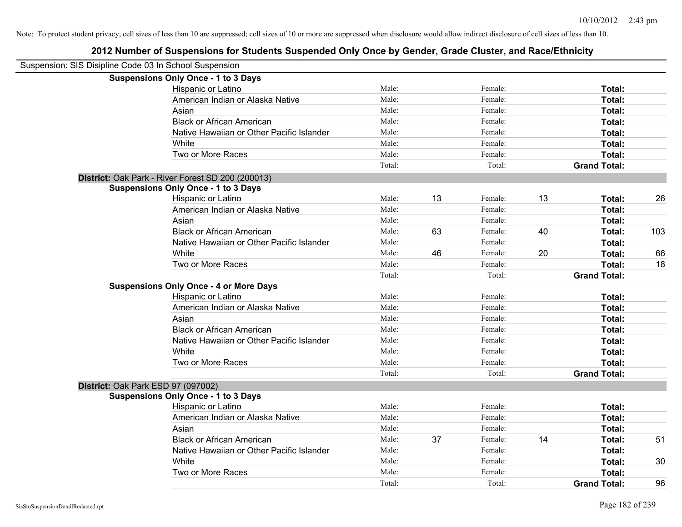| Suspension: SIS Disipline Code 03 In School Suspension |                                                   |        |    |         |    |                     |     |
|--------------------------------------------------------|---------------------------------------------------|--------|----|---------|----|---------------------|-----|
|                                                        | <b>Suspensions Only Once - 1 to 3 Days</b>        |        |    |         |    |                     |     |
|                                                        | Hispanic or Latino                                | Male:  |    | Female: |    | Total:              |     |
|                                                        | American Indian or Alaska Native                  | Male:  |    | Female: |    | Total:              |     |
|                                                        | Asian                                             | Male:  |    | Female: |    | Total:              |     |
|                                                        | <b>Black or African American</b>                  | Male:  |    | Female: |    | Total:              |     |
|                                                        | Native Hawaiian or Other Pacific Islander         | Male:  |    | Female: |    | Total:              |     |
|                                                        | White                                             | Male:  |    | Female: |    | Total:              |     |
|                                                        | Two or More Races                                 | Male:  |    | Female: |    | Total:              |     |
|                                                        |                                                   | Total: |    | Total:  |    | <b>Grand Total:</b> |     |
|                                                        | District: Oak Park - River Forest SD 200 (200013) |        |    |         |    |                     |     |
|                                                        | <b>Suspensions Only Once - 1 to 3 Days</b>        |        |    |         |    |                     |     |
|                                                        | Hispanic or Latino                                | Male:  | 13 | Female: | 13 | Total:              | 26  |
|                                                        | American Indian or Alaska Native                  | Male:  |    | Female: |    | <b>Total:</b>       |     |
|                                                        | Asian                                             | Male:  |    | Female: |    | Total:              |     |
|                                                        | <b>Black or African American</b>                  | Male:  | 63 | Female: | 40 | Total:              | 103 |
|                                                        | Native Hawaiian or Other Pacific Islander         | Male:  |    | Female: |    | Total:              |     |
|                                                        | White                                             | Male:  | 46 | Female: | 20 | Total:              | 66  |
|                                                        | Two or More Races                                 | Male:  |    | Female: |    | Total:              | 18  |
|                                                        |                                                   | Total: |    | Total:  |    | <b>Grand Total:</b> |     |
|                                                        | <b>Suspensions Only Once - 4 or More Days</b>     |        |    |         |    |                     |     |
|                                                        | Hispanic or Latino                                | Male:  |    | Female: |    | Total:              |     |
|                                                        | American Indian or Alaska Native                  | Male:  |    | Female: |    | Total:              |     |
|                                                        | Asian                                             | Male:  |    | Female: |    | Total:              |     |
|                                                        | <b>Black or African American</b>                  | Male:  |    | Female: |    | Total:              |     |
|                                                        | Native Hawaiian or Other Pacific Islander         | Male:  |    | Female: |    | Total:              |     |
|                                                        | White                                             | Male:  |    | Female: |    | Total:              |     |
|                                                        | Two or More Races                                 | Male:  |    | Female: |    | Total:              |     |
|                                                        |                                                   | Total: |    | Total:  |    | <b>Grand Total:</b> |     |
| District: Oak Park ESD 97 (097002)                     |                                                   |        |    |         |    |                     |     |
|                                                        | <b>Suspensions Only Once - 1 to 3 Days</b>        |        |    |         |    |                     |     |
|                                                        | Hispanic or Latino                                | Male:  |    | Female: |    | Total:              |     |
|                                                        | American Indian or Alaska Native                  | Male:  |    | Female: |    | Total:              |     |
|                                                        | Asian                                             | Male:  |    | Female: |    | Total:              |     |
|                                                        | <b>Black or African American</b>                  | Male:  | 37 | Female: | 14 | Total:              | 51  |
|                                                        | Native Hawaiian or Other Pacific Islander         | Male:  |    | Female: |    | Total:              |     |
|                                                        | White                                             | Male:  |    | Female: |    | Total:              | 30  |
|                                                        | Two or More Races                                 | Male:  |    | Female: |    | Total:              |     |
|                                                        |                                                   | Total: |    | Total:  |    | <b>Grand Total:</b> | 96  |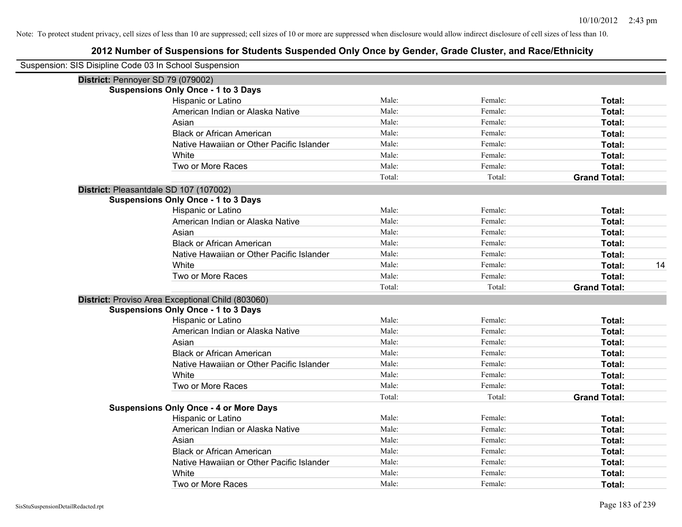| Suspension: SIS Disipline Code 03 In School Suspension |                                                   |        |         |                     |
|--------------------------------------------------------|---------------------------------------------------|--------|---------|---------------------|
|                                                        | District: Pennoyer SD 79 (079002)                 |        |         |                     |
|                                                        | <b>Suspensions Only Once - 1 to 3 Days</b>        |        |         |                     |
|                                                        | Hispanic or Latino                                | Male:  | Female: | Total:              |
|                                                        | American Indian or Alaska Native                  | Male:  | Female: | Total:              |
|                                                        | Asian                                             | Male:  | Female: | Total:              |
|                                                        | <b>Black or African American</b>                  | Male:  | Female: | Total:              |
|                                                        | Native Hawaiian or Other Pacific Islander         | Male:  | Female: | Total:              |
|                                                        | White                                             | Male:  | Female: | Total:              |
|                                                        | Two or More Races                                 | Male:  | Female: | Total:              |
|                                                        |                                                   | Total: | Total:  | <b>Grand Total:</b> |
|                                                        | District: Pleasantdale SD 107 (107002)            |        |         |                     |
|                                                        | <b>Suspensions Only Once - 1 to 3 Days</b>        |        |         |                     |
|                                                        | Hispanic or Latino                                | Male:  | Female: | Total:              |
|                                                        | American Indian or Alaska Native                  | Male:  | Female: | Total:              |
|                                                        | Asian                                             | Male:  | Female: | Total:              |
|                                                        | <b>Black or African American</b>                  | Male:  | Female: | Total:              |
|                                                        | Native Hawaiian or Other Pacific Islander         | Male:  | Female: | Total:              |
|                                                        | White                                             | Male:  | Female: | Total:<br>14        |
|                                                        | Two or More Races                                 | Male:  | Female: | Total:              |
|                                                        |                                                   | Total: | Total:  | <b>Grand Total:</b> |
|                                                        | District: Proviso Area Exceptional Child (803060) |        |         |                     |
|                                                        | <b>Suspensions Only Once - 1 to 3 Days</b>        |        |         |                     |
|                                                        | Hispanic or Latino                                | Male:  | Female: | Total:              |
|                                                        | American Indian or Alaska Native                  | Male:  | Female: | Total:              |
|                                                        | Asian                                             | Male:  | Female: | Total:              |
|                                                        | <b>Black or African American</b>                  | Male:  | Female: | Total:              |
|                                                        | Native Hawaiian or Other Pacific Islander         | Male:  | Female: | Total:              |
|                                                        | White                                             | Male:  | Female: | Total:              |
|                                                        | Two or More Races                                 | Male:  | Female: | Total:              |
|                                                        |                                                   | Total: | Total:  | <b>Grand Total:</b> |
|                                                        | <b>Suspensions Only Once - 4 or More Days</b>     |        |         |                     |
|                                                        | Hispanic or Latino                                | Male:  | Female: | Total:              |
|                                                        | American Indian or Alaska Native                  | Male:  | Female: | Total:              |
|                                                        | Asian                                             | Male:  | Female: | Total:              |
|                                                        | <b>Black or African American</b>                  | Male:  | Female: | Total:              |
|                                                        | Native Hawaiian or Other Pacific Islander         | Male:  | Female: | Total:              |
|                                                        | White                                             | Male:  | Female: | <b>Total:</b>       |
|                                                        | Two or More Races                                 | Male:  | Female: | Total:              |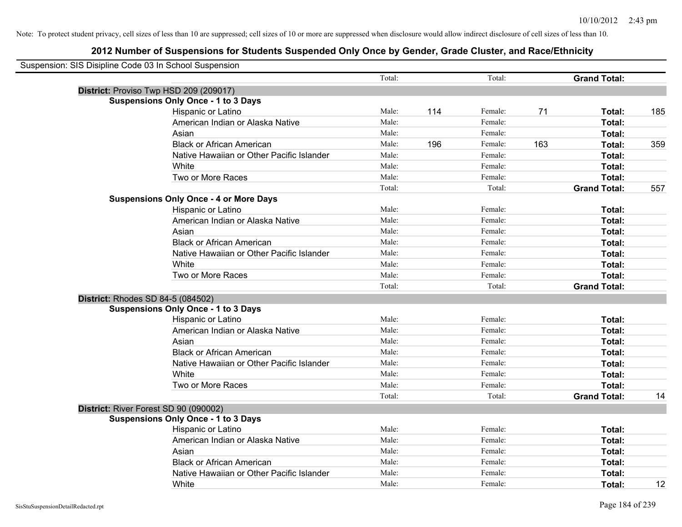| Suspension: SIS Disipline Code 03 In School Suspension |                                               |        |     |         |     |                     |     |
|--------------------------------------------------------|-----------------------------------------------|--------|-----|---------|-----|---------------------|-----|
|                                                        |                                               | Total: |     | Total:  |     | <b>Grand Total:</b> |     |
| District: Proviso Twp HSD 209 (209017)                 |                                               |        |     |         |     |                     |     |
|                                                        | <b>Suspensions Only Once - 1 to 3 Days</b>    |        |     |         |     |                     |     |
|                                                        | Hispanic or Latino                            | Male:  | 114 | Female: | 71  | Total:              | 185 |
|                                                        | American Indian or Alaska Native              | Male:  |     | Female: |     | Total:              |     |
|                                                        | Asian                                         | Male:  |     | Female: |     | Total:              |     |
|                                                        | <b>Black or African American</b>              | Male:  | 196 | Female: | 163 | Total:              | 359 |
|                                                        | Native Hawaiian or Other Pacific Islander     | Male:  |     | Female: |     | Total:              |     |
|                                                        | White                                         | Male:  |     | Female: |     | Total:              |     |
|                                                        | Two or More Races                             | Male:  |     | Female: |     | Total:              |     |
|                                                        |                                               | Total: |     | Total:  |     | <b>Grand Total:</b> | 557 |
|                                                        | <b>Suspensions Only Once - 4 or More Days</b> |        |     |         |     |                     |     |
|                                                        | Hispanic or Latino                            | Male:  |     | Female: |     | Total:              |     |
|                                                        | American Indian or Alaska Native              | Male:  |     | Female: |     | Total:              |     |
|                                                        | Asian                                         | Male:  |     | Female: |     | Total:              |     |
|                                                        | <b>Black or African American</b>              | Male:  |     | Female: |     | Total:              |     |
|                                                        | Native Hawaiian or Other Pacific Islander     | Male:  |     | Female: |     | Total:              |     |
|                                                        | White                                         | Male:  |     | Female: |     | Total:              |     |
|                                                        | Two or More Races                             | Male:  |     | Female: |     | Total:              |     |
|                                                        |                                               | Total: |     | Total:  |     | <b>Grand Total:</b> |     |
| District: Rhodes SD 84-5 (084502)                      |                                               |        |     |         |     |                     |     |
|                                                        | <b>Suspensions Only Once - 1 to 3 Days</b>    |        |     |         |     |                     |     |
|                                                        | Hispanic or Latino                            | Male:  |     | Female: |     | Total:              |     |
|                                                        | American Indian or Alaska Native              | Male:  |     | Female: |     | Total:              |     |
|                                                        | Asian                                         | Male:  |     | Female: |     | Total:              |     |
|                                                        | <b>Black or African American</b>              | Male:  |     | Female: |     | Total:              |     |
|                                                        | Native Hawaiian or Other Pacific Islander     | Male:  |     | Female: |     | Total:              |     |
|                                                        | White                                         | Male:  |     | Female: |     | Total:              |     |
|                                                        | Two or More Races                             | Male:  |     | Female: |     | Total:              |     |
|                                                        |                                               | Total: |     | Total:  |     | <b>Grand Total:</b> | 14  |
| District: River Forest SD 90 (090002)                  |                                               |        |     |         |     |                     |     |
|                                                        | <b>Suspensions Only Once - 1 to 3 Days</b>    |        |     |         |     |                     |     |
|                                                        | Hispanic or Latino                            | Male:  |     | Female: |     | Total:              |     |
|                                                        | American Indian or Alaska Native              | Male:  |     | Female: |     | Total:              |     |
|                                                        | Asian                                         | Male:  |     | Female: |     | Total:              |     |
|                                                        | <b>Black or African American</b>              | Male:  |     | Female: |     | Total:              |     |
|                                                        | Native Hawaiian or Other Pacific Islander     | Male:  |     | Female: |     | Total:              |     |
|                                                        | White                                         | Male:  |     | Female: |     | Total:              | 12  |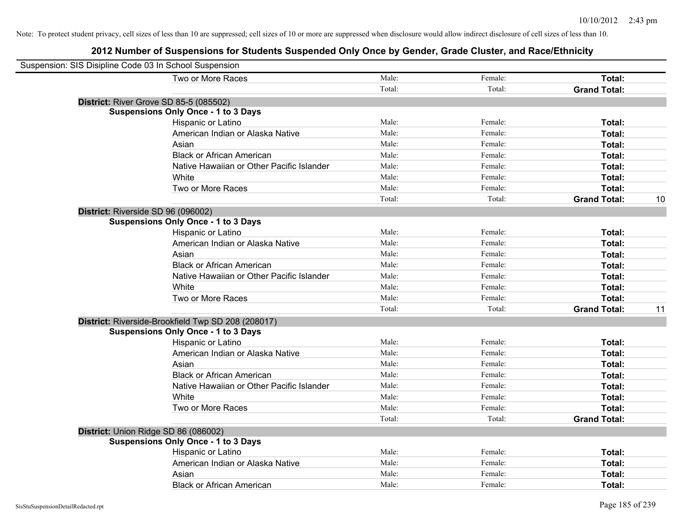| Suspension: SIS Disipline Code 03 In School Suspension |                                                    |        |         |                     |    |
|--------------------------------------------------------|----------------------------------------------------|--------|---------|---------------------|----|
|                                                        | Two or More Races                                  | Male:  | Female: | Total:              |    |
|                                                        |                                                    | Total: | Total:  | <b>Grand Total:</b> |    |
|                                                        | <b>District: River Grove SD 85-5 (085502)</b>      |        |         |                     |    |
|                                                        | <b>Suspensions Only Once - 1 to 3 Days</b>         |        |         |                     |    |
|                                                        | Hispanic or Latino                                 | Male:  | Female: | Total:              |    |
|                                                        | American Indian or Alaska Native                   | Male:  | Female: | Total:              |    |
|                                                        | Asian                                              | Male:  | Female: | Total:              |    |
|                                                        | <b>Black or African American</b>                   | Male:  | Female: | Total:              |    |
|                                                        | Native Hawaiian or Other Pacific Islander          | Male:  | Female: | Total:              |    |
|                                                        | White                                              | Male:  | Female: | Total:              |    |
|                                                        | Two or More Races                                  | Male:  | Female: | Total:              |    |
|                                                        |                                                    | Total: | Total:  | <b>Grand Total:</b> | 10 |
|                                                        | District: Riverside SD 96 (096002)                 |        |         |                     |    |
|                                                        | <b>Suspensions Only Once - 1 to 3 Days</b>         |        |         |                     |    |
|                                                        | Hispanic or Latino                                 | Male:  | Female: | Total:              |    |
|                                                        | American Indian or Alaska Native                   | Male:  | Female: | Total:              |    |
|                                                        | Asian                                              | Male:  | Female: | Total:              |    |
|                                                        | <b>Black or African American</b>                   | Male:  | Female: | Total:              |    |
|                                                        | Native Hawaiian or Other Pacific Islander          | Male:  | Female: | Total:              |    |
|                                                        | White                                              | Male:  | Female: | Total:              |    |
|                                                        | Two or More Races                                  | Male:  | Female: | Total:              |    |
|                                                        |                                                    | Total: | Total:  | <b>Grand Total:</b> | 11 |
|                                                        | District: Riverside-Brookfield Twp SD 208 (208017) |        |         |                     |    |
|                                                        | <b>Suspensions Only Once - 1 to 3 Days</b>         |        |         |                     |    |
|                                                        | Hispanic or Latino                                 | Male:  | Female: | Total:              |    |
|                                                        | American Indian or Alaska Native                   | Male:  | Female: | Total:              |    |
|                                                        | Asian                                              | Male:  | Female: | Total:              |    |
|                                                        | <b>Black or African American</b>                   | Male:  | Female: | Total:              |    |
|                                                        | Native Hawaiian or Other Pacific Islander          | Male:  | Female: | Total:              |    |
|                                                        | White                                              | Male:  | Female: | Total:              |    |
|                                                        | Two or More Races                                  | Male:  | Female: | Total:              |    |
|                                                        |                                                    | Total: | Total:  | <b>Grand Total:</b> |    |
|                                                        | District: Union Ridge SD 86 (086002)               |        |         |                     |    |
|                                                        | <b>Suspensions Only Once - 1 to 3 Days</b>         |        |         |                     |    |
|                                                        | Hispanic or Latino                                 | Male:  | Female: | Total:              |    |
|                                                        | American Indian or Alaska Native                   | Male:  | Female: | Total:              |    |
|                                                        | Asian                                              | Male:  | Female: | Total:              |    |
|                                                        | <b>Black or African American</b>                   | Male:  | Female: | Total:              |    |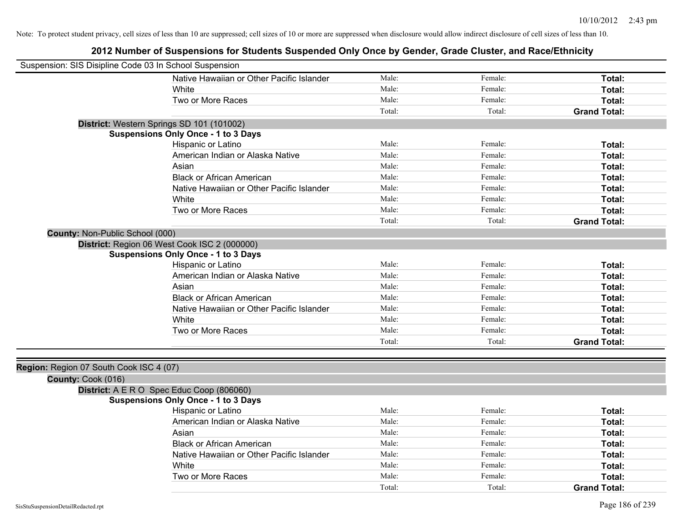| Suspension: SIS Disipline Code 03 In School Suspension |                                              |        |         |                     |
|--------------------------------------------------------|----------------------------------------------|--------|---------|---------------------|
|                                                        | Native Hawaiian or Other Pacific Islander    | Male:  | Female: | Total:              |
|                                                        | White                                        | Male:  | Female: | Total:              |
|                                                        | Two or More Races                            | Male:  | Female: | Total:              |
|                                                        |                                              | Total: | Total:  | <b>Grand Total:</b> |
|                                                        | District: Western Springs SD 101 (101002)    |        |         |                     |
|                                                        | <b>Suspensions Only Once - 1 to 3 Days</b>   |        |         |                     |
|                                                        | Hispanic or Latino                           | Male:  | Female: | Total:              |
|                                                        | American Indian or Alaska Native             | Male:  | Female: | Total:              |
|                                                        | Asian                                        | Male:  | Female: | Total:              |
|                                                        | <b>Black or African American</b>             | Male:  | Female: | Total:              |
|                                                        | Native Hawaiian or Other Pacific Islander    | Male:  | Female: | Total:              |
|                                                        | White                                        | Male:  | Female: | Total:              |
|                                                        | Two or More Races                            | Male:  | Female: | Total:              |
|                                                        |                                              | Total: | Total:  | <b>Grand Total:</b> |
| County: Non-Public School (000)                        |                                              |        |         |                     |
|                                                        | District: Region 06 West Cook ISC 2 (000000) |        |         |                     |
|                                                        | <b>Suspensions Only Once - 1 to 3 Days</b>   |        |         |                     |
|                                                        | Hispanic or Latino                           | Male:  | Female: | Total:              |
|                                                        | American Indian or Alaska Native             | Male:  | Female: | Total:              |
|                                                        | Asian                                        | Male:  | Female: | Total:              |
|                                                        | <b>Black or African American</b>             | Male:  | Female: | Total:              |
|                                                        | Native Hawaiian or Other Pacific Islander    | Male:  | Female: | Total:              |
|                                                        | White                                        | Male:  | Female: | Total:              |
|                                                        | Two or More Races                            | Male:  | Female: | Total:              |
|                                                        |                                              | Total: | Total:  | <b>Grand Total:</b> |
|                                                        |                                              |        |         |                     |
| Region: Region 07 South Cook ISC 4 (07)                |                                              |        |         |                     |
| County: Cook (016)                                     |                                              |        |         |                     |
|                                                        | District: A E R O Spec Educ Coop (806060)    |        |         |                     |
|                                                        | <b>Suspensions Only Once - 1 to 3 Days</b>   |        |         |                     |
|                                                        | Hispanic or Latino                           | Male:  | Female: | Total:              |
|                                                        | American Indian or Alaska Native             | Male:  | Female: | Total:              |
|                                                        | Asian                                        | Male:  | Female: | Total:              |
|                                                        | <b>Black or African American</b>             | Male:  | Female: | Total:              |
|                                                        | Native Hawaiian or Other Pacific Islander    | Male:  | Female: | Total:              |
|                                                        | White                                        | Male:  | Female: | Total:              |
|                                                        | Two or More Races                            | Male:  | Female: | <b>Total:</b>       |
|                                                        |                                              | Total: | Total:  | <b>Grand Total:</b> |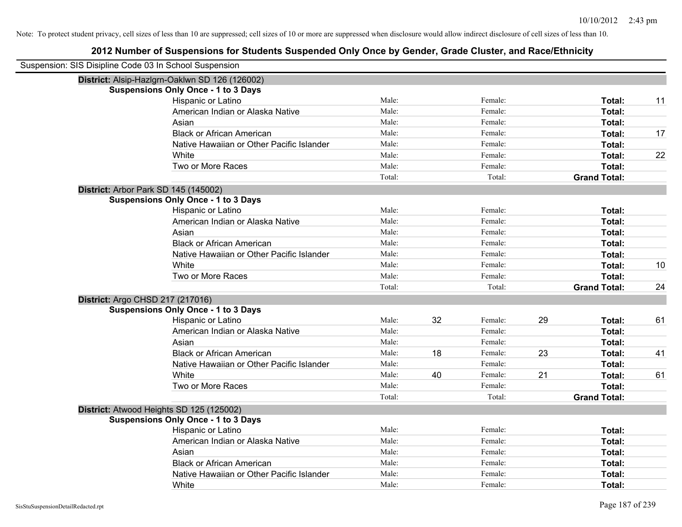| Suspension: SIS Disipline Code 03 In School Suspension |        |    |         |    |                     |    |
|--------------------------------------------------------|--------|----|---------|----|---------------------|----|
| District: Alsip-Hazlgrn-Oaklwn SD 126 (126002)         |        |    |         |    |                     |    |
| <b>Suspensions Only Once - 1 to 3 Days</b>             |        |    |         |    |                     |    |
| Hispanic or Latino                                     | Male:  |    | Female: |    | Total:              | 11 |
| American Indian or Alaska Native                       | Male:  |    | Female: |    | Total:              |    |
| Asian                                                  | Male:  |    | Female: |    | Total:              |    |
| <b>Black or African American</b>                       | Male:  |    | Female: |    | Total:              | 17 |
| Native Hawaiian or Other Pacific Islander              | Male:  |    | Female: |    | Total:              |    |
| White                                                  | Male:  |    | Female: |    | Total:              | 22 |
| Two or More Races                                      | Male:  |    | Female: |    | Total:              |    |
|                                                        | Total: |    | Total:  |    | <b>Grand Total:</b> |    |
| District: Arbor Park SD 145 (145002)                   |        |    |         |    |                     |    |
| <b>Suspensions Only Once - 1 to 3 Days</b>             |        |    |         |    |                     |    |
| Hispanic or Latino                                     | Male:  |    | Female: |    | Total:              |    |
| American Indian or Alaska Native                       | Male:  |    | Female: |    | Total:              |    |
| Asian                                                  | Male:  |    | Female: |    | Total:              |    |
| <b>Black or African American</b>                       | Male:  |    | Female: |    | Total:              |    |
| Native Hawaiian or Other Pacific Islander              | Male:  |    | Female: |    | Total:              |    |
| White                                                  | Male:  |    | Female: |    | Total:              | 10 |
| Two or More Races                                      | Male:  |    | Female: |    | Total:              |    |
|                                                        | Total: |    | Total:  |    | <b>Grand Total:</b> | 24 |
| District: Argo CHSD 217 (217016)                       |        |    |         |    |                     |    |
| <b>Suspensions Only Once - 1 to 3 Days</b>             |        |    |         |    |                     |    |
| Hispanic or Latino                                     | Male:  | 32 | Female: | 29 | Total:              | 61 |
| American Indian or Alaska Native                       | Male:  |    | Female: |    | Total:              |    |
| Asian                                                  | Male:  |    | Female: |    | Total:              |    |
| <b>Black or African American</b>                       | Male:  | 18 | Female: | 23 | Total:              | 41 |
| Native Hawaiian or Other Pacific Islander              | Male:  |    | Female: |    | Total:              |    |
| White                                                  | Male:  | 40 | Female: | 21 | Total:              | 61 |
| Two or More Races                                      | Male:  |    | Female: |    | Total:              |    |
|                                                        | Total: |    | Total:  |    | <b>Grand Total:</b> |    |
| District: Atwood Heights SD 125 (125002)               |        |    |         |    |                     |    |
| <b>Suspensions Only Once - 1 to 3 Days</b>             |        |    |         |    |                     |    |
| Hispanic or Latino                                     | Male:  |    | Female: |    | Total:              |    |
| American Indian or Alaska Native                       | Male:  |    | Female: |    | Total:              |    |
| Asian                                                  | Male:  |    | Female: |    | Total:              |    |
| <b>Black or African American</b>                       | Male:  |    | Female: |    | Total:              |    |
| Native Hawaiian or Other Pacific Islander              | Male:  |    | Female: |    | Total:              |    |
| White                                                  | Male:  |    | Female: |    | Total:              |    |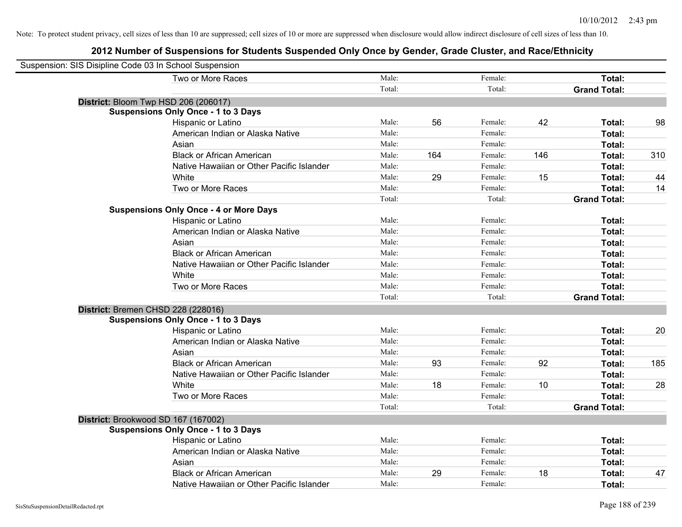| Suspension: SIS Disipline Code 03 In School Suspension |                                               |        |     |         |     |                     |     |
|--------------------------------------------------------|-----------------------------------------------|--------|-----|---------|-----|---------------------|-----|
|                                                        | Two or More Races                             | Male:  |     | Female: |     | Total:              |     |
|                                                        |                                               | Total: |     | Total:  |     | <b>Grand Total:</b> |     |
|                                                        | District: Bloom Twp HSD 206 (206017)          |        |     |         |     |                     |     |
|                                                        | <b>Suspensions Only Once - 1 to 3 Days</b>    |        |     |         |     |                     |     |
|                                                        | Hispanic or Latino                            | Male:  | 56  | Female: | 42  | Total:              | 98  |
|                                                        | American Indian or Alaska Native              | Male:  |     | Female: |     | Total:              |     |
|                                                        | Asian                                         | Male:  |     | Female: |     | Total:              |     |
|                                                        | <b>Black or African American</b>              | Male:  | 164 | Female: | 146 | Total:              | 310 |
|                                                        | Native Hawaiian or Other Pacific Islander     | Male:  |     | Female: |     | Total:              |     |
|                                                        | White                                         | Male:  | 29  | Female: | 15  | Total:              | 44  |
|                                                        | Two or More Races                             | Male:  |     | Female: |     | Total:              | 14  |
|                                                        |                                               | Total: |     | Total:  |     | <b>Grand Total:</b> |     |
|                                                        | <b>Suspensions Only Once - 4 or More Days</b> |        |     |         |     |                     |     |
|                                                        | Hispanic or Latino                            | Male:  |     | Female: |     | Total:              |     |
|                                                        | American Indian or Alaska Native              | Male:  |     | Female: |     | Total:              |     |
|                                                        | Asian                                         | Male:  |     | Female: |     | Total:              |     |
|                                                        | <b>Black or African American</b>              | Male:  |     | Female: |     | Total:              |     |
|                                                        | Native Hawaiian or Other Pacific Islander     | Male:  |     | Female: |     | Total:              |     |
|                                                        | White                                         | Male:  |     | Female: |     | Total:              |     |
|                                                        | Two or More Races                             | Male:  |     | Female: |     | Total:              |     |
|                                                        |                                               | Total: |     | Total:  |     | <b>Grand Total:</b> |     |
|                                                        | District: Bremen CHSD 228 (228016)            |        |     |         |     |                     |     |
|                                                        | <b>Suspensions Only Once - 1 to 3 Days</b>    |        |     |         |     |                     |     |
|                                                        | Hispanic or Latino                            | Male:  |     | Female: |     | Total:              | 20  |
|                                                        | American Indian or Alaska Native              | Male:  |     | Female: |     | Total:              |     |
|                                                        | Asian                                         | Male:  |     | Female: |     | Total:              |     |
|                                                        | <b>Black or African American</b>              | Male:  | 93  | Female: | 92  | Total:              | 185 |
|                                                        | Native Hawaiian or Other Pacific Islander     | Male:  |     | Female: |     | Total:              |     |
|                                                        | White                                         | Male:  | 18  | Female: | 10  | Total:              | 28  |
|                                                        | Two or More Races                             | Male:  |     | Female: |     | Total:              |     |
|                                                        |                                               | Total: |     | Total:  |     | <b>Grand Total:</b> |     |
|                                                        | District: Brookwood SD 167 (167002)           |        |     |         |     |                     |     |
|                                                        | <b>Suspensions Only Once - 1 to 3 Days</b>    |        |     |         |     |                     |     |
|                                                        | Hispanic or Latino                            | Male:  |     | Female: |     | Total:              |     |
|                                                        | American Indian or Alaska Native              | Male:  |     | Female: |     | Total:              |     |
|                                                        | Asian                                         | Male:  |     | Female: |     | Total:              |     |
|                                                        | <b>Black or African American</b>              | Male:  | 29  | Female: | 18  | <b>Total:</b>       | 47  |
|                                                        | Native Hawaiian or Other Pacific Islander     | Male:  |     | Female: |     | Total:              |     |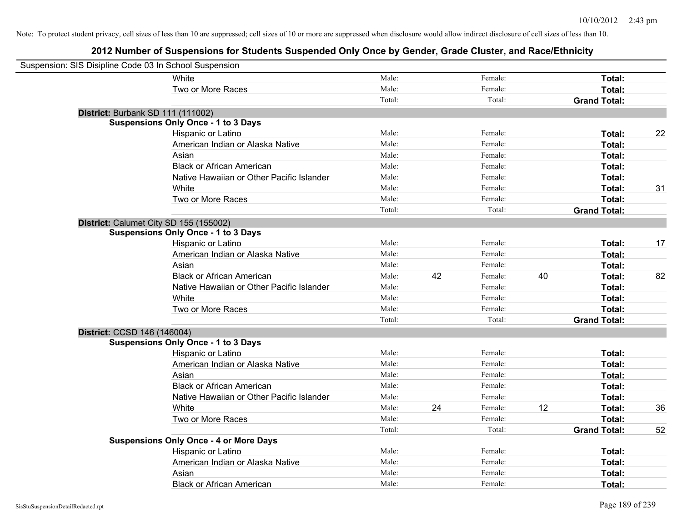| Suspension: SIS Disipline Code 03 In School Suspension |                                               |        |    |         |    |                     |    |
|--------------------------------------------------------|-----------------------------------------------|--------|----|---------|----|---------------------|----|
|                                                        | White                                         | Male:  |    | Female: |    | Total:              |    |
|                                                        | Two or More Races                             | Male:  |    | Female: |    | Total:              |    |
|                                                        |                                               | Total: |    | Total:  |    | <b>Grand Total:</b> |    |
| District: Burbank SD 111 (111002)                      |                                               |        |    |         |    |                     |    |
|                                                        | <b>Suspensions Only Once - 1 to 3 Days</b>    |        |    |         |    |                     |    |
|                                                        | Hispanic or Latino                            | Male:  |    | Female: |    | Total:              | 22 |
|                                                        | American Indian or Alaska Native              | Male:  |    | Female: |    | Total:              |    |
|                                                        | Asian                                         | Male:  |    | Female: |    | Total:              |    |
|                                                        | <b>Black or African American</b>              | Male:  |    | Female: |    | Total:              |    |
|                                                        | Native Hawaiian or Other Pacific Islander     | Male:  |    | Female: |    | Total:              |    |
|                                                        | White                                         | Male:  |    | Female: |    | Total:              | 31 |
|                                                        | Two or More Races                             | Male:  |    | Female: |    | Total:              |    |
|                                                        |                                               | Total: |    | Total:  |    | <b>Grand Total:</b> |    |
| District: Calumet City SD 155 (155002)                 |                                               |        |    |         |    |                     |    |
|                                                        | <b>Suspensions Only Once - 1 to 3 Days</b>    |        |    |         |    |                     |    |
|                                                        | Hispanic or Latino                            | Male:  |    | Female: |    | Total:              | 17 |
|                                                        | American Indian or Alaska Native              | Male:  |    | Female: |    | Total:              |    |
|                                                        | Asian                                         | Male:  |    | Female: |    | Total:              |    |
|                                                        | <b>Black or African American</b>              | Male:  | 42 | Female: | 40 | Total:              | 82 |
|                                                        | Native Hawaiian or Other Pacific Islander     | Male:  |    | Female: |    | Total:              |    |
|                                                        | White                                         | Male:  |    | Female: |    | Total:              |    |
|                                                        | Two or More Races                             | Male:  |    | Female: |    | Total:              |    |
|                                                        |                                               | Total: |    | Total:  |    | <b>Grand Total:</b> |    |
| District: CCSD 146 (146004)                            |                                               |        |    |         |    |                     |    |
|                                                        | <b>Suspensions Only Once - 1 to 3 Days</b>    |        |    |         |    |                     |    |
|                                                        | Hispanic or Latino                            | Male:  |    | Female: |    | Total:              |    |
|                                                        | American Indian or Alaska Native              | Male:  |    | Female: |    | Total:              |    |
|                                                        | Asian                                         | Male:  |    | Female: |    | Total:              |    |
|                                                        | <b>Black or African American</b>              | Male:  |    | Female: |    | Total:              |    |
|                                                        | Native Hawaiian or Other Pacific Islander     | Male:  |    | Female: |    | Total:              |    |
|                                                        | White                                         | Male:  | 24 | Female: | 12 | Total:              | 36 |
|                                                        | Two or More Races                             | Male:  |    | Female: |    | Total:              |    |
|                                                        |                                               | Total: |    | Total:  |    | <b>Grand Total:</b> | 52 |
|                                                        | <b>Suspensions Only Once - 4 or More Days</b> |        |    |         |    |                     |    |
|                                                        | Hispanic or Latino                            | Male:  |    | Female: |    | Total:              |    |
|                                                        | American Indian or Alaska Native              | Male:  |    | Female: |    | Total:              |    |
|                                                        | Asian                                         | Male:  |    | Female: |    | Total:              |    |
|                                                        | <b>Black or African American</b>              | Male:  |    | Female: |    | Total:              |    |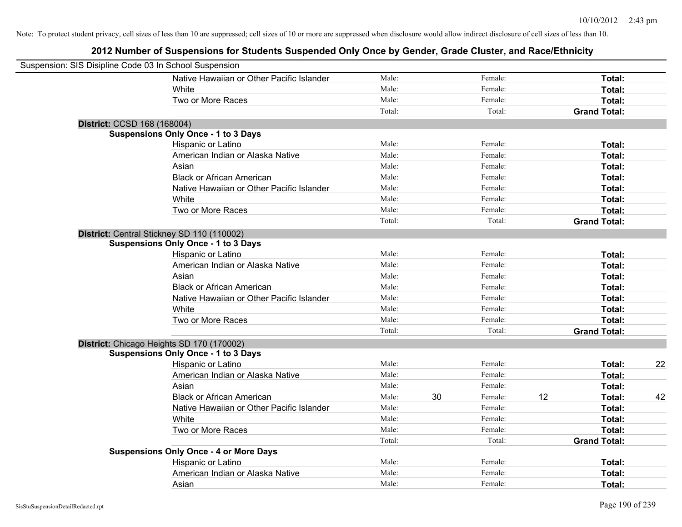| Suspension: SIS Disipline Code 03 In School Suspension |                                               |        |    |         |    |                     |    |
|--------------------------------------------------------|-----------------------------------------------|--------|----|---------|----|---------------------|----|
|                                                        | Native Hawaiian or Other Pacific Islander     | Male:  |    | Female: |    | Total:              |    |
|                                                        | White                                         | Male:  |    | Female: |    | Total:              |    |
|                                                        | Two or More Races                             | Male:  |    | Female: |    | Total:              |    |
|                                                        |                                               | Total: |    | Total:  |    | <b>Grand Total:</b> |    |
| District: CCSD 168 (168004)                            |                                               |        |    |         |    |                     |    |
|                                                        | <b>Suspensions Only Once - 1 to 3 Days</b>    |        |    |         |    |                     |    |
|                                                        | Hispanic or Latino                            | Male:  |    | Female: |    | Total:              |    |
|                                                        | American Indian or Alaska Native              | Male:  |    | Female: |    | Total:              |    |
|                                                        | Asian                                         | Male:  |    | Female: |    | Total:              |    |
|                                                        | <b>Black or African American</b>              | Male:  |    | Female: |    | Total:              |    |
|                                                        | Native Hawaiian or Other Pacific Islander     | Male:  |    | Female: |    | Total:              |    |
|                                                        | White                                         | Male:  |    | Female: |    | Total:              |    |
|                                                        | Two or More Races                             | Male:  |    | Female: |    | Total:              |    |
|                                                        |                                               | Total: |    | Total:  |    | <b>Grand Total:</b> |    |
|                                                        | District: Central Stickney SD 110 (110002)    |        |    |         |    |                     |    |
|                                                        | <b>Suspensions Only Once - 1 to 3 Days</b>    |        |    |         |    |                     |    |
|                                                        | Hispanic or Latino                            | Male:  |    | Female: |    | Total:              |    |
|                                                        | American Indian or Alaska Native              | Male:  |    | Female: |    | Total:              |    |
|                                                        | Asian                                         | Male:  |    | Female: |    | Total:              |    |
|                                                        | <b>Black or African American</b>              | Male:  |    | Female: |    | Total:              |    |
|                                                        | Native Hawaiian or Other Pacific Islander     | Male:  |    | Female: |    | Total:              |    |
|                                                        | White                                         | Male:  |    | Female: |    | Total:              |    |
|                                                        | Two or More Races                             | Male:  |    | Female: |    | Total:              |    |
|                                                        |                                               | Total: |    | Total:  |    | <b>Grand Total:</b> |    |
|                                                        | District: Chicago Heights SD 170 (170002)     |        |    |         |    |                     |    |
|                                                        | <b>Suspensions Only Once - 1 to 3 Days</b>    |        |    |         |    |                     |    |
|                                                        | Hispanic or Latino                            | Male:  |    | Female: |    | Total:              | 22 |
|                                                        | American Indian or Alaska Native              | Male:  |    | Female: |    | Total:              |    |
|                                                        | Asian                                         | Male:  |    | Female: |    | Total:              |    |
|                                                        | <b>Black or African American</b>              | Male:  | 30 | Female: | 12 | Total:              | 42 |
|                                                        | Native Hawaiian or Other Pacific Islander     | Male:  |    | Female: |    | Total:              |    |
|                                                        | White                                         | Male:  |    | Female: |    | Total:              |    |
|                                                        | Two or More Races                             | Male:  |    | Female: |    | Total:              |    |
|                                                        |                                               | Total: |    | Total:  |    | <b>Grand Total:</b> |    |
|                                                        | <b>Suspensions Only Once - 4 or More Days</b> |        |    |         |    |                     |    |
|                                                        | Hispanic or Latino                            | Male:  |    | Female: |    | Total:              |    |
|                                                        | American Indian or Alaska Native              | Male:  |    | Female: |    | Total:              |    |
|                                                        | Asian                                         | Male:  |    | Female: |    | Total:              |    |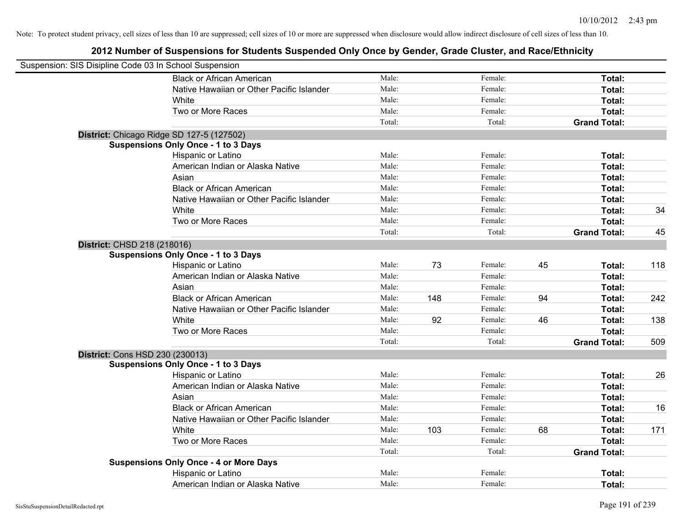| Suspension: SIS Disipline Code 03 In School Suspension |                                               |        |     |         |    |                     |     |
|--------------------------------------------------------|-----------------------------------------------|--------|-----|---------|----|---------------------|-----|
|                                                        | <b>Black or African American</b>              | Male:  |     | Female: |    | Total:              |     |
|                                                        | Native Hawaiian or Other Pacific Islander     | Male:  |     | Female: |    | Total:              |     |
|                                                        | White                                         | Male:  |     | Female: |    | Total:              |     |
|                                                        | Two or More Races                             | Male:  |     | Female: |    | Total:              |     |
|                                                        |                                               | Total: |     | Total:  |    | <b>Grand Total:</b> |     |
|                                                        | District: Chicago Ridge SD 127-5 (127502)     |        |     |         |    |                     |     |
|                                                        | <b>Suspensions Only Once - 1 to 3 Days</b>    |        |     |         |    |                     |     |
|                                                        | Hispanic or Latino                            | Male:  |     | Female: |    | Total:              |     |
|                                                        | American Indian or Alaska Native              | Male:  |     | Female: |    | Total:              |     |
|                                                        | Asian                                         | Male:  |     | Female: |    | Total:              |     |
|                                                        | <b>Black or African American</b>              | Male:  |     | Female: |    | Total:              |     |
|                                                        | Native Hawaiian or Other Pacific Islander     | Male:  |     | Female: |    | Total:              |     |
|                                                        | White                                         | Male:  |     | Female: |    | Total:              | 34  |
|                                                        | Two or More Races                             | Male:  |     | Female: |    | Total:              |     |
|                                                        |                                               | Total: |     | Total:  |    | <b>Grand Total:</b> | 45  |
| District: CHSD 218 (218016)                            |                                               |        |     |         |    |                     |     |
|                                                        | <b>Suspensions Only Once - 1 to 3 Days</b>    |        |     |         |    |                     |     |
|                                                        | Hispanic or Latino                            | Male:  | 73  | Female: | 45 | Total:              | 118 |
|                                                        | American Indian or Alaska Native              | Male:  |     | Female: |    | Total:              |     |
|                                                        | Asian                                         | Male:  |     | Female: |    | Total:              |     |
|                                                        | <b>Black or African American</b>              | Male:  | 148 | Female: | 94 | Total:              | 242 |
|                                                        | Native Hawaiian or Other Pacific Islander     | Male:  |     | Female: |    | Total:              |     |
|                                                        | White                                         | Male:  | 92  | Female: | 46 | Total:              | 138 |
|                                                        | Two or More Races                             | Male:  |     | Female: |    | Total:              |     |
|                                                        |                                               | Total: |     | Total:  |    | <b>Grand Total:</b> | 509 |
| <b>District: Cons HSD 230 (230013)</b>                 |                                               |        |     |         |    |                     |     |
|                                                        | <b>Suspensions Only Once - 1 to 3 Days</b>    |        |     |         |    |                     |     |
|                                                        | Hispanic or Latino                            | Male:  |     | Female: |    | Total:              | 26  |
|                                                        | American Indian or Alaska Native              | Male:  |     | Female: |    | Total:              |     |
|                                                        | Asian                                         | Male:  |     | Female: |    | Total:              |     |
|                                                        | <b>Black or African American</b>              | Male:  |     | Female: |    | Total:              | 16  |
|                                                        | Native Hawaiian or Other Pacific Islander     | Male:  |     | Female: |    | Total:              |     |
|                                                        | White                                         | Male:  | 103 | Female: | 68 | Total:              | 171 |
|                                                        | Two or More Races                             | Male:  |     | Female: |    | Total:              |     |
|                                                        |                                               | Total: |     | Total:  |    | <b>Grand Total:</b> |     |
|                                                        | <b>Suspensions Only Once - 4 or More Days</b> |        |     |         |    |                     |     |
|                                                        | Hispanic or Latino                            | Male:  |     | Female: |    | Total:              |     |
|                                                        | American Indian or Alaska Native              | Male:  |     | Female: |    | Total:              |     |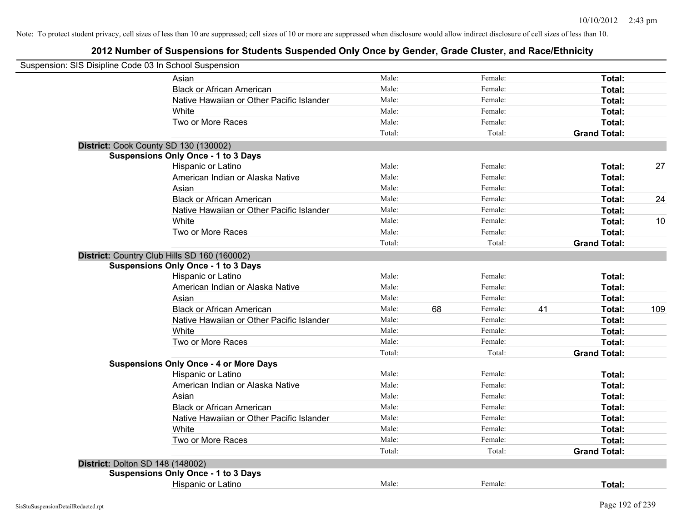| Suspension: SIS Disipline Code 03 In School Suspension |                                               |        |    |         |    |                     |     |
|--------------------------------------------------------|-----------------------------------------------|--------|----|---------|----|---------------------|-----|
|                                                        | Asian                                         | Male:  |    | Female: |    | Total:              |     |
|                                                        | <b>Black or African American</b>              | Male:  |    | Female: |    | Total:              |     |
|                                                        | Native Hawaiian or Other Pacific Islander     | Male:  |    | Female: |    | Total:              |     |
|                                                        | White                                         | Male:  |    | Female: |    | Total:              |     |
|                                                        | Two or More Races                             | Male:  |    | Female: |    | Total:              |     |
|                                                        |                                               | Total: |    | Total:  |    | <b>Grand Total:</b> |     |
| District: Cook County SD 130 (130002)                  |                                               |        |    |         |    |                     |     |
|                                                        | <b>Suspensions Only Once - 1 to 3 Days</b>    |        |    |         |    |                     |     |
|                                                        | Hispanic or Latino                            | Male:  |    | Female: |    | Total:              | 27  |
|                                                        | American Indian or Alaska Native              | Male:  |    | Female: |    | Total:              |     |
|                                                        | Asian                                         | Male:  |    | Female: |    | Total:              |     |
|                                                        | <b>Black or African American</b>              | Male:  |    | Female: |    | Total:              | 24  |
|                                                        | Native Hawaiian or Other Pacific Islander     | Male:  |    | Female: |    | Total:              |     |
|                                                        | White                                         | Male:  |    | Female: |    | Total:              | 10  |
|                                                        | Two or More Races                             | Male:  |    | Female: |    | Total:              |     |
|                                                        |                                               | Total: |    | Total:  |    | <b>Grand Total:</b> |     |
|                                                        | District: Country Club Hills SD 160 (160002)  |        |    |         |    |                     |     |
|                                                        | <b>Suspensions Only Once - 1 to 3 Days</b>    |        |    |         |    |                     |     |
|                                                        | Hispanic or Latino                            | Male:  |    | Female: |    | Total:              |     |
|                                                        | American Indian or Alaska Native              | Male:  |    | Female: |    | Total:              |     |
|                                                        | Asian                                         | Male:  |    | Female: |    | Total:              |     |
|                                                        | <b>Black or African American</b>              | Male:  | 68 | Female: | 41 | Total:              | 109 |
|                                                        | Native Hawaiian or Other Pacific Islander     | Male:  |    | Female: |    | Total:              |     |
|                                                        | White                                         | Male:  |    | Female: |    | Total:              |     |
|                                                        | Two or More Races                             | Male:  |    | Female: |    | Total:              |     |
|                                                        |                                               | Total: |    | Total:  |    | <b>Grand Total:</b> |     |
|                                                        | <b>Suspensions Only Once - 4 or More Days</b> |        |    |         |    |                     |     |
|                                                        | Hispanic or Latino                            | Male:  |    | Female: |    | Total:              |     |
|                                                        | American Indian or Alaska Native              | Male:  |    | Female: |    | Total:              |     |
|                                                        | Asian                                         | Male:  |    | Female: |    | Total:              |     |
|                                                        | <b>Black or African American</b>              | Male:  |    | Female: |    | Total:              |     |
|                                                        | Native Hawaiian or Other Pacific Islander     | Male:  |    | Female: |    | Total:              |     |
|                                                        | White                                         | Male:  |    | Female: |    | Total:              |     |
|                                                        | Two or More Races                             | Male:  |    | Female: |    | Total:              |     |
|                                                        |                                               | Total: |    | Total:  |    | <b>Grand Total:</b> |     |
| <b>District: Dolton SD 148 (148002)</b>                |                                               |        |    |         |    |                     |     |
|                                                        | <b>Suspensions Only Once - 1 to 3 Days</b>    |        |    |         |    |                     |     |
|                                                        | <b>Hispanic or Latino</b>                     | Male:  |    | Female: |    | Total:              |     |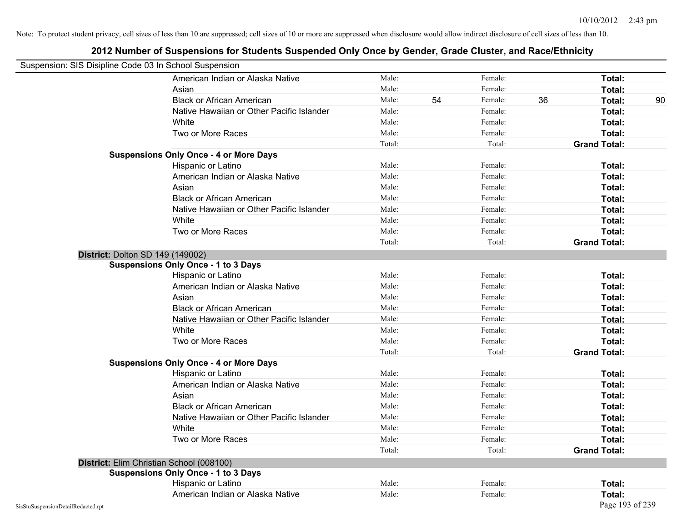| Suspension: SIS Disipline Code 03 In School Suspension |                                               |        |    |         |    |                     |    |
|--------------------------------------------------------|-----------------------------------------------|--------|----|---------|----|---------------------|----|
|                                                        | American Indian or Alaska Native              | Male:  |    | Female: |    | Total:              |    |
|                                                        | Asian                                         | Male:  |    | Female: |    | Total:              |    |
|                                                        | <b>Black or African American</b>              | Male:  | 54 | Female: | 36 | Total:              | 90 |
|                                                        | Native Hawaiian or Other Pacific Islander     | Male:  |    | Female: |    | Total:              |    |
|                                                        | White                                         | Male:  |    | Female: |    | Total:              |    |
|                                                        | Two or More Races                             | Male:  |    | Female: |    | Total:              |    |
|                                                        |                                               | Total: |    | Total:  |    | <b>Grand Total:</b> |    |
|                                                        | <b>Suspensions Only Once - 4 or More Days</b> |        |    |         |    |                     |    |
|                                                        | Hispanic or Latino                            | Male:  |    | Female: |    | Total:              |    |
|                                                        | American Indian or Alaska Native              | Male:  |    | Female: |    | Total:              |    |
|                                                        | Asian                                         | Male:  |    | Female: |    | Total:              |    |
|                                                        | <b>Black or African American</b>              | Male:  |    | Female: |    | Total:              |    |
|                                                        | Native Hawaiian or Other Pacific Islander     | Male:  |    | Female: |    | Total:              |    |
|                                                        | White                                         | Male:  |    | Female: |    | Total:              |    |
|                                                        | Two or More Races                             | Male:  |    | Female: |    | Total:              |    |
|                                                        |                                               | Total: |    | Total:  |    | <b>Grand Total:</b> |    |
|                                                        | <b>District: Dolton SD 149 (149002)</b>       |        |    |         |    |                     |    |
|                                                        | <b>Suspensions Only Once - 1 to 3 Days</b>    |        |    |         |    |                     |    |
|                                                        | Hispanic or Latino                            | Male:  |    | Female: |    | Total:              |    |
|                                                        | American Indian or Alaska Native              | Male:  |    | Female: |    | Total:              |    |
|                                                        | Asian                                         | Male:  |    | Female: |    | Total:              |    |
|                                                        | <b>Black or African American</b>              | Male:  |    | Female: |    | Total:              |    |
|                                                        | Native Hawaiian or Other Pacific Islander     | Male:  |    | Female: |    | Total:              |    |
|                                                        | White                                         | Male:  |    | Female: |    | Total:              |    |
|                                                        | Two or More Races                             | Male:  |    | Female: |    | Total:              |    |
|                                                        |                                               | Total: |    | Total:  |    | <b>Grand Total:</b> |    |
|                                                        | <b>Suspensions Only Once - 4 or More Days</b> |        |    |         |    |                     |    |
|                                                        | Hispanic or Latino                            | Male:  |    | Female: |    | Total:              |    |
|                                                        | American Indian or Alaska Native              | Male:  |    | Female: |    | Total:              |    |
|                                                        | Asian                                         | Male:  |    | Female: |    | Total:              |    |
|                                                        | <b>Black or African American</b>              | Male:  |    | Female: |    | Total:              |    |
|                                                        | Native Hawaiian or Other Pacific Islander     | Male:  |    | Female: |    | Total:              |    |
|                                                        | White                                         | Male:  |    | Female: |    | Total:              |    |
|                                                        | Two or More Races                             | Male:  |    | Female: |    | Total:              |    |
|                                                        |                                               | Total: |    | Total:  |    | <b>Grand Total:</b> |    |
|                                                        | District: Elim Christian School (008100)      |        |    |         |    |                     |    |
|                                                        | <b>Suspensions Only Once - 1 to 3 Days</b>    |        |    |         |    |                     |    |
|                                                        | Hispanic or Latino                            | Male:  |    | Female: |    | Total:              |    |
|                                                        | American Indian or Alaska Native              | Male:  |    | Female: |    | Total:              |    |
| SisStuSuspensionDetailRedacted.rpt                     |                                               |        |    |         |    | Page 193 of 239     |    |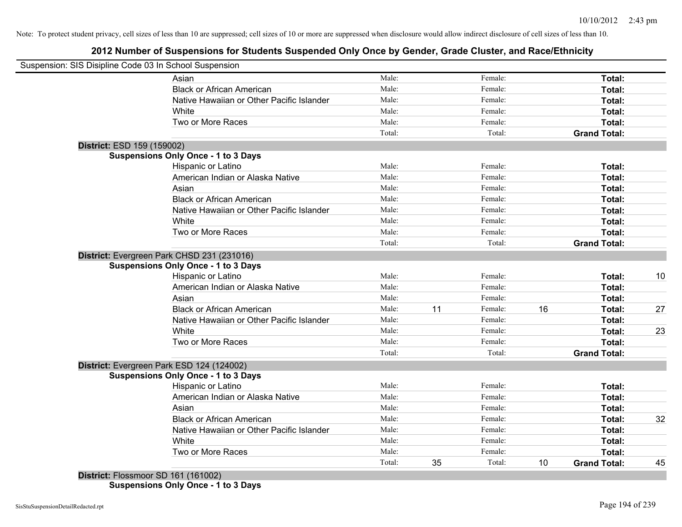# **2012 Number of Suspensions for Students Suspended Only Once by Gender, Grade Cluster, and Race/Ethnicity**

|                            | Suspension: SIS Disipline Code 03 In School Suspension |        |    |         |    |                     |    |
|----------------------------|--------------------------------------------------------|--------|----|---------|----|---------------------|----|
|                            | Asian                                                  | Male:  |    | Female: |    | Total:              |    |
|                            | <b>Black or African American</b>                       | Male:  |    | Female: |    | Total:              |    |
|                            | Native Hawaiian or Other Pacific Islander              | Male:  |    | Female: |    | Total:              |    |
|                            | White                                                  | Male:  |    | Female: |    | Total:              |    |
|                            | Two or More Races                                      | Male:  |    | Female: |    | Total:              |    |
|                            |                                                        | Total: |    | Total:  |    | <b>Grand Total:</b> |    |
| District: ESD 159 (159002) |                                                        |        |    |         |    |                     |    |
|                            | <b>Suspensions Only Once - 1 to 3 Days</b>             |        |    |         |    |                     |    |
|                            | Hispanic or Latino                                     | Male:  |    | Female: |    | Total:              |    |
|                            | American Indian or Alaska Native                       | Male:  |    | Female: |    | Total:              |    |
|                            | Asian                                                  | Male:  |    | Female: |    | Total:              |    |
|                            | <b>Black or African American</b>                       | Male:  |    | Female: |    | Total:              |    |
|                            | Native Hawaiian or Other Pacific Islander              | Male:  |    | Female: |    | Total:              |    |
|                            | White                                                  | Male:  |    | Female: |    | Total:              |    |
|                            | Two or More Races                                      | Male:  |    | Female: |    | Total:              |    |
|                            |                                                        | Total: |    | Total:  |    | <b>Grand Total:</b> |    |
|                            | District: Evergreen Park CHSD 231 (231016)             |        |    |         |    |                     |    |
|                            | <b>Suspensions Only Once - 1 to 3 Days</b>             |        |    |         |    |                     |    |
|                            | Hispanic or Latino                                     | Male:  |    | Female: |    | Total:              | 10 |
|                            | American Indian or Alaska Native                       | Male:  |    | Female: |    | Total:              |    |
|                            | Asian                                                  | Male:  |    | Female: |    | Total:              |    |
|                            | <b>Black or African American</b>                       | Male:  | 11 | Female: | 16 | Total:              | 27 |
|                            | Native Hawaiian or Other Pacific Islander              | Male:  |    | Female: |    | Total:              |    |
|                            | White                                                  | Male:  |    | Female: |    | Total:              | 23 |
|                            | Two or More Races                                      | Male:  |    | Female: |    | Total:              |    |
|                            |                                                        | Total: |    | Total:  |    | <b>Grand Total:</b> |    |
|                            | District: Evergreen Park ESD 124 (124002)              |        |    |         |    |                     |    |
|                            | <b>Suspensions Only Once - 1 to 3 Days</b>             |        |    |         |    |                     |    |
|                            | Hispanic or Latino                                     | Male:  |    | Female: |    | Total:              |    |
|                            | American Indian or Alaska Native                       | Male:  |    | Female: |    | Total:              |    |
|                            | Asian                                                  | Male:  |    | Female: |    | Total:              |    |
|                            | <b>Black or African American</b>                       | Male:  |    | Female: |    | Total:              | 32 |
|                            | Native Hawaiian or Other Pacific Islander              | Male:  |    | Female: |    | Total:              |    |
|                            | White                                                  | Male:  |    | Female: |    | Total:              |    |
|                            | Two or More Races                                      | Male:  | 35 | Female: |    | Total:              |    |
|                            |                                                        | Total: |    | Total:  | 10 | <b>Grand Total:</b> | 45 |

**Suspensions Only Once - 1 to 3 Days**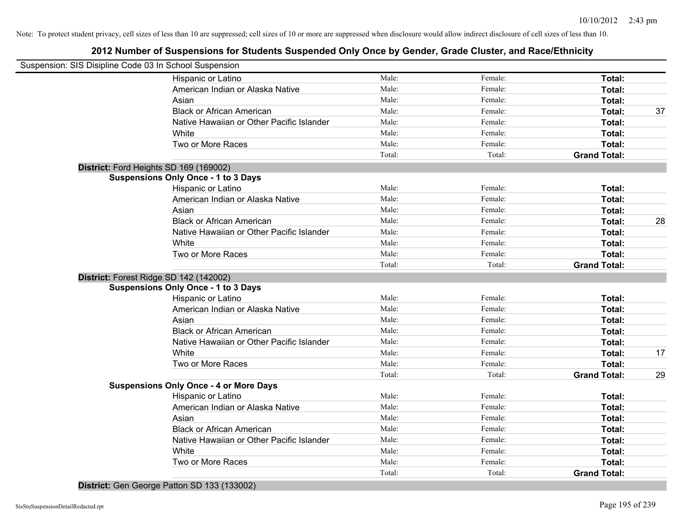# **2012 Number of Suspensions for Students Suspended Only Once by Gender, Grade Cluster, and Race/Ethnicity**

| Suspension: SIS Disipline Code 03 In School Suspension |                 |                   |                               |    |
|--------------------------------------------------------|-----------------|-------------------|-------------------------------|----|
| Hispanic or Latino                                     | Male:           | Female:           | Total:                        |    |
| American Indian or Alaska Native                       | Male:           | Female:           | Total:                        |    |
| Asian                                                  | Male:           | Female:           | Total:                        |    |
| <b>Black or African American</b>                       | Male:           | Female:           | Total:                        | 37 |
| Native Hawaiian or Other Pacific Islander              | Male:           | Female:           | Total:                        |    |
| White                                                  | Male:           | Female:           | Total:                        |    |
| Two or More Races                                      | Male:           | Female:           | Total:                        |    |
|                                                        | Total:          | Total:            | <b>Grand Total:</b>           |    |
| District: Ford Heights SD 169 (169002)                 |                 |                   |                               |    |
| <b>Suspensions Only Once - 1 to 3 Days</b>             |                 |                   |                               |    |
| Hispanic or Latino                                     | Male:           | Female:           | Total:                        |    |
| American Indian or Alaska Native                       | Male:           | Female:           | Total:                        |    |
| Asian                                                  | Male:           | Female:           | Total:                        |    |
| <b>Black or African American</b>                       | Male:           | Female:           | Total:                        | 28 |
| Native Hawaiian or Other Pacific Islander              | Male:           | Female:           | Total:                        |    |
| White                                                  | Male:           | Female:           | Total:                        |    |
| Two or More Races                                      | Male:           | Female:           | Total:                        |    |
|                                                        | Total:          | Total:            | <b>Grand Total:</b>           |    |
| District: Forest Ridge SD 142 (142002)                 |                 |                   |                               |    |
| <b>Suspensions Only Once - 1 to 3 Days</b>             |                 |                   |                               |    |
| Hispanic or Latino                                     | Male:           | Female:           | Total:                        |    |
| American Indian or Alaska Native                       | Male:           | Female:           | Total:                        |    |
| Asian                                                  | Male:           | Female:           | Total:                        |    |
| <b>Black or African American</b>                       | Male:           | Female:           | Total:                        |    |
| Native Hawaiian or Other Pacific Islander              | Male:           | Female:           | Total:                        |    |
| White                                                  | Male:           | Female:           | Total:                        | 17 |
| Two or More Races                                      | Male:           | Female:           | Total:                        |    |
|                                                        | Total:          | Total:            | <b>Grand Total:</b>           | 29 |
| <b>Suspensions Only Once - 4 or More Days</b>          |                 |                   |                               |    |
| Hispanic or Latino                                     | Male:           | Female:           | Total:                        |    |
| American Indian or Alaska Native                       | Male:           | Female:           | Total:                        |    |
| Asian                                                  | Male:           | Female:           | Total:                        |    |
| <b>Black or African American</b>                       | Male:           | Female:           | Total:                        |    |
| Native Hawaiian or Other Pacific Islander              | Male:           | Female:           | Total:                        |    |
| White                                                  | Male:           | Female:           | Total:                        |    |
| Two or More Races                                      |                 |                   |                               |    |
|                                                        | Male:<br>Total: | Female:<br>Total: | Total:<br><b>Grand Total:</b> |    |

**District:** Gen George Patton SD 133 (133002)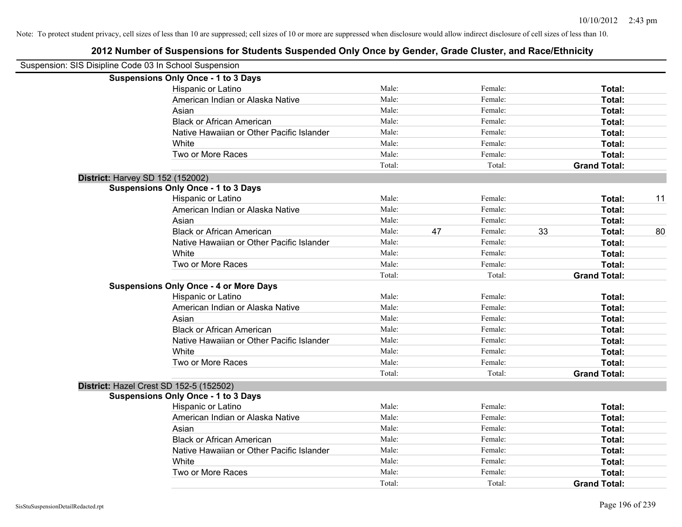| Suspension: SIS Disipline Code 03 In School Suspension |                                               |        |               |                     |    |
|--------------------------------------------------------|-----------------------------------------------|--------|---------------|---------------------|----|
|                                                        | <b>Suspensions Only Once - 1 to 3 Days</b>    |        |               |                     |    |
|                                                        | Hispanic or Latino                            | Male:  | Female:       | Total:              |    |
|                                                        | American Indian or Alaska Native              | Male:  | Female:       | Total:              |    |
|                                                        | Asian                                         | Male:  | Female:       | Total:              |    |
|                                                        | <b>Black or African American</b>              | Male:  | Female:       | Total:              |    |
|                                                        | Native Hawaiian or Other Pacific Islander     | Male:  | Female:       | Total:              |    |
|                                                        | White                                         | Male:  | Female:       | Total:              |    |
|                                                        | Two or More Races                             | Male:  | Female:       | Total:              |    |
|                                                        |                                               | Total: | Total:        | <b>Grand Total:</b> |    |
| District: Harvey SD 152 (152002)                       |                                               |        |               |                     |    |
|                                                        | <b>Suspensions Only Once - 1 to 3 Days</b>    |        |               |                     |    |
|                                                        | Hispanic or Latino                            | Male:  | Female:       | Total:              | 11 |
|                                                        | American Indian or Alaska Native              | Male:  | Female:       | Total:              |    |
|                                                        | Asian                                         | Male:  | Female:       | Total:              |    |
|                                                        | <b>Black or African American</b>              | Male:  | 47<br>Female: | 33<br>Total:        | 80 |
|                                                        | Native Hawaiian or Other Pacific Islander     | Male:  | Female:       | Total:              |    |
|                                                        | White                                         | Male:  | Female:       | Total:              |    |
|                                                        | Two or More Races                             | Male:  | Female:       | Total:              |    |
|                                                        |                                               | Total: | Total:        | <b>Grand Total:</b> |    |
|                                                        | <b>Suspensions Only Once - 4 or More Days</b> |        |               |                     |    |
|                                                        | Hispanic or Latino                            | Male:  | Female:       | Total:              |    |
|                                                        | American Indian or Alaska Native              | Male:  | Female:       | Total:              |    |
|                                                        | Asian                                         | Male:  | Female:       | Total:              |    |
|                                                        | <b>Black or African American</b>              | Male:  | Female:       | Total:              |    |
|                                                        | Native Hawaiian or Other Pacific Islander     | Male:  | Female:       | Total:              |    |
|                                                        | White                                         | Male:  | Female:       | Total:              |    |
|                                                        | Two or More Races                             | Male:  | Female:       | Total:              |    |
|                                                        |                                               | Total: | Total:        | <b>Grand Total:</b> |    |
| District: Hazel Crest SD 152-5 (152502)                |                                               |        |               |                     |    |
|                                                        | <b>Suspensions Only Once - 1 to 3 Days</b>    |        |               |                     |    |
|                                                        | Hispanic or Latino                            | Male:  | Female:       | Total:              |    |
|                                                        | American Indian or Alaska Native              | Male:  | Female:       | Total:              |    |
|                                                        | Asian                                         | Male:  | Female:       | Total:              |    |
|                                                        | <b>Black or African American</b>              | Male:  | Female:       | Total:              |    |
|                                                        | Native Hawaiian or Other Pacific Islander     | Male:  | Female:       | Total:              |    |
|                                                        | White                                         | Male:  | Female:       | Total:              |    |
|                                                        | Two or More Races                             | Male:  | Female:       | <b>Total:</b>       |    |
|                                                        |                                               | Total: | Total:        | <b>Grand Total:</b> |    |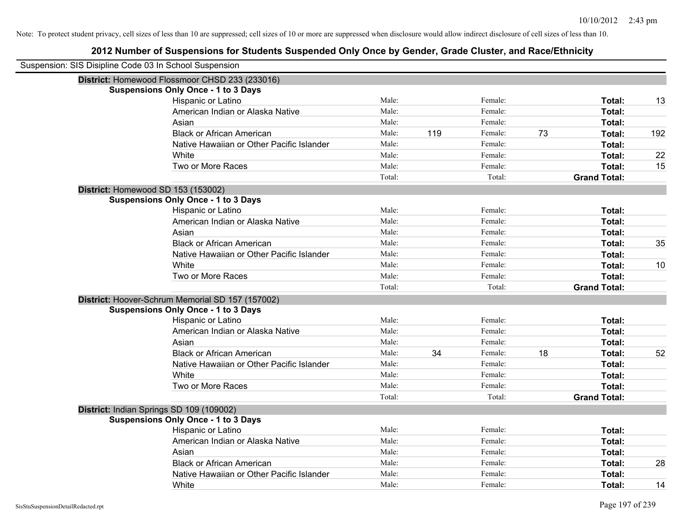| Suspension: SIS Disipline Code 03 In School Suspension |                                                  |        |     |         |    |                     |     |
|--------------------------------------------------------|--------------------------------------------------|--------|-----|---------|----|---------------------|-----|
|                                                        | District: Homewood Flossmoor CHSD 233 (233016)   |        |     |         |    |                     |     |
|                                                        | <b>Suspensions Only Once - 1 to 3 Days</b>       |        |     |         |    |                     |     |
|                                                        | Hispanic or Latino                               | Male:  |     | Female: |    | Total:              | 13  |
|                                                        | American Indian or Alaska Native                 | Male:  |     | Female: |    | Total:              |     |
|                                                        | Asian                                            | Male:  |     | Female: |    | Total:              |     |
|                                                        | <b>Black or African American</b>                 | Male:  | 119 | Female: | 73 | Total:              | 192 |
|                                                        | Native Hawaiian or Other Pacific Islander        | Male:  |     | Female: |    | Total:              |     |
|                                                        | White                                            | Male:  |     | Female: |    | Total:              | 22  |
|                                                        | Two or More Races                                | Male:  |     | Female: |    | Total:              | 15  |
|                                                        |                                                  | Total: |     | Total:  |    | <b>Grand Total:</b> |     |
|                                                        | District: Homewood SD 153 (153002)               |        |     |         |    |                     |     |
|                                                        | <b>Suspensions Only Once - 1 to 3 Days</b>       |        |     |         |    |                     |     |
|                                                        | Hispanic or Latino                               | Male:  |     | Female: |    | Total:              |     |
|                                                        | American Indian or Alaska Native                 | Male:  |     | Female: |    | Total:              |     |
|                                                        | Asian                                            | Male:  |     | Female: |    | Total:              |     |
|                                                        | <b>Black or African American</b>                 | Male:  |     | Female: |    | Total:              | 35  |
|                                                        | Native Hawaiian or Other Pacific Islander        | Male:  |     | Female: |    | Total:              |     |
|                                                        | White                                            | Male:  |     | Female: |    | Total:              | 10  |
|                                                        | Two or More Races                                | Male:  |     | Female: |    | Total:              |     |
|                                                        |                                                  | Total: |     | Total:  |    | <b>Grand Total:</b> |     |
|                                                        | District: Hoover-Schrum Memorial SD 157 (157002) |        |     |         |    |                     |     |
|                                                        | <b>Suspensions Only Once - 1 to 3 Days</b>       |        |     |         |    |                     |     |
|                                                        | Hispanic or Latino                               | Male:  |     | Female: |    | Total:              |     |
|                                                        | American Indian or Alaska Native                 | Male:  |     | Female: |    | Total:              |     |
|                                                        | Asian                                            | Male:  |     | Female: |    | Total:              |     |
|                                                        | <b>Black or African American</b>                 | Male:  | 34  | Female: | 18 | Total:              | 52  |
|                                                        | Native Hawaiian or Other Pacific Islander        | Male:  |     | Female: |    | Total:              |     |
|                                                        | White                                            | Male:  |     | Female: |    | Total:              |     |
|                                                        | Two or More Races                                | Male:  |     | Female: |    | Total:              |     |
|                                                        |                                                  | Total: |     | Total:  |    | <b>Grand Total:</b> |     |
|                                                        | District: Indian Springs SD 109 (109002)         |        |     |         |    |                     |     |
|                                                        | <b>Suspensions Only Once - 1 to 3 Days</b>       |        |     |         |    |                     |     |
|                                                        | Hispanic or Latino                               | Male:  |     | Female: |    | Total:              |     |
|                                                        | American Indian or Alaska Native                 | Male:  |     | Female: |    | Total:              |     |
|                                                        | Asian                                            | Male:  |     | Female: |    | Total:              |     |
|                                                        | <b>Black or African American</b>                 | Male:  |     | Female: |    | Total:              | 28  |
|                                                        | Native Hawaiian or Other Pacific Islander        | Male:  |     | Female: |    | Total:              |     |
|                                                        | White                                            | Male:  |     | Female: |    | Total:              | 14  |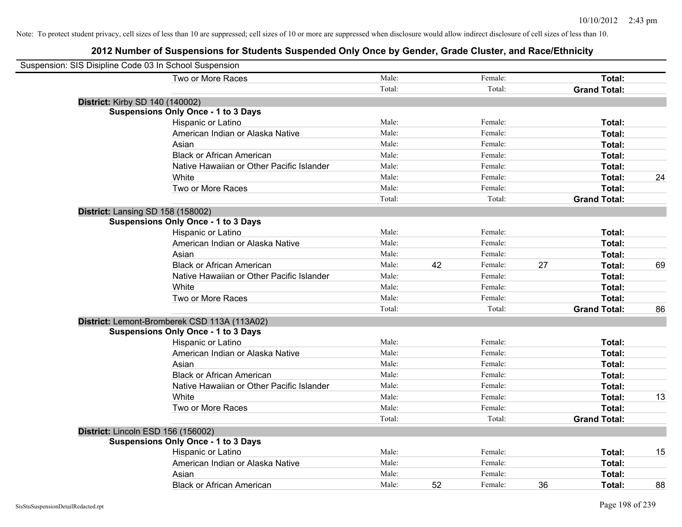| Suspension: SIS Disipline Code 03 In School Suspension |        |    |         |    |                     |    |
|--------------------------------------------------------|--------|----|---------|----|---------------------|----|
| Two or More Races                                      | Male:  |    | Female: |    | Total:              |    |
|                                                        | Total: |    | Total:  |    | <b>Grand Total:</b> |    |
| <b>District: Kirby SD 140 (140002)</b>                 |        |    |         |    |                     |    |
| <b>Suspensions Only Once - 1 to 3 Days</b>             |        |    |         |    |                     |    |
| Hispanic or Latino                                     | Male:  |    | Female: |    | Total:              |    |
| American Indian or Alaska Native                       | Male:  |    | Female: |    | Total:              |    |
| Asian                                                  | Male:  |    | Female: |    | Total:              |    |
| <b>Black or African American</b>                       | Male:  |    | Female: |    | Total:              |    |
| Native Hawaiian or Other Pacific Islander              | Male:  |    | Female: |    | Total:              |    |
| White                                                  | Male:  |    | Female: |    | Total:              | 24 |
| Two or More Races                                      | Male:  |    | Female: |    | Total:              |    |
|                                                        | Total: |    | Total:  |    | <b>Grand Total:</b> |    |
| District: Lansing SD 158 (158002)                      |        |    |         |    |                     |    |
| <b>Suspensions Only Once - 1 to 3 Days</b>             |        |    |         |    |                     |    |
| Hispanic or Latino                                     | Male:  |    | Female: |    | Total:              |    |
| American Indian or Alaska Native                       | Male:  |    | Female: |    | Total:              |    |
| Asian                                                  | Male:  |    | Female: |    | Total:              |    |
| <b>Black or African American</b>                       | Male:  | 42 | Female: | 27 | Total:              | 69 |
| Native Hawaiian or Other Pacific Islander              | Male:  |    | Female: |    | Total:              |    |
| White                                                  | Male:  |    | Female: |    | Total:              |    |
| Two or More Races                                      | Male:  |    | Female: |    | Total:              |    |
|                                                        | Total: |    | Total:  |    | <b>Grand Total:</b> | 86 |
| District: Lemont-Bromberek CSD 113A (113A02)           |        |    |         |    |                     |    |
| <b>Suspensions Only Once - 1 to 3 Days</b>             |        |    |         |    |                     |    |
| Hispanic or Latino                                     | Male:  |    | Female: |    | Total:              |    |
| American Indian or Alaska Native                       | Male:  |    | Female: |    | Total:              |    |
| Asian                                                  | Male:  |    | Female: |    | Total:              |    |
| <b>Black or African American</b>                       | Male:  |    | Female: |    | Total:              |    |
| Native Hawaiian or Other Pacific Islander              | Male:  |    | Female: |    | Total:              |    |
| White                                                  | Male:  |    | Female: |    | Total:              | 13 |
| Two or More Races                                      | Male:  |    | Female: |    | Total:              |    |
|                                                        | Total: |    | Total:  |    | <b>Grand Total:</b> |    |
| District: Lincoln ESD 156 (156002)                     |        |    |         |    |                     |    |
| <b>Suspensions Only Once - 1 to 3 Days</b>             |        |    |         |    |                     |    |
| Hispanic or Latino                                     | Male:  |    | Female: |    | Total:              | 15 |
| American Indian or Alaska Native                       | Male:  |    | Female: |    | Total:              |    |
| Asian                                                  | Male:  |    | Female: |    | Total:              |    |
| <b>Black or African American</b>                       | Male:  | 52 | Female: | 36 | Total:              | 88 |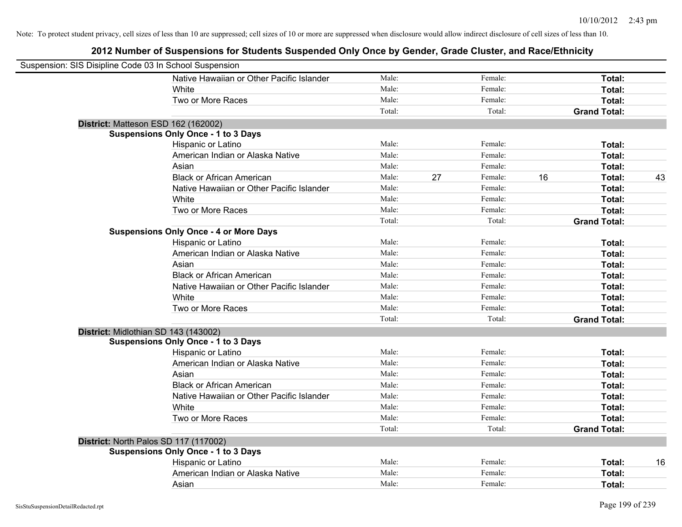| Suspension: SIS Disipline Code 03 In School Suspension |                                               |        |    |         |    |                     |    |
|--------------------------------------------------------|-----------------------------------------------|--------|----|---------|----|---------------------|----|
|                                                        | Native Hawaiian or Other Pacific Islander     | Male:  |    | Female: |    | Total:              |    |
|                                                        | White                                         | Male:  |    | Female: |    | Total:              |    |
|                                                        | Two or More Races                             | Male:  |    | Female: |    | Total:              |    |
|                                                        |                                               | Total: |    | Total:  |    | <b>Grand Total:</b> |    |
| District: Matteson ESD 162 (162002)                    |                                               |        |    |         |    |                     |    |
|                                                        | <b>Suspensions Only Once - 1 to 3 Days</b>    |        |    |         |    |                     |    |
|                                                        | Hispanic or Latino                            | Male:  |    | Female: |    | Total:              |    |
|                                                        | American Indian or Alaska Native              | Male:  |    | Female: |    | Total:              |    |
|                                                        | Asian                                         | Male:  |    | Female: |    | Total:              |    |
|                                                        | <b>Black or African American</b>              | Male:  | 27 | Female: | 16 | Total:              | 43 |
|                                                        | Native Hawaiian or Other Pacific Islander     | Male:  |    | Female: |    | Total:              |    |
|                                                        | White                                         | Male:  |    | Female: |    | Total:              |    |
|                                                        | Two or More Races                             | Male:  |    | Female: |    | Total:              |    |
|                                                        |                                               | Total: |    | Total:  |    | <b>Grand Total:</b> |    |
|                                                        | <b>Suspensions Only Once - 4 or More Days</b> |        |    |         |    |                     |    |
|                                                        | Hispanic or Latino                            | Male:  |    | Female: |    | Total:              |    |
|                                                        | American Indian or Alaska Native              | Male:  |    | Female: |    | Total:              |    |
|                                                        | Asian                                         | Male:  |    | Female: |    | Total:              |    |
|                                                        | <b>Black or African American</b>              | Male:  |    | Female: |    | Total:              |    |
|                                                        | Native Hawaiian or Other Pacific Islander     | Male:  |    | Female: |    | Total:              |    |
|                                                        | White                                         | Male:  |    | Female: |    | Total:              |    |
|                                                        | Two or More Races                             | Male:  |    | Female: |    | Total:              |    |
|                                                        |                                               | Total: |    | Total:  |    | <b>Grand Total:</b> |    |
| District: Midlothian SD 143 (143002)                   |                                               |        |    |         |    |                     |    |
|                                                        | <b>Suspensions Only Once - 1 to 3 Days</b>    |        |    |         |    |                     |    |
|                                                        | Hispanic or Latino                            | Male:  |    | Female: |    | Total:              |    |
|                                                        | American Indian or Alaska Native              | Male:  |    | Female: |    | Total:              |    |
|                                                        | Asian                                         | Male:  |    | Female: |    | Total:              |    |
|                                                        | <b>Black or African American</b>              | Male:  |    | Female: |    | Total:              |    |
|                                                        | Native Hawaiian or Other Pacific Islander     | Male:  |    | Female: |    | Total:              |    |
|                                                        | White                                         | Male:  |    | Female: |    | Total:              |    |
|                                                        | Two or More Races                             | Male:  |    | Female: |    | Total:              |    |
|                                                        |                                               | Total: |    | Total:  |    | <b>Grand Total:</b> |    |
| District: North Palos SD 117 (117002)                  |                                               |        |    |         |    |                     |    |
|                                                        | <b>Suspensions Only Once - 1 to 3 Days</b>    |        |    |         |    |                     |    |
|                                                        | Hispanic or Latino                            | Male:  |    | Female: |    | Total:              | 16 |
|                                                        | American Indian or Alaska Native              | Male:  |    | Female: |    | Total:              |    |
|                                                        | Asian                                         | Male:  |    | Female: |    | Total:              |    |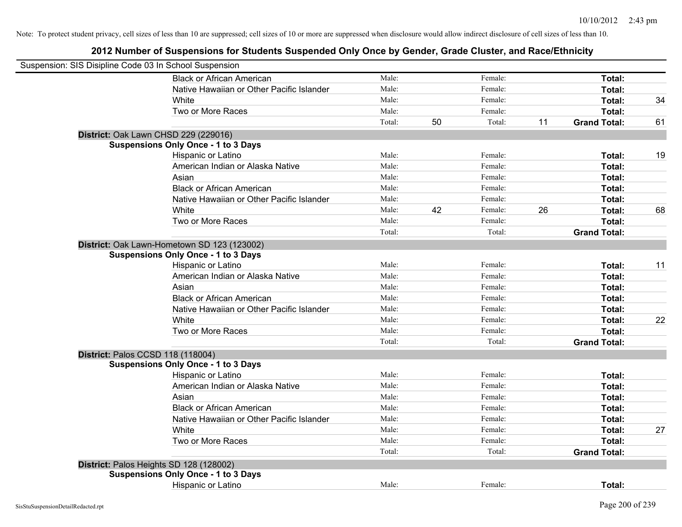| Suspension: SIS Disipline Code 03 In School Suspension |                                             |        |    |         |    |                     |    |
|--------------------------------------------------------|---------------------------------------------|--------|----|---------|----|---------------------|----|
|                                                        | <b>Black or African American</b>            | Male:  |    | Female: |    | Total:              |    |
|                                                        | Native Hawaiian or Other Pacific Islander   | Male:  |    | Female: |    | Total:              |    |
|                                                        | White                                       | Male:  |    | Female: |    | Total:              | 34 |
|                                                        | Two or More Races                           | Male:  |    | Female: |    | Total:              |    |
|                                                        |                                             | Total: | 50 | Total:  | 11 | <b>Grand Total:</b> | 61 |
|                                                        | District: Oak Lawn CHSD 229 (229016)        |        |    |         |    |                     |    |
|                                                        | <b>Suspensions Only Once - 1 to 3 Days</b>  |        |    |         |    |                     |    |
|                                                        | Hispanic or Latino                          | Male:  |    | Female: |    | Total:              | 19 |
|                                                        | American Indian or Alaska Native            | Male:  |    | Female: |    | Total:              |    |
|                                                        | Asian                                       | Male:  |    | Female: |    | Total:              |    |
|                                                        | <b>Black or African American</b>            | Male:  |    | Female: |    | Total:              |    |
|                                                        | Native Hawaiian or Other Pacific Islander   | Male:  |    | Female: |    | Total:              |    |
|                                                        | White                                       | Male:  | 42 | Female: | 26 | Total:              | 68 |
|                                                        | Two or More Races                           | Male:  |    | Female: |    | Total:              |    |
|                                                        |                                             | Total: |    | Total:  |    | <b>Grand Total:</b> |    |
|                                                        | District: Oak Lawn-Hometown SD 123 (123002) |        |    |         |    |                     |    |
|                                                        | <b>Suspensions Only Once - 1 to 3 Days</b>  |        |    |         |    |                     |    |
|                                                        | Hispanic or Latino                          | Male:  |    | Female: |    | Total:              | 11 |
|                                                        | American Indian or Alaska Native            | Male:  |    | Female: |    | Total:              |    |
|                                                        | Asian                                       | Male:  |    | Female: |    | Total:              |    |
|                                                        | <b>Black or African American</b>            | Male:  |    | Female: |    | Total:              |    |
|                                                        | Native Hawaiian or Other Pacific Islander   | Male:  |    | Female: |    | Total:              |    |
|                                                        | White                                       | Male:  |    | Female: |    | Total:              | 22 |
|                                                        | Two or More Races                           | Male:  |    | Female: |    | Total:              |    |
|                                                        |                                             | Total: |    | Total:  |    | <b>Grand Total:</b> |    |
|                                                        | District: Palos CCSD 118 (118004)           |        |    |         |    |                     |    |
|                                                        | <b>Suspensions Only Once - 1 to 3 Days</b>  |        |    |         |    |                     |    |
|                                                        | Hispanic or Latino                          | Male:  |    | Female: |    | Total:              |    |
|                                                        | American Indian or Alaska Native            | Male:  |    | Female: |    | Total:              |    |
|                                                        | Asian                                       | Male:  |    | Female: |    | Total:              |    |
|                                                        | <b>Black or African American</b>            | Male:  |    | Female: |    | Total:              |    |
|                                                        | Native Hawaiian or Other Pacific Islander   | Male:  |    | Female: |    | Total:              |    |
|                                                        | White                                       | Male:  |    | Female: |    | Total:              | 27 |
|                                                        | Two or More Races                           | Male:  |    | Female: |    | Total:              |    |
|                                                        |                                             | Total: |    | Total:  |    | <b>Grand Total:</b> |    |
|                                                        | District: Palos Heights SD 128 (128002)     |        |    |         |    |                     |    |
|                                                        | <b>Suspensions Only Once - 1 to 3 Days</b>  |        |    |         |    |                     |    |
|                                                        | Hispanic or Latino                          | Male:  |    | Female: |    | Total:              |    |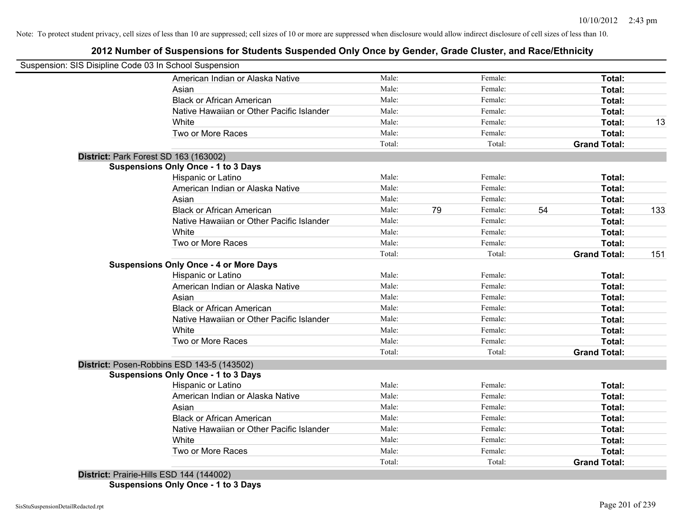# **2012 Number of Suspensions for Students Suspended Only Once by Gender, Grade Cluster, and Race/Ethnicity**

| Male:<br>Male:<br>Male:<br>Native Hawaiian or Other Pacific Islander<br>Male: | Female:<br>Female:<br>Female:                                                                                                                                                                                                                             |                                                           | Total:              |                                      |
|-------------------------------------------------------------------------------|-----------------------------------------------------------------------------------------------------------------------------------------------------------------------------------------------------------------------------------------------------------|-----------------------------------------------------------|---------------------|--------------------------------------|
|                                                                               |                                                                                                                                                                                                                                                           |                                                           |                     |                                      |
|                                                                               |                                                                                                                                                                                                                                                           |                                                           | Total:              |                                      |
|                                                                               |                                                                                                                                                                                                                                                           |                                                           | Total:              |                                      |
|                                                                               | Female:                                                                                                                                                                                                                                                   |                                                           | Total:              |                                      |
| Male:                                                                         | Female:                                                                                                                                                                                                                                                   |                                                           | Total:              | 13                                   |
| Male:                                                                         | Female:                                                                                                                                                                                                                                                   |                                                           | Total:              |                                      |
| Total:                                                                        | Total:                                                                                                                                                                                                                                                    |                                                           | <b>Grand Total:</b> |                                      |
|                                                                               |                                                                                                                                                                                                                                                           |                                                           |                     |                                      |
|                                                                               |                                                                                                                                                                                                                                                           |                                                           |                     |                                      |
| Male:                                                                         | Female:                                                                                                                                                                                                                                                   |                                                           | Total:              |                                      |
|                                                                               |                                                                                                                                                                                                                                                           |                                                           | Total:              |                                      |
|                                                                               | Female:                                                                                                                                                                                                                                                   |                                                           | Total:              |                                      |
|                                                                               | Female:                                                                                                                                                                                                                                                   |                                                           | Total:              | 133                                  |
|                                                                               |                                                                                                                                                                                                                                                           |                                                           | Total:              |                                      |
| Male:                                                                         | Female:                                                                                                                                                                                                                                                   |                                                           | Total:              |                                      |
| Male:                                                                         | Female:                                                                                                                                                                                                                                                   |                                                           | Total:              |                                      |
| Total:                                                                        | Total:                                                                                                                                                                                                                                                    |                                                           | <b>Grand Total:</b> | 151                                  |
|                                                                               |                                                                                                                                                                                                                                                           |                                                           |                     |                                      |
| Male:                                                                         | Female:                                                                                                                                                                                                                                                   |                                                           | Total:              |                                      |
|                                                                               |                                                                                                                                                                                                                                                           |                                                           |                     |                                      |
| Male:                                                                         | Female:                                                                                                                                                                                                                                                   |                                                           | Total:              |                                      |
|                                                                               | Female:                                                                                                                                                                                                                                                   |                                                           | Total:              |                                      |
|                                                                               | Female:                                                                                                                                                                                                                                                   |                                                           | Total:              |                                      |
| Male:                                                                         | Female:                                                                                                                                                                                                                                                   |                                                           | Total:              |                                      |
| Male:                                                                         | Female:                                                                                                                                                                                                                                                   |                                                           | Total:              |                                      |
| Total:                                                                        | Total:                                                                                                                                                                                                                                                    |                                                           | <b>Grand Total:</b> |                                      |
|                                                                               |                                                                                                                                                                                                                                                           |                                                           |                     |                                      |
|                                                                               |                                                                                                                                                                                                                                                           |                                                           |                     |                                      |
|                                                                               | Female:                                                                                                                                                                                                                                                   |                                                           |                     |                                      |
|                                                                               | Female:                                                                                                                                                                                                                                                   |                                                           |                     |                                      |
|                                                                               |                                                                                                                                                                                                                                                           |                                                           |                     |                                      |
| Male:                                                                         | Female:                                                                                                                                                                                                                                                   |                                                           | Total:              |                                      |
| Male:                                                                         | Female:                                                                                                                                                                                                                                                   |                                                           | Total:              |                                      |
|                                                                               |                                                                                                                                                                                                                                                           |                                                           | Total:              |                                      |
|                                                                               | Female:                                                                                                                                                                                                                                                   |                                                           | Total:              |                                      |
|                                                                               | Total:                                                                                                                                                                                                                                                    |                                                           | <b>Grand Total:</b> |                                      |
|                                                                               | Male:<br>Male:<br>Male:<br>Native Hawaiian or Other Pacific Islander<br>Male:<br>Male:<br>Male:<br>Native Hawaiian or Other Pacific Islander<br>Male:<br>Male:<br>Male:<br>Male:<br>Native Hawaiian or Other Pacific Islander<br>Male:<br>Male:<br>Total: | Female:<br>79<br>Female:<br>Female:<br>Female:<br>Female: | 54                  | Total:<br>Total:<br>Total:<br>Total: |

**Suspensions Only Once - 1 to 3 Days**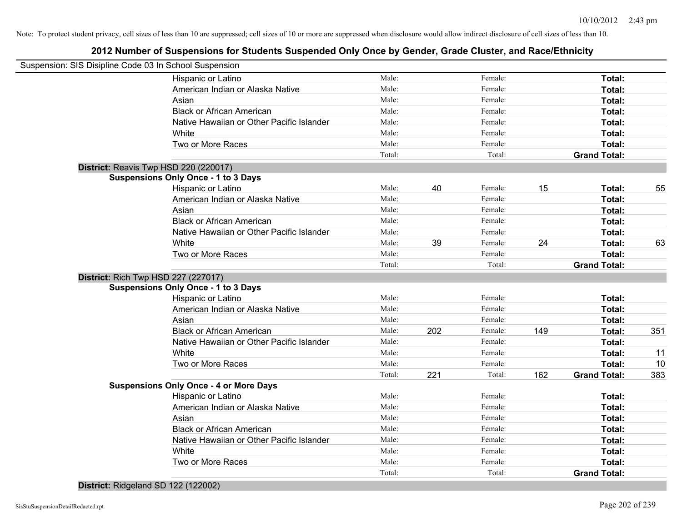# **2012 Number of Suspensions for Students Suspended Only Once by Gender, Grade Cluster, and Race/Ethnicity**

| Suspension: SIS Disipline Code 03 In School Suspension |                                           |        |     |         |     |                     |     |
|--------------------------------------------------------|-------------------------------------------|--------|-----|---------|-----|---------------------|-----|
|                                                        | Hispanic or Latino                        | Male:  |     | Female: |     | Total:              |     |
|                                                        | American Indian or Alaska Native          | Male:  |     | Female: |     | Total:              |     |
| Asian                                                  |                                           | Male:  |     | Female: |     | Total:              |     |
|                                                        | <b>Black or African American</b>          | Male:  |     | Female: |     | Total:              |     |
|                                                        | Native Hawaiian or Other Pacific Islander | Male:  |     | Female: |     | Total:              |     |
| White                                                  |                                           | Male:  |     | Female: |     | Total:              |     |
|                                                        | Two or More Races                         | Male:  |     | Female: |     | Total:              |     |
|                                                        |                                           | Total: |     | Total:  |     | <b>Grand Total:</b> |     |
| District: Reavis Twp HSD 220 (220017)                  |                                           |        |     |         |     |                     |     |
| <b>Suspensions Only Once - 1 to 3 Days</b>             |                                           |        |     |         |     |                     |     |
|                                                        | Hispanic or Latino                        | Male:  | 40  | Female: | 15  | Total:              | 55  |
|                                                        | American Indian or Alaska Native          | Male:  |     | Female: |     | Total:              |     |
| Asian                                                  |                                           | Male:  |     | Female: |     | Total:              |     |
|                                                        | <b>Black or African American</b>          | Male:  |     | Female: |     | Total:              |     |
|                                                        | Native Hawaiian or Other Pacific Islander | Male:  |     | Female: |     | Total:              |     |
| White                                                  |                                           | Male:  | 39  | Female: | 24  | Total:              | 63  |
|                                                        | Two or More Races                         | Male:  |     | Female: |     | Total:              |     |
|                                                        |                                           | Total: |     | Total:  |     | <b>Grand Total:</b> |     |
| <b>District: Rich Twp HSD 227 (227017)</b>             |                                           |        |     |         |     |                     |     |
| <b>Suspensions Only Once - 1 to 3 Days</b>             |                                           |        |     |         |     |                     |     |
|                                                        | Hispanic or Latino                        | Male:  |     | Female: |     | Total:              |     |
|                                                        | American Indian or Alaska Native          | Male:  |     | Female: |     | Total:              |     |
| Asian                                                  |                                           | Male:  |     | Female: |     | Total:              |     |
|                                                        | <b>Black or African American</b>          | Male:  | 202 | Female: | 149 | Total:              | 351 |
|                                                        | Native Hawaiian or Other Pacific Islander | Male:  |     | Female: |     | Total:              |     |
| White                                                  |                                           | Male:  |     | Female: |     | Total:              | 11  |
|                                                        | Two or More Races                         | Male:  |     | Female: |     | Total:              | 10  |
|                                                        |                                           | Total: | 221 | Total:  | 162 | <b>Grand Total:</b> | 383 |
| <b>Suspensions Only Once - 4 or More Days</b>          |                                           |        |     |         |     |                     |     |
|                                                        | Hispanic or Latino                        | Male:  |     | Female: |     | Total:              |     |
|                                                        | American Indian or Alaska Native          | Male:  |     | Female: |     | Total:              |     |
| Asian                                                  |                                           | Male:  |     | Female: |     | Total:              |     |
|                                                        | <b>Black or African American</b>          | Male:  |     | Female: |     | Total:              |     |
|                                                        | Native Hawaiian or Other Pacific Islander | Male:  |     | Female: |     | Total:              |     |
| White                                                  |                                           | Male:  |     | Female: |     | Total:              |     |
|                                                        | Two or More Races                         | Male:  |     | Female: |     | Total:              |     |
|                                                        |                                           | Total: |     | Total:  |     | <b>Grand Total:</b> |     |

**District:** Ridgeland SD 122 (122002)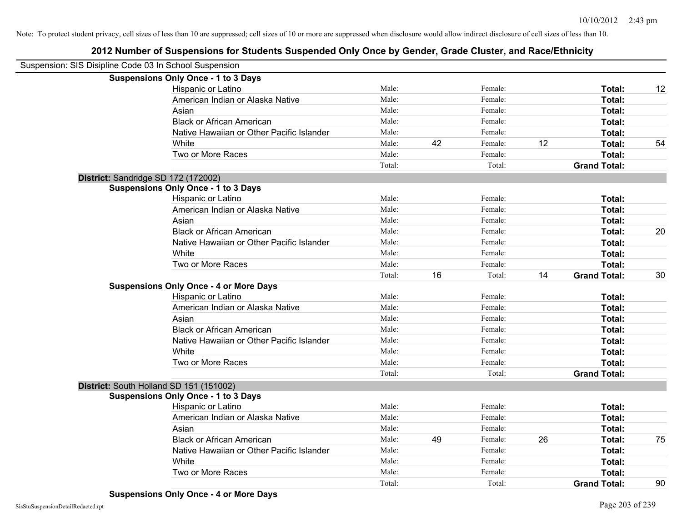| Suspension: SIS Disipline Code 03 In School Suspension |                                               |        |    |         |    |                     |    |
|--------------------------------------------------------|-----------------------------------------------|--------|----|---------|----|---------------------|----|
|                                                        | <b>Suspensions Only Once - 1 to 3 Days</b>    |        |    |         |    |                     |    |
|                                                        | Hispanic or Latino                            | Male:  |    | Female: |    | Total:              | 12 |
|                                                        | American Indian or Alaska Native              | Male:  |    | Female: |    | Total:              |    |
|                                                        | Asian                                         | Male:  |    | Female: |    | Total:              |    |
|                                                        | <b>Black or African American</b>              | Male:  |    | Female: |    | Total:              |    |
|                                                        | Native Hawaiian or Other Pacific Islander     | Male:  |    | Female: |    | Total:              |    |
|                                                        | White                                         | Male:  | 42 | Female: | 12 | Total:              | 54 |
|                                                        | Two or More Races                             | Male:  |    | Female: |    | Total:              |    |
|                                                        |                                               | Total: |    | Total:  |    | <b>Grand Total:</b> |    |
| District: Sandridge SD 172 (172002)                    |                                               |        |    |         |    |                     |    |
|                                                        | <b>Suspensions Only Once - 1 to 3 Days</b>    |        |    |         |    |                     |    |
|                                                        | Hispanic or Latino                            | Male:  |    | Female: |    | Total:              |    |
|                                                        | American Indian or Alaska Native              | Male:  |    | Female: |    | Total:              |    |
|                                                        | Asian                                         | Male:  |    | Female: |    | Total:              |    |
|                                                        | <b>Black or African American</b>              | Male:  |    | Female: |    | Total:              | 20 |
|                                                        | Native Hawaiian or Other Pacific Islander     | Male:  |    | Female: |    | Total:              |    |
|                                                        | White                                         | Male:  |    | Female: |    | <b>Total:</b>       |    |
|                                                        | Two or More Races                             | Male:  |    | Female: |    | Total:              |    |
|                                                        |                                               | Total: | 16 | Total:  | 14 | <b>Grand Total:</b> | 30 |
|                                                        | <b>Suspensions Only Once - 4 or More Days</b> |        |    |         |    |                     |    |
|                                                        | Hispanic or Latino                            | Male:  |    | Female: |    | Total:              |    |
|                                                        | American Indian or Alaska Native              | Male:  |    | Female: |    | Total:              |    |
|                                                        | Asian                                         | Male:  |    | Female: |    | Total:              |    |
|                                                        | <b>Black or African American</b>              | Male:  |    | Female: |    | Total:              |    |
|                                                        | Native Hawaiian or Other Pacific Islander     | Male:  |    | Female: |    | Total:              |    |
|                                                        | White                                         | Male:  |    | Female: |    | Total:              |    |
|                                                        | Two or More Races                             | Male:  |    | Female: |    | <b>Total:</b>       |    |
|                                                        |                                               | Total: |    | Total:  |    | <b>Grand Total:</b> |    |
|                                                        | District: South Holland SD 151 (151002)       |        |    |         |    |                     |    |
|                                                        | <b>Suspensions Only Once - 1 to 3 Days</b>    |        |    |         |    |                     |    |
|                                                        | Hispanic or Latino                            | Male:  |    | Female: |    | Total:              |    |
|                                                        | American Indian or Alaska Native              | Male:  |    | Female: |    | Total:              |    |
|                                                        | Asian                                         | Male:  |    | Female: |    | Total:              |    |
|                                                        | <b>Black or African American</b>              | Male:  | 49 | Female: | 26 | Total:              | 75 |
|                                                        | Native Hawaiian or Other Pacific Islander     | Male:  |    | Female: |    | Total:              |    |
|                                                        | White                                         | Male:  |    | Female: |    | Total:              |    |
|                                                        | Two or More Races                             | Male:  |    | Female: |    | <b>Total:</b>       |    |
|                                                        |                                               | Total: |    | Total:  |    | <b>Grand Total:</b> | 90 |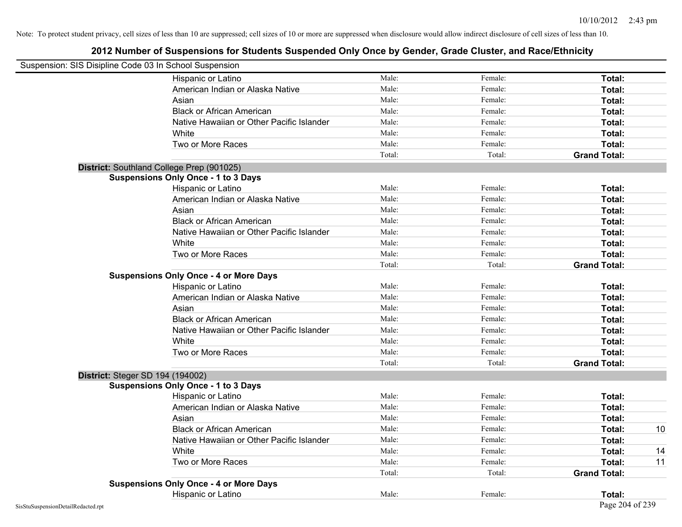| Suspension: SIS Disipline Code 03 In School Suspension |                                               |        |         |                     |    |
|--------------------------------------------------------|-----------------------------------------------|--------|---------|---------------------|----|
|                                                        | Hispanic or Latino                            | Male:  | Female: | Total:              |    |
|                                                        | American Indian or Alaska Native              | Male:  | Female: | Total:              |    |
|                                                        | Asian                                         | Male:  | Female: | Total:              |    |
|                                                        | <b>Black or African American</b>              | Male:  | Female: | Total:              |    |
|                                                        | Native Hawaiian or Other Pacific Islander     | Male:  | Female: | Total:              |    |
|                                                        | White                                         | Male:  | Female: | Total:              |    |
|                                                        | Two or More Races                             | Male:  | Female: | Total:              |    |
|                                                        |                                               | Total: | Total:  | <b>Grand Total:</b> |    |
| District: Southland College Prep (901025)              |                                               |        |         |                     |    |
|                                                        | <b>Suspensions Only Once - 1 to 3 Days</b>    |        |         |                     |    |
|                                                        | Hispanic or Latino                            | Male:  | Female: | Total:              |    |
|                                                        | American Indian or Alaska Native              | Male:  | Female: | Total:              |    |
|                                                        | Asian                                         | Male:  | Female: | Total:              |    |
|                                                        | <b>Black or African American</b>              | Male:  | Female: | Total:              |    |
|                                                        | Native Hawaiian or Other Pacific Islander     | Male:  | Female: | Total:              |    |
|                                                        | White                                         | Male:  | Female: | Total:              |    |
|                                                        | Two or More Races                             | Male:  | Female: | Total:              |    |
|                                                        |                                               | Total: | Total:  | <b>Grand Total:</b> |    |
|                                                        | <b>Suspensions Only Once - 4 or More Days</b> |        |         |                     |    |
|                                                        | Hispanic or Latino                            | Male:  | Female: | Total:              |    |
|                                                        | American Indian or Alaska Native              | Male:  | Female: | Total:              |    |
|                                                        | Asian                                         | Male:  | Female: | Total:              |    |
|                                                        | <b>Black or African American</b>              | Male:  | Female: | Total:              |    |
|                                                        | Native Hawaiian or Other Pacific Islander     | Male:  | Female: | Total:              |    |
|                                                        | White                                         | Male:  | Female: | Total:              |    |
|                                                        | Two or More Races                             | Male:  | Female: | Total:              |    |
|                                                        |                                               | Total: | Total:  | <b>Grand Total:</b> |    |
| District: Steger SD 194 (194002)                       |                                               |        |         |                     |    |
|                                                        | <b>Suspensions Only Once - 1 to 3 Days</b>    |        |         |                     |    |
|                                                        | Hispanic or Latino                            | Male:  | Female: | Total:              |    |
|                                                        | American Indian or Alaska Native              | Male:  | Female: | Total:              |    |
|                                                        | Asian                                         | Male:  | Female: | Total:              |    |
|                                                        | <b>Black or African American</b>              | Male:  | Female: | Total:              | 10 |
|                                                        | Native Hawaiian or Other Pacific Islander     | Male:  | Female: | Total:              |    |
|                                                        | White                                         | Male:  | Female: | Total:              | 14 |
|                                                        | Two or More Races                             | Male:  | Female: | Total:              | 11 |
|                                                        |                                               | Total: | Total:  | <b>Grand Total:</b> |    |
|                                                        | <b>Suspensions Only Once - 4 or More Days</b> |        |         |                     |    |
|                                                        | Hispanic or Latino                            | Male:  | Female: | Total:              |    |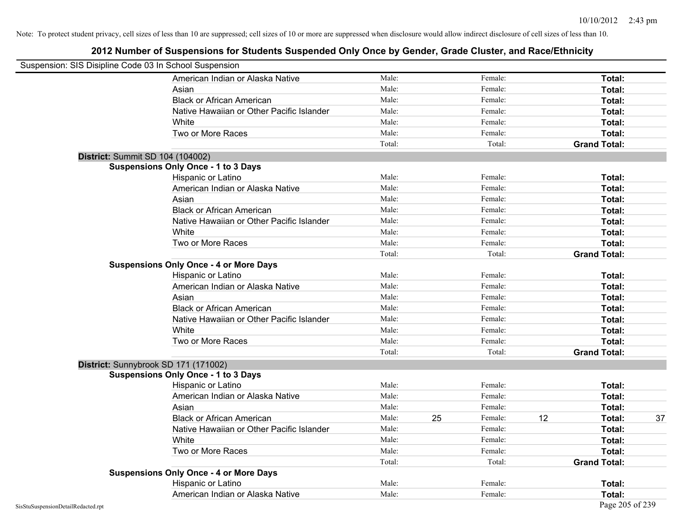| Suspension: SIS Disipline Code 03 In School Suspension |                                               |        |    |         |    |                     |    |
|--------------------------------------------------------|-----------------------------------------------|--------|----|---------|----|---------------------|----|
|                                                        | American Indian or Alaska Native              | Male:  |    | Female: |    | Total:              |    |
|                                                        | Asian                                         | Male:  |    | Female: |    | Total:              |    |
|                                                        | <b>Black or African American</b>              | Male:  |    | Female: |    | Total:              |    |
|                                                        | Native Hawaiian or Other Pacific Islander     | Male:  |    | Female: |    | Total:              |    |
|                                                        | White                                         | Male:  |    | Female: |    | Total:              |    |
|                                                        | Two or More Races                             | Male:  |    | Female: |    | Total:              |    |
|                                                        |                                               | Total: |    | Total:  |    | <b>Grand Total:</b> |    |
|                                                        | District: Summit SD 104 (104002)              |        |    |         |    |                     |    |
|                                                        | <b>Suspensions Only Once - 1 to 3 Days</b>    |        |    |         |    |                     |    |
|                                                        | Hispanic or Latino                            | Male:  |    | Female: |    | Total:              |    |
|                                                        | American Indian or Alaska Native              | Male:  |    | Female: |    | Total:              |    |
|                                                        | Asian                                         | Male:  |    | Female: |    | Total:              |    |
|                                                        | <b>Black or African American</b>              | Male:  |    | Female: |    | Total:              |    |
|                                                        | Native Hawaiian or Other Pacific Islander     | Male:  |    | Female: |    | Total:              |    |
|                                                        | White                                         | Male:  |    | Female: |    | Total:              |    |
|                                                        | Two or More Races                             | Male:  |    | Female: |    | Total:              |    |
|                                                        |                                               | Total: |    | Total:  |    | <b>Grand Total:</b> |    |
|                                                        | <b>Suspensions Only Once - 4 or More Days</b> |        |    |         |    |                     |    |
|                                                        | Hispanic or Latino                            | Male:  |    | Female: |    | Total:              |    |
|                                                        | American Indian or Alaska Native              | Male:  |    | Female: |    | Total:              |    |
|                                                        | Asian                                         | Male:  |    | Female: |    | Total:              |    |
|                                                        | <b>Black or African American</b>              | Male:  |    | Female: |    | Total:              |    |
|                                                        | Native Hawaiian or Other Pacific Islander     | Male:  |    | Female: |    | Total:              |    |
|                                                        | White                                         | Male:  |    | Female: |    | Total:              |    |
|                                                        | Two or More Races                             | Male:  |    | Female: |    | Total:              |    |
|                                                        |                                               | Total: |    | Total:  |    | <b>Grand Total:</b> |    |
|                                                        | District: Sunnybrook SD 171 (171002)          |        |    |         |    |                     |    |
|                                                        | <b>Suspensions Only Once - 1 to 3 Days</b>    |        |    |         |    |                     |    |
|                                                        | Hispanic or Latino                            | Male:  |    | Female: |    | Total:              |    |
|                                                        | American Indian or Alaska Native              | Male:  |    | Female: |    | Total:              |    |
|                                                        | Asian                                         | Male:  |    | Female: |    | Total:              |    |
|                                                        | <b>Black or African American</b>              | Male:  | 25 | Female: | 12 | Total:              | 37 |
|                                                        | Native Hawaiian or Other Pacific Islander     | Male:  |    | Female: |    | Total:              |    |
|                                                        | White                                         | Male:  |    | Female: |    | Total:              |    |
|                                                        | Two or More Races                             | Male:  |    | Female: |    | Total:              |    |
|                                                        |                                               | Total: |    | Total:  |    | <b>Grand Total:</b> |    |
|                                                        | <b>Suspensions Only Once - 4 or More Days</b> |        |    |         |    |                     |    |
|                                                        | Hispanic or Latino                            | Male:  |    | Female: |    | Total:              |    |
|                                                        | American Indian or Alaska Native              | Male:  |    | Female: |    | Total:              |    |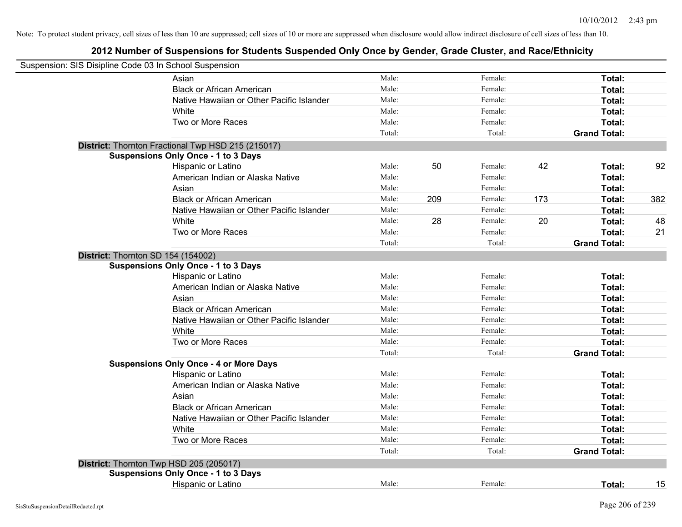| Suspension: SIS Disipline Code 03 In School Suspension |        |     |         |     |                     |     |
|--------------------------------------------------------|--------|-----|---------|-----|---------------------|-----|
| Asian                                                  | Male:  |     | Female: |     | Total:              |     |
| <b>Black or African American</b>                       | Male:  |     | Female: |     | Total:              |     |
| Native Hawaiian or Other Pacific Islander              | Male:  |     | Female: |     | Total:              |     |
| <b>White</b>                                           | Male:  |     | Female: |     | Total:              |     |
| Two or More Races                                      | Male:  |     | Female: |     | Total:              |     |
|                                                        | Total: |     | Total:  |     | <b>Grand Total:</b> |     |
| District: Thornton Fractional Twp HSD 215 (215017)     |        |     |         |     |                     |     |
| <b>Suspensions Only Once - 1 to 3 Days</b>             |        |     |         |     |                     |     |
| Hispanic or Latino                                     | Male:  | 50  | Female: | 42  | Total:              | 92  |
| American Indian or Alaska Native                       | Male:  |     | Female: |     | Total:              |     |
| Asian                                                  | Male:  |     | Female: |     | Total:              |     |
| <b>Black or African American</b>                       | Male:  | 209 | Female: | 173 | Total:              | 382 |
| Native Hawaiian or Other Pacific Islander              | Male:  |     | Female: |     | Total:              |     |
| White                                                  | Male:  | 28  | Female: | 20  | Total:              | 48  |
| Two or More Races                                      | Male:  |     | Female: |     | Total:              | 21  |
|                                                        | Total: |     | Total:  |     | <b>Grand Total:</b> |     |
| District: Thornton SD 154 (154002)                     |        |     |         |     |                     |     |
| <b>Suspensions Only Once - 1 to 3 Days</b>             |        |     |         |     |                     |     |
| Hispanic or Latino                                     | Male:  |     | Female: |     | Total:              |     |
| American Indian or Alaska Native                       | Male:  |     | Female: |     | Total:              |     |
| Asian                                                  | Male:  |     | Female: |     | Total:              |     |
| <b>Black or African American</b>                       | Male:  |     | Female: |     | Total:              |     |
| Native Hawaiian or Other Pacific Islander              | Male:  |     | Female: |     | Total:              |     |
| White                                                  | Male:  |     | Female: |     | Total:              |     |
| Two or More Races                                      | Male:  |     | Female: |     | Total:              |     |
|                                                        | Total: |     | Total:  |     | <b>Grand Total:</b> |     |
| <b>Suspensions Only Once - 4 or More Days</b>          |        |     |         |     |                     |     |
| Hispanic or Latino                                     | Male:  |     | Female: |     | Total:              |     |
| American Indian or Alaska Native                       | Male:  |     | Female: |     | Total:              |     |
| Asian                                                  | Male:  |     | Female: |     | Total:              |     |
| <b>Black or African American</b>                       | Male:  |     | Female: |     | Total:              |     |
| Native Hawaiian or Other Pacific Islander              | Male:  |     | Female: |     | Total:              |     |
| <b>White</b>                                           | Male:  |     | Female: |     | Total:              |     |
| Two or More Races                                      | Male:  |     | Female: |     | Total:              |     |
|                                                        | Total: |     | Total:  |     | <b>Grand Total:</b> |     |
| District: Thornton Twp HSD 205 (205017)                |        |     |         |     |                     |     |
| <b>Suspensions Only Once - 1 to 3 Days</b>             |        |     |         |     |                     |     |
| Hispanic or Latino                                     | Male:  |     | Female: |     | Total:              | 15  |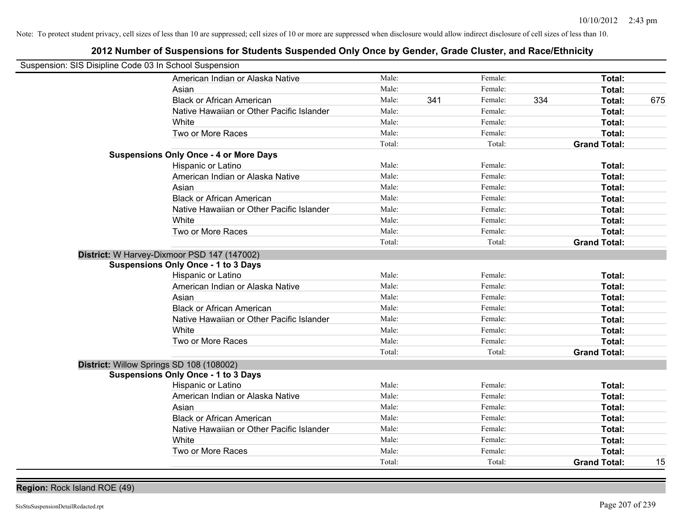# **2012 Number of Suspensions for Students Suspended Only Once by Gender, Grade Cluster, and Race/Ethnicity**

| Suspension: SIS Disipline Code 03 In School Suspension |                                           |        |     |         |     |                     |     |
|--------------------------------------------------------|-------------------------------------------|--------|-----|---------|-----|---------------------|-----|
|                                                        | American Indian or Alaska Native          | Male:  |     | Female: |     | Total:              |     |
| Asian                                                  |                                           | Male:  |     | Female: |     | Total:              |     |
| <b>Black or African American</b>                       |                                           | Male:  | 341 | Female: | 334 | Total:              | 675 |
|                                                        | Native Hawaiian or Other Pacific Islander | Male:  |     | Female: |     | Total:              |     |
| White                                                  |                                           | Male:  |     | Female: |     | Total:              |     |
| Two or More Races                                      |                                           | Male:  |     | Female: |     | Total:              |     |
|                                                        |                                           | Total: |     | Total:  |     | <b>Grand Total:</b> |     |
| <b>Suspensions Only Once - 4 or More Days</b>          |                                           |        |     |         |     |                     |     |
| Hispanic or Latino                                     |                                           | Male:  |     | Female: |     | Total:              |     |
|                                                        | American Indian or Alaska Native          | Male:  |     | Female: |     | Total:              |     |
| Asian                                                  |                                           | Male:  |     | Female: |     | Total:              |     |
| <b>Black or African American</b>                       |                                           | Male:  |     | Female: |     | Total:              |     |
|                                                        | Native Hawaiian or Other Pacific Islander | Male:  |     | Female: |     | Total:              |     |
| White                                                  |                                           | Male:  |     | Female: |     | Total:              |     |
| Two or More Races                                      |                                           | Male:  |     | Female: |     | Total:              |     |
|                                                        |                                           | Total: |     | Total:  |     | <b>Grand Total:</b> |     |
| District: W Harvey-Dixmoor PSD 147 (147002)            |                                           |        |     |         |     |                     |     |
| <b>Suspensions Only Once - 1 to 3 Days</b>             |                                           |        |     |         |     |                     |     |
| Hispanic or Latino                                     |                                           | Male:  |     | Female: |     | Total:              |     |
|                                                        | American Indian or Alaska Native          | Male:  |     | Female: |     | Total:              |     |
| Asian                                                  |                                           | Male:  |     | Female: |     | Total:              |     |
| <b>Black or African American</b>                       |                                           | Male:  |     | Female: |     | Total:              |     |
|                                                        | Native Hawaiian or Other Pacific Islander | Male:  |     | Female: |     | Total:              |     |
| White                                                  |                                           | Male:  |     | Female: |     | Total:              |     |
| Two or More Races                                      |                                           | Male:  |     | Female: |     | Total:              |     |
|                                                        |                                           | Total: |     | Total:  |     | <b>Grand Total:</b> |     |
| District: Willow Springs SD 108 (108002)               |                                           |        |     |         |     |                     |     |
| <b>Suspensions Only Once - 1 to 3 Days</b>             |                                           |        |     |         |     |                     |     |
| Hispanic or Latino                                     |                                           | Male:  |     | Female: |     | Total:              |     |
|                                                        | American Indian or Alaska Native          | Male:  |     | Female: |     | Total:              |     |
| Asian                                                  |                                           | Male:  |     | Female: |     | Total:              |     |
| <b>Black or African American</b>                       |                                           | Male:  |     | Female: |     | Total:              |     |
|                                                        | Native Hawaiian or Other Pacific Islander | Male:  |     | Female: |     | Total:              |     |
| White                                                  |                                           | Male:  |     | Female: |     | Total:              |     |
| Two or More Races                                      |                                           | Male:  |     | Female: |     | Total:              |     |
|                                                        |                                           | Total: |     | Total:  |     | <b>Grand Total:</b> | 15  |

**Region:** Rock Island ROE (49)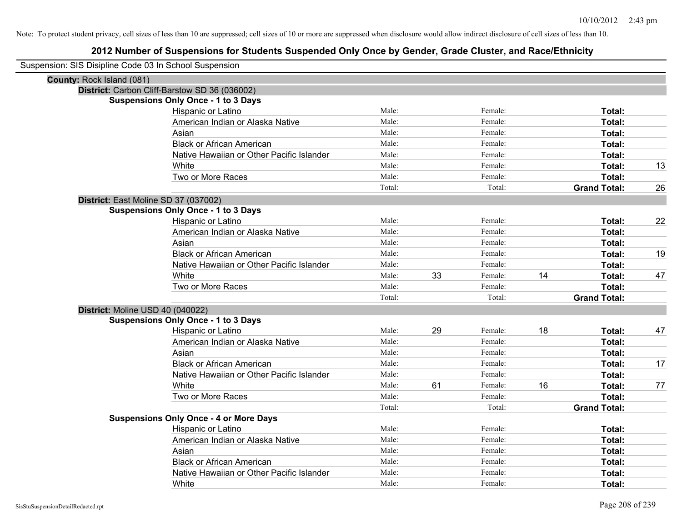| Suspension: SIS Disipline Code 03 In School Suspension |                                               |        |    |         |    |                     |    |
|--------------------------------------------------------|-----------------------------------------------|--------|----|---------|----|---------------------|----|
| County: Rock Island (081)                              |                                               |        |    |         |    |                     |    |
|                                                        | District: Carbon Cliff-Barstow SD 36 (036002) |        |    |         |    |                     |    |
|                                                        | <b>Suspensions Only Once - 1 to 3 Days</b>    |        |    |         |    |                     |    |
|                                                        | Hispanic or Latino                            | Male:  |    | Female: |    | Total:              |    |
|                                                        | American Indian or Alaska Native              | Male:  |    | Female: |    | Total:              |    |
|                                                        | Asian                                         | Male:  |    | Female: |    | Total:              |    |
|                                                        | <b>Black or African American</b>              | Male:  |    | Female: |    | Total:              |    |
|                                                        | Native Hawaiian or Other Pacific Islander     | Male:  |    | Female: |    | Total:              |    |
|                                                        | White                                         | Male:  |    | Female: |    | Total:              | 13 |
|                                                        | Two or More Races                             | Male:  |    | Female: |    | Total:              |    |
|                                                        |                                               | Total: |    | Total:  |    | <b>Grand Total:</b> | 26 |
|                                                        | District: East Moline SD 37 (037002)          |        |    |         |    |                     |    |
|                                                        | <b>Suspensions Only Once - 1 to 3 Days</b>    |        |    |         |    |                     |    |
|                                                        | Hispanic or Latino                            | Male:  |    | Female: |    | Total:              | 22 |
|                                                        | American Indian or Alaska Native              | Male:  |    | Female: |    | Total:              |    |
|                                                        | Asian                                         | Male:  |    | Female: |    | Total:              |    |
|                                                        | <b>Black or African American</b>              | Male:  |    | Female: |    | Total:              | 19 |
|                                                        | Native Hawaiian or Other Pacific Islander     | Male:  |    | Female: |    | Total:              |    |
|                                                        | White                                         | Male:  | 33 | Female: | 14 | Total:              | 47 |
|                                                        | Two or More Races                             | Male:  |    | Female: |    | Total:              |    |
|                                                        |                                               | Total: |    | Total:  |    | <b>Grand Total:</b> |    |
| District: Moline USD 40 (040022)                       |                                               |        |    |         |    |                     |    |
|                                                        | <b>Suspensions Only Once - 1 to 3 Days</b>    |        |    |         |    |                     |    |
|                                                        | Hispanic or Latino                            | Male:  | 29 | Female: | 18 | Total:              | 47 |
|                                                        | American Indian or Alaska Native              | Male:  |    | Female: |    | Total:              |    |
|                                                        | Asian                                         | Male:  |    | Female: |    | Total:              |    |
|                                                        | <b>Black or African American</b>              | Male:  |    | Female: |    | Total:              | 17 |
|                                                        | Native Hawaiian or Other Pacific Islander     | Male:  |    | Female: |    | Total:              |    |
|                                                        | White                                         | Male:  | 61 | Female: | 16 | Total:              | 77 |
|                                                        | Two or More Races                             | Male:  |    | Female: |    | Total:              |    |
|                                                        |                                               | Total: |    | Total:  |    | <b>Grand Total:</b> |    |
|                                                        | <b>Suspensions Only Once - 4 or More Days</b> |        |    |         |    |                     |    |
|                                                        | Hispanic or Latino                            | Male:  |    | Female: |    | Total:              |    |
|                                                        | American Indian or Alaska Native              | Male:  |    | Female: |    | Total:              |    |
|                                                        | Asian                                         | Male:  |    | Female: |    | Total:              |    |
|                                                        | <b>Black or African American</b>              | Male:  |    | Female: |    | Total:              |    |
|                                                        | Native Hawaiian or Other Pacific Islander     | Male:  |    | Female: |    | Total:              |    |
|                                                        | White                                         | Male:  |    | Female: |    | Total:              |    |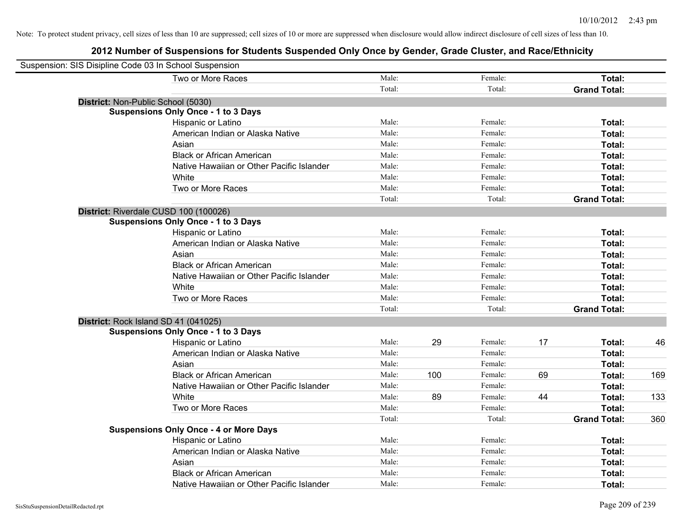| Suspension: SIS Disipline Code 03 In School Suspension |                                               |        |     |         |    |                     |     |
|--------------------------------------------------------|-----------------------------------------------|--------|-----|---------|----|---------------------|-----|
|                                                        | Two or More Races                             | Male:  |     | Female: |    | Total:              |     |
|                                                        |                                               | Total: |     | Total:  |    | <b>Grand Total:</b> |     |
| District: Non-Public School (5030)                     |                                               |        |     |         |    |                     |     |
|                                                        | <b>Suspensions Only Once - 1 to 3 Days</b>    |        |     |         |    |                     |     |
|                                                        | Hispanic or Latino                            | Male:  |     | Female: |    | Total:              |     |
|                                                        | American Indian or Alaska Native              | Male:  |     | Female: |    | Total:              |     |
|                                                        | Asian                                         | Male:  |     | Female: |    | Total:              |     |
|                                                        | <b>Black or African American</b>              | Male:  |     | Female: |    | Total:              |     |
|                                                        | Native Hawaiian or Other Pacific Islander     | Male:  |     | Female: |    | Total:              |     |
|                                                        | White                                         | Male:  |     | Female: |    | Total:              |     |
|                                                        | Two or More Races                             | Male:  |     | Female: |    | Total:              |     |
|                                                        |                                               | Total: |     | Total:  |    | <b>Grand Total:</b> |     |
| District: Riverdale CUSD 100 (100026)                  |                                               |        |     |         |    |                     |     |
|                                                        | <b>Suspensions Only Once - 1 to 3 Days</b>    |        |     |         |    |                     |     |
|                                                        | Hispanic or Latino                            | Male:  |     | Female: |    | Total:              |     |
|                                                        | American Indian or Alaska Native              | Male:  |     | Female: |    | Total:              |     |
|                                                        | Asian                                         | Male:  |     | Female: |    | Total:              |     |
|                                                        | <b>Black or African American</b>              | Male:  |     | Female: |    | Total:              |     |
|                                                        | Native Hawaiian or Other Pacific Islander     | Male:  |     | Female: |    | Total:              |     |
|                                                        | White                                         | Male:  |     | Female: |    | Total:              |     |
|                                                        | Two or More Races                             | Male:  |     | Female: |    | Total:              |     |
|                                                        |                                               | Total: |     | Total:  |    | <b>Grand Total:</b> |     |
| District: Rock Island SD 41 (041025)                   |                                               |        |     |         |    |                     |     |
|                                                        | <b>Suspensions Only Once - 1 to 3 Days</b>    |        |     |         |    |                     |     |
|                                                        | Hispanic or Latino                            | Male:  | 29  | Female: | 17 | Total:              | 46  |
|                                                        | American Indian or Alaska Native              | Male:  |     | Female: |    | Total:              |     |
|                                                        | Asian                                         | Male:  |     | Female: |    | Total:              |     |
|                                                        | <b>Black or African American</b>              | Male:  | 100 | Female: | 69 | Total:              | 169 |
|                                                        | Native Hawaiian or Other Pacific Islander     | Male:  |     | Female: |    | Total:              |     |
|                                                        | White                                         | Male:  | 89  | Female: | 44 | Total:              | 133 |
|                                                        | Two or More Races                             | Male:  |     | Female: |    | Total:              |     |
|                                                        |                                               | Total: |     | Total:  |    | <b>Grand Total:</b> | 360 |
|                                                        | <b>Suspensions Only Once - 4 or More Days</b> |        |     |         |    |                     |     |
|                                                        | Hispanic or Latino                            | Male:  |     | Female: |    | Total:              |     |
|                                                        | American Indian or Alaska Native              | Male:  |     | Female: |    | Total:              |     |
|                                                        | Asian                                         | Male:  |     | Female: |    | Total:              |     |
|                                                        | <b>Black or African American</b>              | Male:  |     | Female: |    | Total:              |     |
|                                                        | Native Hawaiian or Other Pacific Islander     | Male:  |     | Female: |    | Total:              |     |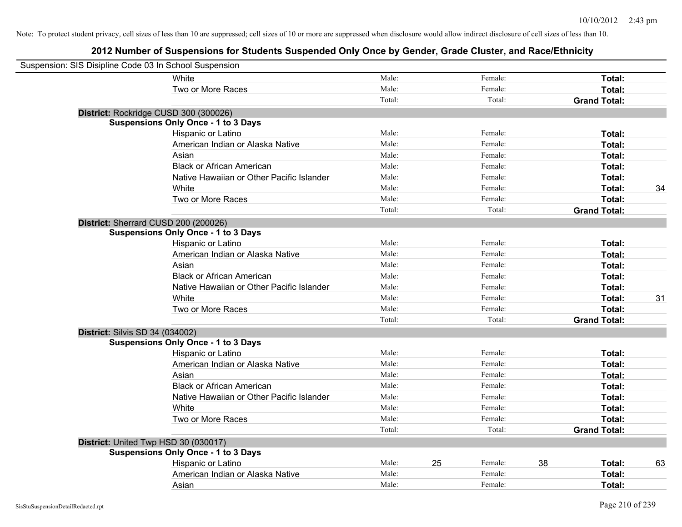| Suspension: SIS Disipline Code 03 In School Suspension |                                            |        |    |         |    |                     |    |
|--------------------------------------------------------|--------------------------------------------|--------|----|---------|----|---------------------|----|
|                                                        | White                                      | Male:  |    | Female: |    | Total:              |    |
|                                                        | Two or More Races                          | Male:  |    | Female: |    | Total:              |    |
|                                                        |                                            | Total: |    | Total:  |    | <b>Grand Total:</b> |    |
| District: Rockridge CUSD 300 (300026)                  |                                            |        |    |         |    |                     |    |
|                                                        | <b>Suspensions Only Once - 1 to 3 Days</b> |        |    |         |    |                     |    |
|                                                        | Hispanic or Latino                         | Male:  |    | Female: |    | Total:              |    |
|                                                        | American Indian or Alaska Native           | Male:  |    | Female: |    | Total:              |    |
|                                                        | Asian                                      | Male:  |    | Female: |    | Total:              |    |
|                                                        | <b>Black or African American</b>           | Male:  |    | Female: |    | Total:              |    |
|                                                        | Native Hawaiian or Other Pacific Islander  | Male:  |    | Female: |    | Total:              |    |
|                                                        | White                                      | Male:  |    | Female: |    | Total:              | 34 |
|                                                        | Two or More Races                          | Male:  |    | Female: |    | Total:              |    |
|                                                        |                                            | Total: |    | Total:  |    | <b>Grand Total:</b> |    |
| District: Sherrard CUSD 200 (200026)                   |                                            |        |    |         |    |                     |    |
|                                                        | <b>Suspensions Only Once - 1 to 3 Days</b> |        |    |         |    |                     |    |
|                                                        | Hispanic or Latino                         | Male:  |    | Female: |    | Total:              |    |
|                                                        | American Indian or Alaska Native           | Male:  |    | Female: |    | Total:              |    |
|                                                        | Asian                                      | Male:  |    | Female: |    | Total:              |    |
|                                                        | <b>Black or African American</b>           | Male:  |    | Female: |    | Total:              |    |
|                                                        | Native Hawaiian or Other Pacific Islander  | Male:  |    | Female: |    | Total:              |    |
|                                                        | White                                      | Male:  |    | Female: |    | Total:              | 31 |
|                                                        | Two or More Races                          | Male:  |    | Female: |    | Total:              |    |
|                                                        |                                            | Total: |    | Total:  |    | <b>Grand Total:</b> |    |
| District: Silvis SD 34 (034002)                        |                                            |        |    |         |    |                     |    |
|                                                        | <b>Suspensions Only Once - 1 to 3 Days</b> |        |    |         |    |                     |    |
|                                                        | Hispanic or Latino                         | Male:  |    | Female: |    | Total:              |    |
|                                                        | American Indian or Alaska Native           | Male:  |    | Female: |    | Total:              |    |
|                                                        | Asian                                      | Male:  |    | Female: |    | Total:              |    |
|                                                        | <b>Black or African American</b>           | Male:  |    | Female: |    | Total:              |    |
|                                                        | Native Hawaiian or Other Pacific Islander  | Male:  |    | Female: |    | Total:              |    |
|                                                        | White                                      | Male:  |    | Female: |    | Total:              |    |
|                                                        | Two or More Races                          | Male:  |    | Female: |    | Total:              |    |
|                                                        |                                            | Total: |    | Total:  |    | <b>Grand Total:</b> |    |
| District: United Twp HSD 30 (030017)                   |                                            |        |    |         |    |                     |    |
|                                                        | <b>Suspensions Only Once - 1 to 3 Days</b> |        |    |         |    |                     |    |
|                                                        | Hispanic or Latino                         | Male:  | 25 | Female: | 38 | Total:              | 63 |
|                                                        | American Indian or Alaska Native           | Male:  |    | Female: |    | Total:              |    |
|                                                        | Asian                                      | Male:  |    | Female: |    | Total:              |    |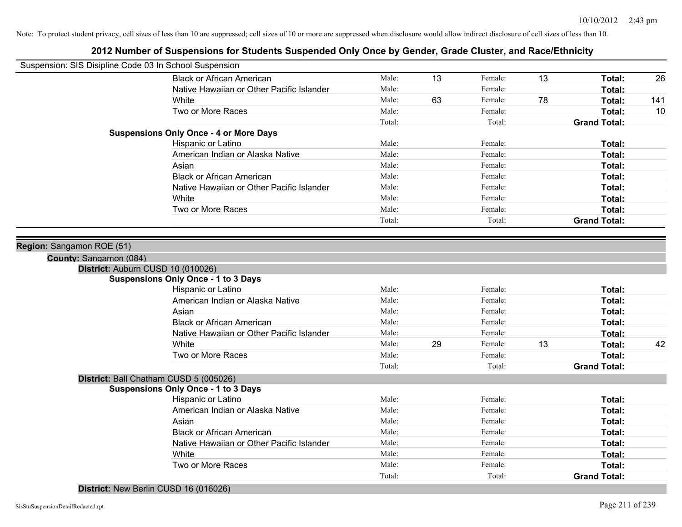| Suspension: SIS Disipline Code 03 In School Suspension                                   |        |    |         |    |                     |     |
|------------------------------------------------------------------------------------------|--------|----|---------|----|---------------------|-----|
| <b>Black or African American</b>                                                         | Male:  | 13 | Female: | 13 | Total:              | 26  |
| Native Hawaiian or Other Pacific Islander                                                | Male:  |    | Female: |    | Total:              |     |
| White                                                                                    | Male:  | 63 | Female: | 78 | Total:              | 141 |
| Two or More Races                                                                        | Male:  |    | Female: |    | Total:              | 10  |
|                                                                                          | Total: |    | Total:  |    | <b>Grand Total:</b> |     |
| <b>Suspensions Only Once - 4 or More Days</b>                                            |        |    |         |    |                     |     |
| Hispanic or Latino                                                                       | Male:  |    | Female: |    | Total:              |     |
| American Indian or Alaska Native                                                         | Male:  |    | Female: |    | Total:              |     |
| Asian                                                                                    | Male:  |    | Female: |    | Total:              |     |
| <b>Black or African American</b>                                                         | Male:  |    | Female: |    | Total:              |     |
| Native Hawaiian or Other Pacific Islander                                                | Male:  |    | Female: |    | Total:              |     |
| White                                                                                    | Male:  |    | Female: |    | Total:              |     |
| Two or More Races                                                                        | Male:  |    | Female: |    | Total:              |     |
|                                                                                          | Total: |    | Total:  |    | <b>Grand Total:</b> |     |
| Region: Sangamon ROE (51)<br>County: Sangamon (084)<br>District: Auburn CUSD 10 (010026) |        |    |         |    |                     |     |
| <b>Suspensions Only Once - 1 to 3 Days</b>                                               |        |    |         |    |                     |     |
| Hispanic or Latino                                                                       | Male:  |    | Female: |    | Total:              |     |
| American Indian or Alaska Native                                                         | Male:  |    | Female: |    | Total:              |     |
| Asian                                                                                    | Male:  |    | Female: |    | Total:              |     |
| <b>Black or African American</b>                                                         | Male:  |    | Female: |    | Total:              |     |
| Native Hawaiian or Other Pacific Islander                                                | Male:  |    | Female: |    | Total:              |     |
| White                                                                                    | Male:  | 29 | Female: | 13 | Total:              | 42  |
| Two or More Races                                                                        | Male:  |    | Female: |    | Total:              |     |
|                                                                                          | Total: |    | Total:  |    | <b>Grand Total:</b> |     |
| District: Ball Chatham CUSD 5 (005026)<br><b>Suspensions Only Once - 1 to 3 Days</b>     |        |    |         |    |                     |     |
| Hispanic or Latino                                                                       | Male:  |    | Female: |    | Total:              |     |
| American Indian or Alaska Native                                                         | Male:  |    | Female: |    | Total:              |     |
| Asian                                                                                    | Male:  |    | Female: |    | Total:              |     |
| <b>Black or African American</b>                                                         | Male:  |    | Female: |    | Total:              |     |
| Native Hawaiian or Other Pacific Islander                                                | Male:  |    | Female: |    | Total:              |     |
| White                                                                                    | Male:  |    | Female: |    | Total:              |     |
| Two or More Races                                                                        | Male:  |    | Female: |    | Total:              |     |
|                                                                                          | Total: |    | Total:  |    | <b>Grand Total:</b> |     |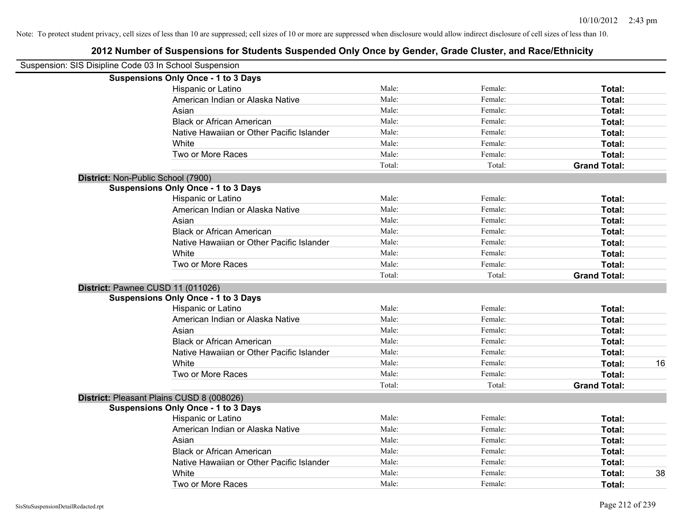|                                    | Suspension: SIS Disipline Code 03 In School Suspension |        |         |                     |    |
|------------------------------------|--------------------------------------------------------|--------|---------|---------------------|----|
|                                    | <b>Suspensions Only Once - 1 to 3 Days</b>             |        |         |                     |    |
|                                    | Hispanic or Latino                                     | Male:  | Female: | Total:              |    |
|                                    | American Indian or Alaska Native                       | Male:  | Female: | Total:              |    |
|                                    | Asian                                                  | Male:  | Female: | Total:              |    |
|                                    | <b>Black or African American</b>                       | Male:  | Female: | Total:              |    |
|                                    | Native Hawaiian or Other Pacific Islander              | Male:  | Female: | Total:              |    |
|                                    | White                                                  | Male:  | Female: | Total:              |    |
|                                    | Two or More Races                                      | Male:  | Female: | Total:              |    |
|                                    |                                                        | Total: | Total:  | <b>Grand Total:</b> |    |
| District: Non-Public School (7900) |                                                        |        |         |                     |    |
|                                    | <b>Suspensions Only Once - 1 to 3 Days</b>             |        |         |                     |    |
|                                    | Hispanic or Latino                                     | Male:  | Female: | Total:              |    |
|                                    | American Indian or Alaska Native                       | Male:  | Female: | Total:              |    |
|                                    | Asian                                                  | Male:  | Female: | Total:              |    |
|                                    | <b>Black or African American</b>                       | Male:  | Female: | Total:              |    |
|                                    | Native Hawaiian or Other Pacific Islander              | Male:  | Female: | Total:              |    |
|                                    | White                                                  | Male:  | Female: | Total:              |    |
|                                    | Two or More Races                                      | Male:  | Female: | Total:              |    |
|                                    |                                                        | Total: | Total:  | <b>Grand Total:</b> |    |
|                                    | District: Pawnee CUSD 11 (011026)                      |        |         |                     |    |
|                                    | <b>Suspensions Only Once - 1 to 3 Days</b>             |        |         |                     |    |
|                                    | Hispanic or Latino                                     | Male:  | Female: | Total:              |    |
|                                    | American Indian or Alaska Native                       | Male:  | Female: | Total:              |    |
|                                    | Asian                                                  | Male:  | Female: | Total:              |    |
|                                    | <b>Black or African American</b>                       | Male:  | Female: | Total:              |    |
|                                    | Native Hawaiian or Other Pacific Islander              | Male:  | Female: | Total:              |    |
|                                    | White                                                  | Male:  | Female: | Total:              | 16 |
|                                    | Two or More Races                                      | Male:  | Female: | Total:              |    |
|                                    |                                                        | Total: | Total:  | <b>Grand Total:</b> |    |
|                                    | District: Pleasant Plains CUSD 8 (008026)              |        |         |                     |    |
|                                    | <b>Suspensions Only Once - 1 to 3 Days</b>             |        |         |                     |    |
|                                    | Hispanic or Latino                                     | Male:  | Female: | Total:              |    |
|                                    | American Indian or Alaska Native                       | Male:  | Female: | Total:              |    |
|                                    | Asian                                                  | Male:  | Female: | Total:              |    |
|                                    | <b>Black or African American</b>                       | Male:  | Female: | Total:              |    |
|                                    | Native Hawaiian or Other Pacific Islander              | Male:  | Female: | Total:              |    |
|                                    | White                                                  | Male:  | Female: | Total:              | 38 |
|                                    | Two or More Races                                      | Male:  | Female: | Total:              |    |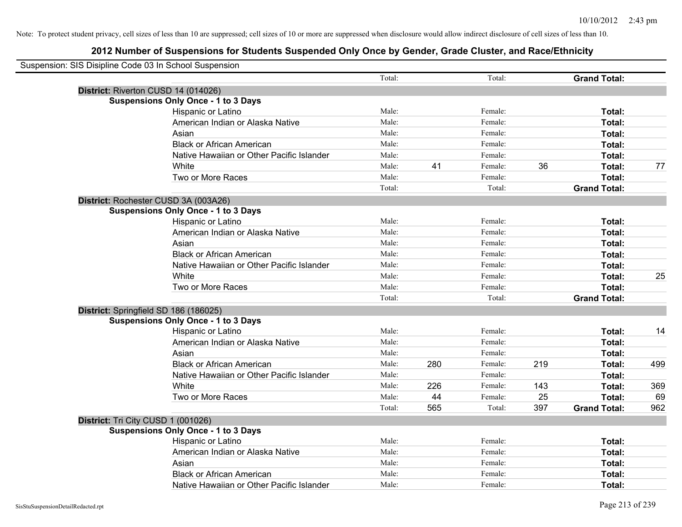| Suspension: SIS Disipline Code 03 In School Suspension |                                            |        |     |         |     |                     |     |
|--------------------------------------------------------|--------------------------------------------|--------|-----|---------|-----|---------------------|-----|
|                                                        |                                            | Total: |     | Total:  |     | <b>Grand Total:</b> |     |
|                                                        | District: Riverton CUSD 14 (014026)        |        |     |         |     |                     |     |
|                                                        | <b>Suspensions Only Once - 1 to 3 Days</b> |        |     |         |     |                     |     |
|                                                        | Hispanic or Latino                         | Male:  |     | Female: |     | Total:              |     |
|                                                        | American Indian or Alaska Native           | Male:  |     | Female: |     | Total:              |     |
|                                                        | Asian                                      | Male:  |     | Female: |     | Total:              |     |
|                                                        | <b>Black or African American</b>           | Male:  |     | Female: |     | Total:              |     |
|                                                        | Native Hawaiian or Other Pacific Islander  | Male:  |     | Female: |     | Total:              |     |
|                                                        | White                                      | Male:  | 41  | Female: | 36  | Total:              | 77  |
|                                                        | Two or More Races                          | Male:  |     | Female: |     | Total:              |     |
|                                                        |                                            | Total: |     | Total:  |     | <b>Grand Total:</b> |     |
|                                                        | District: Rochester CUSD 3A (003A26)       |        |     |         |     |                     |     |
|                                                        | <b>Suspensions Only Once - 1 to 3 Days</b> |        |     |         |     |                     |     |
|                                                        | Hispanic or Latino                         | Male:  |     | Female: |     | Total:              |     |
|                                                        | American Indian or Alaska Native           | Male:  |     | Female: |     | Total:              |     |
|                                                        | Asian                                      | Male:  |     | Female: |     | Total:              |     |
|                                                        | <b>Black or African American</b>           | Male:  |     | Female: |     | Total:              |     |
|                                                        | Native Hawaiian or Other Pacific Islander  | Male:  |     | Female: |     | Total:              |     |
|                                                        | White                                      | Male:  |     | Female: |     | Total:              | 25  |
|                                                        | Two or More Races                          | Male:  |     | Female: |     | Total:              |     |
|                                                        |                                            | Total: |     | Total:  |     | <b>Grand Total:</b> |     |
|                                                        | District: Springfield SD 186 (186025)      |        |     |         |     |                     |     |
|                                                        | <b>Suspensions Only Once - 1 to 3 Days</b> |        |     |         |     |                     |     |
|                                                        | Hispanic or Latino                         | Male:  |     | Female: |     | Total:              | 14  |
|                                                        | American Indian or Alaska Native           | Male:  |     | Female: |     | Total:              |     |
|                                                        | Asian                                      | Male:  |     | Female: |     | Total:              |     |
|                                                        | <b>Black or African American</b>           | Male:  | 280 | Female: | 219 | Total:              | 499 |
|                                                        | Native Hawaiian or Other Pacific Islander  | Male:  |     | Female: |     | Total:              |     |
|                                                        | White                                      | Male:  | 226 | Female: | 143 | Total:              | 369 |
|                                                        | Two or More Races                          | Male:  | 44  | Female: | 25  | Total:              | 69  |
|                                                        |                                            | Total: | 565 | Total:  | 397 | <b>Grand Total:</b> | 962 |
|                                                        | District: Tri City CUSD 1 (001026)         |        |     |         |     |                     |     |
|                                                        | <b>Suspensions Only Once - 1 to 3 Days</b> |        |     |         |     |                     |     |
|                                                        | Hispanic or Latino                         | Male:  |     | Female: |     | Total:              |     |
|                                                        | American Indian or Alaska Native           | Male:  |     | Female: |     | Total:              |     |
|                                                        | Asian                                      | Male:  |     | Female: |     | Total:              |     |
|                                                        | <b>Black or African American</b>           | Male:  |     | Female: |     | Total:              |     |
|                                                        | Native Hawaiian or Other Pacific Islander  | Male:  |     | Female: |     | Total:              |     |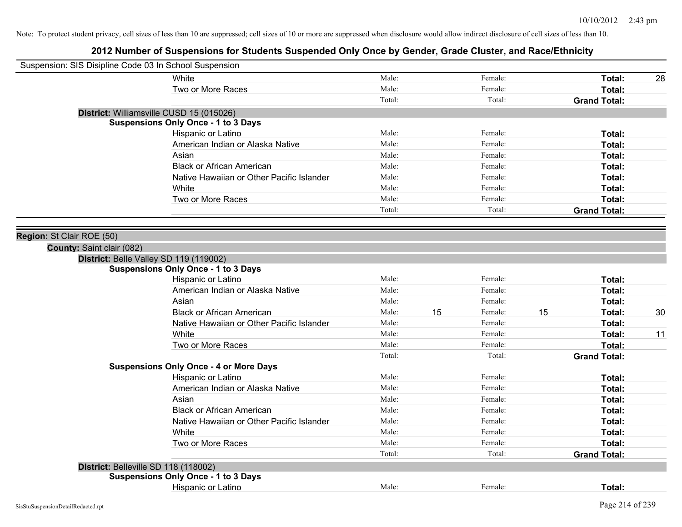| Suspension: SIS Disipline Code 03 In School Suspension |                                               |        |    |         |    |                     |    |
|--------------------------------------------------------|-----------------------------------------------|--------|----|---------|----|---------------------|----|
|                                                        | White                                         | Male:  |    | Female: |    | Total:              | 28 |
|                                                        | Two or More Races                             | Male:  |    | Female: |    | Total:              |    |
|                                                        |                                               | Total: |    | Total:  |    | <b>Grand Total:</b> |    |
|                                                        | District: Williamsville CUSD 15 (015026)      |        |    |         |    |                     |    |
|                                                        | <b>Suspensions Only Once - 1 to 3 Days</b>    |        |    |         |    |                     |    |
|                                                        | Hispanic or Latino                            | Male:  |    | Female: |    | Total:              |    |
|                                                        | American Indian or Alaska Native              | Male:  |    | Female: |    | Total:              |    |
|                                                        | Asian                                         | Male:  |    | Female: |    | Total:              |    |
|                                                        | <b>Black or African American</b>              | Male:  |    | Female: |    | Total:              |    |
|                                                        | Native Hawaiian or Other Pacific Islander     | Male:  |    | Female: |    | Total:              |    |
|                                                        | White                                         | Male:  |    | Female: |    | Total:              |    |
|                                                        | Two or More Races                             | Male:  |    | Female: |    | Total:              |    |
|                                                        |                                               | Total: |    | Total:  |    | <b>Grand Total:</b> |    |
|                                                        |                                               |        |    |         |    |                     |    |
| Region: St Clair ROE (50)                              |                                               |        |    |         |    |                     |    |
| County: Saint clair (082)                              |                                               |        |    |         |    |                     |    |
|                                                        | District: Belle Valley SD 119 (119002)        |        |    |         |    |                     |    |
|                                                        | <b>Suspensions Only Once - 1 to 3 Days</b>    |        |    |         |    |                     |    |
|                                                        | Hispanic or Latino                            | Male:  |    | Female: |    | Total:              |    |
|                                                        | American Indian or Alaska Native              | Male:  |    | Female: |    | Total:              |    |
|                                                        | Asian                                         | Male:  |    | Female: |    | Total:              |    |
|                                                        | <b>Black or African American</b>              | Male:  | 15 | Female: | 15 | Total:              | 30 |
|                                                        | Native Hawaiian or Other Pacific Islander     | Male:  |    | Female: |    | Total:              |    |
|                                                        | White                                         | Male:  |    | Female: |    | Total:              | 11 |
|                                                        | Two or More Races                             | Male:  |    | Female: |    | Total:              |    |
|                                                        |                                               | Total: |    | Total:  |    | <b>Grand Total:</b> |    |
|                                                        | <b>Suspensions Only Once - 4 or More Days</b> |        |    |         |    |                     |    |
|                                                        | Hispanic or Latino                            | Male:  |    | Female: |    | Total:              |    |
|                                                        | American Indian or Alaska Native              | Male:  |    | Female: |    | Total:              |    |
|                                                        | Asian                                         | Male:  |    | Female: |    | Total:              |    |
|                                                        | <b>Black or African American</b>              | Male:  |    | Female: |    | Total:              |    |
|                                                        | Native Hawaiian or Other Pacific Islander     | Male:  |    | Female: |    | Total:              |    |
|                                                        | White                                         | Male:  |    | Female: |    | Total:              |    |
|                                                        | Two or More Races                             | Male:  |    | Female: |    | Total:              |    |
|                                                        |                                               | Total: |    | Total:  |    | <b>Grand Total:</b> |    |
| District: Belleville SD 118 (118002)                   |                                               |        |    |         |    |                     |    |
|                                                        | <b>Suspensions Only Once - 1 to 3 Days</b>    |        |    |         |    |                     |    |
|                                                        | Hispanic or Latino                            | Male:  |    | Female: |    | Total:              |    |
|                                                        |                                               |        |    |         |    |                     |    |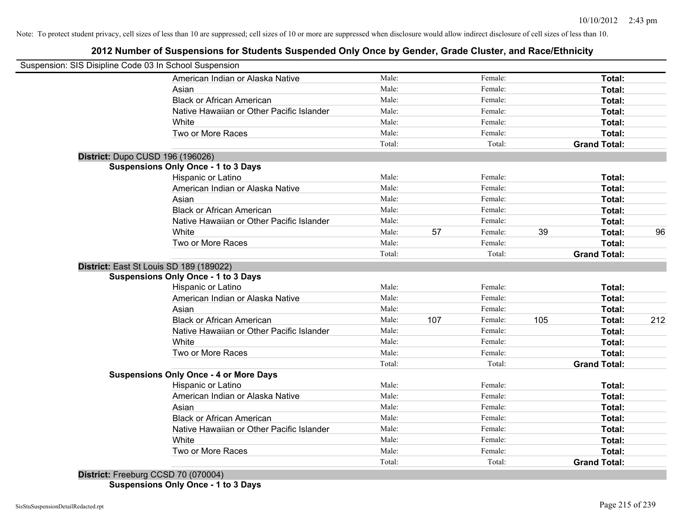# **2012 Number of Suspensions for Students Suspended Only Once by Gender, Grade Cluster, and Race/Ethnicity**

| Suspension: SIS Disipline Code 03 In School Suspension |        |     |         |     |                     |     |
|--------------------------------------------------------|--------|-----|---------|-----|---------------------|-----|
| American Indian or Alaska Native                       | Male:  |     | Female: |     | Total:              |     |
| Asian                                                  | Male:  |     | Female: |     | Total:              |     |
| <b>Black or African American</b>                       | Male:  |     | Female: |     | Total:              |     |
| Native Hawaiian or Other Pacific Islander              | Male:  |     | Female: |     | Total:              |     |
| White                                                  | Male:  |     | Female: |     | Total:              |     |
| Two or More Races                                      | Male:  |     | Female: |     | Total:              |     |
|                                                        | Total: |     | Total:  |     | <b>Grand Total:</b> |     |
| District: Dupo CUSD 196 (196026)                       |        |     |         |     |                     |     |
| <b>Suspensions Only Once - 1 to 3 Days</b>             |        |     |         |     |                     |     |
| Hispanic or Latino                                     | Male:  |     | Female: |     | Total:              |     |
| American Indian or Alaska Native                       | Male:  |     | Female: |     | Total:              |     |
| Asian                                                  | Male:  |     | Female: |     | Total:              |     |
| <b>Black or African American</b>                       | Male:  |     | Female: |     | Total:              |     |
| Native Hawaiian or Other Pacific Islander              | Male:  |     | Female: |     | Total:              |     |
| White                                                  | Male:  | 57  | Female: | 39  | Total:              | 96  |
| Two or More Races                                      | Male:  |     | Female: |     | Total:              |     |
|                                                        | Total: |     | Total:  |     | <b>Grand Total:</b> |     |
| District: East St Louis SD 189 (189022)                |        |     |         |     |                     |     |
| <b>Suspensions Only Once - 1 to 3 Days</b>             |        |     |         |     |                     |     |
| Hispanic or Latino                                     | Male:  |     | Female: |     | Total:              |     |
| American Indian or Alaska Native                       | Male:  |     | Female: |     | Total:              |     |
| Asian                                                  | Male:  |     | Female: |     | Total:              |     |
| <b>Black or African American</b>                       | Male:  | 107 | Female: | 105 | Total:              | 212 |
| Native Hawaiian or Other Pacific Islander              | Male:  |     | Female: |     | Total:              |     |
| White                                                  | Male:  |     | Female: |     | Total:              |     |
| Two or More Races                                      | Male:  |     | Female: |     | Total:              |     |
|                                                        | Total: |     | Total:  |     | <b>Grand Total:</b> |     |
| <b>Suspensions Only Once - 4 or More Days</b>          |        |     |         |     |                     |     |
| Hispanic or Latino                                     | Male:  |     | Female: |     | Total:              |     |
| American Indian or Alaska Native                       | Male:  |     | Female: |     | Total:              |     |
| Asian                                                  | Male:  |     | Female: |     | Total:              |     |
| <b>Black or African American</b>                       | Male:  |     | Female: |     | Total:              |     |
| Native Hawaiian or Other Pacific Islander              | Male:  |     | Female: |     | Total:              |     |
| White                                                  | Male:  |     | Female: |     | Total:              |     |
| Two or More Races                                      | Male:  |     | Female: |     | Total:              |     |
| <b>Batter Address Control</b><br>0000720020041         | Total: |     | Total:  |     | <b>Grand Total:</b> |     |

**District:** Freeburg CCSD 70 (070004) **Suspensions Only Once - 1 to 3 Days**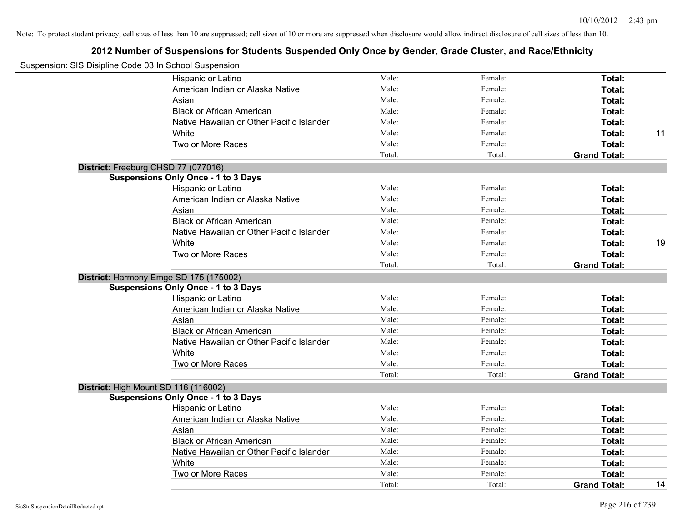| Suspension: SIS Disipline Code 03 In School Suspension |        |         |                     |    |
|--------------------------------------------------------|--------|---------|---------------------|----|
| Hispanic or Latino                                     | Male:  | Female: | Total:              |    |
| American Indian or Alaska Native                       | Male:  | Female: | Total:              |    |
| Asian                                                  | Male:  | Female: | Total:              |    |
| <b>Black or African American</b>                       | Male:  | Female: | Total:              |    |
| Native Hawaiian or Other Pacific Islander              | Male:  | Female: | Total:              |    |
| White                                                  | Male:  | Female: | Total:              | 11 |
| Two or More Races                                      | Male:  | Female: | Total:              |    |
|                                                        | Total: | Total:  | <b>Grand Total:</b> |    |
| District: Freeburg CHSD 77 (077016)                    |        |         |                     |    |
| <b>Suspensions Only Once - 1 to 3 Days</b>             |        |         |                     |    |
| Hispanic or Latino                                     | Male:  | Female: | Total:              |    |
| American Indian or Alaska Native                       | Male:  | Female: | Total:              |    |
| Asian                                                  | Male:  | Female: | Total:              |    |
| <b>Black or African American</b>                       | Male:  | Female: | Total:              |    |
| Native Hawaiian or Other Pacific Islander              | Male:  | Female: | Total:              |    |
| White                                                  | Male:  | Female: | Total:              | 19 |
| Two or More Races                                      | Male:  | Female: | Total:              |    |
|                                                        | Total: | Total:  | <b>Grand Total:</b> |    |
| District: Harmony Emge SD 175 (175002)                 |        |         |                     |    |
| <b>Suspensions Only Once - 1 to 3 Days</b>             |        |         |                     |    |
| Hispanic or Latino                                     | Male:  | Female: | Total:              |    |
| American Indian or Alaska Native                       | Male:  | Female: | Total:              |    |
| Asian                                                  | Male:  | Female: | Total:              |    |
| <b>Black or African American</b>                       | Male:  | Female: | Total:              |    |
| Native Hawaiian or Other Pacific Islander              | Male:  | Female: | Total:              |    |
| White                                                  | Male:  | Female: | Total:              |    |
| Two or More Races                                      | Male:  | Female: | Total:              |    |
|                                                        | Total: | Total:  | <b>Grand Total:</b> |    |
| District: High Mount SD 116 (116002)                   |        |         |                     |    |
| <b>Suspensions Only Once - 1 to 3 Days</b>             |        |         |                     |    |
| Hispanic or Latino                                     | Male:  | Female: | Total:              |    |
| American Indian or Alaska Native                       | Male:  | Female: | Total:              |    |
| Asian                                                  | Male:  | Female: | Total:              |    |
| <b>Black or African American</b>                       | Male:  | Female: | Total:              |    |
| Native Hawaiian or Other Pacific Islander              | Male:  | Female: | Total:              |    |
| White                                                  | Male:  | Female: | Total:              |    |
| Two or More Races                                      | Male:  | Female: | Total:              |    |
|                                                        | Total: | Total:  | <b>Grand Total:</b> | 14 |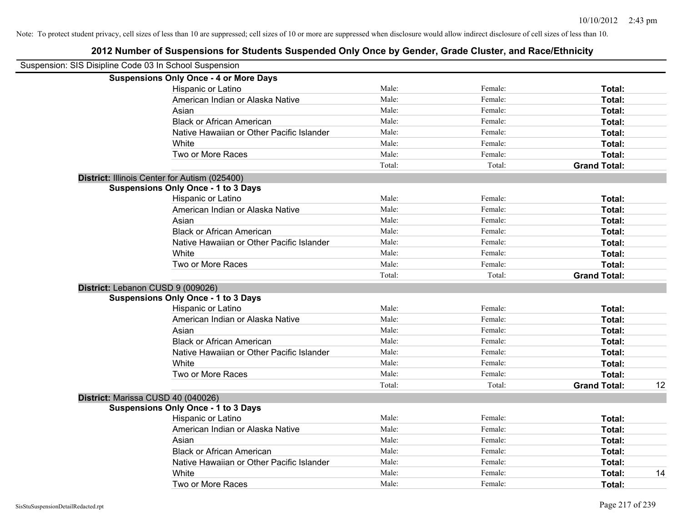| Suspension: SIS Disipline Code 03 In School Suspension |        |         |                     |    |
|--------------------------------------------------------|--------|---------|---------------------|----|
| <b>Suspensions Only Once - 4 or More Days</b>          |        |         |                     |    |
| Hispanic or Latino                                     | Male:  | Female: | Total:              |    |
| American Indian or Alaska Native                       | Male:  | Female: | Total:              |    |
| Asian                                                  | Male:  | Female: | Total:              |    |
| <b>Black or African American</b>                       | Male:  | Female: | Total:              |    |
| Native Hawaiian or Other Pacific Islander              | Male:  | Female: | Total:              |    |
| White                                                  | Male:  | Female: | Total:              |    |
| Two or More Races                                      | Male:  | Female: | Total:              |    |
|                                                        | Total: | Total:  | <b>Grand Total:</b> |    |
| District: Illinois Center for Autism (025400)          |        |         |                     |    |
| <b>Suspensions Only Once - 1 to 3 Days</b>             |        |         |                     |    |
| Hispanic or Latino                                     | Male:  | Female: | Total:              |    |
| American Indian or Alaska Native                       | Male:  | Female: | Total:              |    |
| Asian                                                  | Male:  | Female: | Total:              |    |
| <b>Black or African American</b>                       | Male:  | Female: | Total:              |    |
| Native Hawaiian or Other Pacific Islander              | Male:  | Female: | Total:              |    |
| White                                                  | Male:  | Female: | Total:              |    |
| Two or More Races                                      | Male:  | Female: | Total:              |    |
|                                                        | Total: | Total:  | <b>Grand Total:</b> |    |
| District: Lebanon CUSD 9 (009026)                      |        |         |                     |    |
| <b>Suspensions Only Once - 1 to 3 Days</b>             |        |         |                     |    |
| Hispanic or Latino                                     | Male:  | Female: | Total:              |    |
| American Indian or Alaska Native                       | Male:  | Female: | Total:              |    |
| Asian                                                  | Male:  | Female: | Total:              |    |
| <b>Black or African American</b>                       | Male:  | Female: | Total:              |    |
| Native Hawaiian or Other Pacific Islander              | Male:  | Female: | Total:              |    |
| White                                                  | Male:  | Female: | Total:              |    |
| Two or More Races                                      | Male:  | Female: | Total:              |    |
|                                                        | Total: | Total:  | <b>Grand Total:</b> | 12 |
| District: Marissa CUSD 40 (040026)                     |        |         |                     |    |
| <b>Suspensions Only Once - 1 to 3 Days</b>             |        |         |                     |    |
| Hispanic or Latino                                     | Male:  | Female: | Total:              |    |
| American Indian or Alaska Native                       | Male:  | Female: | Total:              |    |
| Asian                                                  | Male:  | Female: | Total:              |    |
| <b>Black or African American</b>                       | Male:  | Female: | Total:              |    |
| Native Hawaiian or Other Pacific Islander              | Male:  | Female: | Total:              |    |
| White                                                  | Male:  | Female: | Total:              | 14 |
| Two or More Races                                      | Male:  | Female: | Total:              |    |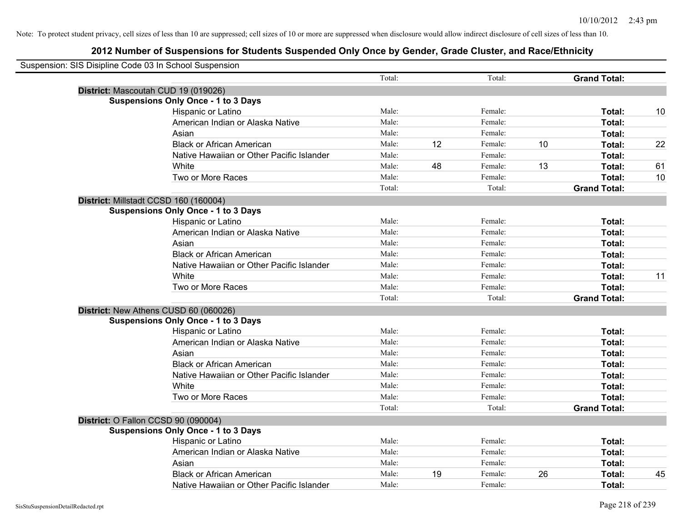| Suspension: SIS Disipline Code 03 In School Suspension |        |    |         |    |                     |    |
|--------------------------------------------------------|--------|----|---------|----|---------------------|----|
|                                                        | Total: |    | Total:  |    | <b>Grand Total:</b> |    |
| District: Mascoutah CUD 19 (019026)                    |        |    |         |    |                     |    |
| <b>Suspensions Only Once - 1 to 3 Days</b>             |        |    |         |    |                     |    |
| Hispanic or Latino                                     | Male:  |    | Female: |    | Total:              | 10 |
| American Indian or Alaska Native                       | Male:  |    | Female: |    | Total:              |    |
| Asian                                                  | Male:  |    | Female: |    | Total:              |    |
| <b>Black or African American</b>                       | Male:  | 12 | Female: | 10 | Total:              | 22 |
| Native Hawaiian or Other Pacific Islander              | Male:  |    | Female: |    | Total:              |    |
| White                                                  | Male:  | 48 | Female: | 13 | Total:              | 61 |
| Two or More Races                                      | Male:  |    | Female: |    | Total:              | 10 |
|                                                        | Total: |    | Total:  |    | <b>Grand Total:</b> |    |
| District: Millstadt CCSD 160 (160004)                  |        |    |         |    |                     |    |
| <b>Suspensions Only Once - 1 to 3 Days</b>             |        |    |         |    |                     |    |
| Hispanic or Latino                                     | Male:  |    | Female: |    | Total:              |    |
| American Indian or Alaska Native                       | Male:  |    | Female: |    | Total:              |    |
| Asian                                                  | Male:  |    | Female: |    | Total:              |    |
| <b>Black or African American</b>                       | Male:  |    | Female: |    | Total:              |    |
| Native Hawaiian or Other Pacific Islander              | Male:  |    | Female: |    | Total:              |    |
| White                                                  | Male:  |    | Female: |    | Total:              | 11 |
| Two or More Races                                      | Male:  |    | Female: |    | Total:              |    |
|                                                        | Total: |    | Total:  |    | <b>Grand Total:</b> |    |
| District: New Athens CUSD 60 (060026)                  |        |    |         |    |                     |    |
| <b>Suspensions Only Once - 1 to 3 Days</b>             |        |    |         |    |                     |    |
| Hispanic or Latino                                     | Male:  |    | Female: |    | Total:              |    |
| American Indian or Alaska Native                       | Male:  |    | Female: |    | Total:              |    |
| Asian                                                  | Male:  |    | Female: |    | Total:              |    |
| <b>Black or African American</b>                       | Male:  |    | Female: |    | Total:              |    |
| Native Hawaiian or Other Pacific Islander              | Male:  |    | Female: |    | Total:              |    |
| White                                                  | Male:  |    | Female: |    | Total:              |    |
| Two or More Races                                      | Male:  |    | Female: |    | Total:              |    |
|                                                        | Total: |    | Total:  |    | <b>Grand Total:</b> |    |
| District: O Fallon CCSD 90 (090004)                    |        |    |         |    |                     |    |
| <b>Suspensions Only Once - 1 to 3 Days</b>             |        |    |         |    |                     |    |
| Hispanic or Latino                                     | Male:  |    | Female: |    | Total:              |    |
| American Indian or Alaska Native                       | Male:  |    | Female: |    | <b>Total:</b>       |    |
| Asian                                                  | Male:  |    | Female: |    | Total:              |    |
| <b>Black or African American</b>                       | Male:  | 19 | Female: | 26 | Total:              | 45 |
| Native Hawaiian or Other Pacific Islander              | Male:  |    | Female: |    | Total:              |    |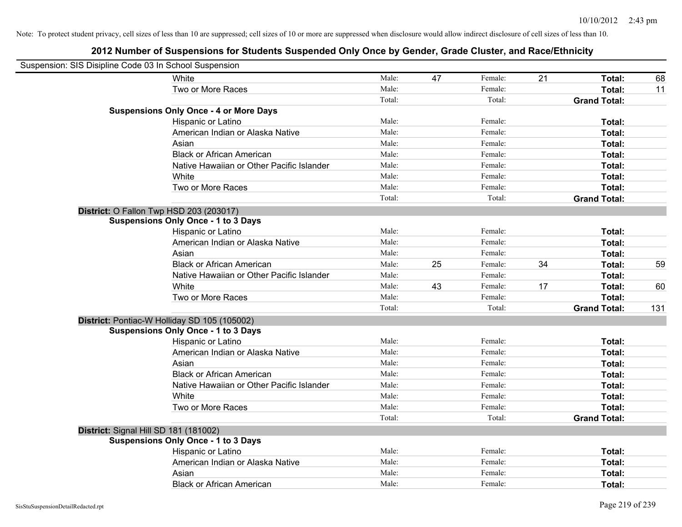| Suspension: SIS Disipline Code 03 In School Suspension |                                               |        |    |         |    |                     |     |
|--------------------------------------------------------|-----------------------------------------------|--------|----|---------|----|---------------------|-----|
|                                                        | White                                         | Male:  | 47 | Female: | 21 | Total:              | 68  |
|                                                        | Two or More Races                             | Male:  |    | Female: |    | Total:              | 11  |
|                                                        |                                               | Total: |    | Total:  |    | <b>Grand Total:</b> |     |
|                                                        | <b>Suspensions Only Once - 4 or More Days</b> |        |    |         |    |                     |     |
|                                                        | Hispanic or Latino                            | Male:  |    | Female: |    | Total:              |     |
|                                                        | American Indian or Alaska Native              | Male:  |    | Female: |    | Total:              |     |
|                                                        | Asian                                         | Male:  |    | Female: |    | Total:              |     |
|                                                        | <b>Black or African American</b>              | Male:  |    | Female: |    | Total:              |     |
|                                                        | Native Hawaiian or Other Pacific Islander     | Male:  |    | Female: |    | Total:              |     |
|                                                        | White                                         | Male:  |    | Female: |    | Total:              |     |
|                                                        | Two or More Races                             | Male:  |    | Female: |    | Total:              |     |
|                                                        |                                               | Total: |    | Total:  |    | <b>Grand Total:</b> |     |
|                                                        | District: O Fallon Twp HSD 203 (203017)       |        |    |         |    |                     |     |
|                                                        | <b>Suspensions Only Once - 1 to 3 Days</b>    |        |    |         |    |                     |     |
|                                                        | Hispanic or Latino                            | Male:  |    | Female: |    | Total:              |     |
|                                                        | American Indian or Alaska Native              | Male:  |    | Female: |    | Total:              |     |
|                                                        | Asian                                         | Male:  |    | Female: |    | Total:              |     |
|                                                        | <b>Black or African American</b>              | Male:  | 25 | Female: | 34 | Total:              | 59  |
|                                                        | Native Hawaiian or Other Pacific Islander     | Male:  |    | Female: |    | Total:              |     |
|                                                        | White                                         | Male:  | 43 | Female: | 17 | Total:              | 60  |
|                                                        | Two or More Races                             | Male:  |    | Female: |    | Total:              |     |
|                                                        |                                               | Total: |    | Total:  |    | <b>Grand Total:</b> | 131 |
|                                                        | District: Pontiac-W Holliday SD 105 (105002)  |        |    |         |    |                     |     |
|                                                        | <b>Suspensions Only Once - 1 to 3 Days</b>    |        |    |         |    |                     |     |
|                                                        | Hispanic or Latino                            | Male:  |    | Female: |    | Total:              |     |
|                                                        | American Indian or Alaska Native              | Male:  |    | Female: |    | Total:              |     |
|                                                        | Asian                                         | Male:  |    | Female: |    | Total:              |     |
|                                                        | <b>Black or African American</b>              | Male:  |    | Female: |    | Total:              |     |
|                                                        | Native Hawaiian or Other Pacific Islander     | Male:  |    | Female: |    | Total:              |     |
|                                                        | White                                         | Male:  |    | Female: |    | Total:              |     |
|                                                        | Two or More Races                             | Male:  |    | Female: |    | Total:              |     |
|                                                        |                                               | Total: |    | Total:  |    | <b>Grand Total:</b> |     |
|                                                        | District: Signal Hill SD 181 (181002)         |        |    |         |    |                     |     |
|                                                        | <b>Suspensions Only Once - 1 to 3 Days</b>    |        |    |         |    |                     |     |
|                                                        | Hispanic or Latino                            | Male:  |    | Female: |    | Total:              |     |
|                                                        | American Indian or Alaska Native              | Male:  |    | Female: |    | Total:              |     |
|                                                        | Asian                                         | Male:  |    | Female: |    | Total:              |     |
|                                                        | <b>Black or African American</b>              | Male:  |    | Female: |    | Total:              |     |
|                                                        |                                               |        |    |         |    |                     |     |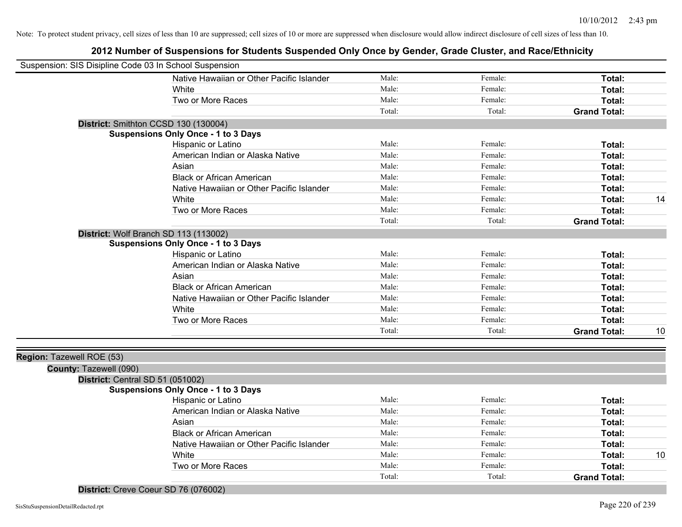# **2012 Number of Suspensions for Students Suspended Only Once by Gender, Grade Cluster, and Race/Ethnicity**

| Male:<br>Native Hawaiian or Other Pacific Islander<br>Female:<br>Total:<br>Female:<br>Male:<br>White<br>Total:<br>Two or More Races<br>Male:<br>Female:<br>Total:<br><b>Grand Total:</b><br>Total:<br>Total:<br>District: Smithton CCSD 130 (130004)<br><b>Suspensions Only Once - 1 to 3 Days</b><br>Male:<br>Hispanic or Latino<br>Female:<br>Total:<br>Male:<br>Female:<br>American Indian or Alaska Native<br>Total:<br>Male:<br>Female:<br>Asian<br>Total:<br><b>Black or African American</b><br>Male:<br>Female:<br>Total:<br>Native Hawaiian or Other Pacific Islander<br>Male:<br>Female:<br>Total:<br>Male:<br>White<br>Female:<br>14<br>Total:<br>Two or More Races<br>Male:<br>Female:<br>Total:<br>Total:<br>Total:<br><b>Grand Total:</b><br>District: Wolf Branch SD 113 (113002)<br><b>Suspensions Only Once - 1 to 3 Days</b><br>Male:<br>Female:<br>Hispanic or Latino<br>Total:<br>Male:<br>Female:<br>American Indian or Alaska Native<br>Total:<br>Male:<br>Female:<br>Total:<br>Asian<br>Male:<br><b>Black or African American</b><br>Female:<br>Total:<br>Male:<br>Female:<br>Native Hawaiian or Other Pacific Islander<br>Total:<br>Male:<br>Female:<br>White<br>Total:<br>Male:<br>Female:<br>Two or More Races<br>Total:<br>Total:<br>Total:<br><b>Grand Total:</b><br>10<br>Region: Tazewell ROE (53)<br>County: Tazewell (090)<br>District: Central SD 51 (051002)<br><b>Suspensions Only Once - 1 to 3 Days</b><br>Male:<br>Female:<br>Hispanic or Latino<br>Total:<br>Male:<br>Female:<br>American Indian or Alaska Native<br>Total:<br>Male:<br>Female:<br>Asian<br>Total:<br><b>Black or African American</b><br>Male:<br>Female:<br>Total:<br>Female:<br>Native Hawaiian or Other Pacific Islander<br>Male:<br>Total:<br>Female:<br>White<br>Male:<br>10<br>Total:<br>Two or More Races<br>Male:<br>Female:<br>Total:<br>Total:<br>Total:<br><b>Grand Total:</b> | Suspension: SIS Disipline Code 03 In School Suspension |  |  |  |
|---------------------------------------------------------------------------------------------------------------------------------------------------------------------------------------------------------------------------------------------------------------------------------------------------------------------------------------------------------------------------------------------------------------------------------------------------------------------------------------------------------------------------------------------------------------------------------------------------------------------------------------------------------------------------------------------------------------------------------------------------------------------------------------------------------------------------------------------------------------------------------------------------------------------------------------------------------------------------------------------------------------------------------------------------------------------------------------------------------------------------------------------------------------------------------------------------------------------------------------------------------------------------------------------------------------------------------------------------------------------------------------------------------------------------------------------------------------------------------------------------------------------------------------------------------------------------------------------------------------------------------------------------------------------------------------------------------------------------------------------------------------------------------------------------------------------------------------------------------------------------------------------------|--------------------------------------------------------|--|--|--|
|                                                                                                                                                                                                                                                                                                                                                                                                                                                                                                                                                                                                                                                                                                                                                                                                                                                                                                                                                                                                                                                                                                                                                                                                                                                                                                                                                                                                                                                                                                                                                                                                                                                                                                                                                                                                                                                                                                   |                                                        |  |  |  |
|                                                                                                                                                                                                                                                                                                                                                                                                                                                                                                                                                                                                                                                                                                                                                                                                                                                                                                                                                                                                                                                                                                                                                                                                                                                                                                                                                                                                                                                                                                                                                                                                                                                                                                                                                                                                                                                                                                   |                                                        |  |  |  |
|                                                                                                                                                                                                                                                                                                                                                                                                                                                                                                                                                                                                                                                                                                                                                                                                                                                                                                                                                                                                                                                                                                                                                                                                                                                                                                                                                                                                                                                                                                                                                                                                                                                                                                                                                                                                                                                                                                   |                                                        |  |  |  |
|                                                                                                                                                                                                                                                                                                                                                                                                                                                                                                                                                                                                                                                                                                                                                                                                                                                                                                                                                                                                                                                                                                                                                                                                                                                                                                                                                                                                                                                                                                                                                                                                                                                                                                                                                                                                                                                                                                   |                                                        |  |  |  |
|                                                                                                                                                                                                                                                                                                                                                                                                                                                                                                                                                                                                                                                                                                                                                                                                                                                                                                                                                                                                                                                                                                                                                                                                                                                                                                                                                                                                                                                                                                                                                                                                                                                                                                                                                                                                                                                                                                   |                                                        |  |  |  |
|                                                                                                                                                                                                                                                                                                                                                                                                                                                                                                                                                                                                                                                                                                                                                                                                                                                                                                                                                                                                                                                                                                                                                                                                                                                                                                                                                                                                                                                                                                                                                                                                                                                                                                                                                                                                                                                                                                   |                                                        |  |  |  |
|                                                                                                                                                                                                                                                                                                                                                                                                                                                                                                                                                                                                                                                                                                                                                                                                                                                                                                                                                                                                                                                                                                                                                                                                                                                                                                                                                                                                                                                                                                                                                                                                                                                                                                                                                                                                                                                                                                   |                                                        |  |  |  |
|                                                                                                                                                                                                                                                                                                                                                                                                                                                                                                                                                                                                                                                                                                                                                                                                                                                                                                                                                                                                                                                                                                                                                                                                                                                                                                                                                                                                                                                                                                                                                                                                                                                                                                                                                                                                                                                                                                   |                                                        |  |  |  |
|                                                                                                                                                                                                                                                                                                                                                                                                                                                                                                                                                                                                                                                                                                                                                                                                                                                                                                                                                                                                                                                                                                                                                                                                                                                                                                                                                                                                                                                                                                                                                                                                                                                                                                                                                                                                                                                                                                   |                                                        |  |  |  |
|                                                                                                                                                                                                                                                                                                                                                                                                                                                                                                                                                                                                                                                                                                                                                                                                                                                                                                                                                                                                                                                                                                                                                                                                                                                                                                                                                                                                                                                                                                                                                                                                                                                                                                                                                                                                                                                                                                   |                                                        |  |  |  |
|                                                                                                                                                                                                                                                                                                                                                                                                                                                                                                                                                                                                                                                                                                                                                                                                                                                                                                                                                                                                                                                                                                                                                                                                                                                                                                                                                                                                                                                                                                                                                                                                                                                                                                                                                                                                                                                                                                   |                                                        |  |  |  |
|                                                                                                                                                                                                                                                                                                                                                                                                                                                                                                                                                                                                                                                                                                                                                                                                                                                                                                                                                                                                                                                                                                                                                                                                                                                                                                                                                                                                                                                                                                                                                                                                                                                                                                                                                                                                                                                                                                   |                                                        |  |  |  |
|                                                                                                                                                                                                                                                                                                                                                                                                                                                                                                                                                                                                                                                                                                                                                                                                                                                                                                                                                                                                                                                                                                                                                                                                                                                                                                                                                                                                                                                                                                                                                                                                                                                                                                                                                                                                                                                                                                   |                                                        |  |  |  |
|                                                                                                                                                                                                                                                                                                                                                                                                                                                                                                                                                                                                                                                                                                                                                                                                                                                                                                                                                                                                                                                                                                                                                                                                                                                                                                                                                                                                                                                                                                                                                                                                                                                                                                                                                                                                                                                                                                   |                                                        |  |  |  |
|                                                                                                                                                                                                                                                                                                                                                                                                                                                                                                                                                                                                                                                                                                                                                                                                                                                                                                                                                                                                                                                                                                                                                                                                                                                                                                                                                                                                                                                                                                                                                                                                                                                                                                                                                                                                                                                                                                   |                                                        |  |  |  |
|                                                                                                                                                                                                                                                                                                                                                                                                                                                                                                                                                                                                                                                                                                                                                                                                                                                                                                                                                                                                                                                                                                                                                                                                                                                                                                                                                                                                                                                                                                                                                                                                                                                                                                                                                                                                                                                                                                   |                                                        |  |  |  |
|                                                                                                                                                                                                                                                                                                                                                                                                                                                                                                                                                                                                                                                                                                                                                                                                                                                                                                                                                                                                                                                                                                                                                                                                                                                                                                                                                                                                                                                                                                                                                                                                                                                                                                                                                                                                                                                                                                   |                                                        |  |  |  |
|                                                                                                                                                                                                                                                                                                                                                                                                                                                                                                                                                                                                                                                                                                                                                                                                                                                                                                                                                                                                                                                                                                                                                                                                                                                                                                                                                                                                                                                                                                                                                                                                                                                                                                                                                                                                                                                                                                   |                                                        |  |  |  |
|                                                                                                                                                                                                                                                                                                                                                                                                                                                                                                                                                                                                                                                                                                                                                                                                                                                                                                                                                                                                                                                                                                                                                                                                                                                                                                                                                                                                                                                                                                                                                                                                                                                                                                                                                                                                                                                                                                   |                                                        |  |  |  |
|                                                                                                                                                                                                                                                                                                                                                                                                                                                                                                                                                                                                                                                                                                                                                                                                                                                                                                                                                                                                                                                                                                                                                                                                                                                                                                                                                                                                                                                                                                                                                                                                                                                                                                                                                                                                                                                                                                   |                                                        |  |  |  |
|                                                                                                                                                                                                                                                                                                                                                                                                                                                                                                                                                                                                                                                                                                                                                                                                                                                                                                                                                                                                                                                                                                                                                                                                                                                                                                                                                                                                                                                                                                                                                                                                                                                                                                                                                                                                                                                                                                   |                                                        |  |  |  |
|                                                                                                                                                                                                                                                                                                                                                                                                                                                                                                                                                                                                                                                                                                                                                                                                                                                                                                                                                                                                                                                                                                                                                                                                                                                                                                                                                                                                                                                                                                                                                                                                                                                                                                                                                                                                                                                                                                   |                                                        |  |  |  |
|                                                                                                                                                                                                                                                                                                                                                                                                                                                                                                                                                                                                                                                                                                                                                                                                                                                                                                                                                                                                                                                                                                                                                                                                                                                                                                                                                                                                                                                                                                                                                                                                                                                                                                                                                                                                                                                                                                   |                                                        |  |  |  |
|                                                                                                                                                                                                                                                                                                                                                                                                                                                                                                                                                                                                                                                                                                                                                                                                                                                                                                                                                                                                                                                                                                                                                                                                                                                                                                                                                                                                                                                                                                                                                                                                                                                                                                                                                                                                                                                                                                   |                                                        |  |  |  |
|                                                                                                                                                                                                                                                                                                                                                                                                                                                                                                                                                                                                                                                                                                                                                                                                                                                                                                                                                                                                                                                                                                                                                                                                                                                                                                                                                                                                                                                                                                                                                                                                                                                                                                                                                                                                                                                                                                   |                                                        |  |  |  |
|                                                                                                                                                                                                                                                                                                                                                                                                                                                                                                                                                                                                                                                                                                                                                                                                                                                                                                                                                                                                                                                                                                                                                                                                                                                                                                                                                                                                                                                                                                                                                                                                                                                                                                                                                                                                                                                                                                   |                                                        |  |  |  |
|                                                                                                                                                                                                                                                                                                                                                                                                                                                                                                                                                                                                                                                                                                                                                                                                                                                                                                                                                                                                                                                                                                                                                                                                                                                                                                                                                                                                                                                                                                                                                                                                                                                                                                                                                                                                                                                                                                   |                                                        |  |  |  |
|                                                                                                                                                                                                                                                                                                                                                                                                                                                                                                                                                                                                                                                                                                                                                                                                                                                                                                                                                                                                                                                                                                                                                                                                                                                                                                                                                                                                                                                                                                                                                                                                                                                                                                                                                                                                                                                                                                   |                                                        |  |  |  |
|                                                                                                                                                                                                                                                                                                                                                                                                                                                                                                                                                                                                                                                                                                                                                                                                                                                                                                                                                                                                                                                                                                                                                                                                                                                                                                                                                                                                                                                                                                                                                                                                                                                                                                                                                                                                                                                                                                   |                                                        |  |  |  |
|                                                                                                                                                                                                                                                                                                                                                                                                                                                                                                                                                                                                                                                                                                                                                                                                                                                                                                                                                                                                                                                                                                                                                                                                                                                                                                                                                                                                                                                                                                                                                                                                                                                                                                                                                                                                                                                                                                   |                                                        |  |  |  |
|                                                                                                                                                                                                                                                                                                                                                                                                                                                                                                                                                                                                                                                                                                                                                                                                                                                                                                                                                                                                                                                                                                                                                                                                                                                                                                                                                                                                                                                                                                                                                                                                                                                                                                                                                                                                                                                                                                   |                                                        |  |  |  |
|                                                                                                                                                                                                                                                                                                                                                                                                                                                                                                                                                                                                                                                                                                                                                                                                                                                                                                                                                                                                                                                                                                                                                                                                                                                                                                                                                                                                                                                                                                                                                                                                                                                                                                                                                                                                                                                                                                   |                                                        |  |  |  |
|                                                                                                                                                                                                                                                                                                                                                                                                                                                                                                                                                                                                                                                                                                                                                                                                                                                                                                                                                                                                                                                                                                                                                                                                                                                                                                                                                                                                                                                                                                                                                                                                                                                                                                                                                                                                                                                                                                   |                                                        |  |  |  |
|                                                                                                                                                                                                                                                                                                                                                                                                                                                                                                                                                                                                                                                                                                                                                                                                                                                                                                                                                                                                                                                                                                                                                                                                                                                                                                                                                                                                                                                                                                                                                                                                                                                                                                                                                                                                                                                                                                   |                                                        |  |  |  |
|                                                                                                                                                                                                                                                                                                                                                                                                                                                                                                                                                                                                                                                                                                                                                                                                                                                                                                                                                                                                                                                                                                                                                                                                                                                                                                                                                                                                                                                                                                                                                                                                                                                                                                                                                                                                                                                                                                   |                                                        |  |  |  |
|                                                                                                                                                                                                                                                                                                                                                                                                                                                                                                                                                                                                                                                                                                                                                                                                                                                                                                                                                                                                                                                                                                                                                                                                                                                                                                                                                                                                                                                                                                                                                                                                                                                                                                                                                                                                                                                                                                   |                                                        |  |  |  |

## **District:** Creve Coeur SD 76 (076002)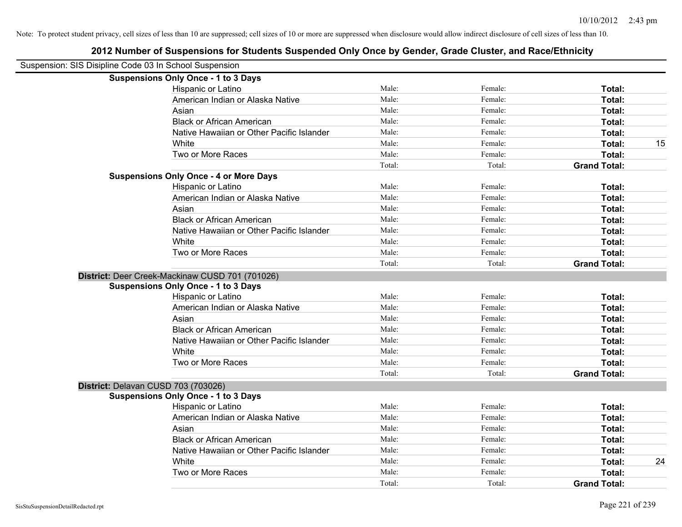| Suspension: SIS Disipline Code 03 In School Suspension |                                                 |        |         |                     |    |
|--------------------------------------------------------|-------------------------------------------------|--------|---------|---------------------|----|
|                                                        | <b>Suspensions Only Once - 1 to 3 Days</b>      |        |         |                     |    |
|                                                        | Hispanic or Latino                              | Male:  | Female: | Total:              |    |
|                                                        | American Indian or Alaska Native                | Male:  | Female: | Total:              |    |
|                                                        | Asian                                           | Male:  | Female: | <b>Total:</b>       |    |
|                                                        | <b>Black or African American</b>                | Male:  | Female: | Total:              |    |
|                                                        | Native Hawaiian or Other Pacific Islander       | Male:  | Female: | Total:              |    |
|                                                        | White                                           | Male:  | Female: | Total:              | 15 |
|                                                        | Two or More Races                               | Male:  | Female: | Total:              |    |
|                                                        |                                                 | Total: | Total:  | <b>Grand Total:</b> |    |
|                                                        | <b>Suspensions Only Once - 4 or More Days</b>   |        |         |                     |    |
|                                                        | Hispanic or Latino                              | Male:  | Female: | Total:              |    |
|                                                        | American Indian or Alaska Native                | Male:  | Female: | Total:              |    |
|                                                        | Asian                                           | Male:  | Female: | Total:              |    |
|                                                        | <b>Black or African American</b>                | Male:  | Female: | Total:              |    |
|                                                        | Native Hawaiian or Other Pacific Islander       | Male:  | Female: | Total:              |    |
|                                                        | White                                           | Male:  | Female: | Total:              |    |
|                                                        | Two or More Races                               | Male:  | Female: | Total:              |    |
|                                                        |                                                 | Total: | Total:  | <b>Grand Total:</b> |    |
|                                                        | District: Deer Creek-Mackinaw CUSD 701 (701026) |        |         |                     |    |
|                                                        | <b>Suspensions Only Once - 1 to 3 Days</b>      |        |         |                     |    |
|                                                        | Hispanic or Latino                              | Male:  | Female: | Total:              |    |
|                                                        | American Indian or Alaska Native                | Male:  | Female: | Total:              |    |
|                                                        | Asian                                           | Male:  | Female: | Total:              |    |
|                                                        | <b>Black or African American</b>                | Male:  | Female: | Total:              |    |
|                                                        | Native Hawaiian or Other Pacific Islander       | Male:  | Female: | Total:              |    |
|                                                        | White                                           | Male:  | Female: | Total:              |    |
|                                                        | Two or More Races                               | Male:  | Female: | Total:              |    |
|                                                        |                                                 | Total: | Total:  | <b>Grand Total:</b> |    |
| District: Delavan CUSD 703 (703026)                    |                                                 |        |         |                     |    |
|                                                        | <b>Suspensions Only Once - 1 to 3 Days</b>      |        |         |                     |    |
|                                                        | <b>Hispanic or Latino</b>                       | Male:  | Female: | Total:              |    |
|                                                        | American Indian or Alaska Native                | Male:  | Female: | Total:              |    |
|                                                        | Asian                                           | Male:  | Female: | Total:              |    |
|                                                        | <b>Black or African American</b>                | Male:  | Female: | Total:              |    |
|                                                        | Native Hawaiian or Other Pacific Islander       | Male:  | Female: | Total:              |    |
|                                                        | White                                           | Male:  | Female: | Total:              | 24 |
|                                                        | Two or More Races                               | Male:  | Female: | Total:              |    |
|                                                        |                                                 | Total: | Total:  | <b>Grand Total:</b> |    |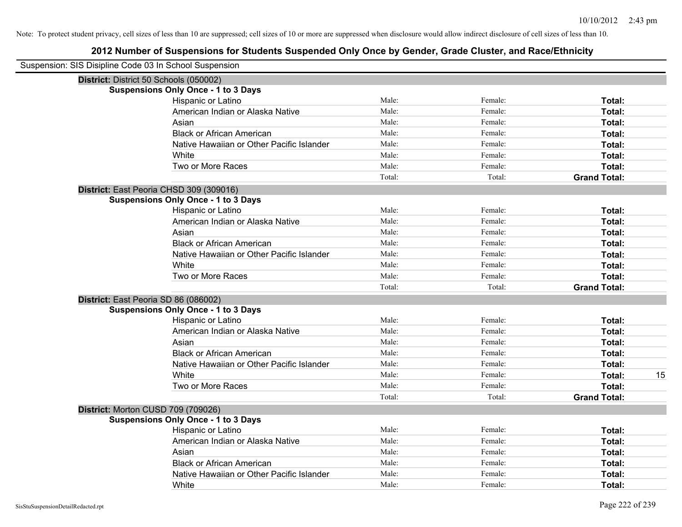| Suspension: SIS Disipline Code 03 In School Suspension |                                            |        |         |                     |
|--------------------------------------------------------|--------------------------------------------|--------|---------|---------------------|
|                                                        | District: District 50 Schools (050002)     |        |         |                     |
|                                                        | <b>Suspensions Only Once - 1 to 3 Days</b> |        |         |                     |
|                                                        | Hispanic or Latino                         | Male:  | Female: | Total:              |
|                                                        | American Indian or Alaska Native           | Male:  | Female: | Total:              |
|                                                        | Asian                                      | Male:  | Female: | Total:              |
|                                                        | <b>Black or African American</b>           | Male:  | Female: | Total:              |
|                                                        | Native Hawaiian or Other Pacific Islander  | Male:  | Female: | Total:              |
|                                                        | White                                      | Male:  | Female: | Total:              |
|                                                        | Two or More Races                          | Male:  | Female: | Total:              |
|                                                        |                                            | Total: | Total:  | <b>Grand Total:</b> |
|                                                        | District: East Peoria CHSD 309 (309016)    |        |         |                     |
|                                                        | <b>Suspensions Only Once - 1 to 3 Days</b> |        |         |                     |
|                                                        | Hispanic or Latino                         | Male:  | Female: | Total:              |
|                                                        | American Indian or Alaska Native           | Male:  | Female: | Total:              |
|                                                        | Asian                                      | Male:  | Female: | Total:              |
|                                                        | <b>Black or African American</b>           | Male:  | Female: | Total:              |
|                                                        | Native Hawaiian or Other Pacific Islander  | Male:  | Female: | Total:              |
|                                                        | White                                      | Male:  | Female: | Total:              |
|                                                        | Two or More Races                          | Male:  | Female: | Total:              |
|                                                        |                                            | Total: | Total:  | <b>Grand Total:</b> |
|                                                        | District: East Peoria SD 86 (086002)       |        |         |                     |
|                                                        | <b>Suspensions Only Once - 1 to 3 Days</b> |        |         |                     |
|                                                        | Hispanic or Latino                         | Male:  | Female: | Total:              |
|                                                        | American Indian or Alaska Native           | Male:  | Female: | Total:              |
|                                                        | Asian                                      | Male:  | Female: | Total:              |
|                                                        | <b>Black or African American</b>           | Male:  | Female: | Total:              |
|                                                        | Native Hawaiian or Other Pacific Islander  | Male:  | Female: | Total:              |
|                                                        | White                                      | Male:  | Female: | 15<br>Total:        |
|                                                        | Two or More Races                          | Male:  | Female: | Total:              |
|                                                        |                                            | Total: | Total:  | <b>Grand Total:</b> |
|                                                        | District: Morton CUSD 709 (709026)         |        |         |                     |
|                                                        | <b>Suspensions Only Once - 1 to 3 Days</b> |        |         |                     |
|                                                        | Hispanic or Latino                         | Male:  | Female: | Total:              |
|                                                        | American Indian or Alaska Native           | Male:  | Female: | Total:              |
|                                                        | Asian                                      | Male:  | Female: | Total:              |
|                                                        | <b>Black or African American</b>           | Male:  | Female: | Total:              |
|                                                        | Native Hawaiian or Other Pacific Islander  | Male:  | Female: | Total:              |
|                                                        | White                                      | Male:  | Female: | Total:              |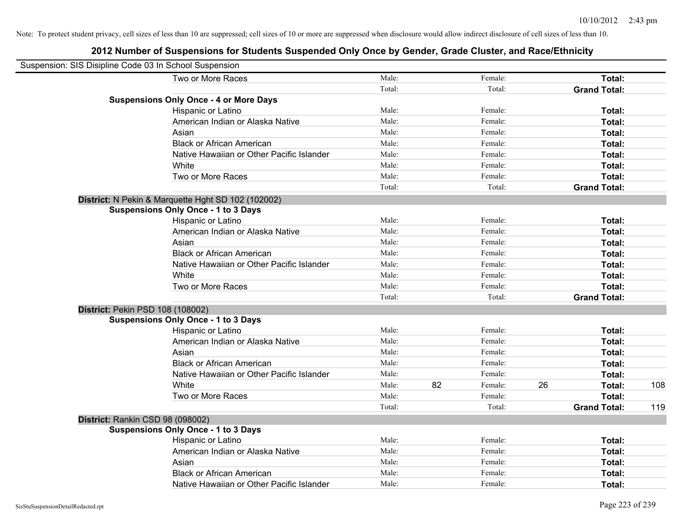| Suspension: SIS Disipline Code 03 In School Suspension |                                                    |        |    |         |    |                     |     |
|--------------------------------------------------------|----------------------------------------------------|--------|----|---------|----|---------------------|-----|
|                                                        | Two or More Races                                  | Male:  |    | Female: |    | Total:              |     |
|                                                        |                                                    | Total: |    | Total:  |    | <b>Grand Total:</b> |     |
|                                                        | <b>Suspensions Only Once - 4 or More Days</b>      |        |    |         |    |                     |     |
|                                                        | Hispanic or Latino                                 | Male:  |    | Female: |    | Total:              |     |
|                                                        | American Indian or Alaska Native                   | Male:  |    | Female: |    | Total:              |     |
|                                                        | Asian                                              | Male:  |    | Female: |    | Total:              |     |
|                                                        | <b>Black or African American</b>                   | Male:  |    | Female: |    | Total:              |     |
|                                                        | Native Hawaiian or Other Pacific Islander          | Male:  |    | Female: |    | Total:              |     |
|                                                        | White                                              | Male:  |    | Female: |    | Total:              |     |
|                                                        | Two or More Races                                  | Male:  |    | Female: |    | Total:              |     |
|                                                        |                                                    | Total: |    | Total:  |    | <b>Grand Total:</b> |     |
|                                                        | District: N Pekin & Marquette Hght SD 102 (102002) |        |    |         |    |                     |     |
|                                                        | <b>Suspensions Only Once - 1 to 3 Days</b>         |        |    |         |    |                     |     |
|                                                        | Hispanic or Latino                                 | Male:  |    | Female: |    | Total:              |     |
|                                                        | American Indian or Alaska Native                   | Male:  |    | Female: |    | Total:              |     |
|                                                        | Asian                                              | Male:  |    | Female: |    | Total:              |     |
|                                                        | <b>Black or African American</b>                   | Male:  |    | Female: |    | Total:              |     |
|                                                        | Native Hawaiian or Other Pacific Islander          | Male:  |    | Female: |    | Total:              |     |
|                                                        | White                                              | Male:  |    | Female: |    | Total:              |     |
|                                                        | Two or More Races                                  | Male:  |    | Female: |    | Total:              |     |
|                                                        |                                                    | Total: |    | Total:  |    | <b>Grand Total:</b> |     |
| District: Pekin PSD 108 (108002)                       |                                                    |        |    |         |    |                     |     |
|                                                        | <b>Suspensions Only Once - 1 to 3 Days</b>         |        |    |         |    |                     |     |
|                                                        | Hispanic or Latino                                 | Male:  |    | Female: |    | Total:              |     |
|                                                        | American Indian or Alaska Native                   | Male:  |    | Female: |    | Total:              |     |
|                                                        | Asian                                              | Male:  |    | Female: |    | Total:              |     |
|                                                        | <b>Black or African American</b>                   | Male:  |    | Female: |    | Total:              |     |
|                                                        | Native Hawaiian or Other Pacific Islander          | Male:  |    | Female: |    | Total:              |     |
|                                                        | White                                              | Male:  | 82 | Female: | 26 | Total:              | 108 |
|                                                        | Two or More Races                                  | Male:  |    | Female: |    | Total:              |     |
|                                                        |                                                    | Total: |    | Total:  |    | <b>Grand Total:</b> | 119 |
| District: Rankin CSD 98 (098002)                       |                                                    |        |    |         |    |                     |     |
|                                                        | <b>Suspensions Only Once - 1 to 3 Days</b>         |        |    |         |    |                     |     |
|                                                        | Hispanic or Latino                                 | Male:  |    | Female: |    | Total:              |     |
|                                                        | American Indian or Alaska Native                   | Male:  |    | Female: |    | Total:              |     |
|                                                        | Asian                                              | Male:  |    | Female: |    | Total:              |     |
|                                                        | <b>Black or African American</b>                   | Male:  |    | Female: |    | Total:              |     |
|                                                        | Native Hawaiian or Other Pacific Islander          | Male:  |    | Female: |    | Total:              |     |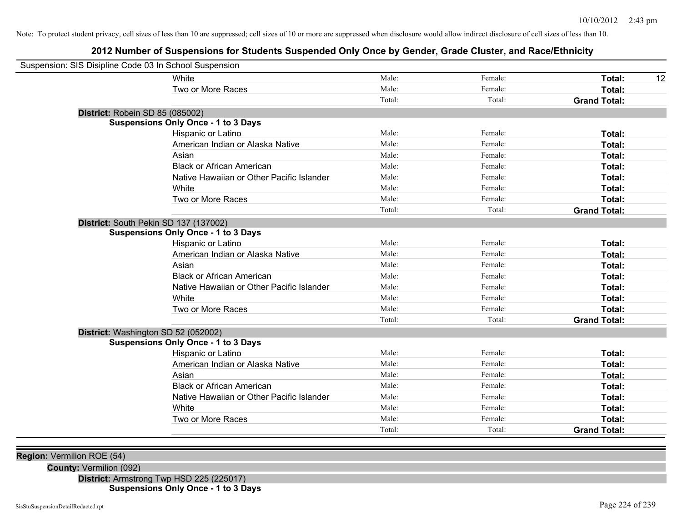# **2012 Number of Suspensions for Students Suspended Only Once by Gender, Grade Cluster, and Race/Ethnicity**

| Suspension: SIS Disipline Code 03 In School Suspension |                                            |        |         |                     |    |
|--------------------------------------------------------|--------------------------------------------|--------|---------|---------------------|----|
|                                                        | White                                      | Male:  | Female: | Total:              | 12 |
|                                                        | Two or More Races                          | Male:  | Female: | Total:              |    |
|                                                        |                                            | Total: | Total:  | <b>Grand Total:</b> |    |
| District: Robein SD 85 (085002)                        |                                            |        |         |                     |    |
|                                                        | <b>Suspensions Only Once - 1 to 3 Days</b> |        |         |                     |    |
|                                                        | Hispanic or Latino                         | Male:  | Female: | Total:              |    |
|                                                        | American Indian or Alaska Native           | Male:  | Female: | Total:              |    |
|                                                        | Asian                                      | Male:  | Female: | Total:              |    |
|                                                        | <b>Black or African American</b>           | Male:  | Female: | Total:              |    |
|                                                        | Native Hawaiian or Other Pacific Islander  | Male:  | Female: | Total:              |    |
|                                                        | White                                      | Male:  | Female: | Total:              |    |
|                                                        | Two or More Races                          | Male:  | Female: | Total:              |    |
|                                                        |                                            | Total: | Total:  | <b>Grand Total:</b> |    |
| District: South Pekin SD 137 (137002)                  |                                            |        |         |                     |    |
|                                                        | <b>Suspensions Only Once - 1 to 3 Days</b> |        |         |                     |    |
|                                                        | Hispanic or Latino                         | Male:  | Female: | Total:              |    |
|                                                        | American Indian or Alaska Native           | Male:  | Female: | Total:              |    |
|                                                        | Asian                                      | Male:  | Female: | Total:              |    |
|                                                        | <b>Black or African American</b>           | Male:  | Female: | Total:              |    |
|                                                        | Native Hawaiian or Other Pacific Islander  | Male:  | Female: | Total:              |    |
|                                                        | White                                      | Male:  | Female: | Total:              |    |
|                                                        | Two or More Races                          | Male:  | Female: | Total:              |    |
|                                                        |                                            | Total: | Total:  | <b>Grand Total:</b> |    |
| District: Washington SD 52 (052002)                    |                                            |        |         |                     |    |
|                                                        | <b>Suspensions Only Once - 1 to 3 Days</b> |        |         |                     |    |
|                                                        | Hispanic or Latino                         | Male:  | Female: | Total:              |    |
|                                                        | American Indian or Alaska Native           | Male:  | Female: | Total:              |    |
|                                                        | Asian                                      | Male:  | Female: | Total:              |    |
|                                                        | <b>Black or African American</b>           | Male:  | Female: | Total:              |    |
|                                                        | Native Hawaiian or Other Pacific Islander  | Male:  | Female: | Total:              |    |
|                                                        | White                                      | Male:  | Female: | Total:              |    |
|                                                        | Two or More Races                          | Male:  | Female: | Total:              |    |
|                                                        |                                            | Total: | Total:  | <b>Grand Total:</b> |    |
|                                                        |                                            |        |         |                     |    |

**Region:** Vermilion ROE (54)

**County:** Vermilion (092)

**District:** Armstrong Twp HSD 225 (225017)

**Suspensions Only Once - 1 to 3 Days**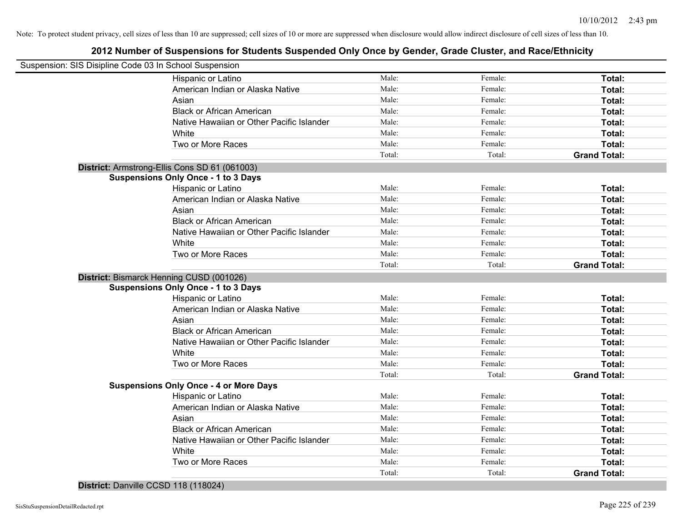# **2012 Number of Suspensions for Students Suspended Only Once by Gender, Grade Cluster, and Race/Ethnicity**

| Suspension: SIS Disipline Code 03 In School Suspension |                                               |                 |                   |                                      |
|--------------------------------------------------------|-----------------------------------------------|-----------------|-------------------|--------------------------------------|
|                                                        | Hispanic or Latino                            | Male:           | Female:           | Total:                               |
|                                                        | American Indian or Alaska Native              | Male:           | Female:           | Total:                               |
|                                                        | Asian                                         | Male:           | Female:           | Total:                               |
|                                                        | <b>Black or African American</b>              | Male:           | Female:           | Total:                               |
|                                                        | Native Hawaiian or Other Pacific Islander     | Male:           | Female:           | Total:                               |
|                                                        | White                                         | Male:           | Female:           | Total:                               |
|                                                        | Two or More Races                             | Male:           | Female:           | Total:                               |
|                                                        |                                               | Total:          | Total:            | <b>Grand Total:</b>                  |
|                                                        | District: Armstrong-Ellis Cons SD 61 (061003) |                 |                   |                                      |
|                                                        | <b>Suspensions Only Once - 1 to 3 Days</b>    |                 |                   |                                      |
|                                                        | Hispanic or Latino                            | Male:           | Female:           | Total:                               |
|                                                        | American Indian or Alaska Native              | Male:           | Female:           | Total:                               |
|                                                        | Asian                                         | Male:           | Female:           | Total:                               |
|                                                        | <b>Black or African American</b>              | Male:           | Female:           | Total:                               |
|                                                        | Native Hawaiian or Other Pacific Islander     | Male:           | Female:           | Total:                               |
|                                                        | White                                         | Male:           | Female:           | Total:                               |
|                                                        | Two or More Races                             | Male:           | Female:           | Total:                               |
|                                                        |                                               | Total:          | Total:            | <b>Grand Total:</b>                  |
|                                                        |                                               |                 |                   |                                      |
| District: Bismarck Henning CUSD (001026)               |                                               |                 |                   |                                      |
|                                                        | <b>Suspensions Only Once - 1 to 3 Days</b>    |                 |                   |                                      |
|                                                        | Hispanic or Latino                            | Male:           | Female:           | Total:                               |
|                                                        | American Indian or Alaska Native              | Male:           | Female:           | Total:                               |
|                                                        | Asian                                         | Male:           | Female:           | Total:                               |
|                                                        | <b>Black or African American</b>              | Male:           | Female:           | Total:                               |
|                                                        | Native Hawaiian or Other Pacific Islander     | Male:           | Female:           | Total:                               |
|                                                        | White                                         | Male:           | Female:           | Total:                               |
|                                                        | Two or More Races                             | Male:           | Female:           | Total:                               |
|                                                        |                                               | Total:          | Total:            | <b>Grand Total:</b>                  |
|                                                        | <b>Suspensions Only Once - 4 or More Days</b> |                 |                   |                                      |
|                                                        | Hispanic or Latino                            | Male:           | Female:           | Total:                               |
|                                                        | American Indian or Alaska Native              | Male:           | Female:           | Total:                               |
|                                                        | Asian                                         | Male:           | Female:           | Total:                               |
|                                                        | <b>Black or African American</b>              | Male:           | Female:           | Total:                               |
|                                                        | Native Hawaiian or Other Pacific Islander     | Male:           | Female:           | Total:                               |
|                                                        | White                                         | Male:           | Female:           | Total:                               |
|                                                        | Two or More Races                             | Male:<br>Total: | Female:<br>Total: | <b>Total:</b><br><b>Grand Total:</b> |

**District:** Danville CCSD 118 (118024)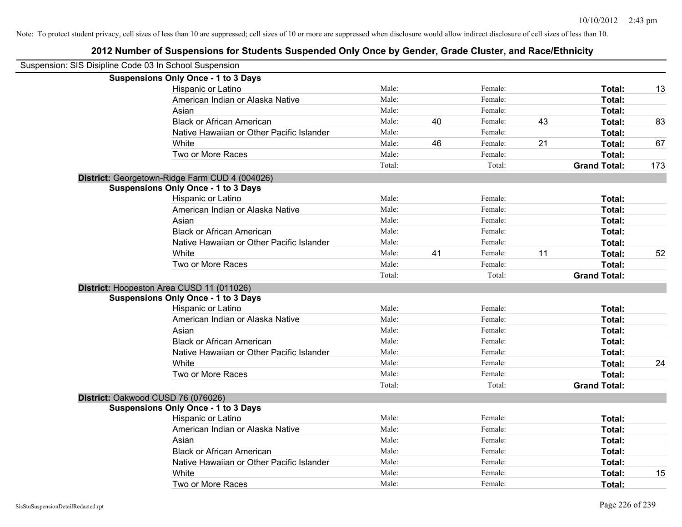| Suspension: SIS Disipline Code 03 In School Suspension |        |    |         |    |                     |     |
|--------------------------------------------------------|--------|----|---------|----|---------------------|-----|
| <b>Suspensions Only Once - 1 to 3 Days</b>             |        |    |         |    |                     |     |
| Hispanic or Latino                                     | Male:  |    | Female: |    | Total:              | 13  |
| American Indian or Alaska Native                       | Male:  |    | Female: |    | Total:              |     |
| Asian                                                  | Male:  |    | Female: |    | Total:              |     |
| <b>Black or African American</b>                       | Male:  | 40 | Female: | 43 | Total:              | 83  |
| Native Hawaiian or Other Pacific Islander              | Male:  |    | Female: |    | Total:              |     |
| White                                                  | Male:  | 46 | Female: | 21 | Total:              | 67  |
| Two or More Races                                      | Male:  |    | Female: |    | Total:              |     |
|                                                        | Total: |    | Total:  |    | <b>Grand Total:</b> | 173 |
| District: Georgetown-Ridge Farm CUD 4 (004026)         |        |    |         |    |                     |     |
| <b>Suspensions Only Once - 1 to 3 Days</b>             |        |    |         |    |                     |     |
| Hispanic or Latino                                     | Male:  |    | Female: |    | Total:              |     |
| American Indian or Alaska Native                       | Male:  |    | Female: |    | Total:              |     |
| Asian                                                  | Male:  |    | Female: |    | Total:              |     |
| <b>Black or African American</b>                       | Male:  |    | Female: |    | Total:              |     |
| Native Hawaiian or Other Pacific Islander              | Male:  |    | Female: |    | Total:              |     |
| White                                                  | Male:  | 41 | Female: | 11 | Total:              | 52  |
| Two or More Races                                      | Male:  |    | Female: |    | Total:              |     |
|                                                        | Total: |    | Total:  |    | <b>Grand Total:</b> |     |
| District: Hoopeston Area CUSD 11 (011026)              |        |    |         |    |                     |     |
| <b>Suspensions Only Once - 1 to 3 Days</b>             |        |    |         |    |                     |     |
| Hispanic or Latino                                     | Male:  |    | Female: |    | Total:              |     |
| American Indian or Alaska Native                       | Male:  |    | Female: |    | Total:              |     |
| Asian                                                  | Male:  |    | Female: |    | Total:              |     |
| <b>Black or African American</b>                       | Male:  |    | Female: |    | Total:              |     |
| Native Hawaiian or Other Pacific Islander              | Male:  |    | Female: |    | Total:              |     |
| White                                                  | Male:  |    | Female: |    | Total:              | 24  |
| Two or More Races                                      | Male:  |    | Female: |    | Total:              |     |
|                                                        | Total: |    | Total:  |    | <b>Grand Total:</b> |     |
| District: Oakwood CUSD 76 (076026)                     |        |    |         |    |                     |     |
| <b>Suspensions Only Once - 1 to 3 Days</b>             |        |    |         |    |                     |     |
| Hispanic or Latino                                     | Male:  |    | Female: |    | Total:              |     |
| American Indian or Alaska Native                       | Male:  |    | Female: |    | Total:              |     |
| Asian                                                  | Male:  |    | Female: |    | Total:              |     |
| <b>Black or African American</b>                       | Male:  |    | Female: |    | Total:              |     |
| Native Hawaiian or Other Pacific Islander              | Male:  |    | Female: |    | Total:              |     |
| White                                                  | Male:  |    | Female: |    | Total:              | 15  |
| Two or More Races                                      | Male:  |    | Female: |    | Total:              |     |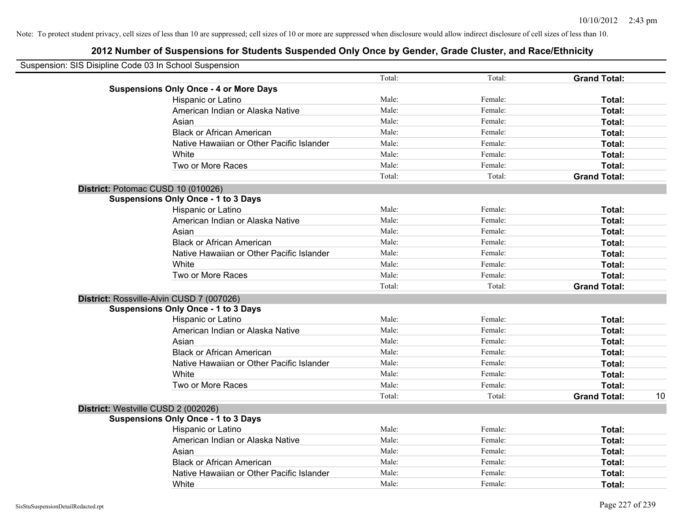| Suspension: SIS Disipline Code 03 In School Suspension |                                               |        |         |                     |    |
|--------------------------------------------------------|-----------------------------------------------|--------|---------|---------------------|----|
|                                                        |                                               | Total: | Total:  | <b>Grand Total:</b> |    |
|                                                        | <b>Suspensions Only Once - 4 or More Days</b> |        |         |                     |    |
|                                                        | Hispanic or Latino                            | Male:  | Female: | Total:              |    |
|                                                        | American Indian or Alaska Native              | Male:  | Female: | Total:              |    |
|                                                        | Asian                                         | Male:  | Female: | Total:              |    |
|                                                        | <b>Black or African American</b>              | Male:  | Female: | Total:              |    |
|                                                        | Native Hawaiian or Other Pacific Islander     | Male:  | Female: | Total:              |    |
|                                                        | White                                         | Male:  | Female: | Total:              |    |
|                                                        | Two or More Races                             | Male:  | Female: | Total:              |    |
|                                                        |                                               | Total: | Total:  | <b>Grand Total:</b> |    |
|                                                        | District: Potomac CUSD 10 (010026)            |        |         |                     |    |
|                                                        | <b>Suspensions Only Once - 1 to 3 Days</b>    |        |         |                     |    |
|                                                        | Hispanic or Latino                            | Male:  | Female: | Total:              |    |
|                                                        | American Indian or Alaska Native              | Male:  | Female: | Total:              |    |
|                                                        | Asian                                         | Male:  | Female: | Total:              |    |
|                                                        | <b>Black or African American</b>              | Male:  | Female: | Total:              |    |
|                                                        | Native Hawaiian or Other Pacific Islander     | Male:  | Female: | Total:              |    |
|                                                        | White                                         | Male:  | Female: | Total:              |    |
|                                                        | Two or More Races                             | Male:  | Female: | Total:              |    |
|                                                        |                                               | Total: | Total:  | <b>Grand Total:</b> |    |
|                                                        | District: Rossville-Alvin CUSD 7 (007026)     |        |         |                     |    |
|                                                        | <b>Suspensions Only Once - 1 to 3 Days</b>    |        |         |                     |    |
|                                                        | Hispanic or Latino                            | Male:  | Female: | Total:              |    |
|                                                        | American Indian or Alaska Native              | Male:  | Female: | Total:              |    |
|                                                        | Asian                                         | Male:  | Female: | Total:              |    |
|                                                        | <b>Black or African American</b>              | Male:  | Female: | Total:              |    |
|                                                        | Native Hawaiian or Other Pacific Islander     | Male:  | Female: | Total:              |    |
|                                                        | White                                         | Male:  | Female: | Total:              |    |
|                                                        | Two or More Races                             | Male:  | Female: | Total:              |    |
|                                                        |                                               | Total: | Total:  | <b>Grand Total:</b> | 10 |
|                                                        | District: Westville CUSD 2 (002026)           |        |         |                     |    |
|                                                        | <b>Suspensions Only Once - 1 to 3 Days</b>    |        |         |                     |    |
|                                                        | Hispanic or Latino                            | Male:  | Female: | Total:              |    |
|                                                        | American Indian or Alaska Native              | Male:  | Female: | Total:              |    |
|                                                        | Asian                                         | Male:  | Female: | Total:              |    |
|                                                        | <b>Black or African American</b>              | Male:  | Female: | Total:              |    |
|                                                        | Native Hawaiian or Other Pacific Islander     | Male:  | Female: | Total:              |    |
|                                                        | White                                         | Male:  | Female: | Total:              |    |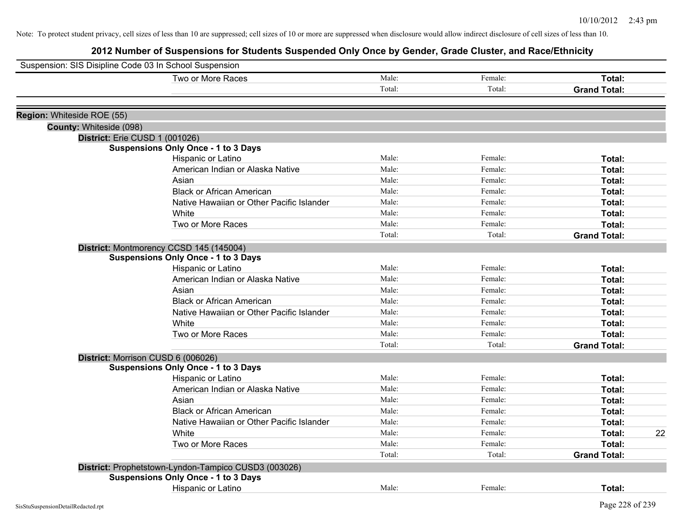| Suspension: SIS Disipline Code 03 In School Suspension |                                                      |        |         |                     |
|--------------------------------------------------------|------------------------------------------------------|--------|---------|---------------------|
|                                                        | Two or More Races                                    | Male:  | Female: | Total:              |
|                                                        |                                                      | Total: | Total:  | <b>Grand Total:</b> |
|                                                        |                                                      |        |         |                     |
| Region: Whiteside ROE (55)                             |                                                      |        |         |                     |
| County: Whiteside (098)                                |                                                      |        |         |                     |
|                                                        | District: Erie CUSD 1 (001026)                       |        |         |                     |
|                                                        | <b>Suspensions Only Once - 1 to 3 Days</b>           |        |         |                     |
|                                                        | Hispanic or Latino                                   | Male:  | Female: | Total:              |
|                                                        | American Indian or Alaska Native                     | Male:  | Female: | Total:              |
|                                                        | Asian                                                | Male:  | Female: | Total:              |
|                                                        | <b>Black or African American</b>                     | Male:  | Female: | Total:              |
|                                                        | Native Hawaiian or Other Pacific Islander            | Male:  | Female: | Total:              |
|                                                        | White                                                | Male:  | Female: | Total:              |
|                                                        | Two or More Races                                    | Male:  | Female: | Total:              |
|                                                        |                                                      | Total: | Total:  | <b>Grand Total:</b> |
|                                                        | District: Montmorency CCSD 145 (145004)              |        |         |                     |
|                                                        | <b>Suspensions Only Once - 1 to 3 Days</b>           |        |         |                     |
|                                                        | Hispanic or Latino                                   | Male:  | Female: | Total:              |
|                                                        | American Indian or Alaska Native                     | Male:  | Female: | Total:              |
|                                                        | Asian                                                | Male:  | Female: | Total:              |
|                                                        | <b>Black or African American</b>                     | Male:  | Female: | Total:              |
|                                                        | Native Hawaiian or Other Pacific Islander            | Male:  | Female: | Total:              |
|                                                        | White                                                | Male:  | Female: | Total:              |
|                                                        | Two or More Races                                    | Male:  | Female: | Total:              |
|                                                        |                                                      | Total: | Total:  | <b>Grand Total:</b> |
|                                                        | District: Morrison CUSD 6 (006026)                   |        |         |                     |
|                                                        | <b>Suspensions Only Once - 1 to 3 Days</b>           |        |         |                     |
|                                                        | Hispanic or Latino                                   | Male:  | Female: | Total:              |
|                                                        | American Indian or Alaska Native                     | Male:  | Female: | Total:              |
|                                                        | Asian                                                | Male:  | Female: | Total:              |
|                                                        | <b>Black or African American</b>                     | Male:  | Female: | Total:              |
|                                                        | Native Hawaiian or Other Pacific Islander            | Male:  | Female: | Total:              |
|                                                        | White                                                | Male:  | Female: | 22<br>Total:        |
|                                                        | Two or More Races                                    | Male:  | Female: | Total:              |
|                                                        |                                                      | Total: | Total:  | <b>Grand Total:</b> |
|                                                        | District: Prophetstown-Lyndon-Tampico CUSD3 (003026) |        |         |                     |
|                                                        | <b>Suspensions Only Once - 1 to 3 Days</b>           |        |         |                     |
|                                                        | <b>Hispanic or Latino</b>                            | Male:  | Female: | Total:              |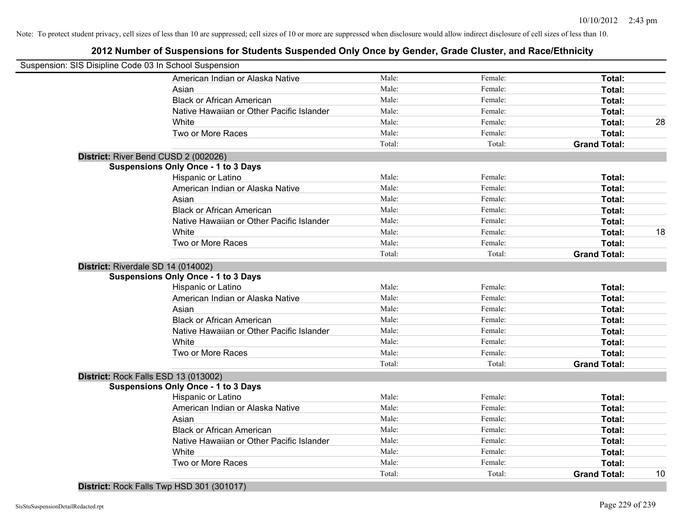# **2012 Number of Suspensions for Students Suspended Only Once by Gender, Grade Cluster, and Race/Ethnicity**

| Suspension: SIS Disipline Code 03 In School Suspension |                                            |        |         |                     |    |
|--------------------------------------------------------|--------------------------------------------|--------|---------|---------------------|----|
|                                                        | American Indian or Alaska Native           | Male:  | Female: | Total:              |    |
|                                                        | Asian                                      | Male:  | Female: | Total:              |    |
|                                                        | <b>Black or African American</b>           | Male:  | Female: | Total:              |    |
|                                                        | Native Hawaiian or Other Pacific Islander  | Male:  | Female: | Total:              |    |
|                                                        | White                                      | Male:  | Female: | Total:              | 28 |
|                                                        | Two or More Races                          | Male:  | Female: | Total:              |    |
|                                                        |                                            | Total: | Total:  | <b>Grand Total:</b> |    |
| District: River Bend CUSD 2 (002026)                   |                                            |        |         |                     |    |
|                                                        | <b>Suspensions Only Once - 1 to 3 Days</b> |        |         |                     |    |
|                                                        | Hispanic or Latino                         | Male:  | Female: | Total:              |    |
|                                                        | American Indian or Alaska Native           | Male:  | Female: | Total:              |    |
|                                                        | Asian                                      | Male:  | Female: | Total:              |    |
|                                                        | <b>Black or African American</b>           | Male:  | Female: | Total:              |    |
|                                                        | Native Hawaiian or Other Pacific Islander  | Male:  | Female: | Total:              |    |
|                                                        | White                                      | Male:  | Female: | Total:              | 18 |
|                                                        | Two or More Races                          | Male:  | Female: | Total:              |    |
|                                                        |                                            | Total: | Total:  | <b>Grand Total:</b> |    |
| District: Riverdale SD 14 (014002)                     |                                            |        |         |                     |    |
|                                                        | <b>Suspensions Only Once - 1 to 3 Days</b> |        |         |                     |    |
|                                                        | Hispanic or Latino                         | Male:  | Female: | Total:              |    |
|                                                        | American Indian or Alaska Native           | Male:  | Female: | Total:              |    |
|                                                        | Asian                                      | Male:  | Female: | Total:              |    |
|                                                        | <b>Black or African American</b>           | Male:  | Female: | Total:              |    |
|                                                        | Native Hawaiian or Other Pacific Islander  | Male:  | Female: | Total:              |    |
|                                                        | White                                      | Male:  | Female: | Total:              |    |
|                                                        | Two or More Races                          | Male:  | Female: | Total:              |    |
|                                                        |                                            | Total: | Total:  | <b>Grand Total:</b> |    |
| District: Rock Falls ESD 13 (013002)                   |                                            |        |         |                     |    |
|                                                        | <b>Suspensions Only Once - 1 to 3 Days</b> |        |         |                     |    |
|                                                        | Hispanic or Latino                         | Male:  | Female: | Total:              |    |
|                                                        | American Indian or Alaska Native           | Male:  | Female: | Total:              |    |
|                                                        | Asian                                      | Male:  | Female: | Total:              |    |
|                                                        | <b>Black or African American</b>           | Male:  | Female: | Total:              |    |
|                                                        | Native Hawaiian or Other Pacific Islander  | Male:  | Female: | Total:              |    |
|                                                        | White                                      | Male:  | Female: | Total:              |    |
|                                                        | Two or More Races                          | Male:  | Female: | Total:              |    |
|                                                        |                                            | Total: | Total:  | <b>Grand Total:</b> | 10 |

**District:** Rock Falls Twp HSD 301 (301017)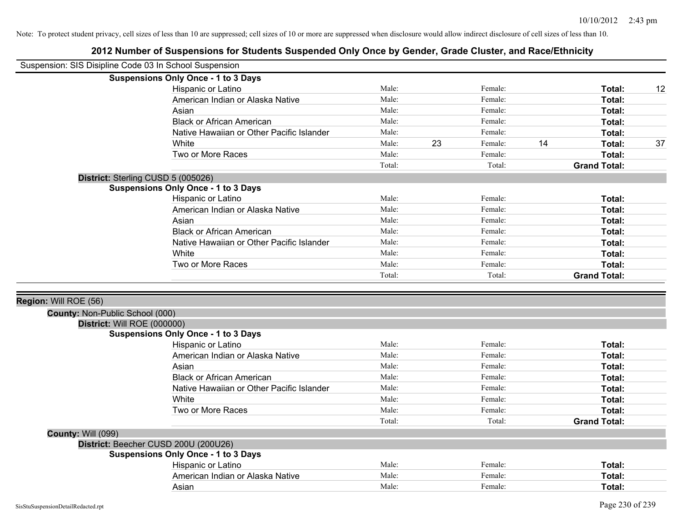|                                 | Suspension: SIS Disipline Code 03 In School Suspension           |        |    |         |    |                     |    |
|---------------------------------|------------------------------------------------------------------|--------|----|---------|----|---------------------|----|
|                                 | <b>Suspensions Only Once - 1 to 3 Days</b>                       |        |    |         |    |                     |    |
|                                 | Hispanic or Latino                                               | Male:  |    | Female: |    | Total:              | 12 |
|                                 | American Indian or Alaska Native                                 | Male:  |    | Female: |    | Total:              |    |
|                                 | Asian                                                            | Male:  |    | Female: |    | Total:              |    |
|                                 | <b>Black or African American</b>                                 | Male:  |    | Female: |    | Total:              |    |
|                                 | Native Hawaiian or Other Pacific Islander                        | Male:  |    | Female: |    | Total:              |    |
|                                 | White                                                            | Male:  | 23 | Female: | 14 | Total:              | 37 |
|                                 | Two or More Races                                                | Male:  |    | Female: |    | Total:              |    |
|                                 |                                                                  | Total: |    | Total:  |    | <b>Grand Total:</b> |    |
|                                 | District: Sterling CUSD 5 (005026)                               |        |    |         |    |                     |    |
|                                 | <b>Suspensions Only Once - 1 to 3 Days</b>                       |        |    |         |    |                     |    |
|                                 | Hispanic or Latino                                               | Male:  |    | Female: |    | Total:              |    |
|                                 | American Indian or Alaska Native                                 | Male:  |    | Female: |    | Total:              |    |
|                                 | Asian                                                            | Male:  |    | Female: |    | Total:              |    |
|                                 | <b>Black or African American</b>                                 | Male:  |    | Female: |    | Total:              |    |
|                                 | Native Hawaiian or Other Pacific Islander                        | Male:  |    | Female: |    | Total:              |    |
|                                 | White                                                            | Male:  |    | Female: |    | Total:              |    |
|                                 | Two or More Races                                                | Male:  |    | Female: |    | Total:              |    |
|                                 |                                                                  | Total: |    | Total:  |    | <b>Grand Total:</b> |    |
|                                 |                                                                  |        |    |         |    |                     |    |
|                                 |                                                                  |        |    |         |    |                     |    |
|                                 |                                                                  |        |    |         |    |                     |    |
| Region: Will ROE (56)           |                                                                  |        |    |         |    |                     |    |
| County: Non-Public School (000) |                                                                  |        |    |         |    |                     |    |
| District: Will ROE (000000)     |                                                                  |        |    |         |    |                     |    |
|                                 | <b>Suspensions Only Once - 1 to 3 Days</b><br>Hispanic or Latino | Male:  |    | Female: |    | Total:              |    |
|                                 | American Indian or Alaska Native                                 | Male:  |    | Female: |    | Total:              |    |
|                                 | Asian                                                            | Male:  |    | Female: |    | Total:              |    |
|                                 | <b>Black or African American</b>                                 | Male:  |    | Female: |    |                     |    |
|                                 | Native Hawaiian or Other Pacific Islander                        | Male:  |    | Female: |    | Total:              |    |
|                                 | White                                                            | Male:  |    | Female: |    | Total:              |    |
|                                 | Two or More Races                                                | Male:  |    | Female: |    | Total:<br>Total:    |    |
|                                 |                                                                  |        |    | Total:  |    |                     |    |
|                                 |                                                                  | Total: |    |         |    | <b>Grand Total:</b> |    |
| <b>County: Will (099)</b>       |                                                                  |        |    |         |    |                     |    |
|                                 | District: Beecher CUSD 200U (200U26)                             |        |    |         |    |                     |    |
|                                 | <b>Suspensions Only Once - 1 to 3 Days</b>                       | Male:  |    | Female: |    | Total:              |    |
|                                 | Hispanic or Latino<br>American Indian or Alaska Native           | Male:  |    | Female: |    | Total:              |    |
|                                 | Asian                                                            | Male:  |    | Female: |    | Total:              |    |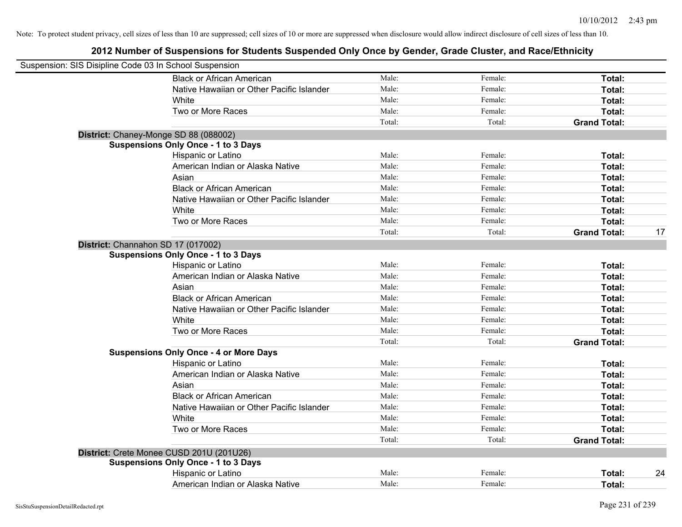| Suspension: SIS Disipline Code 03 In School Suspension |                                               |        |         |                     |    |
|--------------------------------------------------------|-----------------------------------------------|--------|---------|---------------------|----|
|                                                        | <b>Black or African American</b>              | Male:  | Female: | Total:              |    |
|                                                        | Native Hawaiian or Other Pacific Islander     | Male:  | Female: | Total:              |    |
|                                                        | White                                         | Male:  | Female: | Total:              |    |
|                                                        | Two or More Races                             | Male:  | Female: | Total:              |    |
|                                                        |                                               | Total: | Total:  | <b>Grand Total:</b> |    |
|                                                        | District: Chaney-Monge SD 88 (088002)         |        |         |                     |    |
|                                                        | <b>Suspensions Only Once - 1 to 3 Days</b>    |        |         |                     |    |
|                                                        | Hispanic or Latino                            | Male:  | Female: | Total:              |    |
|                                                        | American Indian or Alaska Native              | Male:  | Female: | Total:              |    |
|                                                        | Asian                                         | Male:  | Female: | Total:              |    |
|                                                        | <b>Black or African American</b>              | Male:  | Female: | Total:              |    |
|                                                        | Native Hawaiian or Other Pacific Islander     | Male:  | Female: | Total:              |    |
|                                                        | White                                         | Male:  | Female: | Total:              |    |
|                                                        | Two or More Races                             | Male:  | Female: | Total:              |    |
|                                                        |                                               | Total: | Total:  | <b>Grand Total:</b> | 17 |
|                                                        | District: Channahon SD 17 (017002)            |        |         |                     |    |
|                                                        | <b>Suspensions Only Once - 1 to 3 Days</b>    |        |         |                     |    |
|                                                        | Hispanic or Latino                            | Male:  | Female: | Total:              |    |
|                                                        | American Indian or Alaska Native              | Male:  | Female: | Total:              |    |
|                                                        | Asian                                         | Male:  | Female: | Total:              |    |
|                                                        | <b>Black or African American</b>              | Male:  | Female: | Total:              |    |
|                                                        | Native Hawaiian or Other Pacific Islander     | Male:  | Female: | Total:              |    |
|                                                        | White                                         | Male:  | Female: | Total:              |    |
|                                                        | Two or More Races                             | Male:  | Female: | Total:              |    |
|                                                        |                                               | Total: | Total:  | <b>Grand Total:</b> |    |
|                                                        | <b>Suspensions Only Once - 4 or More Days</b> |        |         |                     |    |
|                                                        | Hispanic or Latino                            | Male:  | Female: | Total:              |    |
|                                                        | American Indian or Alaska Native              | Male:  | Female: | Total:              |    |
|                                                        | Asian                                         | Male:  | Female: | Total:              |    |
|                                                        | <b>Black or African American</b>              | Male:  | Female: | Total:              |    |
|                                                        | Native Hawaiian or Other Pacific Islander     | Male:  | Female: | Total:              |    |
|                                                        | White                                         | Male:  | Female: | Total:              |    |
|                                                        | Two or More Races                             | Male:  | Female: | Total:              |    |
|                                                        |                                               | Total: | Total:  | <b>Grand Total:</b> |    |
|                                                        | District: Crete Monee CUSD 201U (201U26)      |        |         |                     |    |
|                                                        | <b>Suspensions Only Once - 1 to 3 Days</b>    |        |         |                     |    |
|                                                        | Hispanic or Latino                            | Male:  | Female: | Total:              | 24 |
|                                                        | American Indian or Alaska Native              | Male:  | Female: | Total:              |    |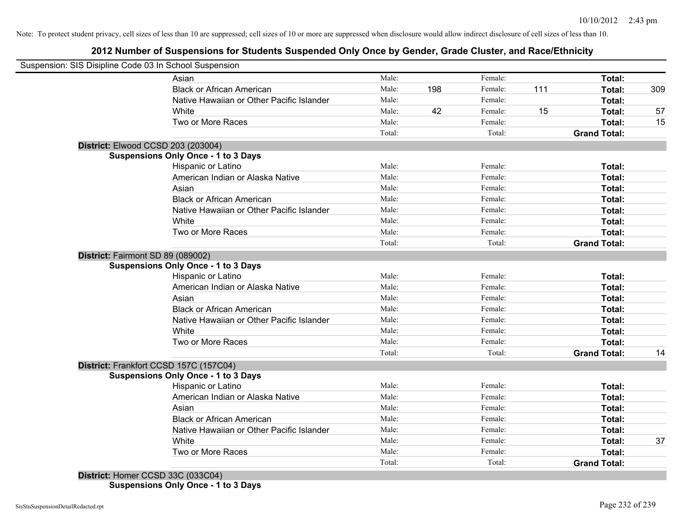# **2012 Number of Suspensions for Students Suspended Only Once by Gender, Grade Cluster, and Race/Ethnicity**

| Suspension: SIS Disipline Code 03 In School Suspension |                                            |        |     |         |     |                     |     |
|--------------------------------------------------------|--------------------------------------------|--------|-----|---------|-----|---------------------|-----|
|                                                        | Asian                                      | Male:  |     | Female: |     | Total:              |     |
|                                                        | <b>Black or African American</b>           | Male:  | 198 | Female: | 111 | Total:              | 309 |
|                                                        | Native Hawaiian or Other Pacific Islander  | Male:  |     | Female: |     | Total:              |     |
|                                                        | White                                      | Male:  | 42  | Female: | 15  | Total:              | 57  |
|                                                        | Two or More Races                          | Male:  |     | Female: |     | Total:              | 15  |
|                                                        |                                            | Total: |     | Total:  |     | <b>Grand Total:</b> |     |
| District: Elwood CCSD 203 (203004)                     |                                            |        |     |         |     |                     |     |
|                                                        | <b>Suspensions Only Once - 1 to 3 Days</b> |        |     |         |     |                     |     |
|                                                        | Hispanic or Latino                         | Male:  |     | Female: |     | Total:              |     |
|                                                        | American Indian or Alaska Native           | Male:  |     | Female: |     | Total:              |     |
|                                                        | Asian                                      | Male:  |     | Female: |     | Total:              |     |
|                                                        | <b>Black or African American</b>           | Male:  |     | Female: |     | Total:              |     |
|                                                        | Native Hawaiian or Other Pacific Islander  | Male:  |     | Female: |     | Total:              |     |
|                                                        | White                                      | Male:  |     | Female: |     | Total:              |     |
|                                                        | Two or More Races                          | Male:  |     | Female: |     | Total:              |     |
|                                                        |                                            | Total: |     | Total:  |     | <b>Grand Total:</b> |     |
| District: Fairmont SD 89 (089002)                      |                                            |        |     |         |     |                     |     |
|                                                        | <b>Suspensions Only Once - 1 to 3 Days</b> |        |     |         |     |                     |     |
|                                                        | Hispanic or Latino                         | Male:  |     | Female: |     | Total:              |     |
|                                                        | American Indian or Alaska Native           | Male:  |     | Female: |     | Total:              |     |
|                                                        | Asian                                      | Male:  |     | Female: |     | Total:              |     |
|                                                        | <b>Black or African American</b>           | Male:  |     | Female: |     | Total:              |     |
|                                                        | Native Hawaiian or Other Pacific Islander  | Male:  |     | Female: |     | Total:              |     |
|                                                        | White                                      | Male:  |     | Female: |     | Total:              |     |
|                                                        | Two or More Races                          | Male:  |     | Female: |     | Total:              |     |
|                                                        |                                            | Total: |     | Total:  |     | <b>Grand Total:</b> | 14  |
| District: Frankfort CCSD 157C (157C04)                 |                                            |        |     |         |     |                     |     |
|                                                        | <b>Suspensions Only Once - 1 to 3 Days</b> |        |     |         |     |                     |     |
|                                                        | Hispanic or Latino                         | Male:  |     | Female: |     | Total:              |     |
|                                                        | American Indian or Alaska Native           | Male:  |     | Female: |     | Total:              |     |
|                                                        | Asian                                      | Male:  |     | Female: |     | Total:              |     |
|                                                        | <b>Black or African American</b>           | Male:  |     | Female: |     | Total:              |     |
|                                                        | Native Hawaiian or Other Pacific Islander  | Male:  |     | Female: |     | Total:              |     |
|                                                        | White                                      | Male:  |     | Female: |     | Total:              | 37  |
|                                                        | Two or More Races                          | Male:  |     | Female: |     | Total:              |     |
|                                                        |                                            |        |     |         |     |                     |     |

**Suspensions Only Once - 1 to 3 Days**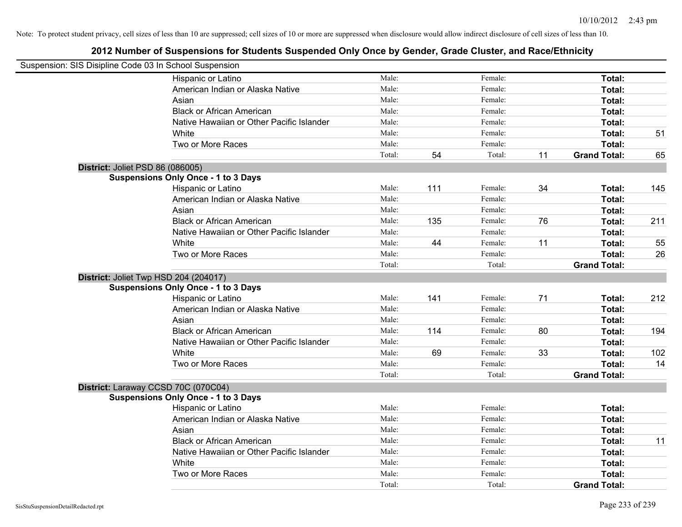| Suspension: SIS Disipline Code 03 In School Suspension |                                            |        |     |         |    |                     |     |
|--------------------------------------------------------|--------------------------------------------|--------|-----|---------|----|---------------------|-----|
|                                                        | Hispanic or Latino                         | Male:  |     | Female: |    | Total:              |     |
|                                                        | American Indian or Alaska Native           | Male:  |     | Female: |    | Total:              |     |
|                                                        | Asian                                      | Male:  |     | Female: |    | Total:              |     |
|                                                        | <b>Black or African American</b>           | Male:  |     | Female: |    | Total:              |     |
|                                                        | Native Hawaiian or Other Pacific Islander  | Male:  |     | Female: |    | Total:              |     |
|                                                        | White                                      | Male:  |     | Female: |    | Total:              | 51  |
|                                                        | Two or More Races                          | Male:  |     | Female: |    | Total:              |     |
|                                                        |                                            | Total: | 54  | Total:  | 11 | <b>Grand Total:</b> | 65  |
| District: Joliet PSD 86 (086005)                       |                                            |        |     |         |    |                     |     |
|                                                        | <b>Suspensions Only Once - 1 to 3 Days</b> |        |     |         |    |                     |     |
|                                                        | Hispanic or Latino                         | Male:  | 111 | Female: | 34 | Total:              | 145 |
|                                                        | American Indian or Alaska Native           | Male:  |     | Female: |    | Total:              |     |
|                                                        | Asian                                      | Male:  |     | Female: |    | Total:              |     |
|                                                        | <b>Black or African American</b>           | Male:  | 135 | Female: | 76 | Total:              | 211 |
|                                                        | Native Hawaiian or Other Pacific Islander  | Male:  |     | Female: |    | Total:              |     |
|                                                        | White                                      | Male:  | 44  | Female: | 11 | Total:              | 55  |
|                                                        | Two or More Races                          | Male:  |     | Female: |    | Total:              | 26  |
|                                                        |                                            | Total: |     | Total:  |    | <b>Grand Total:</b> |     |
| District: Joliet Twp HSD 204 (204017)                  |                                            |        |     |         |    |                     |     |
|                                                        | <b>Suspensions Only Once - 1 to 3 Days</b> |        |     |         |    |                     |     |
|                                                        | Hispanic or Latino                         | Male:  | 141 | Female: | 71 | Total:              | 212 |
|                                                        | American Indian or Alaska Native           | Male:  |     | Female: |    | Total:              |     |
|                                                        | Asian                                      | Male:  |     | Female: |    | Total:              |     |
|                                                        | <b>Black or African American</b>           | Male:  | 114 | Female: | 80 | Total:              | 194 |
|                                                        | Native Hawaiian or Other Pacific Islander  | Male:  |     | Female: |    | Total:              |     |
|                                                        | White                                      | Male:  | 69  | Female: | 33 | Total:              | 102 |
|                                                        | Two or More Races                          | Male:  |     | Female: |    | Total:              | 14  |
|                                                        |                                            | Total: |     | Total:  |    | <b>Grand Total:</b> |     |
| District: Laraway CCSD 70C (070C04)                    |                                            |        |     |         |    |                     |     |
|                                                        | <b>Suspensions Only Once - 1 to 3 Days</b> |        |     |         |    |                     |     |
|                                                        | Hispanic or Latino                         | Male:  |     | Female: |    | Total:              |     |
|                                                        | American Indian or Alaska Native           | Male:  |     | Female: |    | Total:              |     |
|                                                        | Asian                                      | Male:  |     | Female: |    | Total:              |     |
|                                                        | <b>Black or African American</b>           | Male:  |     | Female: |    | Total:              | 11  |
|                                                        | Native Hawaiian or Other Pacific Islander  | Male:  |     | Female: |    | Total:              |     |
|                                                        | White                                      | Male:  |     | Female: |    | Total:              |     |
|                                                        | Two or More Races                          | Male:  |     | Female: |    | Total:              |     |
|                                                        |                                            | Total: |     | Total:  |    | <b>Grand Total:</b> |     |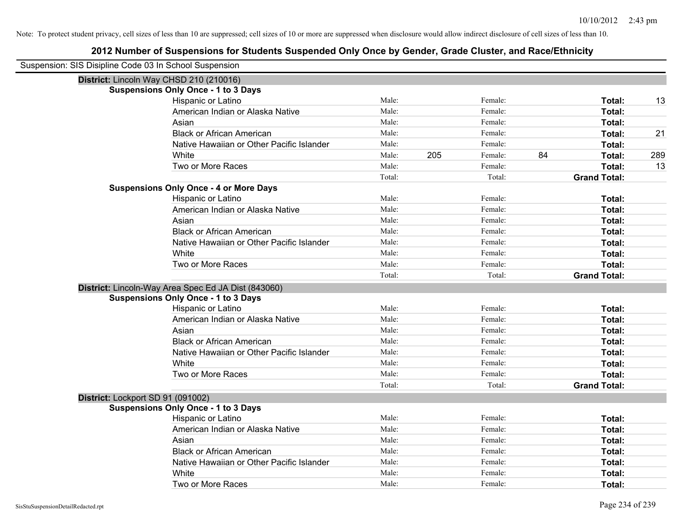| Suspension: SIS Disipline Code 03 In School Suspension |                                                     |        |     |         |    |                     |     |
|--------------------------------------------------------|-----------------------------------------------------|--------|-----|---------|----|---------------------|-----|
| District: Lincoln Way CHSD 210 (210016)                |                                                     |        |     |         |    |                     |     |
|                                                        | <b>Suspensions Only Once - 1 to 3 Days</b>          |        |     |         |    |                     |     |
|                                                        | Hispanic or Latino                                  | Male:  |     | Female: |    | Total:              | 13  |
|                                                        | American Indian or Alaska Native                    | Male:  |     | Female: |    | Total:              |     |
|                                                        | Asian                                               | Male:  |     | Female: |    | Total:              |     |
|                                                        | <b>Black or African American</b>                    | Male:  |     | Female: |    | Total:              | 21  |
|                                                        | Native Hawaiian or Other Pacific Islander           | Male:  |     | Female: |    | Total:              |     |
|                                                        | White                                               | Male:  | 205 | Female: | 84 | Total:              | 289 |
|                                                        | Two or More Races                                   | Male:  |     | Female: |    | Total:              | 13  |
|                                                        |                                                     | Total: |     | Total:  |    | <b>Grand Total:</b> |     |
|                                                        | <b>Suspensions Only Once - 4 or More Days</b>       |        |     |         |    |                     |     |
|                                                        | Hispanic or Latino                                  | Male:  |     | Female: |    | Total:              |     |
|                                                        | American Indian or Alaska Native                    | Male:  |     | Female: |    | Total:              |     |
|                                                        | Asian                                               | Male:  |     | Female: |    | Total:              |     |
|                                                        | <b>Black or African American</b>                    | Male:  |     | Female: |    | Total:              |     |
|                                                        | Native Hawaiian or Other Pacific Islander           | Male:  |     | Female: |    | Total:              |     |
|                                                        | White                                               | Male:  |     | Female: |    | Total:              |     |
|                                                        | Two or More Races                                   | Male:  |     | Female: |    | Total:              |     |
|                                                        |                                                     | Total: |     | Total:  |    | <b>Grand Total:</b> |     |
|                                                        | District: Lincoln-Way Area Spec Ed JA Dist (843060) |        |     |         |    |                     |     |
|                                                        | <b>Suspensions Only Once - 1 to 3 Days</b>          |        |     |         |    |                     |     |
|                                                        | Hispanic or Latino                                  | Male:  |     | Female: |    | Total:              |     |
|                                                        | American Indian or Alaska Native                    | Male:  |     | Female: |    | Total:              |     |
|                                                        | Asian                                               | Male:  |     | Female: |    | Total:              |     |
|                                                        | <b>Black or African American</b>                    | Male:  |     | Female: |    | Total:              |     |
|                                                        | Native Hawaiian or Other Pacific Islander           | Male:  |     | Female: |    | Total:              |     |
|                                                        | White                                               | Male:  |     | Female: |    | Total:              |     |
|                                                        | Two or More Races                                   | Male:  |     | Female: |    | Total:              |     |
|                                                        |                                                     | Total: |     | Total:  |    | <b>Grand Total:</b> |     |
| District: Lockport SD 91 (091002)                      |                                                     |        |     |         |    |                     |     |
|                                                        | <b>Suspensions Only Once - 1 to 3 Days</b>          |        |     |         |    |                     |     |
|                                                        | Hispanic or Latino                                  | Male:  |     | Female: |    | Total:              |     |
|                                                        | American Indian or Alaska Native                    | Male:  |     | Female: |    | Total:              |     |
|                                                        | Asian                                               | Male:  |     | Female: |    | Total:              |     |
|                                                        | <b>Black or African American</b>                    | Male:  |     | Female: |    | Total:              |     |
|                                                        | Native Hawaiian or Other Pacific Islander           | Male:  |     | Female: |    | Total:              |     |
|                                                        | White                                               | Male:  |     | Female: |    | Total:              |     |
|                                                        | Two or More Races                                   | Male:  |     | Female: |    | Total:              |     |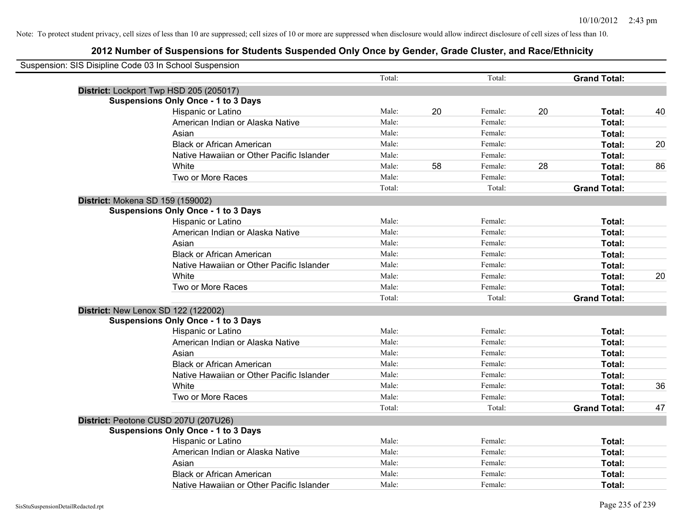| Suspension: SIS Disipline Code 03 In School Suspension |                                            |        |    |         |    |                     |    |
|--------------------------------------------------------|--------------------------------------------|--------|----|---------|----|---------------------|----|
|                                                        |                                            | Total: |    | Total:  |    | <b>Grand Total:</b> |    |
|                                                        | District: Lockport Twp HSD 205 (205017)    |        |    |         |    |                     |    |
|                                                        | <b>Suspensions Only Once - 1 to 3 Days</b> |        |    |         |    |                     |    |
|                                                        | Hispanic or Latino                         | Male:  | 20 | Female: | 20 | Total:              | 40 |
|                                                        | American Indian or Alaska Native           | Male:  |    | Female: |    | Total:              |    |
|                                                        | Asian                                      | Male:  |    | Female: |    | Total:              |    |
|                                                        | <b>Black or African American</b>           | Male:  |    | Female: |    | Total:              | 20 |
|                                                        | Native Hawaiian or Other Pacific Islander  | Male:  |    | Female: |    | Total:              |    |
|                                                        | White                                      | Male:  | 58 | Female: | 28 | Total:              | 86 |
|                                                        | Two or More Races                          | Male:  |    | Female: |    | Total:              |    |
|                                                        |                                            | Total: |    | Total:  |    | <b>Grand Total:</b> |    |
|                                                        | District: Mokena SD 159 (159002)           |        |    |         |    |                     |    |
|                                                        | <b>Suspensions Only Once - 1 to 3 Days</b> |        |    |         |    |                     |    |
|                                                        | Hispanic or Latino                         | Male:  |    | Female: |    | Total:              |    |
|                                                        | American Indian or Alaska Native           | Male:  |    | Female: |    | Total:              |    |
|                                                        | Asian                                      | Male:  |    | Female: |    | Total:              |    |
|                                                        | <b>Black or African American</b>           | Male:  |    | Female: |    | Total:              |    |
|                                                        | Native Hawaiian or Other Pacific Islander  | Male:  |    | Female: |    | Total:              |    |
|                                                        | White                                      | Male:  |    | Female: |    | Total:              | 20 |
|                                                        | Two or More Races                          | Male:  |    | Female: |    | Total:              |    |
|                                                        |                                            | Total: |    | Total:  |    | <b>Grand Total:</b> |    |
|                                                        | District: New Lenox SD 122 (122002)        |        |    |         |    |                     |    |
|                                                        | <b>Suspensions Only Once - 1 to 3 Days</b> |        |    |         |    |                     |    |
|                                                        | Hispanic or Latino                         | Male:  |    | Female: |    | Total:              |    |
|                                                        | American Indian or Alaska Native           | Male:  |    | Female: |    | Total:              |    |
|                                                        | Asian                                      | Male:  |    | Female: |    | Total:              |    |
|                                                        | <b>Black or African American</b>           | Male:  |    | Female: |    | Total:              |    |
|                                                        | Native Hawaiian or Other Pacific Islander  | Male:  |    | Female: |    | Total:              |    |
|                                                        | White                                      | Male:  |    | Female: |    | Total:              | 36 |
|                                                        | Two or More Races                          | Male:  |    | Female: |    | Total:              |    |
|                                                        |                                            | Total: |    | Total:  |    | <b>Grand Total:</b> | 47 |
|                                                        | District: Peotone CUSD 207U (207U26)       |        |    |         |    |                     |    |
|                                                        | <b>Suspensions Only Once - 1 to 3 Days</b> |        |    |         |    |                     |    |
|                                                        | <b>Hispanic or Latino</b>                  | Male:  |    | Female: |    | Total:              |    |
|                                                        | American Indian or Alaska Native           | Male:  |    | Female: |    | Total:              |    |
|                                                        | Asian                                      | Male:  |    | Female: |    | Total:              |    |
|                                                        | <b>Black or African American</b>           | Male:  |    | Female: |    | Total:              |    |
|                                                        | Native Hawaiian or Other Pacific Islander  | Male:  |    | Female: |    | Total:              |    |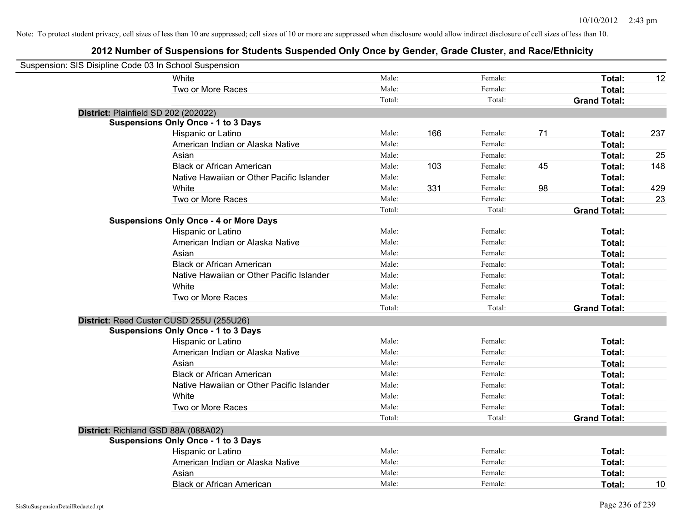| Suspension: SIS Disipline Code 03 In School Suspension |                                               |        |     |         |    |                     |     |
|--------------------------------------------------------|-----------------------------------------------|--------|-----|---------|----|---------------------|-----|
|                                                        | White                                         | Male:  |     | Female: |    | Total:              | 12  |
|                                                        | Two or More Races                             | Male:  |     | Female: |    | Total:              |     |
|                                                        |                                               | Total: |     | Total:  |    | <b>Grand Total:</b> |     |
| District: Plainfield SD 202 (202022)                   |                                               |        |     |         |    |                     |     |
|                                                        | <b>Suspensions Only Once - 1 to 3 Days</b>    |        |     |         |    |                     |     |
|                                                        | Hispanic or Latino                            | Male:  | 166 | Female: | 71 | Total:              | 237 |
|                                                        | American Indian or Alaska Native              | Male:  |     | Female: |    | Total:              |     |
|                                                        | Asian                                         | Male:  |     | Female: |    | Total:              | 25  |
|                                                        | <b>Black or African American</b>              | Male:  | 103 | Female: | 45 | Total:              | 148 |
|                                                        | Native Hawaiian or Other Pacific Islander     | Male:  |     | Female: |    | Total:              |     |
|                                                        | White                                         | Male:  | 331 | Female: | 98 | Total:              | 429 |
|                                                        | Two or More Races                             | Male:  |     | Female: |    | Total:              | 23  |
|                                                        |                                               | Total: |     | Total:  |    | <b>Grand Total:</b> |     |
|                                                        | <b>Suspensions Only Once - 4 or More Days</b> |        |     |         |    |                     |     |
|                                                        | Hispanic or Latino                            | Male:  |     | Female: |    | Total:              |     |
|                                                        | American Indian or Alaska Native              | Male:  |     | Female: |    | Total:              |     |
|                                                        | Asian                                         | Male:  |     | Female: |    | Total:              |     |
|                                                        | <b>Black or African American</b>              | Male:  |     | Female: |    | Total:              |     |
|                                                        | Native Hawaiian or Other Pacific Islander     | Male:  |     | Female: |    | Total:              |     |
|                                                        | White                                         | Male:  |     | Female: |    | Total:              |     |
|                                                        | Two or More Races                             | Male:  |     | Female: |    | Total:              |     |
|                                                        |                                               | Total: |     | Total:  |    | <b>Grand Total:</b> |     |
|                                                        | District: Reed Custer CUSD 255U (255U26)      |        |     |         |    |                     |     |
|                                                        | <b>Suspensions Only Once - 1 to 3 Days</b>    |        |     |         |    |                     |     |
|                                                        | Hispanic or Latino                            | Male:  |     | Female: |    | Total:              |     |
|                                                        | American Indian or Alaska Native              | Male:  |     | Female: |    | Total:              |     |
|                                                        | Asian                                         | Male:  |     | Female: |    | Total:              |     |
|                                                        | <b>Black or African American</b>              | Male:  |     | Female: |    | Total:              |     |
|                                                        | Native Hawaiian or Other Pacific Islander     | Male:  |     | Female: |    | Total:              |     |
|                                                        | White                                         | Male:  |     | Female: |    | Total:              |     |
|                                                        | Two or More Races                             | Male:  |     | Female: |    | Total:              |     |
|                                                        |                                               | Total: |     | Total:  |    | <b>Grand Total:</b> |     |
| District: Richland GSD 88A (088A02)                    |                                               |        |     |         |    |                     |     |
|                                                        | <b>Suspensions Only Once - 1 to 3 Days</b>    |        |     |         |    |                     |     |
|                                                        | Hispanic or Latino                            | Male:  |     | Female: |    | Total:              |     |
|                                                        | American Indian or Alaska Native              | Male:  |     | Female: |    | Total:              |     |
|                                                        | Asian                                         | Male:  |     | Female: |    | Total:              |     |
|                                                        | <b>Black or African American</b>              | Male:  |     | Female: |    | Total:              | 10  |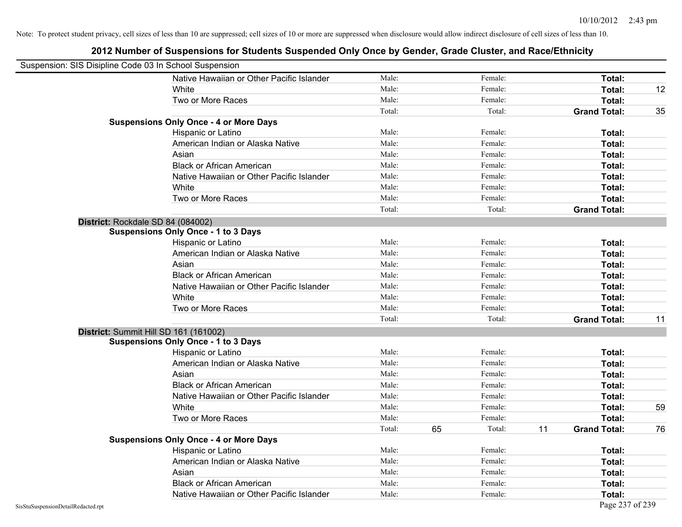| Suspension: SIS Disipline Code 03 In School Suspension |                                               |        |    |         |    |                     |    |
|--------------------------------------------------------|-----------------------------------------------|--------|----|---------|----|---------------------|----|
|                                                        | Native Hawaiian or Other Pacific Islander     | Male:  |    | Female: |    | Total:              |    |
|                                                        | White                                         | Male:  |    | Female: |    | Total:              | 12 |
|                                                        | Two or More Races                             | Male:  |    | Female: |    | Total:              |    |
|                                                        |                                               | Total: |    | Total:  |    | <b>Grand Total:</b> | 35 |
|                                                        | <b>Suspensions Only Once - 4 or More Days</b> |        |    |         |    |                     |    |
|                                                        | Hispanic or Latino                            | Male:  |    | Female: |    | Total:              |    |
|                                                        | American Indian or Alaska Native              | Male:  |    | Female: |    | Total:              |    |
|                                                        | Asian                                         | Male:  |    | Female: |    | Total:              |    |
|                                                        | <b>Black or African American</b>              | Male:  |    | Female: |    | Total:              |    |
|                                                        | Native Hawaiian or Other Pacific Islander     | Male:  |    | Female: |    | Total:              |    |
|                                                        | White                                         | Male:  |    | Female: |    | Total:              |    |
|                                                        | Two or More Races                             | Male:  |    | Female: |    | Total:              |    |
|                                                        |                                               | Total: |    | Total:  |    | <b>Grand Total:</b> |    |
|                                                        | District: Rockdale SD 84 (084002)             |        |    |         |    |                     |    |
|                                                        | <b>Suspensions Only Once - 1 to 3 Days</b>    |        |    |         |    |                     |    |
|                                                        | Hispanic or Latino                            | Male:  |    | Female: |    | Total:              |    |
|                                                        | American Indian or Alaska Native              | Male:  |    | Female: |    | Total:              |    |
|                                                        | Asian                                         | Male:  |    | Female: |    | Total:              |    |
|                                                        | <b>Black or African American</b>              | Male:  |    | Female: |    | Total:              |    |
|                                                        | Native Hawaiian or Other Pacific Islander     | Male:  |    | Female: |    | Total:              |    |
|                                                        | White                                         | Male:  |    | Female: |    | Total:              |    |
|                                                        | Two or More Races                             | Male:  |    | Female: |    | Total:              |    |
|                                                        |                                               | Total: |    | Total:  |    | <b>Grand Total:</b> | 11 |
|                                                        | District: Summit Hill SD 161 (161002)         |        |    |         |    |                     |    |
|                                                        | <b>Suspensions Only Once - 1 to 3 Days</b>    |        |    |         |    |                     |    |
|                                                        | Hispanic or Latino                            | Male:  |    | Female: |    | Total:              |    |
|                                                        | American Indian or Alaska Native              | Male:  |    | Female: |    | Total:              |    |
|                                                        | Asian                                         | Male:  |    | Female: |    | Total:              |    |
|                                                        | <b>Black or African American</b>              | Male:  |    | Female: |    | Total:              |    |
|                                                        | Native Hawaiian or Other Pacific Islander     | Male:  |    | Female: |    | Total:              |    |
|                                                        | White                                         | Male:  |    | Female: |    | Total:              | 59 |
|                                                        | Two or More Races                             | Male:  |    | Female: |    | Total:              |    |
|                                                        |                                               | Total: | 65 | Total:  | 11 | <b>Grand Total:</b> | 76 |
|                                                        | <b>Suspensions Only Once - 4 or More Days</b> |        |    |         |    |                     |    |
|                                                        | Hispanic or Latino                            | Male:  |    | Female: |    | Total:              |    |
|                                                        | American Indian or Alaska Native              | Male:  |    | Female: |    | Total:              |    |
|                                                        | Asian                                         | Male:  |    | Female: |    | Total:              |    |
|                                                        | <b>Black or African American</b>              | Male:  |    | Female: |    | Total:              |    |
|                                                        | Native Hawaiian or Other Pacific Islander     | Male:  |    | Female: |    | Total:              |    |
| SisStuSuspensionDetailRedacted.rpt                     |                                               |        |    |         |    | Page 237 of 239     |    |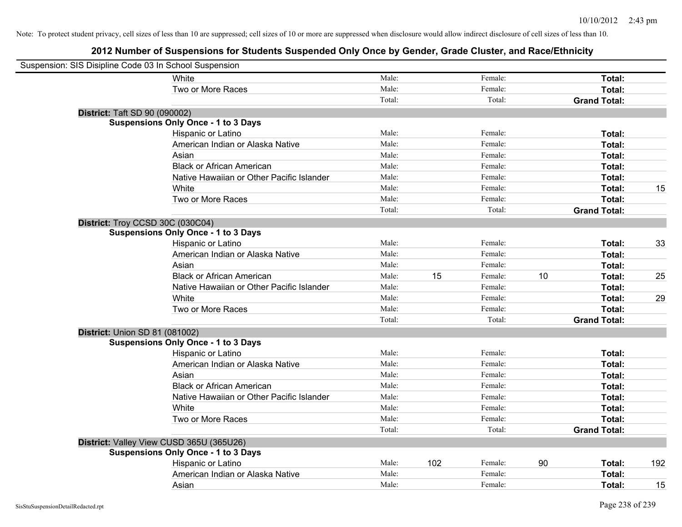| Suspension: SIS Disipline Code 03 In School Suspension |                                            |        |     |         |    |                     |     |
|--------------------------------------------------------|--------------------------------------------|--------|-----|---------|----|---------------------|-----|
|                                                        | White                                      | Male:  |     | Female: |    | Total:              |     |
|                                                        | Two or More Races                          | Male:  |     | Female: |    | Total:              |     |
|                                                        |                                            | Total: |     | Total:  |    | <b>Grand Total:</b> |     |
| <b>District: Taft SD 90 (090002)</b>                   |                                            |        |     |         |    |                     |     |
|                                                        | <b>Suspensions Only Once - 1 to 3 Days</b> |        |     |         |    |                     |     |
|                                                        | Hispanic or Latino                         | Male:  |     | Female: |    | Total:              |     |
|                                                        | American Indian or Alaska Native           | Male:  |     | Female: |    | Total:              |     |
|                                                        | Asian                                      | Male:  |     | Female: |    | Total:              |     |
|                                                        | <b>Black or African American</b>           | Male:  |     | Female: |    | Total:              |     |
|                                                        | Native Hawaiian or Other Pacific Islander  | Male:  |     | Female: |    | Total:              |     |
|                                                        | White                                      | Male:  |     | Female: |    | Total:              | 15  |
|                                                        | Two or More Races                          | Male:  |     | Female: |    | Total:              |     |
|                                                        |                                            | Total: |     | Total:  |    | <b>Grand Total:</b> |     |
| District: Troy CCSD 30C (030C04)                       |                                            |        |     |         |    |                     |     |
|                                                        | <b>Suspensions Only Once - 1 to 3 Days</b> |        |     |         |    |                     |     |
|                                                        | Hispanic or Latino                         | Male:  |     | Female: |    | Total:              | 33  |
|                                                        | American Indian or Alaska Native           | Male:  |     | Female: |    | Total:              |     |
|                                                        | Asian                                      | Male:  |     | Female: |    | Total:              |     |
|                                                        | <b>Black or African American</b>           | Male:  | 15  | Female: | 10 | Total:              | 25  |
|                                                        | Native Hawaiian or Other Pacific Islander  | Male:  |     | Female: |    | Total:              |     |
|                                                        | White                                      | Male:  |     | Female: |    | Total:              | 29  |
|                                                        | Two or More Races                          | Male:  |     | Female: |    | Total:              |     |
|                                                        |                                            | Total: |     | Total:  |    | <b>Grand Total:</b> |     |
| District: Union SD 81 (081002)                         |                                            |        |     |         |    |                     |     |
|                                                        | <b>Suspensions Only Once - 1 to 3 Days</b> |        |     |         |    |                     |     |
|                                                        | Hispanic or Latino                         | Male:  |     | Female: |    | Total:              |     |
|                                                        | American Indian or Alaska Native           | Male:  |     | Female: |    | Total:              |     |
|                                                        | Asian                                      | Male:  |     | Female: |    | Total:              |     |
|                                                        | <b>Black or African American</b>           | Male:  |     | Female: |    | Total:              |     |
|                                                        | Native Hawaiian or Other Pacific Islander  | Male:  |     | Female: |    | Total:              |     |
|                                                        | White                                      | Male:  |     | Female: |    | Total:              |     |
|                                                        | Two or More Races                          | Male:  |     | Female: |    | Total:              |     |
|                                                        |                                            | Total: |     | Total:  |    | <b>Grand Total:</b> |     |
|                                                        | District: Valley View CUSD 365U (365U26)   |        |     |         |    |                     |     |
|                                                        | <b>Suspensions Only Once - 1 to 3 Days</b> |        |     |         |    |                     |     |
|                                                        | Hispanic or Latino                         | Male:  | 102 | Female: | 90 | Total:              | 192 |
|                                                        | American Indian or Alaska Native           | Male:  |     | Female: |    | Total:              |     |
|                                                        | Asian                                      | Male:  |     | Female: |    | Total:              | 15  |